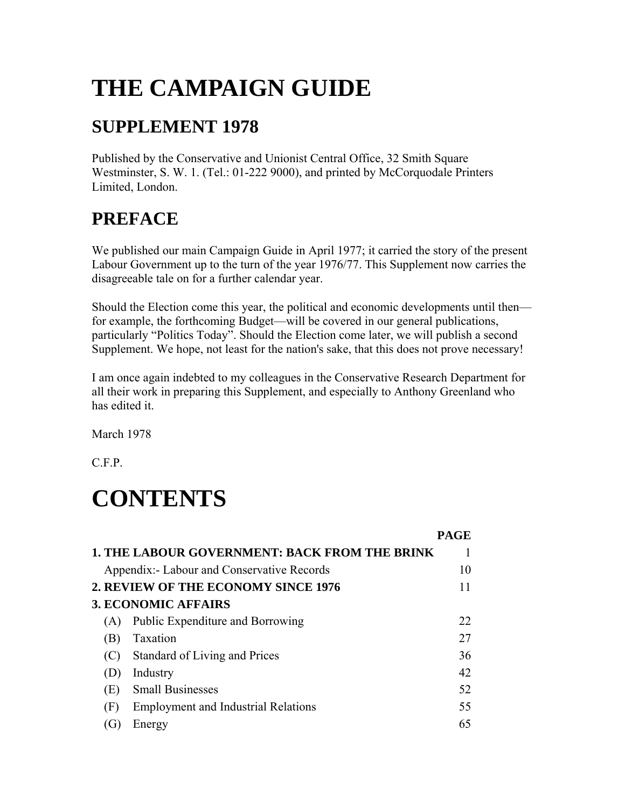# **THE CAMPAIGN GUIDE**

#### **SUPPLEMENT 1978**

Published by the Conservative and Unionist Central Office, 32 Smith Square Westminster, S. W. 1. (Tel.: 01-222 9000), and printed by McCorquodale Printers Limited, London.

### **PREFACE**

We published our main Campaign Guide in April 1977; it carried the story of the present Labour Government up to the turn of the year 1976/77. This Supplement now carries the disagreeable tale on for a further calendar year.

Should the Election come this year, the political and economic developments until then for example, the forthcoming Budget—will be covered in our general publications, particularly "Politics Today". Should the Election come later, we will publish a second Supplement. We hope, not least for the nation's sake, that this does not prove necessary!

I am once again indebted to my colleagues in the Conservative Research Department for all their work in preparing this Supplement, and especially to Anthony Greenland who has edited it.

March 1978

C.F.P.

# **CONTENTS**

|                                            | <b>PAGE</b>                                                                                                                                                                     |
|--------------------------------------------|---------------------------------------------------------------------------------------------------------------------------------------------------------------------------------|
|                                            |                                                                                                                                                                                 |
|                                            | 10                                                                                                                                                                              |
|                                            |                                                                                                                                                                                 |
|                                            |                                                                                                                                                                                 |
| Public Expenditure and Borrowing           | 22                                                                                                                                                                              |
| Taxation                                   | 27                                                                                                                                                                              |
| Standard of Living and Prices              | 36                                                                                                                                                                              |
| Industry                                   | 42                                                                                                                                                                              |
| <b>Small Businesses</b>                    | 52                                                                                                                                                                              |
| <b>Employment and Industrial Relations</b> | 55                                                                                                                                                                              |
| Energy                                     | 65                                                                                                                                                                              |
|                                            | <b>1. THE LABOUR GOVERNMENT: BACK FROM THE BRINK</b><br>Appendix: - Labour and Conservative Records<br><b>2. REVIEW OF THE ECONOMY SINCE 1976</b><br><b>3. ECONOMIC AFFAIRS</b> |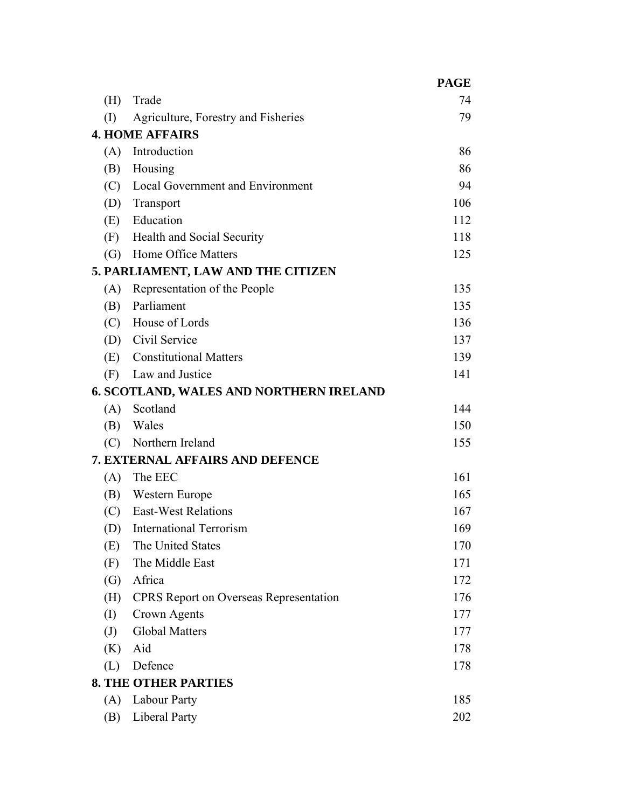|                                 |                                                | <b>PAGE</b> |  |
|---------------------------------|------------------------------------------------|-------------|--|
| (H)                             | Trade                                          | 74          |  |
| (I)                             | Agriculture, Forestry and Fisheries            | 79          |  |
|                                 | <b>4. HOME AFFAIRS</b>                         |             |  |
| (A)                             | Introduction                                   | 86          |  |
| (B)                             | Housing                                        | 86          |  |
| (C)                             | <b>Local Government and Environment</b>        | 94          |  |
| (D)                             | Transport                                      | 106         |  |
| (E)                             | Education                                      | 112         |  |
| (F)                             | Health and Social Security                     | 118         |  |
| (G)                             | Home Office Matters                            | 125         |  |
|                                 | 5. PARLIAMENT, LAW AND THE CITIZEN             |             |  |
| (A)                             | Representation of the People                   | 135         |  |
| (B)                             | Parliament                                     | 135         |  |
|                                 | (C) House of Lords                             | 136         |  |
|                                 | (D) Civil Service                              | 137         |  |
| (E)                             | <b>Constitutional Matters</b>                  | 139         |  |
| (F)                             | Law and Justice                                | 141         |  |
|                                 | <b>6. SCOTLAND, WALES AND NORTHERN IRELAND</b> |             |  |
| (A)                             | Scotland                                       | 144         |  |
| (B)                             | Wales                                          | 150         |  |
| (C)                             | Northern Ireland                               | 155         |  |
| 7. EXTERNAL AFFAIRS AND DEFENCE |                                                |             |  |
| (A)                             | The EEC                                        | 161         |  |
| (B)                             | Western Europe                                 | 165         |  |
| (C)                             | <b>East-West Relations</b>                     | 167         |  |
| (D)                             | <b>International Terrorism</b>                 | 169         |  |
| (E)                             | The United States                              | 170         |  |
| (F)                             | The Middle East                                | 171         |  |
| $\left( G\right)$               | Africa                                         | 172         |  |
| (H)                             | <b>CPRS</b> Report on Overseas Representation  | 176         |  |
| (I)                             | Crown Agents                                   | 177         |  |
| $\left( \mathrm{J}\right)$      | <b>Global Matters</b>                          | 177         |  |
| (K)                             | Aid                                            | 178         |  |
| (L)                             | Defence                                        | 178         |  |
| <b>8. THE OTHER PARTIES</b>     |                                                |             |  |
| (A)                             | Labour Party                                   | 185         |  |
| (B)                             | <b>Liberal Party</b>                           | 202         |  |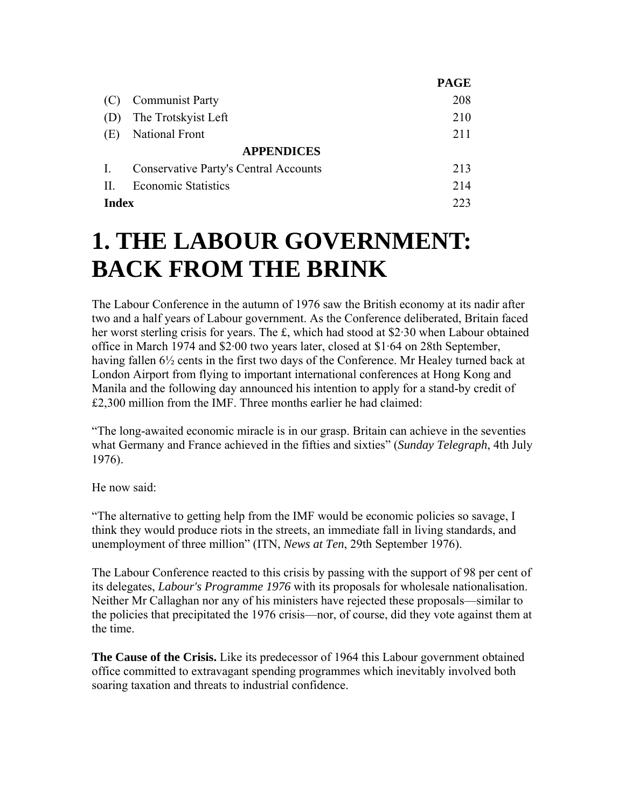|                   |                                              | <b>PAGE</b> |
|-------------------|----------------------------------------------|-------------|
|                   | <b>Communist Party</b>                       | 208         |
|                   | The Trotskyist Left                          | 210         |
| (E)               | <b>National Front</b>                        | 211         |
| <b>APPENDICES</b> |                                              |             |
|                   | <b>Conservative Party's Central Accounts</b> | 213         |
| Н.                | <b>Economic Statistics</b>                   | 214         |
| Index             |                                              | 223         |

### **1. THE LABOUR GOVERNMENT: BACK FROM THE BRINK**

The Labour Conference in the autumn of 1976 saw the British economy at its nadir after two and a half years of Labour government. As the Conference deliberated, Britain faced her worst sterling crisis for years. The £, which had stood at \$2·30 when Labour obtained office in March 1974 and \$2·00 two years later, closed at \$1·64 on 28th September, having fallen  $6\frac{1}{2}$  cents in the first two days of the Conference. Mr Healey turned back at London Airport from flying to important international conferences at Hong Kong and Manila and the following day announced his intention to apply for a stand-by credit of £2,300 million from the IMF. Three months earlier he had claimed:

"The long-awaited economic miracle is in our grasp. Britain can achieve in the seventies what Germany and France achieved in the fifties and sixties" (*Sunday Telegraph*, 4th July 1976).

He now said:

"The alternative to getting help from the IMF would be economic policies so savage, I think they would produce riots in the streets, an immediate fall in living standards, and unemployment of three million" (ITN, *News at Ten*, 29th September 1976).

The Labour Conference reacted to this crisis by passing with the support of 98 per cent of its delegates, *Labour's Programme 1976* with its proposals for wholesale nationalisation. Neither Mr Callaghan nor any of his ministers have rejected these proposals—similar to the policies that precipitated the 1976 crisis—nor, of course, did they vote against them at the time.

**The Cause of the Crisis.** Like its predecessor of 1964 this Labour government obtained office committed to extravagant spending programmes which inevitably involved both soaring taxation and threats to industrial confidence.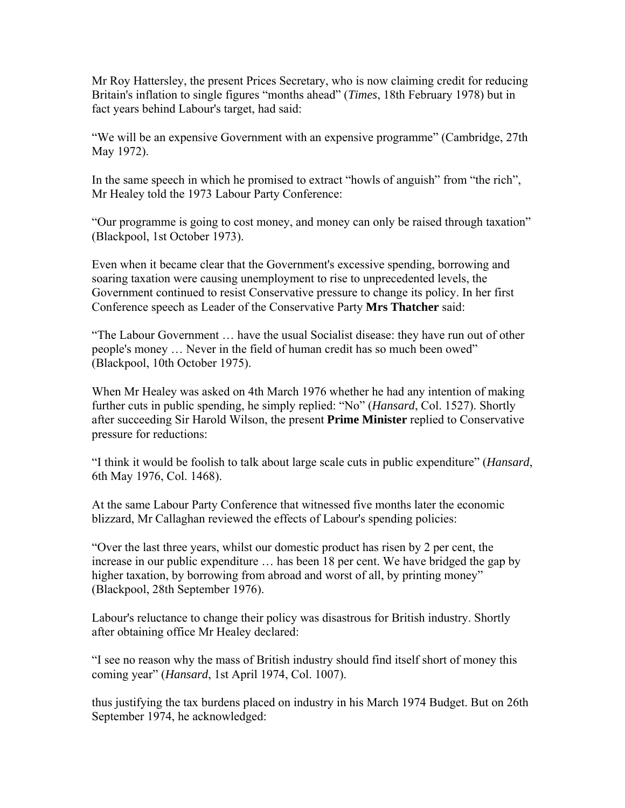Mr Roy Hattersley, the present Prices Secretary, who is now claiming credit for reducing Britain's inflation to single figures "months ahead" (*Times*, 18th February 1978) but in fact years behind Labour's target, had said:

"We will be an expensive Government with an expensive programme" (Cambridge, 27th May 1972).

In the same speech in which he promised to extract "howls of anguish" from "the rich", Mr Healey told the 1973 Labour Party Conference:

"Our programme is going to cost money, and money can only be raised through taxation" (Blackpool, 1st October 1973).

Even when it became clear that the Government's excessive spending, borrowing and soaring taxation were causing unemployment to rise to unprecedented levels, the Government continued to resist Conservative pressure to change its policy. In her first Conference speech as Leader of the Conservative Party **Mrs Thatcher** said:

"The Labour Government … have the usual Socialist disease: they have run out of other people's money … Never in the field of human credit has so much been owed" (Blackpool, 10th October 1975).

When Mr Healey was asked on 4th March 1976 whether he had any intention of making further cuts in public spending, he simply replied: "No" (*Hansard*, Col. 1527). Shortly after succeeding Sir Harold Wilson, the present **Prime Minister** replied to Conservative pressure for reductions:

"I think it would be foolish to talk about large scale cuts in public expenditure" (*Hansard*, 6th May 1976, Col. 1468).

At the same Labour Party Conference that witnessed five months later the economic blizzard, Mr Callaghan reviewed the effects of Labour's spending policies:

"Over the last three years, whilst our domestic product has risen by 2 per cent, the increase in our public expenditure … has been 18 per cent. We have bridged the gap by higher taxation, by borrowing from abroad and worst of all, by printing money" (Blackpool, 28th September 1976).

Labour's reluctance to change their policy was disastrous for British industry. Shortly after obtaining office Mr Healey declared:

"I see no reason why the mass of British industry should find itself short of money this coming year" (*Hansard*, 1st April 1974, Col. 1007).

thus justifying the tax burdens placed on industry in his March 1974 Budget. But on 26th September 1974, he acknowledged: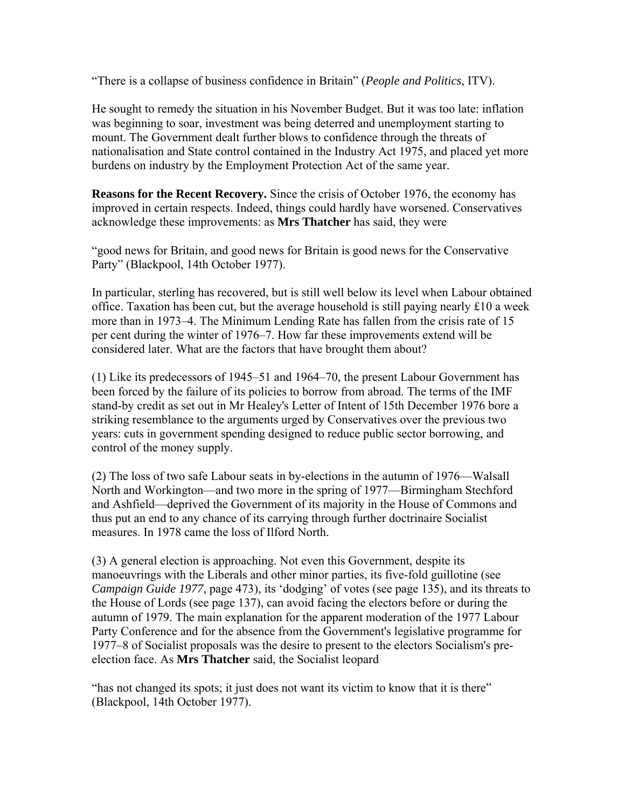"There is a collapse of business confidence in Britain" (*People and Politics*, ITV).

He sought to remedy the situation in his November Budget. But it was too late: inflation was beginning to soar, investment was being deterred and unemployment starting to mount. The Government dealt further blows to confidence through the threats of nationalisation and State control contained in the Industry Act 1975, and placed yet more burdens on industry by the Employment Protection Act of the same year.

**Reasons for the Recent Recovery.** Since the crisis of October 1976, the economy has improved in certain respects. Indeed, things could hardly have worsened. Conservatives acknowledge these improvements: as **Mrs Thatcher** has said, they were

"good news for Britain, and good news for Britain is good news for the Conservative Party" (Blackpool, 14th October 1977).

In particular, sterling has recovered, but is still well below its level when Labour obtained office. Taxation has been cut, but the average household is still paying nearly  $\pounds 10$  a week more than in 1973–4. The Minimum Lending Rate has fallen from the crisis rate of 15 per cent during the winter of 1976–7. How far these improvements extend will be considered later. What are the factors that have brought them about?

(1) Like its predecessors of 1945–51 and 1964–70, the present Labour Government has been forced by the failure of its policies to borrow from abroad. The terms of the IMF stand-by credit as set out in Mr Healey's Letter of Intent of 15th December 1976 bore a striking resemblance to the arguments urged by Conservatives over the previous two years: cuts in government spending designed to reduce public sector borrowing, and control of the money supply.

(2) The loss of two safe Labour seats in by-elections in the autumn of 1976—Walsall North and Workington—and two more in the spring of 1977—Birmingham Stechford and Ashfield—deprived the Government of its majority in the House of Commons and thus put an end to any chance of its carrying through further doctrinaire Socialist measures. In 1978 came the loss of Ilford North.

(3) A general election is approaching. Not even this Government, despite its manoeuvrings with the Liberals and other minor parties, its five-fold guillotine (see *Campaign Guide 1977*, page 473), its 'dodging' of votes (see page 135), and its threats to the House of Lords (see page 137), can avoid facing the electors before or during the autumn of 1979. The main explanation for the apparent moderation of the 1977 Labour Party Conference and for the absence from the Government's legislative programme for 1977–8 of Socialist proposals was the desire to present to the electors Socialism's preelection face. As **Mrs Thatcher** said, the Socialist leopard

"has not changed its spots; it just does not want its victim to know that it is there" (Blackpool, 14th October 1977).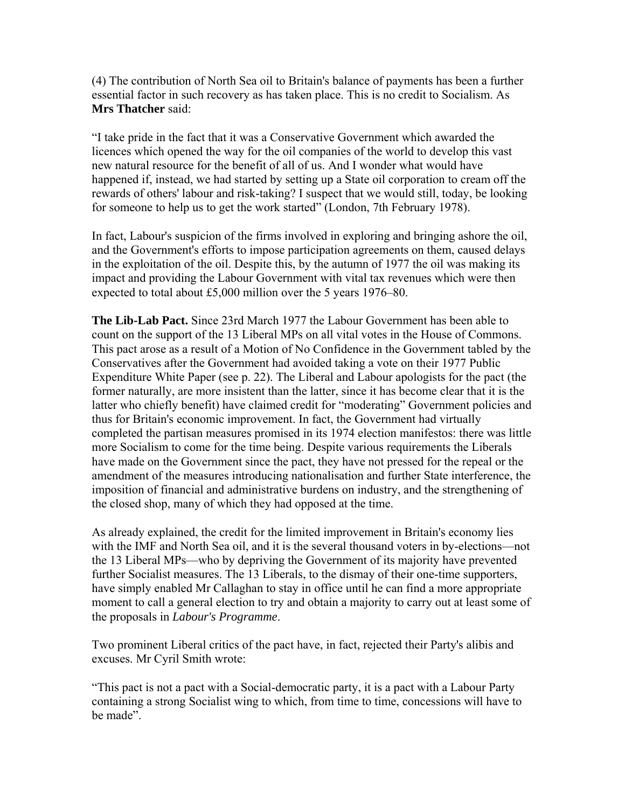(4) The contribution of North Sea oil to Britain's balance of payments has been a further essential factor in such recovery as has taken place. This is no credit to Socialism. As **Mrs Thatcher** said:

"I take pride in the fact that it was a Conservative Government which awarded the licences which opened the way for the oil companies of the world to develop this vast new natural resource for the benefit of all of us. And I wonder what would have happened if, instead, we had started by setting up a State oil corporation to cream off the rewards of others' labour and risk-taking? I suspect that we would still, today, be looking for someone to help us to get the work started" (London, 7th February 1978).

In fact, Labour's suspicion of the firms involved in exploring and bringing ashore the oil, and the Government's efforts to impose participation agreements on them, caused delays in the exploitation of the oil. Despite this, by the autumn of 1977 the oil was making its impact and providing the Labour Government with vital tax revenues which were then expected to total about £5,000 million over the 5 years 1976–80.

**The Lib-Lab Pact.** Since 23rd March 1977 the Labour Government has been able to count on the support of the 13 Liberal MPs on all vital votes in the House of Commons. This pact arose as a result of a Motion of No Confidence in the Government tabled by the Conservatives after the Government had avoided taking a vote on their 1977 Public Expenditure White Paper (see p. 22). The Liberal and Labour apologists for the pact (the former naturally, are more insistent than the latter, since it has become clear that it is the latter who chiefly benefit) have claimed credit for "moderating" Government policies and thus for Britain's economic improvement. In fact, the Government had virtually completed the partisan measures promised in its 1974 election manifestos: there was little more Socialism to come for the time being. Despite various requirements the Liberals have made on the Government since the pact, they have not pressed for the repeal or the amendment of the measures introducing nationalisation and further State interference, the imposition of financial and administrative burdens on industry, and the strengthening of the closed shop, many of which they had opposed at the time.

As already explained, the credit for the limited improvement in Britain's economy lies with the IMF and North Sea oil, and it is the several thousand voters in by-elections—not the 13 Liberal MPs—who by depriving the Government of its majority have prevented further Socialist measures. The 13 Liberals, to the dismay of their one-time supporters, have simply enabled Mr Callaghan to stay in office until he can find a more appropriate moment to call a general election to try and obtain a majority to carry out at least some of the proposals in *Labour's Programme*.

Two prominent Liberal critics of the pact have, in fact, rejected their Party's alibis and excuses. Mr Cyril Smith wrote:

"This pact is not a pact with a Social-democratic party, it is a pact with a Labour Party containing a strong Socialist wing to which, from time to time, concessions will have to be made".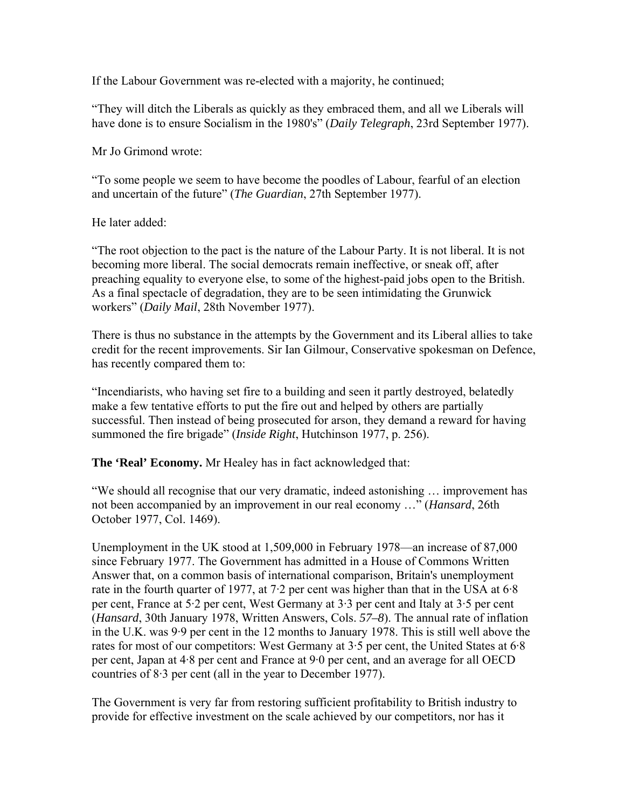If the Labour Government was re-elected with a majority, he continued;

"They will ditch the Liberals as quickly as they embraced them, and all we Liberals will have done is to ensure Socialism in the 1980's" (*Daily Telegraph*, 23rd September 1977).

Mr Jo Grimond wrote:

"To some people we seem to have become the poodles of Labour, fearful of an election and uncertain of the future" (*The Guardian*, 27th September 1977).

He later added:

"The root objection to the pact is the nature of the Labour Party. It is not liberal. It is not becoming more liberal. The social democrats remain ineffective, or sneak off, after preaching equality to everyone else, to some of the highest-paid jobs open to the British. As a final spectacle of degradation, they are to be seen intimidating the Grunwick workers" (*Daily Mail*, 28th November 1977).

There is thus no substance in the attempts by the Government and its Liberal allies to take credit for the recent improvements. Sir Ian Gilmour, Conservative spokesman on Defence, has recently compared them to:

"Incendiarists, who having set fire to a building and seen it partly destroyed, belatedly make a few tentative efforts to put the fire out and helped by others are partially successful. Then instead of being prosecuted for arson, they demand a reward for having summoned the fire brigade" (*Inside Right*, Hutchinson 1977, p. 256).

**The 'Real' Economy.** Mr Healey has in fact acknowledged that:

"We should all recognise that our very dramatic, indeed astonishing … improvement has not been accompanied by an improvement in our real economy …" (*Hansard*, 26th October 1977, Col. 1469).

Unemployment in the UK stood at 1,509,000 in February 1978—an increase of 87,000 since February 1977. The Government has admitted in a House of Commons Written Answer that, on a common basis of international comparison, Britain's unemployment rate in the fourth quarter of 1977, at 7·2 per cent was higher than that in the USA at 6·8 per cent, France at 5·2 per cent, West Germany at 3·3 per cent and Italy at 3·5 per cent (*Hansard*, 30th January 1978, Written Answers, Cols. *57–8*). The annual rate of inflation in the U.K. was 9·9 per cent in the 12 months to January 1978. This is still well above the rates for most of our competitors: West Germany at 3·5 per cent, the United States at 6·8 per cent, Japan at 4·8 per cent and France at 9·0 per cent, and an average for all OECD countries of 8·3 per cent (all in the year to December 1977).

The Government is very far from restoring sufficient profitability to British industry to provide for effective investment on the scale achieved by our competitors, nor has it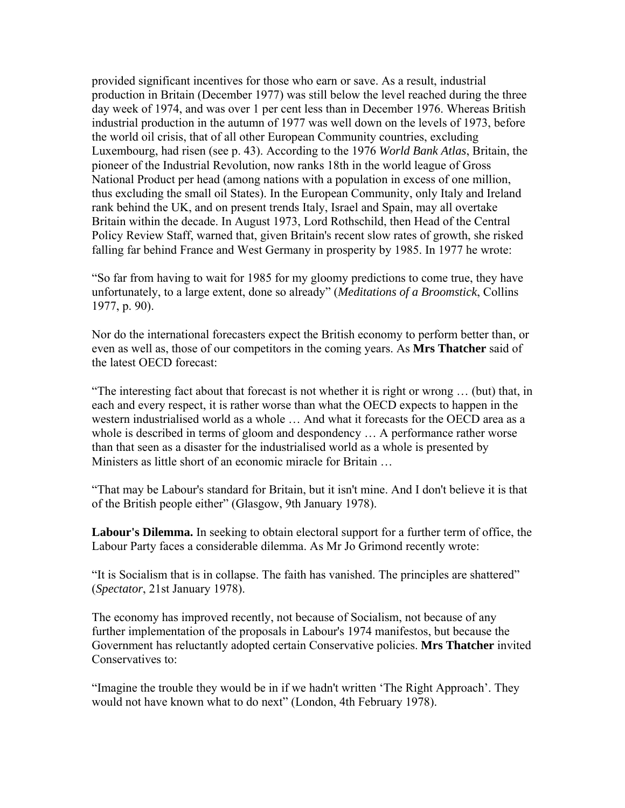provided significant incentives for those who earn or save. As a result, industrial production in Britain (December 1977) was still below the level reached during the three day week of 1974, and was over 1 per cent less than in December 1976. Whereas British industrial production in the autumn of 1977 was well down on the levels of 1973, before the world oil crisis, that of all other European Community countries, excluding Luxembourg, had risen (see p. 43). According to the 1976 *World Bank Atlas*, Britain, the pioneer of the Industrial Revolution, now ranks 18th in the world league of Gross National Product per head (among nations with a population in excess of one million, thus excluding the small oil States). In the European Community, only Italy and Ireland rank behind the UK, and on present trends Italy, Israel and Spain, may all overtake Britain within the decade. In August 1973, Lord Rothschild, then Head of the Central Policy Review Staff, warned that, given Britain's recent slow rates of growth, she risked falling far behind France and West Germany in prosperity by 1985. In 1977 he wrote:

"So far from having to wait for 1985 for my gloomy predictions to come true, they have unfortunately, to a large extent, done so already" (*Meditations of a Broomstick*, Collins 1977, p. 90).

Nor do the international forecasters expect the British economy to perform better than, or even as well as, those of our competitors in the coming years. As **Mrs Thatcher** said of the latest OECD forecast:

"The interesting fact about that forecast is not whether it is right or wrong … (but) that, in each and every respect, it is rather worse than what the OECD expects to happen in the western industrialised world as a whole … And what it forecasts for the OECD area as a whole is described in terms of gloom and despondency ... A performance rather worse than that seen as a disaster for the industrialised world as a whole is presented by Ministers as little short of an economic miracle for Britain …

"That may be Labour's standard for Britain, but it isn't mine. And I don't believe it is that of the British people either" (Glasgow, 9th January 1978).

**Labour's Dilemma.** In seeking to obtain electoral support for a further term of office, the Labour Party faces a considerable dilemma. As Mr Jo Grimond recently wrote:

"It is Socialism that is in collapse. The faith has vanished. The principles are shattered" (*Spectator*, 21st January 1978).

The economy has improved recently, not because of Socialism, not because of any further implementation of the proposals in Labour's 1974 manifestos, but because the Government has reluctantly adopted certain Conservative policies. **Mrs Thatcher** invited Conservatives to:

"Imagine the trouble they would be in if we hadn't written 'The Right Approach'. They would not have known what to do next" (London, 4th February 1978).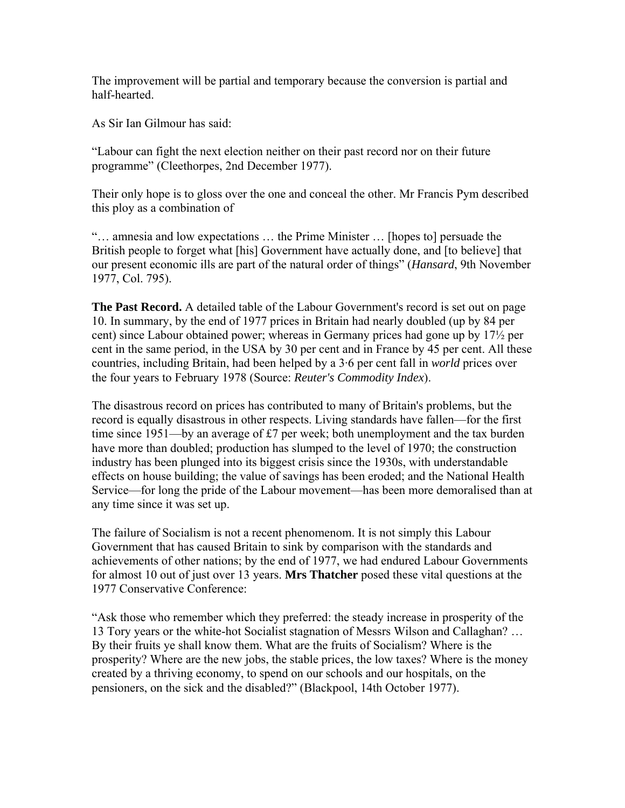The improvement will be partial and temporary because the conversion is partial and half-hearted.

As Sir Ian Gilmour has said:

"Labour can fight the next election neither on their past record nor on their future programme" (Cleethorpes, 2nd December 1977).

Their only hope is to gloss over the one and conceal the other. Mr Francis Pym described this ploy as a combination of

"… amnesia and low expectations … the Prime Minister … [hopes to] persuade the British people to forget what [his] Government have actually done, and [to believe] that our present economic ills are part of the natural order of things" (*Hansard*, 9th November 1977, Col. 795).

**The Past Record.** A detailed table of the Labour Government's record is set out on page 10. In summary, by the end of 1977 prices in Britain had nearly doubled (up by 84 per cent) since Labour obtained power; whereas in Germany prices had gone up by 17½ per cent in the same period, in the USA by 30 per cent and in France by 45 per cent. All these countries, including Britain, had been helped by a 3·6 per cent fall in *world* prices over the four years to February 1978 (Source: *Reuter's Commodity Index*).

The disastrous record on prices has contributed to many of Britain's problems, but the record is equally disastrous in other respects. Living standards have fallen—for the first time since 1951—by an average of £7 per week; both unemployment and the tax burden have more than doubled; production has slumped to the level of 1970; the construction industry has been plunged into its biggest crisis since the 1930s, with understandable effects on house building; the value of savings has been eroded; and the National Health Service—for long the pride of the Labour movement—has been more demoralised than at any time since it was set up.

The failure of Socialism is not a recent phenomenom. It is not simply this Labour Government that has caused Britain to sink by comparison with the standards and achievements of other nations; by the end of 1977, we had endured Labour Governments for almost 10 out of just over 13 years. **Mrs Thatcher** posed these vital questions at the 1977 Conservative Conference:

"Ask those who remember which they preferred: the steady increase in prosperity of the 13 Tory years or the white-hot Socialist stagnation of Messrs Wilson and Callaghan? … By their fruits ye shall know them. What are the fruits of Socialism? Where is the prosperity? Where are the new jobs, the stable prices, the low taxes? Where is the money created by a thriving economy, to spend on our schools and our hospitals, on the pensioners, on the sick and the disabled?" (Blackpool, 14th October 1977).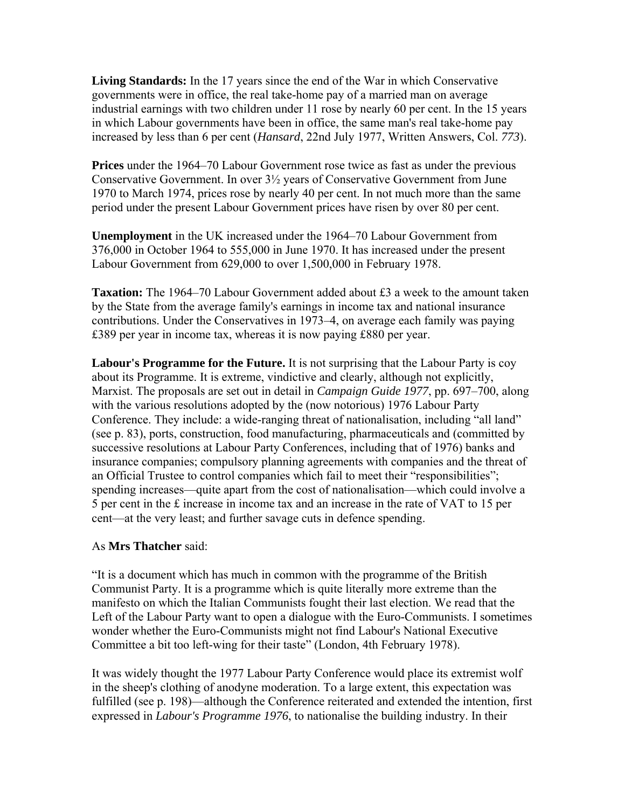**Living Standards:** In the 17 years since the end of the War in which Conservative governments were in office, the real take-home pay of a married man on average industrial earnings with two children under 11 rose by nearly 60 per cent. In the 15 years in which Labour governments have been in office, the same man's real take-home pay increased by less than 6 per cent (*Hansard*, 22nd July 1977, Written Answers, Col. *773*).

**Prices** under the 1964–70 Labour Government rose twice as fast as under the previous Conservative Government. In over 3½ years of Conservative Government from June 1970 to March 1974, prices rose by nearly 40 per cent. In not much more than the same period under the present Labour Government prices have risen by over 80 per cent.

**Unemployment** in the UK increased under the 1964–70 Labour Government from 376,000 in October 1964 to 555,000 in June 1970. It has increased under the present Labour Government from 629,000 to over 1,500,000 in February 1978.

**Taxation:** The 1964–70 Labour Government added about £3 a week to the amount taken by the State from the average family's earnings in income tax and national insurance contributions. Under the Conservatives in 1973–4, on average each family was paying £389 per year in income tax, whereas it is now paying £880 per year.

**Labour's Programme for the Future.** It is not surprising that the Labour Party is coy about its Programme. It is extreme, vindictive and clearly, although not explicitly, Marxist. The proposals are set out in detail in *Campaign Guide 1977*, pp. 697–700, along with the various resolutions adopted by the (now notorious) 1976 Labour Party Conference. They include: a wide-ranging threat of nationalisation, including "all land" (see p. 83), ports, construction, food manufacturing, pharmaceuticals and (committed by successive resolutions at Labour Party Conferences, including that of 1976) banks and insurance companies; compulsory planning agreements with companies and the threat of an Official Trustee to control companies which fail to meet their "responsibilities"; spending increases—quite apart from the cost of nationalisation—which could involve a 5 per cent in the £ increase in income tax and an increase in the rate of VAT to 15 per cent—at the very least; and further savage cuts in defence spending.

#### As **Mrs Thatcher** said:

"It is a document which has much in common with the programme of the British Communist Party. It is a programme which is quite literally more extreme than the manifesto on which the Italian Communists fought their last election. We read that the Left of the Labour Party want to open a dialogue with the Euro-Communists. I sometimes wonder whether the Euro-Communists might not find Labour's National Executive Committee a bit too left-wing for their taste" (London, 4th February 1978).

It was widely thought the 1977 Labour Party Conference would place its extremist wolf in the sheep's clothing of anodyne moderation. To a large extent, this expectation was fulfilled (see p. 198)—although the Conference reiterated and extended the intention, first expressed in *Labour's Programme 1976*, to nationalise the building industry. In their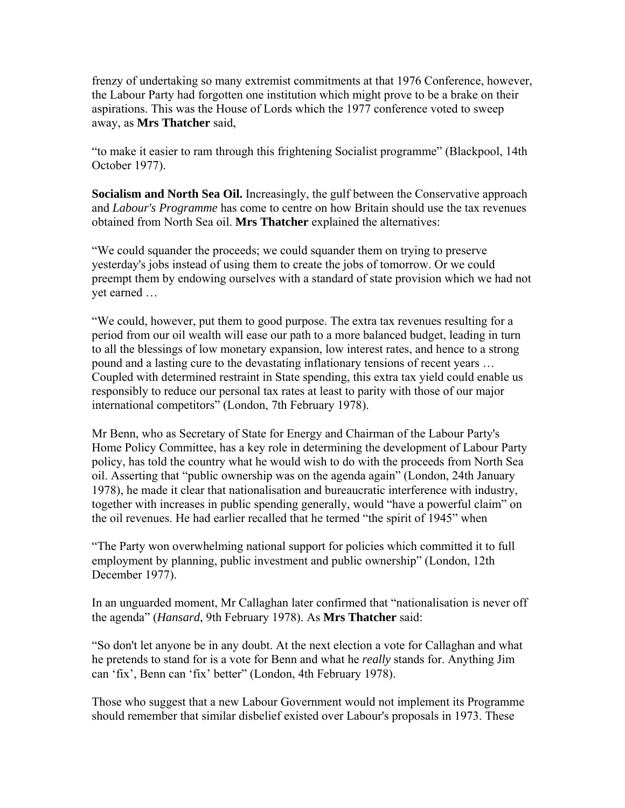frenzy of undertaking so many extremist commitments at that 1976 Conference, however, the Labour Party had forgotten one institution which might prove to be a brake on their aspirations. This was the House of Lords which the 1977 conference voted to sweep away, as **Mrs Thatcher** said,

"to make it easier to ram through this frightening Socialist programme" (Blackpool, 14th October 1977).

**Socialism and North Sea Oil.** Increasingly, the gulf between the Conservative approach and *Labour's Programme* has come to centre on how Britain should use the tax revenues obtained from North Sea oil. **Mrs Thatcher** explained the alternatives:

"We could squander the proceeds; we could squander them on trying to preserve yesterday's jobs instead of using them to create the jobs of tomorrow. Or we could preempt them by endowing ourselves with a standard of state provision which we had not yet earned …

"We could, however, put them to good purpose. The extra tax revenues resulting for a period from our oil wealth will ease our path to a more balanced budget, leading in turn to all the blessings of low monetary expansion, low interest rates, and hence to a strong pound and a lasting cure to the devastating inflationary tensions of recent years … Coupled with determined restraint in State spending, this extra tax yield could enable us responsibly to reduce our personal tax rates at least to parity with those of our major international competitors" (London, 7th February 1978).

Mr Benn, who as Secretary of State for Energy and Chairman of the Labour Party's Home Policy Committee, has a key role in determining the development of Labour Party policy, has told the country what he would wish to do with the proceeds from North Sea oil. Asserting that "public ownership was on the agenda again" (London, 24th January 1978), he made it clear that nationalisation and bureaucratic interference with industry, together with increases in public spending generally, would "have a powerful claim" on the oil revenues. He had earlier recalled that he termed "the spirit of 1945" when

"The Party won overwhelming national support for policies which committed it to full employment by planning, public investment and public ownership" (London, 12th December 1977).

In an unguarded moment, Mr Callaghan later confirmed that "nationalisation is never off the agenda" (*Hansard*, 9th February 1978). As **Mrs Thatcher** said:

"So don't let anyone be in any doubt. At the next election a vote for Callaghan and what he pretends to stand for is a vote for Benn and what he *really* stands for. Anything Jim can 'fix', Benn can 'fix' better" (London, 4th February 1978).

Those who suggest that a new Labour Government would not implement its Programme should remember that similar disbelief existed over Labour's proposals in 1973. These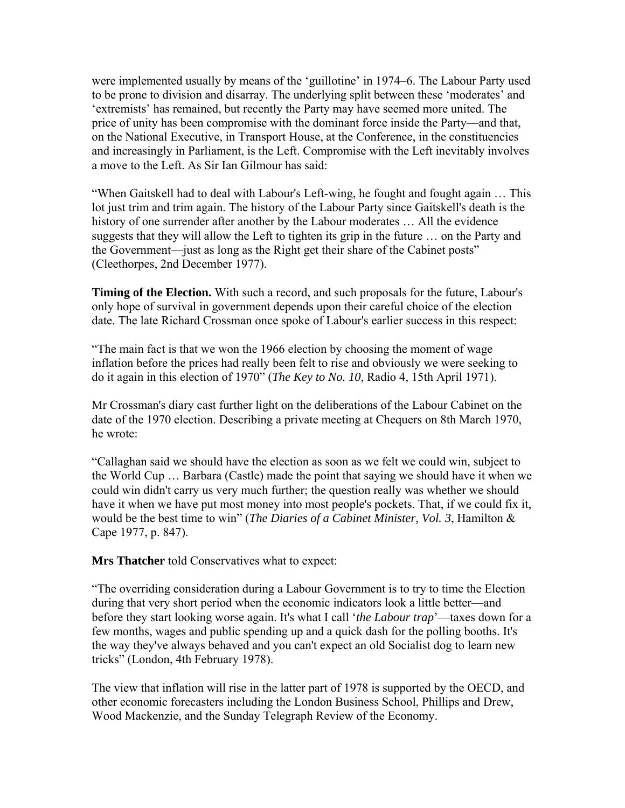were implemented usually by means of the 'guillotine' in 1974–6. The Labour Party used to be prone to division and disarray. The underlying split between these 'moderates' and 'extremists' has remained, but recently the Party may have seemed more united. The price of unity has been compromise with the dominant force inside the Party—and that, on the National Executive, in Transport House, at the Conference, in the constituencies and increasingly in Parliament, is the Left. Compromise with the Left inevitably involves a move to the Left. As Sir Ian Gilmour has said:

"When Gaitskell had to deal with Labour's Left-wing, he fought and fought again … This lot just trim and trim again. The history of the Labour Party since Gaitskell's death is the history of one surrender after another by the Labour moderates … All the evidence suggests that they will allow the Left to tighten its grip in the future … on the Party and the Government—just as long as the Right get their share of the Cabinet posts" (Cleethorpes, 2nd December 1977).

**Timing of the Election.** With such a record, and such proposals for the future, Labour's only hope of survival in government depends upon their careful choice of the election date. The late Richard Crossman once spoke of Labour's earlier success in this respect:

"The main fact is that we won the 1966 election by choosing the moment of wage inflation before the prices had really been felt to rise and obviously we were seeking to do it again in this election of 1970" (*The Key to No. 10*, Radio 4, 15th April 1971).

Mr Crossman's diary cast further light on the deliberations of the Labour Cabinet on the date of the 1970 election. Describing a private meeting at Chequers on 8th March 1970, he wrote:

"Callaghan said we should have the election as soon as we felt we could win, subject to the World Cup … Barbara (Castle) made the point that saying we should have it when we could win didn't carry us very much further; the question really was whether we should have it when we have put most money into most people's pockets. That, if we could fix it, would be the best time to win" (*The Diaries of a Cabinet Minister, Vol. 3*, Hamilton & Cape 1977, p. 847).

**Mrs Thatcher** told Conservatives what to expect:

"The overriding consideration during a Labour Government is to try to time the Election during that very short period when the economic indicators look a little better—and before they start looking worse again. It's what I call '*the Labour trap*'—taxes down for a few months, wages and public spending up and a quick dash for the polling booths. It's the way they've always behaved and you can't expect an old Socialist dog to learn new tricks" (London, 4th February 1978).

The view that inflation will rise in the latter part of 1978 is supported by the OECD, and other economic forecasters including the London Business School, Phillips and Drew, Wood Mackenzie, and the Sunday Telegraph Review of the Economy.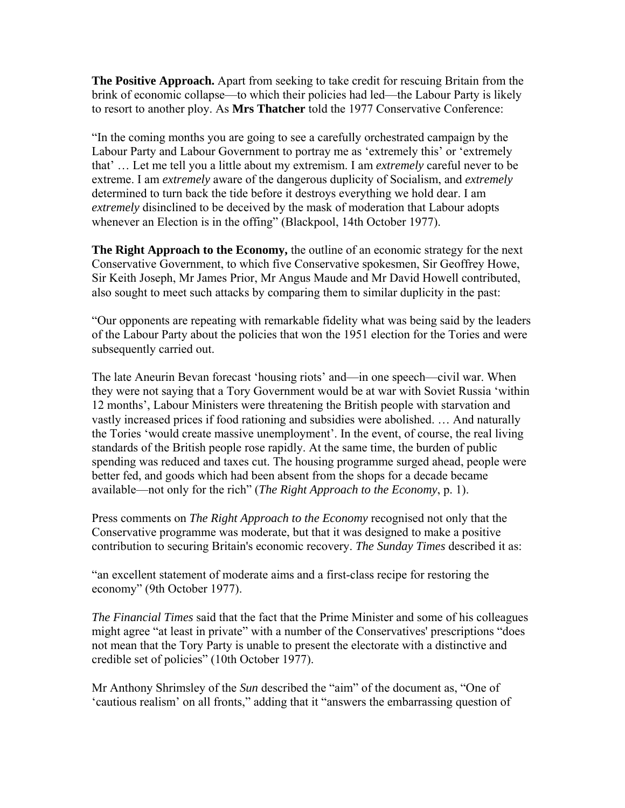**The Positive Approach.** Apart from seeking to take credit for rescuing Britain from the brink of economic collapse—to which their policies had led—the Labour Party is likely to resort to another ploy. As **Mrs Thatcher** told the 1977 Conservative Conference:

"In the coming months you are going to see a carefully orchestrated campaign by the Labour Party and Labour Government to portray me as 'extremely this' or 'extremely that' … Let me tell you a little about my extremism. I am *extremely* careful never to be extreme. I am *extremely* aware of the dangerous duplicity of Socialism, and *extremely* determined to turn back the tide before it destroys everything we hold dear. I am *extremely* disinclined to be deceived by the mask of moderation that Labour adopts whenever an Election is in the offing" (Blackpool, 14th October 1977).

**The Right Approach to the Economy,** the outline of an economic strategy for the next Conservative Government, to which five Conservative spokesmen, Sir Geoffrey Howe, Sir Keith Joseph, Mr James Prior, Mr Angus Maude and Mr David Howell contributed, also sought to meet such attacks by comparing them to similar duplicity in the past:

"Our opponents are repeating with remarkable fidelity what was being said by the leaders of the Labour Party about the policies that won the 1951 election for the Tories and were subsequently carried out.

The late Aneurin Bevan forecast 'housing riots' and—in one speech—civil war. When they were not saying that a Tory Government would be at war with Soviet Russia 'within 12 months', Labour Ministers were threatening the British people with starvation and vastly increased prices if food rationing and subsidies were abolished. … And naturally the Tories 'would create massive unemployment'. In the event, of course, the real living standards of the British people rose rapidly. At the same time, the burden of public spending was reduced and taxes cut. The housing programme surged ahead, people were better fed, and goods which had been absent from the shops for a decade became available—not only for the rich" (*The Right Approach to the Economy*, p. 1).

Press comments on *The Right Approach to the Economy* recognised not only that the Conservative programme was moderate, but that it was designed to make a positive contribution to securing Britain's economic recovery. *The Sunday Times* described it as:

"an excellent statement of moderate aims and a first-class recipe for restoring the economy" (9th October 1977).

*The Financial Times* said that the fact that the Prime Minister and some of his colleagues might agree "at least in private" with a number of the Conservatives' prescriptions "does not mean that the Tory Party is unable to present the electorate with a distinctive and credible set of policies" (10th October 1977).

Mr Anthony Shrimsley of the *Sun* described the "aim" of the document as, "One of 'cautious realism' on all fronts," adding that it "answers the embarrassing question of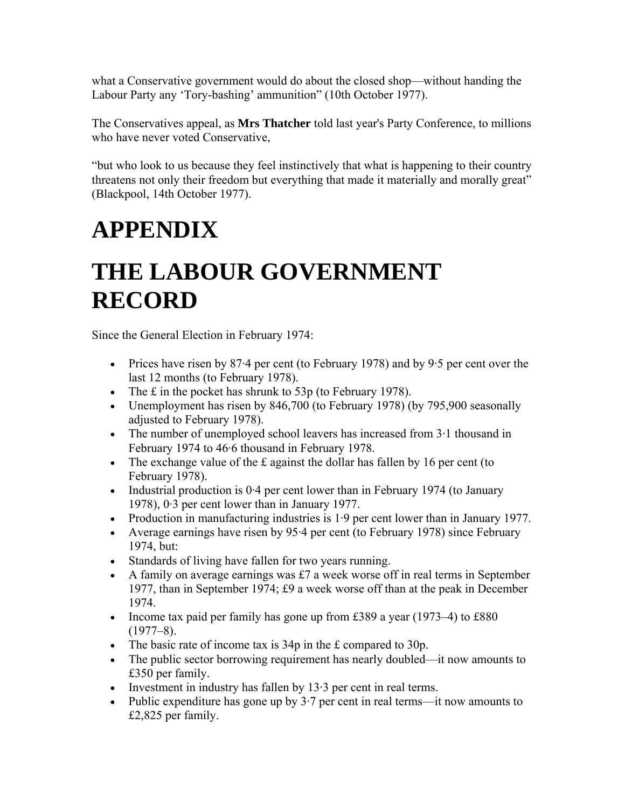what a Conservative government would do about the closed shop—without handing the Labour Party any 'Tory-bashing' ammunition" (10th October 1977).

The Conservatives appeal, as **Mrs Thatcher** told last year's Party Conference, to millions who have never voted Conservative,

"but who look to us because they feel instinctively that what is happening to their country threatens not only their freedom but everything that made it materially and morally great" (Blackpool, 14th October 1977).

# **APPENDIX**

## **THE LABOUR GOVERNMENT RECORD**

Since the General Election in February 1974:

- Prices have risen by 87.4 per cent (to February 1978) and by 9.5 per cent over the last 12 months (to February 1978).
- The  $\pm$  in the pocket has shrunk to 53p (to February 1978).
- Unemployment has risen by 846,700 (to February 1978) (by 795,900 seasonally adjusted to February 1978).
- The number of unemployed school leavers has increased from 3.1 thousand in February 1974 to 46·6 thousand in February 1978.
- The exchange value of the  $\pm$  against the dollar has fallen by 16 per cent (to February 1978).
- Industrial production is 0.4 per cent lower than in February 1974 (to January 1978), 0·3 per cent lower than in January 1977.
- Production in manufacturing industries is 1.9 per cent lower than in January 1977.
- Average earnings have risen by 95.4 per cent (to February 1978) since February 1974, but:
- Standards of living have fallen for two years running.
- A family on average earnings was  $£7$  a week worse off in real terms in September 1977, than in September 1974; £9 a week worse off than at the peak in December 1974.
- Income tax paid per family has gone up from £389 a year (1973–4) to £880  $(1977-8)$ .
- The basic rate of income tax is 34p in the £ compared to 30p.
- The public sector borrowing requirement has nearly doubled—it now amounts to £350 per family.
- Investment in industry has fallen by 13.3 per cent in real terms.
- Public expenditure has gone up by  $3.7$  per cent in real terms—it now amounts to £2,825 per family.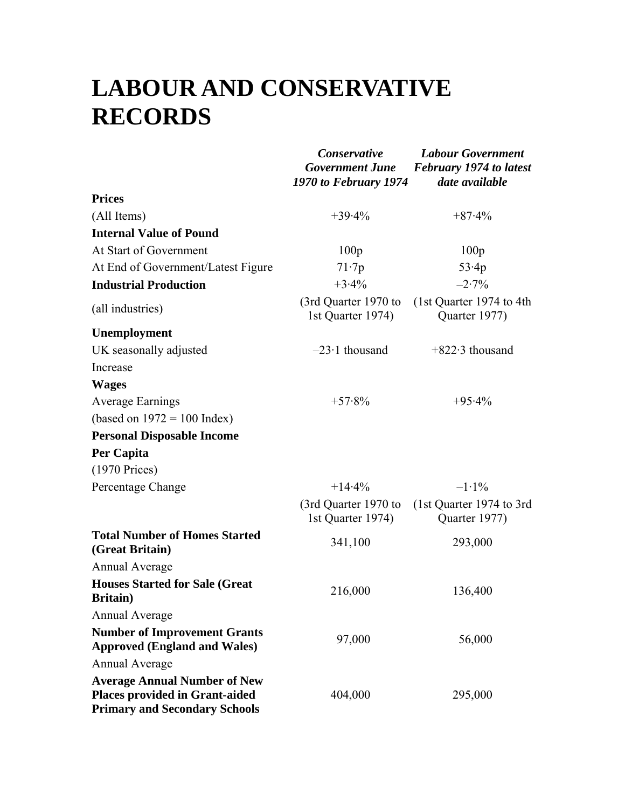### **LABOUR AND CONSERVATIVE RECORDS**

|                                                                                                               | Conservative<br><b>Government June</b><br>1970 to February 1974 | <b>Labour Government</b><br><b>February 1974 to latest</b><br>date available |
|---------------------------------------------------------------------------------------------------------------|-----------------------------------------------------------------|------------------------------------------------------------------------------|
| <b>Prices</b>                                                                                                 |                                                                 |                                                                              |
| (All Items)                                                                                                   | $+39.4%$                                                        | $+87.4%$                                                                     |
| <b>Internal Value of Pound</b>                                                                                |                                                                 |                                                                              |
| At Start of Government                                                                                        | 100p                                                            | 100p                                                                         |
| At End of Government/Latest Figure                                                                            | 71.7p                                                           | 53.4p                                                                        |
| <b>Industrial Production</b>                                                                                  | $+3.4%$                                                         | $-2.7\%$                                                                     |
| (all industries)                                                                                              | (3rd Quarter 1970 to<br>1st Quarter 1974)                       | (1st Quarter 1974 to 4th)<br>Quarter 1977)                                   |
| Unemployment                                                                                                  |                                                                 |                                                                              |
| UK seasonally adjusted                                                                                        | $-23.1$ thousand                                                | $+822.3$ thousand                                                            |
| Increase                                                                                                      |                                                                 |                                                                              |
| <b>Wages</b>                                                                                                  |                                                                 |                                                                              |
| <b>Average Earnings</b>                                                                                       | $+57.8%$                                                        | $+95.4%$                                                                     |
| (based on $1972 = 100$ Index)                                                                                 |                                                                 |                                                                              |
| <b>Personal Disposable Income</b>                                                                             |                                                                 |                                                                              |
| Per Capita                                                                                                    |                                                                 |                                                                              |
| $(1970$ Prices)                                                                                               |                                                                 |                                                                              |
| Percentage Change                                                                                             | $+14.4%$                                                        | $-1.1\%$                                                                     |
|                                                                                                               | (3rd Quarter 1970 to<br>1st Quarter 1974)                       | (1st Quarter 1974 to 3rd<br>Quarter 1977)                                    |
| <b>Total Number of Homes Started</b><br>(Great Britain)                                                       | 341,100                                                         | 293,000                                                                      |
| Annual Average                                                                                                |                                                                 |                                                                              |
| <b>Houses Started for Sale (Great</b> )<br><b>Britain</b> )                                                   | 216,000                                                         | 136,400                                                                      |
| <b>Annual Average</b>                                                                                         |                                                                 |                                                                              |
| <b>Number of Improvement Grants</b><br><b>Approved (England and Wales)</b>                                    | 97,000                                                          | 56,000                                                                       |
| <b>Annual Average</b>                                                                                         |                                                                 |                                                                              |
| <b>Average Annual Number of New</b><br>Places provided in Grant-aided<br><b>Primary and Secondary Schools</b> | 404,000                                                         | 295,000                                                                      |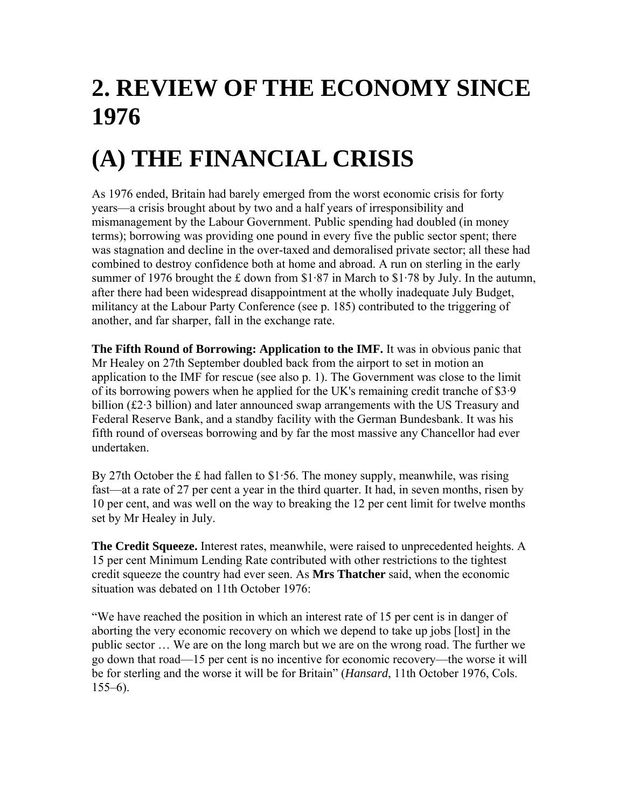# **2. REVIEW OF THE ECONOMY SINCE 1976**

# **(A) THE FINANCIAL CRISIS**

As 1976 ended, Britain had barely emerged from the worst economic crisis for forty years—a crisis brought about by two and a half years of irresponsibility and mismanagement by the Labour Government. Public spending had doubled (in money terms); borrowing was providing one pound in every five the public sector spent; there was stagnation and decline in the over-taxed and demoralised private sector; all these had combined to destroy confidence both at home and abroad. A run on sterling in the early summer of 1976 brought the £ down from  $$1·87$  in March to  $$1·78$  by July. In the autumn, after there had been widespread disappointment at the wholly inadequate July Budget, militancy at the Labour Party Conference (see p. 185) contributed to the triggering of another, and far sharper, fall in the exchange rate.

**The Fifth Round of Borrowing: Application to the IMF.** It was in obvious panic that Mr Healey on 27th September doubled back from the airport to set in motion an application to the IMF for rescue (see also p. 1). The Government was close to the limit of its borrowing powers when he applied for the UK's remaining credit tranche of \$3·9 billion (£2.3 billion) and later announced swap arrangements with the US Treasury and Federal Reserve Bank, and a standby facility with the German Bundesbank. It was his fifth round of overseas borrowing and by far the most massive any Chancellor had ever undertaken.

By 27th October the £ had fallen to \$1.56. The money supply, meanwhile, was rising fast—at a rate of 27 per cent a year in the third quarter. It had, in seven months, risen by 10 per cent, and was well on the way to breaking the 12 per cent limit for twelve months set by Mr Healey in July.

**The Credit Squeeze.** Interest rates, meanwhile, were raised to unprecedented heights. A 15 per cent Minimum Lending Rate contributed with other restrictions to the tightest credit squeeze the country had ever seen. As **Mrs Thatcher** said, when the economic situation was debated on 11th October 1976:

"We have reached the position in which an interest rate of 15 per cent is in danger of aborting the very economic recovery on which we depend to take up jobs [lost] in the public sector … We are on the long march but we are on the wrong road. The further we go down that road—15 per cent is no incentive for economic recovery—the worse it will be for sterling and the worse it will be for Britain" (*Hansard*, 11th October 1976, Cols.  $155-6$ ).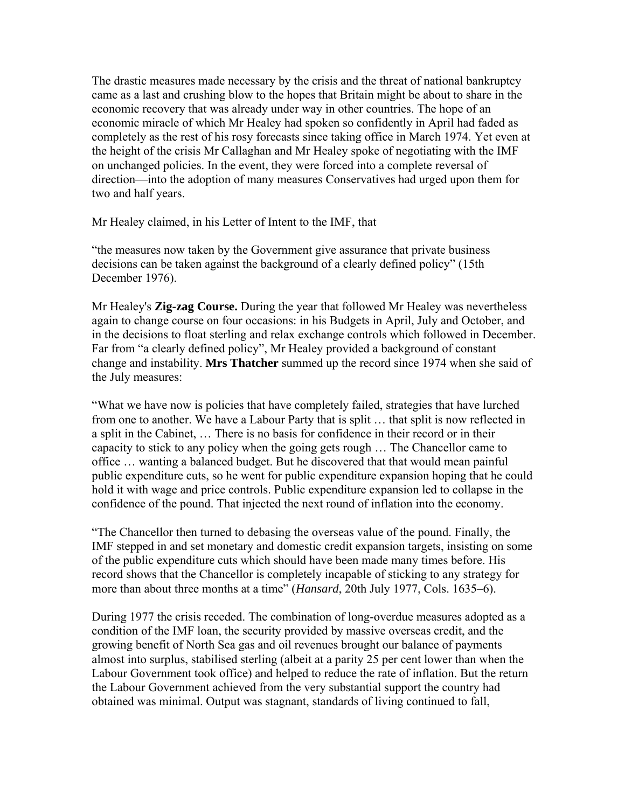The drastic measures made necessary by the crisis and the threat of national bankruptcy came as a last and crushing blow to the hopes that Britain might be about to share in the economic recovery that was already under way in other countries. The hope of an economic miracle of which Mr Healey had spoken so confidently in April had faded as completely as the rest of his rosy forecasts since taking office in March 1974. Yet even at the height of the crisis Mr Callaghan and Mr Healey spoke of negotiating with the IMF on unchanged policies. In the event, they were forced into a complete reversal of direction—into the adoption of many measures Conservatives had urged upon them for two and half years.

Mr Healey claimed, in his Letter of Intent to the IMF, that

"the measures now taken by the Government give assurance that private business decisions can be taken against the background of a clearly defined policy" (15th December 1976).

Mr Healey's **Zig-zag Course.** During the year that followed Mr Healey was nevertheless again to change course on four occasions: in his Budgets in April, July and October, and in the decisions to float sterling and relax exchange controls which followed in December. Far from "a clearly defined policy", Mr Healey provided a background of constant change and instability. **Mrs Thatcher** summed up the record since 1974 when she said of the July measures:

"What we have now is policies that have completely failed, strategies that have lurched from one to another. We have a Labour Party that is split … that split is now reflected in a split in the Cabinet, … There is no basis for confidence in their record or in their capacity to stick to any policy when the going gets rough … The Chancellor came to office … wanting a balanced budget. But he discovered that that would mean painful public expenditure cuts, so he went for public expenditure expansion hoping that he could hold it with wage and price controls. Public expenditure expansion led to collapse in the confidence of the pound. That injected the next round of inflation into the economy.

"The Chancellor then turned to debasing the overseas value of the pound. Finally, the IMF stepped in and set monetary and domestic credit expansion targets, insisting on some of the public expenditure cuts which should have been made many times before. His record shows that the Chancellor is completely incapable of sticking to any strategy for more than about three months at a time" (*Hansard*, 20th July 1977, Cols. 1635–6).

During 1977 the crisis receded. The combination of long-overdue measures adopted as a condition of the IMF loan, the security provided by massive overseas credit, and the growing benefit of North Sea gas and oil revenues brought our balance of payments almost into surplus, stabilised sterling (albeit at a parity 25 per cent lower than when the Labour Government took office) and helped to reduce the rate of inflation. But the return the Labour Government achieved from the very substantial support the country had obtained was minimal. Output was stagnant, standards of living continued to fall,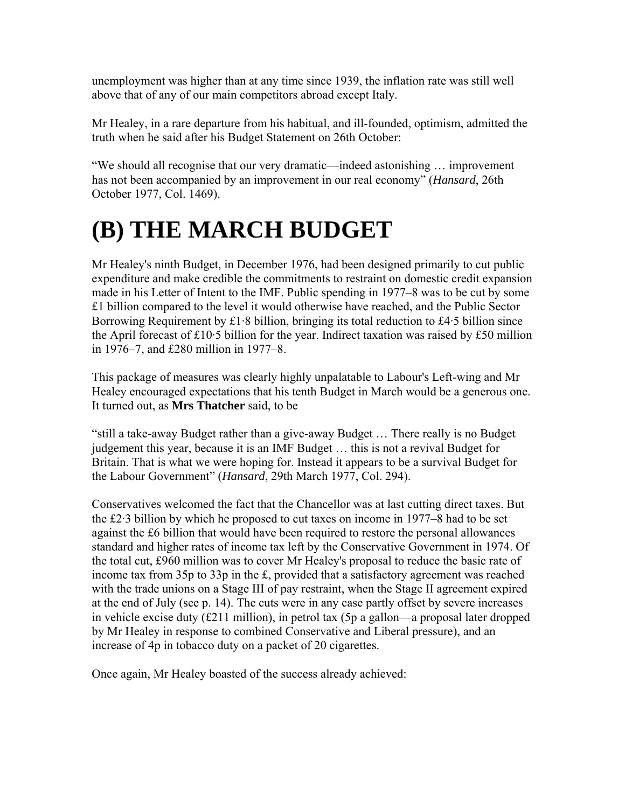unemployment was higher than at any time since 1939, the inflation rate was still well above that of any of our main competitors abroad except Italy.

Mr Healey, in a rare departure from his habitual, and ill-founded, optimism, admitted the truth when he said after his Budget Statement on 26th October:

"We should all recognise that our very dramatic—indeed astonishing … improvement has not been accompanied by an improvement in our real economy" (*Hansard*, 26th October 1977, Col. 1469).

# **(B) THE MARCH BUDGET**

Mr Healey's ninth Budget, in December 1976, had been designed primarily to cut public expenditure and make credible the commitments to restraint on domestic credit expansion made in his Letter of Intent to the IMF. Public spending in 1977–8 was to be cut by some £1 billion compared to the level it would otherwise have reached, and the Public Sector Borrowing Requirement by  $\pounds 1.8$  billion, bringing its total reduction to  $\pounds 4.5$  billion since the April forecast of £10·5 billion for the year. Indirect taxation was raised by £50 million in 1976–7, and £280 million in 1977–8.

This package of measures was clearly highly unpalatable to Labour's Left-wing and Mr Healey encouraged expectations that his tenth Budget in March would be a generous one. It turned out, as **Mrs Thatcher** said, to be

"still a take-away Budget rather than a give-away Budget … There really is no Budget judgement this year, because it is an IMF Budget … this is not a revival Budget for Britain. That is what we were hoping for. Instead it appears to be a survival Budget for the Labour Government" (*Hansard*, 29th March 1977, Col. 294).

Conservatives welcomed the fact that the Chancellor was at last cutting direct taxes. But the £2·3 billion by which he proposed to cut taxes on income in 1977–8 had to be set against the £6 billion that would have been required to restore the personal allowances standard and higher rates of income tax left by the Conservative Government in 1974. Of the total cut, £960 million was to cover Mr Healey's proposal to reduce the basic rate of income tax from 35p to 33p in the £, provided that a satisfactory agreement was reached with the trade unions on a Stage III of pay restraint, when the Stage II agreement expired at the end of July (see p. 14). The cuts were in any case partly offset by severe increases in vehicle excise duty (£211 million), in petrol tax (5p a gallon—a proposal later dropped by Mr Healey in response to combined Conservative and Liberal pressure), and an increase of 4p in tobacco duty on a packet of 20 cigarettes.

Once again, Mr Healey boasted of the success already achieved: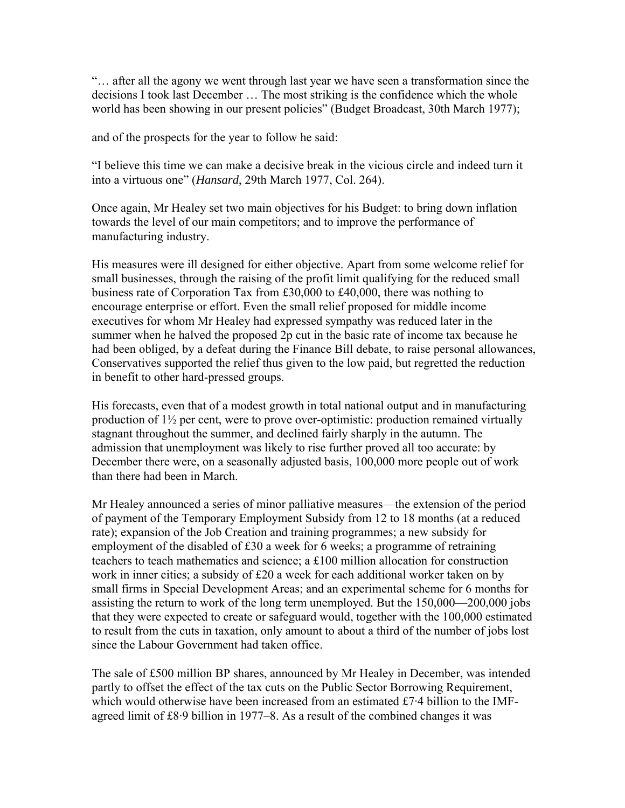"… after all the agony we went through last year we have seen a transformation since the decisions I took last December … The most striking is the confidence which the whole world has been showing in our present policies" (Budget Broadcast, 30th March 1977);

and of the prospects for the year to follow he said:

"I believe this time we can make a decisive break in the vicious circle and indeed turn it into a virtuous one" (*Hansard*, 29th March 1977, Col. 264).

Once again, Mr Healey set two main objectives for his Budget: to bring down inflation towards the level of our main competitors; and to improve the performance of manufacturing industry.

His measures were ill designed for either objective. Apart from some welcome relief for small businesses, through the raising of the profit limit qualifying for the reduced small business rate of Corporation Tax from £30,000 to £40,000, there was nothing to encourage enterprise or effort. Even the small relief proposed for middle income executives for whom Mr Healey had expressed sympathy was reduced later in the summer when he halved the proposed 2p cut in the basic rate of income tax because he had been obliged, by a defeat during the Finance Bill debate, to raise personal allowances, Conservatives supported the relief thus given to the low paid, but regretted the reduction in benefit to other hard-pressed groups.

His forecasts, even that of a modest growth in total national output and in manufacturing production of 1½ per cent, were to prove over-optimistic: production remained virtually stagnant throughout the summer, and declined fairly sharply in the autumn. The admission that unemployment was likely to rise further proved all too accurate: by December there were, on a seasonally adjusted basis, 100,000 more people out of work than there had been in March.

Mr Healey announced a series of minor palliative measures—the extension of the period of payment of the Temporary Employment Subsidy from 12 to 18 months (at a reduced rate); expansion of the Job Creation and training programmes; a new subsidy for employment of the disabled of £30 a week for 6 weeks; a programme of retraining teachers to teach mathematics and science; a £100 million allocation for construction work in inner cities; a subsidy of £20 a week for each additional worker taken on by small firms in Special Development Areas; and an experimental scheme for 6 months for assisting the return to work of the long term unemployed. But the 150,000—200,000 jobs that they were expected to create or safeguard would, together with the 100,000 estimated to result from the cuts in taxation, only amount to about a third of the number of jobs lost since the Labour Government had taken office.

The sale of £500 million BP shares, announced by Mr Healey in December, was intended partly to offset the effect of the tax cuts on the Public Sector Borrowing Requirement, which would otherwise have been increased from an estimated £7·4 billion to the IMFagreed limit of £8·9 billion in 1977–8. As a result of the combined changes it was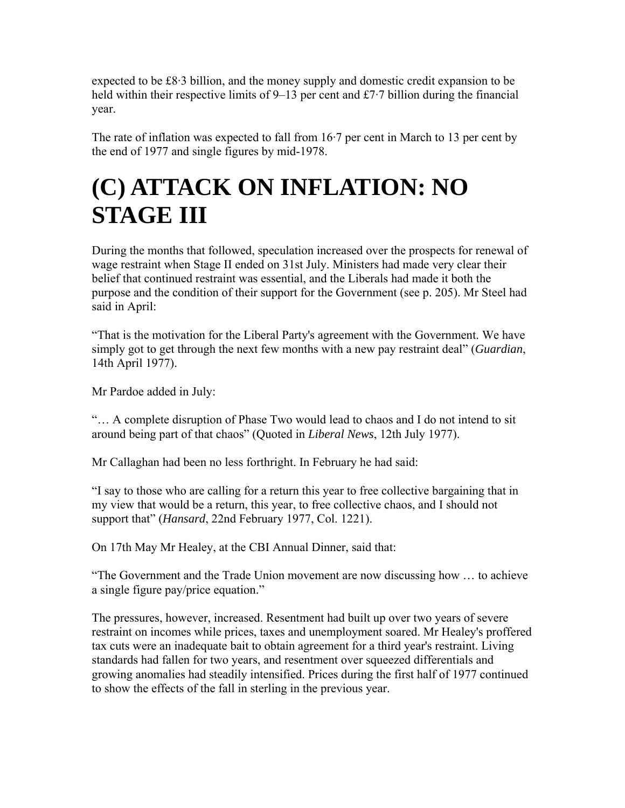expected to be £8·3 billion, and the money supply and domestic credit expansion to be held within their respective limits of 9–13 per cent and £7.7 billion during the financial year.

The rate of inflation was expected to fall from 16·7 per cent in March to 13 per cent by the end of 1977 and single figures by mid-1978.

## **(C) ATTACK ON INFLATION: NO STAGE III**

During the months that followed, speculation increased over the prospects for renewal of wage restraint when Stage II ended on 31st July. Ministers had made very clear their belief that continued restraint was essential, and the Liberals had made it both the purpose and the condition of their support for the Government (see p. 205). Mr Steel had said in April:

"That is the motivation for the Liberal Party's agreement with the Government. We have simply got to get through the next few months with a new pay restraint deal" (*Guardian*, 14th April 1977).

Mr Pardoe added in July:

"… A complete disruption of Phase Two would lead to chaos and I do not intend to sit around being part of that chaos" (Quoted in *Liberal News*, 12th July 1977).

Mr Callaghan had been no less forthright. In February he had said:

"I say to those who are calling for a return this year to free collective bargaining that in my view that would be a return, this year, to free collective chaos, and I should not support that" (*Hansard*, 22nd February 1977, Col. 1221).

On 17th May Mr Healey, at the CBI Annual Dinner, said that:

"The Government and the Trade Union movement are now discussing how … to achieve a single figure pay/price equation."

The pressures, however, increased. Resentment had built up over two years of severe restraint on incomes while prices, taxes and unemployment soared. Mr Healey's proffered tax cuts were an inadequate bait to obtain agreement for a third year's restraint. Living standards had fallen for two years, and resentment over squeezed differentials and growing anomalies had steadily intensified. Prices during the first half of 1977 continued to show the effects of the fall in sterling in the previous year.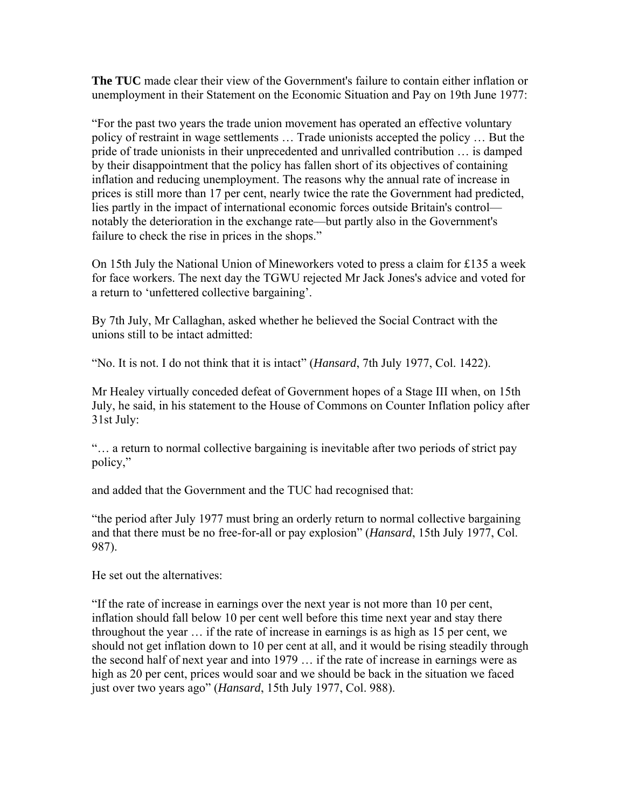**The TUC** made clear their view of the Government's failure to contain either inflation or unemployment in their Statement on the Economic Situation and Pay on 19th June 1977:

"For the past two years the trade union movement has operated an effective voluntary policy of restraint in wage settlements … Trade unionists accepted the policy … But the pride of trade unionists in their unprecedented and unrivalled contribution … is damped by their disappointment that the policy has fallen short of its objectives of containing inflation and reducing unemployment. The reasons why the annual rate of increase in prices is still more than 17 per cent, nearly twice the rate the Government had predicted, lies partly in the impact of international economic forces outside Britain's control notably the deterioration in the exchange rate—but partly also in the Government's failure to check the rise in prices in the shops."

On 15th July the National Union of Mineworkers voted to press a claim for £135 a week for face workers. The next day the TGWU rejected Mr Jack Jones's advice and voted for a return to 'unfettered collective bargaining'.

By 7th July, Mr Callaghan, asked whether he believed the Social Contract with the unions still to be intact admitted:

"No. It is not. I do not think that it is intact" (*Hansard*, 7th July 1977, Col. 1422).

Mr Healey virtually conceded defeat of Government hopes of a Stage III when, on 15th July, he said, in his statement to the House of Commons on Counter Inflation policy after 31st July:

"… a return to normal collective bargaining is inevitable after two periods of strict pay policy,"

and added that the Government and the TUC had recognised that:

"the period after July 1977 must bring an orderly return to normal collective bargaining and that there must be no free-for-all or pay explosion" (*Hansard*, 15th July 1977, Col. 987).

He set out the alternatives:

"If the rate of increase in earnings over the next year is not more than 10 per cent, inflation should fall below 10 per cent well before this time next year and stay there throughout the year … if the rate of increase in earnings is as high as 15 per cent, we should not get inflation down to 10 per cent at all, and it would be rising steadily through the second half of next year and into 1979 … if the rate of increase in earnings were as high as 20 per cent, prices would soar and we should be back in the situation we faced just over two years ago" (*Hansard*, 15th July 1977, Col. 988).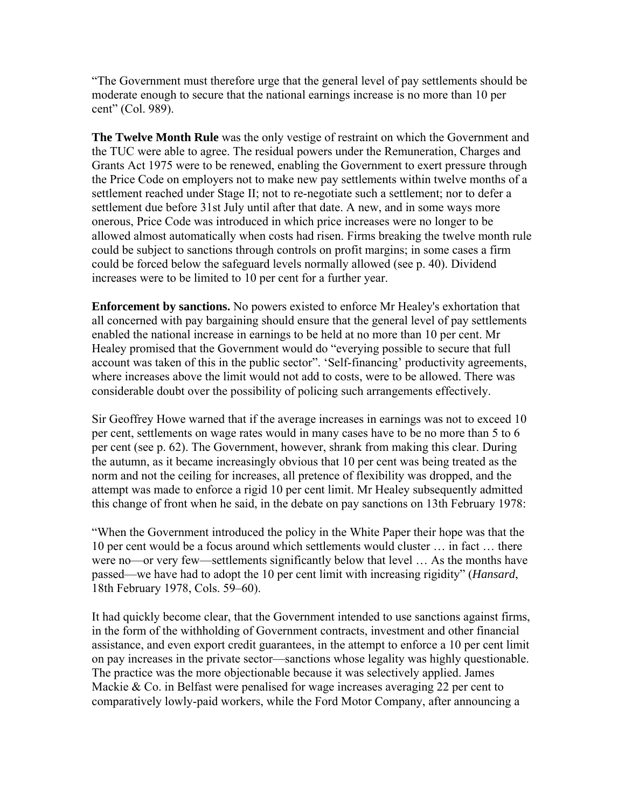"The Government must therefore urge that the general level of pay settlements should be moderate enough to secure that the national earnings increase is no more than 10 per cent" (Col. 989).

**The Twelve Month Rule** was the only vestige of restraint on which the Government and the TUC were able to agree. The residual powers under the Remuneration, Charges and Grants Act 1975 were to be renewed, enabling the Government to exert pressure through the Price Code on employers not to make new pay settlements within twelve months of a settlement reached under Stage II; not to re-negotiate such a settlement; nor to defer a settlement due before 31st July until after that date. A new, and in some ways more onerous, Price Code was introduced in which price increases were no longer to be allowed almost automatically when costs had risen. Firms breaking the twelve month rule could be subject to sanctions through controls on profit margins; in some cases a firm could be forced below the safeguard levels normally allowed (see p. 40). Dividend increases were to be limited to 10 per cent for a further year.

**Enforcement by sanctions.** No powers existed to enforce Mr Healey's exhortation that all concerned with pay bargaining should ensure that the general level of pay settlements enabled the national increase in earnings to be held at no more than 10 per cent. Mr Healey promised that the Government would do "everying possible to secure that full account was taken of this in the public sector". 'Self-financing' productivity agreements, where increases above the limit would not add to costs, were to be allowed. There was considerable doubt over the possibility of policing such arrangements effectively.

Sir Geoffrey Howe warned that if the average increases in earnings was not to exceed 10 per cent, settlements on wage rates would in many cases have to be no more than 5 to 6 per cent (see p. 62). The Government, however, shrank from making this clear. During the autumn, as it became increasingly obvious that 10 per cent was being treated as the norm and not the ceiling for increases, all pretence of flexibility was dropped, and the attempt was made to enforce a rigid 10 per cent limit. Mr Healey subsequently admitted this change of front when he said, in the debate on pay sanctions on 13th February 1978:

"When the Government introduced the policy in the White Paper their hope was that the 10 per cent would be a focus around which settlements would cluster … in fact … there were no—or very few—settlements significantly below that level … As the months have passed—we have had to adopt the 10 per cent limit with increasing rigidity" (*Hansard*, 18th February 1978, Cols. 59–60).

It had quickly become clear, that the Government intended to use sanctions against firms, in the form of the withholding of Government contracts, investment and other financial assistance, and even export credit guarantees, in the attempt to enforce a 10 per cent limit on pay increases in the private sector—sanctions whose legality was highly questionable. The practice was the more objectionable because it was selectively applied. James Mackie & Co. in Belfast were penalised for wage increases averaging 22 per cent to comparatively lowly-paid workers, while the Ford Motor Company, after announcing a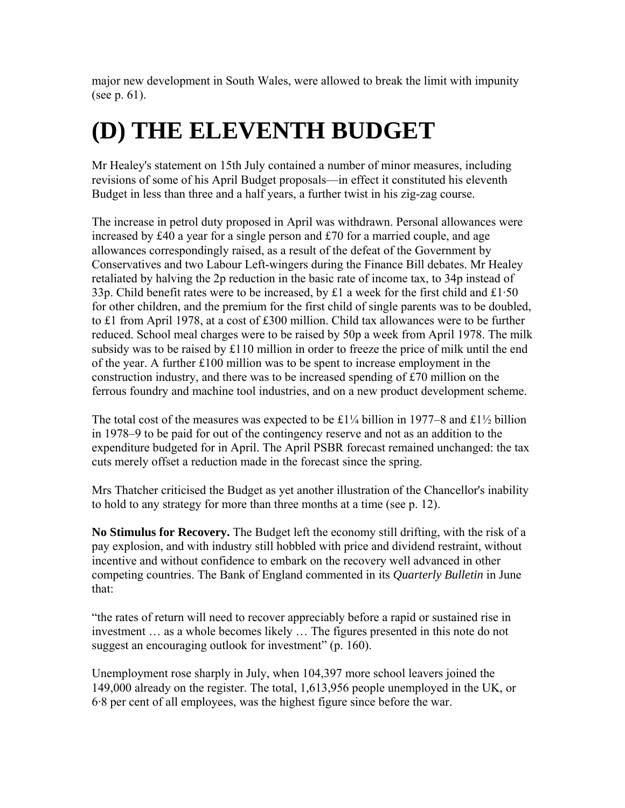major new development in South Wales, were allowed to break the limit with impunity (see p. 61).

# **(D) THE ELEVENTH BUDGET**

Mr Healey's statement on 15th July contained a number of minor measures, including revisions of some of his April Budget proposals—in effect it constituted his eleventh Budget in less than three and a half years, a further twist in his zig-zag course.

The increase in petrol duty proposed in April was withdrawn. Personal allowances were increased by £40 a year for a single person and £70 for a married couple, and age allowances correspondingly raised, as a result of the defeat of the Government by Conservatives and two Labour Left-wingers during the Finance Bill debates. Mr Healey retaliated by halving the 2p reduction in the basic rate of income tax, to 34p instead of 33p. Child benefit rates were to be increased, by £1 a week for the first child and £1.50 for other children, and the premium for the first child of single parents was to be doubled, to £1 from April 1978, at a cost of £300 million. Child tax allowances were to be further reduced. School meal charges were to be raised by 50p a week from April 1978. The milk subsidy was to be raised by £110 million in order to freeze the price of milk until the end of the year. A further £100 million was to be spent to increase employment in the construction industry, and there was to be increased spending of £70 million on the ferrous foundry and machine tool industries, and on a new product development scheme.

The total cost of the measures was expected to be £1¼ billion in 1977–8 and £1½ billion in 1978–9 to be paid for out of the contingency reserve and not as an addition to the expenditure budgeted for in April. The April PSBR forecast remained unchanged: the tax cuts merely offset a reduction made in the forecast since the spring.

Mrs Thatcher criticised the Budget as yet another illustration of the Chancellor's inability to hold to any strategy for more than three months at a time (see p. 12).

**No Stimulus for Recovery.** The Budget left the economy still drifting, with the risk of a pay explosion, and with industry still hobbled with price and dividend restraint, without incentive and without confidence to embark on the recovery well advanced in other competing countries. The Bank of England commented in its *Quarterly Bulletin* in June that:

"the rates of return will need to recover appreciably before a rapid or sustained rise in investment … as a whole becomes likely … The figures presented in this note do not suggest an encouraging outlook for investment" (p. 160).

Unemployment rose sharply in July, when 104,397 more school leavers joined the 149,000 already on the register. The total, 1,613,956 people unemployed in the UK, or 6·8 per cent of all employees, was the highest figure since before the war.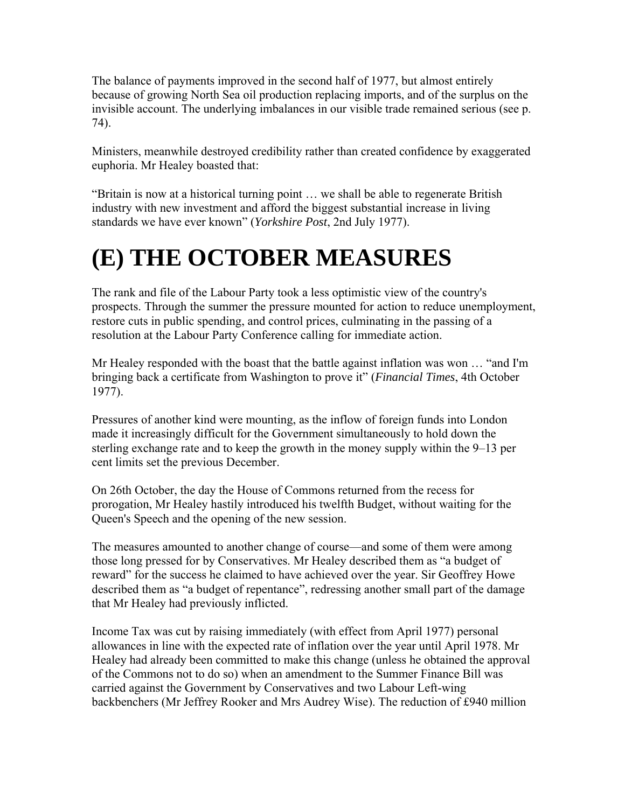The balance of payments improved in the second half of 1977, but almost entirely because of growing North Sea oil production replacing imports, and of the surplus on the invisible account. The underlying imbalances in our visible trade remained serious (see p. 74).

Ministers, meanwhile destroyed credibility rather than created confidence by exaggerated euphoria. Mr Healey boasted that:

"Britain is now at a historical turning point … we shall be able to regenerate British industry with new investment and afford the biggest substantial increase in living standards we have ever known" (*Yorkshire Post*, 2nd July 1977).

## **(E) THE OCTOBER MEASURES**

The rank and file of the Labour Party took a less optimistic view of the country's prospects. Through the summer the pressure mounted for action to reduce unemployment, restore cuts in public spending, and control prices, culminating in the passing of a resolution at the Labour Party Conference calling for immediate action.

Mr Healey responded with the boast that the battle against inflation was won … "and I'm bringing back a certificate from Washington to prove it" (*Financial Times*, 4th October 1977).

Pressures of another kind were mounting, as the inflow of foreign funds into London made it increasingly difficult for the Government simultaneously to hold down the sterling exchange rate and to keep the growth in the money supply within the 9–13 per cent limits set the previous December.

On 26th October, the day the House of Commons returned from the recess for prorogation, Mr Healey hastily introduced his twelfth Budget, without waiting for the Queen's Speech and the opening of the new session.

The measures amounted to another change of course—and some of them were among those long pressed for by Conservatives. Mr Healey described them as "a budget of reward" for the success he claimed to have achieved over the year. Sir Geoffrey Howe described them as "a budget of repentance", redressing another small part of the damage that Mr Healey had previously inflicted.

Income Tax was cut by raising immediately (with effect from April 1977) personal allowances in line with the expected rate of inflation over the year until April 1978. Mr Healey had already been committed to make this change (unless he obtained the approval of the Commons not to do so) when an amendment to the Summer Finance Bill was carried against the Government by Conservatives and two Labour Left-wing backbenchers (Mr Jeffrey Rooker and Mrs Audrey Wise). The reduction of £940 million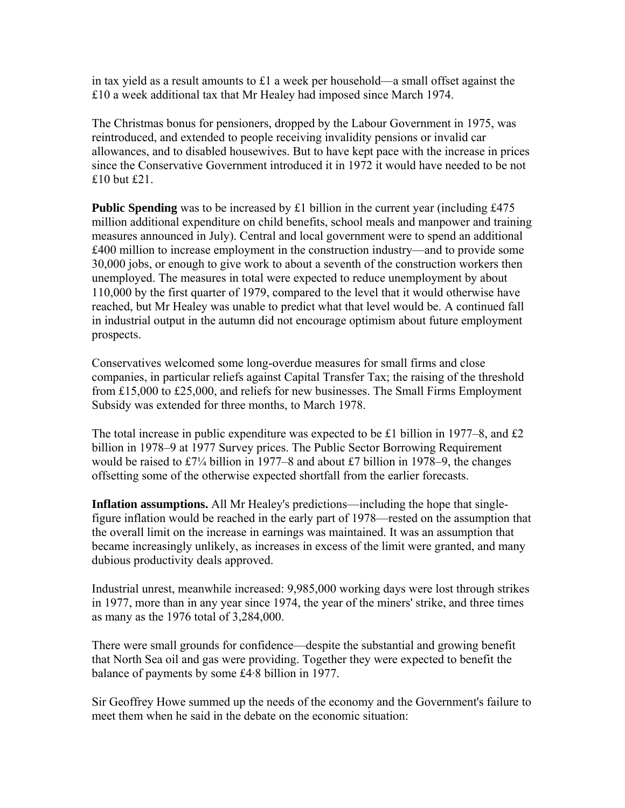in tax yield as a result amounts to £1 a week per household—a small offset against the £10 a week additional tax that Mr Healey had imposed since March 1974.

The Christmas bonus for pensioners, dropped by the Labour Government in 1975, was reintroduced, and extended to people receiving invalidity pensions or invalid car allowances, and to disabled housewives. But to have kept pace with the increase in prices since the Conservative Government introduced it in 1972 it would have needed to be not £10 but £21.

**Public Spending** was to be increased by £1 billion in the current year (including £475) million additional expenditure on child benefits, school meals and manpower and training measures announced in July). Central and local government were to spend an additional £400 million to increase employment in the construction industry—and to provide some 30,000 jobs, or enough to give work to about a seventh of the construction workers then unemployed. The measures in total were expected to reduce unemployment by about 110,000 by the first quarter of 1979, compared to the level that it would otherwise have reached, but Mr Healey was unable to predict what that level would be. A continued fall in industrial output in the autumn did not encourage optimism about future employment prospects.

Conservatives welcomed some long-overdue measures for small firms and close companies, in particular reliefs against Capital Transfer Tax; the raising of the threshold from £15,000 to £25,000, and reliefs for new businesses. The Small Firms Employment Subsidy was extended for three months, to March 1978.

The total increase in public expenditure was expected to be £1 billion in 1977–8, and £2 billion in 1978–9 at 1977 Survey prices. The Public Sector Borrowing Requirement would be raised to £7¼ billion in 1977–8 and about £7 billion in 1978–9, the changes offsetting some of the otherwise expected shortfall from the earlier forecasts.

**Inflation assumptions.** All Mr Healey's predictions—including the hope that singlefigure inflation would be reached in the early part of 1978—rested on the assumption that the overall limit on the increase in earnings was maintained. It was an assumption that became increasingly unlikely, as increases in excess of the limit were granted, and many dubious productivity deals approved.

Industrial unrest, meanwhile increased: 9,985,000 working days were lost through strikes in 1977, more than in any year since 1974, the year of the miners' strike, and three times as many as the 1976 total of 3,284,000.

There were small grounds for confidence—despite the substantial and growing benefit that North Sea oil and gas were providing. Together they were expected to benefit the balance of payments by some £4·8 billion in 1977.

Sir Geoffrey Howe summed up the needs of the economy and the Government's failure to meet them when he said in the debate on the economic situation: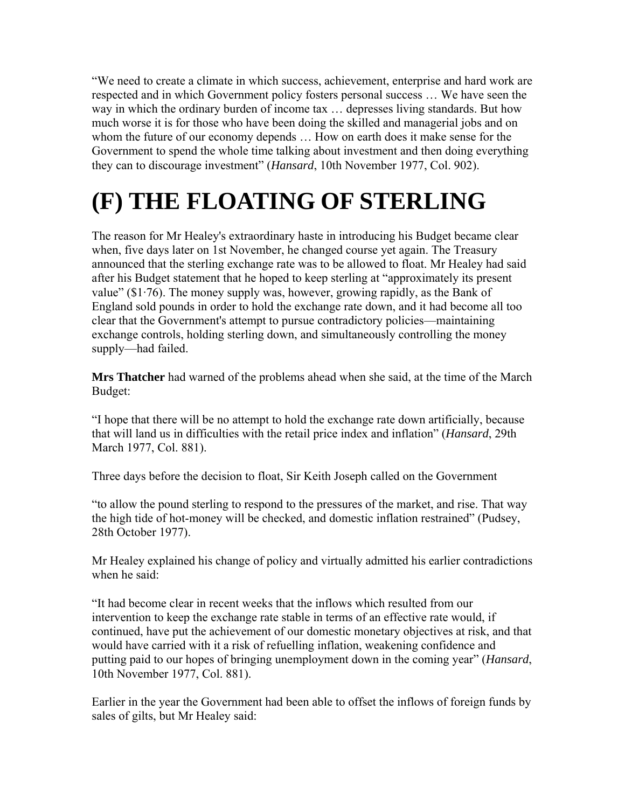"We need to create a climate in which success, achievement, enterprise and hard work are respected and in which Government policy fosters personal success … We have seen the way in which the ordinary burden of income tax … depresses living standards. But how much worse it is for those who have been doing the skilled and managerial jobs and on whom the future of our economy depends ... How on earth does it make sense for the Government to spend the whole time talking about investment and then doing everything they can to discourage investment" (*Hansard*, 10th November 1977, Col. 902).

# **(F) THE FLOATING OF STERLING**

The reason for Mr Healey's extraordinary haste in introducing his Budget became clear when, five days later on 1st November, he changed course yet again. The Treasury announced that the sterling exchange rate was to be allowed to float. Mr Healey had said after his Budget statement that he hoped to keep sterling at "approximately its present value"  $(\$1\cdot76)$ . The money supply was, however, growing rapidly, as the Bank of England sold pounds in order to hold the exchange rate down, and it had become all too clear that the Government's attempt to pursue contradictory policies—maintaining exchange controls, holding sterling down, and simultaneously controlling the money supply—had failed.

**Mrs Thatcher** had warned of the problems ahead when she said, at the time of the March Budget:

"I hope that there will be no attempt to hold the exchange rate down artificially, because that will land us in difficulties with the retail price index and inflation" (*Hansard*, 29th March 1977, Col. 881).

Three days before the decision to float, Sir Keith Joseph called on the Government

"to allow the pound sterling to respond to the pressures of the market, and rise. That way the high tide of hot-money will be checked, and domestic inflation restrained" (Pudsey, 28th October 1977).

Mr Healey explained his change of policy and virtually admitted his earlier contradictions when he said:

"It had become clear in recent weeks that the inflows which resulted from our intervention to keep the exchange rate stable in terms of an effective rate would, if continued, have put the achievement of our domestic monetary objectives at risk, and that would have carried with it a risk of refuelling inflation, weakening confidence and putting paid to our hopes of bringing unemployment down in the coming year" (*Hansard*, 10th November 1977, Col. 881).

Earlier in the year the Government had been able to offset the inflows of foreign funds by sales of gilts, but Mr Healey said: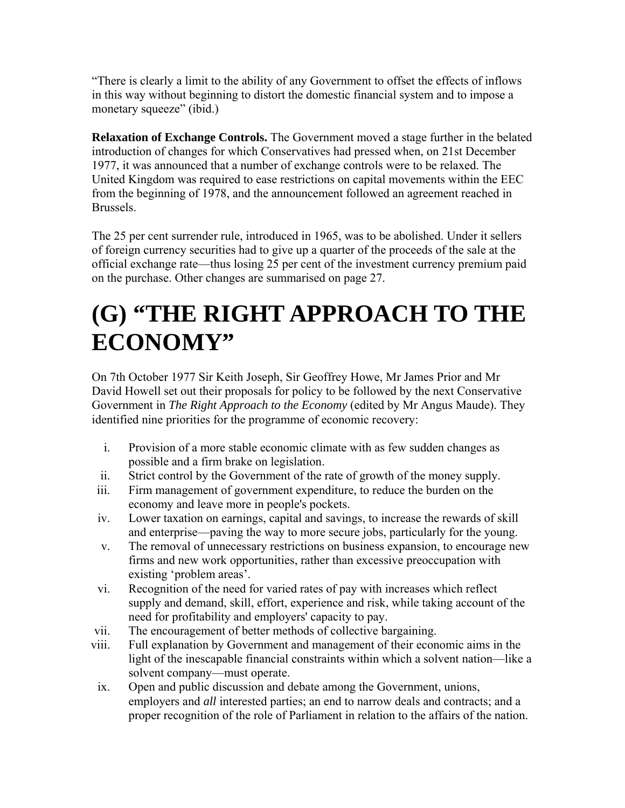"There is clearly a limit to the ability of any Government to offset the effects of inflows in this way without beginning to distort the domestic financial system and to impose a monetary squeeze" (ibid.)

**Relaxation of Exchange Controls.** The Government moved a stage further in the belated introduction of changes for which Conservatives had pressed when, on 21st December 1977, it was announced that a number of exchange controls were to be relaxed. The United Kingdom was required to ease restrictions on capital movements within the EEC from the beginning of 1978, and the announcement followed an agreement reached in Brussels.

The 25 per cent surrender rule, introduced in 1965, was to be abolished. Under it sellers of foreign currency securities had to give up a quarter of the proceeds of the sale at the official exchange rate—thus losing 25 per cent of the investment currency premium paid on the purchase. Other changes are summarised on page 27.

## **(G) "THE RIGHT APPROACH TO THE ECONOMY"**

On 7th October 1977 Sir Keith Joseph, Sir Geoffrey Howe, Mr James Prior and Mr David Howell set out their proposals for policy to be followed by the next Conservative Government in *The Right Approach to the Economy* (edited by Mr Angus Maude). They identified nine priorities for the programme of economic recovery:

- i. Provision of a more stable economic climate with as few sudden changes as possible and a firm brake on legislation.
- ii. Strict control by the Government of the rate of growth of the money supply.
- iii. Firm management of government expenditure, to reduce the burden on the economy and leave more in people's pockets.
- iv. Lower taxation on earnings, capital and savings, to increase the rewards of skill and enterprise—paving the way to more secure jobs, particularly for the young.
- v. The removal of unnecessary restrictions on business expansion, to encourage new firms and new work opportunities, rather than excessive preoccupation with existing 'problem areas'.
- vi. Recognition of the need for varied rates of pay with increases which reflect supply and demand, skill, effort, experience and risk, while taking account of the need for profitability and employers' capacity to pay.
- vii. The encouragement of better methods of collective bargaining.
- viii. Full explanation by Government and management of their economic aims in the light of the inescapable financial constraints within which a solvent nation—like a solvent company—must operate.
- ix. Open and public discussion and debate among the Government, unions, employers and *all* interested parties; an end to narrow deals and contracts; and a proper recognition of the role of Parliament in relation to the affairs of the nation.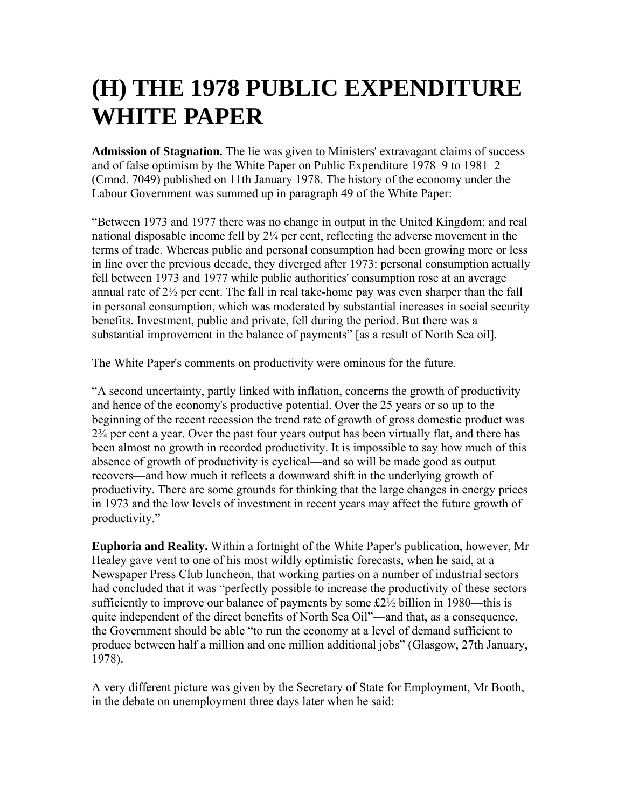### **(H) THE 1978 PUBLIC EXPENDITURE WHITE PAPER**

**Admission of Stagnation.** The lie was given to Ministers' extravagant claims of success and of false optimism by the White Paper on Public Expenditure 1978–9 to 1981–2 (Cmnd. 7049) published on 11th January 1978. The history of the economy under the Labour Government was summed up in paragraph 49 of the White Paper:

"Between 1973 and 1977 there was no change in output in the United Kingdom; and real national disposable income fell by 2¼ per cent, reflecting the adverse movement in the terms of trade. Whereas public and personal consumption had been growing more or less in line over the previous decade, they diverged after 1973: personal consumption actually fell between 1973 and 1977 while public authorities' consumption rose at an average annual rate of 2½ per cent. The fall in real take-home pay was even sharper than the fall in personal consumption, which was moderated by substantial increases in social security benefits. Investment, public and private, fell during the period. But there was a substantial improvement in the balance of payments" [as a result of North Sea oil].

The White Paper's comments on productivity were ominous for the future.

"A second uncertainty, partly linked with inflation, concerns the growth of productivity and hence of the economy's productive potential. Over the 25 years or so up to the beginning of the recent recession the trend rate of growth of gross domestic product was 2¾ per cent a year. Over the past four years output has been virtually flat, and there has been almost no growth in recorded productivity. It is impossible to say how much of this absence of growth of productivity is cyclical—and so will be made good as output recovers—and how much it reflects a downward shift in the underlying growth of productivity. There are some grounds for thinking that the large changes in energy prices in 1973 and the low levels of investment in recent years may affect the future growth of productivity."

**Euphoria and Reality.** Within a fortnight of the White Paper's publication, however, Mr Healey gave vent to one of his most wildly optimistic forecasts, when he said, at a Newspaper Press Club luncheon, that working parties on a number of industrial sectors had concluded that it was "perfectly possible to increase the productivity of these sectors sufficiently to improve our balance of payments by some  $f2\frac{1}{2}$  billion in 1980—this is quite independent of the direct benefits of North Sea Oil"—and that, as a consequence, the Government should be able "to run the economy at a level of demand sufficient to produce between half a million and one million additional jobs" (Glasgow, 27th January, 1978).

A very different picture was given by the Secretary of State for Employment, Mr Booth, in the debate on unemployment three days later when he said: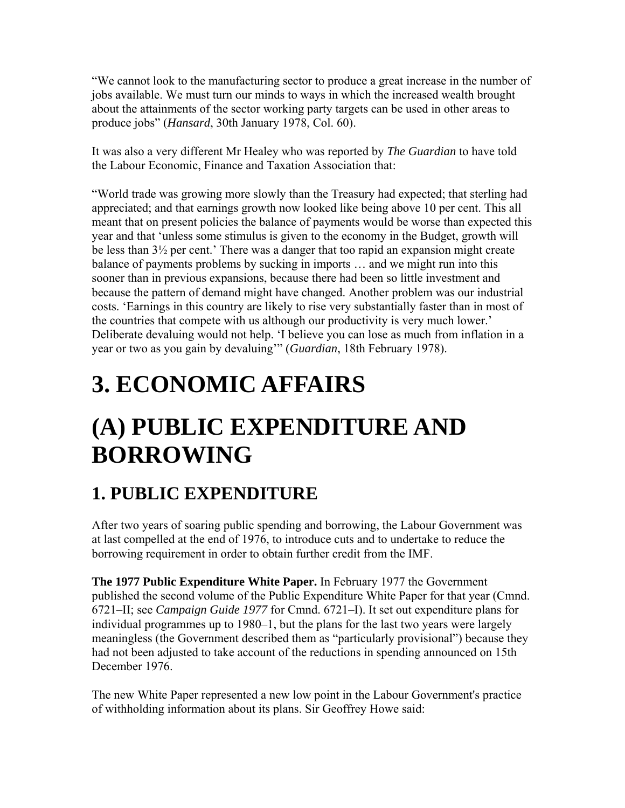"We cannot look to the manufacturing sector to produce a great increase in the number of jobs available. We must turn our minds to ways in which the increased wealth brought about the attainments of the sector working party targets can be used in other areas to produce jobs" (*Hansard*, 30th January 1978, Col. 60).

It was also a very different Mr Healey who was reported by *The Guardian* to have told the Labour Economic, Finance and Taxation Association that:

"World trade was growing more slowly than the Treasury had expected; that sterling had appreciated; and that earnings growth now looked like being above 10 per cent. This all meant that on present policies the balance of payments would be worse than expected this year and that 'unless some stimulus is given to the economy in the Budget, growth will be less than 3½ per cent.' There was a danger that too rapid an expansion might create balance of payments problems by sucking in imports … and we might run into this sooner than in previous expansions, because there had been so little investment and because the pattern of demand might have changed. Another problem was our industrial costs. 'Earnings in this country are likely to rise very substantially faster than in most of the countries that compete with us although our productivity is very much lower.' Deliberate devaluing would not help. 'I believe you can lose as much from inflation in a year or two as you gain by devaluing'" (*Guardian*, 18th February 1978).

# **3. ECONOMIC AFFAIRS**

## **(A) PUBLIC EXPENDITURE AND BORROWING**

### **1. PUBLIC EXPENDITURE**

After two years of soaring public spending and borrowing, the Labour Government was at last compelled at the end of 1976, to introduce cuts and to undertake to reduce the borrowing requirement in order to obtain further credit from the IMF.

**The 1977 Public Expenditure White Paper.** In February 1977 the Government published the second volume of the Public Expenditure White Paper for that year (Cmnd. 6721–II; see *Campaign Guide 1977* for Cmnd. 6721–I). It set out expenditure plans for individual programmes up to 1980–1, but the plans for the last two years were largely meaningless (the Government described them as "particularly provisional") because they had not been adjusted to take account of the reductions in spending announced on 15th December 1976.

The new White Paper represented a new low point in the Labour Government's practice of withholding information about its plans. Sir Geoffrey Howe said: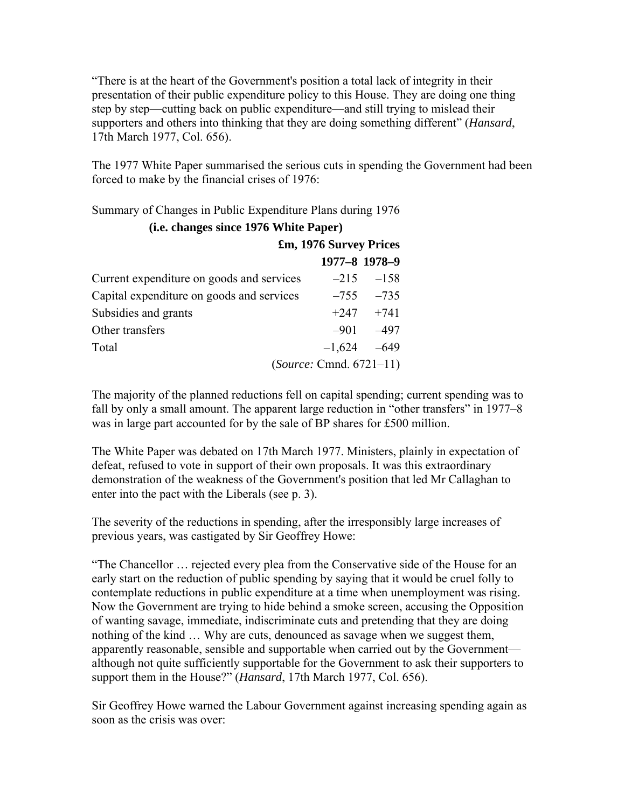"There is at the heart of the Government's position a total lack of integrity in their presentation of their public expenditure policy to this House. They are doing one thing step by step—cutting back on public expenditure—and still trying to mislead their supporters and others into thinking that they are doing something different" (*Hansard*, 17th March 1977, Col. 656).

The 1977 White Paper summarised the serious cuts in spending the Government had been forced to make by the financial crises of 1976:

Summary of Changes in Public Expenditure Plans during 1976 **(i.e. changes since 1976 White Paper)** 

|                                           | £m, 1976 Survey Prices |               |  |
|-------------------------------------------|------------------------|---------------|--|
|                                           | 1977-8 1978-9          |               |  |
| Current expenditure on goods and services |                        | $-215 - 158$  |  |
| Capital expenditure on goods and services |                        | $-755 - 735$  |  |
| Subsidies and grants                      |                        | $+247 +741$   |  |
| Other transfers                           |                        | $-901 - 497$  |  |
| Total                                     |                        | $-1,624 -649$ |  |
| (Source: Cmnd. 6721-11)                   |                        |               |  |

The majority of the planned reductions fell on capital spending; current spending was to fall by only a small amount. The apparent large reduction in "other transfers" in 1977–8 was in large part accounted for by the sale of BP shares for £500 million.

The White Paper was debated on 17th March 1977. Ministers, plainly in expectation of defeat, refused to vote in support of their own proposals. It was this extraordinary demonstration of the weakness of the Government's position that led Mr Callaghan to enter into the pact with the Liberals (see p. 3).

The severity of the reductions in spending, after the irresponsibly large increases of previous years, was castigated by Sir Geoffrey Howe:

"The Chancellor … rejected every plea from the Conservative side of the House for an early start on the reduction of public spending by saying that it would be cruel folly to contemplate reductions in public expenditure at a time when unemployment was rising. Now the Government are trying to hide behind a smoke screen, accusing the Opposition of wanting savage, immediate, indiscriminate cuts and pretending that they are doing nothing of the kind … Why are cuts, denounced as savage when we suggest them, apparently reasonable, sensible and supportable when carried out by the Government although not quite sufficiently supportable for the Government to ask their supporters to support them in the House?" (*Hansard*, 17th March 1977, Col. 656).

Sir Geoffrey Howe warned the Labour Government against increasing spending again as soon as the crisis was over: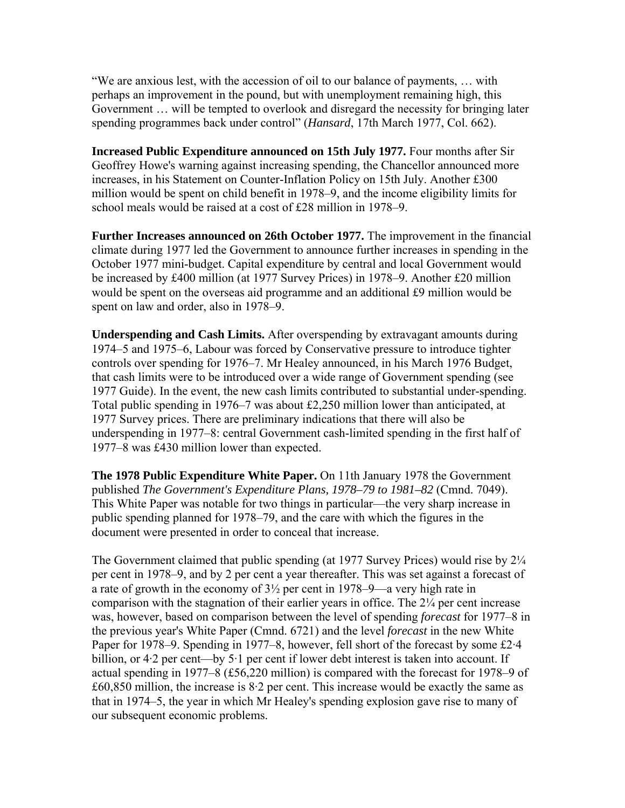"We are anxious lest, with the accession of oil to our balance of payments, … with perhaps an improvement in the pound, but with unemployment remaining high, this Government … will be tempted to overlook and disregard the necessity for bringing later spending programmes back under control" (*Hansard*, 17th March 1977, Col. 662).

**Increased Public Expenditure announced on 15th July 1977.** Four months after Sir Geoffrey Howe's warning against increasing spending, the Chancellor announced more increases, in his Statement on Counter-Inflation Policy on 15th July. Another £300 million would be spent on child benefit in 1978–9, and the income eligibility limits for school meals would be raised at a cost of £28 million in 1978–9.

**Further Increases announced on 26th October 1977.** The improvement in the financial climate during 1977 led the Government to announce further increases in spending in the October 1977 mini-budget. Capital expenditure by central and local Government would be increased by £400 million (at 1977 Survey Prices) in 1978–9. Another £20 million would be spent on the overseas aid programme and an additional £9 million would be spent on law and order, also in 1978–9.

**Underspending and Cash Limits.** After overspending by extravagant amounts during 1974–5 and 1975–6, Labour was forced by Conservative pressure to introduce tighter controls over spending for 1976–7. Mr Healey announced, in his March 1976 Budget, that cash limits were to be introduced over a wide range of Government spending (see 1977 Guide). In the event, the new cash limits contributed to substantial under-spending. Total public spending in 1976–7 was about £2,250 million lower than anticipated, at 1977 Survey prices. There are preliminary indications that there will also be underspending in 1977–8: central Government cash-limited spending in the first half of 1977–8 was £430 million lower than expected.

**The 1978 Public Expenditure White Paper.** On 11th January 1978 the Government published *The Government's Expenditure Plans, 1978–79 to 1981–82* (Cmnd. 7049). This White Paper was notable for two things in particular—the very sharp increase in public spending planned for 1978–79, and the care with which the figures in the document were presented in order to conceal that increase.

The Government claimed that public spending (at 1977 Survey Prices) would rise by  $2\frac{1}{4}$ per cent in 1978–9, and by 2 per cent a year thereafter. This was set against a forecast of a rate of growth in the economy of 3½ per cent in 1978–9—a very high rate in comparison with the stagnation of their earlier years in office. The 2¼ per cent increase was, however, based on comparison between the level of spending *forecast* for 1977–8 in the previous year's White Paper (Cmnd. 6721) and the level *forecast* in the new White Paper for 1978–9. Spending in 1977–8, however, fell short of the forecast by some £2·4 billion, or 4·2 per cent—by 5·1 per cent if lower debt interest is taken into account. If actual spending in 1977–8 (£56,220 million) is compared with the forecast for 1978–9 of  $£60,850$  million, the increase is  $8.2$  per cent. This increase would be exactly the same as that in 1974–5, the year in which Mr Healey's spending explosion gave rise to many of our subsequent economic problems.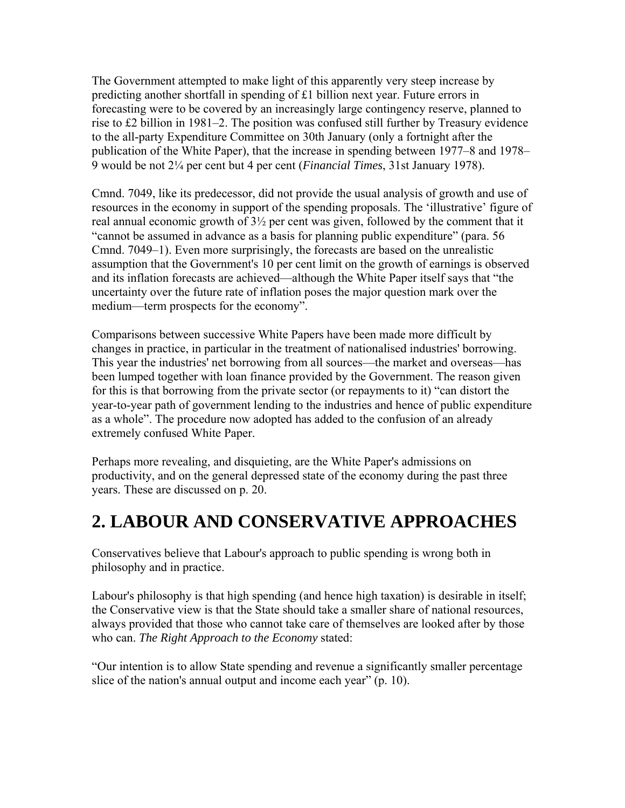The Government attempted to make light of this apparently very steep increase by predicting another shortfall in spending of £1 billion next year. Future errors in forecasting were to be covered by an increasingly large contingency reserve, planned to rise to £2 billion in 1981–2. The position was confused still further by Treasury evidence to the all-party Expenditure Committee on 30th January (only a fortnight after the publication of the White Paper), that the increase in spending between 1977–8 and 1978– 9 would be not 2¼ per cent but 4 per cent (*Financial Times*, 31st January 1978).

Cmnd. 7049, like its predecessor, did not provide the usual analysis of growth and use of resources in the economy in support of the spending proposals. The 'illustrative' figure of real annual economic growth of 3½ per cent was given, followed by the comment that it "cannot be assumed in advance as a basis for planning public expenditure" (para. 56 Cmnd. 7049–1). Even more surprisingly, the forecasts are based on the unrealistic assumption that the Government's 10 per cent limit on the growth of earnings is observed and its inflation forecasts are achieved—although the White Paper itself says that "the uncertainty over the future rate of inflation poses the major question mark over the medium—term prospects for the economy".

Comparisons between successive White Papers have been made more difficult by changes in practice, in particular in the treatment of nationalised industries' borrowing. This year the industries' net borrowing from all sources—the market and overseas—has been lumped together with loan finance provided by the Government. The reason given for this is that borrowing from the private sector (or repayments to it) "can distort the year-to-year path of government lending to the industries and hence of public expenditure as a whole". The procedure now adopted has added to the confusion of an already extremely confused White Paper.

Perhaps more revealing, and disquieting, are the White Paper's admissions on productivity, and on the general depressed state of the economy during the past three years. These are discussed on p. 20.

#### **2. LABOUR AND CONSERVATIVE APPROACHES**

Conservatives believe that Labour's approach to public spending is wrong both in philosophy and in practice.

Labour's philosophy is that high spending (and hence high taxation) is desirable in itself; the Conservative view is that the State should take a smaller share of national resources, always provided that those who cannot take care of themselves are looked after by those who can. *The Right Approach to the Economy* stated:

"Our intention is to allow State spending and revenue a significantly smaller percentage slice of the nation's annual output and income each year" (p. 10).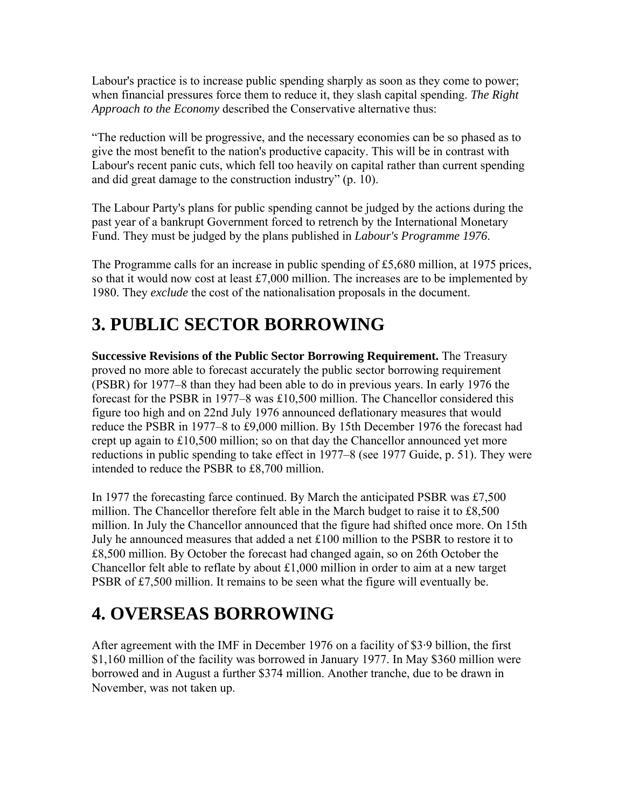Labour's practice is to increase public spending sharply as soon as they come to power; when financial pressures force them to reduce it, they slash capital spending. *The Right Approach to the Economy* described the Conservative alternative thus:

"The reduction will be progressive, and the necessary economies can be so phased as to give the most benefit to the nation's productive capacity. This will be in contrast with Labour's recent panic cuts, which fell too heavily on capital rather than current spending and did great damage to the construction industry" (p. 10).

The Labour Party's plans for public spending cannot be judged by the actions during the past year of a bankrupt Government forced to retrench by the International Monetary Fund. They must be judged by the plans published in *Labour's Programme 1976*.

The Programme calls for an increase in public spending of £5,680 million, at 1975 prices, so that it would now cost at least  $£7,000$  million. The increases are to be implemented by 1980. They *exclude* the cost of the nationalisation proposals in the document.

#### **3. PUBLIC SECTOR BORROWING**

**Successive Revisions of the Public Sector Borrowing Requirement.** The Treasury proved no more able to forecast accurately the public sector borrowing requirement (PSBR) for 1977–8 than they had been able to do in previous years. In early 1976 the forecast for the PSBR in 1977–8 was £10,500 million. The Chancellor considered this figure too high and on 22nd July 1976 announced deflationary measures that would reduce the PSBR in 1977–8 to £9,000 million. By 15th December 1976 the forecast had crept up again to £10,500 million; so on that day the Chancellor announced yet more reductions in public spending to take effect in 1977–8 (see 1977 Guide, p. 51). They were intended to reduce the PSBR to £8,700 million.

In 1977 the forecasting farce continued. By March the anticipated PSBR was £7,500 million. The Chancellor therefore felt able in the March budget to raise it to £8,500 million. In July the Chancellor announced that the figure had shifted once more. On 15th July he announced measures that added a net £100 million to the PSBR to restore it to £8,500 million. By October the forecast had changed again, so on 26th October the Chancellor felt able to reflate by about £1,000 million in order to aim at a new target PSBR of £7,500 million. It remains to be seen what the figure will eventually be.

### **4. OVERSEAS BORROWING**

After agreement with the IMF in December 1976 on a facility of \$3·9 billion, the first \$1,160 million of the facility was borrowed in January 1977. In May \$360 million were borrowed and in August a further \$374 million. Another tranche, due to be drawn in November, was not taken up.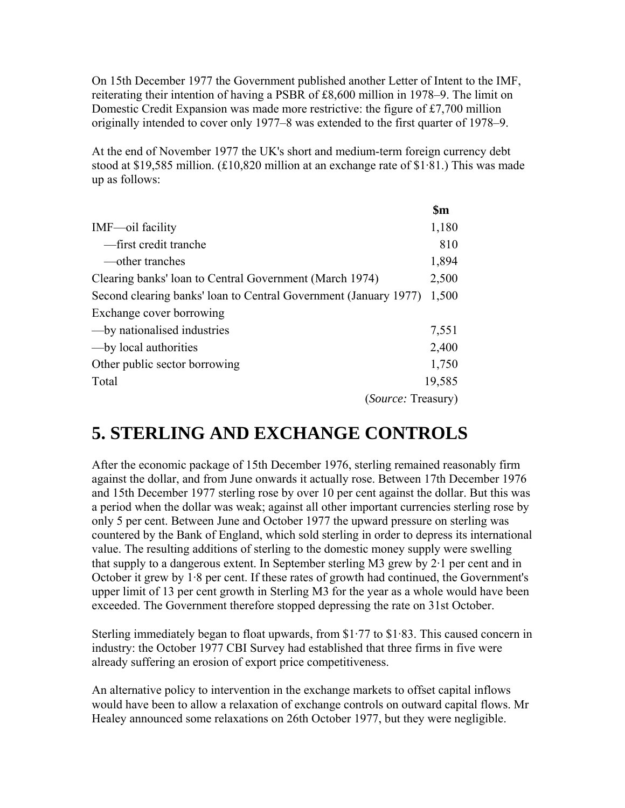On 15th December 1977 the Government published another Letter of Intent to the IMF, reiterating their intention of having a PSBR of £8,600 million in 1978–9. The limit on Domestic Credit Expansion was made more restrictive: the figure of £7,700 million originally intended to cover only 1977–8 was extended to the first quarter of 1978–9.

At the end of November 1977 the UK's short and medium-term foreign currency debt stood at \$19,585 million. (£10,820 million at an exchange rate of \$1·81.) This was made up as follows:

|                                                                  | $\mathbf{\$m}$ |
|------------------------------------------------------------------|----------------|
| IMF-oil facility                                                 | 1,180          |
| -first credit tranche                                            | 810            |
| —other tranches                                                  | 1,894          |
| Clearing banks' loan to Central Government (March 1974)          | 2,500          |
| Second clearing banks' loan to Central Government (January 1977) | 1,500          |
| Exchange cover borrowing                                         |                |
| - by nationalised industries                                     | 7,551          |
| - by local authorities                                           | 2,400          |
| Other public sector borrowing                                    | 1,750          |
| Total                                                            | 19,585         |
| <i>(Source: Treasury)</i>                                        |                |

#### **5. STERLING AND EXCHANGE CONTROLS**

After the economic package of 15th December 1976, sterling remained reasonably firm against the dollar, and from June onwards it actually rose. Between 17th December 1976 and 15th December 1977 sterling rose by over 10 per cent against the dollar. But this was a period when the dollar was weak; against all other important currencies sterling rose by only 5 per cent. Between June and October 1977 the upward pressure on sterling was countered by the Bank of England, which sold sterling in order to depress its international value. The resulting additions of sterling to the domestic money supply were swelling that supply to a dangerous extent. In September sterling M3 grew by 2·1 per cent and in October it grew by 1·8 per cent. If these rates of growth had continued, the Government's upper limit of 13 per cent growth in Sterling M3 for the year as a whole would have been exceeded. The Government therefore stopped depressing the rate on 31st October.

Sterling immediately began to float upwards, from \$1·77 to \$1·83. This caused concern in industry: the October 1977 CBI Survey had established that three firms in five were already suffering an erosion of export price competitiveness.

An alternative policy to intervention in the exchange markets to offset capital inflows would have been to allow a relaxation of exchange controls on outward capital flows. Mr Healey announced some relaxations on 26th October 1977, but they were negligible.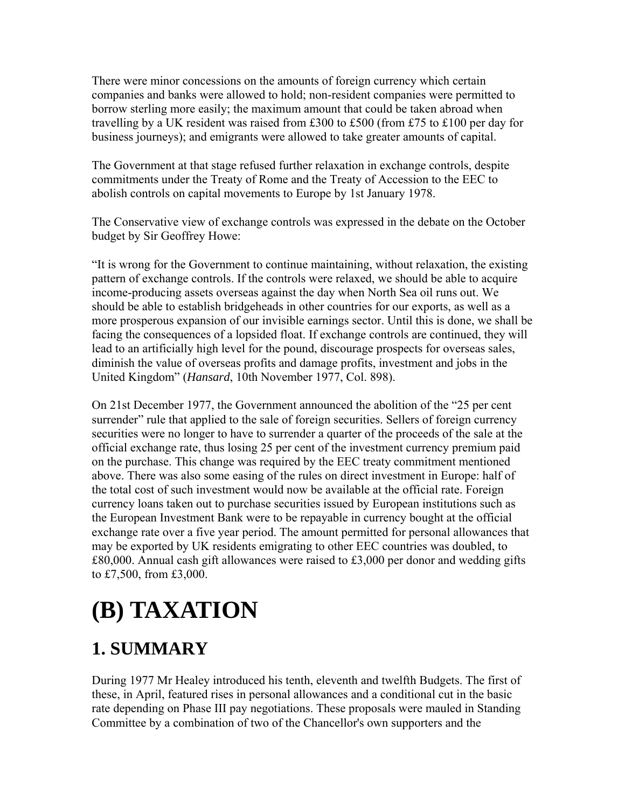There were minor concessions on the amounts of foreign currency which certain companies and banks were allowed to hold; non-resident companies were permitted to borrow sterling more easily; the maximum amount that could be taken abroad when travelling by a UK resident was raised from £300 to £500 (from £75 to £100 per day for business journeys); and emigrants were allowed to take greater amounts of capital.

The Government at that stage refused further relaxation in exchange controls, despite commitments under the Treaty of Rome and the Treaty of Accession to the EEC to abolish controls on capital movements to Europe by 1st January 1978.

The Conservative view of exchange controls was expressed in the debate on the October budget by Sir Geoffrey Howe:

"It is wrong for the Government to continue maintaining, without relaxation, the existing pattern of exchange controls. If the controls were relaxed, we should be able to acquire income-producing assets overseas against the day when North Sea oil runs out. We should be able to establish bridgeheads in other countries for our exports, as well as a more prosperous expansion of our invisible earnings sector. Until this is done, we shall be facing the consequences of a lopsided float. If exchange controls are continued, they will lead to an artificially high level for the pound, discourage prospects for overseas sales, diminish the value of overseas profits and damage profits, investment and jobs in the United Kingdom" (*Hansard*, 10th November 1977, Col. 898).

On 21st December 1977, the Government announced the abolition of the "25 per cent surrender" rule that applied to the sale of foreign securities. Sellers of foreign currency securities were no longer to have to surrender a quarter of the proceeds of the sale at the official exchange rate, thus losing 25 per cent of the investment currency premium paid on the purchase. This change was required by the EEC treaty commitment mentioned above. There was also some easing of the rules on direct investment in Europe: half of the total cost of such investment would now be available at the official rate. Foreign currency loans taken out to purchase securities issued by European institutions such as the European Investment Bank were to be repayable in currency bought at the official exchange rate over a five year period. The amount permitted for personal allowances that may be exported by UK residents emigrating to other EEC countries was doubled, to  $£80,000$ . Annual cash gift allowances were raised to £3,000 per donor and wedding gifts to £7,500, from £3,000.

# **(B) TAXATION**

### **1. SUMMARY**

During 1977 Mr Healey introduced his tenth, eleventh and twelfth Budgets. The first of these, in April, featured rises in personal allowances and a conditional cut in the basic rate depending on Phase III pay negotiations. These proposals were mauled in Standing Committee by a combination of two of the Chancellor's own supporters and the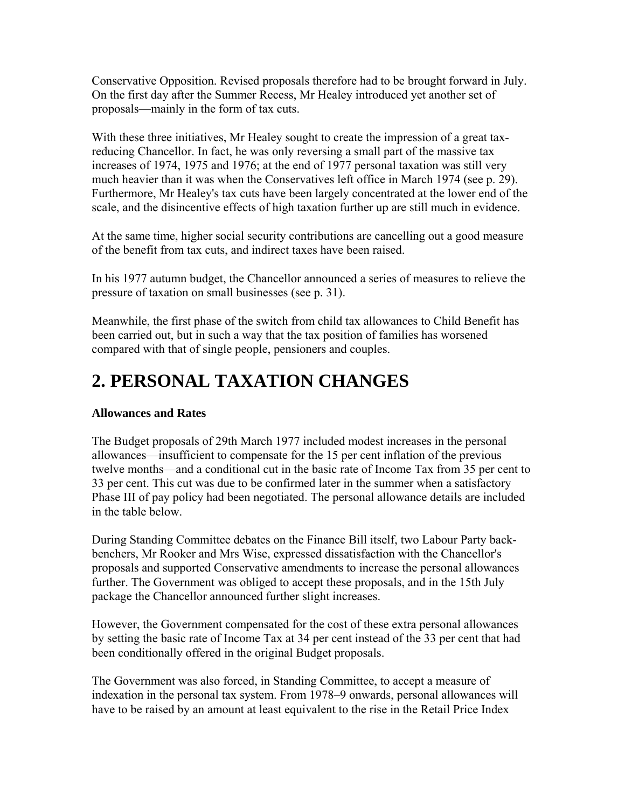Conservative Opposition. Revised proposals therefore had to be brought forward in July. On the first day after the Summer Recess, Mr Healey introduced yet another set of proposals—mainly in the form of tax cuts.

With these three initiatives, Mr Healey sought to create the impression of a great taxreducing Chancellor. In fact, he was only reversing a small part of the massive tax increases of 1974, 1975 and 1976; at the end of 1977 personal taxation was still very much heavier than it was when the Conservatives left office in March 1974 (see p. 29). Furthermore, Mr Healey's tax cuts have been largely concentrated at the lower end of the scale, and the disincentive effects of high taxation further up are still much in evidence.

At the same time, higher social security contributions are cancelling out a good measure of the benefit from tax cuts, and indirect taxes have been raised.

In his 1977 autumn budget, the Chancellor announced a series of measures to relieve the pressure of taxation on small businesses (see p. 31).

Meanwhile, the first phase of the switch from child tax allowances to Child Benefit has been carried out, but in such a way that the tax position of families has worsened compared with that of single people, pensioners and couples.

#### **2. PERSONAL TAXATION CHANGES**

#### **Allowances and Rates**

The Budget proposals of 29th March 1977 included modest increases in the personal allowances—insufficient to compensate for the 15 per cent inflation of the previous twelve months—and a conditional cut in the basic rate of Income Tax from 35 per cent to 33 per cent. This cut was due to be confirmed later in the summer when a satisfactory Phase III of pay policy had been negotiated. The personal allowance details are included in the table below.

During Standing Committee debates on the Finance Bill itself, two Labour Party backbenchers, Mr Rooker and Mrs Wise, expressed dissatisfaction with the Chancellor's proposals and supported Conservative amendments to increase the personal allowances further. The Government was obliged to accept these proposals, and in the 15th July package the Chancellor announced further slight increases.

However, the Government compensated for the cost of these extra personal allowances by setting the basic rate of Income Tax at 34 per cent instead of the 33 per cent that had been conditionally offered in the original Budget proposals.

The Government was also forced, in Standing Committee, to accept a measure of indexation in the personal tax system. From 1978–9 onwards, personal allowances will have to be raised by an amount at least equivalent to the rise in the Retail Price Index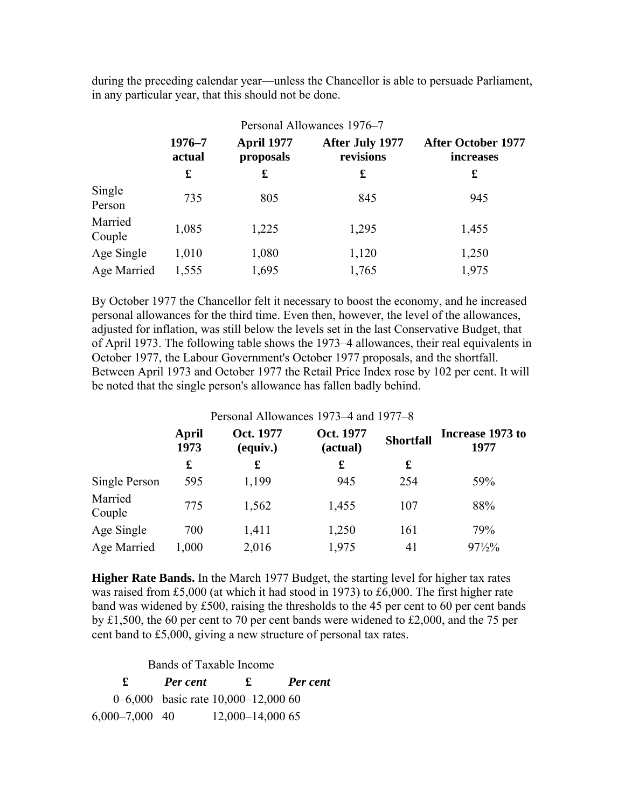during the preceding calendar year—unless the Chancellor is able to persuade Parliament, in any particular year, that this should not be done.

|                   | Personal Allowances 1976–7 |                                |                              |                                        |  |
|-------------------|----------------------------|--------------------------------|------------------------------|----------------------------------------|--|
|                   | 1976-7<br>actual           | <b>April 1977</b><br>proposals | After July 1977<br>revisions | <b>After October 1977</b><br>increases |  |
|                   | £                          | £                              | £                            | £                                      |  |
| Single<br>Person  | 735                        | 805                            | 845                          | 945                                    |  |
| Married<br>Couple | 1,085                      | 1,225                          | 1,295                        | 1,455                                  |  |
| Age Single        | 1,010                      | 1,080                          | 1,120                        | 1,250                                  |  |
| Age Married       | 1,555                      | 1,695                          | 1,765                        | 1,975                                  |  |

By October 1977 the Chancellor felt it necessary to boost the economy, and he increased personal allowances for the third time. Even then, however, the level of the allowances, adjusted for inflation, was still below the levels set in the last Conservative Budget, that of April 1973. The following table shows the 1973–4 allowances, their real equivalents in October 1977, the Labour Government's October 1977 proposals, and the shortfall. Between April 1973 and October 1977 the Retail Price Index rose by 102 per cent. It will be noted that the single person's allowance has fallen badly behind.

#### Personal Allowances 1973–4 and 1977–8

|                   | April<br>1973 | Oct. 1977<br>(equiv.) | Oct. 1977<br>(actual) | <b>Shortfall</b> | Increase 1973 to<br>1977 |
|-------------------|---------------|-----------------------|-----------------------|------------------|--------------------------|
|                   | £             | £                     | £                     | £                |                          |
| Single Person     | 595           | 1,199                 | 945                   | 254              | 59%                      |
| Married<br>Couple | 775           | 1,562                 | 1,455                 | 107              | 88%                      |
| Age Single        | 700           | 1,411                 | 1,250                 | 161              | 79%                      |
| Age Married       | 1,000         | 2,016                 | 1,975                 | 41               | $97\frac{1}{2}\%$        |

**Higher Rate Bands.** In the March 1977 Budget, the starting level for higher tax rates was raised from £5,000 (at which it had stood in 1973) to £6,000. The first higher rate band was widened by £500, raising the thresholds to the 45 per cent to 60 per cent bands by £1,500, the 60 per cent to 70 per cent bands were widened to £2,000, and the 75 per cent band to £5,000, giving a new structure of personal tax rates.

Bands of Taxable Income

|                    | <b>Per cent</b> | £                                      | <b>Per cent</b> |
|--------------------|-----------------|----------------------------------------|-----------------|
|                    |                 | 0–6,000 basic rate $10,000$ –12,000 60 |                 |
| $6,000 - 7,000$ 40 |                 | $12,000 - 14,000$ 65                   |                 |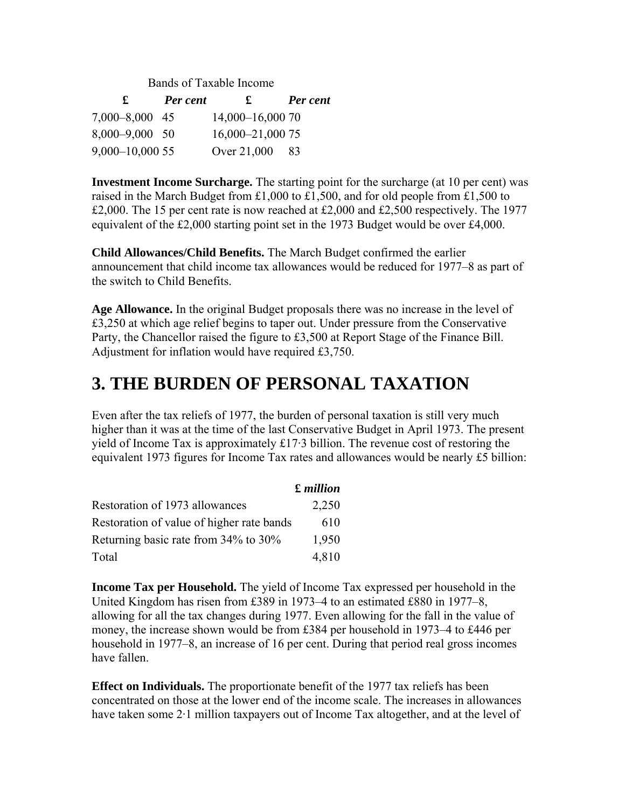| Bands of Taxable Income |          |                  |          |  |
|-------------------------|----------|------------------|----------|--|
| $\mathbf f$             | Per cent | $\mathbf{f}$     | Per cent |  |
| 7,000-8,000 45          |          | 14,000-16,000 70 |          |  |
| 8,000-9,000 50          |          | 16,000-21,000 75 |          |  |
| 9,000-10,000 55         |          | Over 21,000      | -83      |  |

**Investment Income Surcharge.** The starting point for the surcharge (at 10 per cent) was raised in the March Budget from £1,000 to £1,500, and for old people from £1,500 to £2,000. The 15 per cent rate is now reached at £2,000 and £2,500 respectively. The 1977 equivalent of the £2,000 starting point set in the 1973 Budget would be over £4,000.

**Child Allowances/Child Benefits.** The March Budget confirmed the earlier announcement that child income tax allowances would be reduced for 1977–8 as part of the switch to Child Benefits.

**Age Allowance.** In the original Budget proposals there was no increase in the level of £3,250 at which age relief begins to taper out. Under pressure from the Conservative Party, the Chancellor raised the figure to £3,500 at Report Stage of the Finance Bill. Adjustment for inflation would have required £3,750.

#### **3. THE BURDEN OF PERSONAL TAXATION**

Even after the tax reliefs of 1977, the burden of personal taxation is still very much higher than it was at the time of the last Conservative Budget in April 1973. The present yield of Income Tax is approximately £17·3 billion. The revenue cost of restoring the equivalent 1973 figures for Income Tax rates and allowances would be nearly £5 billion:

|                                           | $\pounds$ million |
|-------------------------------------------|-------------------|
| Restoration of 1973 allowances            | 2,250             |
| Restoration of value of higher rate bands | 610               |
| Returning basic rate from 34% to 30%      | 1,950             |
| Total                                     | 4,810             |

**Income Tax per Household.** The yield of Income Tax expressed per household in the United Kingdom has risen from £389 in 1973–4 to an estimated £880 in 1977–8, allowing for all the tax changes during 1977. Even allowing for the fall in the value of money, the increase shown would be from £384 per household in 1973–4 to £446 per household in 1977–8, an increase of 16 per cent. During that period real gross incomes have fallen.

**Effect on Individuals.** The proportionate benefit of the 1977 tax reliefs has been concentrated on those at the lower end of the income scale. The increases in allowances have taken some 2<sup>-1</sup> million taxpayers out of Income Tax altogether, and at the level of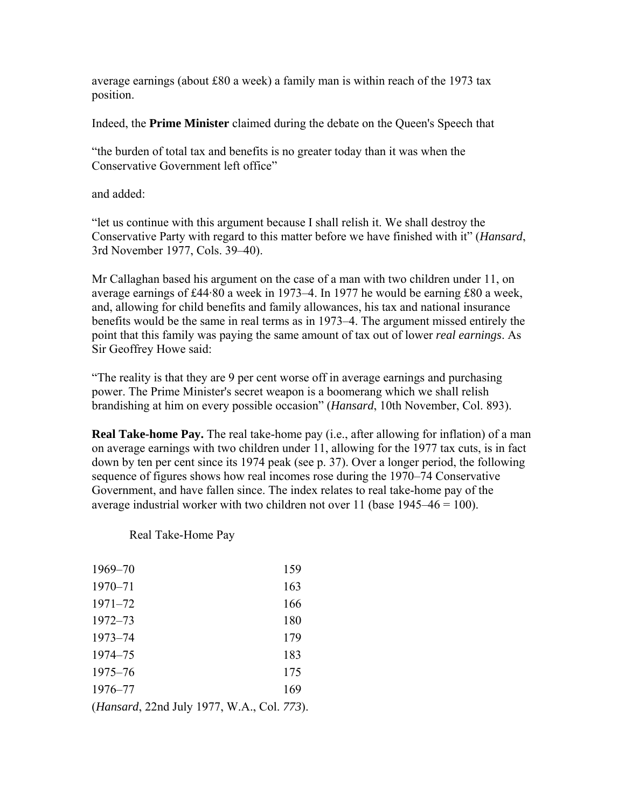average earnings (about  $\text{\pounds}80$  a week) a family man is within reach of the 1973 tax position.

Indeed, the **Prime Minister** claimed during the debate on the Queen's Speech that

"the burden of total tax and benefits is no greater today than it was when the Conservative Government left office"

and added:

"let us continue with this argument because I shall relish it. We shall destroy the Conservative Party with regard to this matter before we have finished with it" (*Hansard*, 3rd November 1977, Cols. 39–40).

Mr Callaghan based his argument on the case of a man with two children under 11, on average earnings of £44·80 a week in 1973–4. In 1977 he would be earning £80 a week, and, allowing for child benefits and family allowances, his tax and national insurance benefits would be the same in real terms as in 1973–4. The argument missed entirely the point that this family was paying the same amount of tax out of lower *real earnings*. As Sir Geoffrey Howe said:

"The reality is that they are 9 per cent worse off in average earnings and purchasing power. The Prime Minister's secret weapon is a boomerang which we shall relish brandishing at him on every possible occasion" (*Hansard*, 10th November, Col. 893).

**Real Take-home Pay.** The real take-home pay (i.e., after allowing for inflation) of a man on average earnings with two children under 11, allowing for the 1977 tax cuts, is in fact down by ten per cent since its 1974 peak (see p. 37). Over a longer period, the following sequence of figures shows how real incomes rose during the 1970–74 Conservative Government, and have fallen since. The index relates to real take-home pay of the average industrial worker with two children not over 11 (base  $1945-46 = 100$ ).

|  | Real Take-Home Pay |
|--|--------------------|
|--|--------------------|

| 1969-70                           | 159 |
|-----------------------------------|-----|
| 1970-71                           | 163 |
| $1971 - 72$                       | 166 |
| $1972 - 73$                       | 180 |
| $1973 - 74$                       | 179 |
| 1974–75                           | 183 |
| $1975 - 76$                       | 175 |
| 1976-77                           | 169 |
| (II. 1.33.1 L-1.1077 WI) C-1.773) |     |

(*Hansard*, 22nd July 1977, W.A., Col. *773*).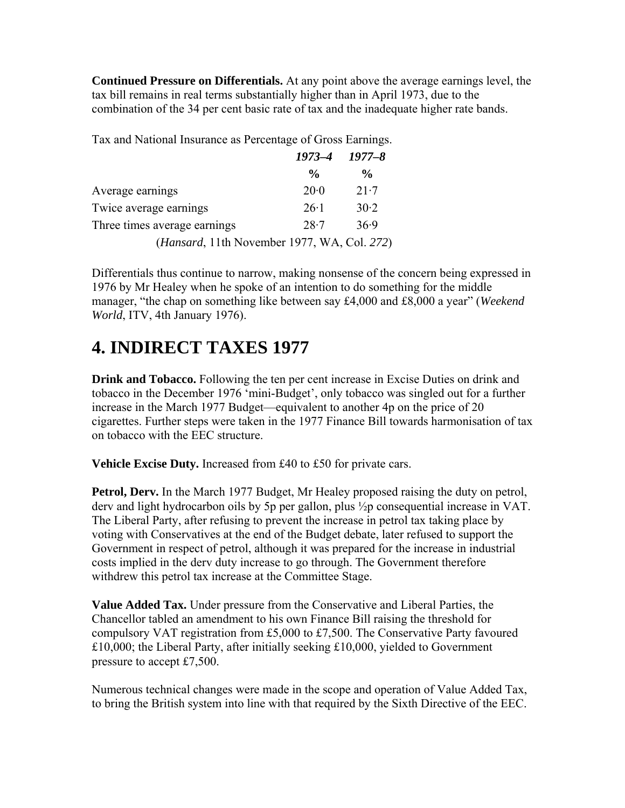**Continued Pressure on Differentials.** At any point above the average earnings level, the tax bill remains in real terms substantially higher than in April 1973, due to the combination of the 34 per cent basic rate of tax and the inadequate higher rate bands.

Tax and National Insurance as Percentage of Gross Earnings.

|                                                      | $1973 - 4$ $1977 - 8$ |                |
|------------------------------------------------------|-----------------------|----------------|
|                                                      | $\frac{0}{\alpha}$    | $\frac{6}{10}$ |
| Average earnings                                     | 20.0                  | $21-7$         |
| Twice average earnings                               | $26-1$                | 30.2           |
| Three times average earnings                         | 28.7                  | 36.9           |
| ( <i>Hansard</i> , 11th November 1977, WA, Col. 272) |                       |                |

Differentials thus continue to narrow, making nonsense of the concern being expressed in 1976 by Mr Healey when he spoke of an intention to do something for the middle manager, "the chap on something like between say £4,000 and £8,000 a year" (*Weekend World*, ITV, 4th January 1976).

#### **4. INDIRECT TAXES 1977**

**Drink and Tobacco.** Following the ten per cent increase in Excise Duties on drink and tobacco in the December 1976 'mini-Budget', only tobacco was singled out for a further increase in the March 1977 Budget—equivalent to another 4p on the price of 20 cigarettes. Further steps were taken in the 1977 Finance Bill towards harmonisation of tax on tobacco with the EEC structure.

**Vehicle Excise Duty.** Increased from £40 to £50 for private cars.

**Petrol, Derv.** In the March 1977 Budget, Mr Healey proposed raising the duty on petrol, derv and light hydrocarbon oils by 5p per gallon, plus ½p consequential increase in VAT. The Liberal Party, after refusing to prevent the increase in petrol tax taking place by voting with Conservatives at the end of the Budget debate, later refused to support the Government in respect of petrol, although it was prepared for the increase in industrial costs implied in the derv duty increase to go through. The Government therefore withdrew this petrol tax increase at the Committee Stage.

**Value Added Tax.** Under pressure from the Conservative and Liberal Parties, the Chancellor tabled an amendment to his own Finance Bill raising the threshold for compulsory VAT registration from £5,000 to £7,500. The Conservative Party favoured £10,000; the Liberal Party, after initially seeking £10,000, yielded to Government pressure to accept £7,500.

Numerous technical changes were made in the scope and operation of Value Added Tax, to bring the British system into line with that required by the Sixth Directive of the EEC.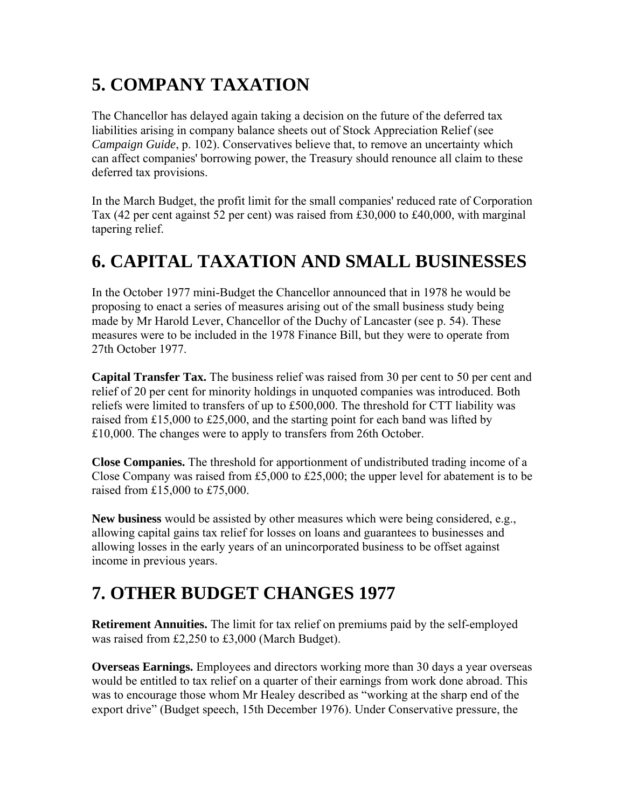# **5. COMPANY TAXATION**

The Chancellor has delayed again taking a decision on the future of the deferred tax liabilities arising in company balance sheets out of Stock Appreciation Relief (see *Campaign Guide*, p. 102). Conservatives believe that, to remove an uncertainty which can affect companies' borrowing power, the Treasury should renounce all claim to these deferred tax provisions.

In the March Budget, the profit limit for the small companies' reduced rate of Corporation Tax (42 per cent against 52 per cent) was raised from £30,000 to £40,000, with marginal tapering relief.

## **6. CAPITAL TAXATION AND SMALL BUSINESSES**

In the October 1977 mini-Budget the Chancellor announced that in 1978 he would be proposing to enact a series of measures arising out of the small business study being made by Mr Harold Lever, Chancellor of the Duchy of Lancaster (see p. 54). These measures were to be included in the 1978 Finance Bill, but they were to operate from 27th October 1977.

**Capital Transfer Tax.** The business relief was raised from 30 per cent to 50 per cent and relief of 20 per cent for minority holdings in unquoted companies was introduced. Both reliefs were limited to transfers of up to £500,000. The threshold for CTT liability was raised from £15,000 to £25,000, and the starting point for each band was lifted by £10,000. The changes were to apply to transfers from 26th October.

**Close Companies.** The threshold for apportionment of undistributed trading income of a Close Company was raised from £5,000 to £25,000; the upper level for abatement is to be raised from £15,000 to £75,000.

**New business** would be assisted by other measures which were being considered, e.g., allowing capital gains tax relief for losses on loans and guarantees to businesses and allowing losses in the early years of an unincorporated business to be offset against income in previous years.

## **7. OTHER BUDGET CHANGES 1977**

**Retirement Annuities.** The limit for tax relief on premiums paid by the self-employed was raised from £2,250 to £3,000 (March Budget).

**Overseas Earnings.** Employees and directors working more than 30 days a year overseas would be entitled to tax relief on a quarter of their earnings from work done abroad. This was to encourage those whom Mr Healey described as "working at the sharp end of the export drive" (Budget speech, 15th December 1976). Under Conservative pressure, the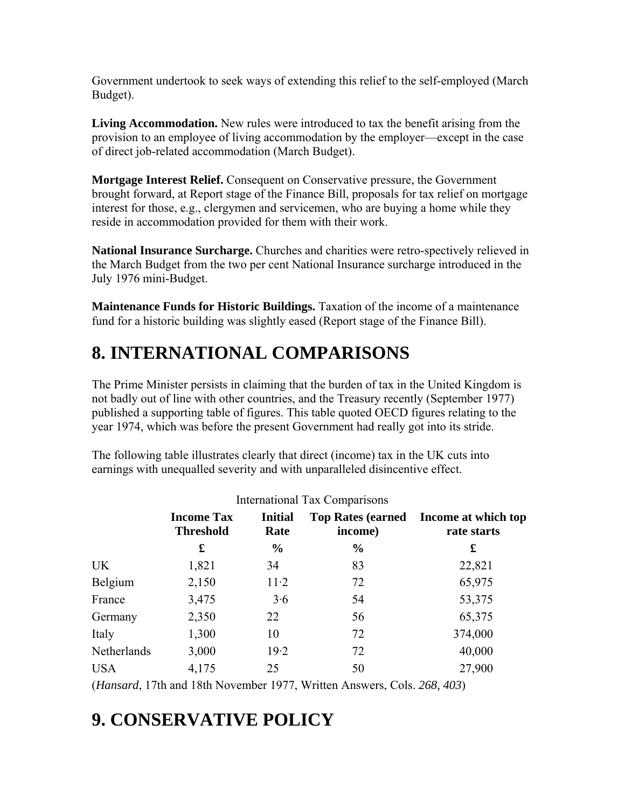Government undertook to seek ways of extending this relief to the self-employed (March Budget).

**Living Accommodation.** New rules were introduced to tax the benefit arising from the provision to an employee of living accommodation by the employer—except in the case of direct job-related accommodation (March Budget).

**Mortgage Interest Relief.** Consequent on Conservative pressure, the Government brought forward, at Report stage of the Finance Bill, proposals for tax relief on mortgage interest for those, e.g., clergymen and servicemen, who are buying a home while they reside in accommodation provided for them with their work.

**National Insurance Surcharge.** Churches and charities were retro-spectively relieved in the March Budget from the two per cent National Insurance surcharge introduced in the July 1976 mini-Budget.

**Maintenance Funds for Historic Buildings.** Taxation of the income of a maintenance fund for a historic building was slightly eased (Report stage of the Finance Bill).

## **8. INTERNATIONAL COMPARISONS**

The Prime Minister persists in claiming that the burden of tax in the United Kingdom is not badly out of line with other countries, and the Treasury recently (September 1977) published a supporting table of figures. This table quoted OECD figures relating to the year 1974, which was before the present Government had really got into its stride.

The following table illustrates clearly that direct (income) tax in the UK cuts into earnings with unequalled severity and with unparalleled disincentive effect.

|             | <b>Income Tax</b><br><b>Threshold</b> | <b>Initial</b><br>Rate | <b>Top Rates (earned)</b><br>income) | Income at which top<br>rate starts |
|-------------|---------------------------------------|------------------------|--------------------------------------|------------------------------------|
|             | £                                     | $\frac{0}{0}$          | $\frac{0}{0}$                        | £                                  |
| <b>UK</b>   | 1,821                                 | 34                     | 83                                   | 22,821                             |
| Belgium     | 2,150                                 | $11-2$                 | 72                                   | 65,975                             |
| France      | 3,475                                 | 3.6                    | 54                                   | 53,375                             |
| Germany     | 2,350                                 | 22                     | 56                                   | 65,375                             |
| Italy       | 1,300                                 | 10                     | 72                                   | 374,000                            |
| Netherlands | 3,000                                 | 19.2                   | 72                                   | 40,000                             |
| <b>USA</b>  | 4,175                                 | 25                     | 50                                   | 27,900                             |

(*Hansard*, 17th and 18th November 1977, Written Answers, Cols. *268, 403*)

## **9. CONSERVATIVE POLICY**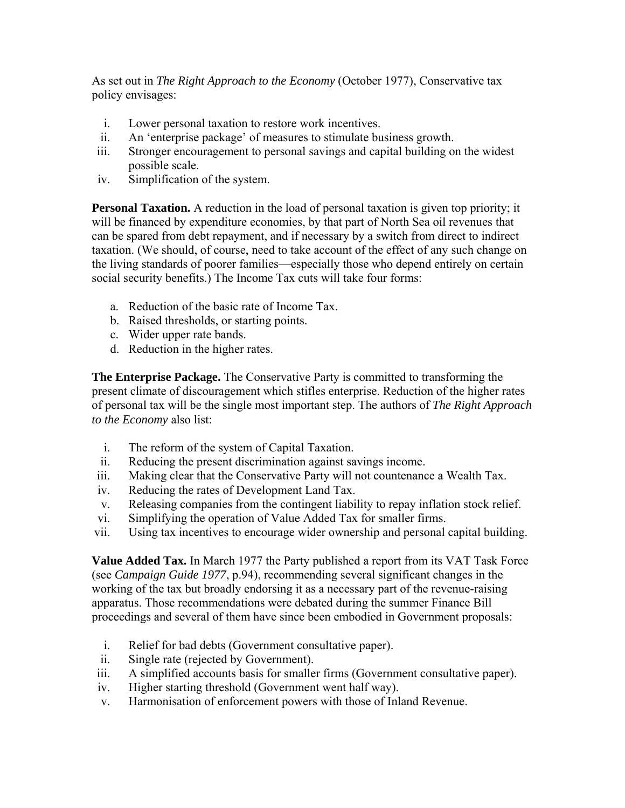As set out in *The Right Approach to the Economy* (October 1977), Conservative tax policy envisages:

- i. Lower personal taxation to restore work incentives.
- ii. An 'enterprise package' of measures to stimulate business growth.
- iii. Stronger encouragement to personal savings and capital building on the widest possible scale.
- iv. Simplification of the system.

**Personal Taxation.** A reduction in the load of personal taxation is given top priority; it will be financed by expenditure economies, by that part of North Sea oil revenues that can be spared from debt repayment, and if necessary by a switch from direct to indirect taxation. (We should, of course, need to take account of the effect of any such change on the living standards of poorer families—especially those who depend entirely on certain social security benefits.) The Income Tax cuts will take four forms:

- a. Reduction of the basic rate of Income Tax.
- b. Raised thresholds, or starting points.
- c. Wider upper rate bands.
- d. Reduction in the higher rates.

**The Enterprise Package.** The Conservative Party is committed to transforming the present climate of discouragement which stifles enterprise. Reduction of the higher rates of personal tax will be the single most important step. The authors of *The Right Approach to the Economy* also list:

- i. The reform of the system of Capital Taxation.
- ii. Reducing the present discrimination against savings income.
- iii. Making clear that the Conservative Party will not countenance a Wealth Tax.
- iv. Reducing the rates of Development Land Tax.
- v. Releasing companies from the contingent liability to repay inflation stock relief.
- vi. Simplifying the operation of Value Added Tax for smaller firms.
- vii. Using tax incentives to encourage wider ownership and personal capital building.

**Value Added Tax.** In March 1977 the Party published a report from its VAT Task Force (see *Campaign Guide 1977*, p.94), recommending several significant changes in the working of the tax but broadly endorsing it as a necessary part of the revenue-raising apparatus. Those recommendations were debated during the summer Finance Bill proceedings and several of them have since been embodied in Government proposals:

- i. Relief for bad debts (Government consultative paper).
- ii. Single rate (rejected by Government).
- iii. A simplified accounts basis for smaller firms (Government consultative paper).
- iv. Higher starting threshold (Government went half way).
- v. Harmonisation of enforcement powers with those of Inland Revenue.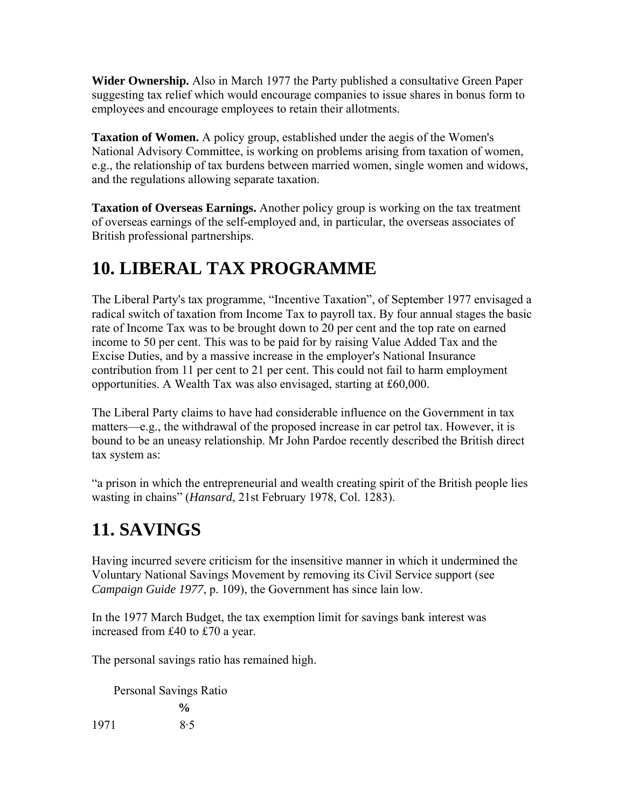**Wider Ownership.** Also in March 1977 the Party published a consultative Green Paper suggesting tax relief which would encourage companies to issue shares in bonus form to employees and encourage employees to retain their allotments.

**Taxation of Women.** A policy group, established under the aegis of the Women's National Advisory Committee, is working on problems arising from taxation of women, e.g., the relationship of tax burdens between married women, single women and widows, and the regulations allowing separate taxation.

**Taxation of Overseas Earnings.** Another policy group is working on the tax treatment of overseas earnings of the self-employed and, in particular, the overseas associates of British professional partnerships.

## **10. LIBERAL TAX PROGRAMME**

The Liberal Party's tax programme, "Incentive Taxation", of September 1977 envisaged a radical switch of taxation from Income Tax to payroll tax. By four annual stages the basic rate of Income Tax was to be brought down to 20 per cent and the top rate on earned income to 50 per cent. This was to be paid for by raising Value Added Tax and the Excise Duties, and by a massive increase in the employer's National Insurance contribution from 11 per cent to 21 per cent. This could not fail to harm employment opportunities. A Wealth Tax was also envisaged, starting at £60,000.

The Liberal Party claims to have had considerable influence on the Government in tax matters—e.g., the withdrawal of the proposed increase in car petrol tax. However, it is bound to be an uneasy relationship. Mr John Pardoe recently described the British direct tax system as:

"a prison in which the entrepreneurial and wealth creating spirit of the British people lies wasting in chains" (*Hansard*, 21st February 1978, Col. 1283).

# **11. SAVINGS**

Having incurred severe criticism for the insensitive manner in which it undermined the Voluntary National Savings Movement by removing its Civil Service support (see *Campaign Guide 1977*, p. 109), the Government has since lain low.

In the 1977 March Budget, the tax exemption limit for savings bank interest was increased from £40 to £70 a year.

The personal savings ratio has remained high.

Personal Savings Ratio  $\frac{0}{0}$ 1971 8·5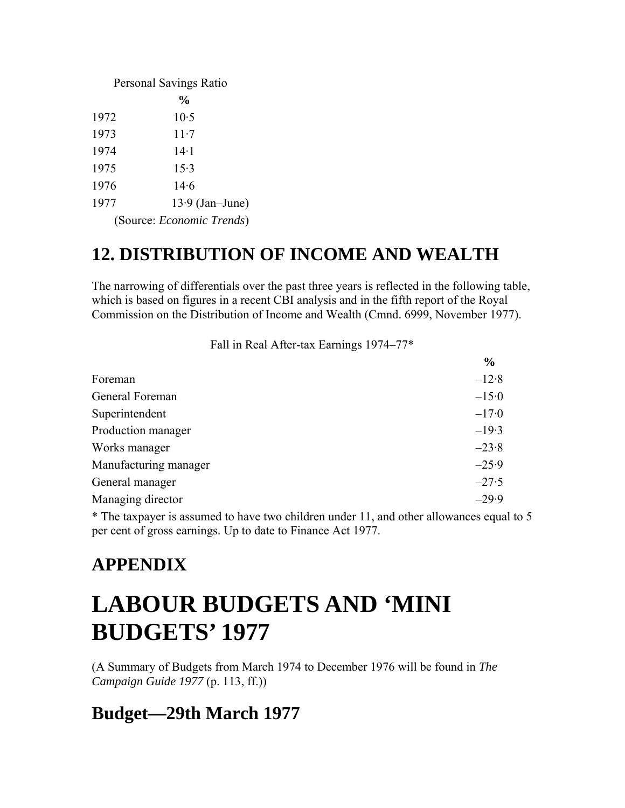| Personal Savings Ratio |                                   |  |  |
|------------------------|-----------------------------------|--|--|
|                        | $\frac{6}{10}$                    |  |  |
| 1972                   | 10.5                              |  |  |
| 1973                   | $11-7$                            |  |  |
| 1974                   | 14.1                              |  |  |
| 1975                   | 15.3                              |  |  |
| 1976                   | 14.6                              |  |  |
| 1977                   | $13.9$ (Jan-June)                 |  |  |
|                        | (Source: <i>Economic Trends</i> ) |  |  |

## **12. DISTRIBUTION OF INCOME AND WEALTH**

The narrowing of differentials over the past three years is reflected in the following table, which is based on figures in a recent CBI analysis and in the fifth report of the Royal Commission on the Distribution of Income and Wealth (Cmnd. 6999, November 1977).

Fall in Real After-tax Earnings 1974–77\*

|                       | $\frac{6}{9}$ |
|-----------------------|---------------|
| Foreman               | $-12.8$       |
| General Foreman       | $-15.0$       |
| Superintendent        | $-17.0$       |
| Production manager    | $-19.3$       |
| Works manager         | $-23.8$       |
| Manufacturing manager | $-25.9$       |
| General manager       | $-27.5$       |
| Managing director     | $-29.9$       |
|                       |               |

\* The taxpayer is assumed to have two children under 11, and other allowances equal to 5 per cent of gross earnings. Up to date to Finance Act 1977.

## **APPENDIX**

# **LABOUR BUDGETS AND 'MINI BUDGETS' 1977**

(A Summary of Budgets from March 1974 to December 1976 will be found in *The Campaign Guide 1977* (p. 113, ff.))

#### **Budget—29th March 1977**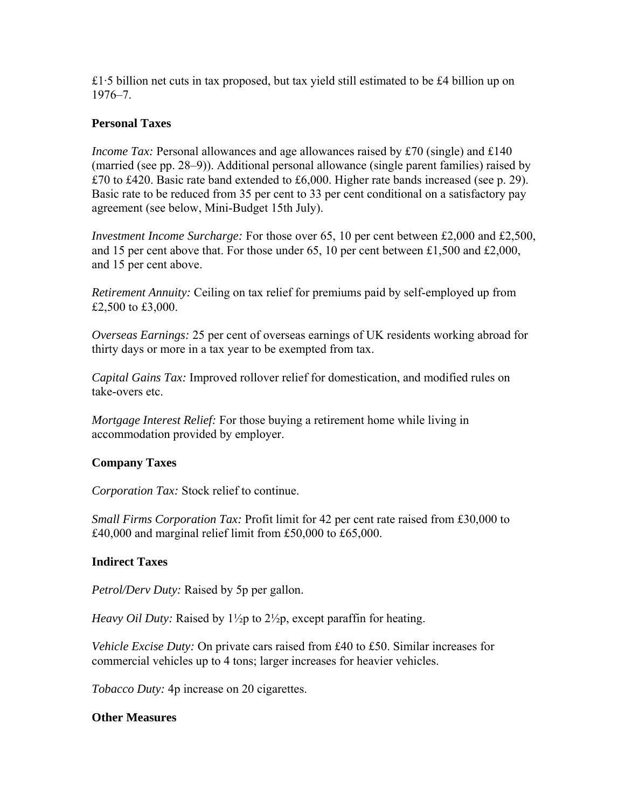£1.5 billion net cuts in tax proposed, but tax yield still estimated to be £4 billion up on 1976–7.

#### **Personal Taxes**

*Income Tax:* Personal allowances and age allowances raised by £70 (single) and £140 (married (see pp. 28–9)). Additional personal allowance (single parent families) raised by £70 to £420. Basic rate band extended to £6,000. Higher rate bands increased (see p. 29). Basic rate to be reduced from 35 per cent to 33 per cent conditional on a satisfactory pay agreement (see below, Mini-Budget 15th July).

*Investment Income Surcharge:* For those over 65, 10 per cent between £2,000 and £2,500, and 15 per cent above that. For those under 65, 10 per cent between £1,500 and £2,000, and 15 per cent above.

*Retirement Annuity:* Ceiling on tax relief for premiums paid by self-employed up from £2,500 to £3,000.

*Overseas Earnings:* 25 per cent of overseas earnings of UK residents working abroad for thirty days or more in a tax year to be exempted from tax.

*Capital Gains Tax:* Improved rollover relief for domestication, and modified rules on take-overs etc.

*Mortgage Interest Relief:* For those buying a retirement home while living in accommodation provided by employer.

#### **Company Taxes**

*Corporation Tax:* Stock relief to continue.

*Small Firms Corporation Tax:* Profit limit for 42 per cent rate raised from £30,000 to £40,000 and marginal relief limit from £50,000 to £65,000.

#### **Indirect Taxes**

*Petrol/Derv Duty:* Raised by 5p per gallon.

*Heavy Oil Duty:* Raised by 1<sup>1</sup>/<sub>2</sub>p to 2<sup>1</sup>/<sub>2</sub>p, except paraffin for heating.

*Vehicle Excise Duty:* On private cars raised from £40 to £50. Similar increases for commercial vehicles up to 4 tons; larger increases for heavier vehicles.

*Tobacco Duty:* 4p increase on 20 cigarettes.

#### **Other Measures**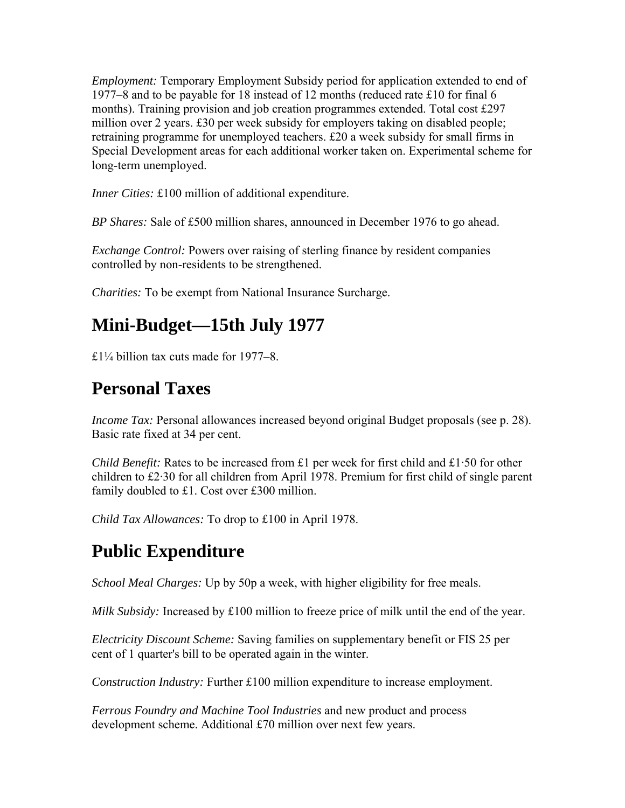*Employment:* Temporary Employment Subsidy period for application extended to end of 1977–8 and to be payable for 18 instead of 12 months (reduced rate £10 for final 6 months). Training provision and job creation programmes extended. Total cost £297 million over 2 years. £30 per week subsidy for employers taking on disabled people; retraining programme for unemployed teachers. £20 a week subsidy for small firms in Special Development areas for each additional worker taken on. Experimental scheme for long-term unemployed.

*Inner Cities:* £100 million of additional expenditure.

*BP Shares:* Sale of £500 million shares, announced in December 1976 to go ahead.

*Exchange Control:* Powers over raising of sterling finance by resident companies controlled by non-residents to be strengthened.

*Charities:* To be exempt from National Insurance Surcharge.

#### **Mini-Budget—15th July 1977**

£1¼ billion tax cuts made for 1977–8.

#### **Personal Taxes**

*Income Tax:* Personal allowances increased beyond original Budget proposals (see p. 28). Basic rate fixed at 34 per cent.

*Child Benefit:* Rates to be increased from £1 per week for first child and £1·50 for other children to £2·30 for all children from April 1978. Premium for first child of single parent family doubled to £1. Cost over £300 million.

*Child Tax Allowances:* To drop to £100 in April 1978.

## **Public Expenditure**

*School Meal Charges:* Up by 50p a week, with higher eligibility for free meals.

*Milk Subsidy:* Increased by £100 million to freeze price of milk until the end of the year.

*Electricity Discount Scheme:* Saving families on supplementary benefit or FIS 25 per cent of 1 quarter's bill to be operated again in the winter.

*Construction Industry:* Further £100 million expenditure to increase employment.

*Ferrous Foundry and Machine Tool Industries* and new product and process development scheme. Additional £70 million over next few years.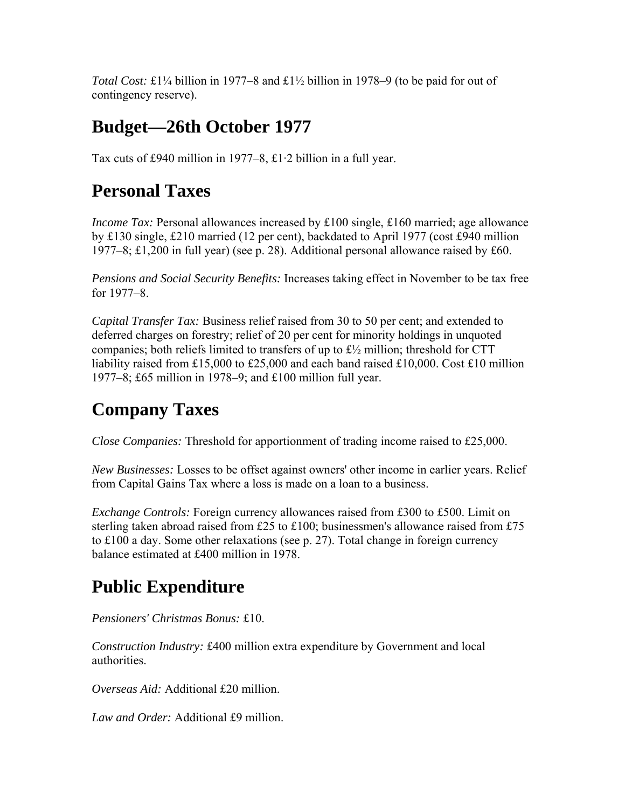*Total Cost:* £1¼ billion in 1977–8 and £1½ billion in 1978–9 (to be paid for out of contingency reserve).

## **Budget—26th October 1977**

Tax cuts of £940 million in 1977–8, £1·2 billion in a full year.

#### **Personal Taxes**

*Income Tax:* Personal allowances increased by £100 single, £160 married; age allowance by £130 single, £210 married (12 per cent), backdated to April 1977 (cost £940 million 1977–8; £1,200 in full year) (see p. 28). Additional personal allowance raised by £60.

*Pensions and Social Security Benefits:* Increases taking effect in November to be tax free for 1977–8.

*Capital Transfer Tax:* Business relief raised from 30 to 50 per cent; and extended to deferred charges on forestry; relief of 20 per cent for minority holdings in unquoted companies; both reliefs limited to transfers of up to £½ million; threshold for CTT liability raised from £15,000 to £25,000 and each band raised £10,000. Cost £10 million 1977–8; £65 million in 1978–9; and £100 million full year.

#### **Company Taxes**

*Close Companies:* Threshold for apportionment of trading income raised to £25,000.

*New Businesses:* Losses to be offset against owners' other income in earlier years. Relief from Capital Gains Tax where a loss is made on a loan to a business.

*Exchange Controls:* Foreign currency allowances raised from £300 to £500. Limit on sterling taken abroad raised from £25 to £100; businessmen's allowance raised from £75 to £100 a day. Some other relaxations (see p. 27). Total change in foreign currency balance estimated at £400 million in 1978.

# **Public Expenditure**

*Pensioners' Christmas Bonus:* £10.

*Construction Industry:* £400 million extra expenditure by Government and local authorities.

*Overseas Aid:* Additional £20 million.

*Law and Order:* Additional £9 million.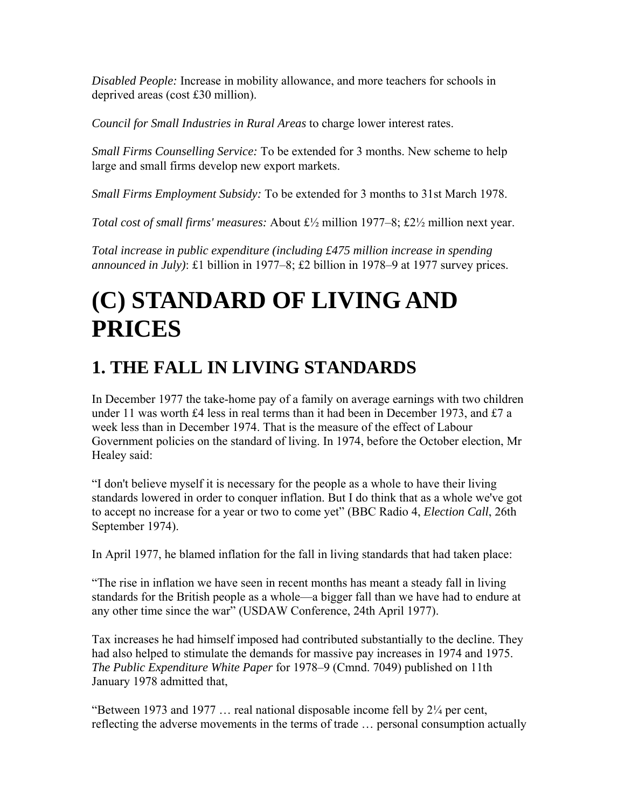*Disabled People:* Increase in mobility allowance, and more teachers for schools in deprived areas (cost £30 million).

*Council for Small Industries in Rural Areas* to charge lower interest rates.

*Small Firms Counselling Service:* To be extended for 3 months. New scheme to help large and small firms develop new export markets.

*Small Firms Employment Subsidy:* To be extended for 3 months to 31st March 1978.

*Total cost of small firms' measures:* About £½ million 1977–8; £2½ million next year.

*Total increase in public expenditure (including £475 million increase in spending announced in July)*: £1 billion in 1977–8; £2 billion in 1978–9 at 1977 survey prices.

# **(C) STANDARD OF LIVING AND PRICES**

# **1. THE FALL IN LIVING STANDARDS**

In December 1977 the take-home pay of a family on average earnings with two children under 11 was worth £4 less in real terms than it had been in December 1973, and £7 a week less than in December 1974. That is the measure of the effect of Labour Government policies on the standard of living. In 1974, before the October election, Mr Healey said:

"I don't believe myself it is necessary for the people as a whole to have their living standards lowered in order to conquer inflation. But I do think that as a whole we've got to accept no increase for a year or two to come yet" (BBC Radio 4, *Election Call*, 26th September 1974).

In April 1977, he blamed inflation for the fall in living standards that had taken place:

"The rise in inflation we have seen in recent months has meant a steady fall in living standards for the British people as a whole—a bigger fall than we have had to endure at any other time since the war" (USDAW Conference, 24th April 1977).

Tax increases he had himself imposed had contributed substantially to the decline. They had also helped to stimulate the demands for massive pay increases in 1974 and 1975. *The Public Expenditure White Paper* for 1978–9 (Cmnd. 7049) published on 11th January 1978 admitted that,

"Between 1973 and 1977 ... real national disposable income fell by  $2\frac{1}{4}$  per cent, reflecting the adverse movements in the terms of trade … personal consumption actually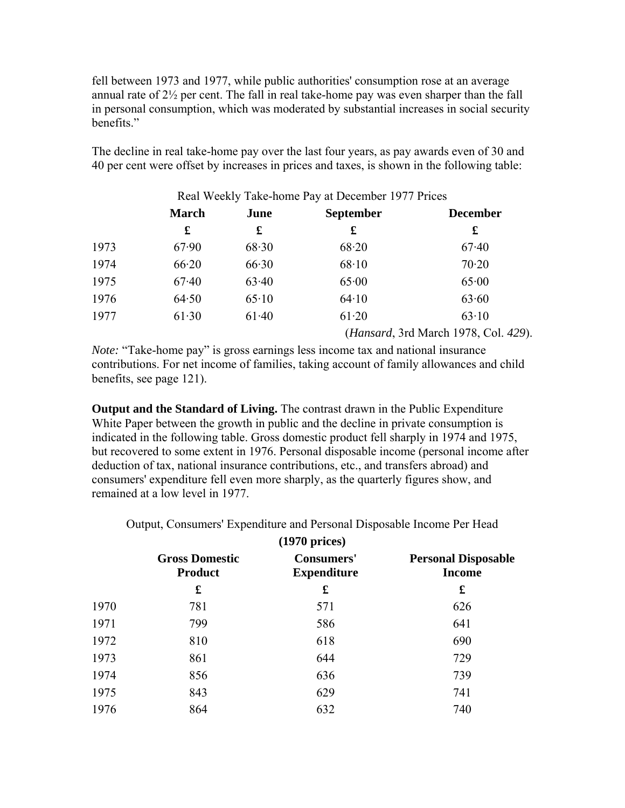fell between 1973 and 1977, while public authorities' consumption rose at an average annual rate of 2½ per cent. The fall in real take-home pay was even sharper than the fall in personal consumption, which was moderated by substantial increases in social security benefits."

The decline in real take-home pay over the last four years, as pay awards even of 30 and 40 per cent were offset by increases in prices and taxes, is shown in the following table:

|      |              |         | Real Weekly Take-home Pay at December 1977 Prices |                                               |
|------|--------------|---------|---------------------------------------------------|-----------------------------------------------|
|      | <b>March</b> | June    | <b>September</b>                                  | <b>December</b>                               |
|      | £            | £       | £                                                 | £                                             |
| 1973 | 67.90        | 68.30   | 68.20                                             | 67.40                                         |
| 1974 | 66.20        | 66.30   | 68.10                                             | 70.20                                         |
| 1975 | 67.40        | 63.40   | 65.00                                             | 65.00                                         |
| 1976 | 64.50        | 65.10   | 64.10                                             | 63.60                                         |
| 1977 | 61.30        | $61-40$ | 61.20                                             | 63.10                                         |
|      |              |         |                                                   | ( <i>Hansard</i> , 3rd March 1978, Col. 429). |

*Note:* "Take-home pay" is gross earnings less income tax and national insurance contributions. For net income of families, taking account of family allowances and child benefits, see page 121).

**Output and the Standard of Living.** The contrast drawn in the Public Expenditure White Paper between the growth in public and the decline in private consumption is indicated in the following table. Gross domestic product fell sharply in 1974 and 1975, but recovered to some extent in 1976. Personal disposable income (personal income after deduction of tax, national insurance contributions, etc., and transfers abroad) and consumers' expenditure fell even more sharply, as the quarterly figures show, and remained at a low level in 1977.

Output, Consumers' Expenditure and Personal Disposable Income Per Head

|      | $(1970)$ prices)                        |                                         |                                             |  |  |
|------|-----------------------------------------|-----------------------------------------|---------------------------------------------|--|--|
|      | <b>Gross Domestic</b><br><b>Product</b> | <b>Consumers'</b><br><b>Expenditure</b> | <b>Personal Disposable</b><br><b>Income</b> |  |  |
|      | £                                       | £                                       | £                                           |  |  |
| 1970 | 781                                     | 571                                     | 626                                         |  |  |
| 1971 | 799                                     | 586                                     | 641                                         |  |  |
| 1972 | 810                                     | 618                                     | 690                                         |  |  |
| 1973 | 861                                     | 644                                     | 729                                         |  |  |
| 1974 | 856                                     | 636                                     | 739                                         |  |  |
| 1975 | 843                                     | 629                                     | 741                                         |  |  |
| 1976 | 864                                     | 632                                     | 740                                         |  |  |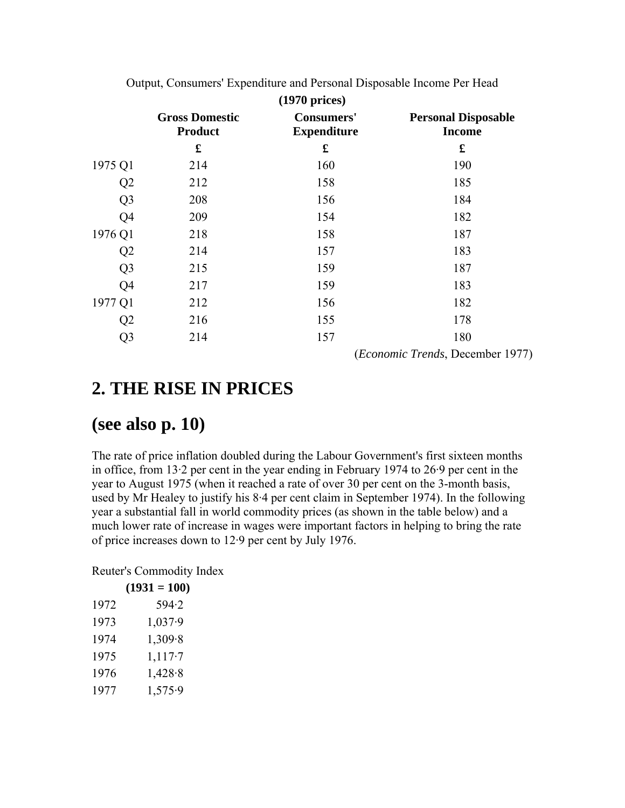| $(1970)$ prices) |                                         |                                         |                                             |  |
|------------------|-----------------------------------------|-----------------------------------------|---------------------------------------------|--|
|                  | <b>Gross Domestic</b><br><b>Product</b> | <b>Consumers'</b><br><b>Expenditure</b> | <b>Personal Disposable</b><br><b>Income</b> |  |
|                  | £                                       | £                                       | £                                           |  |
| 1975 Q1          | 214                                     | 160                                     | 190                                         |  |
| Q2               | 212                                     | 158                                     | 185                                         |  |
| Q <sub>3</sub>   | 208                                     | 156                                     | 184                                         |  |
| Q <sub>4</sub>   | 209                                     | 154                                     | 182                                         |  |
| 1976 Q1          | 218                                     | 158                                     | 187                                         |  |
| Q <sub>2</sub>   | 214                                     | 157                                     | 183                                         |  |
| Q <sub>3</sub>   | 215                                     | 159                                     | 187                                         |  |
| Q4               | 217                                     | 159                                     | 183                                         |  |
| 1977 Q1          | 212                                     | 156                                     | 182                                         |  |
| Q2               | 216                                     | 155                                     | 178                                         |  |
| Q <sub>3</sub>   | 214                                     | 157                                     | 180                                         |  |
|                  |                                         |                                         | ( <i>Economic Trends</i> , December 1977)   |  |

Output, Consumers' Expenditure and Personal Disposable Income Per Head

#### **2. THE RISE IN PRICES**

#### **(see also p. 10)**

The rate of price inflation doubled during the Labour Government's first sixteen months in office, from 13·2 per cent in the year ending in February 1974 to 26·9 per cent in the year to August 1975 (when it reached a rate of over 30 per cent on the 3-month basis, used by Mr Healey to justify his 8·4 per cent claim in September 1974). In the following year a substantial fall in world commodity prices (as shown in the table below) and a much lower rate of increase in wages were important factors in helping to bring the rate of price increases down to 12·9 per cent by July 1976.

Reuter's Commodity Index

|      | $(1931 = 100)$ |
|------|----------------|
| 1972 | 594.2          |
| 1973 | 1,037.9        |
| 1974 | 1,309.8        |
| 1975 | 1,117.7        |
| 1976 | 1,428.8        |
| 1977 | 1,575.9        |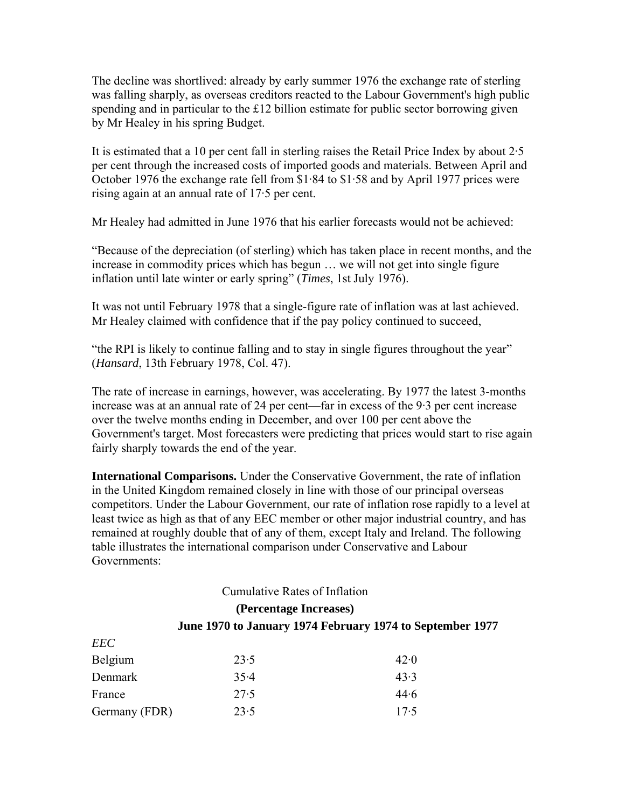The decline was shortlived: already by early summer 1976 the exchange rate of sterling was falling sharply, as overseas creditors reacted to the Labour Government's high public spending and in particular to the £12 billion estimate for public sector borrowing given by Mr Healey in his spring Budget.

It is estimated that a 10 per cent fall in sterling raises the Retail Price Index by about 2·5 per cent through the increased costs of imported goods and materials. Between April and October 1976 the exchange rate fell from \$1·84 to \$1·58 and by April 1977 prices were rising again at an annual rate of 17·5 per cent.

Mr Healey had admitted in June 1976 that his earlier forecasts would not be achieved:

"Because of the depreciation (of sterling) which has taken place in recent months, and the increase in commodity prices which has begun … we will not get into single figure inflation until late winter or early spring" (*Times*, 1st July 1976).

It was not until February 1978 that a single-figure rate of inflation was at last achieved. Mr Healey claimed with confidence that if the pay policy continued to succeed,

"the RPI is likely to continue falling and to stay in single figures throughout the year" (*Hansard*, 13th February 1978, Col. 47).

The rate of increase in earnings, however, was accelerating. By 1977 the latest 3-months increase was at an annual rate of 24 per cent—far in excess of the 9·3 per cent increase over the twelve months ending in December, and over 100 per cent above the Government's target. Most forecasters were predicting that prices would start to rise again fairly sharply towards the end of the year.

**International Comparisons.** Under the Conservative Government, the rate of inflation in the United Kingdom remained closely in line with those of our principal overseas competitors. Under the Labour Government, our rate of inflation rose rapidly to a level at least twice as high as that of any EEC member or other major industrial country, and has remained at roughly double that of any of them, except Italy and Ireland. The following table illustrates the international comparison under Conservative and Labour Governments:

#### Cumulative Rates of Inflation **(Percentage Increases) June 1970 to January 1974 February 1974 to September 1977**

| EEC           |      |      |
|---------------|------|------|
| Belgium       | 23.5 | 42.0 |
| Denmark       | 35.4 | 43.3 |
| France        | 27.5 | 44.6 |
| Germany (FDR) | 23.5 | 17.5 |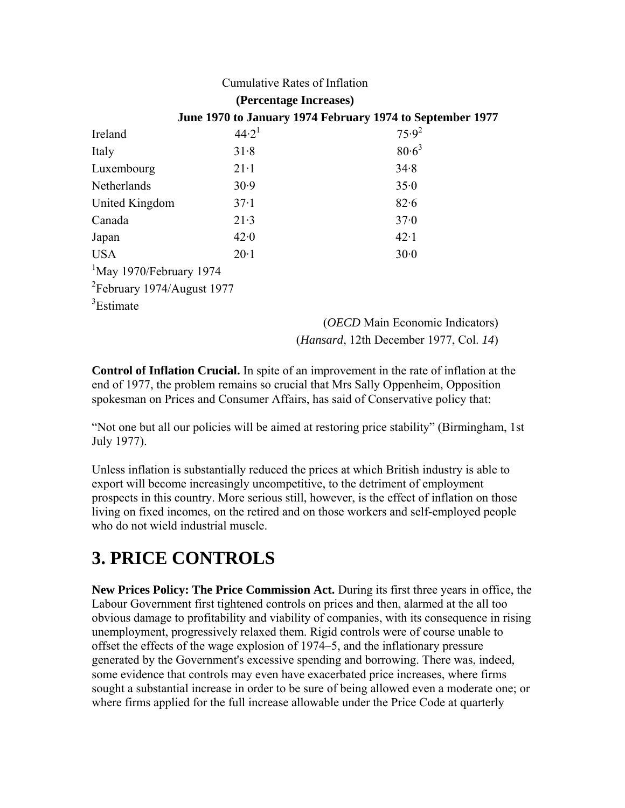#### Cumulative Rates of Inflation

|                                     | (Percentage Increases) |                                                           |
|-------------------------------------|------------------------|-----------------------------------------------------------|
|                                     |                        | June 1970 to January 1974 February 1974 to September 1977 |
| Ireland                             | $44.2^1$               | $75.9^2$                                                  |
| Italy                               | 31.8                   | $80.6^3$                                                  |
| Luxembourg                          | $21-1$                 | 34.8                                                      |
| Netherlands                         | 30.9                   | 35.0                                                      |
| United Kingdom                      | 37.1                   | 82.6                                                      |
| Canada                              | 21.3                   | 37.0                                                      |
| Japan                               | 42.0                   | $42 \cdot 1$                                              |
| <b>USA</b>                          | $20 \cdot 1$           | 30.0                                                      |
| <sup>1</sup> May 1970/February 1974 |                        |                                                           |
| $2$ February 1974/August 1977       |                        |                                                           |
| <sup>3</sup> Estimate               |                        |                                                           |

(*OECD* Main Economic Indicators) (*Hansard*, 12th December 1977, Col. *14*)

**Control of Inflation Crucial.** In spite of an improvement in the rate of inflation at the end of 1977, the problem remains so crucial that Mrs Sally Oppenheim, Opposition spokesman on Prices and Consumer Affairs, has said of Conservative policy that:

"Not one but all our policies will be aimed at restoring price stability" (Birmingham, 1st July 1977).

Unless inflation is substantially reduced the prices at which British industry is able to export will become increasingly uncompetitive, to the detriment of employment prospects in this country. More serious still, however, is the effect of inflation on those living on fixed incomes, on the retired and on those workers and self-employed people who do not wield industrial muscle.

#### **3. PRICE CONTROLS**

**New Prices Policy: The Price Commission Act.** During its first three years in office, the Labour Government first tightened controls on prices and then, alarmed at the all too obvious damage to profitability and viability of companies, with its consequence in rising unemployment, progressively relaxed them. Rigid controls were of course unable to offset the effects of the wage explosion of 1974–5, and the inflationary pressure generated by the Government's excessive spending and borrowing. There was, indeed, some evidence that controls may even have exacerbated price increases, where firms sought a substantial increase in order to be sure of being allowed even a moderate one; or where firms applied for the full increase allowable under the Price Code at quarterly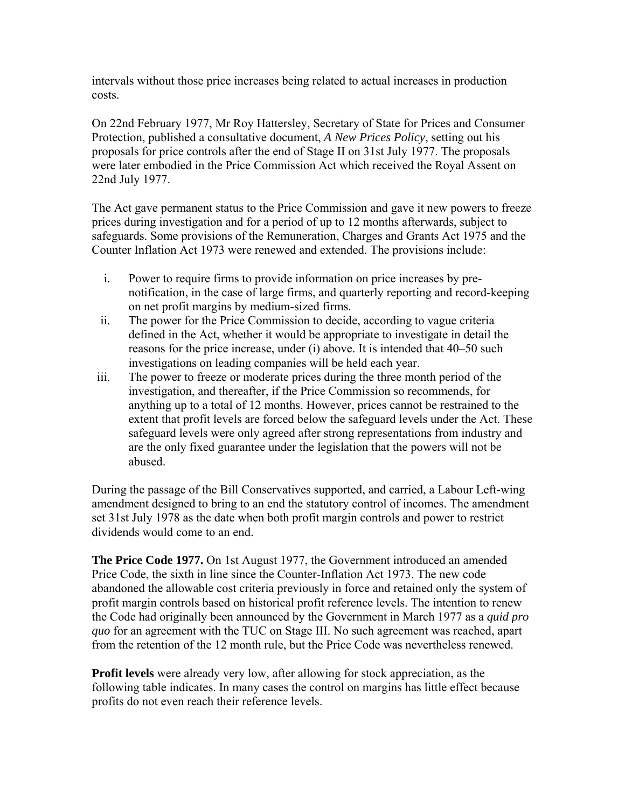intervals without those price increases being related to actual increases in production costs.

On 22nd February 1977, Mr Roy Hattersley, Secretary of State for Prices and Consumer Protection, published a consultative document, *A New Prices Policy*, setting out his proposals for price controls after the end of Stage II on 31st July 1977. The proposals were later embodied in the Price Commission Act which received the Royal Assent on 22nd July 1977.

The Act gave permanent status to the Price Commission and gave it new powers to freeze prices during investigation and for a period of up to 12 months afterwards, subject to safeguards. Some provisions of the Remuneration, Charges and Grants Act 1975 and the Counter Inflation Act 1973 were renewed and extended. The provisions include:

- i. Power to require firms to provide information on price increases by prenotification, in the case of large firms, and quarterly reporting and record-keeping on net profit margins by medium-sized firms.
- ii. The power for the Price Commission to decide, according to vague criteria defined in the Act, whether it would be appropriate to investigate in detail the reasons for the price increase, under (i) above. It is intended that 40–50 such investigations on leading companies will be held each year.
- iii. The power to freeze or moderate prices during the three month period of the investigation, and thereafter, if the Price Commission so recommends, for anything up to a total of 12 months. However, prices cannot be restrained to the extent that profit levels are forced below the safeguard levels under the Act. These safeguard levels were only agreed after strong representations from industry and are the only fixed guarantee under the legislation that the powers will not be abused.

During the passage of the Bill Conservatives supported, and carried, a Labour Left-wing amendment designed to bring to an end the statutory control of incomes. The amendment set 31st July 1978 as the date when both profit margin controls and power to restrict dividends would come to an end.

**The Price Code 1977.** On 1st August 1977, the Government introduced an amended Price Code, the sixth in line since the Counter-Inflation Act 1973. The new code abandoned the allowable cost criteria previously in force and retained only the system of profit margin controls based on historical profit reference levels. The intention to renew the Code had originally been announced by the Government in March 1977 as a *quid pro quo* for an agreement with the TUC on Stage III. No such agreement was reached, apart from the retention of the 12 month rule, but the Price Code was nevertheless renewed.

**Profit levels** were already very low, after allowing for stock appreciation, as the following table indicates. In many cases the control on margins has little effect because profits do not even reach their reference levels.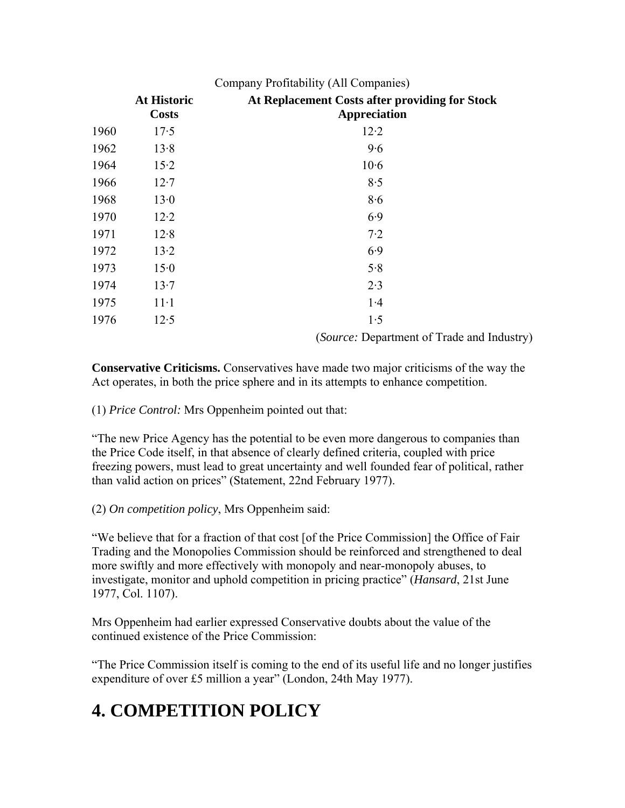|      | Company Profitability (All Companies) |                                                                       |  |  |  |
|------|---------------------------------------|-----------------------------------------------------------------------|--|--|--|
|      | <b>At Historic</b><br><b>Costs</b>    | At Replacement Costs after providing for Stock<br><b>Appreciation</b> |  |  |  |
| 1960 | 17.5                                  | $12-2$                                                                |  |  |  |
| 1962 | 13.8                                  | 9.6                                                                   |  |  |  |
| 1964 | $15-2$                                | $10-6$                                                                |  |  |  |
| 1966 | $12-7$                                | 8.5                                                                   |  |  |  |
| 1968 | 13.0                                  | 8.6                                                                   |  |  |  |
| 1970 | $12-2$                                | 6.9                                                                   |  |  |  |
| 1971 | 12.8                                  | 7.2                                                                   |  |  |  |
| 1972 | 13.2                                  | 6.9                                                                   |  |  |  |
| 1973 | 15.0                                  | 5.8                                                                   |  |  |  |
| 1974 | 13.7                                  | 2.3                                                                   |  |  |  |
| 1975 | $11-1$                                | 1.4                                                                   |  |  |  |
| 1976 | 12.5                                  | 1.5<br>$\sim$ $\sim$                                                  |  |  |  |

(*Source:* Department of Trade and Industry)

**Conservative Criticisms.** Conservatives have made two major criticisms of the way the Act operates, in both the price sphere and in its attempts to enhance competition.

(1) *Price Control:* Mrs Oppenheim pointed out that:

"The new Price Agency has the potential to be even more dangerous to companies than the Price Code itself, in that absence of clearly defined criteria, coupled with price freezing powers, must lead to great uncertainty and well founded fear of political, rather than valid action on prices" (Statement, 22nd February 1977).

(2) *On competition policy*, Mrs Oppenheim said:

"We believe that for a fraction of that cost [of the Price Commission] the Office of Fair Trading and the Monopolies Commission should be reinforced and strengthened to deal more swiftly and more effectively with monopoly and near-monopoly abuses, to investigate, monitor and uphold competition in pricing practice" (*Hansard*, 21st June 1977, Col. 1107).

Mrs Oppenheim had earlier expressed Conservative doubts about the value of the continued existence of the Price Commission:

"The Price Commission itself is coming to the end of its useful life and no longer justifies expenditure of over £5 million a year" (London, 24th May 1977).

# **4. COMPETITION POLICY**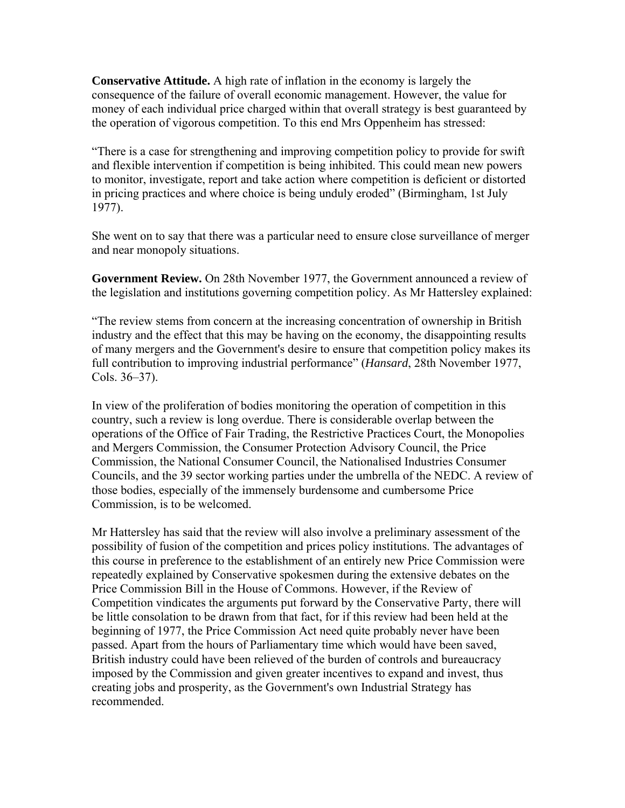**Conservative Attitude.** A high rate of inflation in the economy is largely the consequence of the failure of overall economic management. However, the value for money of each individual price charged within that overall strategy is best guaranteed by the operation of vigorous competition. To this end Mrs Oppenheim has stressed:

"There is a case for strengthening and improving competition policy to provide for swift and flexible intervention if competition is being inhibited. This could mean new powers to monitor, investigate, report and take action where competition is deficient or distorted in pricing practices and where choice is being unduly eroded" (Birmingham, 1st July 1977).

She went on to say that there was a particular need to ensure close surveillance of merger and near monopoly situations.

**Government Review.** On 28th November 1977, the Government announced a review of the legislation and institutions governing competition policy. As Mr Hattersley explained:

"The review stems from concern at the increasing concentration of ownership in British industry and the effect that this may be having on the economy, the disappointing results of many mergers and the Government's desire to ensure that competition policy makes its full contribution to improving industrial performance" (*Hansard*, 28th November 1977, Cols. 36–37).

In view of the proliferation of bodies monitoring the operation of competition in this country, such a review is long overdue. There is considerable overlap between the operations of the Office of Fair Trading, the Restrictive Practices Court, the Monopolies and Mergers Commission, the Consumer Protection Advisory Council, the Price Commission, the National Consumer Council, the Nationalised Industries Consumer Councils, and the 39 sector working parties under the umbrella of the NEDC. A review of those bodies, especially of the immensely burdensome and cumbersome Price Commission, is to be welcomed.

Mr Hattersley has said that the review will also involve a preliminary assessment of the possibility of fusion of the competition and prices policy institutions. The advantages of this course in preference to the establishment of an entirely new Price Commission were repeatedly explained by Conservative spokesmen during the extensive debates on the Price Commission Bill in the House of Commons. However, if the Review of Competition vindicates the arguments put forward by the Conservative Party, there will be little consolation to be drawn from that fact, for if this review had been held at the beginning of 1977, the Price Commission Act need quite probably never have been passed. Apart from the hours of Parliamentary time which would have been saved, British industry could have been relieved of the burden of controls and bureaucracy imposed by the Commission and given greater incentives to expand and invest, thus creating jobs and prosperity, as the Government's own Industrial Strategy has recommended.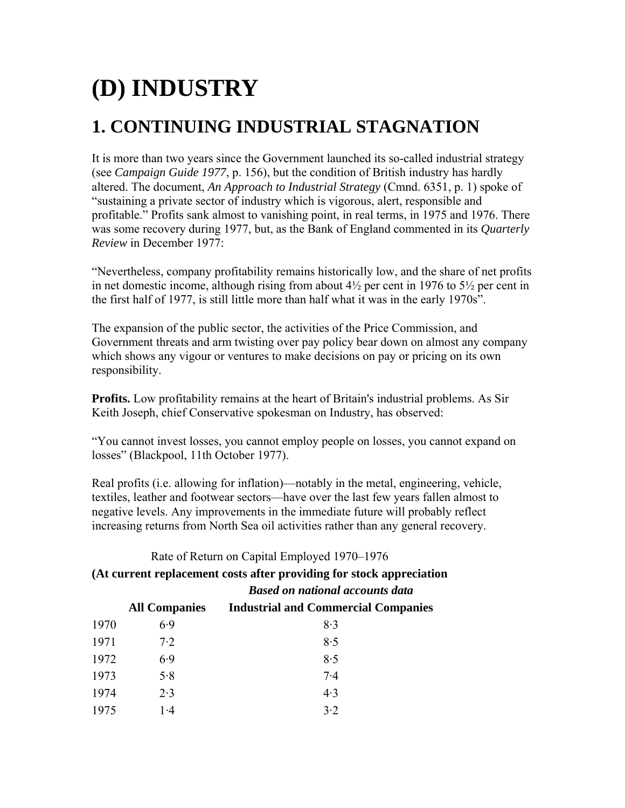# **(D) INDUSTRY**

## **1. CONTINUING INDUSTRIAL STAGNATION**

It is more than two years since the Government launched its so-called industrial strategy (see *Campaign Guide 1977*, p. 156), but the condition of British industry has hardly altered. The document, *An Approach to Industrial Strategy* (Cmnd. 6351, p. 1) spoke of "sustaining a private sector of industry which is vigorous, alert, responsible and profitable." Profits sank almost to vanishing point, in real terms, in 1975 and 1976. There was some recovery during 1977, but, as the Bank of England commented in its *Quarterly Review* in December 1977:

"Nevertheless, company profitability remains historically low, and the share of net profits in net domestic income, although rising from about  $4\frac{1}{2}$  per cent in 1976 to  $5\frac{1}{2}$  per cent in the first half of 1977, is still little more than half what it was in the early 1970s".

The expansion of the public sector, the activities of the Price Commission, and Government threats and arm twisting over pay policy bear down on almost any company which shows any vigour or ventures to make decisions on pay or pricing on its own responsibility.

**Profits.** Low profitability remains at the heart of Britain's industrial problems. As Sir Keith Joseph, chief Conservative spokesman on Industry, has observed:

"You cannot invest losses, you cannot employ people on losses, you cannot expand on losses" (Blackpool, 11th October 1977).

Real profits (i.e. allowing for inflation)—notably in the metal, engineering, vehicle, textiles, leather and footwear sectors—have over the last few years fallen almost to negative levels. Any improvements in the immediate future will probably reflect increasing returns from North Sea oil activities rather than any general recovery.

Rate of Return on Capital Employed 1970–1976

**(At current replacement costs after providing for stock appreciation** 

*Based on national accounts data*

|      | <b>All Companies</b> | <b>Industrial and Commercial Companies</b> |
|------|----------------------|--------------------------------------------|
| 1970 | 6.9                  | 8.3                                        |
| 1971 | 7.2                  | 8.5                                        |
| 1972 | 6.9                  | 8.5                                        |
| 1973 | 5.8                  | $7-4$                                      |
| 1974 | 2.3                  | 4.3                                        |
| 1975 | 1.4                  | 3.2                                        |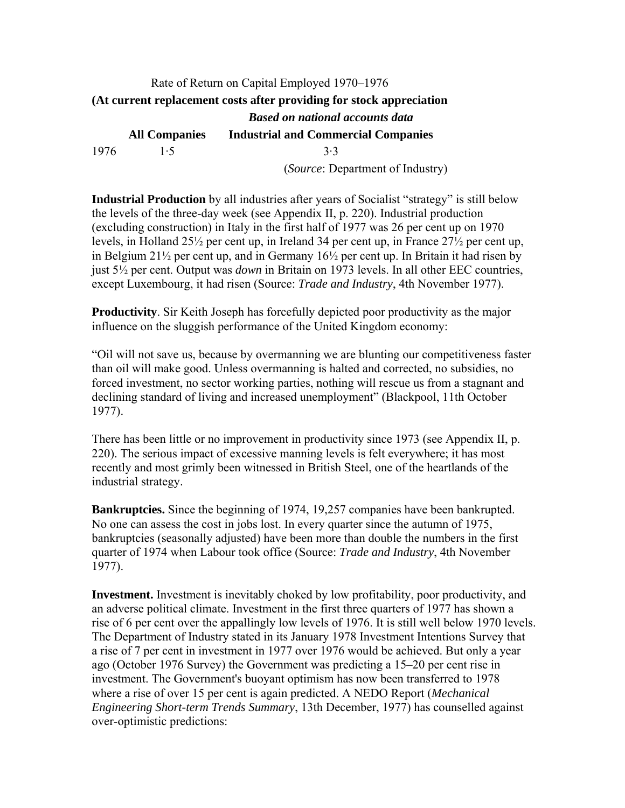#### Rate of Return on Capital Employed 1970–1976 **(At current replacement costs after providing for stock appreciation** *Based on national accounts data*  **All Companies Industrial and Commercial Companies**  1976 1·5 3·3 (*Source*: Department of Industry)

**Industrial Production** by all industries after years of Socialist "strategy" is still below the levels of the three-day week (see Appendix II, p. 220). Industrial production (excluding construction) in Italy in the first half of 1977 was 26 per cent up on 1970 levels, in Holland 25½ per cent up, in Ireland 34 per cent up, in France 27½ per cent up, in Belgium 21½ per cent up, and in Germany 16½ per cent up. In Britain it had risen by just 5½ per cent. Output was *down* in Britain on 1973 levels. In all other EEC countries, except Luxembourg, it had risen (Source: *Trade and Industry*, 4th November 1977).

**Productivity**. Sir Keith Joseph has forcefully depicted poor productivity as the major influence on the sluggish performance of the United Kingdom economy:

"Oil will not save us, because by overmanning we are blunting our competitiveness faster than oil will make good. Unless overmanning is halted and corrected, no subsidies, no forced investment, no sector working parties, nothing will rescue us from a stagnant and declining standard of living and increased unemployment" (Blackpool, 11th October 1977).

There has been little or no improvement in productivity since 1973 (see Appendix II, p. 220). The serious impact of excessive manning levels is felt everywhere; it has most recently and most grimly been witnessed in British Steel, one of the heartlands of the industrial strategy.

**Bankruptcies.** Since the beginning of 1974, 19,257 companies have been bankrupted. No one can assess the cost in jobs lost. In every quarter since the autumn of 1975, bankruptcies (seasonally adjusted) have been more than double the numbers in the first quarter of 1974 when Labour took office (Source: *Trade and Industry*, 4th November 1977).

**Investment.** Investment is inevitably choked by low profitability, poor productivity, and an adverse political climate. Investment in the first three quarters of 1977 has shown a rise of 6 per cent over the appallingly low levels of 1976. It is still well below 1970 levels. The Department of Industry stated in its January 1978 Investment Intentions Survey that a rise of 7 per cent in investment in 1977 over 1976 would be achieved. But only a year ago (October 1976 Survey) the Government was predicting a 15–20 per cent rise in investment. The Government's buoyant optimism has now been transferred to 1978 where a rise of over 15 per cent is again predicted. A NEDO Report (*Mechanical Engineering Short-term Trends Summary*, 13th December, 1977) has counselled against over-optimistic predictions: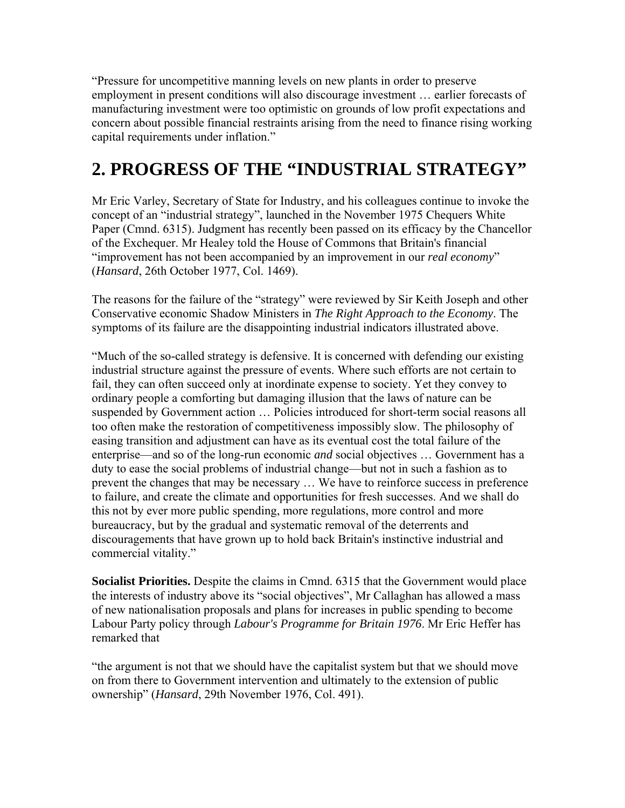"Pressure for uncompetitive manning levels on new plants in order to preserve employment in present conditions will also discourage investment … earlier forecasts of manufacturing investment were too optimistic on grounds of low profit expectations and concern about possible financial restraints arising from the need to finance rising working capital requirements under inflation."

#### **2. PROGRESS OF THE "INDUSTRIAL STRATEGY"**

Mr Eric Varley, Secretary of State for Industry, and his colleagues continue to invoke the concept of an "industrial strategy", launched in the November 1975 Chequers White Paper (Cmnd. 6315). Judgment has recently been passed on its efficacy by the Chancellor of the Exchequer. Mr Healey told the House of Commons that Britain's financial "improvement has not been accompanied by an improvement in our *real economy*" (*Hansard*, 26th October 1977, Col. 1469).

The reasons for the failure of the "strategy" were reviewed by Sir Keith Joseph and other Conservative economic Shadow Ministers in *The Right Approach to the Economy*. The symptoms of its failure are the disappointing industrial indicators illustrated above.

"Much of the so-called strategy is defensive. It is concerned with defending our existing industrial structure against the pressure of events. Where such efforts are not certain to fail, they can often succeed only at inordinate expense to society. Yet they convey to ordinary people a comforting but damaging illusion that the laws of nature can be suspended by Government action … Policies introduced for short-term social reasons all too often make the restoration of competitiveness impossibly slow. The philosophy of easing transition and adjustment can have as its eventual cost the total failure of the enterprise—and so of the long-run economic *and* social objectives … Government has a duty to ease the social problems of industrial change—but not in such a fashion as to prevent the changes that may be necessary … We have to reinforce success in preference to failure, and create the climate and opportunities for fresh successes. And we shall do this not by ever more public spending, more regulations, more control and more bureaucracy, but by the gradual and systematic removal of the deterrents and discouragements that have grown up to hold back Britain's instinctive industrial and commercial vitality."

**Socialist Priorities.** Despite the claims in Cmnd. 6315 that the Government would place the interests of industry above its "social objectives", Mr Callaghan has allowed a mass of new nationalisation proposals and plans for increases in public spending to become Labour Party policy through *Labour's Programme for Britain 1976*. Mr Eric Heffer has remarked that

"the argument is not that we should have the capitalist system but that we should move on from there to Government intervention and ultimately to the extension of public ownership" (*Hansard*, 29th November 1976, Col. 491).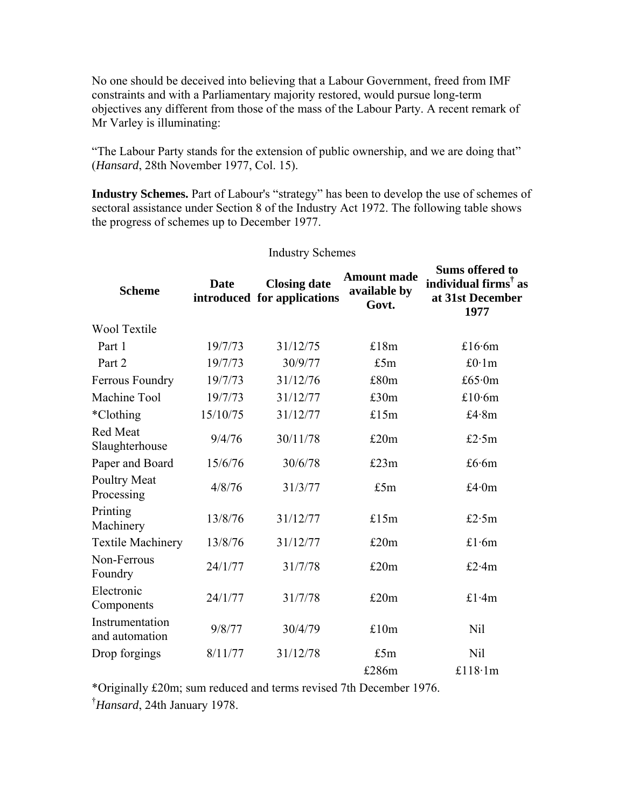No one should be deceived into believing that a Labour Government, freed from IMF constraints and with a Parliamentary majority restored, would pursue long-term objectives any different from those of the mass of the Labour Party. A recent remark of Mr Varley is illuminating:

"The Labour Party stands for the extension of public ownership, and we are doing that" (*Hansard*, 28th November 1977, Col. 15).

**Industry Schemes.** Part of Labour's "strategy" has been to develop the use of schemes of sectoral assistance under Section 8 of the Industry Act 1972. The following table shows the progress of schemes up to December 1977.

Industry Schemes

| <b>Scheme</b>                     | <b>Date</b> | <b>Closing date</b><br>introduced for applications | <b>Amount made</b><br>available by<br>Govt. | <b>Sums offered to</b><br>individual firms <sup>†</sup> as<br>at 31st December<br>1977 |
|-----------------------------------|-------------|----------------------------------------------------|---------------------------------------------|----------------------------------------------------------------------------------------|
| <b>Wool Textile</b>               |             |                                                    |                                             |                                                                                        |
| Part 1                            | 19/7/73     | 31/12/75                                           | £18m                                        | £16.6 $m$                                                                              |
| Part 2                            | 19/7/73     | 30/9/77                                            | £5m                                         | £ $0.1m$                                                                               |
| <b>Ferrous Foundry</b>            | 19/7/73     | 31/12/76                                           | £80m                                        | £65 $\cdot$ 0m                                                                         |
| Machine Tool                      | 19/7/73     | 31/12/77                                           | £30m                                        | £10 $\cdot$ 6m                                                                         |
| *Clothing                         | 15/10/75    | 31/12/77                                           | £15m                                        | £4.8 $m$                                                                               |
| <b>Red Meat</b><br>Slaughterhouse | 9/4/76      | 30/11/78                                           | £20m                                        | £2.5 $m$                                                                               |
| Paper and Board                   | 15/6/76     | 30/6/78                                            | £23m                                        | £6.6 $m$                                                                               |
| <b>Poultry Meat</b><br>Processing | 4/8/76      | 31/3/77                                            | £5m                                         | £4 $\cdot$ 0m                                                                          |
| Printing<br>Machinery             | 13/8/76     | 31/12/77                                           | £15m                                        | £2 $\cdot$ 5m                                                                          |
| <b>Textile Machinery</b>          | 13/8/76     | 31/12/77                                           | £20m                                        | £1.6 $m$                                                                               |
| Non-Ferrous<br>Foundry            | 24/1/77     | 31/7/78                                            | £20m                                        | £2 $\cdot$ 4m                                                                          |
| Electronic<br>Components          | 24/1/77     | 31/7/78                                            | £20m                                        | £1.4 $m$                                                                               |
| Instrumentation<br>and automation | 9/8/77      | 30/4/79                                            | £10m                                        | <b>Nil</b>                                                                             |
| Drop forgings                     | 8/11/77     | 31/12/78                                           | £5m                                         | <b>Nil</b>                                                                             |
|                                   |             |                                                    | £286m                                       | £118 $\cdot$ 1m                                                                        |

\*Originally £20m; sum reduced and terms revised 7th December 1976.

† *Hansard*, 24th January 1978.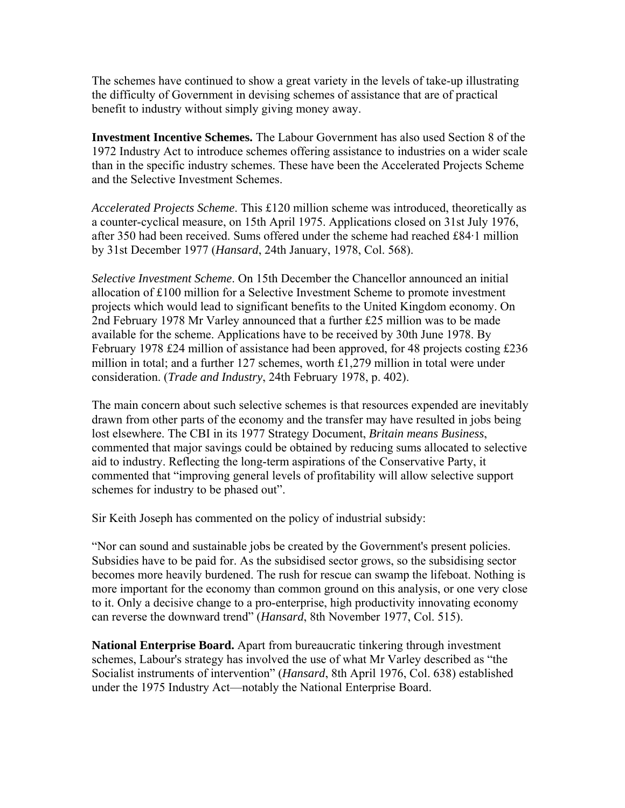The schemes have continued to show a great variety in the levels of take-up illustrating the difficulty of Government in devising schemes of assistance that are of practical benefit to industry without simply giving money away.

**Investment Incentive Schemes.** The Labour Government has also used Section 8 of the 1972 Industry Act to introduce schemes offering assistance to industries on a wider scale than in the specific industry schemes. These have been the Accelerated Projects Scheme and the Selective Investment Schemes.

*Accelerated Projects Scheme*. This £120 million scheme was introduced, theoretically as a counter-cyclical measure, on 15th April 1975. Applications closed on 31st July 1976, after 350 had been received. Sums offered under the scheme had reached £84·1 million by 31st December 1977 (*Hansard*, 24th January, 1978, Col. 568).

*Selective Investment Scheme*. On 15th December the Chancellor announced an initial allocation of £100 million for a Selective Investment Scheme to promote investment projects which would lead to significant benefits to the United Kingdom economy. On 2nd February 1978 Mr Varley announced that a further £25 million was to be made available for the scheme. Applications have to be received by 30th June 1978. By February 1978 £24 million of assistance had been approved, for 48 projects costing £236 million in total; and a further 127 schemes, worth £1,279 million in total were under consideration. (*Trade and Industry*, 24th February 1978, p. 402).

The main concern about such selective schemes is that resources expended are inevitably drawn from other parts of the economy and the transfer may have resulted in jobs being lost elsewhere. The CBI in its 1977 Strategy Document, *Britain means Business*, commented that major savings could be obtained by reducing sums allocated to selective aid to industry. Reflecting the long-term aspirations of the Conservative Party, it commented that "improving general levels of profitability will allow selective support schemes for industry to be phased out".

Sir Keith Joseph has commented on the policy of industrial subsidy:

"Nor can sound and sustainable jobs be created by the Government's present policies. Subsidies have to be paid for. As the subsidised sector grows, so the subsidising sector becomes more heavily burdened. The rush for rescue can swamp the lifeboat. Nothing is more important for the economy than common ground on this analysis, or one very close to it. Only a decisive change to a pro-enterprise, high productivity innovating economy can reverse the downward trend" (*Hansard*, 8th November 1977, Col. 515).

**National Enterprise Board.** Apart from bureaucratic tinkering through investment schemes, Labour's strategy has involved the use of what Mr Varley described as "the Socialist instruments of intervention" (*Hansard*, 8th April 1976, Col. 638) established under the 1975 Industry Act—notably the National Enterprise Board.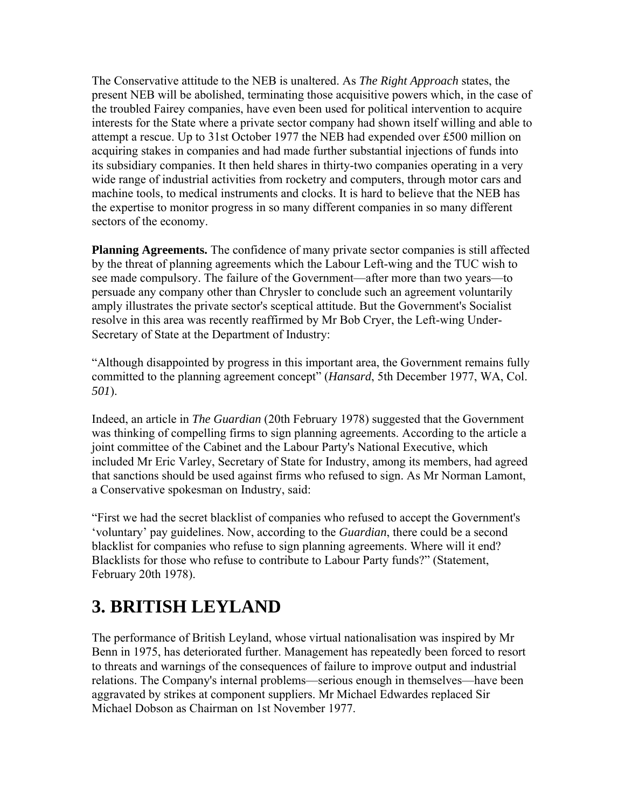The Conservative attitude to the NEB is unaltered. As *The Right Approach* states, the present NEB will be abolished, terminating those acquisitive powers which, in the case of the troubled Fairey companies, have even been used for political intervention to acquire interests for the State where a private sector company had shown itself willing and able to attempt a rescue. Up to 31st October 1977 the NEB had expended over £500 million on acquiring stakes in companies and had made further substantial injections of funds into its subsidiary companies. It then held shares in thirty-two companies operating in a very wide range of industrial activities from rocketry and computers, through motor cars and machine tools, to medical instruments and clocks. It is hard to believe that the NEB has the expertise to monitor progress in so many different companies in so many different sectors of the economy.

**Planning Agreements.** The confidence of many private sector companies is still affected by the threat of planning agreements which the Labour Left-wing and the TUC wish to see made compulsory. The failure of the Government—after more than two years—to persuade any company other than Chrysler to conclude such an agreement voluntarily amply illustrates the private sector's sceptical attitude. But the Government's Socialist resolve in this area was recently reaffirmed by Mr Bob Cryer, the Left-wing Under-Secretary of State at the Department of Industry:

"Although disappointed by progress in this important area, the Government remains fully committed to the planning agreement concept" (*Hansard*, 5th December 1977, WA, Col. *501*).

Indeed, an article in *The Guardian* (20th February 1978) suggested that the Government was thinking of compelling firms to sign planning agreements. According to the article a joint committee of the Cabinet and the Labour Party's National Executive, which included Mr Eric Varley, Secretary of State for Industry, among its members, had agreed that sanctions should be used against firms who refused to sign. As Mr Norman Lamont, a Conservative spokesman on Industry, said:

"First we had the secret blacklist of companies who refused to accept the Government's 'voluntary' pay guidelines. Now, according to the *Guardian*, there could be a second blacklist for companies who refuse to sign planning agreements. Where will it end? Blacklists for those who refuse to contribute to Labour Party funds?" (Statement, February 20th 1978).

## **3. BRITISH LEYLAND**

The performance of British Leyland, whose virtual nationalisation was inspired by Mr Benn in 1975, has deteriorated further. Management has repeatedly been forced to resort to threats and warnings of the consequences of failure to improve output and industrial relations. The Company's internal problems—serious enough in themselves—have been aggravated by strikes at component suppliers. Mr Michael Edwardes replaced Sir Michael Dobson as Chairman on 1st November 1977.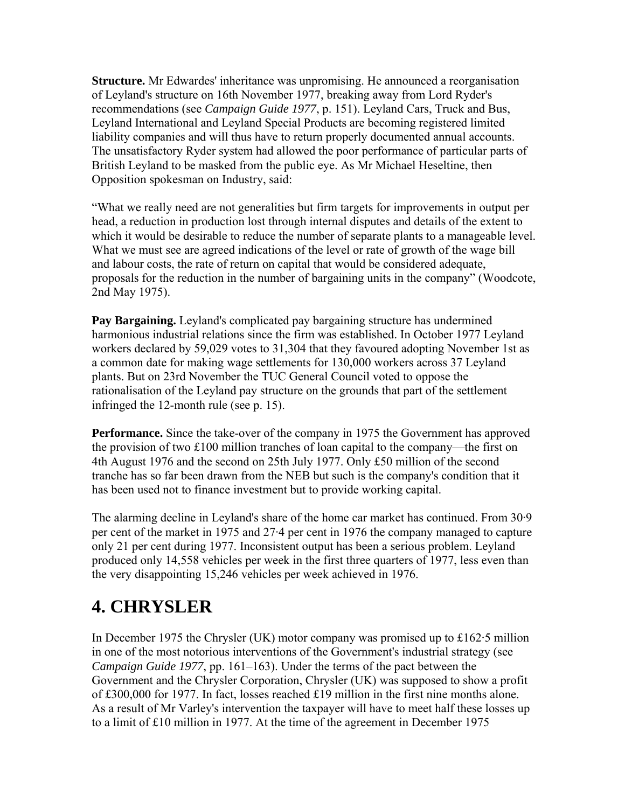**Structure.** Mr Edwardes' inheritance was unpromising. He announced a reorganisation of Leyland's structure on 16th November 1977, breaking away from Lord Ryder's recommendations (see *Campaign Guide 1977*, p. 151). Leyland Cars, Truck and Bus, Leyland International and Leyland Special Products are becoming registered limited liability companies and will thus have to return properly documented annual accounts. The unsatisfactory Ryder system had allowed the poor performance of particular parts of British Leyland to be masked from the public eye. As Mr Michael Heseltine, then Opposition spokesman on Industry, said:

"What we really need are not generalities but firm targets for improvements in output per head, a reduction in production lost through internal disputes and details of the extent to which it would be desirable to reduce the number of separate plants to a manageable level. What we must see are agreed indications of the level or rate of growth of the wage bill and labour costs, the rate of return on capital that would be considered adequate, proposals for the reduction in the number of bargaining units in the company" (Woodcote, 2nd May 1975).

**Pay Bargaining.** Leyland's complicated pay bargaining structure has undermined harmonious industrial relations since the firm was established. In October 1977 Leyland workers declared by 59,029 votes to 31,304 that they favoured adopting November 1st as a common date for making wage settlements for 130,000 workers across 37 Leyland plants. But on 23rd November the TUC General Council voted to oppose the rationalisation of the Leyland pay structure on the grounds that part of the settlement infringed the 12-month rule (see p. 15).

**Performance.** Since the take-over of the company in 1975 the Government has approved the provision of two £100 million tranches of loan capital to the company—the first on 4th August 1976 and the second on 25th July 1977. Only £50 million of the second tranche has so far been drawn from the NEB but such is the company's condition that it has been used not to finance investment but to provide working capital.

The alarming decline in Leyland's share of the home car market has continued. From 30·9 per cent of the market in 1975 and 27·4 per cent in 1976 the company managed to capture only 21 per cent during 1977. Inconsistent output has been a serious problem. Leyland produced only 14,558 vehicles per week in the first three quarters of 1977, less even than the very disappointing 15,246 vehicles per week achieved in 1976.

# **4. CHRYSLER**

In December 1975 the Chrysler (UK) motor company was promised up to £162·5 million in one of the most notorious interventions of the Government's industrial strategy (see *Campaign Guide 1977*, pp. 161–163). Under the terms of the pact between the Government and the Chrysler Corporation, Chrysler (UK) was supposed to show a profit of £300,000 for 1977. In fact, losses reached £19 million in the first nine months alone. As a result of Mr Varley's intervention the taxpayer will have to meet half these losses up to a limit of £10 million in 1977. At the time of the agreement in December 1975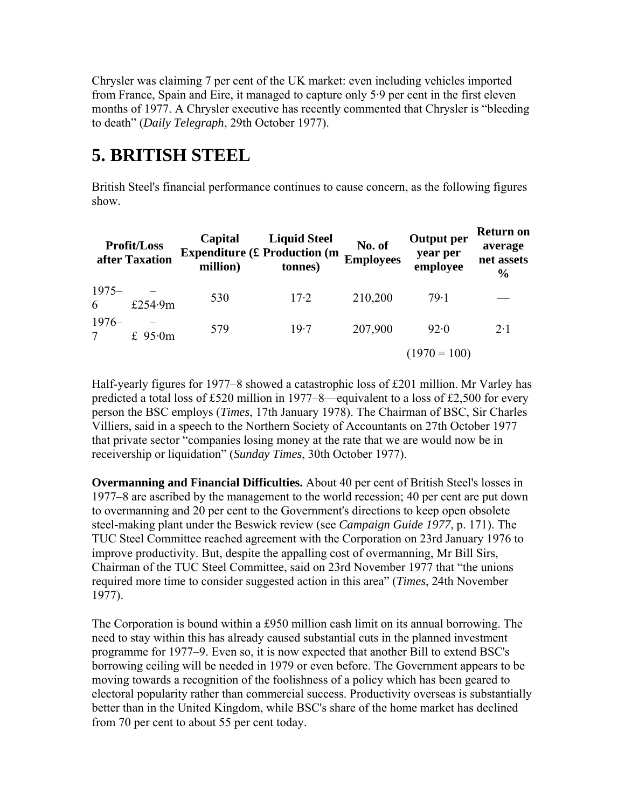Chrysler was claiming 7 per cent of the UK market: even including vehicles imported from France, Spain and Eire, it managed to capture only 5·9 per cent in the first eleven months of 1977. A Chrysler executive has recently commented that Chrysler is "bleeding to death" (*Daily Telegraph*, 29th October 1977).

## **5. BRITISH STEEL**

British Steel's financial performance continues to cause concern, as the following figures show.

| <b>Profit/Loss</b><br>after Taxation |         | Capital<br><b>Expenditure (£ Production (m</b><br>million) | <b>Liquid Steel</b><br>tonnes) | No. of<br><b>Employees</b> | <b>Output per</b><br>year per<br>employee | <b>Return on</b><br>average<br>net assets<br>$\frac{6}{6}$ |
|--------------------------------------|---------|------------------------------------------------------------|--------------------------------|----------------------------|-------------------------------------------|------------------------------------------------------------|
| $1975-$<br>6                         | £254.9m | 530                                                        | $17-2$                         | 210,200                    | 79.1                                      |                                                            |
| $1976-$                              | £ 95.0m | 579                                                        | 19.7                           | 207,900                    | 92.0                                      | $2 \cdot 1$                                                |
|                                      |         |                                                            |                                |                            | $(1970 = 100)$                            |                                                            |

Half-yearly figures for 1977–8 showed a catastrophic loss of £201 million. Mr Varley has predicted a total loss of £520 million in 1977–8—equivalent to a loss of £2,500 for every person the BSC employs (*Times*, 17th January 1978). The Chairman of BSC, Sir Charles Villiers, said in a speech to the Northern Society of Accountants on 27th October 1977 that private sector "companies losing money at the rate that we are would now be in receivership or liquidation" (*Sunday Times*, 30th October 1977).

**Overmanning and Financial Difficulties.** About 40 per cent of British Steel's losses in 1977–8 are ascribed by the management to the world recession; 40 per cent are put down to overmanning and 20 per cent to the Government's directions to keep open obsolete steel-making plant under the Beswick review (see *Campaign Guide 1977*, p. 171). The TUC Steel Committee reached agreement with the Corporation on 23rd January 1976 to improve productivity. But, despite the appalling cost of overmanning, Mr Bill Sirs, Chairman of the TUC Steel Committee, said on 23rd November 1977 that "the unions required more time to consider suggested action in this area" (*Times*, 24th November 1977).

The Corporation is bound within a £950 million cash limit on its annual borrowing. The need to stay within this has already caused substantial cuts in the planned investment programme for 1977–9. Even so, it is now expected that another Bill to extend BSC's borrowing ceiling will be needed in 1979 or even before. The Government appears to be moving towards a recognition of the foolishness of a policy which has been geared to electoral popularity rather than commercial success. Productivity overseas is substantially better than in the United Kingdom, while BSC's share of the home market has declined from 70 per cent to about 55 per cent today.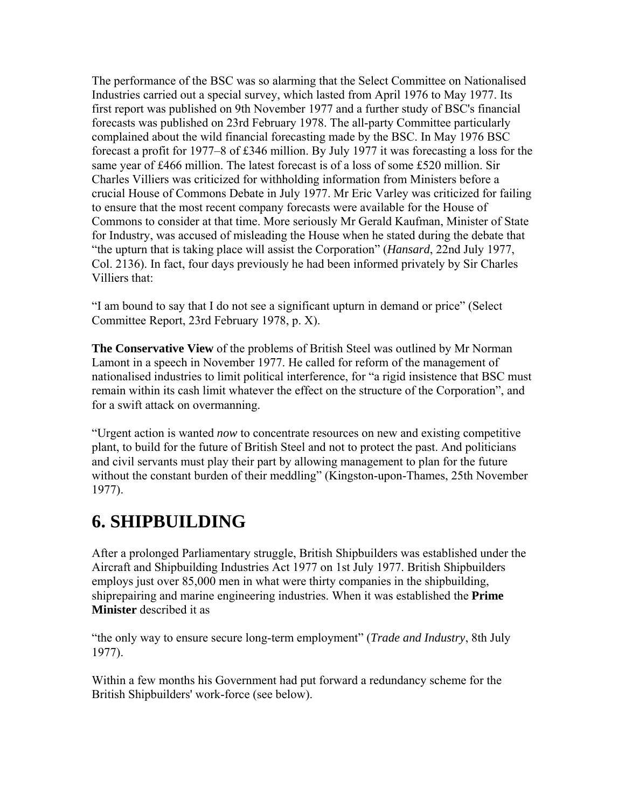The performance of the BSC was so alarming that the Select Committee on Nationalised Industries carried out a special survey, which lasted from April 1976 to May 1977. Its first report was published on 9th November 1977 and a further study of BSC's financial forecasts was published on 23rd February 1978. The all-party Committee particularly complained about the wild financial forecasting made by the BSC. In May 1976 BSC forecast a profit for 1977–8 of £346 million. By July 1977 it was forecasting a loss for the same year of £466 million. The latest forecast is of a loss of some £520 million. Sir Charles Villiers was criticized for withholding information from Ministers before a crucial House of Commons Debate in July 1977. Mr Eric Varley was criticized for failing to ensure that the most recent company forecasts were available for the House of Commons to consider at that time. More seriously Mr Gerald Kaufman, Minister of State for Industry, was accused of misleading the House when he stated during the debate that "the upturn that is taking place will assist the Corporation" (*Hansard*, 22nd July 1977, Col. 2136). In fact, four days previously he had been informed privately by Sir Charles Villiers that:

"I am bound to say that I do not see a significant upturn in demand or price" (Select Committee Report, 23rd February 1978, p. X).

**The Conservative View** of the problems of British Steel was outlined by Mr Norman Lamont in a speech in November 1977. He called for reform of the management of nationalised industries to limit political interference, for "a rigid insistence that BSC must remain within its cash limit whatever the effect on the structure of the Corporation", and for a swift attack on overmanning.

"Urgent action is wanted *now* to concentrate resources on new and existing competitive plant, to build for the future of British Steel and not to protect the past. And politicians and civil servants must play their part by allowing management to plan for the future without the constant burden of their meddling" (Kingston-upon-Thames, 25th November 1977).

#### **6. SHIPBUILDING**

After a prolonged Parliamentary struggle, British Shipbuilders was established under the Aircraft and Shipbuilding Industries Act 1977 on 1st July 1977. British Shipbuilders employs just over 85,000 men in what were thirty companies in the shipbuilding, shiprepairing and marine engineering industries. When it was established the **Prime Minister** described it as

"the only way to ensure secure long-term employment" (*Trade and Industry*, 8th July 1977).

Within a few months his Government had put forward a redundancy scheme for the British Shipbuilders' work-force (see below).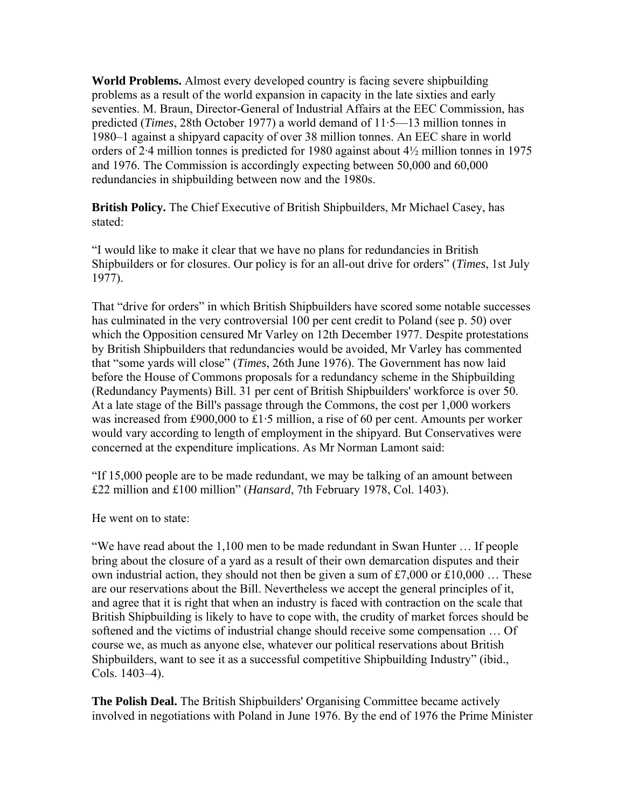**World Problems.** Almost every developed country is facing severe shipbuilding problems as a result of the world expansion in capacity in the late sixties and early seventies. M. Braun, Director-General of Industrial Affairs at the EEC Commission, has predicted (*Times*, 28th October 1977) a world demand of 11·5—13 million tonnes in 1980–1 against a shipyard capacity of over 38 million tonnes. An EEC share in world orders of 2·4 million tonnes is predicted for 1980 against about 4½ million tonnes in 1975 and 1976. The Commission is accordingly expecting between 50,000 and 60,000 redundancies in shipbuilding between now and the 1980s.

**British Policy.** The Chief Executive of British Shipbuilders, Mr Michael Casey, has stated:

"I would like to make it clear that we have no plans for redundancies in British Shipbuilders or for closures. Our policy is for an all-out drive for orders" (*Times*, 1st July 1977).

That "drive for orders" in which British Shipbuilders have scored some notable successes has culminated in the very controversial 100 per cent credit to Poland (see p. 50) over which the Opposition censured Mr Varley on 12th December 1977. Despite protestations by British Shipbuilders that redundancies would be avoided, Mr Varley has commented that "some yards will close" (*Times*, 26th June 1976). The Government has now laid before the House of Commons proposals for a redundancy scheme in the Shipbuilding (Redundancy Payments) Bill. 31 per cent of British Shipbuilders' workforce is over 50. At a late stage of the Bill's passage through the Commons, the cost per 1,000 workers was increased from £900,000 to £1·5 million, a rise of 60 per cent. Amounts per worker would vary according to length of employment in the shipyard. But Conservatives were concerned at the expenditure implications. As Mr Norman Lamont said:

"If 15,000 people are to be made redundant, we may be talking of an amount between £22 million and £100 million" (*Hansard*, 7th February 1978, Col. 1403).

He went on to state:

"We have read about the 1,100 men to be made redundant in Swan Hunter … If people bring about the closure of a yard as a result of their own demarcation disputes and their own industrial action, they should not then be given a sum of £7,000 or £10,000 ... These are our reservations about the Bill. Nevertheless we accept the general principles of it, and agree that it is right that when an industry is faced with contraction on the scale that British Shipbuilding is likely to have to cope with, the crudity of market forces should be softened and the victims of industrial change should receive some compensation … Of course we, as much as anyone else, whatever our political reservations about British Shipbuilders, want to see it as a successful competitive Shipbuilding Industry" (ibid., Cols. 1403–4).

**The Polish Deal.** The British Shipbuilders' Organising Committee became actively involved in negotiations with Poland in June 1976. By the end of 1976 the Prime Minister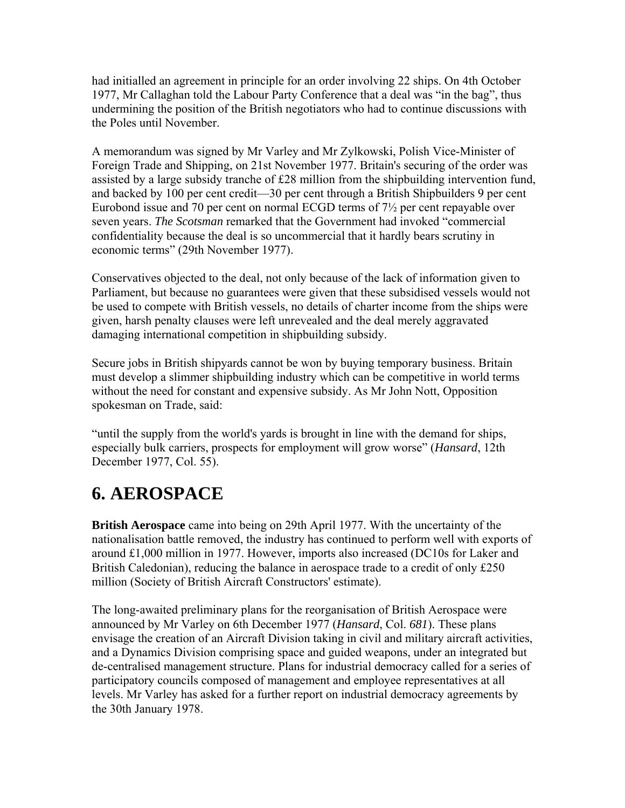had initialled an agreement in principle for an order involving 22 ships. On 4th October 1977, Mr Callaghan told the Labour Party Conference that a deal was "in the bag", thus undermining the position of the British negotiators who had to continue discussions with the Poles until November.

A memorandum was signed by Mr Varley and Mr Zylkowski, Polish Vice-Minister of Foreign Trade and Shipping, on 21st November 1977. Britain's securing of the order was assisted by a large subsidy tranche of £28 million from the shipbuilding intervention fund, and backed by 100 per cent credit—30 per cent through a British Shipbuilders 9 per cent Eurobond issue and 70 per cent on normal ECGD terms of 7½ per cent repayable over seven years. *The Scotsman* remarked that the Government had invoked "commercial confidentiality because the deal is so uncommercial that it hardly bears scrutiny in economic terms" (29th November 1977).

Conservatives objected to the deal, not only because of the lack of information given to Parliament, but because no guarantees were given that these subsidised vessels would not be used to compete with British vessels, no details of charter income from the ships were given, harsh penalty clauses were left unrevealed and the deal merely aggravated damaging international competition in shipbuilding subsidy.

Secure jobs in British shipyards cannot be won by buying temporary business. Britain must develop a slimmer shipbuilding industry which can be competitive in world terms without the need for constant and expensive subsidy. As Mr John Nott, Opposition spokesman on Trade, said:

"until the supply from the world's yards is brought in line with the demand for ships, especially bulk carriers, prospects for employment will grow worse" (*Hansard*, 12th December 1977, Col. 55).

# **6. AEROSPACE**

**British Aerospace** came into being on 29th April 1977. With the uncertainty of the nationalisation battle removed, the industry has continued to perform well with exports of around £1,000 million in 1977. However, imports also increased (DC10s for Laker and British Caledonian), reducing the balance in aerospace trade to a credit of only £250 million (Society of British Aircraft Constructors' estimate).

The long-awaited preliminary plans for the reorganisation of British Aerospace were announced by Mr Varley on 6th December 1977 (*Hansard*, Col. *681*). These plans envisage the creation of an Aircraft Division taking in civil and military aircraft activities, and a Dynamics Division comprising space and guided weapons, under an integrated but de-centralised management structure. Plans for industrial democracy called for a series of participatory councils composed of management and employee representatives at all levels. Mr Varley has asked for a further report on industrial democracy agreements by the 30th January 1978.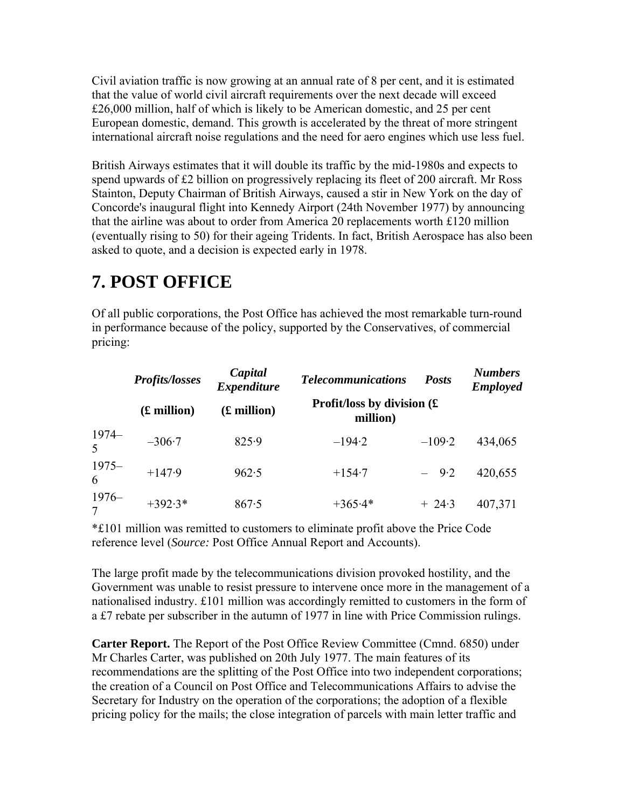Civil aviation traffic is now growing at an annual rate of 8 per cent, and it is estimated that the value of world civil aircraft requirements over the next decade will exceed £26,000 million, half of which is likely to be American domestic, and 25 per cent European domestic, demand. This growth is accelerated by the threat of more stringent international aircraft noise regulations and the need for aero engines which use less fuel.

British Airways estimates that it will double its traffic by the mid-1980s and expects to spend upwards of £2 billion on progressively replacing its fleet of 200 aircraft. Mr Ross Stainton, Deputy Chairman of British Airways, caused a stir in New York on the day of Concorde's inaugural flight into Kennedy Airport (24th November 1977) by announcing that the airline was about to order from America 20 replacements worth £120 million (eventually rising to 50) for their ageing Tridents. In fact, British Aerospace has also been asked to quote, and a decision is expected early in 1978.

# **7. POST OFFICE**

Of all public corporations, the Post Office has achieved the most remarkable turn-round in performance because of the policy, supported by the Conservatives, of commercial pricing:

|              | <b>Profits/losses</b> | Capital<br><b>Expenditure</b> | <b>Telecommunications</b>                 | <b>Posts</b> | <b>Numbers</b><br><b>Employed</b> |
|--------------|-----------------------|-------------------------------|-------------------------------------------|--------------|-----------------------------------|
|              | (£ million)           | (£ million)                   | Profit/loss by division $(E)$<br>million) |              |                                   |
| $1974 -$     | $-306.7$              | 825.9                         | $-194.2$                                  | $-109.2$     | 434,065                           |
| $1975-$<br>6 | $+147.9$              | 962.5                         | $+154.7$                                  | $-9.2$       | 420,655                           |
| $1976-$      | $+392.3*$             | 867.5                         | $+365.4*$                                 | $+ 24.3$     | 407,371                           |

\*£101 million was remitted to customers to eliminate profit above the Price Code reference level (*Source:* Post Office Annual Report and Accounts).

The large profit made by the telecommunications division provoked hostility, and the Government was unable to resist pressure to intervene once more in the management of a nationalised industry. £101 million was accordingly remitted to customers in the form of a £7 rebate per subscriber in the autumn of 1977 in line with Price Commission rulings.

**Carter Report.** The Report of the Post Office Review Committee (Cmnd. 6850) under Mr Charles Carter, was published on 20th July 1977. The main features of its recommendations are the splitting of the Post Office into two independent corporations; the creation of a Council on Post Office and Telecommunications Affairs to advise the Secretary for Industry on the operation of the corporations; the adoption of a flexible pricing policy for the mails; the close integration of parcels with main letter traffic and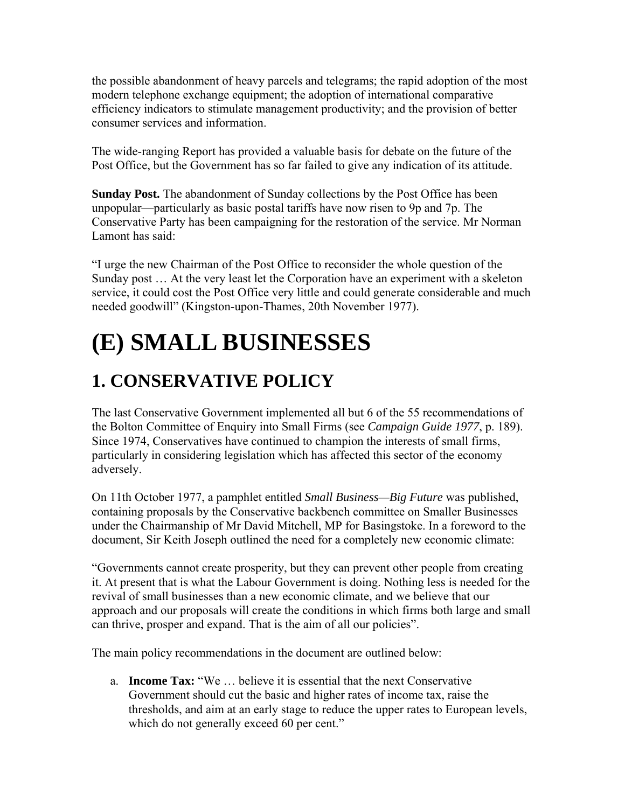the possible abandonment of heavy parcels and telegrams; the rapid adoption of the most modern telephone exchange equipment; the adoption of international comparative efficiency indicators to stimulate management productivity; and the provision of better consumer services and information.

The wide-ranging Report has provided a valuable basis for debate on the future of the Post Office, but the Government has so far failed to give any indication of its attitude.

**Sunday Post.** The abandonment of Sunday collections by the Post Office has been unpopular—particularly as basic postal tariffs have now risen to 9p and 7p. The Conservative Party has been campaigning for the restoration of the service. Mr Norman Lamont has said:

"I urge the new Chairman of the Post Office to reconsider the whole question of the Sunday post … At the very least let the Corporation have an experiment with a skeleton service, it could cost the Post Office very little and could generate considerable and much needed goodwill" (Kingston-upon-Thames, 20th November 1977).

# **(E) SMALL BUSINESSES**

## **1. CONSERVATIVE POLICY**

The last Conservative Government implemented all but 6 of the 55 recommendations of the Bolton Committee of Enquiry into Small Firms (see *Campaign Guide 1977*, p. 189). Since 1974, Conservatives have continued to champion the interests of small firms, particularly in considering legislation which has affected this sector of the economy adversely.

On 11th October 1977, a pamphlet entitled *Small Business—Big Future* was published, containing proposals by the Conservative backbench committee on Smaller Businesses under the Chairmanship of Mr David Mitchell, MP for Basingstoke. In a foreword to the document, Sir Keith Joseph outlined the need for a completely new economic climate:

"Governments cannot create prosperity, but they can prevent other people from creating it. At present that is what the Labour Government is doing. Nothing less is needed for the revival of small businesses than a new economic climate, and we believe that our approach and our proposals will create the conditions in which firms both large and small can thrive, prosper and expand. That is the aim of all our policies".

The main policy recommendations in the document are outlined below:

a. **Income Tax:** "We … believe it is essential that the next Conservative Government should cut the basic and higher rates of income tax, raise the thresholds, and aim at an early stage to reduce the upper rates to European levels, which do not generally exceed 60 per cent."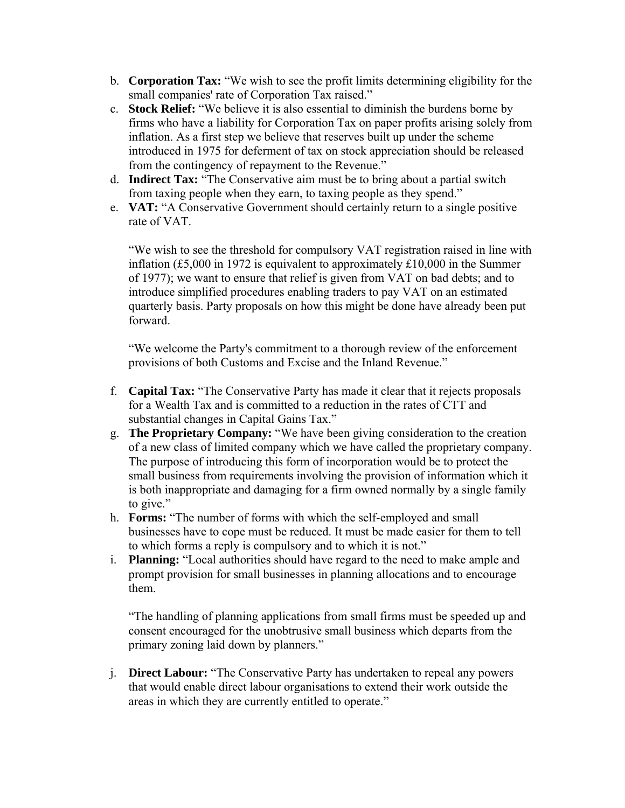- b. **Corporation Tax:** "We wish to see the profit limits determining eligibility for the small companies' rate of Corporation Tax raised."
- c. **Stock Relief:** "We believe it is also essential to diminish the burdens borne by firms who have a liability for Corporation Tax on paper profits arising solely from inflation. As a first step we believe that reserves built up under the scheme introduced in 1975 for deferment of tax on stock appreciation should be released from the contingency of repayment to the Revenue."
- d. **Indirect Tax:** "The Conservative aim must be to bring about a partial switch from taxing people when they earn, to taxing people as they spend."
- e. **VAT:** "A Conservative Government should certainly return to a single positive rate of VAT.

"We wish to see the threshold for compulsory VAT registration raised in line with inflation (£5,000 in 1972 is equivalent to approximately £10,000 in the Summer of 1977); we want to ensure that relief is given from VAT on bad debts; and to introduce simplified procedures enabling traders to pay VAT on an estimated quarterly basis. Party proposals on how this might be done have already been put forward.

"We welcome the Party's commitment to a thorough review of the enforcement provisions of both Customs and Excise and the Inland Revenue."

- f. **Capital Tax:** "The Conservative Party has made it clear that it rejects proposals for a Wealth Tax and is committed to a reduction in the rates of CTT and substantial changes in Capital Gains Tax."
- g. **The Proprietary Company:** "We have been giving consideration to the creation of a new class of limited company which we have called the proprietary company. The purpose of introducing this form of incorporation would be to protect the small business from requirements involving the provision of information which it is both inappropriate and damaging for a firm owned normally by a single family to give."
- h. **Forms:** "The number of forms with which the self-employed and small businesses have to cope must be reduced. It must be made easier for them to tell to which forms a reply is compulsory and to which it is not."
- i. **Planning:** "Local authorities should have regard to the need to make ample and prompt provision for small businesses in planning allocations and to encourage them.

"The handling of planning applications from small firms must be speeded up and consent encouraged for the unobtrusive small business which departs from the primary zoning laid down by planners."

j. **Direct Labour:** "The Conservative Party has undertaken to repeal any powers that would enable direct labour organisations to extend their work outside the areas in which they are currently entitled to operate."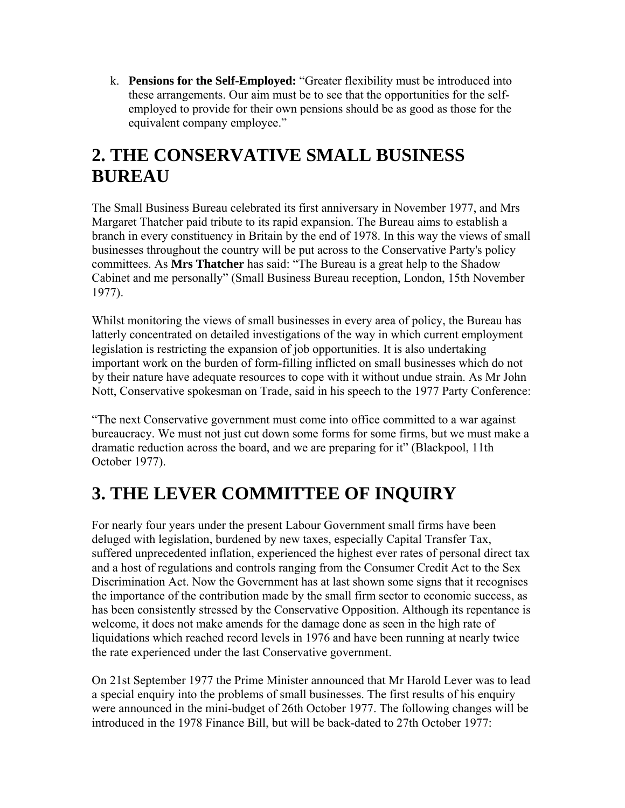k. **Pensions for the Self-Employed:** "Greater flexibility must be introduced into these arrangements. Our aim must be to see that the opportunities for the selfemployed to provide for their own pensions should be as good as those for the equivalent company employee."

#### **2. THE CONSERVATIVE SMALL BUSINESS BUREAU**

The Small Business Bureau celebrated its first anniversary in November 1977, and Mrs Margaret Thatcher paid tribute to its rapid expansion. The Bureau aims to establish a branch in every constituency in Britain by the end of 1978. In this way the views of small businesses throughout the country will be put across to the Conservative Party's policy committees. As **Mrs Thatcher** has said: "The Bureau is a great help to the Shadow Cabinet and me personally" (Small Business Bureau reception, London, 15th November 1977).

Whilst monitoring the views of small businesses in every area of policy, the Bureau has latterly concentrated on detailed investigations of the way in which current employment legislation is restricting the expansion of job opportunities. It is also undertaking important work on the burden of form-filling inflicted on small businesses which do not by their nature have adequate resources to cope with it without undue strain. As Mr John Nott, Conservative spokesman on Trade, said in his speech to the 1977 Party Conference:

"The next Conservative government must come into office committed to a war against bureaucracy. We must not just cut down some forms for some firms, but we must make a dramatic reduction across the board, and we are preparing for it" (Blackpool, 11th October 1977).

# **3. THE LEVER COMMITTEE OF INQUIRY**

For nearly four years under the present Labour Government small firms have been deluged with legislation, burdened by new taxes, especially Capital Transfer Tax, suffered unprecedented inflation, experienced the highest ever rates of personal direct tax and a host of regulations and controls ranging from the Consumer Credit Act to the Sex Discrimination Act. Now the Government has at last shown some signs that it recognises the importance of the contribution made by the small firm sector to economic success, as has been consistently stressed by the Conservative Opposition. Although its repentance is welcome, it does not make amends for the damage done as seen in the high rate of liquidations which reached record levels in 1976 and have been running at nearly twice the rate experienced under the last Conservative government.

On 21st September 1977 the Prime Minister announced that Mr Harold Lever was to lead a special enquiry into the problems of small businesses. The first results of his enquiry were announced in the mini-budget of 26th October 1977. The following changes will be introduced in the 1978 Finance Bill, but will be back-dated to 27th October 1977: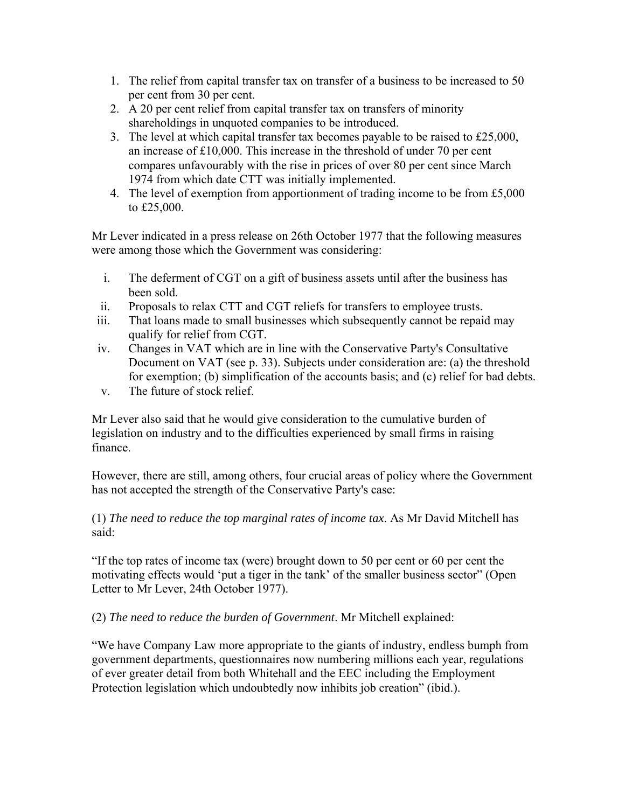- 1. The relief from capital transfer tax on transfer of a business to be increased to 50 per cent from 30 per cent.
- 2. A 20 per cent relief from capital transfer tax on transfers of minority shareholdings in unquoted companies to be introduced.
- 3. The level at which capital transfer tax becomes payable to be raised to £25,000, an increase of £10,000. This increase in the threshold of under 70 per cent compares unfavourably with the rise in prices of over 80 per cent since March 1974 from which date CTT was initially implemented.
- 4. The level of exemption from apportionment of trading income to be from £5,000 to £25,000.

Mr Lever indicated in a press release on 26th October 1977 that the following measures were among those which the Government was considering:

- i. The deferment of CGT on a gift of business assets until after the business has been sold.
- ii. Proposals to relax CTT and CGT reliefs for transfers to employee trusts.
- iii. That loans made to small businesses which subsequently cannot be repaid may qualify for relief from CGT.
- iv. Changes in VAT which are in line with the Conservative Party's Consultative Document on VAT (see p. 33). Subjects under consideration are: (a) the threshold for exemption; (b) simplification of the accounts basis; and (c) relief for bad debts.
- v. The future of stock relief.

Mr Lever also said that he would give consideration to the cumulative burden of legislation on industry and to the difficulties experienced by small firms in raising finance.

However, there are still, among others, four crucial areas of policy where the Government has not accepted the strength of the Conservative Party's case:

#### (1) *The need to reduce the top marginal rates of income tax*. As Mr David Mitchell has said:

"If the top rates of income tax (were) brought down to 50 per cent or 60 per cent the motivating effects would 'put a tiger in the tank' of the smaller business sector" (Open Letter to Mr Lever, 24th October 1977).

(2) *The need to reduce the burden of Government*. Mr Mitchell explained:

"We have Company Law more appropriate to the giants of industry, endless bumph from government departments, questionnaires now numbering millions each year, regulations of ever greater detail from both Whitehall and the EEC including the Employment Protection legislation which undoubtedly now inhibits job creation" (ibid.).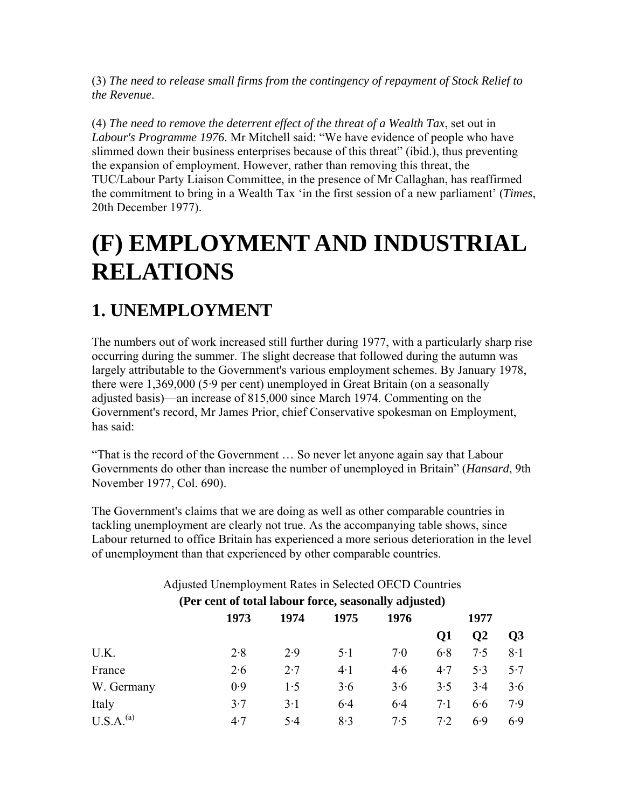(3) *The need to release small firms from the contingency of repayment of Stock Relief to the Revenue*.

(4) *The need to remove the deterrent effect of the threat of a Wealth Tax*, set out in *Labour's Programme 1976*. Mr Mitchell said: "We have evidence of people who have slimmed down their business enterprises because of this threat" (ibid.), thus preventing the expansion of employment. However, rather than removing this threat, the TUC/Labour Party Liaison Committee, in the presence of Mr Callaghan, has reaffirmed the commitment to bring in a Wealth Tax 'in the first session of a new parliament' (*Times*, 20th December 1977).

# **(F) EMPLOYMENT AND INDUSTRIAL RELATIONS**

# **1. UNEMPLOYMENT**

The numbers out of work increased still further during 1977, with a particularly sharp rise occurring during the summer. The slight decrease that followed during the autumn was largely attributable to the Government's various employment schemes. By January 1978, there were 1,369,000 (5·9 per cent) unemployed in Great Britain (on a seasonally adjusted basis)—an increase of 815,000 since March 1974. Commenting on the Government's record, Mr James Prior, chief Conservative spokesman on Employment, has said:

"That is the record of the Government … So never let anyone again say that Labour Governments do other than increase the number of unemployed in Britain" (*Hansard*, 9th November 1977, Col. 690).

The Government's claims that we are doing as well as other comparable countries in tackling unemployment are clearly not true. As the accompanying table shows, since Labour returned to office Britain has experienced a more serious deterioration in the level of unemployment than that experienced by other comparable countries.

| (Per cent of total labour force, seasonally adjusted) |      |      |       |      |           |               |                 |
|-------------------------------------------------------|------|------|-------|------|-----------|---------------|-----------------|
|                                                       | 1973 | 1974 | 1975  | 1976 | 1977      |               |                 |
|                                                       |      |      |       |      | <b>Q1</b> | $\mathbf{O}2$ | $\overline{O3}$ |
| U.K.                                                  | 2.8  | 2.9  | $5-1$ | 7.0  | 6.8       | 7.5           | 8.1             |
| France                                                | 2.6  | 2.7  | $4-1$ | 4.6  | 4.7       | 5.3           | 5.7             |
| W. Germany                                            | 0.9  | 1.5  | 3.6   | 3.6  | 3.5       | 3.4           | 3.6             |
| Italy                                                 | 3.7  | 3.1  | 6.4   | 6.4  | 7.1       | 6.6           | 7.9             |
| U.S.A <sup>(a)</sup>                                  | 4.7  | 5.4  | 8.3   | 7.5  | 7.2       | 6.9           | 6.9             |

#### Adjusted Unemployment Rates in Selected OECD Countries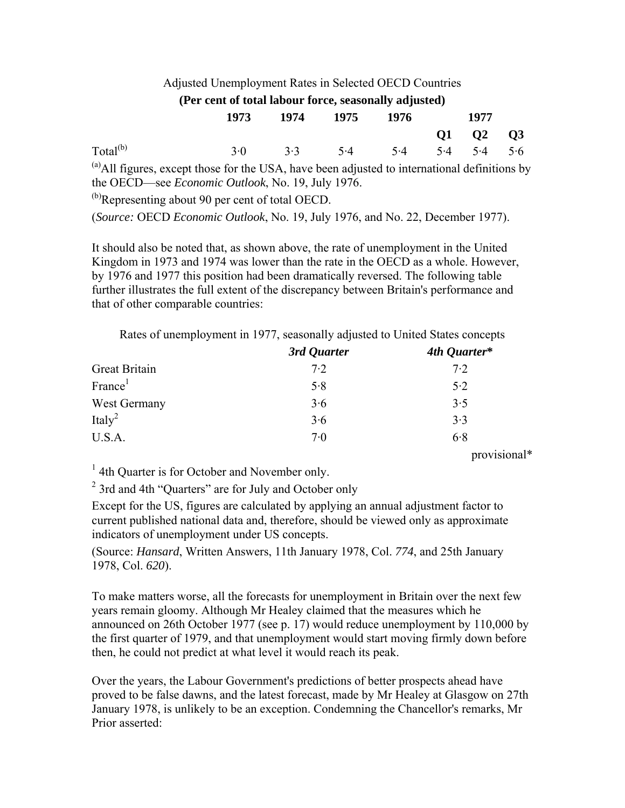| Adjusted Unemployment Rates in Selected OECD Countries                                        |      |      |             |      |    |                      |           |
|-----------------------------------------------------------------------------------------------|------|------|-------------|------|----|----------------------|-----------|
| (Per cent of total labour force, seasonally adjusted)                                         |      |      |             |      |    |                      |           |
|                                                                                               | 1973 | 1974 | 1975        | 1976 |    | 1977                 |           |
|                                                                                               |      |      |             |      | 01 | <b>O<sub>2</sub></b> | <b>O3</b> |
| Total <sup>(b)</sup>                                                                          | 3.0  |      | $3.3$ $5.4$ | 5.4  |    | $5.4$ $5.4$          | 5.6       |
| (a) All figures, except those for the USA, have been adjusted to international definitions by |      |      |             |      |    |                      |           |
| the OECD—see <i>Economic Outlook</i> , No. 19, July 1976.                                     |      |      |             |      |    |                      |           |
| <sup>(b)</sup> Representing about 90 per cent of total OECD.                                  |      |      |             |      |    |                      |           |

(*Source:* OECD *Economic Outlook*, No. 19, July 1976, and No. 22, December 1977).

It should also be noted that, as shown above, the rate of unemployment in the United Kingdom in 1973 and 1974 was lower than the rate in the OECD as a whole. However, by 1976 and 1977 this position had been dramatically reversed. The following table further illustrates the full extent of the discrepancy between Britain's performance and that of other comparable countries:

|  | Rates of unemployment in 1977, seasonally adjusted to United States concepts |
|--|------------------------------------------------------------------------------|
|  |                                                                              |

|                      | 3rd Quarter | 4th Quarter* |
|----------------------|-------------|--------------|
| <b>Great Britain</b> | 7.2         | 7.2          |
| France <sup>1</sup>  | 5.8         | 5.2          |
| West Germany         | 3.6         | 3.5          |
| Italy <sup>2</sup>   | 3.6         | 3.3          |
| U.S.A.               | 7·0         | 6.8          |

provisional\*

<sup>1</sup> 4th Quarter is for October and November only.

<sup>2</sup> 3rd and 4th "Quarters" are for July and October only

Except for the US, figures are calculated by applying an annual adjustment factor to current published national data and, therefore, should be viewed only as approximate indicators of unemployment under US concepts.

(Source: *Hansard*, Written Answers, 11th January 1978, Col. *774*, and 25th January 1978, Col. *620*).

To make matters worse, all the forecasts for unemployment in Britain over the next few years remain gloomy. Although Mr Healey claimed that the measures which he announced on 26th October 1977 (see p. 17) would reduce unemployment by 110,000 by the first quarter of 1979, and that unemployment would start moving firmly down before then, he could not predict at what level it would reach its peak.

Over the years, the Labour Government's predictions of better prospects ahead have proved to be false dawns, and the latest forecast, made by Mr Healey at Glasgow on 27th January 1978, is unlikely to be an exception. Condemning the Chancellor's remarks, Mr Prior asserted: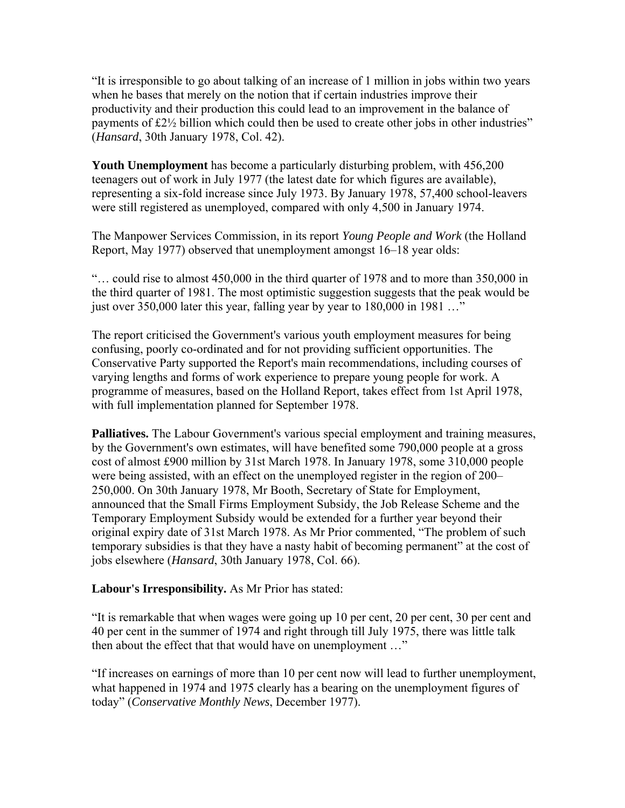"It is irresponsible to go about talking of an increase of 1 million in jobs within two years when he bases that merely on the notion that if certain industries improve their productivity and their production this could lead to an improvement in the balance of payments of £2½ billion which could then be used to create other jobs in other industries" (*Hansard*, 30th January 1978, Col. 42).

**Youth Unemployment** has become a particularly disturbing problem, with 456,200 teenagers out of work in July 1977 (the latest date for which figures are available), representing a six-fold increase since July 1973. By January 1978, 57,400 school-leavers were still registered as unemployed, compared with only 4,500 in January 1974.

The Manpower Services Commission, in its report *Young People and Work* (the Holland Report, May 1977) observed that unemployment amongst 16–18 year olds:

"… could rise to almost 450,000 in the third quarter of 1978 and to more than 350,000 in the third quarter of 1981. The most optimistic suggestion suggests that the peak would be just over 350,000 later this year, falling year by year to 180,000 in 1981 ..."

The report criticised the Government's various youth employment measures for being confusing, poorly co-ordinated and for not providing sufficient opportunities. The Conservative Party supported the Report's main recommendations, including courses of varying lengths and forms of work experience to prepare young people for work. A programme of measures, based on the Holland Report, takes effect from 1st April 1978, with full implementation planned for September 1978.

**Palliatives.** The Labour Government's various special employment and training measures, by the Government's own estimates, will have benefited some 790,000 people at a gross cost of almost £900 million by 31st March 1978. In January 1978, some 310,000 people were being assisted, with an effect on the unemployed register in the region of 200– 250,000. On 30th January 1978, Mr Booth, Secretary of State for Employment, announced that the Small Firms Employment Subsidy, the Job Release Scheme and the Temporary Employment Subsidy would be extended for a further year beyond their original expiry date of 31st March 1978. As Mr Prior commented, "The problem of such temporary subsidies is that they have a nasty habit of becoming permanent" at the cost of jobs elsewhere (*Hansard*, 30th January 1978, Col. 66).

#### **Labour's Irresponsibility.** As Mr Prior has stated:

"It is remarkable that when wages were going up 10 per cent, 20 per cent, 30 per cent and 40 per cent in the summer of 1974 and right through till July 1975, there was little talk then about the effect that that would have on unemployment …"

"If increases on earnings of more than 10 per cent now will lead to further unemployment, what happened in 1974 and 1975 clearly has a bearing on the unemployment figures of today" (*Conservative Monthly News*, December 1977).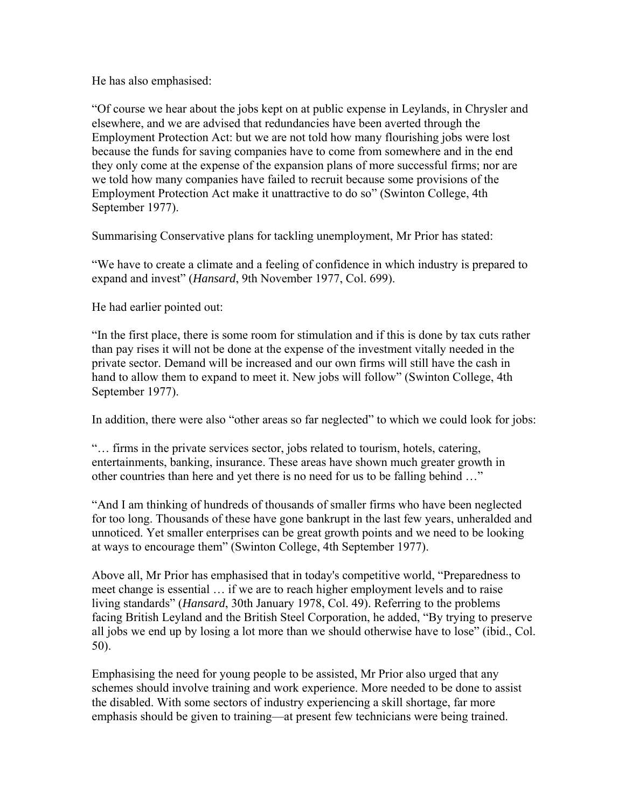He has also emphasised:

"Of course we hear about the jobs kept on at public expense in Leylands, in Chrysler and elsewhere, and we are advised that redundancies have been averted through the Employment Protection Act: but we are not told how many flourishing jobs were lost because the funds for saving companies have to come from somewhere and in the end they only come at the expense of the expansion plans of more successful firms; nor are we told how many companies have failed to recruit because some provisions of the Employment Protection Act make it unattractive to do so" (Swinton College, 4th September 1977).

Summarising Conservative plans for tackling unemployment, Mr Prior has stated:

"We have to create a climate and a feeling of confidence in which industry is prepared to expand and invest" (*Hansard*, 9th November 1977, Col. 699).

He had earlier pointed out:

"In the first place, there is some room for stimulation and if this is done by tax cuts rather than pay rises it will not be done at the expense of the investment vitally needed in the private sector. Demand will be increased and our own firms will still have the cash in hand to allow them to expand to meet it. New jobs will follow" (Swinton College, 4th September 1977).

In addition, there were also "other areas so far neglected" to which we could look for jobs:

"… firms in the private services sector, jobs related to tourism, hotels, catering, entertainments, banking, insurance. These areas have shown much greater growth in other countries than here and yet there is no need for us to be falling behind …"

"And I am thinking of hundreds of thousands of smaller firms who have been neglected for too long. Thousands of these have gone bankrupt in the last few years, unheralded and unnoticed. Yet smaller enterprises can be great growth points and we need to be looking at ways to encourage them" (Swinton College, 4th September 1977).

Above all, Mr Prior has emphasised that in today's competitive world, "Preparedness to meet change is essential … if we are to reach higher employment levels and to raise living standards" (*Hansard*, 30th January 1978, Col. 49). Referring to the problems facing British Leyland and the British Steel Corporation, he added, "By trying to preserve all jobs we end up by losing a lot more than we should otherwise have to lose" (ibid., Col. 50).

Emphasising the need for young people to be assisted, Mr Prior also urged that any schemes should involve training and work experience. More needed to be done to assist the disabled. With some sectors of industry experiencing a skill shortage, far more emphasis should be given to training—at present few technicians were being trained.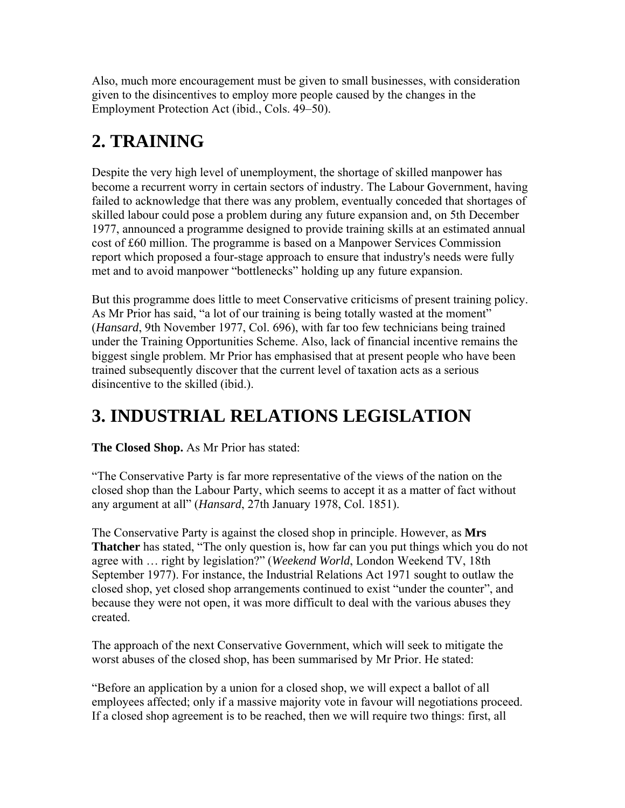Also, much more encouragement must be given to small businesses, with consideration given to the disincentives to employ more people caused by the changes in the Employment Protection Act (ibid., Cols. 49–50).

# **2. TRAINING**

Despite the very high level of unemployment, the shortage of skilled manpower has become a recurrent worry in certain sectors of industry. The Labour Government, having failed to acknowledge that there was any problem, eventually conceded that shortages of skilled labour could pose a problem during any future expansion and, on 5th December 1977, announced a programme designed to provide training skills at an estimated annual cost of £60 million. The programme is based on a Manpower Services Commission report which proposed a four-stage approach to ensure that industry's needs were fully met and to avoid manpower "bottlenecks" holding up any future expansion.

But this programme does little to meet Conservative criticisms of present training policy. As Mr Prior has said, "a lot of our training is being totally wasted at the moment" (*Hansard*, 9th November 1977, Col. 696), with far too few technicians being trained under the Training Opportunities Scheme. Also, lack of financial incentive remains the biggest single problem. Mr Prior has emphasised that at present people who have been trained subsequently discover that the current level of taxation acts as a serious disincentive to the skilled (ibid.).

# **3. INDUSTRIAL RELATIONS LEGISLATION**

**The Closed Shop.** As Mr Prior has stated:

"The Conservative Party is far more representative of the views of the nation on the closed shop than the Labour Party, which seems to accept it as a matter of fact without any argument at all" (*Hansard*, 27th January 1978, Col. 1851).

The Conservative Party is against the closed shop in principle. However, as **Mrs Thatcher** has stated, "The only question is, how far can you put things which you do not agree with … right by legislation?" (*Weekend World*, London Weekend TV, 18th September 1977). For instance, the Industrial Relations Act 1971 sought to outlaw the closed shop, yet closed shop arrangements continued to exist "under the counter", and because they were not open, it was more difficult to deal with the various abuses they created.

The approach of the next Conservative Government, which will seek to mitigate the worst abuses of the closed shop, has been summarised by Mr Prior. He stated:

"Before an application by a union for a closed shop, we will expect a ballot of all employees affected; only if a massive majority vote in favour will negotiations proceed. If a closed shop agreement is to be reached, then we will require two things: first, all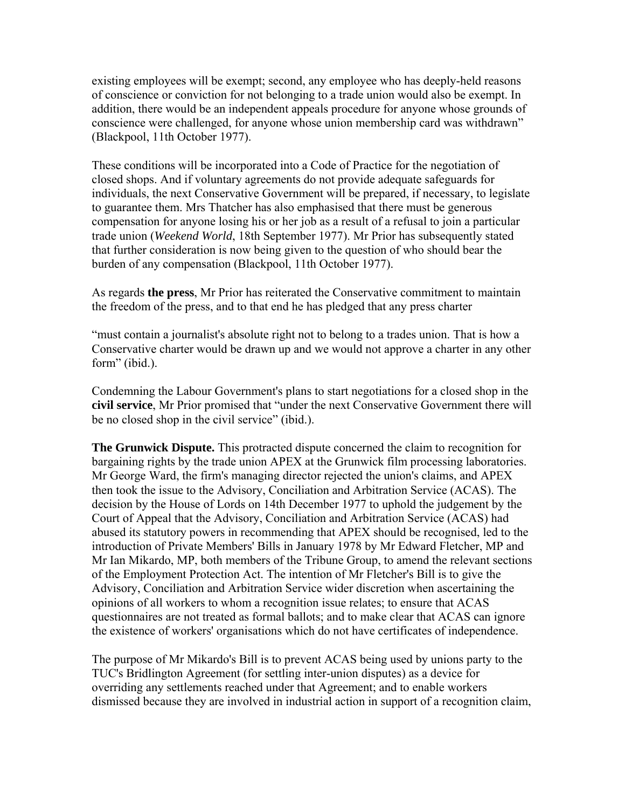existing employees will be exempt; second, any employee who has deeply-held reasons of conscience or conviction for not belonging to a trade union would also be exempt. In addition, there would be an independent appeals procedure for anyone whose grounds of conscience were challenged, for anyone whose union membership card was withdrawn" (Blackpool, 11th October 1977).

These conditions will be incorporated into a Code of Practice for the negotiation of closed shops. And if voluntary agreements do not provide adequate safeguards for individuals, the next Conservative Government will be prepared, if necessary, to legislate to guarantee them. Mrs Thatcher has also emphasised that there must be generous compensation for anyone losing his or her job as a result of a refusal to join a particular trade union (*Weekend World*, 18th September 1977). Mr Prior has subsequently stated that further consideration is now being given to the question of who should bear the burden of any compensation (Blackpool, 11th October 1977).

As regards **the press**, Mr Prior has reiterated the Conservative commitment to maintain the freedom of the press, and to that end he has pledged that any press charter

"must contain a journalist's absolute right not to belong to a trades union. That is how a Conservative charter would be drawn up and we would not approve a charter in any other form" (ibid.).

Condemning the Labour Government's plans to start negotiations for a closed shop in the **civil service**, Mr Prior promised that "under the next Conservative Government there will be no closed shop in the civil service" (ibid.).

**The Grunwick Dispute.** This protracted dispute concerned the claim to recognition for bargaining rights by the trade union APEX at the Grunwick film processing laboratories. Mr George Ward, the firm's managing director rejected the union's claims, and APEX then took the issue to the Advisory, Conciliation and Arbitration Service (ACAS). The decision by the House of Lords on 14th December 1977 to uphold the judgement by the Court of Appeal that the Advisory, Conciliation and Arbitration Service (ACAS) had abused its statutory powers in recommending that APEX should be recognised, led to the introduction of Private Members' Bills in January 1978 by Mr Edward Fletcher, MP and Mr Ian Mikardo, MP, both members of the Tribune Group, to amend the relevant sections of the Employment Protection Act. The intention of Mr Fletcher's Bill is to give the Advisory, Conciliation and Arbitration Service wider discretion when ascertaining the opinions of all workers to whom a recognition issue relates; to ensure that ACAS questionnaires are not treated as formal ballots; and to make clear that ACAS can ignore the existence of workers' organisations which do not have certificates of independence.

The purpose of Mr Mikardo's Bill is to prevent ACAS being used by unions party to the TUC's Bridlington Agreement (for settling inter-union disputes) as a device for overriding any settlements reached under that Agreement; and to enable workers dismissed because they are involved in industrial action in support of a recognition claim,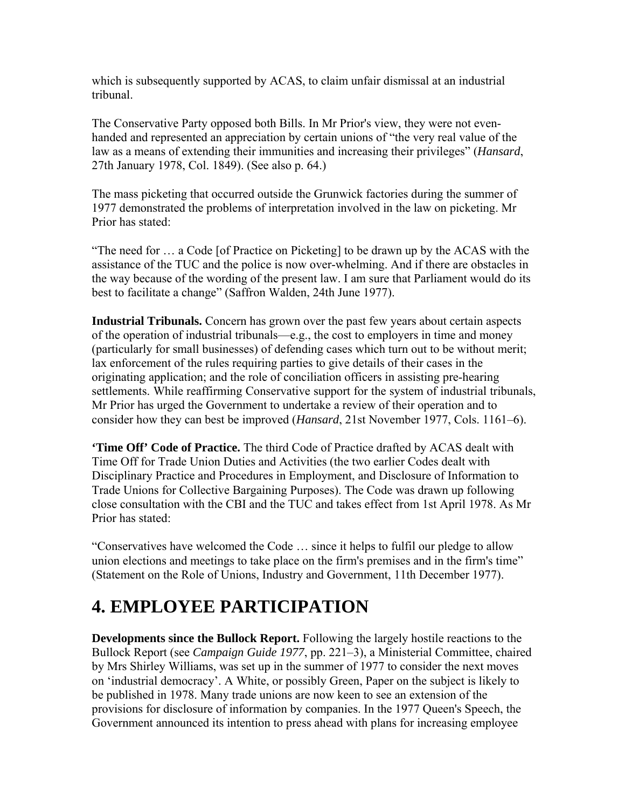which is subsequently supported by ACAS, to claim unfair dismissal at an industrial tribunal.

The Conservative Party opposed both Bills. In Mr Prior's view, they were not evenhanded and represented an appreciation by certain unions of "the very real value of the law as a means of extending their immunities and increasing their privileges" (*Hansard*, 27th January 1978, Col. 1849). (See also p. 64.)

The mass picketing that occurred outside the Grunwick factories during the summer of 1977 demonstrated the problems of interpretation involved in the law on picketing. Mr Prior has stated:

"The need for … a Code [of Practice on Picketing] to be drawn up by the ACAS with the assistance of the TUC and the police is now over-whelming. And if there are obstacles in the way because of the wording of the present law. I am sure that Parliament would do its best to facilitate a change" (Saffron Walden, 24th June 1977).

**Industrial Tribunals.** Concern has grown over the past few years about certain aspects of the operation of industrial tribunals—e.g., the cost to employers in time and money (particularly for small businesses) of defending cases which turn out to be without merit; lax enforcement of the rules requiring parties to give details of their cases in the originating application; and the role of conciliation officers in assisting pre-hearing settlements. While reaffirming Conservative support for the system of industrial tribunals, Mr Prior has urged the Government to undertake a review of their operation and to consider how they can best be improved (*Hansard*, 21st November 1977, Cols. 1161–6).

**'Time Off' Code of Practice.** The third Code of Practice drafted by ACAS dealt with Time Off for Trade Union Duties and Activities (the two earlier Codes dealt with Disciplinary Practice and Procedures in Employment, and Disclosure of Information to Trade Unions for Collective Bargaining Purposes). The Code was drawn up following close consultation with the CBI and the TUC and takes effect from 1st April 1978. As Mr Prior has stated:

"Conservatives have welcomed the Code … since it helps to fulfil our pledge to allow union elections and meetings to take place on the firm's premises and in the firm's time" (Statement on the Role of Unions, Industry and Government, 11th December 1977).

# **4. EMPLOYEE PARTICIPATION**

**Developments since the Bullock Report.** Following the largely hostile reactions to the Bullock Report (see *Campaign Guide 1977*, pp. 221–3), a Ministerial Committee, chaired by Mrs Shirley Williams, was set up in the summer of 1977 to consider the next moves on 'industrial democracy'. A White, or possibly Green, Paper on the subject is likely to be published in 1978. Many trade unions are now keen to see an extension of the provisions for disclosure of information by companies. In the 1977 Queen's Speech, the Government announced its intention to press ahead with plans for increasing employee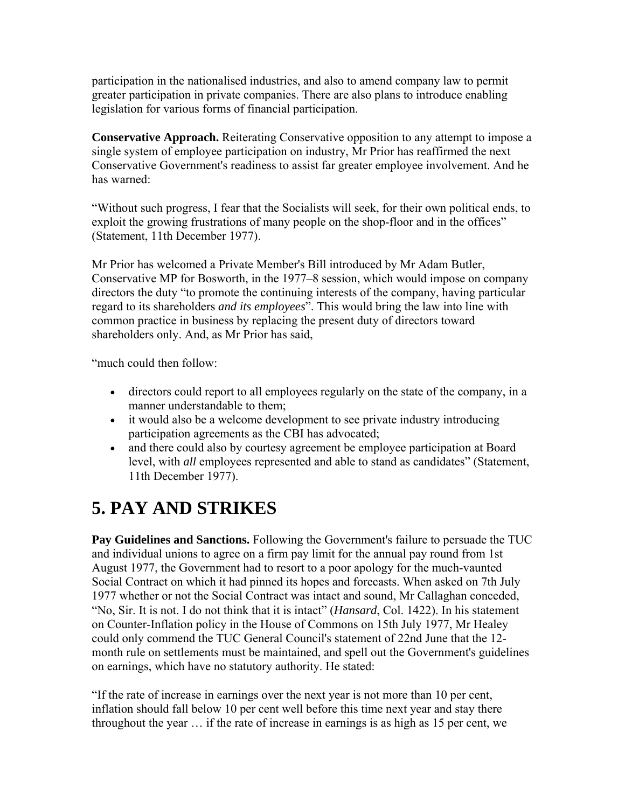participation in the nationalised industries, and also to amend company law to permit greater participation in private companies. There are also plans to introduce enabling legislation for various forms of financial participation.

**Conservative Approach.** Reiterating Conservative opposition to any attempt to impose a single system of employee participation on industry, Mr Prior has reaffirmed the next Conservative Government's readiness to assist far greater employee involvement. And he has warned:

"Without such progress, I fear that the Socialists will seek, for their own political ends, to exploit the growing frustrations of many people on the shop-floor and in the offices" (Statement, 11th December 1977).

Mr Prior has welcomed a Private Member's Bill introduced by Mr Adam Butler, Conservative MP for Bosworth, in the 1977–8 session, which would impose on company directors the duty "to promote the continuing interests of the company, having particular regard to its shareholders *and its employees*". This would bring the law into line with common practice in business by replacing the present duty of directors toward shareholders only. And, as Mr Prior has said,

"much could then follow:

- directors could report to all employees regularly on the state of the company, in a manner understandable to them;
- it would also be a welcome development to see private industry introducing participation agreements as the CBI has advocated;
- and there could also by courtesy agreement be employee participation at Board level, with *all* employees represented and able to stand as candidates" (Statement, 11th December 1977).

# **5. PAY AND STRIKES**

**Pay Guidelines and Sanctions.** Following the Government's failure to persuade the TUC and individual unions to agree on a firm pay limit for the annual pay round from 1st August 1977, the Government had to resort to a poor apology for the much-vaunted Social Contract on which it had pinned its hopes and forecasts. When asked on 7th July 1977 whether or not the Social Contract was intact and sound, Mr Callaghan conceded, "No, Sir. It is not. I do not think that it is intact" (*Hansard*, Col. 1422). In his statement on Counter-Inflation policy in the House of Commons on 15th July 1977, Mr Healey could only commend the TUC General Council's statement of 22nd June that the 12 month rule on settlements must be maintained, and spell out the Government's guidelines on earnings, which have no statutory authority. He stated:

"If the rate of increase in earnings over the next year is not more than 10 per cent, inflation should fall below 10 per cent well before this time next year and stay there throughout the year … if the rate of increase in earnings is as high as 15 per cent, we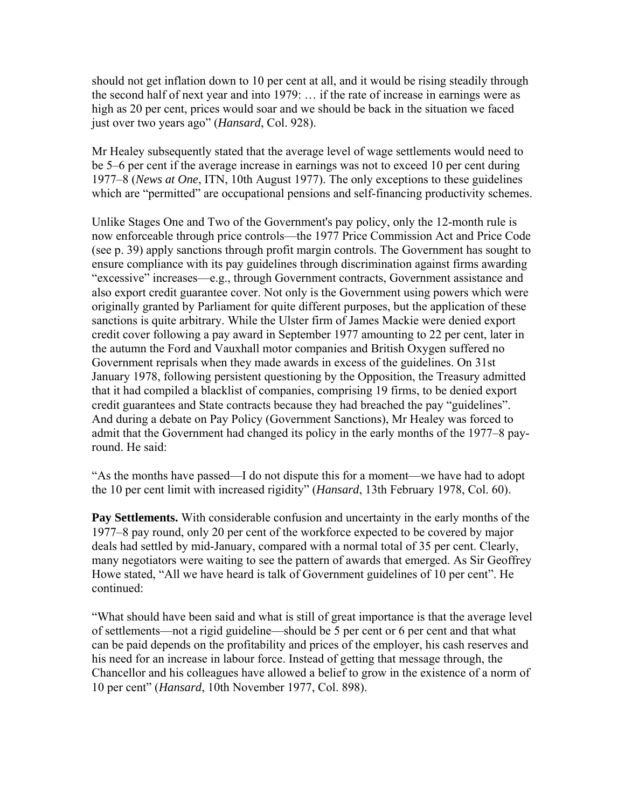should not get inflation down to 10 per cent at all, and it would be rising steadily through the second half of next year and into 1979: … if the rate of increase in earnings were as high as 20 per cent, prices would soar and we should be back in the situation we faced just over two years ago" (*Hansard*, Col. 928).

Mr Healey subsequently stated that the average level of wage settlements would need to be 5–6 per cent if the average increase in earnings was not to exceed 10 per cent during 1977–8 (*News at One*, ITN, 10th August 1977). The only exceptions to these guidelines which are "permitted" are occupational pensions and self-financing productivity schemes.

Unlike Stages One and Two of the Government's pay policy, only the 12-month rule is now enforceable through price controls—the 1977 Price Commission Act and Price Code (see p. 39) apply sanctions through profit margin controls. The Government has sought to ensure compliance with its pay guidelines through discrimination against firms awarding "excessive" increases—e.g., through Government contracts, Government assistance and also export credit guarantee cover. Not only is the Government using powers which were originally granted by Parliament for quite different purposes, but the application of these sanctions is quite arbitrary. While the Ulster firm of James Mackie were denied export credit cover following a pay award in September 1977 amounting to 22 per cent, later in the autumn the Ford and Vauxhall motor companies and British Oxygen suffered no Government reprisals when they made awards in excess of the guidelines. On 31st January 1978, following persistent questioning by the Opposition, the Treasury admitted that it had compiled a blacklist of companies, comprising 19 firms, to be denied export credit guarantees and State contracts because they had breached the pay "guidelines". And during a debate on Pay Policy (Government Sanctions), Mr Healey was forced to admit that the Government had changed its policy in the early months of the 1977–8 payround. He said:

"As the months have passed—I do not dispute this for a moment—we have had to adopt the 10 per cent limit with increased rigidity" (*Hansard*, 13th February 1978, Col. 60).

**Pay Settlements.** With considerable confusion and uncertainty in the early months of the 1977–8 pay round, only 20 per cent of the workforce expected to be covered by major deals had settled by mid-January, compared with a normal total of 35 per cent. Clearly, many negotiators were waiting to see the pattern of awards that emerged. As Sir Geoffrey Howe stated, "All we have heard is talk of Government guidelines of 10 per cent". He continued:

"What should have been said and what is still of great importance is that the average level of settlements—not a rigid guideline—should be 5 per cent or 6 per cent and that what can be paid depends on the profitability and prices of the employer, his cash reserves and his need for an increase in labour force. Instead of getting that message through, the Chancellor and his colleagues have allowed a belief to grow in the existence of a norm of 10 per cent" (*Hansard*, 10th November 1977, Col. 898).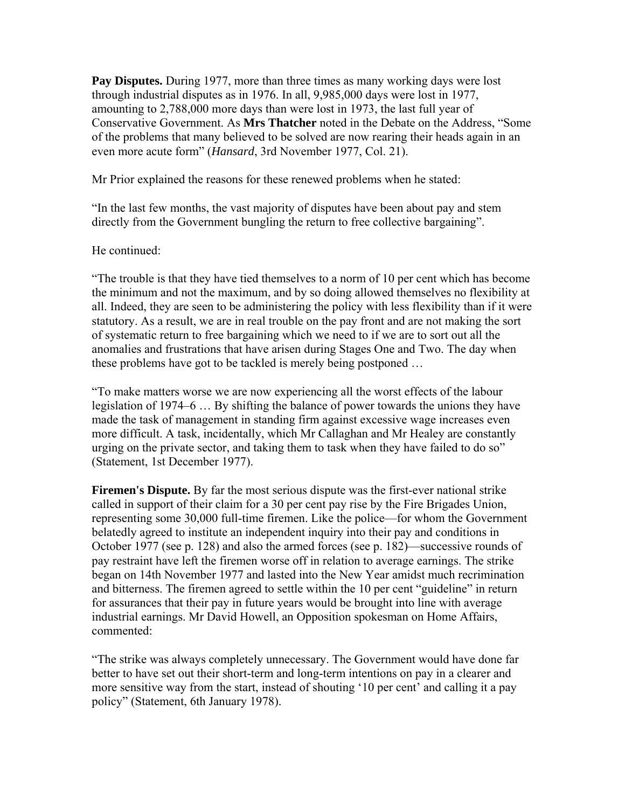**Pay Disputes.** During 1977, more than three times as many working days were lost through industrial disputes as in 1976. In all, 9,985,000 days were lost in 1977, amounting to 2,788,000 more days than were lost in 1973, the last full year of Conservative Government. As **Mrs Thatcher** noted in the Debate on the Address, "Some of the problems that many believed to be solved are now rearing their heads again in an even more acute form" (*Hansard*, 3rd November 1977, Col. 21).

Mr Prior explained the reasons for these renewed problems when he stated:

"In the last few months, the vast majority of disputes have been about pay and stem directly from the Government bungling the return to free collective bargaining".

#### He continued:

"The trouble is that they have tied themselves to a norm of 10 per cent which has become the minimum and not the maximum, and by so doing allowed themselves no flexibility at all. Indeed, they are seen to be administering the policy with less flexibility than if it were statutory. As a result, we are in real trouble on the pay front and are not making the sort of systematic return to free bargaining which we need to if we are to sort out all the anomalies and frustrations that have arisen during Stages One and Two. The day when these problems have got to be tackled is merely being postponed …

"To make matters worse we are now experiencing all the worst effects of the labour legislation of 1974–6 … By shifting the balance of power towards the unions they have made the task of management in standing firm against excessive wage increases even more difficult. A task, incidentally, which Mr Callaghan and Mr Healey are constantly urging on the private sector, and taking them to task when they have failed to do so" (Statement, 1st December 1977).

**Firemen's Dispute.** By far the most serious dispute was the first-ever national strike called in support of their claim for a 30 per cent pay rise by the Fire Brigades Union, representing some 30,000 full-time firemen. Like the police—for whom the Government belatedly agreed to institute an independent inquiry into their pay and conditions in October 1977 (see p. 128) and also the armed forces (see p. 182)—successive rounds of pay restraint have left the firemen worse off in relation to average earnings. The strike began on 14th November 1977 and lasted into the New Year amidst much recrimination and bitterness. The firemen agreed to settle within the 10 per cent "guideline" in return for assurances that their pay in future years would be brought into line with average industrial earnings. Mr David Howell, an Opposition spokesman on Home Affairs, commented:

"The strike was always completely unnecessary. The Government would have done far better to have set out their short-term and long-term intentions on pay in a clearer and more sensitive way from the start, instead of shouting '10 per cent' and calling it a pay policy" (Statement, 6th January 1978).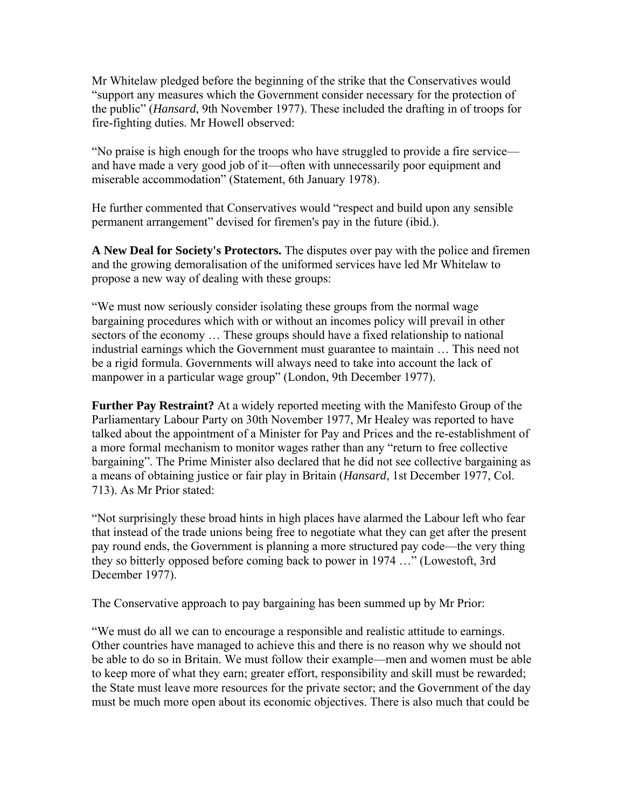Mr Whitelaw pledged before the beginning of the strike that the Conservatives would "support any measures which the Government consider necessary for the protection of the public" (*Hansard*, 9th November 1977). These included the drafting in of troops for fire-fighting duties. Mr Howell observed:

"No praise is high enough for the troops who have struggled to provide a fire service and have made a very good job of it—often with unnecessarily poor equipment and miserable accommodation" (Statement, 6th January 1978).

He further commented that Conservatives would "respect and build upon any sensible permanent arrangement" devised for firemen's pay in the future (ibid.).

**A New Deal for Society's Protectors.** The disputes over pay with the police and firemen and the growing demoralisation of the uniformed services have led Mr Whitelaw to propose a new way of dealing with these groups:

"We must now seriously consider isolating these groups from the normal wage bargaining procedures which with or without an incomes policy will prevail in other sectors of the economy … These groups should have a fixed relationship to national industrial earnings which the Government must guarantee to maintain … This need not be a rigid formula. Governments will always need to take into account the lack of manpower in a particular wage group" (London, 9th December 1977).

**Further Pay Restraint?** At a widely reported meeting with the Manifesto Group of the Parliamentary Labour Party on 30th November 1977, Mr Healey was reported to have talked about the appointment of a Minister for Pay and Prices and the re-establishment of a more formal mechanism to monitor wages rather than any "return to free collective bargaining". The Prime Minister also declared that he did not see collective bargaining as a means of obtaining justice or fair play in Britain (*Hansard*, 1st December 1977, Col. 713). As Mr Prior stated:

"Not surprisingly these broad hints in high places have alarmed the Labour left who fear that instead of the trade unions being free to negotiate what they can get after the present pay round ends, the Government is planning a more structured pay code—the very thing they so bitterly opposed before coming back to power in 1974 …" (Lowestoft, 3rd December 1977).

The Conservative approach to pay bargaining has been summed up by Mr Prior:

"We must do all we can to encourage a responsible and realistic attitude to earnings. Other countries have managed to achieve this and there is no reason why we should not be able to do so in Britain. We must follow their example—men and women must be able to keep more of what they earn; greater effort, responsibility and skill must be rewarded; the State must leave more resources for the private sector; and the Government of the day must be much more open about its economic objectives. There is also much that could be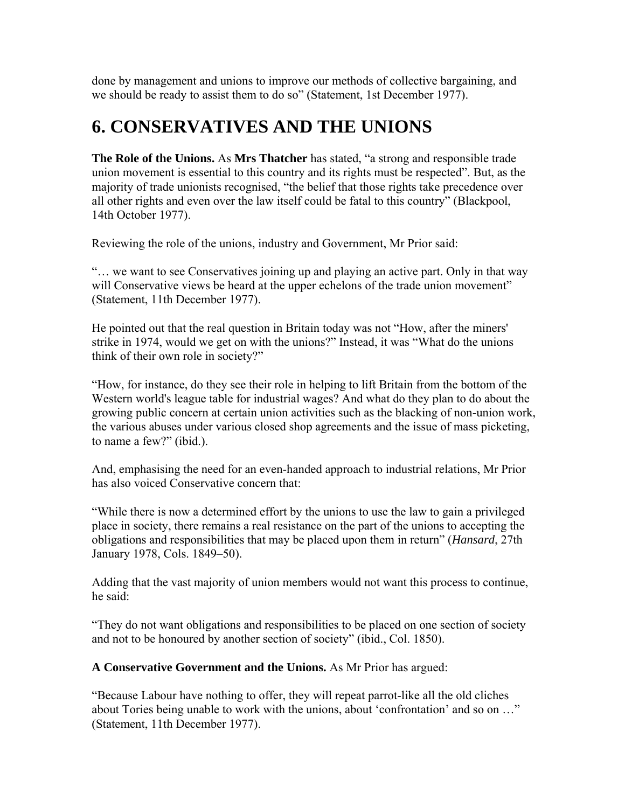done by management and unions to improve our methods of collective bargaining, and we should be ready to assist them to do so" (Statement, 1st December 1977).

### **6. CONSERVATIVES AND THE UNIONS**

**The Role of the Unions.** As **Mrs Thatcher** has stated, "a strong and responsible trade union movement is essential to this country and its rights must be respected". But, as the majority of trade unionists recognised, "the belief that those rights take precedence over all other rights and even over the law itself could be fatal to this country" (Blackpool, 14th October 1977).

Reviewing the role of the unions, industry and Government, Mr Prior said:

"… we want to see Conservatives joining up and playing an active part. Only in that way will Conservative views be heard at the upper echelons of the trade union movement" (Statement, 11th December 1977).

He pointed out that the real question in Britain today was not "How, after the miners' strike in 1974, would we get on with the unions?" Instead, it was "What do the unions think of their own role in society?"

"How, for instance, do they see their role in helping to lift Britain from the bottom of the Western world's league table for industrial wages? And what do they plan to do about the growing public concern at certain union activities such as the blacking of non-union work, the various abuses under various closed shop agreements and the issue of mass picketing, to name a few?" (ibid.).

And, emphasising the need for an even-handed approach to industrial relations, Mr Prior has also voiced Conservative concern that:

"While there is now a determined effort by the unions to use the law to gain a privileged place in society, there remains a real resistance on the part of the unions to accepting the obligations and responsibilities that may be placed upon them in return" (*Hansard*, 27th January 1978, Cols. 1849–50).

Adding that the vast majority of union members would not want this process to continue, he said:

"They do not want obligations and responsibilities to be placed on one section of society and not to be honoured by another section of society" (ibid., Col. 1850).

**A Conservative Government and the Unions.** As Mr Prior has argued:

"Because Labour have nothing to offer, they will repeat parrot-like all the old cliches about Tories being unable to work with the unions, about 'confrontation' and so on …" (Statement, 11th December 1977).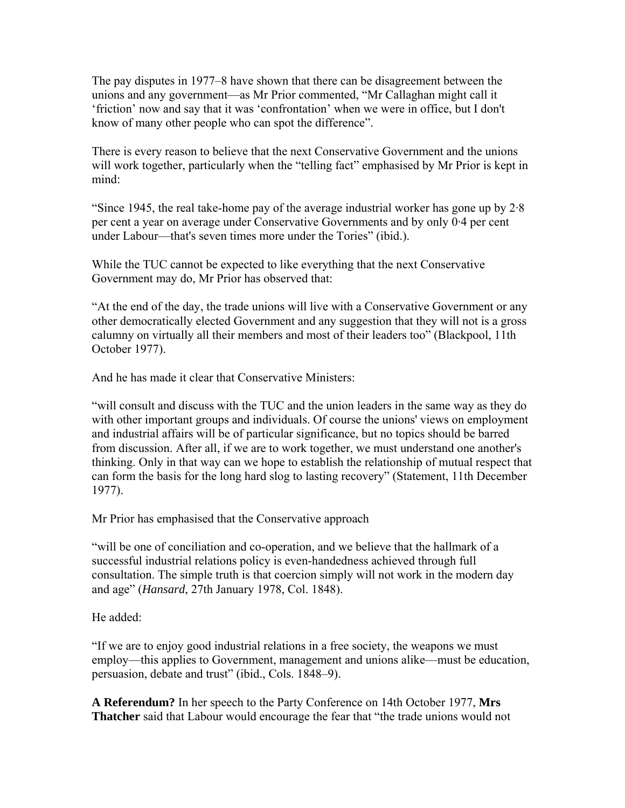The pay disputes in 1977–8 have shown that there can be disagreement between the unions and any government—as Mr Prior commented, "Mr Callaghan might call it 'friction' now and say that it was 'confrontation' when we were in office, but I don't know of many other people who can spot the difference".

There is every reason to believe that the next Conservative Government and the unions will work together, particularly when the "telling fact" emphasised by Mr Prior is kept in mind:

"Since 1945, the real take-home pay of the average industrial worker has gone up by 2·8 per cent a year on average under Conservative Governments and by only 0·4 per cent under Labour—that's seven times more under the Tories" (ibid.).

While the TUC cannot be expected to like everything that the next Conservative Government may do, Mr Prior has observed that:

"At the end of the day, the trade unions will live with a Conservative Government or any other democratically elected Government and any suggestion that they will not is a gross calumny on virtually all their members and most of their leaders too" (Blackpool, 11th October 1977).

And he has made it clear that Conservative Ministers:

"will consult and discuss with the TUC and the union leaders in the same way as they do with other important groups and individuals. Of course the unions' views on employment and industrial affairs will be of particular significance, but no topics should be barred from discussion. After all, if we are to work together, we must understand one another's thinking. Only in that way can we hope to establish the relationship of mutual respect that can form the basis for the long hard slog to lasting recovery" (Statement, 11th December 1977).

Mr Prior has emphasised that the Conservative approach

"will be one of conciliation and co-operation, and we believe that the hallmark of a successful industrial relations policy is even-handedness achieved through full consultation. The simple truth is that coercion simply will not work in the modern day and age" (*Hansard*, 27th January 1978, Col. 1848).

He added:

"If we are to enjoy good industrial relations in a free society, the weapons we must employ—this applies to Government, management and unions alike—must be education, persuasion, debate and trust" (ibid., Cols. 1848–9).

**A Referendum?** In her speech to the Party Conference on 14th October 1977, **Mrs Thatcher** said that Labour would encourage the fear that "the trade unions would not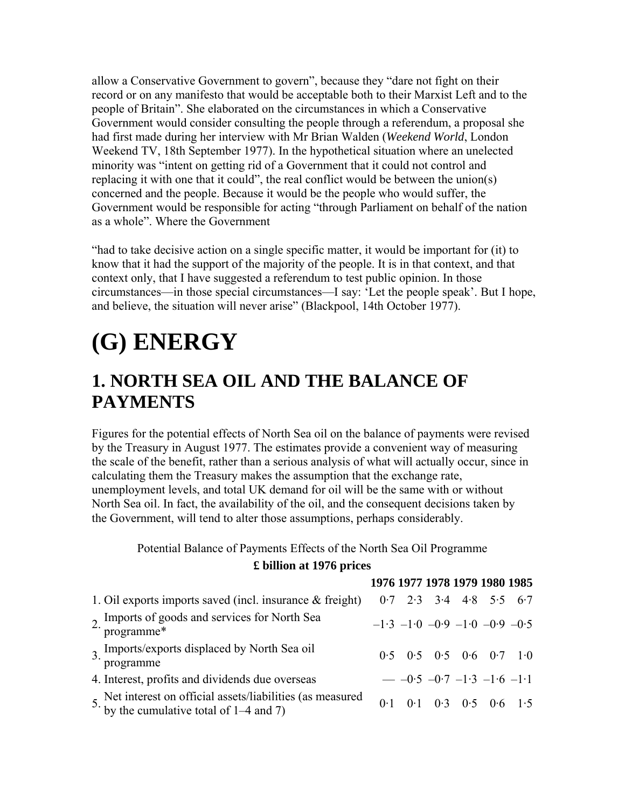allow a Conservative Government to govern", because they "dare not fight on their record or on any manifesto that would be acceptable both to their Marxist Left and to the people of Britain". She elaborated on the circumstances in which a Conservative Government would consider consulting the people through a referendum, a proposal she had first made during her interview with Mr Brian Walden (*Weekend World*, London Weekend TV, 18th September 1977). In the hypothetical situation where an unelected minority was "intent on getting rid of a Government that it could not control and replacing it with one that it could", the real conflict would be between the union(s) concerned and the people. Because it would be the people who would suffer, the Government would be responsible for acting "through Parliament on behalf of the nation as a whole". Where the Government

"had to take decisive action on a single specific matter, it would be important for (it) to know that it had the support of the majority of the people. It is in that context, and that context only, that I have suggested a referendum to test public opinion. In those circumstances—in those special circumstances—I say: 'Let the people speak'. But I hope, and believe, the situation will never arise" (Blackpool, 14th October 1977).

# **(G) ENERGY**

### **1. NORTH SEA OIL AND THE BALANCE OF PAYMENTS**

Figures for the potential effects of North Sea oil on the balance of payments were revised by the Treasury in August 1977. The estimates provide a convenient way of measuring the scale of the benefit, rather than a serious analysis of what will actually occur, since in calculating them the Treasury makes the assumption that the exchange rate, unemployment levels, and total UK demand for oil will be the same with or without North Sea oil. In fact, the availability of the oil, and the consequent decisions taken by the Government, will tend to alter those assumptions, perhaps considerably.

Potential Balance of Payments Effects of the North Sea Oil Programme

#### **£ billion at 1976 prices**

|                                                                                                           |  |  | 1976 1977 1978 1979 1980 1985             |  |
|-----------------------------------------------------------------------------------------------------------|--|--|-------------------------------------------|--|
| 1. Oil exports imports saved (incl. insurance $\&$ freight)                                               |  |  | $0.7$ $2.3$ $3.4$ $4.8$ $5.5$ $6.7$       |  |
| 2. Imports of goods and services for North Sea<br>programme*                                              |  |  | $-1.3$ $-1.0$ $-0.9$ $-1.0$ $-0.9$ $-0.5$ |  |
| 3. Imports/exports displaced by North Sea oil<br>programme                                                |  |  | $0.5$ $0.5$ $0.5$ $0.6$ $0.7$ $1.0$       |  |
| 4. Interest, profits and dividends due overseas                                                           |  |  | $ -0.5$ $-0.7$ $-1.3$ $-1.6$ $-1.1$       |  |
| 5. Net interest on official assets/liabilities (as measured<br>by the cumulative total of $1-4$ and $7$ ) |  |  | $0.1$ $0.1$ $0.3$ $0.5$ $0.6$ $1.5$       |  |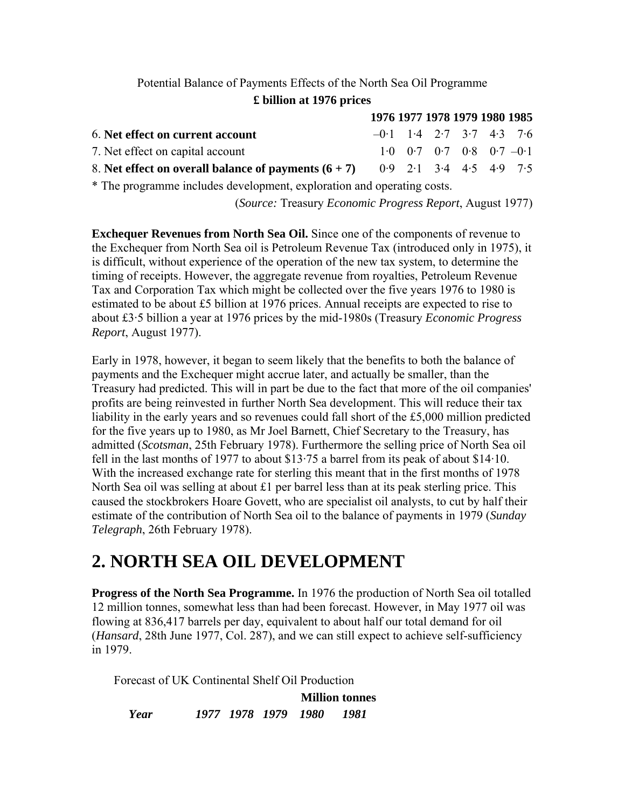# Potential Balance of Payments Effects of the North Sea Oil Programme

|  |  |  | £ billion at 1976 prices |
|--|--|--|--------------------------|
|--|--|--|--------------------------|

|                                                        | 1976 1977 1978 1979 1980 1985 |  |                                                                          |  |
|--------------------------------------------------------|-------------------------------|--|--------------------------------------------------------------------------|--|
| 6. Net effect on current account                       | $-0.1$ 1.4 2.7 3.7 4.3 7.6    |  |                                                                          |  |
| 7. Net effect on capital account                       |                               |  | $1 \cdot 0$ $0 \cdot 7$ $0 \cdot 7$ $0 \cdot 8$ $0 \cdot 7$ $-0 \cdot 1$ |  |
| 8. Net effect on overall balance of payments $(6 + 7)$ |                               |  | $0.9$ $2.1$ $3.4$ $4.5$ $4.9$ $7.5$                                      |  |

\* The programme includes development, exploration and operating costs.

(*Source:* Treasury *Economic Progress Report*, August 1977)

**Exchequer Revenues from North Sea Oil.** Since one of the components of revenue to the Exchequer from North Sea oil is Petroleum Revenue Tax (introduced only in 1975), it is difficult, without experience of the operation of the new tax system, to determine the timing of receipts. However, the aggregate revenue from royalties, Petroleum Revenue Tax and Corporation Tax which might be collected over the five years 1976 to 1980 is estimated to be about £5 billion at 1976 prices. Annual receipts are expected to rise to about £3·5 billion a year at 1976 prices by the mid-1980s (Treasury *Economic Progress Report*, August 1977).

Early in 1978, however, it began to seem likely that the benefits to both the balance of payments and the Exchequer might accrue later, and actually be smaller, than the Treasury had predicted. This will in part be due to the fact that more of the oil companies' profits are being reinvested in further North Sea development. This will reduce their tax liability in the early years and so revenues could fall short of the £5,000 million predicted for the five years up to 1980, as Mr Joel Barnett, Chief Secretary to the Treasury, has admitted (*Scotsman*, 25th February 1978). Furthermore the selling price of North Sea oil fell in the last months of 1977 to about \$13·75 a barrel from its peak of about \$14·10. With the increased exchange rate for sterling this meant that in the first months of 1978 North Sea oil was selling at about £1 per barrel less than at its peak sterling price. This caused the stockbrokers Hoare Govett, who are specialist oil analysts, to cut by half their estimate of the contribution of North Sea oil to the balance of payments in 1979 (*Sunday Telegraph*, 26th February 1978).

### **2. NORTH SEA OIL DEVELOPMENT**

**Progress of the North Sea Programme.** In 1976 the production of North Sea oil totalled 12 million tonnes, somewhat less than had been forecast. However, in May 1977 oil was flowing at 836,417 barrels per day, equivalent to about half our total demand for oil (*Hansard*, 28th June 1977, Col. 287), and we can still expect to achieve self-sufficiency in 1979.

Forecast of UK Continental Shelf Oil Production

**Million tonnes** *Year 1977 1978 1979 1980 1981*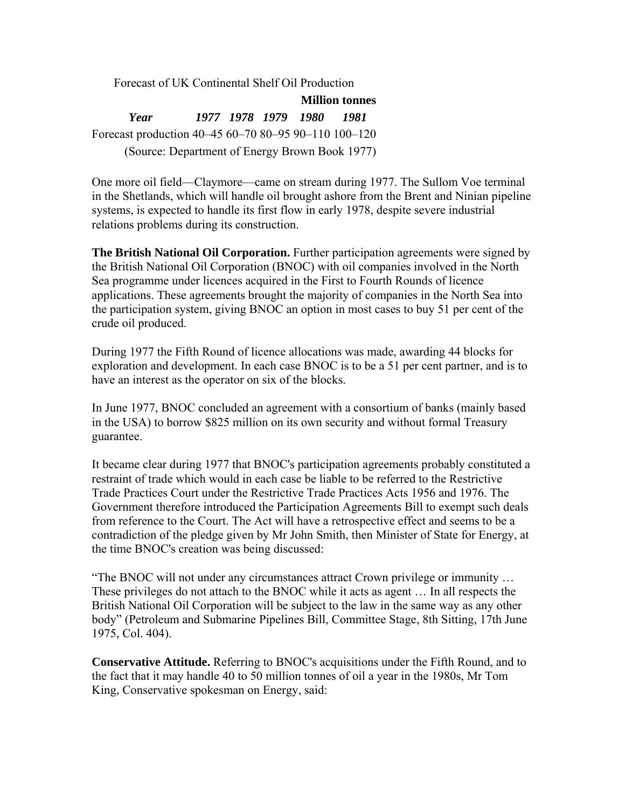Forecast of UK Continental Shelf Oil Production **Million tonnes** *Year 1977 1978 1979 1980 1981* Forecast production 40–45 60–70 80–95 90–110 100–120 (Source: Department of Energy Brown Book 1977)

One more oil field—Claymore—came on stream during 1977. The Sullom Voe terminal in the Shetlands, which will handle oil brought ashore from the Brent and Ninian pipeline systems, is expected to handle its first flow in early 1978, despite severe industrial relations problems during its construction.

**The British National Oil Corporation.** Further participation agreements were signed by the British National Oil Corporation (BNOC) with oil companies involved in the North Sea programme under licences acquired in the First to Fourth Rounds of licence applications. These agreements brought the majority of companies in the North Sea into the participation system, giving BNOC an option in most cases to buy 51 per cent of the crude oil produced.

During 1977 the Fifth Round of licence allocations was made, awarding 44 blocks for exploration and development. In each case BNOC is to be a 51 per cent partner, and is to have an interest as the operator on six of the blocks.

In June 1977, BNOC concluded an agreement with a consortium of banks (mainly based in the USA) to borrow \$825 million on its own security and without formal Treasury guarantee.

It became clear during 1977 that BNOC's participation agreements probably constituted a restraint of trade which would in each case be liable to be referred to the Restrictive Trade Practices Court under the Restrictive Trade Practices Acts 1956 and 1976. The Government therefore introduced the Participation Agreements Bill to exempt such deals from reference to the Court. The Act will have a retrospective effect and seems to be a contradiction of the pledge given by Mr John Smith, then Minister of State for Energy, at the time BNOC's creation was being discussed:

"The BNOC will not under any circumstances attract Crown privilege or immunity … These privileges do not attach to the BNOC while it acts as agent … In all respects the British National Oil Corporation will be subject to the law in the same way as any other body" (Petroleum and Submarine Pipelines Bill, Committee Stage, 8th Sitting, 17th June 1975, Col. 404).

**Conservative Attitude.** Referring to BNOC's acquisitions under the Fifth Round, and to the fact that it may handle 40 to 50 million tonnes of oil a year in the 1980s, Mr Tom King, Conservative spokesman on Energy, said: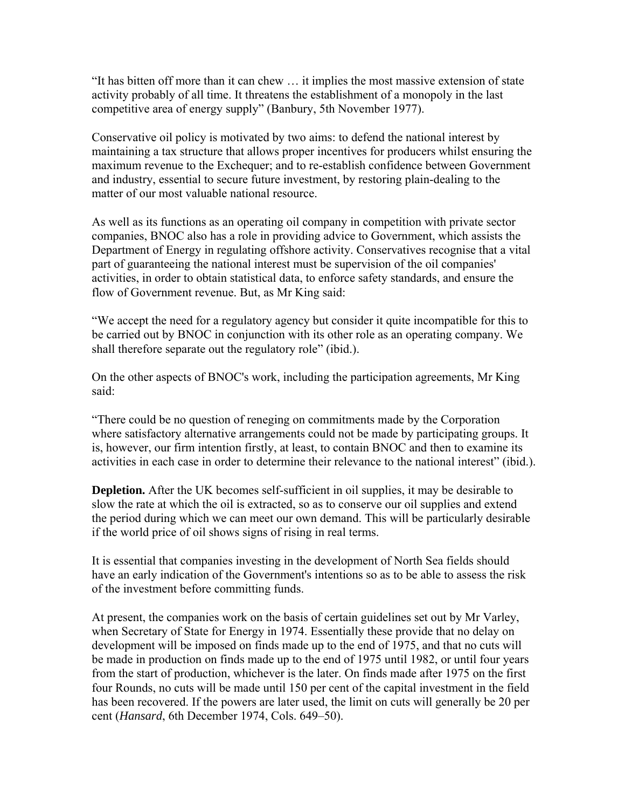"It has bitten off more than it can chew … it implies the most massive extension of state activity probably of all time. It threatens the establishment of a monopoly in the last competitive area of energy supply" (Banbury, 5th November 1977).

Conservative oil policy is motivated by two aims: to defend the national interest by maintaining a tax structure that allows proper incentives for producers whilst ensuring the maximum revenue to the Exchequer; and to re-establish confidence between Government and industry, essential to secure future investment, by restoring plain-dealing to the matter of our most valuable national resource.

As well as its functions as an operating oil company in competition with private sector companies, BNOC also has a role in providing advice to Government, which assists the Department of Energy in regulating offshore activity. Conservatives recognise that a vital part of guaranteeing the national interest must be supervision of the oil companies' activities, in order to obtain statistical data, to enforce safety standards, and ensure the flow of Government revenue. But, as Mr King said:

"We accept the need for a regulatory agency but consider it quite incompatible for this to be carried out by BNOC in conjunction with its other role as an operating company. We shall therefore separate out the regulatory role" (ibid.).

On the other aspects of BNOC's work, including the participation agreements, Mr King said:

"There could be no question of reneging on commitments made by the Corporation where satisfactory alternative arrangements could not be made by participating groups. It is, however, our firm intention firstly, at least, to contain BNOC and then to examine its activities in each case in order to determine their relevance to the national interest" (ibid.).

**Depletion.** After the UK becomes self-sufficient in oil supplies, it may be desirable to slow the rate at which the oil is extracted, so as to conserve our oil supplies and extend the period during which we can meet our own demand. This will be particularly desirable if the world price of oil shows signs of rising in real terms.

It is essential that companies investing in the development of North Sea fields should have an early indication of the Government's intentions so as to be able to assess the risk of the investment before committing funds.

At present, the companies work on the basis of certain guidelines set out by Mr Varley, when Secretary of State for Energy in 1974. Essentially these provide that no delay on development will be imposed on finds made up to the end of 1975, and that no cuts will be made in production on finds made up to the end of 1975 until 1982, or until four years from the start of production, whichever is the later. On finds made after 1975 on the first four Rounds, no cuts will be made until 150 per cent of the capital investment in the field has been recovered. If the powers are later used, the limit on cuts will generally be 20 per cent (*Hansard*, 6th December 1974, Cols. 649–50).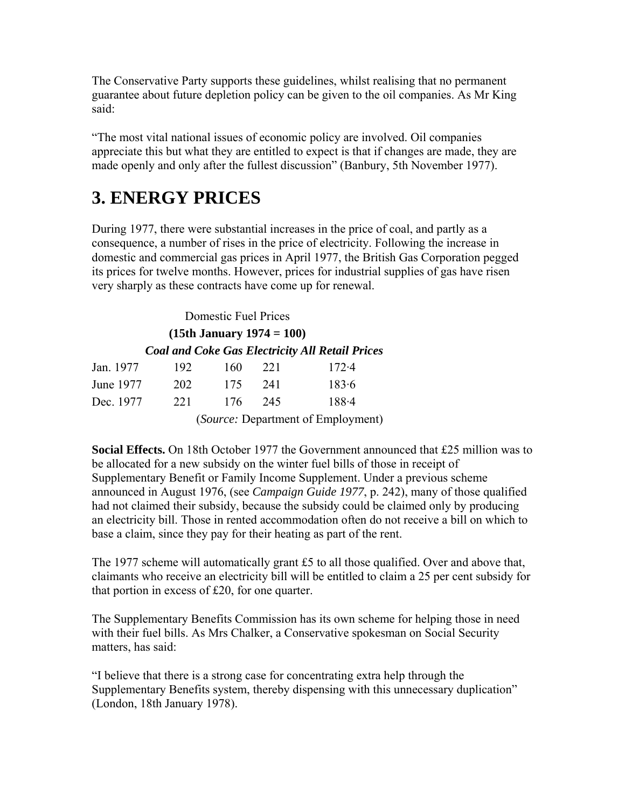The Conservative Party supports these guidelines, whilst realising that no permanent guarantee about future depletion policy can be given to the oil companies. As Mr King said:

"The most vital national issues of economic policy are involved. Oil companies appreciate this but what they are entitled to expect is that if changes are made, they are made openly and only after the fullest discussion" (Banbury, 5th November 1977).

# **3. ENERGY PRICES**

During 1977, there were substantial increases in the price of coal, and partly as a consequence, a number of rises in the price of electricity. Following the increase in domestic and commercial gas prices in April 1977, the British Gas Corporation pegged its prices for twelve months. However, prices for industrial supplies of gas have risen very sharply as these contracts have come up for renewal.

Domestic Fuel Prices **(15th January 1974 = 100)**  *Coal and Coke Gas Electricity All Retail Prices* Jan. 1977 192 160 221 172.4 June 1977 202 175 241 183.6 Dec. 1977 221 176 245 188.4

(*Source:* Department of Employment)

**Social Effects.** On 18th October 1977 the Government announced that £25 million was to be allocated for a new subsidy on the winter fuel bills of those in receipt of Supplementary Benefit or Family Income Supplement. Under a previous scheme announced in August 1976, (see *Campaign Guide 1977*, p. 242), many of those qualified had not claimed their subsidy, because the subsidy could be claimed only by producing an electricity bill. Those in rented accommodation often do not receive a bill on which to base a claim, since they pay for their heating as part of the rent.

The 1977 scheme will automatically grant £5 to all those qualified. Over and above that, claimants who receive an electricity bill will be entitled to claim a 25 per cent subsidy for that portion in excess of £20, for one quarter.

The Supplementary Benefits Commission has its own scheme for helping those in need with their fuel bills. As Mrs Chalker, a Conservative spokesman on Social Security matters, has said:

"I believe that there is a strong case for concentrating extra help through the Supplementary Benefits system, thereby dispensing with this unnecessary duplication" (London, 18th January 1978).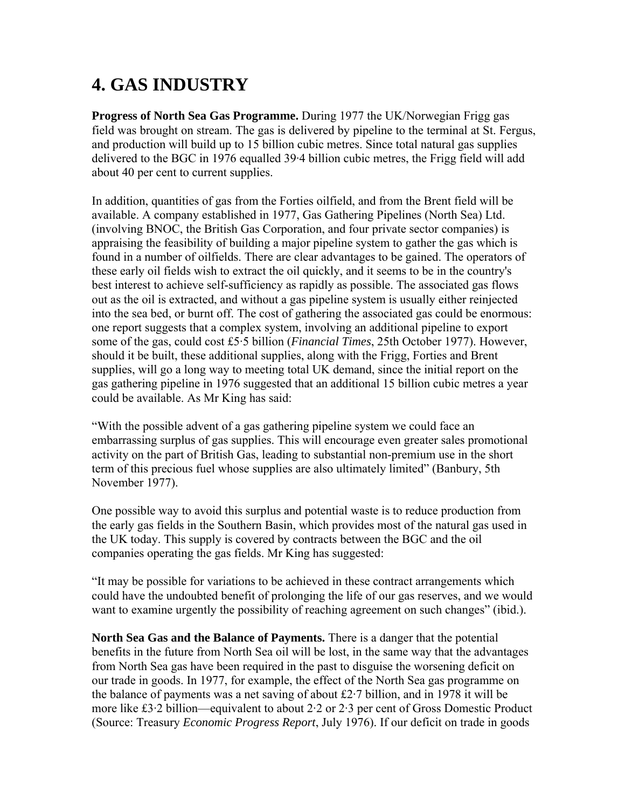# **4. GAS INDUSTRY**

**Progress of North Sea Gas Programme.** During 1977 the UK/Norwegian Frigg gas field was brought on stream. The gas is delivered by pipeline to the terminal at St. Fergus, and production will build up to 15 billion cubic metres. Since total natural gas supplies delivered to the BGC in 1976 equalled 39·4 billion cubic metres, the Frigg field will add about 40 per cent to current supplies.

In addition, quantities of gas from the Forties oilfield, and from the Brent field will be available. A company established in 1977, Gas Gathering Pipelines (North Sea) Ltd. (involving BNOC, the British Gas Corporation, and four private sector companies) is appraising the feasibility of building a major pipeline system to gather the gas which is found in a number of oilfields. There are clear advantages to be gained. The operators of these early oil fields wish to extract the oil quickly, and it seems to be in the country's best interest to achieve self-sufficiency as rapidly as possible. The associated gas flows out as the oil is extracted, and without a gas pipeline system is usually either reinjected into the sea bed, or burnt off. The cost of gathering the associated gas could be enormous: one report suggests that a complex system, involving an additional pipeline to export some of the gas, could cost £5·5 billion (*Financial Times*, 25th October 1977). However, should it be built, these additional supplies, along with the Frigg, Forties and Brent supplies, will go a long way to meeting total UK demand, since the initial report on the gas gathering pipeline in 1976 suggested that an additional 15 billion cubic metres a year could be available. As Mr King has said:

"With the possible advent of a gas gathering pipeline system we could face an embarrassing surplus of gas supplies. This will encourage even greater sales promotional activity on the part of British Gas, leading to substantial non-premium use in the short term of this precious fuel whose supplies are also ultimately limited" (Banbury, 5th November 1977).

One possible way to avoid this surplus and potential waste is to reduce production from the early gas fields in the Southern Basin, which provides most of the natural gas used in the UK today. This supply is covered by contracts between the BGC and the oil companies operating the gas fields. Mr King has suggested:

"It may be possible for variations to be achieved in these contract arrangements which could have the undoubted benefit of prolonging the life of our gas reserves, and we would want to examine urgently the possibility of reaching agreement on such changes" (ibid.).

**North Sea Gas and the Balance of Payments.** There is a danger that the potential benefits in the future from North Sea oil will be lost, in the same way that the advantages from North Sea gas have been required in the past to disguise the worsening deficit on our trade in goods. In 1977, for example, the effect of the North Sea gas programme on the balance of payments was a net saving of about £2·7 billion, and in 1978 it will be more like £3·2 billion—equivalent to about 2·2 or 2·3 per cent of Gross Domestic Product (Source: Treasury *Economic Progress Report*, July 1976). If our deficit on trade in goods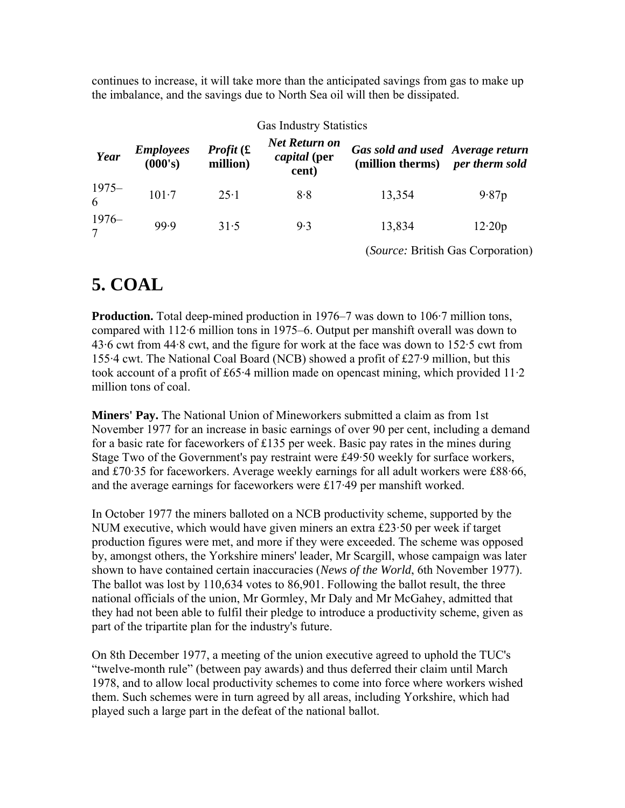continues to increase, it will take more than the anticipated savings from gas to make up the imbalance, and the savings due to North Sea oil will then be dissipated.

| <b>Gas Industry Statistics</b> |                             |                              |                                               |                                                                     |                                          |  |
|--------------------------------|-----------------------------|------------------------------|-----------------------------------------------|---------------------------------------------------------------------|------------------------------------------|--|
| Year                           | <i>Employees</i><br>(000's) | <i>Profit</i> (£<br>million) | Net Return on<br><i>capital</i> (per<br>cent) | Gas sold and used Average return<br>(million therms) per therm sold |                                          |  |
| $1975 -$                       | $101 - 7$                   | $25 \cdot 1$                 | 8.8                                           | 13,354                                                              | 9.87p                                    |  |
| $\frac{1976}{7}$               | 99.9                        | 31.5                         | 9.3                                           | 13,834                                                              | 12.20p                                   |  |
|                                |                             |                              |                                               |                                                                     | <i>(Source: British Gas Corporation)</i> |  |

### **5. COAL**

**Production.** Total deep-mined production in 1976–7 was down to 106.7 million tons, compared with 112·6 million tons in 1975–6. Output per manshift overall was down to 43·6 cwt from 44·8 cwt, and the figure for work at the face was down to 152·5 cwt from 155·4 cwt. The National Coal Board (NCB) showed a profit of £27·9 million, but this took account of a profit of £65·4 million made on opencast mining, which provided 11·2 million tons of coal.

**Miners' Pay.** The National Union of Mineworkers submitted a claim as from 1st November 1977 for an increase in basic earnings of over 90 per cent, including a demand for a basic rate for faceworkers of £135 per week. Basic pay rates in the mines during Stage Two of the Government's pay restraint were £49·50 weekly for surface workers, and £70·35 for faceworkers. Average weekly earnings for all adult workers were £88·66, and the average earnings for faceworkers were £17·49 per manshift worked.

In October 1977 the miners balloted on a NCB productivity scheme, supported by the NUM executive, which would have given miners an extra £23·50 per week if target production figures were met, and more if they were exceeded. The scheme was opposed by, amongst others, the Yorkshire miners' leader, Mr Scargill, whose campaign was later shown to have contained certain inaccuracies (*News of the World*, 6th November 1977). The ballot was lost by 110,634 votes to 86,901. Following the ballot result, the three national officials of the union, Mr Gormley, Mr Daly and Mr McGahey, admitted that they had not been able to fulfil their pledge to introduce a productivity scheme, given as part of the tripartite plan for the industry's future.

On 8th December 1977, a meeting of the union executive agreed to uphold the TUC's "twelve-month rule" (between pay awards) and thus deferred their claim until March 1978, and to allow local productivity schemes to come into force where workers wished them. Such schemes were in turn agreed by all areas, including Yorkshire, which had played such a large part in the defeat of the national ballot.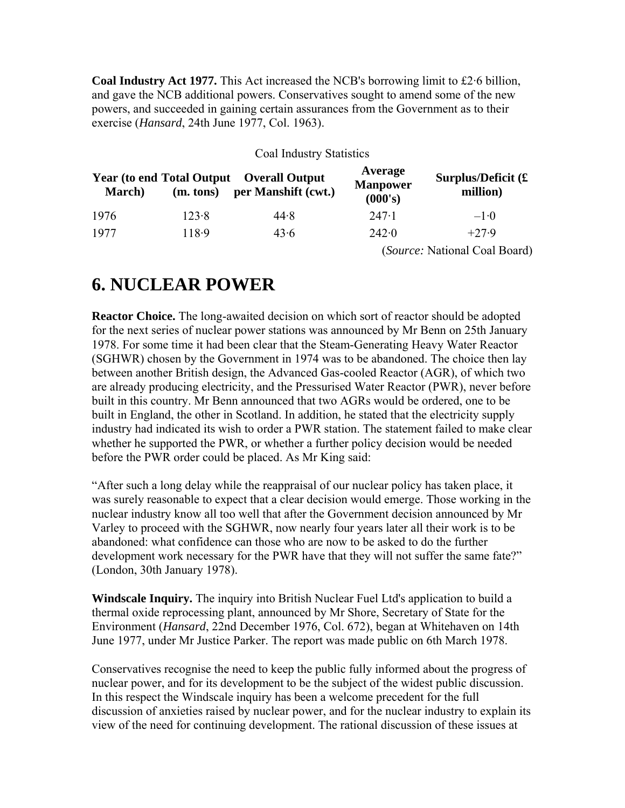**Coal Industry Act 1977.** This Act increased the NCB's borrowing limit to £2·6 billion, and gave the NCB additional powers. Conservatives sought to amend some of the new powers, and succeeded in gaining certain assurances from the Government as to their exercise (*Hansard*, 24th June 1977, Col. 1963).

#### Coal Industry Statistics

| <b>March</b> ) | (m. tons) | <b>Year (to end Total Output Overall Output</b><br>per Manshift (cwt.) | Average<br><b>Manpower</b><br>(000's) | Surplus/Deficit $(E)$<br>million) |
|----------------|-----------|------------------------------------------------------------------------|---------------------------------------|-----------------------------------|
| 1976           | 123.8     | 44.8                                                                   | $247-1$                               | $-1.0$                            |
| 1977           | 118.9     | 43.6                                                                   | 242.0                                 | $+27.9$                           |
|                |           |                                                                        |                                       | (Source: National Coal Board)     |

### **6. NUCLEAR POWER**

**Reactor Choice.** The long-awaited decision on which sort of reactor should be adopted for the next series of nuclear power stations was announced by Mr Benn on 25th January 1978. For some time it had been clear that the Steam-Generating Heavy Water Reactor (SGHWR) chosen by the Government in 1974 was to be abandoned. The choice then lay between another British design, the Advanced Gas-cooled Reactor (AGR), of which two are already producing electricity, and the Pressurised Water Reactor (PWR), never before built in this country. Mr Benn announced that two AGRs would be ordered, one to be built in England, the other in Scotland. In addition, he stated that the electricity supply industry had indicated its wish to order a PWR station. The statement failed to make clear whether he supported the PWR, or whether a further policy decision would be needed before the PWR order could be placed. As Mr King said:

"After such a long delay while the reappraisal of our nuclear policy has taken place, it was surely reasonable to expect that a clear decision would emerge. Those working in the nuclear industry know all too well that after the Government decision announced by Mr Varley to proceed with the SGHWR, now nearly four years later all their work is to be abandoned: what confidence can those who are now to be asked to do the further development work necessary for the PWR have that they will not suffer the same fate?" (London, 30th January 1978).

**Windscale Inquiry.** The inquiry into British Nuclear Fuel Ltd's application to build a thermal oxide reprocessing plant, announced by Mr Shore, Secretary of State for the Environment (*Hansard*, 22nd December 1976, Col. 672), began at Whitehaven on 14th June 1977, under Mr Justice Parker. The report was made public on 6th March 1978.

Conservatives recognise the need to keep the public fully informed about the progress of nuclear power, and for its development to be the subject of the widest public discussion. In this respect the Windscale inquiry has been a welcome precedent for the full discussion of anxieties raised by nuclear power, and for the nuclear industry to explain its view of the need for continuing development. The rational discussion of these issues at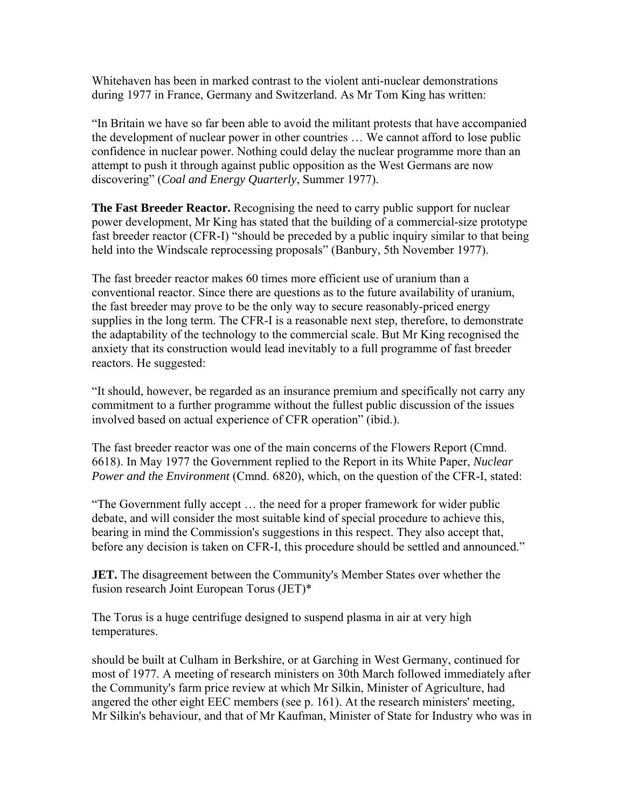Whitehaven has been in marked contrast to the violent anti-nuclear demonstrations during 1977 in France, Germany and Switzerland. As Mr Tom King has written:

"In Britain we have so far been able to avoid the militant protests that have accompanied the development of nuclear power in other countries … We cannot afford to lose public confidence in nuclear power. Nothing could delay the nuclear programme more than an attempt to push it through against public opposition as the West Germans are now discovering" (*Coal and Energy Quarterly*, Summer 1977).

**The Fast Breeder Reactor.** Recognising the need to carry public support for nuclear power development, Mr King has stated that the building of a commercial-size prototype fast breeder reactor (CFR-I) "should be preceded by a public inquiry similar to that being held into the Windscale reprocessing proposals" (Banbury, 5th November 1977).

The fast breeder reactor makes 60 times more efficient use of uranium than a conventional reactor. Since there are questions as to the future availability of uranium, the fast breeder may prove to be the only way to secure reasonably-priced energy supplies in the long term. The CFR-I is a reasonable next step, therefore, to demonstrate the adaptability of the technology to the commercial scale. But Mr King recognised the anxiety that its construction would lead inevitably to a full programme of fast breeder reactors. He suggested:

"It should, however, be regarded as an insurance premium and specifically not carry any commitment to a further programme without the fullest public discussion of the issues involved based on actual experience of CFR operation" (ibid.).

The fast breeder reactor was one of the main concerns of the Flowers Report (Cmnd. 6618). In May 1977 the Government replied to the Report in its White Paper, *Nuclear Power and the Environment* (Cmnd. 6820), which, on the question of the CFR-I, stated:

"The Government fully accept … the need for a proper framework for wider public debate, and will consider the most suitable kind of special procedure to achieve this, bearing in mind the Commission's suggestions in this respect. They also accept that, before any decision is taken on CFR-I, this procedure should be settled and announced."

**JET.** The disagreement between the Community's Member States over whether the fusion research Joint European Torus (JET)\*

The Torus is a huge centrifuge designed to suspend plasma in air at very high temperatures.

should be built at Culham in Berkshire, or at Garching in West Germany, continued for most of 1977. A meeting of research ministers on 30th March followed immediately after the Community's farm price review at which Mr Silkin, Minister of Agriculture, had angered the other eight EEC members (see p. 161). At the research ministers' meeting, Mr Silkin's behaviour, and that of Mr Kaufman, Minister of State for Industry who was in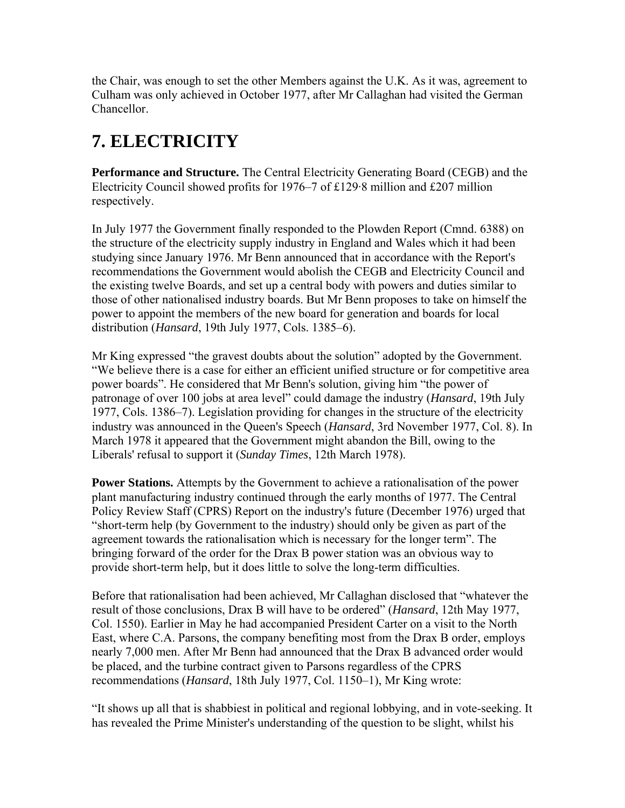the Chair, was enough to set the other Members against the U.K. As it was, agreement to Culham was only achieved in October 1977, after Mr Callaghan had visited the German Chancellor.

## **7. ELECTRICITY**

**Performance and Structure.** The Central Electricity Generating Board (CEGB) and the Electricity Council showed profits for 1976–7 of £129·8 million and £207 million respectively.

In July 1977 the Government finally responded to the Plowden Report (Cmnd. 6388) on the structure of the electricity supply industry in England and Wales which it had been studying since January 1976. Mr Benn announced that in accordance with the Report's recommendations the Government would abolish the CEGB and Electricity Council and the existing twelve Boards, and set up a central body with powers and duties similar to those of other nationalised industry boards. But Mr Benn proposes to take on himself the power to appoint the members of the new board for generation and boards for local distribution (*Hansard*, 19th July 1977, Cols. 1385–6).

Mr King expressed "the gravest doubts about the solution" adopted by the Government. "We believe there is a case for either an efficient unified structure or for competitive area power boards". He considered that Mr Benn's solution, giving him "the power of patronage of over 100 jobs at area level" could damage the industry (*Hansard*, 19th July 1977, Cols. 1386–7). Legislation providing for changes in the structure of the electricity industry was announced in the Queen's Speech (*Hansard*, 3rd November 1977, Col. 8). In March 1978 it appeared that the Government might abandon the Bill, owing to the Liberals' refusal to support it (*Sunday Times*, 12th March 1978).

**Power Stations.** Attempts by the Government to achieve a rationalisation of the power plant manufacturing industry continued through the early months of 1977. The Central Policy Review Staff (CPRS) Report on the industry's future (December 1976) urged that "short-term help (by Government to the industry) should only be given as part of the agreement towards the rationalisation which is necessary for the longer term". The bringing forward of the order for the Drax B power station was an obvious way to provide short-term help, but it does little to solve the long-term difficulties.

Before that rationalisation had been achieved, Mr Callaghan disclosed that "whatever the result of those conclusions, Drax B will have to be ordered" (*Hansard*, 12th May 1977, Col. 1550). Earlier in May he had accompanied President Carter on a visit to the North East, where C.A. Parsons, the company benefiting most from the Drax B order, employs nearly 7,000 men. After Mr Benn had announced that the Drax B advanced order would be placed, and the turbine contract given to Parsons regardless of the CPRS recommendations (*Hansard*, 18th July 1977, Col. 1150–1), Mr King wrote:

"It shows up all that is shabbiest in political and regional lobbying, and in vote-seeking. It has revealed the Prime Minister's understanding of the question to be slight, whilst his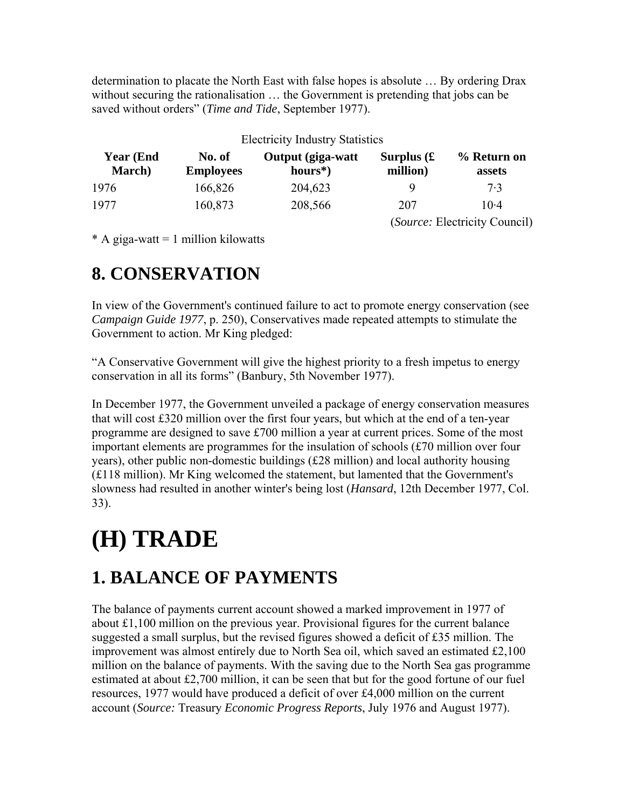determination to placate the North East with false hopes is absolute … By ordering Drax without securing the rationalisation … the Government is pretending that jobs can be saved without orders" (*Time and Tide*, September 1977).

| <b>Electricity Industry Statistics</b> |                            |                                |                                   |                               |  |
|----------------------------------------|----------------------------|--------------------------------|-----------------------------------|-------------------------------|--|
| <b>Year (End)</b><br><b>March</b> )    | No. of<br><b>Employees</b> | Output (giga-watt<br>$hours*)$ | Surplus $\mathfrak k$<br>million) | % Return on<br>assets         |  |
| 1976                                   | 166,826                    | 204,623                        |                                   | 7.3                           |  |
| 1977                                   | 160,873                    | 208,566                        | 207                               | $10-4$                        |  |
|                                        |                            |                                |                                   | (Source: Electricity Council) |  |

 $* A giga-watt = 1 million kilowatts$ 

### **8. CONSERVATION**

In view of the Government's continued failure to act to promote energy conservation (see *Campaign Guide 1977*, p. 250), Conservatives made repeated attempts to stimulate the Government to action. Mr King pledged:

"A Conservative Government will give the highest priority to a fresh impetus to energy conservation in all its forms" (Banbury, 5th November 1977).

In December 1977, the Government unveiled a package of energy conservation measures that will cost  $\text{\pounds}320$  million over the first four years, but which at the end of a ten-year programme are designed to save £700 million a year at current prices. Some of the most important elements are programmes for the insulation of schools (£70 million over four years), other public non-domestic buildings (£28 million) and local authority housing (£118 million). Mr King welcomed the statement, but lamented that the Government's slowness had resulted in another winter's being lost (*Hansard*, 12th December 1977, Col. 33).

# **(H) TRADE**

# **1. BALANCE OF PAYMENTS**

The balance of payments current account showed a marked improvement in 1977 of about £1,100 million on the previous year. Provisional figures for the current balance suggested a small surplus, but the revised figures showed a deficit of £35 million. The improvement was almost entirely due to North Sea oil, which saved an estimated £2,100 million on the balance of payments. With the saving due to the North Sea gas programme estimated at about £2,700 million, it can be seen that but for the good fortune of our fuel resources, 1977 would have produced a deficit of over £4,000 million on the current account (*Source:* Treasury *Economic Progress Reports*, July 1976 and August 1977).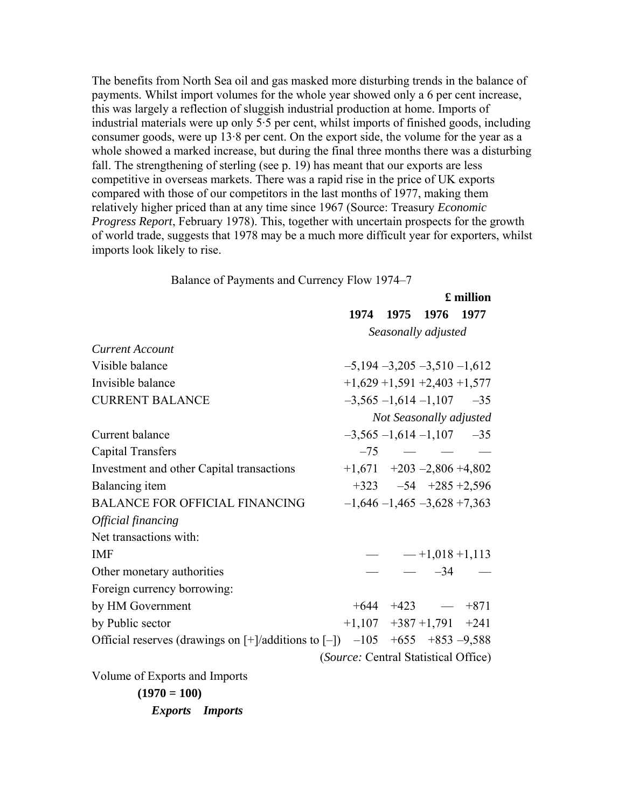The benefits from North Sea oil and gas masked more disturbing trends in the balance of payments. Whilst import volumes for the whole year showed only a 6 per cent increase, this was largely a reflection of sluggish industrial production at home. Imports of industrial materials were up only 5·5 per cent, whilst imports of finished goods, including consumer goods, were up 13·8 per cent. On the export side, the volume for the year as a whole showed a marked increase, but during the final three months there was a disturbing fall. The strengthening of sterling (see p. 19) has meant that our exports are less competitive in overseas markets. There was a rapid rise in the price of UK exports compared with those of our competitors in the last months of 1977, making them relatively higher priced than at any time since 1967 (Source: Treasury *Economic Progress Report*, February 1978). This, together with uncertain prospects for the growth of world trade, suggests that 1978 may be a much more difficult year for exporters, whilst imports look likely to rise.

Balance of Payments and Currency Flow 1974–7

|                                                                                         |                                      |                |                                  | £ million |
|-----------------------------------------------------------------------------------------|--------------------------------------|----------------|----------------------------------|-----------|
|                                                                                         |                                      | 1974 1975 1976 |                                  | 1977      |
|                                                                                         |                                      |                | Seasonally adjusted              |           |
| <b>Current Account</b>                                                                  |                                      |                |                                  |           |
| Visible balance                                                                         | $-5,194 -3,205 -3,510 -1,612$        |                |                                  |           |
| Invisible balance                                                                       | $+1,629 +1,591 +2,403 +1,577$        |                |                                  |           |
| <b>CURRENT BALANCE</b>                                                                  |                                      |                | $-3,565 -1,614 -1,107 -35$       |           |
|                                                                                         |                                      |                | Not Seasonally adjusted          |           |
| Current balance                                                                         |                                      |                | $-3,565 -1,614 -1,107 -35$       |           |
| <b>Capital Transfers</b>                                                                |                                      |                | $-75$ $  -$                      |           |
| Investment and other Capital transactions                                               | $+1,671$ $+203$ $-2,806$ $+4,802$    |                |                                  |           |
| Balancing item                                                                          |                                      |                | $+323 -54 +285 +2,596$           |           |
| <b>BALANCE FOR OFFICIAL FINANCING</b>                                                   |                                      |                | $-1,646 - 1,465 - 3,628 + 7,363$ |           |
| Official financing                                                                      |                                      |                |                                  |           |
| Net transactions with:                                                                  |                                      |                |                                  |           |
| <b>IMF</b>                                                                              |                                      |                | $ -$ +1,018 +1,113               |           |
| Other monetary authorities                                                              |                                      |                | $ -34$ $-$                       |           |
| Foreign currency borrowing:                                                             |                                      |                |                                  |           |
| by HM Government                                                                        |                                      |                | $+644 +423 - 871$                |           |
| by Public sector                                                                        | $+1,107$ $+387$ $+1,791$ $+241$      |                |                                  |           |
| Official reserves (drawings on $[+]$ additions to $[-]$ ) $-105$ $+655$ $+853$ $-9,588$ |                                      |                |                                  |           |
|                                                                                         | (Source: Central Statistical Office) |                |                                  |           |

Volume of Exports and Imports

**(1970 = 100)** *Exports Imports*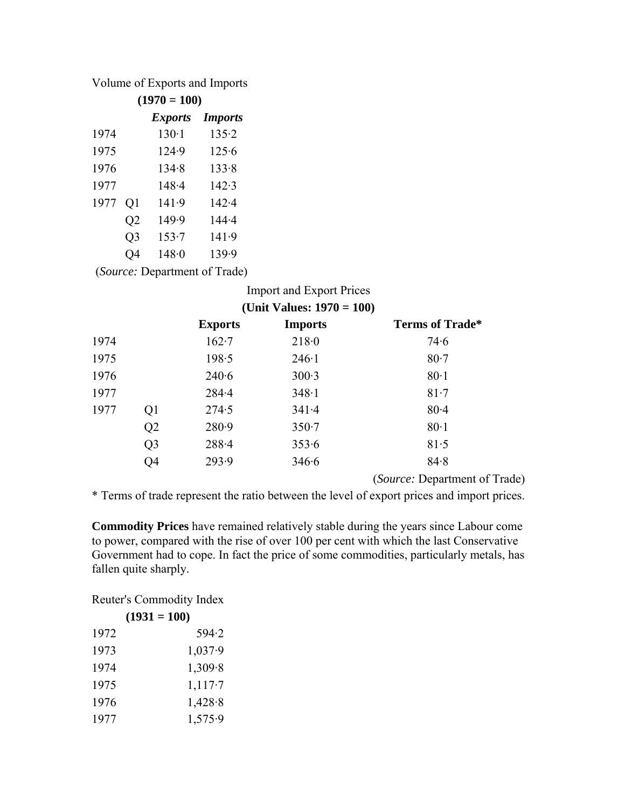Volume of Exports and Imports

| $(1970 = 100)$ |    |                |                |  |  |  |
|----------------|----|----------------|----------------|--|--|--|
|                |    | <i>Exports</i> | <b>Imports</b> |  |  |  |
| 1974           |    | $130-1$        | 135.2          |  |  |  |
| 1975           |    | 124.9          | 125.6          |  |  |  |
| 1976           |    | 134.8          | 133.8          |  |  |  |
| 1977           |    | 148.4          | 142.3          |  |  |  |
| 1977           | Q1 | 141.9          | 142.4          |  |  |  |
|                | Q2 | 149.9          | $144 - 4$      |  |  |  |
|                | Q3 | 153.7          | 141.9          |  |  |  |
|                | O4 | 148.0          | 139.9          |  |  |  |
|                |    |                |                |  |  |  |

(*Source:* Department of Trade)

|      |                |                | <b>Import and Export Prices</b> |                                |
|------|----------------|----------------|---------------------------------|--------------------------------|
|      |                |                | (Unit Values: $1970 = 100$ )    |                                |
|      |                | <b>Exports</b> | <b>Imports</b>                  | <b>Terms of Trade*</b>         |
| 1974 |                | $162 - 7$      | 218.0                           | 74.6                           |
| 1975 |                | 198.5          | $246 \cdot 1$                   | $80-7$                         |
| 1976 |                | 240.6          | 300.3                           | $80-1$                         |
| 1977 |                | $284 - 4$      | 348.1                           | $81-7$                         |
| 1977 | Q <sub>1</sub> | 274.5          | 341.4                           | $80 - 4$                       |
|      | Q <sub>2</sub> | 280.9          | $350 - 7$                       | 80.1                           |
|      | Q <sub>3</sub> | $288 - 4$      | 353.6                           | 81.5                           |
|      | Q4             | 293.9          | 346.6                           | 84.8                           |
|      |                |                |                                 | $(\mathbf{C} \cup \mathbf{D})$ |

(*Source:* Department of Trade)

\* Terms of trade represent the ratio between the level of export prices and import prices.

**Commodity Prices** have remained relatively stable during the years since Labour come to power, compared with the rise of over 100 per cent with which the last Conservative Government had to cope. In fact the price of some commodities, particularly metals, has fallen quite sharply.

Reuter's Commodity Index

| $(1931 = 100)$ |         |  |  |
|----------------|---------|--|--|
| 1972           | 594.2   |  |  |
| 1973           | 1,037.9 |  |  |
| 1974           | 1,309.8 |  |  |
| 1975           | 1,117.7 |  |  |
| 1976           | 1,428.8 |  |  |
| 1977           | 1,575.9 |  |  |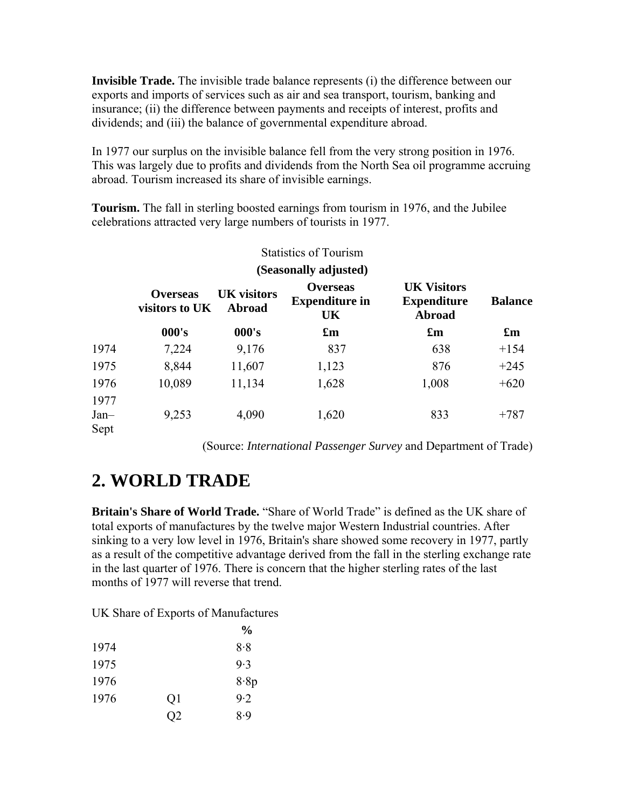**Invisible Trade.** The invisible trade balance represents (i) the difference between our exports and imports of services such as air and sea transport, tourism, banking and insurance; (ii) the difference between payments and receipts of interest, profits and dividends; and (iii) the balance of governmental expenditure abroad.

In 1977 our surplus on the invisible balance fell from the very strong position in 1976. This was largely due to profits and dividends from the North Sea oil programme accruing abroad. Tourism increased its share of invisible earnings.

**Tourism.** The fall in sterling boosted earnings from tourism in 1976, and the Jubilee celebrations attracted very large numbers of tourists in 1977.

|                        | <b>Statistics of Tourism</b><br>(Seasonally adjusted) |                              |                                                |                                                           |                           |
|------------------------|-------------------------------------------------------|------------------------------|------------------------------------------------|-----------------------------------------------------------|---------------------------|
|                        |                                                       |                              |                                                |                                                           |                           |
|                        | <b>Overseas</b><br>visitors to UK                     | <b>UK</b> visitors<br>Abroad | <b>Overseas</b><br><b>Expenditure in</b><br>UK | <b>UK Visitors</b><br><b>Expenditure</b><br><b>Abroad</b> | <b>Balance</b>            |
|                        | 000's                                                 | 000's                        | $\mathbf{f}_{\mathbf{m}}$                      | $\mathbf{f}_{\mathbf{m}}$                                 | $\mathbf{f}_{\mathbf{m}}$ |
| 1974                   | 7,224                                                 | 9,176                        | 837                                            | 638                                                       | $+154$                    |
| 1975                   | 8,844                                                 | 11,607                       | 1,123                                          | 876                                                       | $+245$                    |
| 1976                   | 10,089                                                | 11,134                       | 1,628                                          | 1,008                                                     | $+620$                    |
| 1977<br>$Jan-$<br>Sept | 9,253                                                 | 4,090                        | 1,620                                          | 833                                                       | $+787$                    |

(Source: *International Passenger Survey* and Department of Trade)

### **2. WORLD TRADE**

**Britain's Share of World Trade.** "Share of World Trade" is defined as the UK share of total exports of manufactures by the twelve major Western Industrial countries. After sinking to a very low level in 1976, Britain's share showed some recovery in 1977, partly as a result of the competitive advantage derived from the fall in the sterling exchange rate in the last quarter of 1976. There is concern that the higher sterling rates of the last months of 1977 will reverse that trend.

UK Share of Exports of Manufactures

|      |                | $\frac{6}{9}$ |
|------|----------------|---------------|
| 1974 |                | 8.8           |
| 1975 |                | 9.3           |
| 1976 |                | 8.8p          |
| 1976 | Q1             | 9.2           |
|      | Q <sub>2</sub> | 8.9           |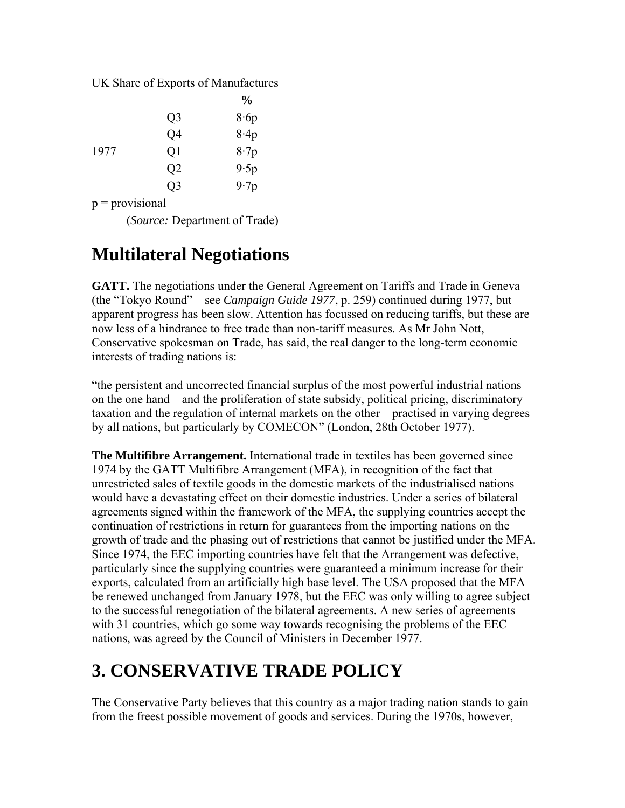UK Share of Exports of Manufactures

|      |                | $\frac{1}{2}$ |
|------|----------------|---------------|
|      | Q <sub>3</sub> | 8.6p          |
|      | Q4             | 8.4p          |
| 1977 | Q1             | 8.7p          |
|      | Q <sub>2</sub> | 9.5p          |
|      | Q <sub>3</sub> | 9.7p          |

 $p =$ provisional

(*Source:* Department of Trade)

### **Multilateral Negotiations**

**GATT.** The negotiations under the General Agreement on Tariffs and Trade in Geneva (the "Tokyo Round"—see *Campaign Guide 1977*, p. 259) continued during 1977, but apparent progress has been slow. Attention has focussed on reducing tariffs, but these are now less of a hindrance to free trade than non-tariff measures. As Mr John Nott, Conservative spokesman on Trade, has said, the real danger to the long-term economic interests of trading nations is:

"the persistent and uncorrected financial surplus of the most powerful industrial nations on the one hand—and the proliferation of state subsidy, political pricing, discriminatory taxation and the regulation of internal markets on the other—practised in varying degrees by all nations, but particularly by COMECON" (London, 28th October 1977).

**The Multifibre Arrangement.** International trade in textiles has been governed since 1974 by the GATT Multifibre Arrangement (MFA), in recognition of the fact that unrestricted sales of textile goods in the domestic markets of the industrialised nations would have a devastating effect on their domestic industries. Under a series of bilateral agreements signed within the framework of the MFA, the supplying countries accept the continuation of restrictions in return for guarantees from the importing nations on the growth of trade and the phasing out of restrictions that cannot be justified under the MFA. Since 1974, the EEC importing countries have felt that the Arrangement was defective, particularly since the supplying countries were guaranteed a minimum increase for their exports, calculated from an artificially high base level. The USA proposed that the MFA be renewed unchanged from January 1978, but the EEC was only willing to agree subject to the successful renegotiation of the bilateral agreements. A new series of agreements with 31 countries, which go some way towards recognising the problems of the EEC nations, was agreed by the Council of Ministers in December 1977.

# **3. CONSERVATIVE TRADE POLICY**

The Conservative Party believes that this country as a major trading nation stands to gain from the freest possible movement of goods and services. During the 1970s, however,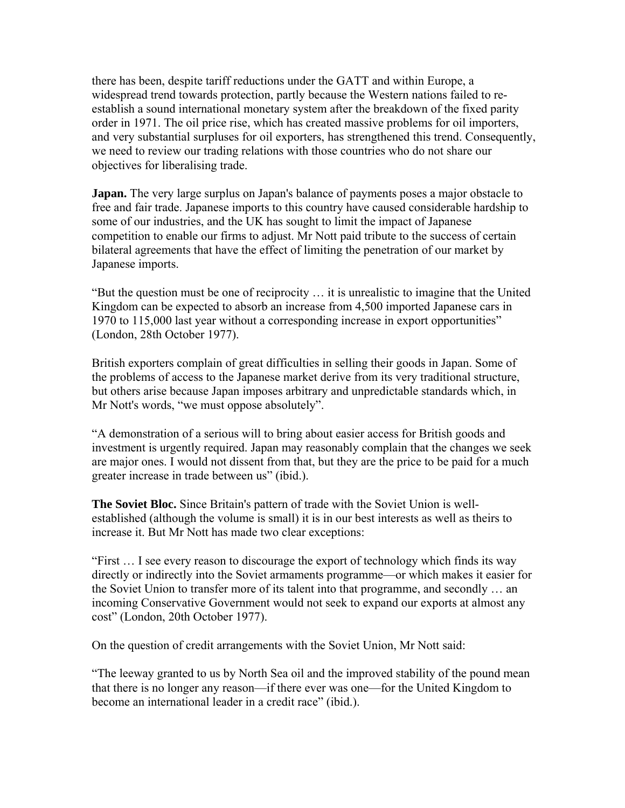there has been, despite tariff reductions under the GATT and within Europe, a widespread trend towards protection, partly because the Western nations failed to reestablish a sound international monetary system after the breakdown of the fixed parity order in 1971. The oil price rise, which has created massive problems for oil importers, and very substantial surpluses for oil exporters, has strengthened this trend. Consequently, we need to review our trading relations with those countries who do not share our objectives for liberalising trade.

**Japan.** The very large surplus on Japan's balance of payments poses a major obstacle to free and fair trade. Japanese imports to this country have caused considerable hardship to some of our industries, and the UK has sought to limit the impact of Japanese competition to enable our firms to adjust. Mr Nott paid tribute to the success of certain bilateral agreements that have the effect of limiting the penetration of our market by Japanese imports.

"But the question must be one of reciprocity … it is unrealistic to imagine that the United Kingdom can be expected to absorb an increase from 4,500 imported Japanese cars in 1970 to 115,000 last year without a corresponding increase in export opportunities" (London, 28th October 1977).

British exporters complain of great difficulties in selling their goods in Japan. Some of the problems of access to the Japanese market derive from its very traditional structure, but others arise because Japan imposes arbitrary and unpredictable standards which, in Mr Nott's words, "we must oppose absolutely".

"A demonstration of a serious will to bring about easier access for British goods and investment is urgently required. Japan may reasonably complain that the changes we seek are major ones. I would not dissent from that, but they are the price to be paid for a much greater increase in trade between us" (ibid.).

**The Soviet Bloc.** Since Britain's pattern of trade with the Soviet Union is wellestablished (although the volume is small) it is in our best interests as well as theirs to increase it. But Mr Nott has made two clear exceptions:

"First … I see every reason to discourage the export of technology which finds its way directly or indirectly into the Soviet armaments programme—or which makes it easier for the Soviet Union to transfer more of its talent into that programme, and secondly … an incoming Conservative Government would not seek to expand our exports at almost any cost" (London, 20th October 1977).

On the question of credit arrangements with the Soviet Union, Mr Nott said:

"The leeway granted to us by North Sea oil and the improved stability of the pound mean that there is no longer any reason—if there ever was one—for the United Kingdom to become an international leader in a credit race" (ibid.).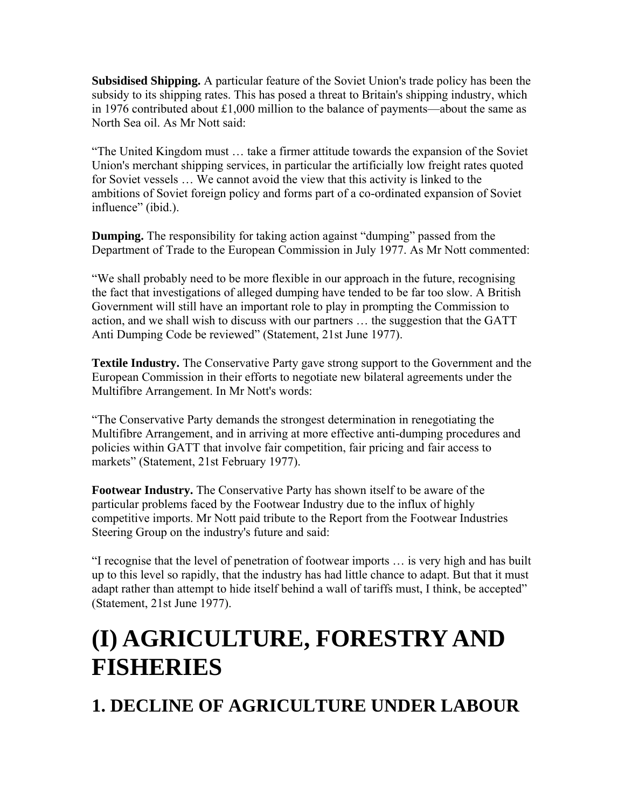**Subsidised Shipping.** A particular feature of the Soviet Union's trade policy has been the subsidy to its shipping rates. This has posed a threat to Britain's shipping industry, which in 1976 contributed about £1,000 million to the balance of payments—about the same as North Sea oil. As Mr Nott said:

"The United Kingdom must … take a firmer attitude towards the expansion of the Soviet Union's merchant shipping services, in particular the artificially low freight rates quoted for Soviet vessels … We cannot avoid the view that this activity is linked to the ambitions of Soviet foreign policy and forms part of a co-ordinated expansion of Soviet influence" (ibid.).

**Dumping.** The responsibility for taking action against "dumping" passed from the Department of Trade to the European Commission in July 1977. As Mr Nott commented:

"We shall probably need to be more flexible in our approach in the future, recognising the fact that investigations of alleged dumping have tended to be far too slow. A British Government will still have an important role to play in prompting the Commission to action, and we shall wish to discuss with our partners … the suggestion that the GATT Anti Dumping Code be reviewed" (Statement, 21st June 1977).

**Textile Industry.** The Conservative Party gave strong support to the Government and the European Commission in their efforts to negotiate new bilateral agreements under the Multifibre Arrangement. In Mr Nott's words:

"The Conservative Party demands the strongest determination in renegotiating the Multifibre Arrangement, and in arriving at more effective anti-dumping procedures and policies within GATT that involve fair competition, fair pricing and fair access to markets" (Statement, 21st February 1977).

**Footwear Industry.** The Conservative Party has shown itself to be aware of the particular problems faced by the Footwear Industry due to the influx of highly competitive imports. Mr Nott paid tribute to the Report from the Footwear Industries Steering Group on the industry's future and said:

"I recognise that the level of penetration of footwear imports … is very high and has built up to this level so rapidly, that the industry has had little chance to adapt. But that it must adapt rather than attempt to hide itself behind a wall of tariffs must, I think, be accepted" (Statement, 21st June 1977).

# **(I) AGRICULTURE, FORESTRY AND FISHERIES**

**1. DECLINE OF AGRICULTURE UNDER LABOUR**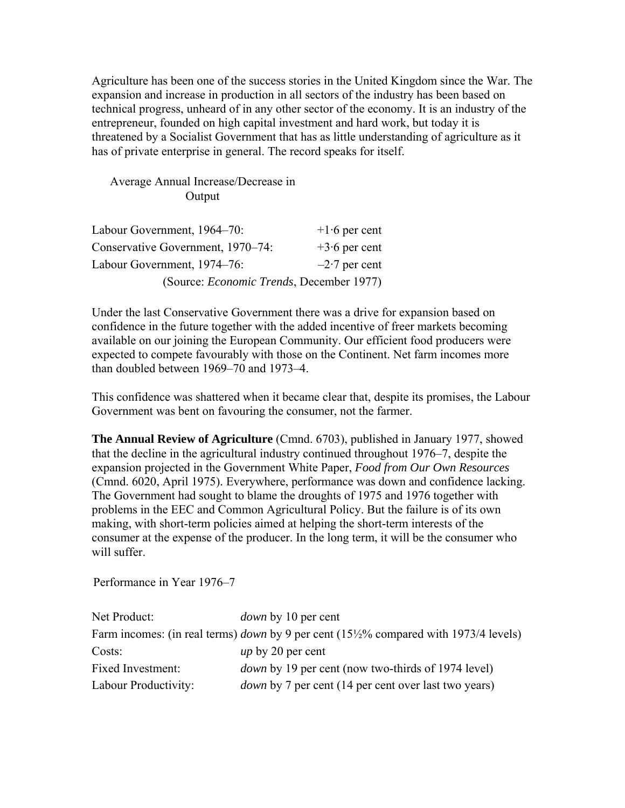Agriculture has been one of the success stories in the United Kingdom since the War. The expansion and increase in production in all sectors of the industry has been based on technical progress, unheard of in any other sector of the economy. It is an industry of the entrepreneur, founded on high capital investment and hard work, but today it is threatened by a Socialist Government that has as little understanding of agriculture as it has of private enterprise in general. The record speaks for itself.

#### Average Annual Increase/Decrease in Output

| Labour Government, 1964–70:                      | $+1.6$ per cent |
|--------------------------------------------------|-----------------|
| Conservative Government, 1970–74:                | $+3.6$ per cent |
| Labour Government, 1974–76:                      | $-2.7$ per cent |
| (Source: <i>Economic Trends</i> , December 1977) |                 |

Under the last Conservative Government there was a drive for expansion based on confidence in the future together with the added incentive of freer markets becoming available on our joining the European Community. Our efficient food producers were expected to compete favourably with those on the Continent. Net farm incomes more than doubled between 1969–70 and 1973–4.

This confidence was shattered when it became clear that, despite its promises, the Labour Government was bent on favouring the consumer, not the farmer.

**The Annual Review of Agriculture** (Cmnd. 6703), published in January 1977, showed that the decline in the agricultural industry continued throughout 1976–7, despite the expansion projected in the Government White Paper, *Food from Our Own Resources* (Cmnd. 6020, April 1975). Everywhere, performance was down and confidence lacking. The Government had sought to blame the droughts of 1975 and 1976 together with problems in the EEC and Common Agricultural Policy. But the failure is of its own making, with short-term policies aimed at helping the short-term interests of the consumer at the expense of the producer. In the long term, it will be the consumer who will suffer.

Performance in Year 1976–7

| Net Product:         | <i>down</i> by 10 per cent                                                                 |
|----------------------|--------------------------------------------------------------------------------------------|
|                      | Farm incomes: (in real terms) <i>down</i> by 9 per cent (15½% compared with 1973/4 levels) |
| Costs:               | <i>up</i> by 20 per cent                                                                   |
| Fixed Investment:    | <i>down</i> by 19 per cent (now two-thirds of 1974 level)                                  |
| Labour Productivity: | <i>down</i> by 7 per cent (14 per cent over last two years)                                |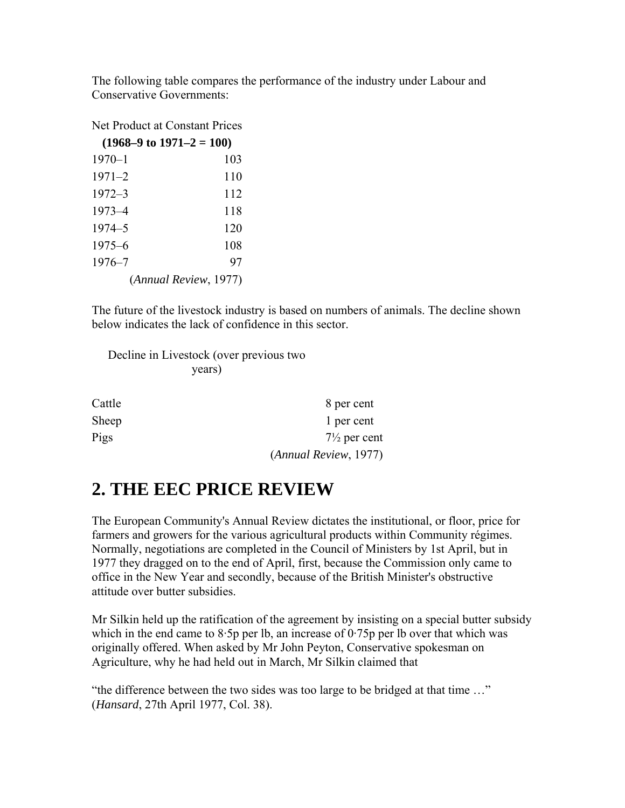The following table compares the performance of the industry under Labour and Conservative Governments:

Net Product at Constant Prices

| $(1968-9 \text{ to } 1971-2 = 100)$ |     |  |
|-------------------------------------|-----|--|
| $1970 - 1$                          | 103 |  |
| $1971 - 2$                          | 110 |  |
| $1972 - 3$                          | 112 |  |
| $1973 - 4$                          | 118 |  |
| 1974–5                              | 120 |  |
| $1975 - 6$                          | 108 |  |
| $1976 - 7$                          | 97  |  |
| (Annual Review, 1977)               |     |  |

The future of the livestock industry is based on numbers of animals. The decline shown below indicates the lack of confidence in this sector.

| Decline in Livestock (over previous two |
|-----------------------------------------|
| years)                                  |

| Cattle | 8 per cent              |
|--------|-------------------------|
| Sheep  | 1 per cent              |
| Pigs   | $7\frac{1}{2}$ per cent |
|        | (Annual Review, 1977)   |

### **2. THE EEC PRICE REVIEW**

The European Community's Annual Review dictates the institutional, or floor, price for farmers and growers for the various agricultural products within Community régimes. Normally, negotiations are completed in the Council of Ministers by 1st April, but in 1977 they dragged on to the end of April, first, because the Commission only came to office in the New Year and secondly, because of the British Minister's obstructive attitude over butter subsidies.

Mr Silkin held up the ratification of the agreement by insisting on a special butter subsidy which in the end came to 8.5p per lb, an increase of  $0.75p$  per lb over that which was originally offered. When asked by Mr John Peyton, Conservative spokesman on Agriculture, why he had held out in March, Mr Silkin claimed that

"the difference between the two sides was too large to be bridged at that time …" (*Hansard*, 27th April 1977, Col. 38).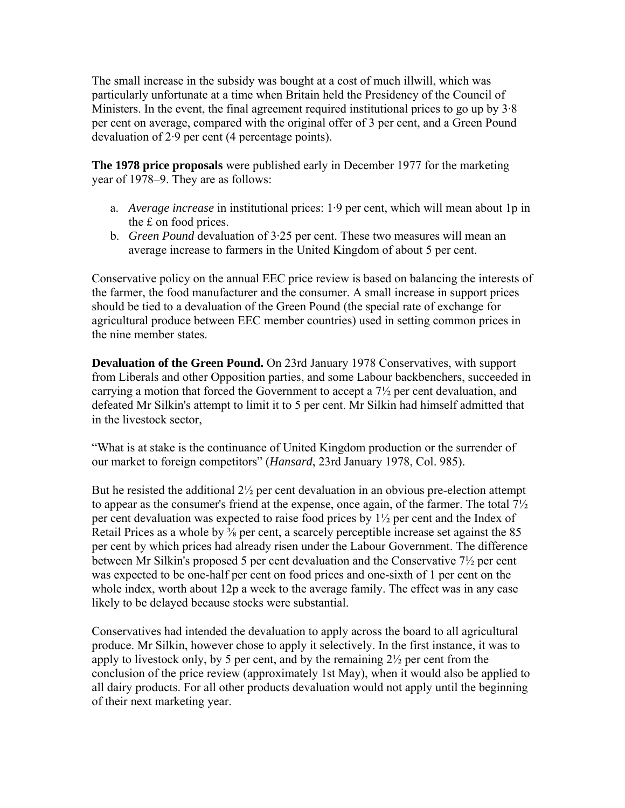The small increase in the subsidy was bought at a cost of much illwill, which was particularly unfortunate at a time when Britain held the Presidency of the Council of Ministers. In the event, the final agreement required institutional prices to go up by 3·8 per cent on average, compared with the original offer of 3 per cent, and a Green Pound devaluation of 2·9 per cent (4 percentage points).

**The 1978 price proposals** were published early in December 1977 for the marketing year of 1978–9. They are as follows:

- a. *Average increase* in institutional prices: 1·9 per cent, which will mean about 1p in the £ on food prices.
- b. *Green Pound* devaluation of 3·25 per cent. These two measures will mean an average increase to farmers in the United Kingdom of about 5 per cent.

Conservative policy on the annual EEC price review is based on balancing the interests of the farmer, the food manufacturer and the consumer. A small increase in support prices should be tied to a devaluation of the Green Pound (the special rate of exchange for agricultural produce between EEC member countries) used in setting common prices in the nine member states.

**Devaluation of the Green Pound.** On 23rd January 1978 Conservatives, with support from Liberals and other Opposition parties, and some Labour backbenchers, succeeded in carrying a motion that forced the Government to accept a 7½ per cent devaluation, and defeated Mr Silkin's attempt to limit it to 5 per cent. Mr Silkin had himself admitted that in the livestock sector,

"What is at stake is the continuance of United Kingdom production or the surrender of our market to foreign competitors" (*Hansard*, 23rd January 1978, Col. 985).

But he resisted the additional  $2\frac{1}{2}$  per cent devaluation in an obvious pre-election attempt to appear as the consumer's friend at the expense, once again, of the farmer. The total 7½ per cent devaluation was expected to raise food prices by 1½ per cent and the Index of Retail Prices as a whole by <sup>3</sup>/<sub>8</sub> per cent, a scarcely perceptible increase set against the 85 per cent by which prices had already risen under the Labour Government. The difference between Mr Silkin's proposed 5 per cent devaluation and the Conservative 7½ per cent was expected to be one-half per cent on food prices and one-sixth of 1 per cent on the whole index, worth about 12p a week to the average family. The effect was in any case likely to be delayed because stocks were substantial.

Conservatives had intended the devaluation to apply across the board to all agricultural produce. Mr Silkin, however chose to apply it selectively. In the first instance, it was to apply to livestock only, by 5 per cent, and by the remaining  $2\frac{1}{2}$  per cent from the conclusion of the price review (approximately 1st May), when it would also be applied to all dairy products. For all other products devaluation would not apply until the beginning of their next marketing year.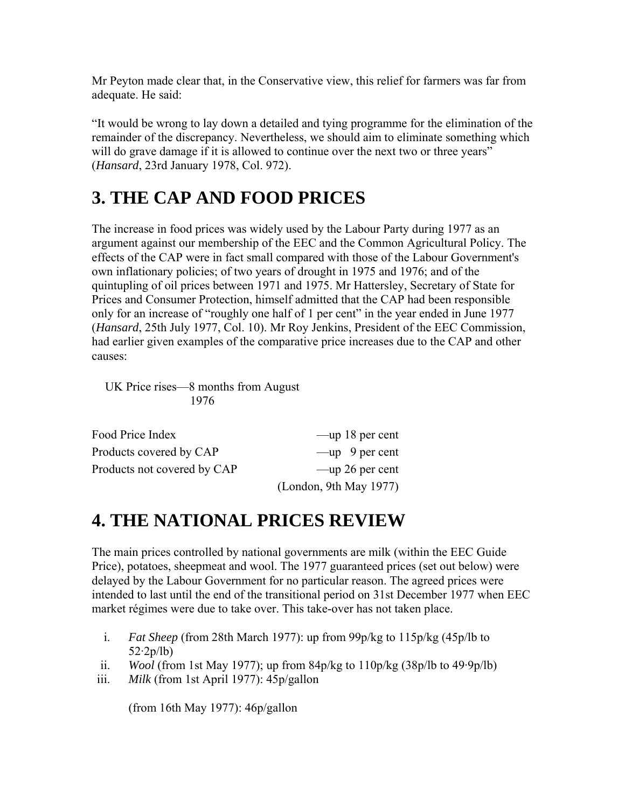Mr Peyton made clear that, in the Conservative view, this relief for farmers was far from adequate. He said:

"It would be wrong to lay down a detailed and tying programme for the elimination of the remainder of the discrepancy. Nevertheless, we should aim to eliminate something which will do grave damage if it is allowed to continue over the next two or three years" (*Hansard*, 23rd January 1978, Col. 972).

# **3. THE CAP AND FOOD PRICES**

The increase in food prices was widely used by the Labour Party during 1977 as an argument against our membership of the EEC and the Common Agricultural Policy. The effects of the CAP were in fact small compared with those of the Labour Government's own inflationary policies; of two years of drought in 1975 and 1976; and of the quintupling of oil prices between 1971 and 1975. Mr Hattersley, Secretary of State for Prices and Consumer Protection, himself admitted that the CAP had been responsible only for an increase of "roughly one half of 1 per cent" in the year ended in June 1977 (*Hansard*, 25th July 1977, Col. 10). Mr Roy Jenkins, President of the EEC Commission, had earlier given examples of the comparative price increases due to the CAP and other causes:

UK Price rises—8 months from August 1976

| Food Price Index            | $-\mu p 18$ per cent    |
|-----------------------------|-------------------------|
| Products covered by CAP     | $-\text{up}$ 9 per cent |
| Products not covered by CAP | $-\mu$ 26 per cent      |
|                             | (London, 9th May 1977)  |

### **4. THE NATIONAL PRICES REVIEW**

The main prices controlled by national governments are milk (within the EEC Guide Price), potatoes, sheepmeat and wool. The 1977 guaranteed prices (set out below) were delayed by the Labour Government for no particular reason. The agreed prices were intended to last until the end of the transitional period on 31st December 1977 when EEC market régimes were due to take over. This take-over has not taken place.

- i. *Fat Sheep* (from 28th March 1977): up from 99p/kg to 115p/kg (45p/lb to 52·2p/lb)
- ii. *Wool* (from 1st May 1977); up from 84p/kg to  $110p/kg (38p/lb)$  to  $49.9p/lb$ )
- iii. *Milk* (from 1st April 1977): 45p/gallon

(from 16th May 1977): 46p/gallon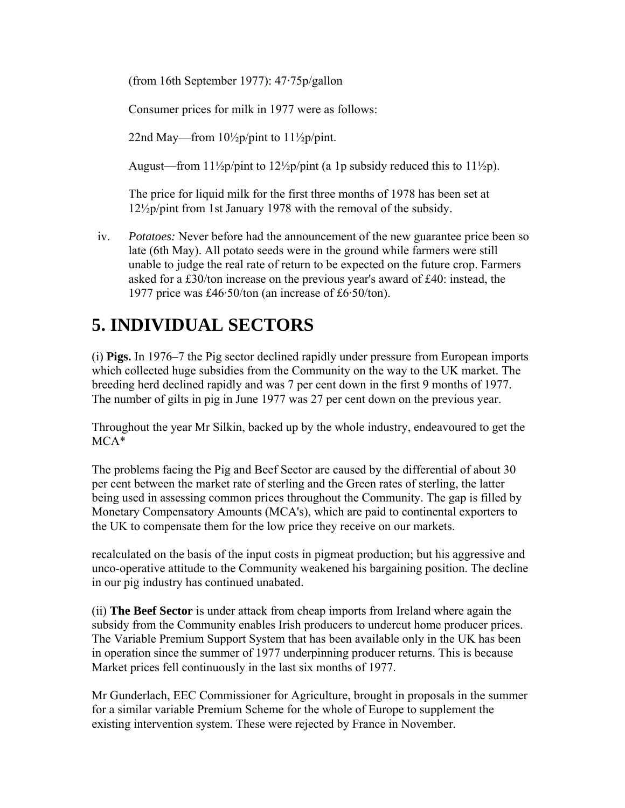(from 16th September 1977): 47·75p/gallon

Consumer prices for milk in 1977 were as follows:

22nd May—from  $10\frac{1}{2}p\prime$  pint to  $11\frac{1}{2}p\prime$  pint.

August—from  $11\frac{1}{2}p\prime$  pint to  $12\frac{1}{2}p\prime$  pint (a 1p subsidy reduced this to  $11\frac{1}{2}p\prime$ ).

The price for liquid milk for the first three months of 1978 has been set at 12½p/pint from 1st January 1978 with the removal of the subsidy.

iv. *Potatoes:* Never before had the announcement of the new guarantee price been so late (6th May). All potato seeds were in the ground while farmers were still unable to judge the real rate of return to be expected on the future crop. Farmers asked for a £30/ton increase on the previous year's award of £40: instead, the 1977 price was £46·50/ton (an increase of £6·50/ton).

## **5. INDIVIDUAL SECTORS**

(i) **Pigs.** In 1976–7 the Pig sector declined rapidly under pressure from European imports which collected huge subsidies from the Community on the way to the UK market. The breeding herd declined rapidly and was 7 per cent down in the first 9 months of 1977. The number of gilts in pig in June 1977 was 27 per cent down on the previous year.

Throughout the year Mr Silkin, backed up by the whole industry, endeavoured to get the MCA\*

The problems facing the Pig and Beef Sector are caused by the differential of about 30 per cent between the market rate of sterling and the Green rates of sterling, the latter being used in assessing common prices throughout the Community. The gap is filled by Monetary Compensatory Amounts (MCA's), which are paid to continental exporters to the UK to compensate them for the low price they receive on our markets.

recalculated on the basis of the input costs in pigmeat production; but his aggressive and unco-operative attitude to the Community weakened his bargaining position. The decline in our pig industry has continued unabated.

(ii) **The Beef Sector** is under attack from cheap imports from Ireland where again the subsidy from the Community enables Irish producers to undercut home producer prices. The Variable Premium Support System that has been available only in the UK has been in operation since the summer of 1977 underpinning producer returns. This is because Market prices fell continuously in the last six months of 1977.

Mr Gunderlach, EEC Commissioner for Agriculture, brought in proposals in the summer for a similar variable Premium Scheme for the whole of Europe to supplement the existing intervention system. These were rejected by France in November.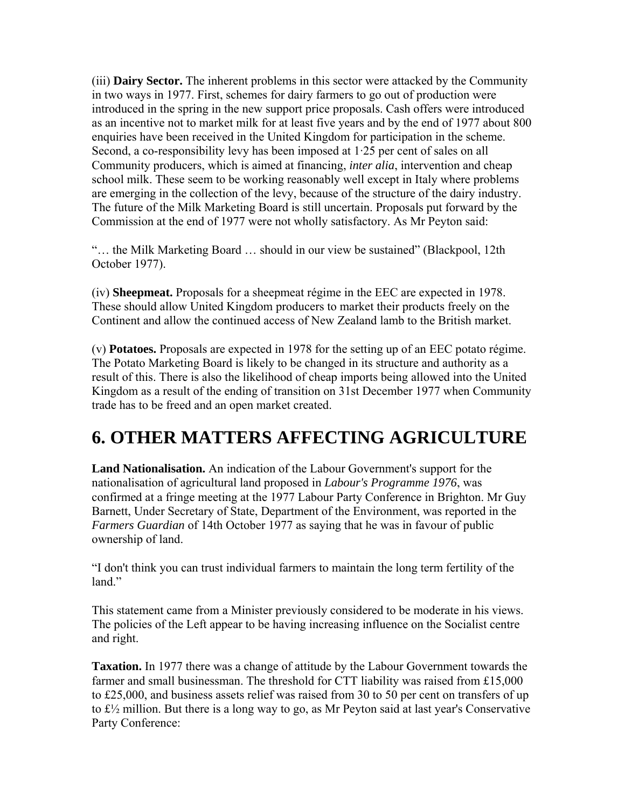(iii) **Dairy Sector.** The inherent problems in this sector were attacked by the Community in two ways in 1977. First, schemes for dairy farmers to go out of production were introduced in the spring in the new support price proposals. Cash offers were introduced as an incentive not to market milk for at least five years and by the end of 1977 about 800 enquiries have been received in the United Kingdom for participation in the scheme. Second, a co-responsibility levy has been imposed at 1·25 per cent of sales on all Community producers, which is aimed at financing, *inter alia*, intervention and cheap school milk. These seem to be working reasonably well except in Italy where problems are emerging in the collection of the levy, because of the structure of the dairy industry. The future of the Milk Marketing Board is still uncertain. Proposals put forward by the Commission at the end of 1977 were not wholly satisfactory. As Mr Peyton said:

"… the Milk Marketing Board … should in our view be sustained" (Blackpool, 12th October 1977).

(iv) **Sheepmeat.** Proposals for a sheepmeat régime in the EEC are expected in 1978. These should allow United Kingdom producers to market their products freely on the Continent and allow the continued access of New Zealand lamb to the British market.

(v) **Potatoes.** Proposals are expected in 1978 for the setting up of an EEC potato régime. The Potato Marketing Board is likely to be changed in its structure and authority as a result of this. There is also the likelihood of cheap imports being allowed into the United Kingdom as a result of the ending of transition on 31st December 1977 when Community trade has to be freed and an open market created.

### **6. OTHER MATTERS AFFECTING AGRICULTURE**

**Land Nationalisation.** An indication of the Labour Government's support for the nationalisation of agricultural land proposed in *Labour's Programme 1976*, was confirmed at a fringe meeting at the 1977 Labour Party Conference in Brighton. Mr Guy Barnett, Under Secretary of State, Department of the Environment, was reported in the *Farmers Guardian* of 14th October 1977 as saying that he was in favour of public ownership of land.

"I don't think you can trust individual farmers to maintain the long term fertility of the land."

This statement came from a Minister previously considered to be moderate in his views. The policies of the Left appear to be having increasing influence on the Socialist centre and right.

**Taxation.** In 1977 there was a change of attitude by the Labour Government towards the farmer and small businessman. The threshold for CTT liability was raised from £15,000 to £25,000, and business assets relief was raised from 30 to 50 per cent on transfers of up to £½ million. But there is a long way to go, as Mr Peyton said at last year's Conservative Party Conference: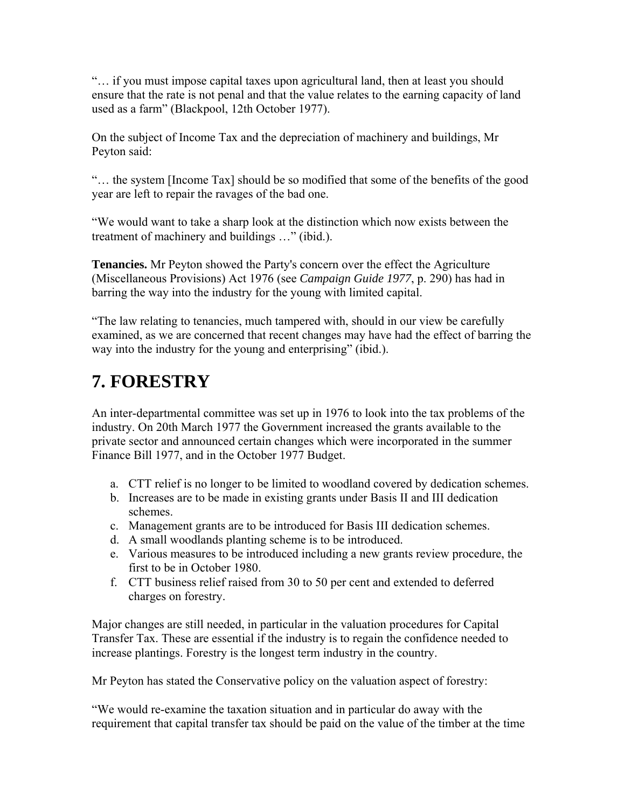"… if you must impose capital taxes upon agricultural land, then at least you should ensure that the rate is not penal and that the value relates to the earning capacity of land used as a farm" (Blackpool, 12th October 1977).

On the subject of Income Tax and the depreciation of machinery and buildings, Mr Peyton said:

"… the system [Income Tax] should be so modified that some of the benefits of the good year are left to repair the ravages of the bad one.

"We would want to take a sharp look at the distinction which now exists between the treatment of machinery and buildings …" (ibid.).

**Tenancies.** Mr Peyton showed the Party's concern over the effect the Agriculture (Miscellaneous Provisions) Act 1976 (see *Campaign Guide 1977*, p. 290) has had in barring the way into the industry for the young with limited capital.

"The law relating to tenancies, much tampered with, should in our view be carefully examined, as we are concerned that recent changes may have had the effect of barring the way into the industry for the young and enterprising" (ibid.).

#### **7. FORESTRY**

An inter-departmental committee was set up in 1976 to look into the tax problems of the industry. On 20th March 1977 the Government increased the grants available to the private sector and announced certain changes which were incorporated in the summer Finance Bill 1977, and in the October 1977 Budget.

- a. CTT relief is no longer to be limited to woodland covered by dedication schemes.
- b. Increases are to be made in existing grants under Basis II and III dedication schemes.
- c. Management grants are to be introduced for Basis III dedication schemes.
- d. A small woodlands planting scheme is to be introduced.
- e. Various measures to be introduced including a new grants review procedure, the first to be in October 1980.
- f. CTT business relief raised from 30 to 50 per cent and extended to deferred charges on forestry.

Major changes are still needed, in particular in the valuation procedures for Capital Transfer Tax. These are essential if the industry is to regain the confidence needed to increase plantings. Forestry is the longest term industry in the country.

Mr Peyton has stated the Conservative policy on the valuation aspect of forestry:

"We would re-examine the taxation situation and in particular do away with the requirement that capital transfer tax should be paid on the value of the timber at the time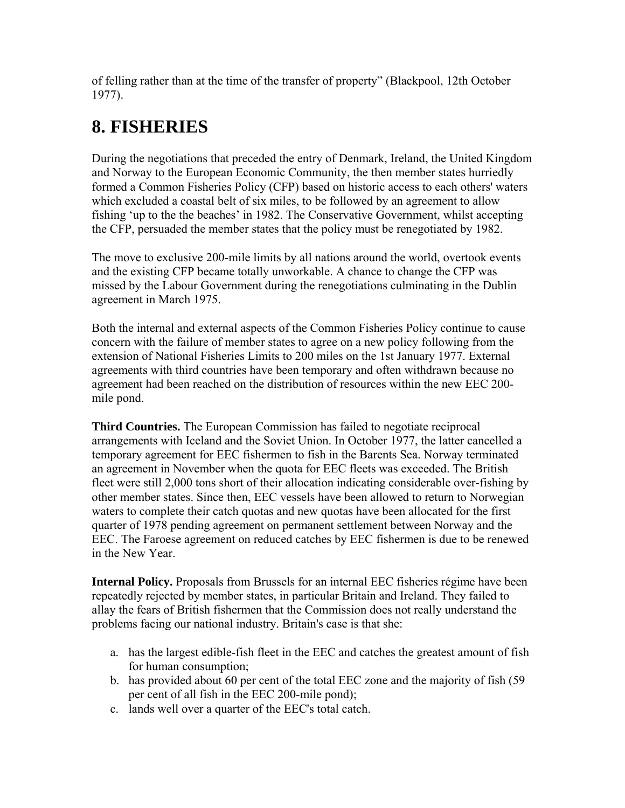of felling rather than at the time of the transfer of property" (Blackpool, 12th October 1977).

# **8. FISHERIES**

During the negotiations that preceded the entry of Denmark, Ireland, the United Kingdom and Norway to the European Economic Community, the then member states hurriedly formed a Common Fisheries Policy (CFP) based on historic access to each others' waters which excluded a coastal belt of six miles, to be followed by an agreement to allow fishing 'up to the the beaches' in 1982. The Conservative Government, whilst accepting the CFP, persuaded the member states that the policy must be renegotiated by 1982.

The move to exclusive 200-mile limits by all nations around the world, overtook events and the existing CFP became totally unworkable. A chance to change the CFP was missed by the Labour Government during the renegotiations culminating in the Dublin agreement in March 1975.

Both the internal and external aspects of the Common Fisheries Policy continue to cause concern with the failure of member states to agree on a new policy following from the extension of National Fisheries Limits to 200 miles on the 1st January 1977. External agreements with third countries have been temporary and often withdrawn because no agreement had been reached on the distribution of resources within the new EEC 200 mile pond.

**Third Countries.** The European Commission has failed to negotiate reciprocal arrangements with Iceland and the Soviet Union. In October 1977, the latter cancelled a temporary agreement for EEC fishermen to fish in the Barents Sea. Norway terminated an agreement in November when the quota for EEC fleets was exceeded. The British fleet were still 2,000 tons short of their allocation indicating considerable over-fishing by other member states. Since then, EEC vessels have been allowed to return to Norwegian waters to complete their catch quotas and new quotas have been allocated for the first quarter of 1978 pending agreement on permanent settlement between Norway and the EEC. The Faroese agreement on reduced catches by EEC fishermen is due to be renewed in the New Year.

**Internal Policy.** Proposals from Brussels for an internal EEC fisheries régime have been repeatedly rejected by member states, in particular Britain and Ireland. They failed to allay the fears of British fishermen that the Commission does not really understand the problems facing our national industry. Britain's case is that she:

- a. has the largest edible-fish fleet in the EEC and catches the greatest amount of fish for human consumption;
- b. has provided about 60 per cent of the total EEC zone and the majority of fish (59 per cent of all fish in the EEC 200-mile pond);
- c. lands well over a quarter of the EEC's total catch.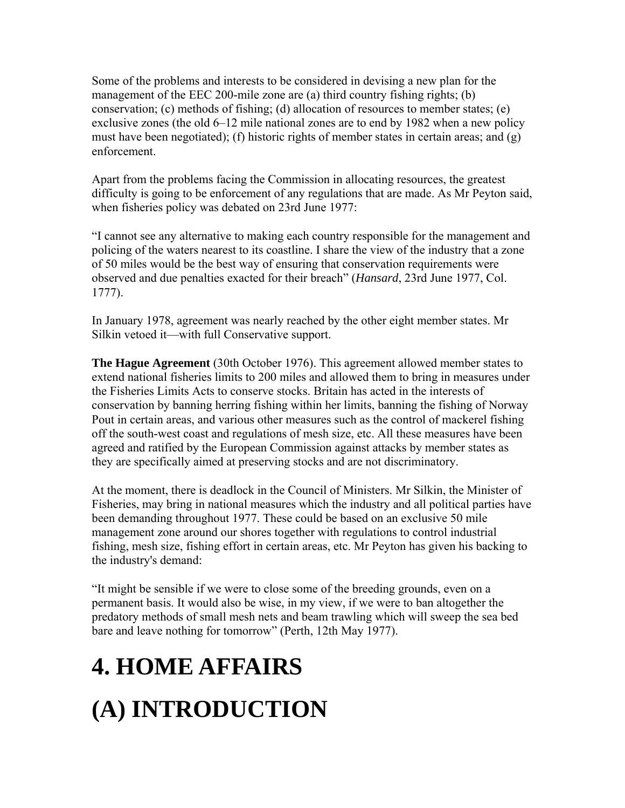Some of the problems and interests to be considered in devising a new plan for the management of the EEC 200-mile zone are (a) third country fishing rights; (b) conservation; (c) methods of fishing; (d) allocation of resources to member states; (e) exclusive zones (the old 6–12 mile national zones are to end by 1982 when a new policy must have been negotiated); (f) historic rights of member states in certain areas; and  $(g)$ enforcement.

Apart from the problems facing the Commission in allocating resources, the greatest difficulty is going to be enforcement of any regulations that are made. As Mr Peyton said, when fisheries policy was debated on 23rd June 1977:

"I cannot see any alternative to making each country responsible for the management and policing of the waters nearest to its coastline. I share the view of the industry that a zone of 50 miles would be the best way of ensuring that conservation requirements were observed and due penalties exacted for their breach" (*Hansard*, 23rd June 1977, Col. 1777).

In January 1978, agreement was nearly reached by the other eight member states. Mr Silkin vetoed it—with full Conservative support.

**The Hague Agreement** (30th October 1976). This agreement allowed member states to extend national fisheries limits to 200 miles and allowed them to bring in measures under the Fisheries Limits Acts to conserve stocks. Britain has acted in the interests of conservation by banning herring fishing within her limits, banning the fishing of Norway Pout in certain areas, and various other measures such as the control of mackerel fishing off the south-west coast and regulations of mesh size, etc. All these measures have been agreed and ratified by the European Commission against attacks by member states as they are specifically aimed at preserving stocks and are not discriminatory.

At the moment, there is deadlock in the Council of Ministers. Mr Silkin, the Minister of Fisheries, may bring in national measures which the industry and all political parties have been demanding throughout 1977. These could be based on an exclusive 50 mile management zone around our shores together with regulations to control industrial fishing, mesh size, fishing effort in certain areas, etc. Mr Peyton has given his backing to the industry's demand:

"It might be sensible if we were to close some of the breeding grounds, even on a permanent basis. It would also be wise, in my view, if we were to ban altogether the predatory methods of small mesh nets and beam trawling which will sweep the sea bed bare and leave nothing for tomorrow" (Perth, 12th May 1977).

# **4. HOME AFFAIRS**

# **(A) INTRODUCTION**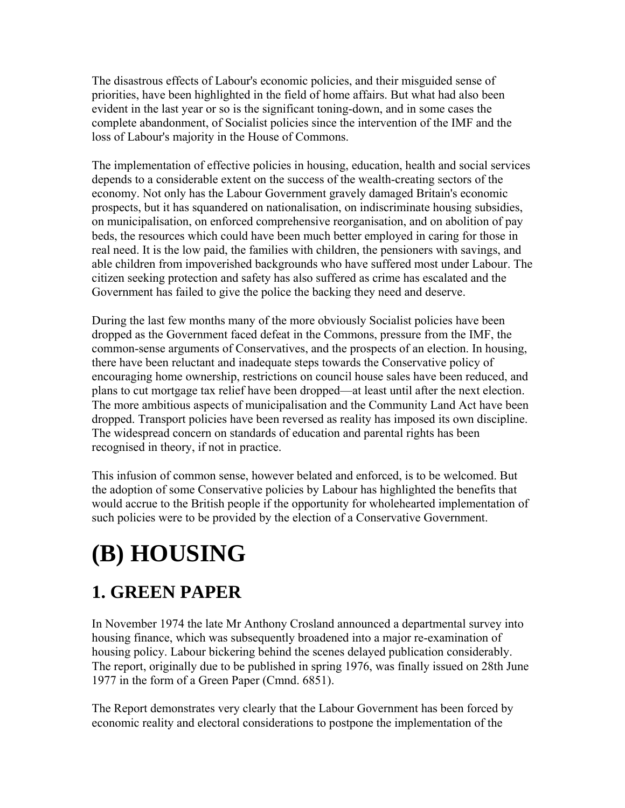The disastrous effects of Labour's economic policies, and their misguided sense of priorities, have been highlighted in the field of home affairs. But what had also been evident in the last year or so is the significant toning-down, and in some cases the complete abandonment, of Socialist policies since the intervention of the IMF and the loss of Labour's majority in the House of Commons.

The implementation of effective policies in housing, education, health and social services depends to a considerable extent on the success of the wealth-creating sectors of the economy. Not only has the Labour Government gravely damaged Britain's economic prospects, but it has squandered on nationalisation, on indiscriminate housing subsidies, on municipalisation, on enforced comprehensive reorganisation, and on abolition of pay beds, the resources which could have been much better employed in caring for those in real need. It is the low paid, the families with children, the pensioners with savings, and able children from impoverished backgrounds who have suffered most under Labour. The citizen seeking protection and safety has also suffered as crime has escalated and the Government has failed to give the police the backing they need and deserve.

During the last few months many of the more obviously Socialist policies have been dropped as the Government faced defeat in the Commons, pressure from the IMF, the common-sense arguments of Conservatives, and the prospects of an election. In housing, there have been reluctant and inadequate steps towards the Conservative policy of encouraging home ownership, restrictions on council house sales have been reduced, and plans to cut mortgage tax relief have been dropped—at least until after the next election. The more ambitious aspects of municipalisation and the Community Land Act have been dropped. Transport policies have been reversed as reality has imposed its own discipline. The widespread concern on standards of education and parental rights has been recognised in theory, if not in practice.

This infusion of common sense, however belated and enforced, is to be welcomed. But the adoption of some Conservative policies by Labour has highlighted the benefits that would accrue to the British people if the opportunity for wholehearted implementation of such policies were to be provided by the election of a Conservative Government.

# **(B) HOUSING**

# **1. GREEN PAPER**

In November 1974 the late Mr Anthony Crosland announced a departmental survey into housing finance, which was subsequently broadened into a major re-examination of housing policy. Labour bickering behind the scenes delayed publication considerably. The report, originally due to be published in spring 1976, was finally issued on 28th June 1977 in the form of a Green Paper (Cmnd. 6851).

The Report demonstrates very clearly that the Labour Government has been forced by economic reality and electoral considerations to postpone the implementation of the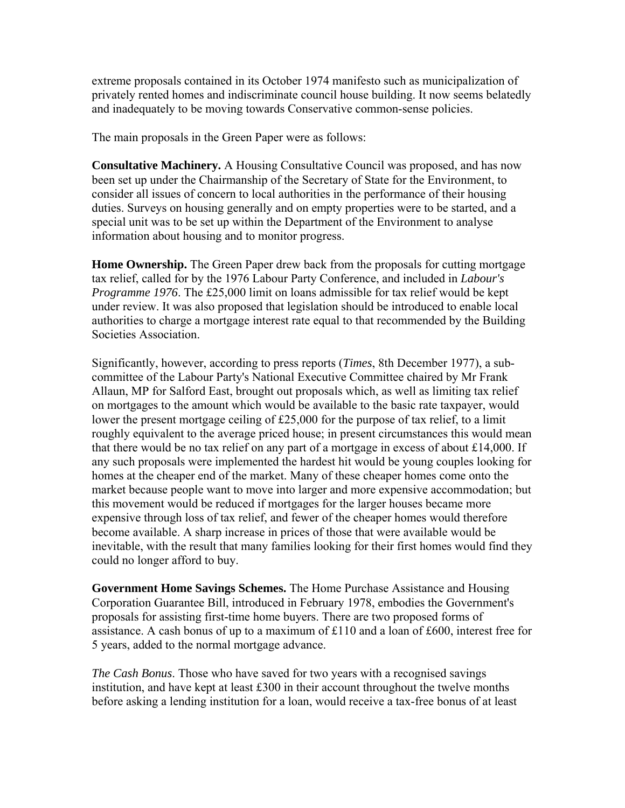extreme proposals contained in its October 1974 manifesto such as municipalization of privately rented homes and indiscriminate council house building. It now seems belatedly and inadequately to be moving towards Conservative common-sense policies.

The main proposals in the Green Paper were as follows:

**Consultative Machinery.** A Housing Consultative Council was proposed, and has now been set up under the Chairmanship of the Secretary of State for the Environment, to consider all issues of concern to local authorities in the performance of their housing duties. Surveys on housing generally and on empty properties were to be started, and a special unit was to be set up within the Department of the Environment to analyse information about housing and to monitor progress.

**Home Ownership.** The Green Paper drew back from the proposals for cutting mortgage tax relief, called for by the 1976 Labour Party Conference, and included in *Labour's Programme 1976*. The £25,000 limit on loans admissible for tax relief would be kept under review. It was also proposed that legislation should be introduced to enable local authorities to charge a mortgage interest rate equal to that recommended by the Building Societies Association.

Significantly, however, according to press reports (*Times*, 8th December 1977), a subcommittee of the Labour Party's National Executive Committee chaired by Mr Frank Allaun, MP for Salford East, brought out proposals which, as well as limiting tax relief on mortgages to the amount which would be available to the basic rate taxpayer, would lower the present mortgage ceiling of £25,000 for the purpose of tax relief, to a limit roughly equivalent to the average priced house; in present circumstances this would mean that there would be no tax relief on any part of a mortgage in excess of about £14,000. If any such proposals were implemented the hardest hit would be young couples looking for homes at the cheaper end of the market. Many of these cheaper homes come onto the market because people want to move into larger and more expensive accommodation; but this movement would be reduced if mortgages for the larger houses became more expensive through loss of tax relief, and fewer of the cheaper homes would therefore become available. A sharp increase in prices of those that were available would be inevitable, with the result that many families looking for their first homes would find they could no longer afford to buy.

**Government Home Savings Schemes.** The Home Purchase Assistance and Housing Corporation Guarantee Bill, introduced in February 1978, embodies the Government's proposals for assisting first-time home buyers. There are two proposed forms of assistance. A cash bonus of up to a maximum of £110 and a loan of £600, interest free for 5 years, added to the normal mortgage advance.

*The Cash Bonus*. Those who have saved for two years with a recognised savings institution, and have kept at least £300 in their account throughout the twelve months before asking a lending institution for a loan, would receive a tax-free bonus of at least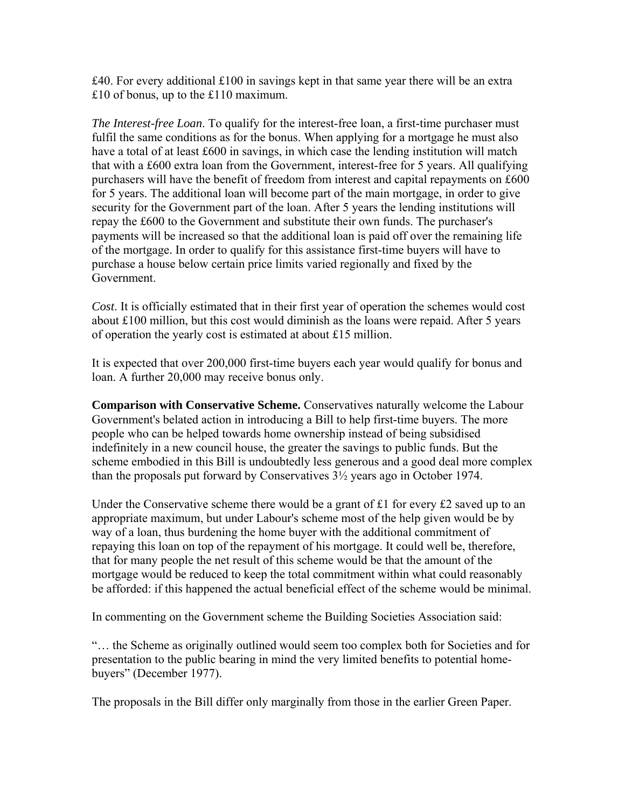$\pounds$ 40. For every additional  $\pounds$ 100 in savings kept in that same year there will be an extra £10 of bonus, up to the £110 maximum.

*The Interest-free Loan*. To qualify for the interest-free loan, a first-time purchaser must fulfil the same conditions as for the bonus. When applying for a mortgage he must also have a total of at least £600 in savings, in which case the lending institution will match that with a £600 extra loan from the Government, interest-free for 5 years. All qualifying purchasers will have the benefit of freedom from interest and capital repayments on £600 for 5 years. The additional loan will become part of the main mortgage, in order to give security for the Government part of the loan. After 5 years the lending institutions will repay the £600 to the Government and substitute their own funds. The purchaser's payments will be increased so that the additional loan is paid off over the remaining life of the mortgage. In order to qualify for this assistance first-time buyers will have to purchase a house below certain price limits varied regionally and fixed by the Government.

*Cost*. It is officially estimated that in their first year of operation the schemes would cost about £100 million, but this cost would diminish as the loans were repaid. After 5 years of operation the yearly cost is estimated at about £15 million.

It is expected that over 200,000 first-time buyers each year would qualify for bonus and loan. A further 20,000 may receive bonus only.

**Comparison with Conservative Scheme.** Conservatives naturally welcome the Labour Government's belated action in introducing a Bill to help first-time buyers. The more people who can be helped towards home ownership instead of being subsidised indefinitely in a new council house, the greater the savings to public funds. But the scheme embodied in this Bill is undoubtedly less generous and a good deal more complex than the proposals put forward by Conservatives 3½ years ago in October 1974.

Under the Conservative scheme there would be a grant of £1 for every £2 saved up to an appropriate maximum, but under Labour's scheme most of the help given would be by way of a loan, thus burdening the home buyer with the additional commitment of repaying this loan on top of the repayment of his mortgage. It could well be, therefore, that for many people the net result of this scheme would be that the amount of the mortgage would be reduced to keep the total commitment within what could reasonably be afforded: if this happened the actual beneficial effect of the scheme would be minimal.

In commenting on the Government scheme the Building Societies Association said:

"… the Scheme as originally outlined would seem too complex both for Societies and for presentation to the public bearing in mind the very limited benefits to potential homebuyers" (December 1977).

The proposals in the Bill differ only marginally from those in the earlier Green Paper.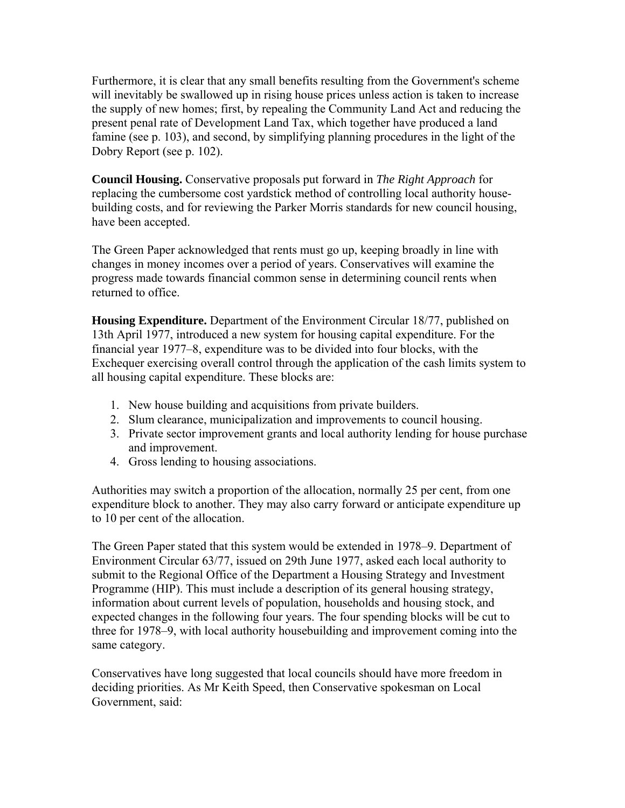Furthermore, it is clear that any small benefits resulting from the Government's scheme will inevitably be swallowed up in rising house prices unless action is taken to increase the supply of new homes; first, by repealing the Community Land Act and reducing the present penal rate of Development Land Tax, which together have produced a land famine (see p. 103), and second, by simplifying planning procedures in the light of the Dobry Report (see p. 102).

**Council Housing.** Conservative proposals put forward in *The Right Approach* for replacing the cumbersome cost yardstick method of controlling local authority housebuilding costs, and for reviewing the Parker Morris standards for new council housing, have been accepted.

The Green Paper acknowledged that rents must go up, keeping broadly in line with changes in money incomes over a period of years. Conservatives will examine the progress made towards financial common sense in determining council rents when returned to office.

**Housing Expenditure.** Department of the Environment Circular 18/77, published on 13th April 1977, introduced a new system for housing capital expenditure. For the financial year 1977–8, expenditure was to be divided into four blocks, with the Exchequer exercising overall control through the application of the cash limits system to all housing capital expenditure. These blocks are:

- 1. New house building and acquisitions from private builders.
- 2. Slum clearance, municipalization and improvements to council housing.
- 3. Private sector improvement grants and local authority lending for house purchase and improvement.
- 4. Gross lending to housing associations.

Authorities may switch a proportion of the allocation, normally 25 per cent, from one expenditure block to another. They may also carry forward or anticipate expenditure up to 10 per cent of the allocation.

The Green Paper stated that this system would be extended in 1978–9. Department of Environment Circular 63/77, issued on 29th June 1977, asked each local authority to submit to the Regional Office of the Department a Housing Strategy and Investment Programme (HIP). This must include a description of its general housing strategy, information about current levels of population, households and housing stock, and expected changes in the following four years. The four spending blocks will be cut to three for 1978–9, with local authority housebuilding and improvement coming into the same category.

Conservatives have long suggested that local councils should have more freedom in deciding priorities. As Mr Keith Speed, then Conservative spokesman on Local Government, said: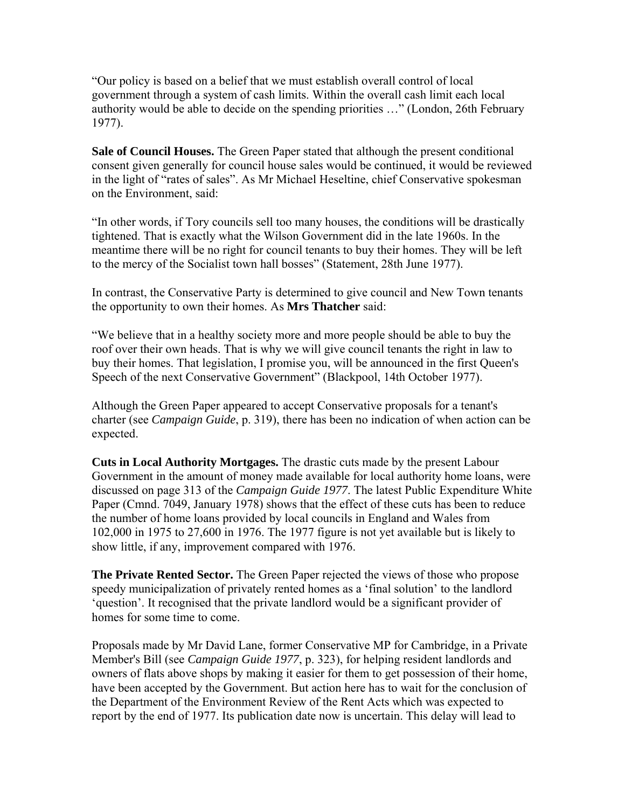"Our policy is based on a belief that we must establish overall control of local government through a system of cash limits. Within the overall cash limit each local authority would be able to decide on the spending priorities …" (London, 26th February 1977).

**Sale of Council Houses.** The Green Paper stated that although the present conditional consent given generally for council house sales would be continued, it would be reviewed in the light of "rates of sales". As Mr Michael Heseltine, chief Conservative spokesman on the Environment, said:

"In other words, if Tory councils sell too many houses, the conditions will be drastically tightened. That is exactly what the Wilson Government did in the late 1960s. In the meantime there will be no right for council tenants to buy their homes. They will be left to the mercy of the Socialist town hall bosses" (Statement, 28th June 1977).

In contrast, the Conservative Party is determined to give council and New Town tenants the opportunity to own their homes. As **Mrs Thatcher** said:

"We believe that in a healthy society more and more people should be able to buy the roof over their own heads. That is why we will give council tenants the right in law to buy their homes. That legislation, I promise you, will be announced in the first Queen's Speech of the next Conservative Government" (Blackpool, 14th October 1977).

Although the Green Paper appeared to accept Conservative proposals for a tenant's charter (see *Campaign Guide*, p. 319), there has been no indication of when action can be expected.

**Cuts in Local Authority Mortgages.** The drastic cuts made by the present Labour Government in the amount of money made available for local authority home loans, were discussed on page 313 of the *Campaign Guide 1977*. The latest Public Expenditure White Paper (Cmnd. 7049, January 1978) shows that the effect of these cuts has been to reduce the number of home loans provided by local councils in England and Wales from 102,000 in 1975 to 27,600 in 1976. The 1977 figure is not yet available but is likely to show little, if any, improvement compared with 1976.

**The Private Rented Sector.** The Green Paper rejected the views of those who propose speedy municipalization of privately rented homes as a 'final solution' to the landlord 'question'. It recognised that the private landlord would be a significant provider of homes for some time to come.

Proposals made by Mr David Lane, former Conservative MP for Cambridge, in a Private Member's Bill (see *Campaign Guide 1977*, p. 323), for helping resident landlords and owners of flats above shops by making it easier for them to get possession of their home, have been accepted by the Government. But action here has to wait for the conclusion of the Department of the Environment Review of the Rent Acts which was expected to report by the end of 1977. Its publication date now is uncertain. This delay will lead to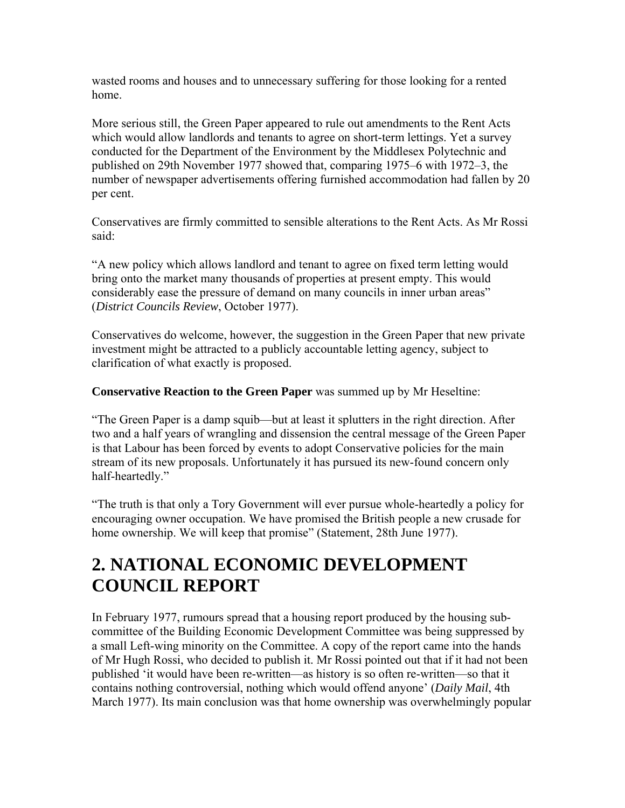wasted rooms and houses and to unnecessary suffering for those looking for a rented home.

More serious still, the Green Paper appeared to rule out amendments to the Rent Acts which would allow landlords and tenants to agree on short-term lettings. Yet a survey conducted for the Department of the Environment by the Middlesex Polytechnic and published on 29th November 1977 showed that, comparing 1975–6 with 1972–3, the number of newspaper advertisements offering furnished accommodation had fallen by 20 per cent.

Conservatives are firmly committed to sensible alterations to the Rent Acts. As Mr Rossi said:

"A new policy which allows landlord and tenant to agree on fixed term letting would bring onto the market many thousands of properties at present empty. This would considerably ease the pressure of demand on many councils in inner urban areas" (*District Councils Review*, October 1977).

Conservatives do welcome, however, the suggestion in the Green Paper that new private investment might be attracted to a publicly accountable letting agency, subject to clarification of what exactly is proposed.

**Conservative Reaction to the Green Paper** was summed up by Mr Heseltine:

"The Green Paper is a damp squib—but at least it splutters in the right direction. After two and a half years of wrangling and dissension the central message of the Green Paper is that Labour has been forced by events to adopt Conservative policies for the main stream of its new proposals. Unfortunately it has pursued its new-found concern only half-heartedly."

"The truth is that only a Tory Government will ever pursue whole-heartedly a policy for encouraging owner occupation. We have promised the British people a new crusade for home ownership. We will keep that promise" (Statement, 28th June 1977).

#### **2. NATIONAL ECONOMIC DEVELOPMENT COUNCIL REPORT**

In February 1977, rumours spread that a housing report produced by the housing subcommittee of the Building Economic Development Committee was being suppressed by a small Left-wing minority on the Committee. A copy of the report came into the hands of Mr Hugh Rossi, who decided to publish it. Mr Rossi pointed out that if it had not been published 'it would have been re-written—as history is so often re-written—so that it contains nothing controversial, nothing which would offend anyone' (*Daily Mail*, 4th March 1977). Its main conclusion was that home ownership was overwhelmingly popular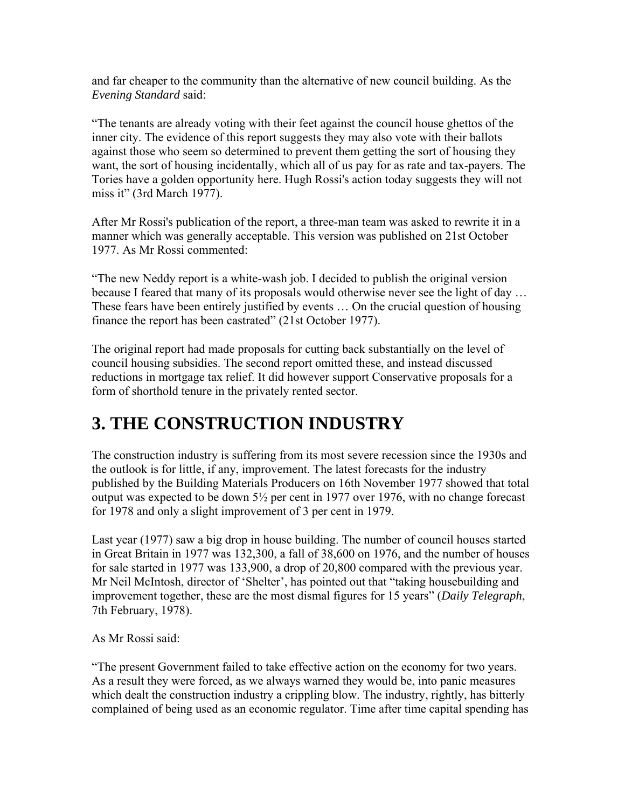and far cheaper to the community than the alternative of new council building. As the *Evening Standard* said:

"The tenants are already voting with their feet against the council house ghettos of the inner city. The evidence of this report suggests they may also vote with their ballots against those who seem so determined to prevent them getting the sort of housing they want, the sort of housing incidentally, which all of us pay for as rate and tax-payers. The Tories have a golden opportunity here. Hugh Rossi's action today suggests they will not miss it" (3rd March 1977).

After Mr Rossi's publication of the report, a three-man team was asked to rewrite it in a manner which was generally acceptable. This version was published on 21st October 1977. As Mr Rossi commented:

"The new Neddy report is a white-wash job. I decided to publish the original version because I feared that many of its proposals would otherwise never see the light of day … These fears have been entirely justified by events … On the crucial question of housing finance the report has been castrated" (21st October 1977).

The original report had made proposals for cutting back substantially on the level of council housing subsidies. The second report omitted these, and instead discussed reductions in mortgage tax relief. It did however support Conservative proposals for a form of shorthold tenure in the privately rented sector.

#### **3. THE CONSTRUCTION INDUSTRY**

The construction industry is suffering from its most severe recession since the 1930s and the outlook is for little, if any, improvement. The latest forecasts for the industry published by the Building Materials Producers on 16th November 1977 showed that total output was expected to be down 5½ per cent in 1977 over 1976, with no change forecast for 1978 and only a slight improvement of 3 per cent in 1979.

Last year (1977) saw a big drop in house building. The number of council houses started in Great Britain in 1977 was 132,300, a fall of 38,600 on 1976, and the number of houses for sale started in 1977 was 133,900, a drop of 20,800 compared with the previous year. Mr Neil McIntosh, director of 'Shelter', has pointed out that "taking housebuilding and improvement together, these are the most dismal figures for 15 years" (*Daily Telegraph*, 7th February, 1978).

As Mr Rossi said:

"The present Government failed to take effective action on the economy for two years. As a result they were forced, as we always warned they would be, into panic measures which dealt the construction industry a crippling blow. The industry, rightly, has bitterly complained of being used as an economic regulator. Time after time capital spending has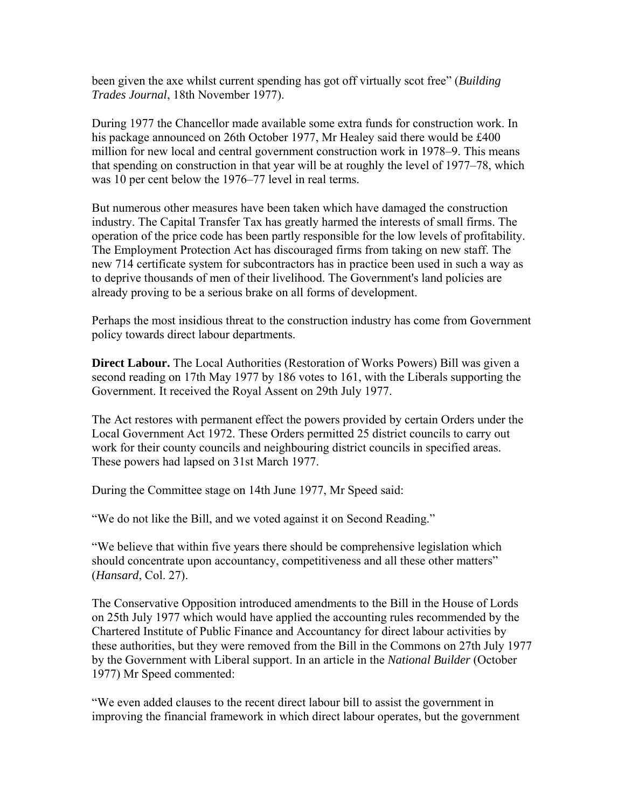been given the axe whilst current spending has got off virtually scot free" (*Building Trades Journal*, 18th November 1977).

During 1977 the Chancellor made available some extra funds for construction work. In his package announced on 26th October 1977, Mr Healey said there would be £400 million for new local and central government construction work in 1978–9. This means that spending on construction in that year will be at roughly the level of 1977–78, which was 10 per cent below the 1976–77 level in real terms.

But numerous other measures have been taken which have damaged the construction industry. The Capital Transfer Tax has greatly harmed the interests of small firms. The operation of the price code has been partly responsible for the low levels of profitability. The Employment Protection Act has discouraged firms from taking on new staff. The new 714 certificate system for subcontractors has in practice been used in such a way as to deprive thousands of men of their livelihood. The Government's land policies are already proving to be a serious brake on all forms of development.

Perhaps the most insidious threat to the construction industry has come from Government policy towards direct labour departments.

**Direct Labour.** The Local Authorities (Restoration of Works Powers) Bill was given a second reading on 17th May 1977 by 186 votes to 161, with the Liberals supporting the Government. It received the Royal Assent on 29th July 1977.

The Act restores with permanent effect the powers provided by certain Orders under the Local Government Act 1972. These Orders permitted 25 district councils to carry out work for their county councils and neighbouring district councils in specified areas. These powers had lapsed on 31st March 1977.

During the Committee stage on 14th June 1977, Mr Speed said:

"We do not like the Bill, and we voted against it on Second Reading."

"We believe that within five years there should be comprehensive legislation which should concentrate upon accountancy, competitiveness and all these other matters" (*Hansard*, Col. 27).

The Conservative Opposition introduced amendments to the Bill in the House of Lords on 25th July 1977 which would have applied the accounting rules recommended by the Chartered Institute of Public Finance and Accountancy for direct labour activities by these authorities, but they were removed from the Bill in the Commons on 27th July 1977 by the Government with Liberal support. In an article in the *National Builder* (October 1977) Mr Speed commented:

"We even added clauses to the recent direct labour bill to assist the government in improving the financial framework in which direct labour operates, but the government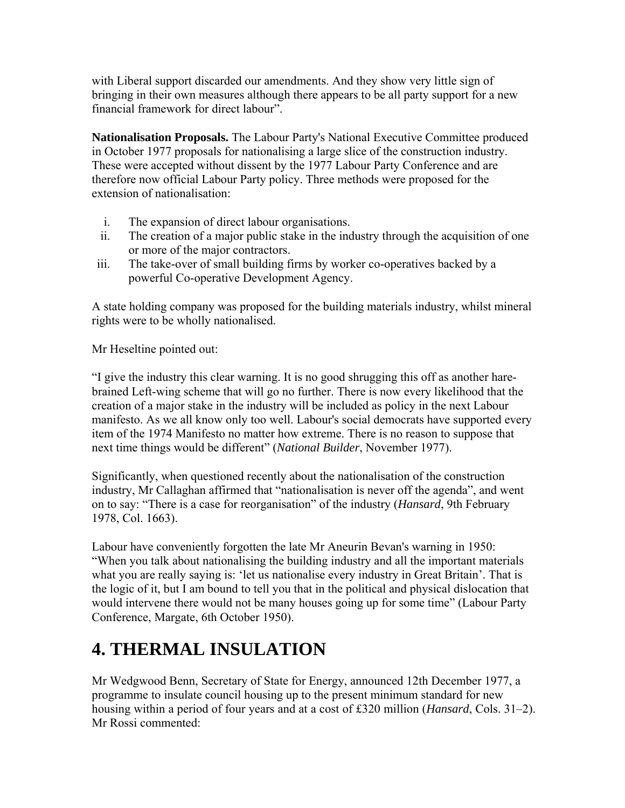with Liberal support discarded our amendments. And they show very little sign of bringing in their own measures although there appears to be all party support for a new financial framework for direct labour".

**Nationalisation Proposals.** The Labour Party's National Executive Committee produced in October 1977 proposals for nationalising a large slice of the construction industry. These were accepted without dissent by the 1977 Labour Party Conference and are therefore now official Labour Party policy. Three methods were proposed for the extension of nationalisation:

- i. The expansion of direct labour organisations.
- ii. The creation of a major public stake in the industry through the acquisition of one or more of the major contractors.
- iii. The take-over of small building firms by worker co-operatives backed by a powerful Co-operative Development Agency.

A state holding company was proposed for the building materials industry, whilst mineral rights were to be wholly nationalised.

Mr Heseltine pointed out:

"I give the industry this clear warning. It is no good shrugging this off as another harebrained Left-wing scheme that will go no further. There is now every likelihood that the creation of a major stake in the industry will be included as policy in the next Labour manifesto. As we all know only too well. Labour's social democrats have supported every item of the 1974 Manifesto no matter how extreme. There is no reason to suppose that next time things would be different" (*National Builder*, November 1977).

Significantly, when questioned recently about the nationalisation of the construction industry, Mr Callaghan affirmed that "nationalisation is never off the agenda", and went on to say: "There is a case for reorganisation" of the industry (*Hansard*, 9th February 1978, Col. 1663).

Labour have conveniently forgotten the late Mr Aneurin Bevan's warning in 1950: "When you talk about nationalising the building industry and all the important materials what you are really saying is: 'let us nationalise every industry in Great Britain'. That is the logic of it, but I am bound to tell you that in the political and physical dislocation that would intervene there would not be many houses going up for some time" (Labour Party Conference, Margate, 6th October 1950).

### **4. THERMAL INSULATION**

Mr Wedgwood Benn, Secretary of State for Energy, announced 12th December 1977, a programme to insulate council housing up to the present minimum standard for new housing within a period of four years and at a cost of £320 million (*Hansard*, Cols. 31–2). Mr Rossi commented: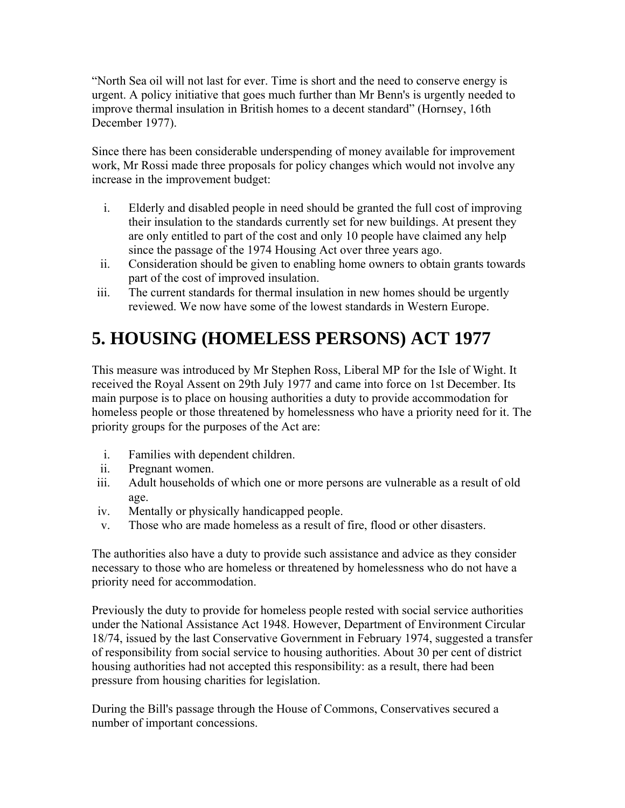"North Sea oil will not last for ever. Time is short and the need to conserve energy is urgent. A policy initiative that goes much further than Mr Benn's is urgently needed to improve thermal insulation in British homes to a decent standard" (Hornsey, 16th December 1977).

Since there has been considerable underspending of money available for improvement work, Mr Rossi made three proposals for policy changes which would not involve any increase in the improvement budget:

- i. Elderly and disabled people in need should be granted the full cost of improving their insulation to the standards currently set for new buildings. At present they are only entitled to part of the cost and only 10 people have claimed any help since the passage of the 1974 Housing Act over three years ago.
- ii. Consideration should be given to enabling home owners to obtain grants towards part of the cost of improved insulation.
- iii. The current standards for thermal insulation in new homes should be urgently reviewed. We now have some of the lowest standards in Western Europe.

# **5. HOUSING (HOMELESS PERSONS) ACT 1977**

This measure was introduced by Mr Stephen Ross, Liberal MP for the Isle of Wight. It received the Royal Assent on 29th July 1977 and came into force on 1st December. Its main purpose is to place on housing authorities a duty to provide accommodation for homeless people or those threatened by homelessness who have a priority need for it. The priority groups for the purposes of the Act are:

- i. Families with dependent children.
- ii. Pregnant women.
- iii. Adult households of which one or more persons are vulnerable as a result of old age.
- iv. Mentally or physically handicapped people.
- v. Those who are made homeless as a result of fire, flood or other disasters.

The authorities also have a duty to provide such assistance and advice as they consider necessary to those who are homeless or threatened by homelessness who do not have a priority need for accommodation.

Previously the duty to provide for homeless people rested with social service authorities under the National Assistance Act 1948. However, Department of Environment Circular 18/74, issued by the last Conservative Government in February 1974, suggested a transfer of responsibility from social service to housing authorities. About 30 per cent of district housing authorities had not accepted this responsibility: as a result, there had been pressure from housing charities for legislation.

During the Bill's passage through the House of Commons, Conservatives secured a number of important concessions.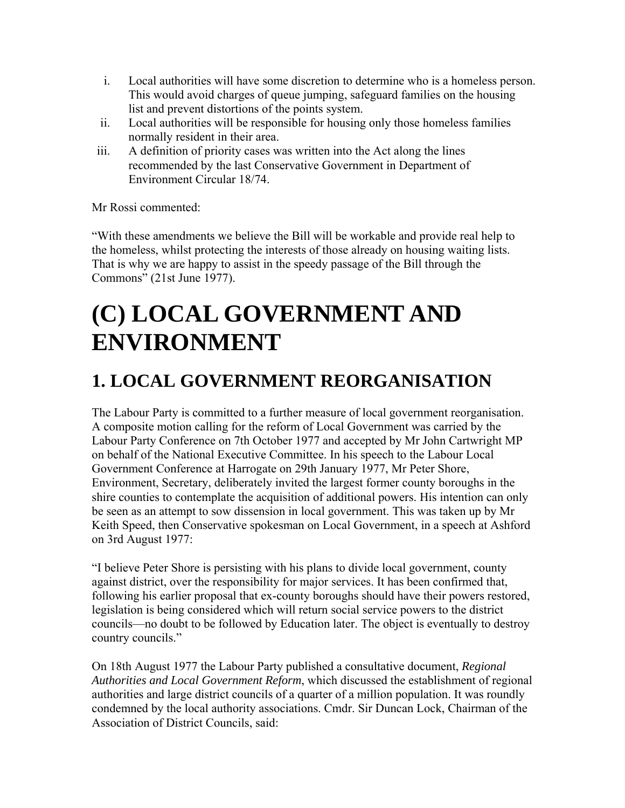- i. Local authorities will have some discretion to determine who is a homeless person. This would avoid charges of queue jumping, safeguard families on the housing list and prevent distortions of the points system.
- ii. Local authorities will be responsible for housing only those homeless families normally resident in their area.
- iii. A definition of priority cases was written into the Act along the lines recommended by the last Conservative Government in Department of Environment Circular 18/74.

Mr Rossi commented:

"With these amendments we believe the Bill will be workable and provide real help to the homeless, whilst protecting the interests of those already on housing waiting lists. That is why we are happy to assist in the speedy passage of the Bill through the Commons" (21st June 1977).

# **(C) LOCAL GOVERNMENT AND ENVIRONMENT**

#### **1. LOCAL GOVERNMENT REORGANISATION**

The Labour Party is committed to a further measure of local government reorganisation. A composite motion calling for the reform of Local Government was carried by the Labour Party Conference on 7th October 1977 and accepted by Mr John Cartwright MP on behalf of the National Executive Committee. In his speech to the Labour Local Government Conference at Harrogate on 29th January 1977, Mr Peter Shore, Environment, Secretary, deliberately invited the largest former county boroughs in the shire counties to contemplate the acquisition of additional powers. His intention can only be seen as an attempt to sow dissension in local government. This was taken up by Mr Keith Speed, then Conservative spokesman on Local Government, in a speech at Ashford on 3rd August 1977:

"I believe Peter Shore is persisting with his plans to divide local government, county against district, over the responsibility for major services. It has been confirmed that, following his earlier proposal that ex-county boroughs should have their powers restored, legislation is being considered which will return social service powers to the district councils—no doubt to be followed by Education later. The object is eventually to destroy country councils."

On 18th August 1977 the Labour Party published a consultative document, *Regional Authorities and Local Government Reform*, which discussed the establishment of regional authorities and large district councils of a quarter of a million population. It was roundly condemned by the local authority associations. Cmdr. Sir Duncan Lock, Chairman of the Association of District Councils, said: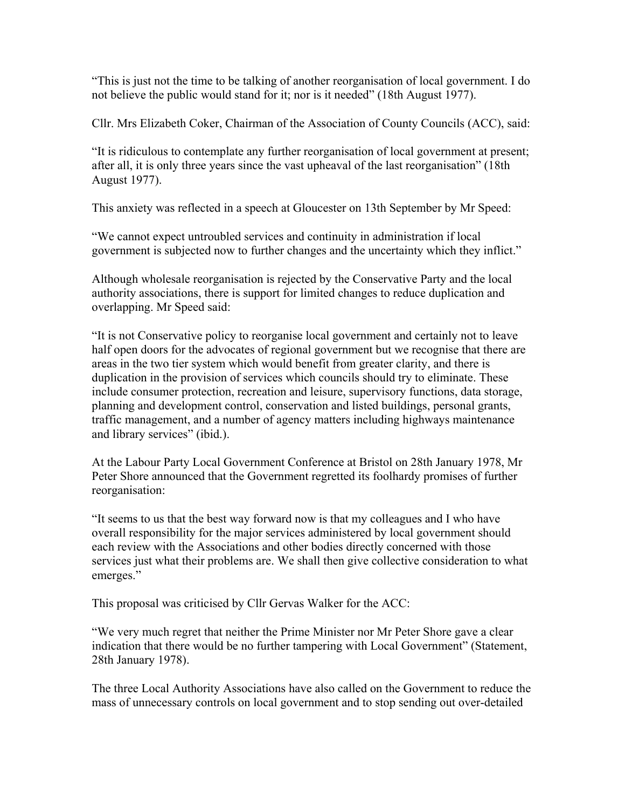"This is just not the time to be talking of another reorganisation of local government. I do not believe the public would stand for it; nor is it needed" (18th August 1977).

Cllr. Mrs Elizabeth Coker, Chairman of the Association of County Councils (ACC), said:

"It is ridiculous to contemplate any further reorganisation of local government at present; after all, it is only three years since the vast upheaval of the last reorganisation" (18th August 1977).

This anxiety was reflected in a speech at Gloucester on 13th September by Mr Speed:

"We cannot expect untroubled services and continuity in administration if local government is subjected now to further changes and the uncertainty which they inflict."

Although wholesale reorganisation is rejected by the Conservative Party and the local authority associations, there is support for limited changes to reduce duplication and overlapping. Mr Speed said:

"It is not Conservative policy to reorganise local government and certainly not to leave half open doors for the advocates of regional government but we recognise that there are areas in the two tier system which would benefit from greater clarity, and there is duplication in the provision of services which councils should try to eliminate. These include consumer protection, recreation and leisure, supervisory functions, data storage, planning and development control, conservation and listed buildings, personal grants, traffic management, and a number of agency matters including highways maintenance and library services" (ibid.).

At the Labour Party Local Government Conference at Bristol on 28th January 1978, Mr Peter Shore announced that the Government regretted its foolhardy promises of further reorganisation:

"It seems to us that the best way forward now is that my colleagues and I who have overall responsibility for the major services administered by local government should each review with the Associations and other bodies directly concerned with those services just what their problems are. We shall then give collective consideration to what emerges."

This proposal was criticised by Cllr Gervas Walker for the ACC:

"We very much regret that neither the Prime Minister nor Mr Peter Shore gave a clear indication that there would be no further tampering with Local Government" (Statement, 28th January 1978).

The three Local Authority Associations have also called on the Government to reduce the mass of unnecessary controls on local government and to stop sending out over-detailed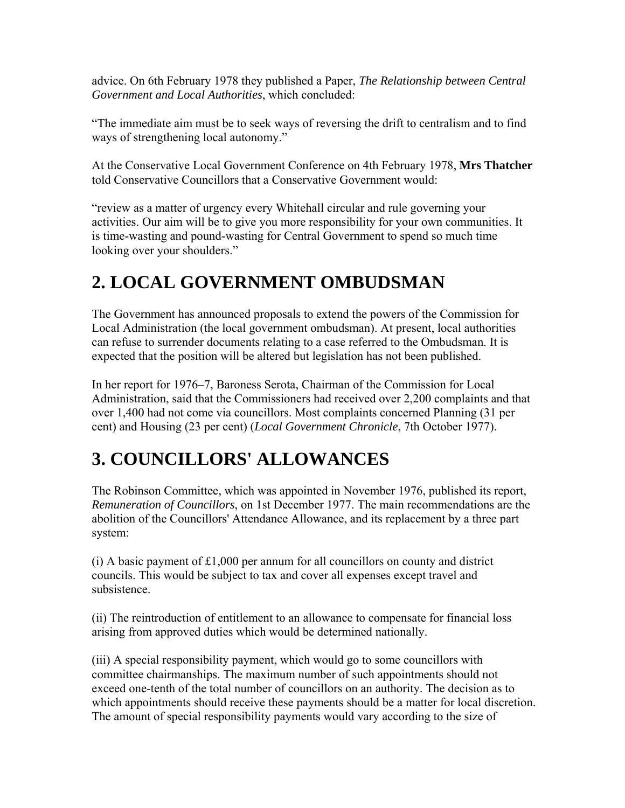advice. On 6th February 1978 they published a Paper, *The Relationship between Central Government and Local Authorities*, which concluded:

"The immediate aim must be to seek ways of reversing the drift to centralism and to find ways of strengthening local autonomy."

At the Conservative Local Government Conference on 4th February 1978, **Mrs Thatcher** told Conservative Councillors that a Conservative Government would:

"review as a matter of urgency every Whitehall circular and rule governing your activities. Our aim will be to give you more responsibility for your own communities. It is time-wasting and pound-wasting for Central Government to spend so much time looking over your shoulders."

## **2. LOCAL GOVERNMENT OMBUDSMAN**

The Government has announced proposals to extend the powers of the Commission for Local Administration (the local government ombudsman). At present, local authorities can refuse to surrender documents relating to a case referred to the Ombudsman. It is expected that the position will be altered but legislation has not been published.

In her report for 1976–7, Baroness Serota, Chairman of the Commission for Local Administration, said that the Commissioners had received over 2,200 complaints and that over 1,400 had not come via councillors. Most complaints concerned Planning (31 per cent) and Housing (23 per cent) (*Local Government Chronicle*, 7th October 1977).

### **3. COUNCILLORS' ALLOWANCES**

The Robinson Committee, which was appointed in November 1976, published its report, *Remuneration of Councillors*, on 1st December 1977. The main recommendations are the abolition of the Councillors' Attendance Allowance, and its replacement by a three part system:

 $(i)$  A basic payment of £1,000 per annum for all councillors on county and district councils. This would be subject to tax and cover all expenses except travel and subsistence.

(ii) The reintroduction of entitlement to an allowance to compensate for financial loss arising from approved duties which would be determined nationally.

(iii) A special responsibility payment, which would go to some councillors with committee chairmanships. The maximum number of such appointments should not exceed one-tenth of the total number of councillors on an authority. The decision as to which appointments should receive these payments should be a matter for local discretion. The amount of special responsibility payments would vary according to the size of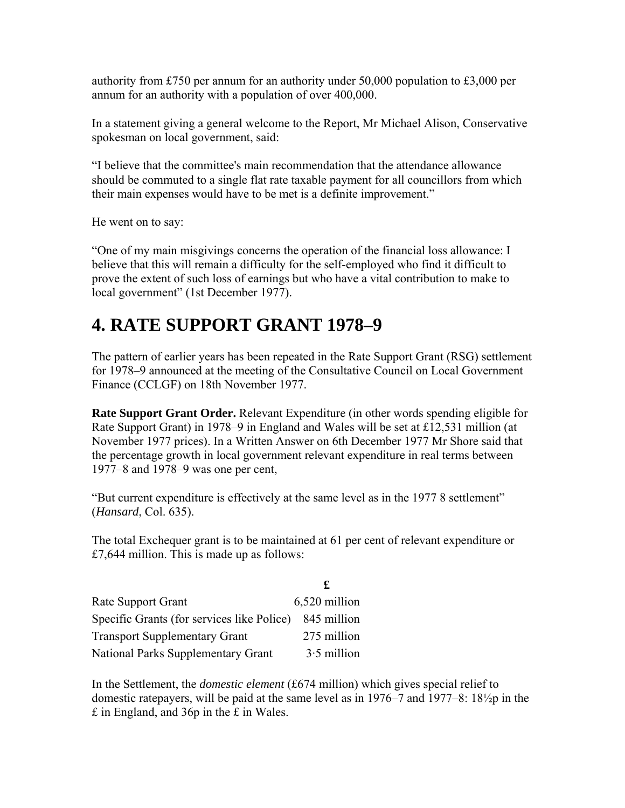authority from £750 per annum for an authority under 50,000 population to £3,000 per annum for an authority with a population of over 400,000.

In a statement giving a general welcome to the Report, Mr Michael Alison, Conservative spokesman on local government, said:

"I believe that the committee's main recommendation that the attendance allowance should be commuted to a single flat rate taxable payment for all councillors from which their main expenses would have to be met is a definite improvement."

He went on to say:

"One of my main misgivings concerns the operation of the financial loss allowance: I believe that this will remain a difficulty for the self-employed who find it difficult to prove the extent of such loss of earnings but who have a vital contribution to make to local government" (1st December 1977).

#### **4. RATE SUPPORT GRANT 1978–9**

The pattern of earlier years has been repeated in the Rate Support Grant (RSG) settlement for 1978–9 announced at the meeting of the Consultative Council on Local Government Finance (CCLGF) on 18th November 1977.

**Rate Support Grant Order.** Relevant Expenditure (in other words spending eligible for Rate Support Grant) in 1978–9 in England and Wales will be set at £12,531 million (at November 1977 prices). In a Written Answer on 6th December 1977 Mr Shore said that the percentage growth in local government relevant expenditure in real terms between 1977–8 and 1978–9 was one per cent,

"But current expenditure is effectively at the same level as in the 1977 8 settlement" (*Hansard*, Col. 635).

The total Exchequer grant is to be maintained at 61 per cent of relevant expenditure or £7,644 million. This is made up as follows:

| <b>Rate Support Grant</b>                  | 6,520 million |
|--------------------------------------------|---------------|
| Specific Grants (for services like Police) | 845 million   |
| <b>Transport Supplementary Grant</b>       | 275 million   |
| <b>National Parks Supplementary Grant</b>  | $3.5$ million |

In the Settlement, the *domestic element* (£674 million) which gives special relief to domestic ratepayers, will be paid at the same level as in 1976–7 and 1977–8: 18½p in the £ in England, and 36p in the £ in Wales.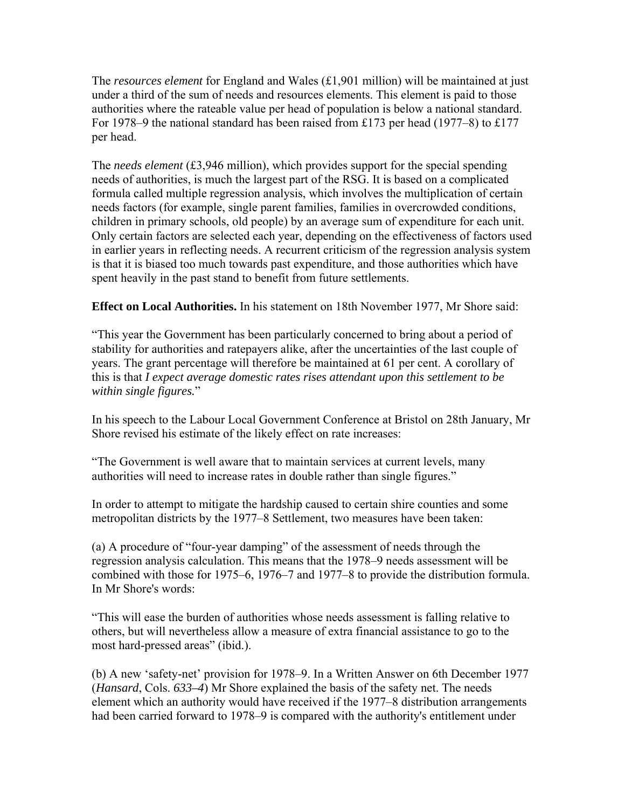The *resources element* for England and Wales (£1,901 million) will be maintained at just under a third of the sum of needs and resources elements. This element is paid to those authorities where the rateable value per head of population is below a national standard. For 1978–9 the national standard has been raised from £173 per head (1977–8) to £177 per head.

The *needs element* (£3,946 million), which provides support for the special spending needs of authorities, is much the largest part of the RSG. It is based on a complicated formula called multiple regression analysis, which involves the multiplication of certain needs factors (for example, single parent families, families in overcrowded conditions, children in primary schools, old people) by an average sum of expenditure for each unit. Only certain factors are selected each year, depending on the effectiveness of factors used in earlier years in reflecting needs. A recurrent criticism of the regression analysis system is that it is biased too much towards past expenditure, and those authorities which have spent heavily in the past stand to benefit from future settlements.

**Effect on Local Authorities.** In his statement on 18th November 1977, Mr Shore said:

"This year the Government has been particularly concerned to bring about a period of stability for authorities and ratepayers alike, after the uncertainties of the last couple of years. The grant percentage will therefore be maintained at 61 per cent. A corollary of this is that *I expect average domestic rates rises attendant upon this settlement to be within single figures.*"

In his speech to the Labour Local Government Conference at Bristol on 28th January, Mr Shore revised his estimate of the likely effect on rate increases:

"The Government is well aware that to maintain services at current levels, many authorities will need to increase rates in double rather than single figures."

In order to attempt to mitigate the hardship caused to certain shire counties and some metropolitan districts by the 1977–8 Settlement, two measures have been taken:

(a) A procedure of "four-year damping" of the assessment of needs through the regression analysis calculation. This means that the 1978–9 needs assessment will be combined with those for 1975–6, 1976–7 and 1977–8 to provide the distribution formula. In Mr Shore's words:

"This will ease the burden of authorities whose needs assessment is falling relative to others, but will nevertheless allow a measure of extra financial assistance to go to the most hard-pressed areas" (ibid.).

(b) A new 'safety-net' provision for 1978–9. In a Written Answer on 6th December 1977 (*Hansard*, Cols. *633–4*) Mr Shore explained the basis of the safety net. The needs element which an authority would have received if the 1977–8 distribution arrangements had been carried forward to 1978–9 is compared with the authority's entitlement under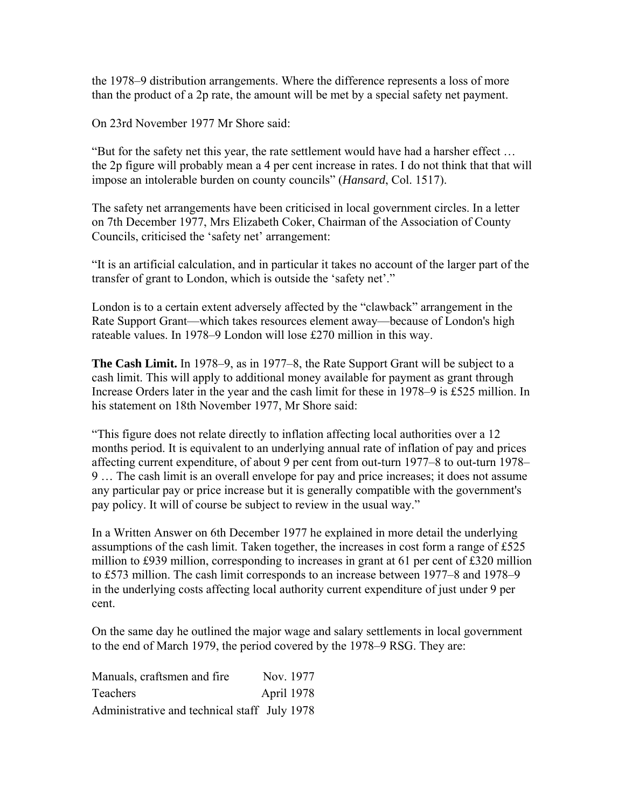the 1978–9 distribution arrangements. Where the difference represents a loss of more than the product of a 2p rate, the amount will be met by a special safety net payment.

On 23rd November 1977 Mr Shore said:

"But for the safety net this year, the rate settlement would have had a harsher effect … the 2p figure will probably mean a 4 per cent increase in rates. I do not think that that will impose an intolerable burden on county councils" (*Hansard*, Col. 1517).

The safety net arrangements have been criticised in local government circles. In a letter on 7th December 1977, Mrs Elizabeth Coker, Chairman of the Association of County Councils, criticised the 'safety net' arrangement:

"It is an artificial calculation, and in particular it takes no account of the larger part of the transfer of grant to London, which is outside the 'safety net'."

London is to a certain extent adversely affected by the "clawback" arrangement in the Rate Support Grant—which takes resources element away—because of London's high rateable values. In 1978–9 London will lose £270 million in this way.

**The Cash Limit.** In 1978–9, as in 1977–8, the Rate Support Grant will be subject to a cash limit. This will apply to additional money available for payment as grant through Increase Orders later in the year and the cash limit for these in 1978–9 is £525 million. In his statement on 18th November 1977, Mr Shore said:

"This figure does not relate directly to inflation affecting local authorities over a 12 months period. It is equivalent to an underlying annual rate of inflation of pay and prices affecting current expenditure, of about 9 per cent from out-turn 1977–8 to out-turn 1978– 9 … The cash limit is an overall envelope for pay and price increases; it does not assume any particular pay or price increase but it is generally compatible with the government's pay policy. It will of course be subject to review in the usual way."

In a Written Answer on 6th December 1977 he explained in more detail the underlying assumptions of the cash limit. Taken together, the increases in cost form a range of £525 million to £939 million, corresponding to increases in grant at 61 per cent of £320 million to £573 million. The cash limit corresponds to an increase between 1977–8 and 1978–9 in the underlying costs affecting local authority current expenditure of just under 9 per cent.

On the same day he outlined the major wage and salary settlements in local government to the end of March 1979, the period covered by the 1978–9 RSG. They are:

Manuals, craftsmen and fire Nov. 1977 Teachers April 1978 Administrative and technical staff July 1978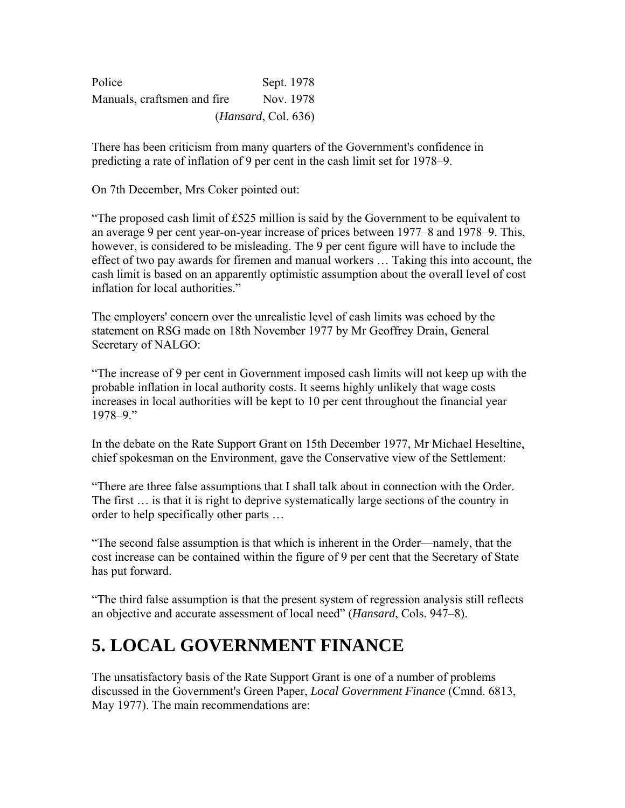| Police                       |                     | Sept. 1978 |  |
|------------------------------|---------------------|------------|--|
| Manuals, craftsmen and fire. |                     | Nov. 1978  |  |
|                              | (Hansard, Col. 636) |            |  |

There has been criticism from many quarters of the Government's confidence in predicting a rate of inflation of 9 per cent in the cash limit set for 1978–9.

On 7th December, Mrs Coker pointed out:

"The proposed cash limit of £525 million is said by the Government to be equivalent to an average 9 per cent year-on-year increase of prices between 1977–8 and 1978–9. This, however, is considered to be misleading. The 9 per cent figure will have to include the effect of two pay awards for firemen and manual workers … Taking this into account, the cash limit is based on an apparently optimistic assumption about the overall level of cost inflation for local authorities."

The employers' concern over the unrealistic level of cash limits was echoed by the statement on RSG made on 18th November 1977 by Mr Geoffrey Drain, General Secretary of NALGO:

"The increase of 9 per cent in Government imposed cash limits will not keep up with the probable inflation in local authority costs. It seems highly unlikely that wage costs increases in local authorities will be kept to 10 per cent throughout the financial year 1978–9."

In the debate on the Rate Support Grant on 15th December 1977, Mr Michael Heseltine, chief spokesman on the Environment, gave the Conservative view of the Settlement:

"There are three false assumptions that I shall talk about in connection with the Order. The first … is that it is right to deprive systematically large sections of the country in order to help specifically other parts …

"The second false assumption is that which is inherent in the Order—namely, that the cost increase can be contained within the figure of 9 per cent that the Secretary of State has put forward.

"The third false assumption is that the present system of regression analysis still reflects an objective and accurate assessment of local need" (*Hansard*, Cols. 947–8).

### **5. LOCAL GOVERNMENT FINANCE**

The unsatisfactory basis of the Rate Support Grant is one of a number of problems discussed in the Government's Green Paper, *Local Government Finance* (Cmnd. 6813, May 1977). The main recommendations are: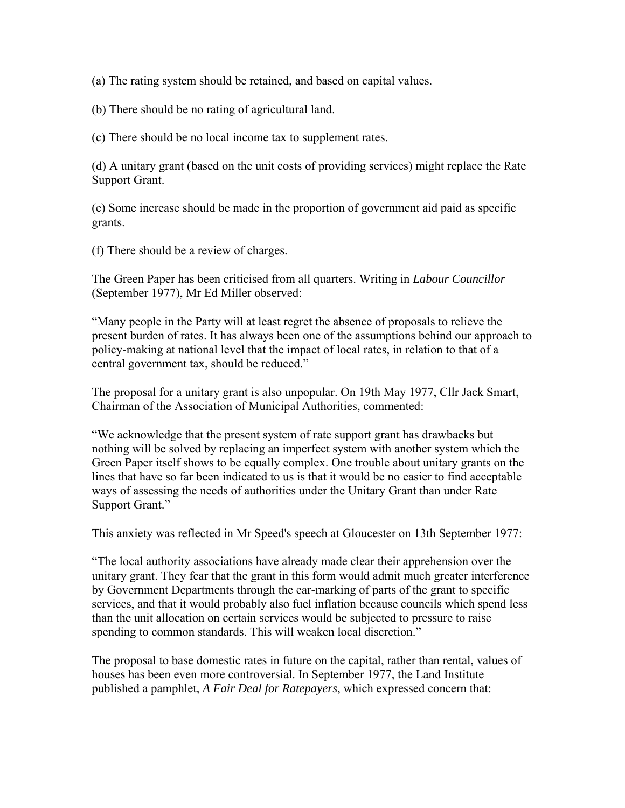(a) The rating system should be retained, and based on capital values.

(b) There should be no rating of agricultural land.

(c) There should be no local income tax to supplement rates.

(d) A unitary grant (based on the unit costs of providing services) might replace the Rate Support Grant.

(e) Some increase should be made in the proportion of government aid paid as specific grants.

(f) There should be a review of charges.

The Green Paper has been criticised from all quarters. Writing in *Labour Councillor* (September 1977), Mr Ed Miller observed:

"Many people in the Party will at least regret the absence of proposals to relieve the present burden of rates. It has always been one of the assumptions behind our approach to policy-making at national level that the impact of local rates, in relation to that of a central government tax, should be reduced."

The proposal for a unitary grant is also unpopular. On 19th May 1977, Cllr Jack Smart, Chairman of the Association of Municipal Authorities, commented:

"We acknowledge that the present system of rate support grant has drawbacks but nothing will be solved by replacing an imperfect system with another system which the Green Paper itself shows to be equally complex. One trouble about unitary grants on the lines that have so far been indicated to us is that it would be no easier to find acceptable ways of assessing the needs of authorities under the Unitary Grant than under Rate Support Grant."

This anxiety was reflected in Mr Speed's speech at Gloucester on 13th September 1977:

"The local authority associations have already made clear their apprehension over the unitary grant. They fear that the grant in this form would admit much greater interference by Government Departments through the ear-marking of parts of the grant to specific services, and that it would probably also fuel inflation because councils which spend less than the unit allocation on certain services would be subjected to pressure to raise spending to common standards. This will weaken local discretion."

The proposal to base domestic rates in future on the capital, rather than rental, values of houses has been even more controversial. In September 1977, the Land Institute published a pamphlet, *A Fair Deal for Ratepayers*, which expressed concern that: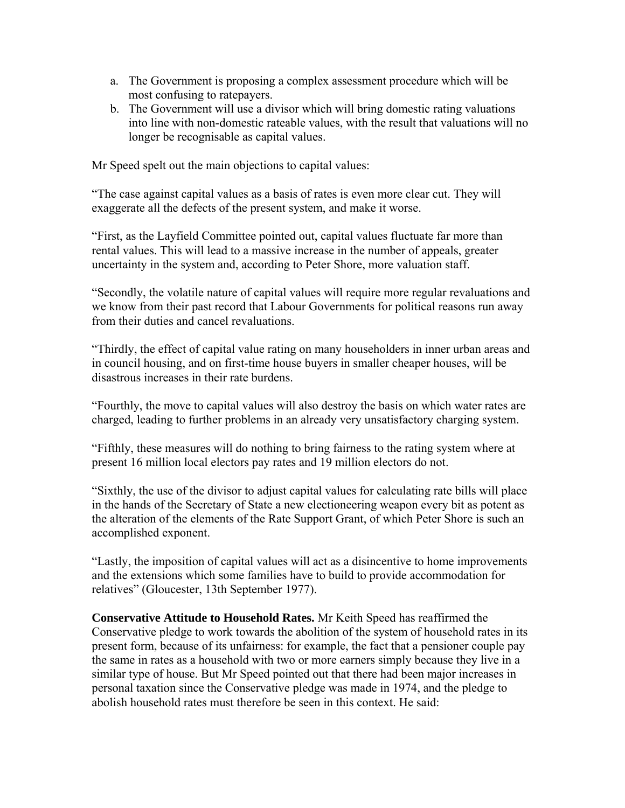- a. The Government is proposing a complex assessment procedure which will be most confusing to ratepayers.
- b. The Government will use a divisor which will bring domestic rating valuations into line with non-domestic rateable values, with the result that valuations will no longer be recognisable as capital values.

Mr Speed spelt out the main objections to capital values:

"The case against capital values as a basis of rates is even more clear cut. They will exaggerate all the defects of the present system, and make it worse.

"First, as the Layfield Committee pointed out, capital values fluctuate far more than rental values. This will lead to a massive increase in the number of appeals, greater uncertainty in the system and, according to Peter Shore, more valuation staff.

"Secondly, the volatile nature of capital values will require more regular revaluations and we know from their past record that Labour Governments for political reasons run away from their duties and cancel revaluations.

"Thirdly, the effect of capital value rating on many householders in inner urban areas and in council housing, and on first-time house buyers in smaller cheaper houses, will be disastrous increases in their rate burdens.

"Fourthly, the move to capital values will also destroy the basis on which water rates are charged, leading to further problems in an already very unsatisfactory charging system.

"Fifthly, these measures will do nothing to bring fairness to the rating system where at present 16 million local electors pay rates and 19 million electors do not.

"Sixthly, the use of the divisor to adjust capital values for calculating rate bills will place in the hands of the Secretary of State a new electioneering weapon every bit as potent as the alteration of the elements of the Rate Support Grant, of which Peter Shore is such an accomplished exponent.

"Lastly, the imposition of capital values will act as a disincentive to home improvements and the extensions which some families have to build to provide accommodation for relatives" (Gloucester, 13th September 1977).

**Conservative Attitude to Household Rates.** Mr Keith Speed has reaffirmed the Conservative pledge to work towards the abolition of the system of household rates in its present form, because of its unfairness: for example, the fact that a pensioner couple pay the same in rates as a household with two or more earners simply because they live in a similar type of house. But Mr Speed pointed out that there had been major increases in personal taxation since the Conservative pledge was made in 1974, and the pledge to abolish household rates must therefore be seen in this context. He said: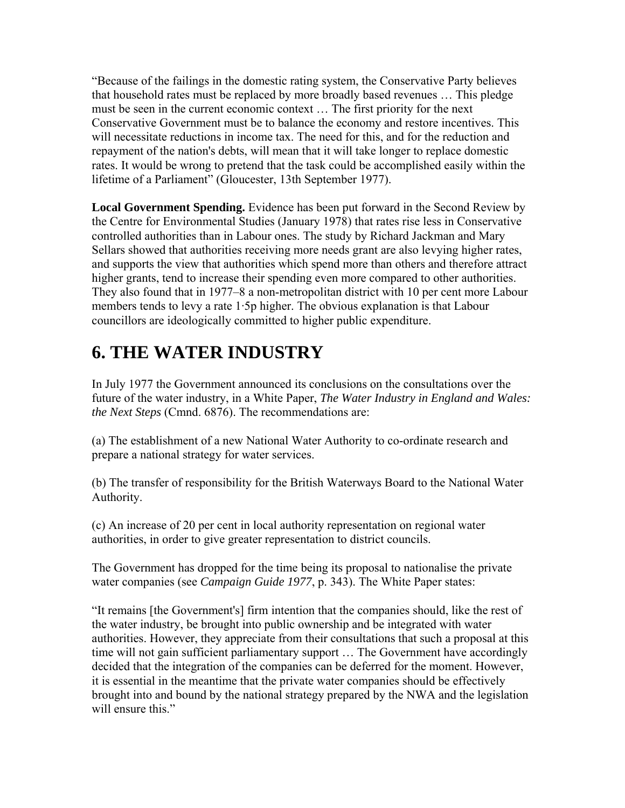"Because of the failings in the domestic rating system, the Conservative Party believes that household rates must be replaced by more broadly based revenues … This pledge must be seen in the current economic context … The first priority for the next Conservative Government must be to balance the economy and restore incentives. This will necessitate reductions in income tax. The need for this, and for the reduction and repayment of the nation's debts, will mean that it will take longer to replace domestic rates. It would be wrong to pretend that the task could be accomplished easily within the lifetime of a Parliament" (Gloucester, 13th September 1977).

**Local Government Spending.** Evidence has been put forward in the Second Review by the Centre for Environmental Studies (January 1978) that rates rise less in Conservative controlled authorities than in Labour ones. The study by Richard Jackman and Mary Sellars showed that authorities receiving more needs grant are also levying higher rates, and supports the view that authorities which spend more than others and therefore attract higher grants, tend to increase their spending even more compared to other authorities. They also found that in 1977–8 a non-metropolitan district with 10 per cent more Labour members tends to levy a rate 1·5p higher. The obvious explanation is that Labour councillors are ideologically committed to higher public expenditure.

## **6. THE WATER INDUSTRY**

In July 1977 the Government announced its conclusions on the consultations over the future of the water industry, in a White Paper, *The Water Industry in England and Wales: the Next Steps* (Cmnd. 6876). The recommendations are:

(a) The establishment of a new National Water Authority to co-ordinate research and prepare a national strategy for water services.

(b) The transfer of responsibility for the British Waterways Board to the National Water Authority.

(c) An increase of 20 per cent in local authority representation on regional water authorities, in order to give greater representation to district councils.

The Government has dropped for the time being its proposal to nationalise the private water companies (see *Campaign Guide 1977*, p. 343). The White Paper states:

"It remains [the Government's] firm intention that the companies should, like the rest of the water industry, be brought into public ownership and be integrated with water authorities. However, they appreciate from their consultations that such a proposal at this time will not gain sufficient parliamentary support … The Government have accordingly decided that the integration of the companies can be deferred for the moment. However, it is essential in the meantime that the private water companies should be effectively brought into and bound by the national strategy prepared by the NWA and the legislation will ensure this."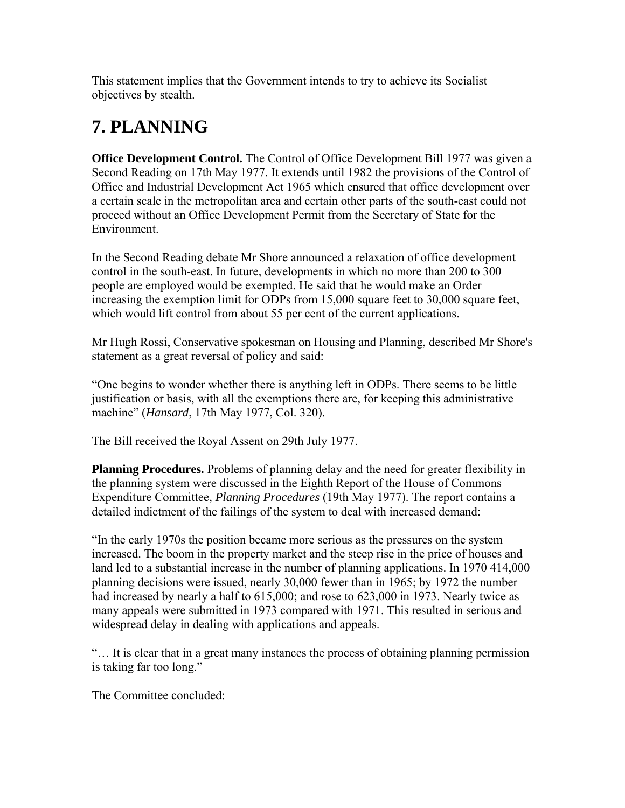This statement implies that the Government intends to try to achieve its Socialist objectives by stealth.

### **7. PLANNING**

**Office Development Control.** The Control of Office Development Bill 1977 was given a Second Reading on 17th May 1977. It extends until 1982 the provisions of the Control of Office and Industrial Development Act 1965 which ensured that office development over a certain scale in the metropolitan area and certain other parts of the south-east could not proceed without an Office Development Permit from the Secretary of State for the Environment.

In the Second Reading debate Mr Shore announced a relaxation of office development control in the south-east. In future, developments in which no more than 200 to 300 people are employed would be exempted. He said that he would make an Order increasing the exemption limit for ODPs from 15,000 square feet to 30,000 square feet, which would lift control from about 55 per cent of the current applications.

Mr Hugh Rossi, Conservative spokesman on Housing and Planning, described Mr Shore's statement as a great reversal of policy and said:

"One begins to wonder whether there is anything left in ODPs. There seems to be little justification or basis, with all the exemptions there are, for keeping this administrative machine" (*Hansard*, 17th May 1977, Col. 320).

The Bill received the Royal Assent on 29th July 1977.

**Planning Procedures.** Problems of planning delay and the need for greater flexibility in the planning system were discussed in the Eighth Report of the House of Commons Expenditure Committee, *Planning Procedures* (19th May 1977). The report contains a detailed indictment of the failings of the system to deal with increased demand:

"In the early 1970s the position became more serious as the pressures on the system increased. The boom in the property market and the steep rise in the price of houses and land led to a substantial increase in the number of planning applications. In 1970 414,000 planning decisions were issued, nearly 30,000 fewer than in 1965; by 1972 the number had increased by nearly a half to 615,000; and rose to 623,000 in 1973. Nearly twice as many appeals were submitted in 1973 compared with 1971. This resulted in serious and widespread delay in dealing with applications and appeals.

"… It is clear that in a great many instances the process of obtaining planning permission is taking far too long."

The Committee concluded: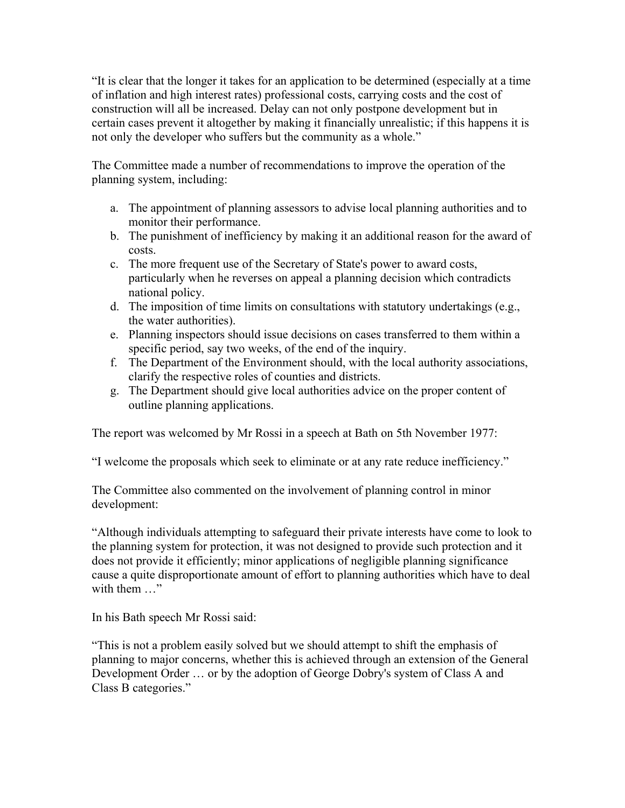"It is clear that the longer it takes for an application to be determined (especially at a time of inflation and high interest rates) professional costs, carrying costs and the cost of construction will all be increased. Delay can not only postpone development but in certain cases prevent it altogether by making it financially unrealistic; if this happens it is not only the developer who suffers but the community as a whole."

The Committee made a number of recommendations to improve the operation of the planning system, including:

- a. The appointment of planning assessors to advise local planning authorities and to monitor their performance.
- b. The punishment of inefficiency by making it an additional reason for the award of costs.
- c. The more frequent use of the Secretary of State's power to award costs, particularly when he reverses on appeal a planning decision which contradicts national policy.
- d. The imposition of time limits on consultations with statutory undertakings (e.g., the water authorities).
- e. Planning inspectors should issue decisions on cases transferred to them within a specific period, say two weeks, of the end of the inquiry.
- f. The Department of the Environment should, with the local authority associations, clarify the respective roles of counties and districts.
- g. The Department should give local authorities advice on the proper content of outline planning applications.

The report was welcomed by Mr Rossi in a speech at Bath on 5th November 1977:

"I welcome the proposals which seek to eliminate or at any rate reduce inefficiency."

The Committee also commented on the involvement of planning control in minor development:

"Although individuals attempting to safeguard their private interests have come to look to the planning system for protection, it was not designed to provide such protection and it does not provide it efficiently; minor applications of negligible planning significance cause a quite disproportionate amount of effort to planning authorities which have to deal with them ..."

In his Bath speech Mr Rossi said:

"This is not a problem easily solved but we should attempt to shift the emphasis of planning to major concerns, whether this is achieved through an extension of the General Development Order … or by the adoption of George Dobry's system of Class A and Class B categories."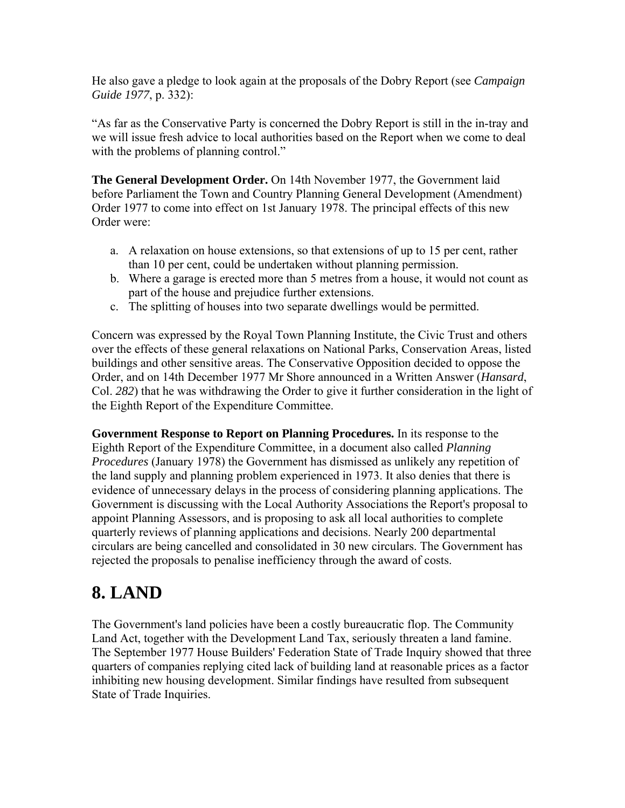He also gave a pledge to look again at the proposals of the Dobry Report (see *Campaign Guide 1977*, p. 332):

"As far as the Conservative Party is concerned the Dobry Report is still in the in-tray and we will issue fresh advice to local authorities based on the Report when we come to deal with the problems of planning control."

**The General Development Order.** On 14th November 1977, the Government laid before Parliament the Town and Country Planning General Development (Amendment) Order 1977 to come into effect on 1st January 1978. The principal effects of this new Order were:

- a. A relaxation on house extensions, so that extensions of up to 15 per cent, rather than 10 per cent, could be undertaken without planning permission.
- b. Where a garage is erected more than 5 metres from a house, it would not count as part of the house and prejudice further extensions.
- c. The splitting of houses into two separate dwellings would be permitted.

Concern was expressed by the Royal Town Planning Institute, the Civic Trust and others over the effects of these general relaxations on National Parks, Conservation Areas, listed buildings and other sensitive areas. The Conservative Opposition decided to oppose the Order, and on 14th December 1977 Mr Shore announced in a Written Answer (*Hansard*, Col. *282*) that he was withdrawing the Order to give it further consideration in the light of the Eighth Report of the Expenditure Committee.

**Government Response to Report on Planning Procedures.** In its response to the Eighth Report of the Expenditure Committee, in a document also called *Planning Procedures* (January 1978) the Government has dismissed as unlikely any repetition of the land supply and planning problem experienced in 1973. It also denies that there is evidence of unnecessary delays in the process of considering planning applications. The Government is discussing with the Local Authority Associations the Report's proposal to appoint Planning Assessors, and is proposing to ask all local authorities to complete quarterly reviews of planning applications and decisions. Nearly 200 departmental circulars are being cancelled and consolidated in 30 new circulars. The Government has rejected the proposals to penalise inefficiency through the award of costs.

### **8. LAND**

The Government's land policies have been a costly bureaucratic flop. The Community Land Act, together with the Development Land Tax, seriously threaten a land famine. The September 1977 House Builders' Federation State of Trade Inquiry showed that three quarters of companies replying cited lack of building land at reasonable prices as a factor inhibiting new housing development. Similar findings have resulted from subsequent State of Trade Inquiries.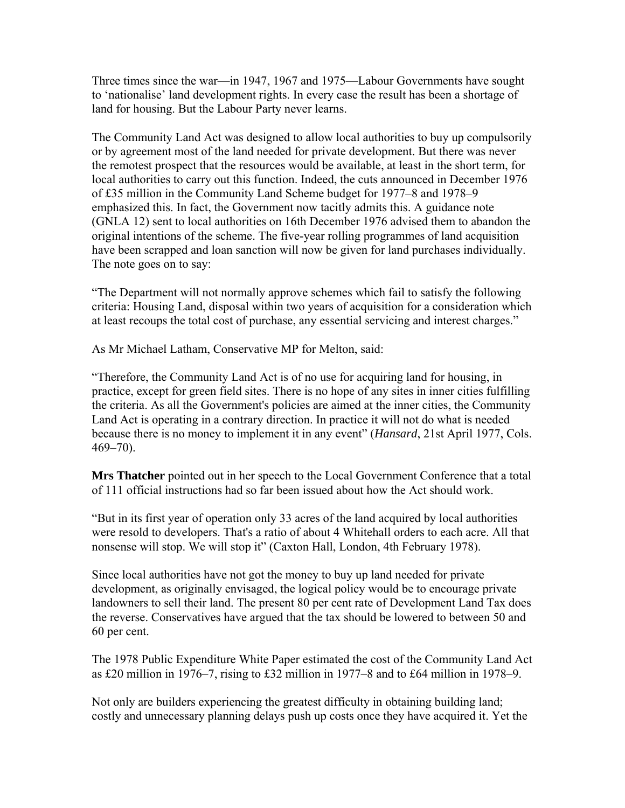Three times since the war—in 1947, 1967 and 1975—Labour Governments have sought to 'nationalise' land development rights. In every case the result has been a shortage of land for housing. But the Labour Party never learns.

The Community Land Act was designed to allow local authorities to buy up compulsorily or by agreement most of the land needed for private development. But there was never the remotest prospect that the resources would be available, at least in the short term, for local authorities to carry out this function. Indeed, the cuts announced in December 1976 of £35 million in the Community Land Scheme budget for 1977–8 and 1978–9 emphasized this. In fact, the Government now tacitly admits this. A guidance note (GNLA 12) sent to local authorities on 16th December 1976 advised them to abandon the original intentions of the scheme. The five-year rolling programmes of land acquisition have been scrapped and loan sanction will now be given for land purchases individually. The note goes on to say:

"The Department will not normally approve schemes which fail to satisfy the following criteria: Housing Land, disposal within two years of acquisition for a consideration which at least recoups the total cost of purchase, any essential servicing and interest charges."

As Mr Michael Latham, Conservative MP for Melton, said:

"Therefore, the Community Land Act is of no use for acquiring land for housing, in practice, except for green field sites. There is no hope of any sites in inner cities fulfilling the criteria. As all the Government's policies are aimed at the inner cities, the Community Land Act is operating in a contrary direction. In practice it will not do what is needed because there is no money to implement it in any event" (*Hansard*, 21st April 1977, Cols. 469–70).

**Mrs Thatcher** pointed out in her speech to the Local Government Conference that a total of 111 official instructions had so far been issued about how the Act should work.

"But in its first year of operation only 33 acres of the land acquired by local authorities were resold to developers. That's a ratio of about 4 Whitehall orders to each acre. All that nonsense will stop. We will stop it" (Caxton Hall, London, 4th February 1978).

Since local authorities have not got the money to buy up land needed for private development, as originally envisaged, the logical policy would be to encourage private landowners to sell their land. The present 80 per cent rate of Development Land Tax does the reverse. Conservatives have argued that the tax should be lowered to between 50 and 60 per cent.

The 1978 Public Expenditure White Paper estimated the cost of the Community Land Act as £20 million in 1976–7, rising to £32 million in 1977–8 and to £64 million in 1978–9.

Not only are builders experiencing the greatest difficulty in obtaining building land; costly and unnecessary planning delays push up costs once they have acquired it. Yet the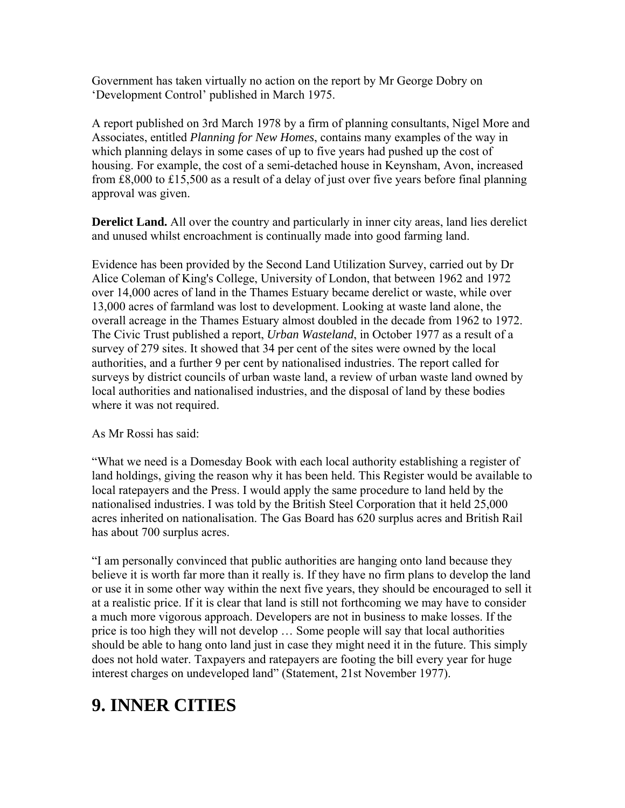Government has taken virtually no action on the report by Mr George Dobry on 'Development Control' published in March 1975.

A report published on 3rd March 1978 by a firm of planning consultants, Nigel More and Associates, entitled *Planning for New Homes*, contains many examples of the way in which planning delays in some cases of up to five years had pushed up the cost of housing. For example, the cost of a semi-detached house in Keynsham, Avon, increased from £8,000 to £15,500 as a result of a delay of just over five years before final planning approval was given.

**Derelict Land.** All over the country and particularly in inner city areas, land lies derelict and unused whilst encroachment is continually made into good farming land.

Evidence has been provided by the Second Land Utilization Survey, carried out by Dr Alice Coleman of King's College, University of London, that between 1962 and 1972 over 14,000 acres of land in the Thames Estuary became derelict or waste, while over 13,000 acres of farmland was lost to development. Looking at waste land alone, the overall acreage in the Thames Estuary almost doubled in the decade from 1962 to 1972. The Civic Trust published a report, *Urban Wasteland*, in October 1977 as a result of a survey of 279 sites. It showed that 34 per cent of the sites were owned by the local authorities, and a further 9 per cent by nationalised industries. The report called for surveys by district councils of urban waste land, a review of urban waste land owned by local authorities and nationalised industries, and the disposal of land by these bodies where it was not required.

As Mr Rossi has said:

"What we need is a Domesday Book with each local authority establishing a register of land holdings, giving the reason why it has been held. This Register would be available to local ratepayers and the Press. I would apply the same procedure to land held by the nationalised industries. I was told by the British Steel Corporation that it held 25,000 acres inherited on nationalisation. The Gas Board has 620 surplus acres and British Rail has about 700 surplus acres.

"I am personally convinced that public authorities are hanging onto land because they believe it is worth far more than it really is. If they have no firm plans to develop the land or use it in some other way within the next five years, they should be encouraged to sell it at a realistic price. If it is clear that land is still not forthcoming we may have to consider a much more vigorous approach. Developers are not in business to make losses. If the price is too high they will not develop … Some people will say that local authorities should be able to hang onto land just in case they might need it in the future. This simply does not hold water. Taxpayers and ratepayers are footing the bill every year for huge interest charges on undeveloped land" (Statement, 21st November 1977).

# **9. INNER CITIES**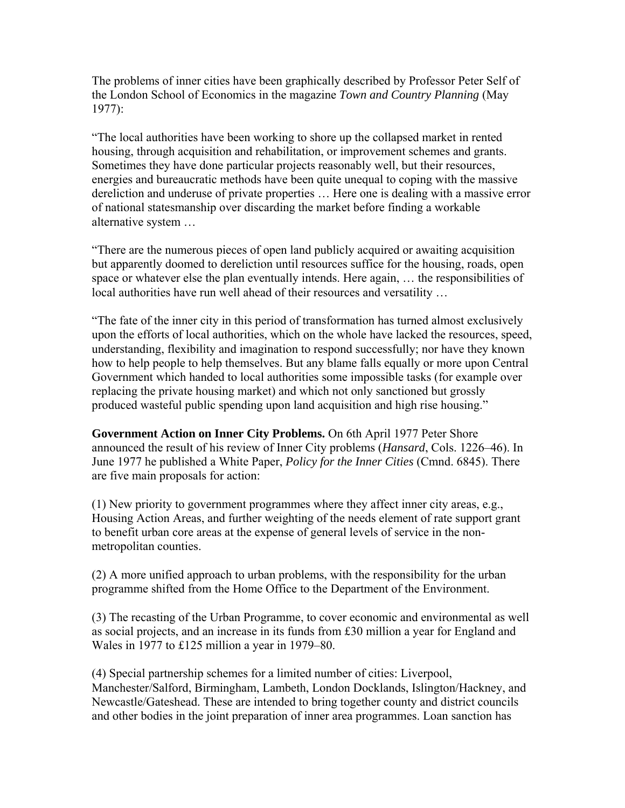The problems of inner cities have been graphically described by Professor Peter Self of the London School of Economics in the magazine *Town and Country Planning* (May 1977):

"The local authorities have been working to shore up the collapsed market in rented housing, through acquisition and rehabilitation, or improvement schemes and grants. Sometimes they have done particular projects reasonably well, but their resources, energies and bureaucratic methods have been quite unequal to coping with the massive dereliction and underuse of private properties … Here one is dealing with a massive error of national statesmanship over discarding the market before finding a workable alternative system …

"There are the numerous pieces of open land publicly acquired or awaiting acquisition but apparently doomed to dereliction until resources suffice for the housing, roads, open space or whatever else the plan eventually intends. Here again, … the responsibilities of local authorities have run well ahead of their resources and versatility …

"The fate of the inner city in this period of transformation has turned almost exclusively upon the efforts of local authorities, which on the whole have lacked the resources, speed, understanding, flexibility and imagination to respond successfully; nor have they known how to help people to help themselves. But any blame falls equally or more upon Central Government which handed to local authorities some impossible tasks (for example over replacing the private housing market) and which not only sanctioned but grossly produced wasteful public spending upon land acquisition and high rise housing."

**Government Action on Inner City Problems.** On 6th April 1977 Peter Shore announced the result of his review of Inner City problems (*Hansard*, Cols. 1226–46). In June 1977 he published a White Paper, *Policy for the Inner Cities* (Cmnd. 6845). There are five main proposals for action:

(1) New priority to government programmes where they affect inner city areas, e.g., Housing Action Areas, and further weighting of the needs element of rate support grant to benefit urban core areas at the expense of general levels of service in the nonmetropolitan counties.

(2) A more unified approach to urban problems, with the responsibility for the urban programme shifted from the Home Office to the Department of the Environment.

(3) The recasting of the Urban Programme, to cover economic and environmental as well as social projects, and an increase in its funds from £30 million a year for England and Wales in 1977 to £125 million a year in 1979–80.

(4) Special partnership schemes for a limited number of cities: Liverpool, Manchester/Salford, Birmingham, Lambeth, London Docklands, Islington/Hackney, and Newcastle/Gateshead. These are intended to bring together county and district councils and other bodies in the joint preparation of inner area programmes. Loan sanction has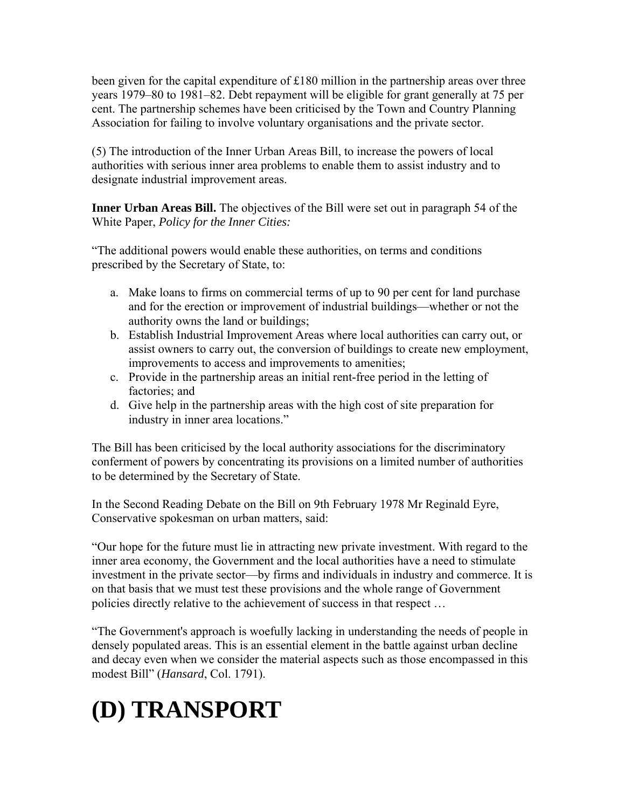been given for the capital expenditure of £180 million in the partnership areas over three years 1979–80 to 1981–82. Debt repayment will be eligible for grant generally at 75 per cent. The partnership schemes have been criticised by the Town and Country Planning Association for failing to involve voluntary organisations and the private sector.

(5) The introduction of the Inner Urban Areas Bill, to increase the powers of local authorities with serious inner area problems to enable them to assist industry and to designate industrial improvement areas.

**Inner Urban Areas Bill.** The objectives of the Bill were set out in paragraph 54 of the White Paper, *Policy for the Inner Cities:*

"The additional powers would enable these authorities, on terms and conditions prescribed by the Secretary of State, to:

- a. Make loans to firms on commercial terms of up to 90 per cent for land purchase and for the erection or improvement of industrial buildings—whether or not the authority owns the land or buildings;
- b. Establish Industrial Improvement Areas where local authorities can carry out, or assist owners to carry out, the conversion of buildings to create new employment, improvements to access and improvements to amenities;
- c. Provide in the partnership areas an initial rent-free period in the letting of factories; and
- d. Give help in the partnership areas with the high cost of site preparation for industry in inner area locations."

The Bill has been criticised by the local authority associations for the discriminatory conferment of powers by concentrating its provisions on a limited number of authorities to be determined by the Secretary of State.

In the Second Reading Debate on the Bill on 9th February 1978 Mr Reginald Eyre, Conservative spokesman on urban matters, said:

"Our hope for the future must lie in attracting new private investment. With regard to the inner area economy, the Government and the local authorities have a need to stimulate investment in the private sector—by firms and individuals in industry and commerce. It is on that basis that we must test these provisions and the whole range of Government policies directly relative to the achievement of success in that respect …

"The Government's approach is woefully lacking in understanding the needs of people in densely populated areas. This is an essential element in the battle against urban decline and decay even when we consider the material aspects such as those encompassed in this modest Bill" (*Hansard*, Col. 1791).

# **(D) TRANSPORT**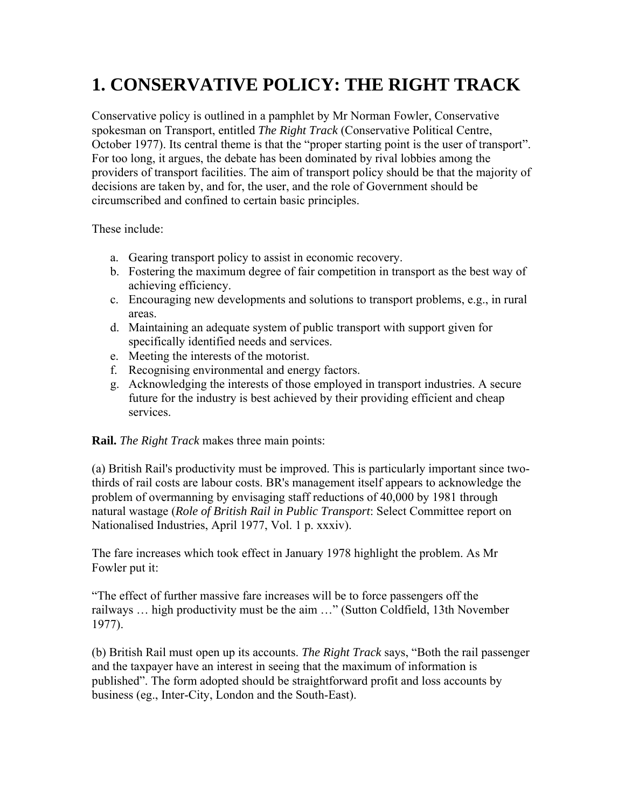## **1. CONSERVATIVE POLICY: THE RIGHT TRACK**

Conservative policy is outlined in a pamphlet by Mr Norman Fowler, Conservative spokesman on Transport, entitled *The Right Track* (Conservative Political Centre, October 1977). Its central theme is that the "proper starting point is the user of transport". For too long, it argues, the debate has been dominated by rival lobbies among the providers of transport facilities. The aim of transport policy should be that the majority of decisions are taken by, and for, the user, and the role of Government should be circumscribed and confined to certain basic principles.

These include:

- a. Gearing transport policy to assist in economic recovery.
- b. Fostering the maximum degree of fair competition in transport as the best way of achieving efficiency.
- c. Encouraging new developments and solutions to transport problems, e.g., in rural areas.
- d. Maintaining an adequate system of public transport with support given for specifically identified needs and services.
- e. Meeting the interests of the motorist.
- f. Recognising environmental and energy factors.
- g. Acknowledging the interests of those employed in transport industries. A secure future for the industry is best achieved by their providing efficient and cheap services.

**Rail.** *The Right Track* makes three main points:

(a) British Rail's productivity must be improved. This is particularly important since twothirds of rail costs are labour costs. BR's management itself appears to acknowledge the problem of overmanning by envisaging staff reductions of 40,000 by 1981 through natural wastage (*Role of British Rail in Public Transport*: Select Committee report on Nationalised Industries, April 1977, Vol. 1 p. xxxiv).

The fare increases which took effect in January 1978 highlight the problem. As Mr Fowler put it:

"The effect of further massive fare increases will be to force passengers off the railways … high productivity must be the aim …" (Sutton Coldfield, 13th November 1977).

(b) British Rail must open up its accounts. *The Right Track* says, "Both the rail passenger and the taxpayer have an interest in seeing that the maximum of information is published". The form adopted should be straightforward profit and loss accounts by business (eg., Inter-City, London and the South-East).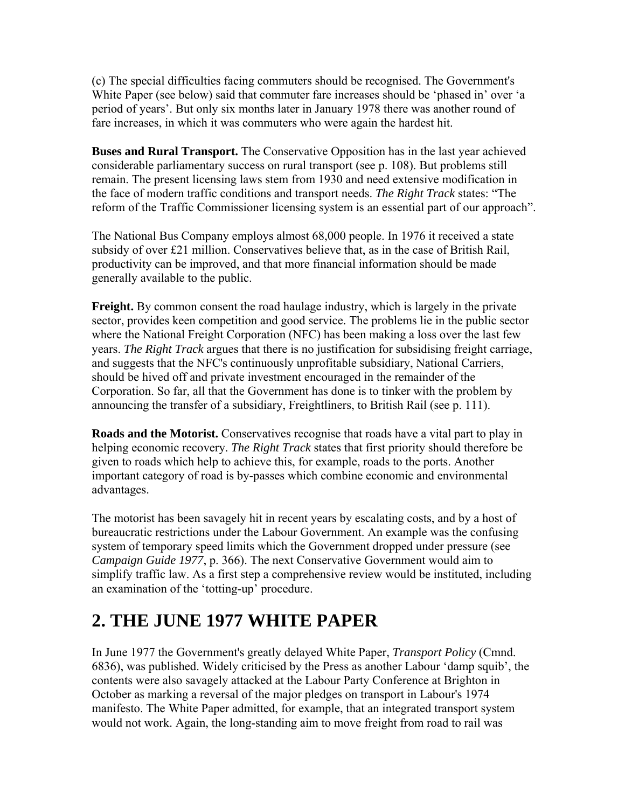(c) The special difficulties facing commuters should be recognised. The Government's White Paper (see below) said that commuter fare increases should be 'phased in' over 'a period of years'. But only six months later in January 1978 there was another round of fare increases, in which it was commuters who were again the hardest hit.

**Buses and Rural Transport.** The Conservative Opposition has in the last year achieved considerable parliamentary success on rural transport (see p. 108). But problems still remain. The present licensing laws stem from 1930 and need extensive modification in the face of modern traffic conditions and transport needs. *The Right Track* states: "The reform of the Traffic Commissioner licensing system is an essential part of our approach".

The National Bus Company employs almost 68,000 people. In 1976 it received a state subsidy of over £21 million. Conservatives believe that, as in the case of British Rail, productivity can be improved, and that more financial information should be made generally available to the public.

**Freight.** By common consent the road haulage industry, which is largely in the private sector, provides keen competition and good service. The problems lie in the public sector where the National Freight Corporation (NFC) has been making a loss over the last few years. *The Right Track* argues that there is no justification for subsidising freight carriage, and suggests that the NFC's continuously unprofitable subsidiary, National Carriers, should be hived off and private investment encouraged in the remainder of the Corporation. So far, all that the Government has done is to tinker with the problem by announcing the transfer of a subsidiary, Freightliners, to British Rail (see p. 111).

**Roads and the Motorist.** Conservatives recognise that roads have a vital part to play in helping economic recovery. *The Right Track* states that first priority should therefore be given to roads which help to achieve this, for example, roads to the ports. Another important category of road is by-passes which combine economic and environmental advantages.

The motorist has been savagely hit in recent years by escalating costs, and by a host of bureaucratic restrictions under the Labour Government. An example was the confusing system of temporary speed limits which the Government dropped under pressure (see *Campaign Guide 1977*, p. 366). The next Conservative Government would aim to simplify traffic law. As a first step a comprehensive review would be instituted, including an examination of the 'totting-up' procedure.

#### **2. THE JUNE 1977 WHITE PAPER**

In June 1977 the Government's greatly delayed White Paper, *Transport Policy* (Cmnd. 6836), was published. Widely criticised by the Press as another Labour 'damp squib', the contents were also savagely attacked at the Labour Party Conference at Brighton in October as marking a reversal of the major pledges on transport in Labour's 1974 manifesto. The White Paper admitted, for example, that an integrated transport system would not work. Again, the long-standing aim to move freight from road to rail was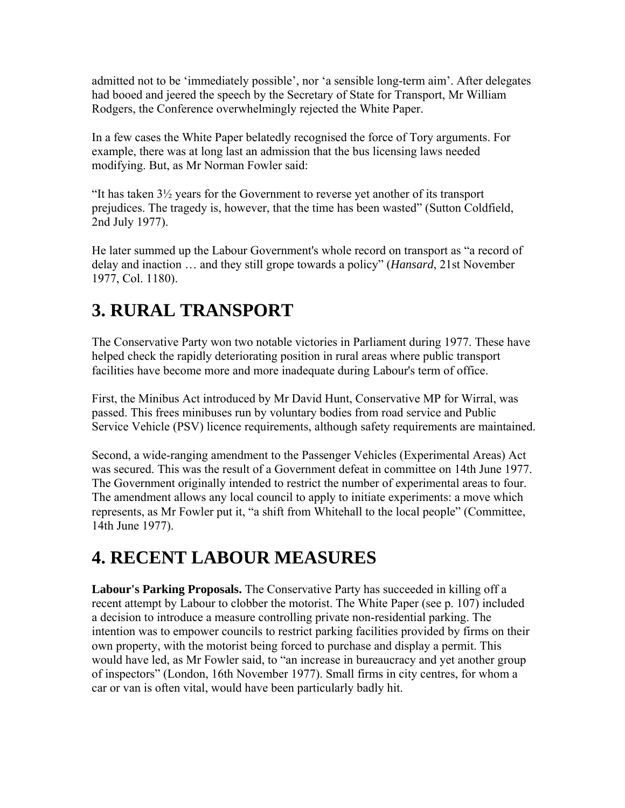admitted not to be 'immediately possible', nor 'a sensible long-term aim'. After delegates had booed and jeered the speech by the Secretary of State for Transport, Mr William Rodgers, the Conference overwhelmingly rejected the White Paper.

In a few cases the White Paper belatedly recognised the force of Tory arguments. For example, there was at long last an admission that the bus licensing laws needed modifying. But, as Mr Norman Fowler said:

"It has taken  $3\frac{1}{2}$  years for the Government to reverse yet another of its transport prejudices. The tragedy is, however, that the time has been wasted" (Sutton Coldfield, 2nd July 1977).

He later summed up the Labour Government's whole record on transport as "a record of delay and inaction … and they still grope towards a policy" (*Hansard*, 21st November 1977, Col. 1180).

### **3. RURAL TRANSPORT**

The Conservative Party won two notable victories in Parliament during 1977. These have helped check the rapidly deteriorating position in rural areas where public transport facilities have become more and more inadequate during Labour's term of office.

First, the Minibus Act introduced by Mr David Hunt, Conservative MP for Wirral, was passed. This frees minibuses run by voluntary bodies from road service and Public Service Vehicle (PSV) licence requirements, although safety requirements are maintained.

Second, a wide-ranging amendment to the Passenger Vehicles (Experimental Areas) Act was secured. This was the result of a Government defeat in committee on 14th June 1977. The Government originally intended to restrict the number of experimental areas to four. The amendment allows any local council to apply to initiate experiments: a move which represents, as Mr Fowler put it, "a shift from Whitehall to the local people" (Committee, 14th June 1977).

### **4. RECENT LABOUR MEASURES**

**Labour's Parking Proposals.** The Conservative Party has succeeded in killing off a recent attempt by Labour to clobber the motorist. The White Paper (see p. 107) included a decision to introduce a measure controlling private non-residential parking. The intention was to empower councils to restrict parking facilities provided by firms on their own property, with the motorist being forced to purchase and display a permit. This would have led, as Mr Fowler said, to "an increase in bureaucracy and yet another group of inspectors" (London, 16th November 1977). Small firms in city centres, for whom a car or van is often vital, would have been particularly badly hit.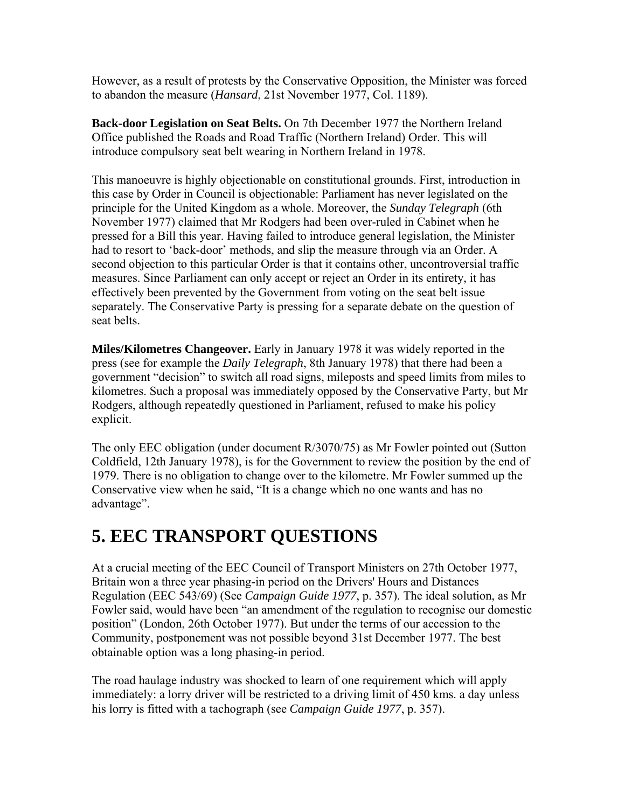However, as a result of protests by the Conservative Opposition, the Minister was forced to abandon the measure (*Hansard*, 21st November 1977, Col. 1189).

**Back-door Legislation on Seat Belts.** On 7th December 1977 the Northern Ireland Office published the Roads and Road Traffic (Northern Ireland) Order. This will introduce compulsory seat belt wearing in Northern Ireland in 1978.

This manoeuvre is highly objectionable on constitutional grounds. First, introduction in this case by Order in Council is objectionable: Parliament has never legislated on the principle for the United Kingdom as a whole. Moreover, the *Sunday Telegraph* (6th November 1977) claimed that Mr Rodgers had been over-ruled in Cabinet when he pressed for a Bill this year. Having failed to introduce general legislation, the Minister had to resort to 'back-door' methods, and slip the measure through via an Order. A second objection to this particular Order is that it contains other, uncontroversial traffic measures. Since Parliament can only accept or reject an Order in its entirety, it has effectively been prevented by the Government from voting on the seat belt issue separately. The Conservative Party is pressing for a separate debate on the question of seat belts.

**Miles/Kilometres Changeover.** Early in January 1978 it was widely reported in the press (see for example the *Daily Telegraph*, 8th January 1978) that there had been a government "decision" to switch all road signs, mileposts and speed limits from miles to kilometres. Such a proposal was immediately opposed by the Conservative Party, but Mr Rodgers, although repeatedly questioned in Parliament, refused to make his policy explicit.

The only EEC obligation (under document R/3070/75) as Mr Fowler pointed out (Sutton Coldfield, 12th January 1978), is for the Government to review the position by the end of 1979. There is no obligation to change over to the kilometre. Mr Fowler summed up the Conservative view when he said, "It is a change which no one wants and has no advantage".

#### **5. EEC TRANSPORT QUESTIONS**

At a crucial meeting of the EEC Council of Transport Ministers on 27th October 1977, Britain won a three year phasing-in period on the Drivers' Hours and Distances Regulation (EEC 543/69) (See *Campaign Guide 1977*, p. 357). The ideal solution, as Mr Fowler said, would have been "an amendment of the regulation to recognise our domestic position" (London, 26th October 1977). But under the terms of our accession to the Community, postponement was not possible beyond 31st December 1977. The best obtainable option was a long phasing-in period.

The road haulage industry was shocked to learn of one requirement which will apply immediately: a lorry driver will be restricted to a driving limit of 450 kms. a day unless his lorry is fitted with a tachograph (see *Campaign Guide 1977*, p. 357).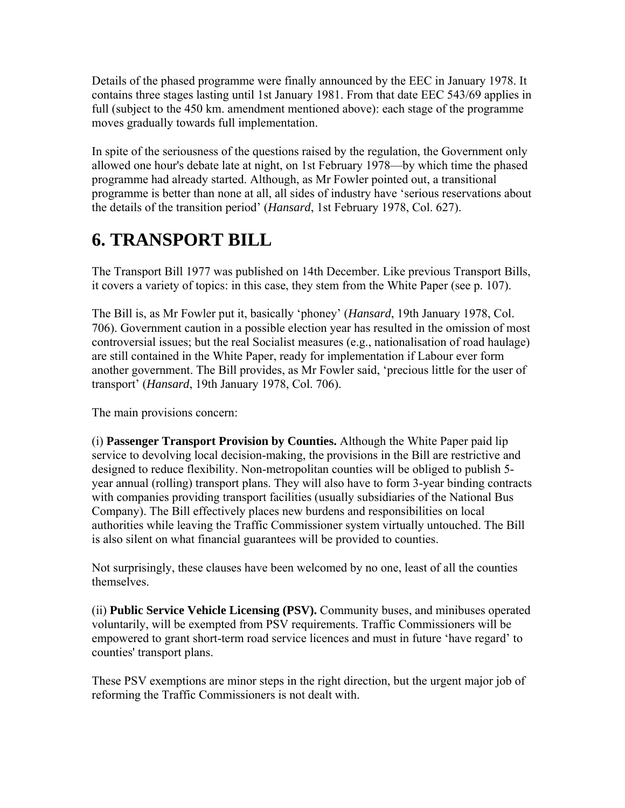Details of the phased programme were finally announced by the EEC in January 1978. It contains three stages lasting until 1st January 1981. From that date EEC 543/69 applies in full (subject to the 450 km. amendment mentioned above): each stage of the programme moves gradually towards full implementation.

In spite of the seriousness of the questions raised by the regulation, the Government only allowed one hour's debate late at night, on 1st February 1978—by which time the phased programme had already started. Although, as Mr Fowler pointed out, a transitional programme is better than none at all, all sides of industry have 'serious reservations about the details of the transition period' (*Hansard*, 1st February 1978, Col. 627).

#### **6. TRANSPORT BILL**

The Transport Bill 1977 was published on 14th December. Like previous Transport Bills, it covers a variety of topics: in this case, they stem from the White Paper (see p. 107).

The Bill is, as Mr Fowler put it, basically 'phoney' (*Hansard*, 19th January 1978, Col. 706). Government caution in a possible election year has resulted in the omission of most controversial issues; but the real Socialist measures (e.g., nationalisation of road haulage) are still contained in the White Paper, ready for implementation if Labour ever form another government. The Bill provides, as Mr Fowler said, 'precious little for the user of transport' (*Hansard*, 19th January 1978, Col. 706).

The main provisions concern:

(i) **Passenger Transport Provision by Counties.** Although the White Paper paid lip service to devolving local decision-making, the provisions in the Bill are restrictive and designed to reduce flexibility. Non-metropolitan counties will be obliged to publish 5 year annual (rolling) transport plans. They will also have to form 3-year binding contracts with companies providing transport facilities (usually subsidiaries of the National Bus Company). The Bill effectively places new burdens and responsibilities on local authorities while leaving the Traffic Commissioner system virtually untouched. The Bill is also silent on what financial guarantees will be provided to counties.

Not surprisingly, these clauses have been welcomed by no one, least of all the counties themselves.

(ii) **Public Service Vehicle Licensing (PSV).** Community buses, and minibuses operated voluntarily, will be exempted from PSV requirements. Traffic Commissioners will be empowered to grant short-term road service licences and must in future 'have regard' to counties' transport plans.

These PSV exemptions are minor steps in the right direction, but the urgent major job of reforming the Traffic Commissioners is not dealt with.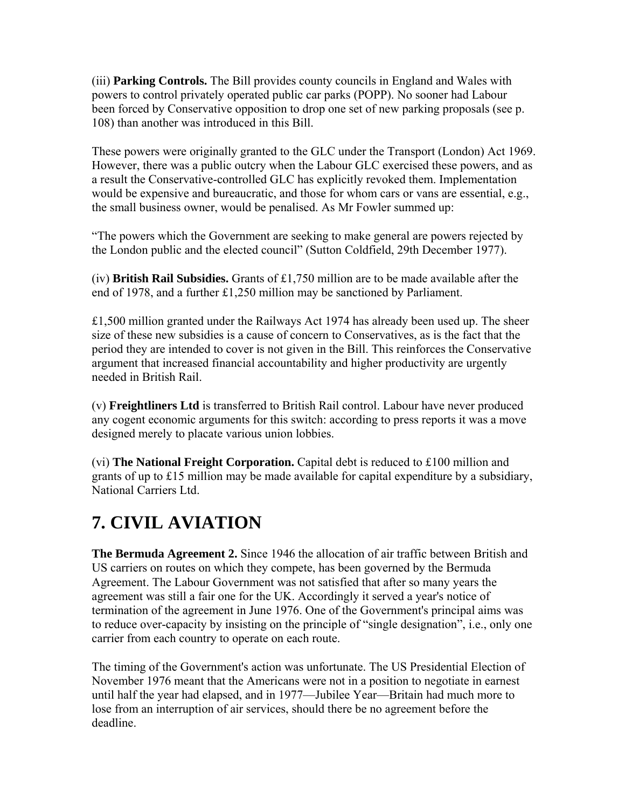(iii) **Parking Controls.** The Bill provides county councils in England and Wales with powers to control privately operated public car parks (POPP). No sooner had Labour been forced by Conservative opposition to drop one set of new parking proposals (see p. 108) than another was introduced in this Bill.

These powers were originally granted to the GLC under the Transport (London) Act 1969. However, there was a public outcry when the Labour GLC exercised these powers, and as a result the Conservative-controlled GLC has explicitly revoked them. Implementation would be expensive and bureaucratic, and those for whom cars or vans are essential, e.g., the small business owner, would be penalised. As Mr Fowler summed up:

"The powers which the Government are seeking to make general are powers rejected by the London public and the elected council" (Sutton Coldfield, 29th December 1977).

(iv) **British Rail Subsidies.** Grants of £1,750 million are to be made available after the end of 1978, and a further £1,250 million may be sanctioned by Parliament.

£1,500 million granted under the Railways Act 1974 has already been used up. The sheer size of these new subsidies is a cause of concern to Conservatives, as is the fact that the period they are intended to cover is not given in the Bill. This reinforces the Conservative argument that increased financial accountability and higher productivity are urgently needed in British Rail.

(v) **Freightliners Ltd** is transferred to British Rail control. Labour have never produced any cogent economic arguments for this switch: according to press reports it was a move designed merely to placate various union lobbies.

(vi) **The National Freight Corporation.** Capital debt is reduced to £100 million and grants of up to £15 million may be made available for capital expenditure by a subsidiary, National Carriers Ltd.

### **7. CIVIL AVIATION**

**The Bermuda Agreement 2.** Since 1946 the allocation of air traffic between British and US carriers on routes on which they compete, has been governed by the Bermuda Agreement. The Labour Government was not satisfied that after so many years the agreement was still a fair one for the UK. Accordingly it served a year's notice of termination of the agreement in June 1976. One of the Government's principal aims was to reduce over-capacity by insisting on the principle of "single designation", i.e., only one carrier from each country to operate on each route.

The timing of the Government's action was unfortunate. The US Presidential Election of November 1976 meant that the Americans were not in a position to negotiate in earnest until half the year had elapsed, and in 1977—Jubilee Year—Britain had much more to lose from an interruption of air services, should there be no agreement before the deadline.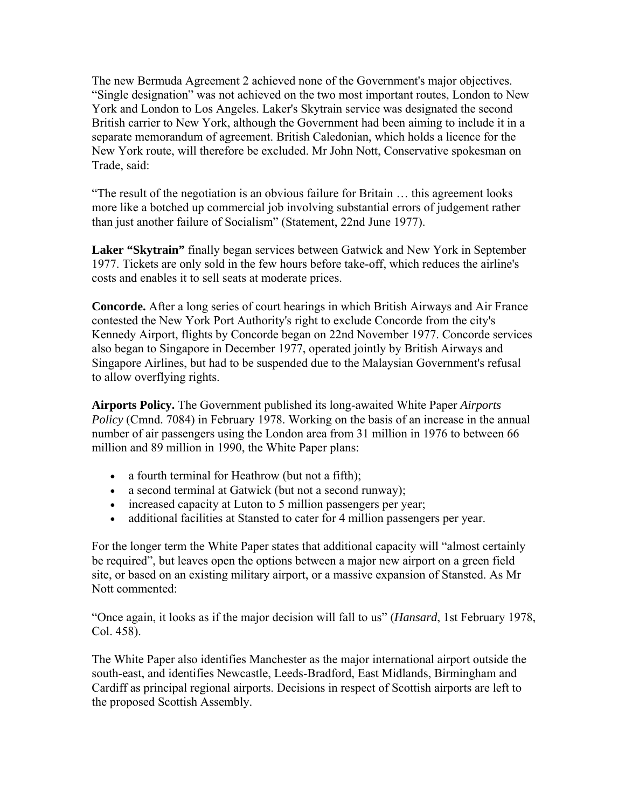The new Bermuda Agreement 2 achieved none of the Government's major objectives. "Single designation" was not achieved on the two most important routes, London to New York and London to Los Angeles. Laker's Skytrain service was designated the second British carrier to New York, although the Government had been aiming to include it in a separate memorandum of agreement. British Caledonian, which holds a licence for the New York route, will therefore be excluded. Mr John Nott, Conservative spokesman on Trade, said:

"The result of the negotiation is an obvious failure for Britain … this agreement looks more like a botched up commercial job involving substantial errors of judgement rather than just another failure of Socialism" (Statement, 22nd June 1977).

**Laker "Skytrain"** finally began services between Gatwick and New York in September 1977. Tickets are only sold in the few hours before take-off, which reduces the airline's costs and enables it to sell seats at moderate prices.

**Concorde.** After a long series of court hearings in which British Airways and Air France contested the New York Port Authority's right to exclude Concorde from the city's Kennedy Airport, flights by Concorde began on 22nd November 1977. Concorde services also began to Singapore in December 1977, operated jointly by British Airways and Singapore Airlines, but had to be suspended due to the Malaysian Government's refusal to allow overflying rights.

**Airports Policy.** The Government published its long-awaited White Paper *Airports Policy* (Cmnd. 7084) in February 1978. Working on the basis of an increase in the annual number of air passengers using the London area from 31 million in 1976 to between 66 million and 89 million in 1990, the White Paper plans:

- a fourth terminal for Heathrow (but not a fifth);
- a second terminal at Gatwick (but not a second runway);
- increased capacity at Luton to 5 million passengers per year;
- additional facilities at Stansted to cater for 4 million passengers per year.

For the longer term the White Paper states that additional capacity will "almost certainly be required", but leaves open the options between a major new airport on a green field site, or based on an existing military airport, or a massive expansion of Stansted. As Mr Nott commented:

"Once again, it looks as if the major decision will fall to us" (*Hansard*, 1st February 1978, Col. 458).

The White Paper also identifies Manchester as the major international airport outside the south-east, and identifies Newcastle, Leeds-Bradford, East Midlands, Birmingham and Cardiff as principal regional airports. Decisions in respect of Scottish airports are left to the proposed Scottish Assembly.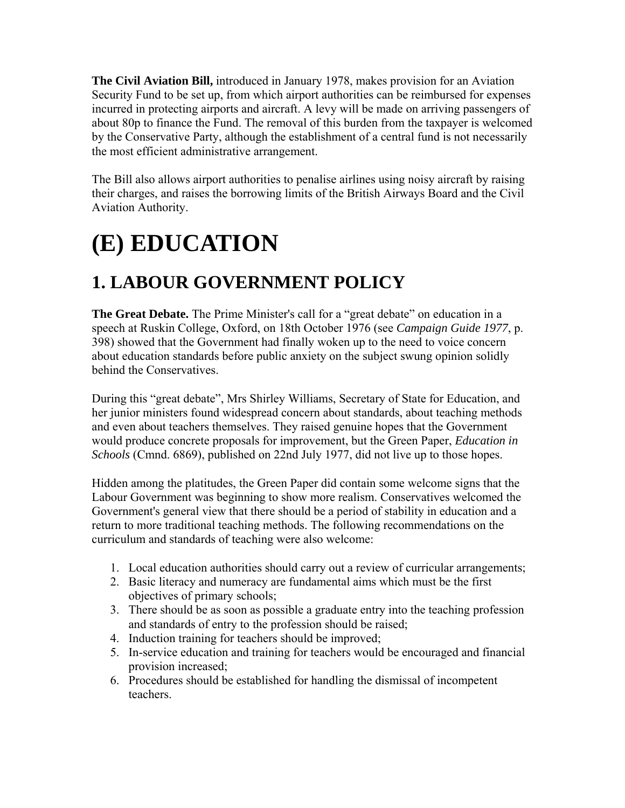**The Civil Aviation Bill,** introduced in January 1978, makes provision for an Aviation Security Fund to be set up, from which airport authorities can be reimbursed for expenses incurred in protecting airports and aircraft. A levy will be made on arriving passengers of about 80p to finance the Fund. The removal of this burden from the taxpayer is welcomed by the Conservative Party, although the establishment of a central fund is not necessarily the most efficient administrative arrangement.

The Bill also allows airport authorities to penalise airlines using noisy aircraft by raising their charges, and raises the borrowing limits of the British Airways Board and the Civil Aviation Authority.

# **(E) EDUCATION**

### **1. LABOUR GOVERNMENT POLICY**

**The Great Debate.** The Prime Minister's call for a "great debate" on education in a speech at Ruskin College, Oxford, on 18th October 1976 (see *Campaign Guide 1977*, p. 398) showed that the Government had finally woken up to the need to voice concern about education standards before public anxiety on the subject swung opinion solidly behind the Conservatives.

During this "great debate", Mrs Shirley Williams, Secretary of State for Education, and her junior ministers found widespread concern about standards, about teaching methods and even about teachers themselves. They raised genuine hopes that the Government would produce concrete proposals for improvement, but the Green Paper, *Education in Schools* (Cmnd. 6869), published on 22nd July 1977, did not live up to those hopes.

Hidden among the platitudes, the Green Paper did contain some welcome signs that the Labour Government was beginning to show more realism. Conservatives welcomed the Government's general view that there should be a period of stability in education and a return to more traditional teaching methods. The following recommendations on the curriculum and standards of teaching were also welcome:

- 1. Local education authorities should carry out a review of curricular arrangements;
- 2. Basic literacy and numeracy are fundamental aims which must be the first objectives of primary schools;
- 3. There should be as soon as possible a graduate entry into the teaching profession and standards of entry to the profession should be raised;
- 4. Induction training for teachers should be improved;
- 5. In-service education and training for teachers would be encouraged and financial provision increased;
- 6. Procedures should be established for handling the dismissal of incompetent teachers.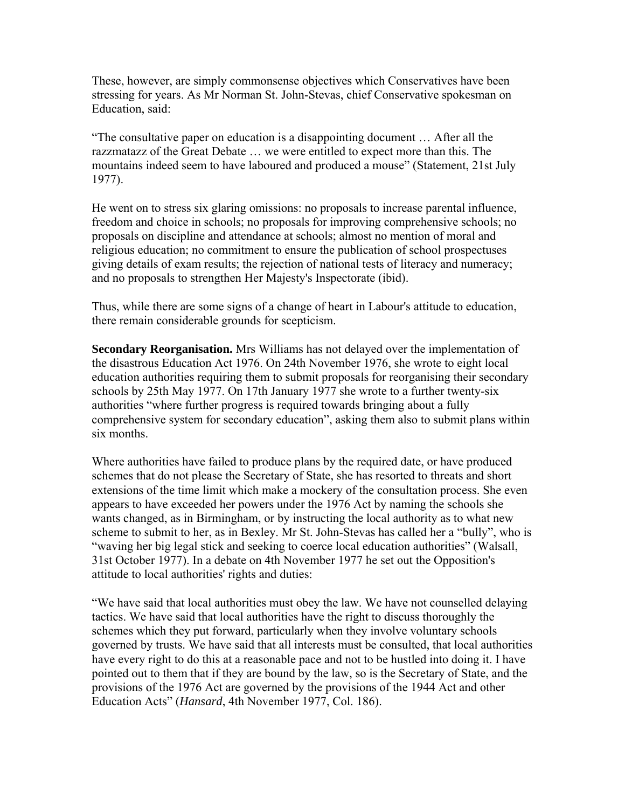These, however, are simply commonsense objectives which Conservatives have been stressing for years. As Mr Norman St. John-Stevas, chief Conservative spokesman on Education, said:

"The consultative paper on education is a disappointing document … After all the razzmatazz of the Great Debate … we were entitled to expect more than this. The mountains indeed seem to have laboured and produced a mouse" (Statement, 21st July 1977).

He went on to stress six glaring omissions: no proposals to increase parental influence, freedom and choice in schools; no proposals for improving comprehensive schools; no proposals on discipline and attendance at schools; almost no mention of moral and religious education; no commitment to ensure the publication of school prospectuses giving details of exam results; the rejection of national tests of literacy and numeracy; and no proposals to strengthen Her Majesty's Inspectorate (ibid).

Thus, while there are some signs of a change of heart in Labour's attitude to education, there remain considerable grounds for scepticism.

**Secondary Reorganisation.** Mrs Williams has not delayed over the implementation of the disastrous Education Act 1976. On 24th November 1976, she wrote to eight local education authorities requiring them to submit proposals for reorganising their secondary schools by 25th May 1977. On 17th January 1977 she wrote to a further twenty-six authorities "where further progress is required towards bringing about a fully comprehensive system for secondary education", asking them also to submit plans within six months.

Where authorities have failed to produce plans by the required date, or have produced schemes that do not please the Secretary of State, she has resorted to threats and short extensions of the time limit which make a mockery of the consultation process. She even appears to have exceeded her powers under the 1976 Act by naming the schools she wants changed, as in Birmingham, or by instructing the local authority as to what new scheme to submit to her, as in Bexley. Mr St. John-Stevas has called her a "bully", who is "waving her big legal stick and seeking to coerce local education authorities" (Walsall, 31st October 1977). In a debate on 4th November 1977 he set out the Opposition's attitude to local authorities' rights and duties:

"We have said that local authorities must obey the law. We have not counselled delaying tactics. We have said that local authorities have the right to discuss thoroughly the schemes which they put forward, particularly when they involve voluntary schools governed by trusts. We have said that all interests must be consulted, that local authorities have every right to do this at a reasonable pace and not to be hustled into doing it. I have pointed out to them that if they are bound by the law, so is the Secretary of State, and the provisions of the 1976 Act are governed by the provisions of the 1944 Act and other Education Acts" (*Hansard*, 4th November 1977, Col. 186).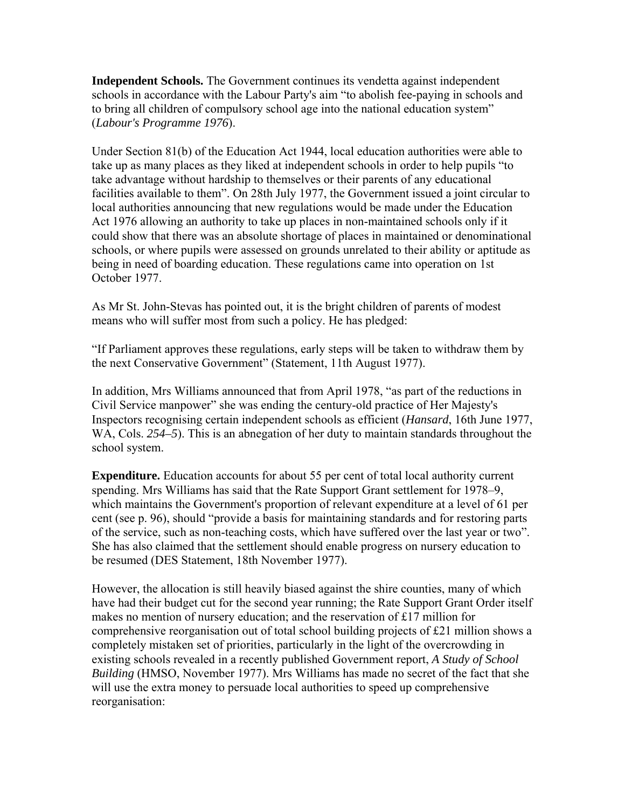**Independent Schools.** The Government continues its vendetta against independent schools in accordance with the Labour Party's aim "to abolish fee-paying in schools and to bring all children of compulsory school age into the national education system" (*Labour's Programme 1976*).

Under Section 81(b) of the Education Act 1944, local education authorities were able to take up as many places as they liked at independent schools in order to help pupils "to take advantage without hardship to themselves or their parents of any educational facilities available to them". On 28th July 1977, the Government issued a joint circular to local authorities announcing that new regulations would be made under the Education Act 1976 allowing an authority to take up places in non-maintained schools only if it could show that there was an absolute shortage of places in maintained or denominational schools, or where pupils were assessed on grounds unrelated to their ability or aptitude as being in need of boarding education. These regulations came into operation on 1st October 1977.

As Mr St. John-Stevas has pointed out, it is the bright children of parents of modest means who will suffer most from such a policy. He has pledged:

"If Parliament approves these regulations, early steps will be taken to withdraw them by the next Conservative Government" (Statement, 11th August 1977).

In addition, Mrs Williams announced that from April 1978, "as part of the reductions in Civil Service manpower" she was ending the century-old practice of Her Majesty's Inspectors recognising certain independent schools as efficient (*Hansard*, 16th June 1977, WA, Cols. 254–5). This is an abnegation of her duty to maintain standards throughout the school system.

**Expenditure.** Education accounts for about 55 per cent of total local authority current spending. Mrs Williams has said that the Rate Support Grant settlement for 1978–9, which maintains the Government's proportion of relevant expenditure at a level of 61 per cent (see p. 96), should "provide a basis for maintaining standards and for restoring parts of the service, such as non-teaching costs, which have suffered over the last year or two". She has also claimed that the settlement should enable progress on nursery education to be resumed (DES Statement, 18th November 1977).

However, the allocation is still heavily biased against the shire counties, many of which have had their budget cut for the second year running; the Rate Support Grant Order itself makes no mention of nursery education; and the reservation of £17 million for comprehensive reorganisation out of total school building projects of  $\pounds 21$  million shows a completely mistaken set of priorities, particularly in the light of the overcrowding in existing schools revealed in a recently published Government report, *A Study of School Building* (HMSO, November 1977). Mrs Williams has made no secret of the fact that she will use the extra money to persuade local authorities to speed up comprehensive reorganisation: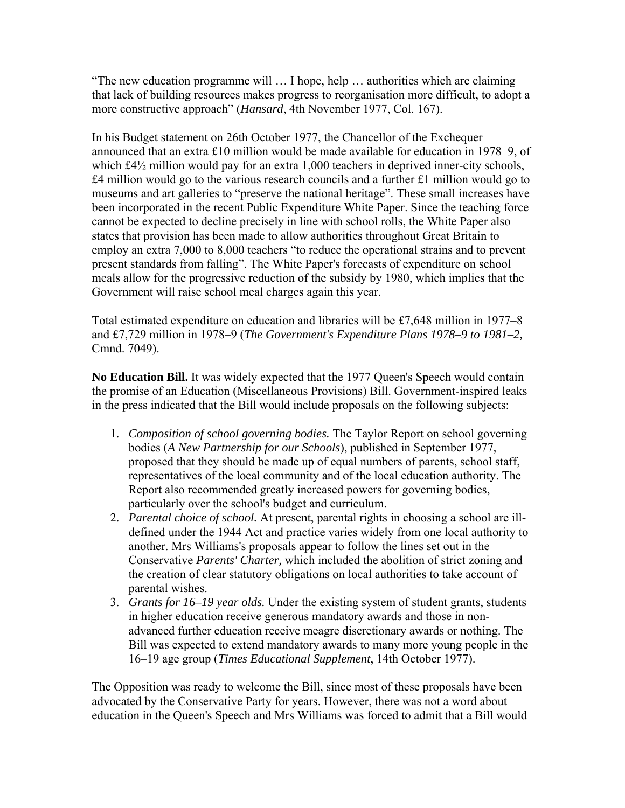"The new education programme will … I hope, help … authorities which are claiming that lack of building resources makes progress to reorganisation more difficult, to adopt a more constructive approach" (*Hansard*, 4th November 1977, Col. 167).

In his Budget statement on 26th October 1977, the Chancellor of the Exchequer announced that an extra £10 million would be made available for education in 1978–9, of which £4½ million would pay for an extra 1,000 teachers in deprived inner-city schools,  $£4$  million would go to the various research councils and a further  $£1$  million would go to museums and art galleries to "preserve the national heritage". These small increases have been incorporated in the recent Public Expenditure White Paper. Since the teaching force cannot be expected to decline precisely in line with school rolls, the White Paper also states that provision has been made to allow authorities throughout Great Britain to employ an extra 7,000 to 8,000 teachers "to reduce the operational strains and to prevent present standards from falling". The White Paper's forecasts of expenditure on school meals allow for the progressive reduction of the subsidy by 1980, which implies that the Government will raise school meal charges again this year.

Total estimated expenditure on education and libraries will be £7,648 million in 1977–8 and £7,729 million in 1978–9 (*The Government's Expenditure Plans 1978–9 to 1981–2,* Cmnd. 7049).

No Education Bill. It was widely expected that the 1977 Queen's Speech would contain the promise of an Education (Miscellaneous Provisions) Bill. Government-inspired leaks in the press indicated that the Bill would include proposals on the following subjects:

- 1. *Composition of school governing bodies.* The Taylor Report on school governing bodies (*A New Partnership for our Schools*), published in September 1977, proposed that they should be made up of equal numbers of parents, school staff, representatives of the local community and of the local education authority. The Report also recommended greatly increased powers for governing bodies, particularly over the school's budget and curriculum.
- 2. *Parental choice of school.* At present, parental rights in choosing a school are illdefined under the 1944 Act and practice varies widely from one local authority to another. Mrs Williams's proposals appear to follow the lines set out in the Conservative *Parents' Charter,* which included the abolition of strict zoning and the creation of clear statutory obligations on local authorities to take account of parental wishes.
- 3. *Grants for 16–19 year olds.* Under the existing system of student grants, students in higher education receive generous mandatory awards and those in nonadvanced further education receive meagre discretionary awards or nothing. The Bill was expected to extend mandatory awards to many more young people in the 16–19 age group (*Times Educational Supplement*, 14th October 1977).

The Opposition was ready to welcome the Bill, since most of these proposals have been advocated by the Conservative Party for years. However, there was not a word about education in the Queen's Speech and Mrs Williams was forced to admit that a Bill would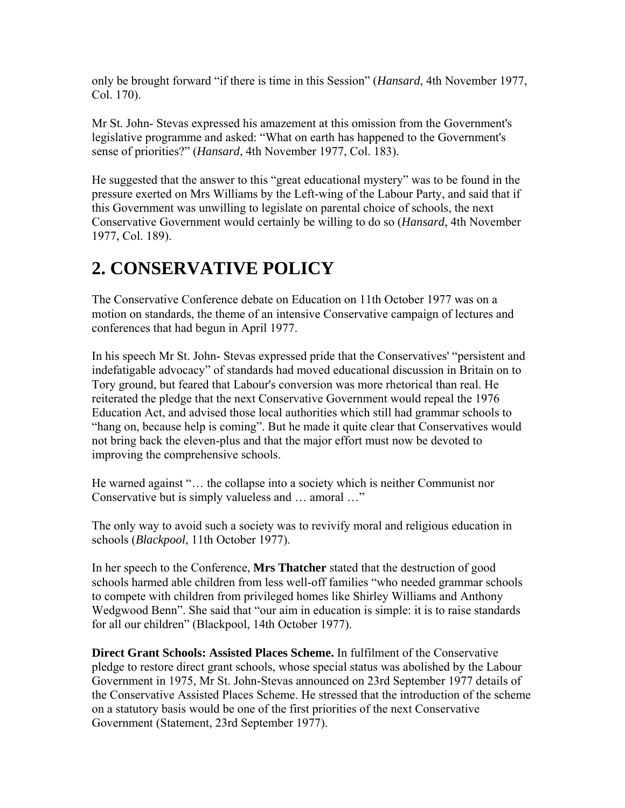only be brought forward "if there is time in this Session" (*Hansard*, 4th November 1977, Col. 170).

Mr St. John- Stevas expressed his amazement at this omission from the Government's legislative programme and asked: "What on earth has happened to the Government's sense of priorities?" (*Hansard*, 4th November 1977, Col. 183).

He suggested that the answer to this "great educational mystery" was to be found in the pressure exerted on Mrs Williams by the Left-wing of the Labour Party, and said that if this Government was unwilling to legislate on parental choice of schools, the next Conservative Government would certainly be willing to do so (*Hansard*, 4th November 1977, Col. 189).

#### **2. CONSERVATIVE POLICY**

The Conservative Conference debate on Education on 11th October 1977 was on a motion on standards, the theme of an intensive Conservative campaign of lectures and conferences that had begun in April 1977.

In his speech Mr St. John- Stevas expressed pride that the Conservatives' "persistent and indefatigable advocacy" of standards had moved educational discussion in Britain on to Tory ground, but feared that Labour's conversion was more rhetorical than real. He reiterated the pledge that the next Conservative Government would repeal the 1976 Education Act, and advised those local authorities which still had grammar schools to "hang on, because help is coming". But he made it quite clear that Conservatives would not bring back the eleven-plus and that the major effort must now be devoted to improving the comprehensive schools.

He warned against "… the collapse into a society which is neither Communist nor Conservative but is simply valueless and … amoral …"

The only way to avoid such a society was to revivify moral and religious education in schools (*Blackpool*, 11th October 1977).

In her speech to the Conference, **Mrs Thatcher** stated that the destruction of good schools harmed able children from less well-off families "who needed grammar schools to compete with children from privileged homes like Shirley Williams and Anthony Wedgwood Benn". She said that "our aim in education is simple: it is to raise standards for all our children" (Blackpool, 14th October 1977).

**Direct Grant Schools: Assisted Places Scheme.** In fulfilment of the Conservative pledge to restore direct grant schools, whose special status was abolished by the Labour Government in 1975, Mr St. John-Stevas announced on 23rd September 1977 details of the Conservative Assisted Places Scheme. He stressed that the introduction of the scheme on a statutory basis would be one of the first priorities of the next Conservative Government (Statement, 23rd September 1977).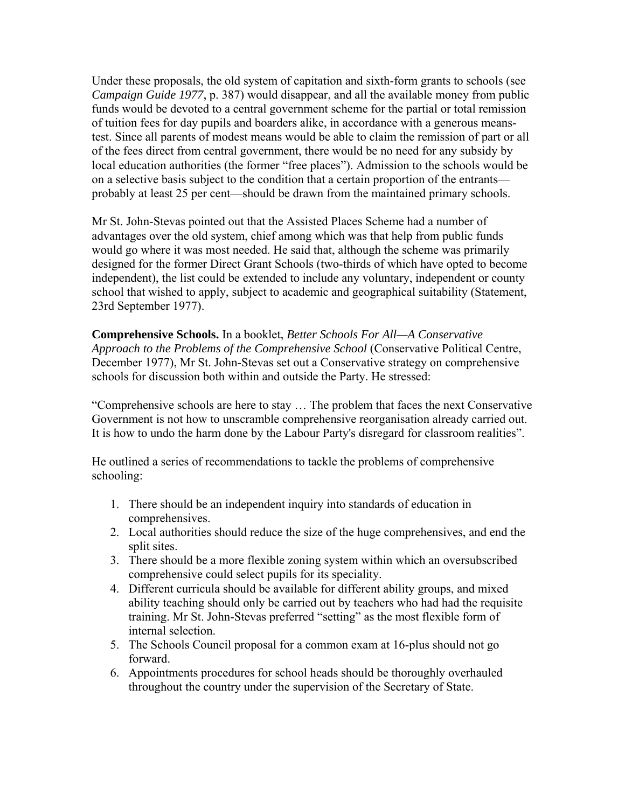Under these proposals, the old system of capitation and sixth-form grants to schools (see *Campaign Guide 1977*, p. 387) would disappear, and all the available money from public funds would be devoted to a central government scheme for the partial or total remission of tuition fees for day pupils and boarders alike, in accordance with a generous meanstest. Since all parents of modest means would be able to claim the remission of part or all of the fees direct from central government, there would be no need for any subsidy by local education authorities (the former "free places"). Admission to the schools would be on a selective basis subject to the condition that a certain proportion of the entrants probably at least 25 per cent—should be drawn from the maintained primary schools.

Mr St. John-Stevas pointed out that the Assisted Places Scheme had a number of advantages over the old system, chief among which was that help from public funds would go where it was most needed. He said that, although the scheme was primarily designed for the former Direct Grant Schools (two-thirds of which have opted to become independent), the list could be extended to include any voluntary, independent or county school that wished to apply, subject to academic and geographical suitability (Statement, 23rd September 1977).

**Comprehensive Schools.** In a booklet, *Better Schools For All—A Conservative Approach to the Problems of the Comprehensive School* (Conservative Political Centre, December 1977), Mr St. John-Stevas set out a Conservative strategy on comprehensive schools for discussion both within and outside the Party. He stressed:

"Comprehensive schools are here to stay … The problem that faces the next Conservative Government is not how to unscramble comprehensive reorganisation already carried out. It is how to undo the harm done by the Labour Party's disregard for classroom realities".

He outlined a series of recommendations to tackle the problems of comprehensive schooling:

- 1. There should be an independent inquiry into standards of education in comprehensives.
- 2. Local authorities should reduce the size of the huge comprehensives, and end the split sites.
- 3. There should be a more flexible zoning system within which an oversubscribed comprehensive could select pupils for its speciality.
- 4. Different curricula should be available for different ability groups, and mixed ability teaching should only be carried out by teachers who had had the requisite training. Mr St. John-Stevas preferred "setting" as the most flexible form of internal selection.
- 5. The Schools Council proposal for a common exam at 16-plus should not go forward.
- 6. Appointments procedures for school heads should be thoroughly overhauled throughout the country under the supervision of the Secretary of State.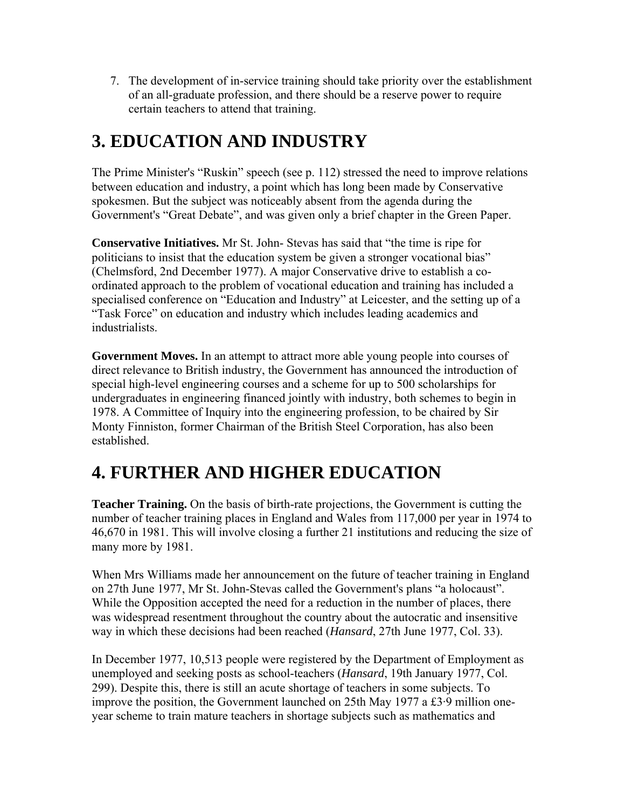7. The development of in-service training should take priority over the establishment of an all-graduate profession, and there should be a reserve power to require certain teachers to attend that training.

#### **3. EDUCATION AND INDUSTRY**

The Prime Minister's "Ruskin" speech (see p. 112) stressed the need to improve relations between education and industry, a point which has long been made by Conservative spokesmen. But the subject was noticeably absent from the agenda during the Government's "Great Debate", and was given only a brief chapter in the Green Paper.

**Conservative Initiatives.** Mr St. John- Stevas has said that "the time is ripe for politicians to insist that the education system be given a stronger vocational bias" (Chelmsford, 2nd December 1977). A major Conservative drive to establish a coordinated approach to the problem of vocational education and training has included a specialised conference on "Education and Industry" at Leicester, and the setting up of a "Task Force" on education and industry which includes leading academics and industrialists.

**Government Moves.** In an attempt to attract more able young people into courses of direct relevance to British industry, the Government has announced the introduction of special high-level engineering courses and a scheme for up to 500 scholarships for undergraduates in engineering financed jointly with industry, both schemes to begin in 1978. A Committee of Inquiry into the engineering profession, to be chaired by Sir Monty Finniston, former Chairman of the British Steel Corporation, has also been established.

### **4. FURTHER AND HIGHER EDUCATION**

**Teacher Training.** On the basis of birth-rate projections, the Government is cutting the number of teacher training places in England and Wales from 117,000 per year in 1974 to 46,670 in 1981. This will involve closing a further 21 institutions and reducing the size of many more by 1981.

When Mrs Williams made her announcement on the future of teacher training in England on 27th June 1977, Mr St. John-Stevas called the Government's plans "a holocaust". While the Opposition accepted the need for a reduction in the number of places, there was widespread resentment throughout the country about the autocratic and insensitive way in which these decisions had been reached (*Hansard*, 27th June 1977, Col. 33).

In December 1977, 10,513 people were registered by the Department of Employment as unemployed and seeking posts as school-teachers (*Hansard*, 19th January 1977, Col. 299). Despite this, there is still an acute shortage of teachers in some subjects. To improve the position, the Government launched on 25th May 1977 a £3·9 million oneyear scheme to train mature teachers in shortage subjects such as mathematics and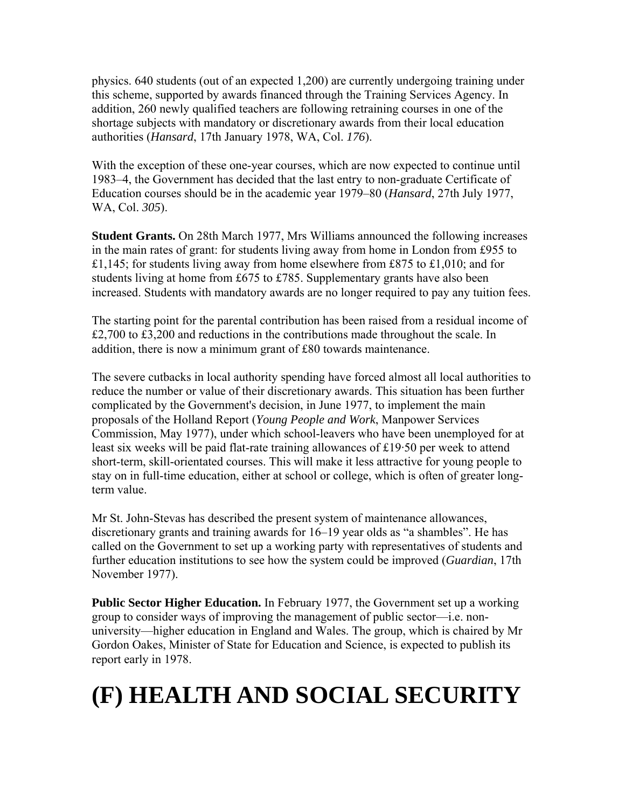physics. 640 students (out of an expected 1,200) are currently undergoing training under this scheme, supported by awards financed through the Training Services Agency. In addition, 260 newly qualified teachers are following retraining courses in one of the shortage subjects with mandatory or discretionary awards from their local education authorities (*Hansard*, 17th January 1978, WA, Col. *176*).

With the exception of these one-year courses, which are now expected to continue until 1983–4, the Government has decided that the last entry to non-graduate Certificate of Education courses should be in the academic year 1979–80 (*Hansard*, 27th July 1977, WA, Col. *305*).

**Student Grants.** On 28th March 1977, Mrs Williams announced the following increases in the main rates of grant: for students living away from home in London from £955 to £1,145; for students living away from home elsewhere from £875 to £1,010; and for students living at home from £675 to £785. Supplementary grants have also been increased. Students with mandatory awards are no longer required to pay any tuition fees.

The starting point for the parental contribution has been raised from a residual income of  $\text{\pounds}2,700$  to  $\text{\pounds}3,200$  and reductions in the contributions made throughout the scale. In addition, there is now a minimum grant of £80 towards maintenance.

The severe cutbacks in local authority spending have forced almost all local authorities to reduce the number or value of their discretionary awards. This situation has been further complicated by the Government's decision, in June 1977, to implement the main proposals of the Holland Report (*Young People and Work*, Manpower Services Commission, May 1977), under which school-leavers who have been unemployed for at least six weeks will be paid flat-rate training allowances of £19·50 per week to attend short-term, skill-orientated courses. This will make it less attractive for young people to stay on in full-time education, either at school or college, which is often of greater longterm value.

Mr St. John-Stevas has described the present system of maintenance allowances, discretionary grants and training awards for 16–19 year olds as "a shambles". He has called on the Government to set up a working party with representatives of students and further education institutions to see how the system could be improved (*Guardian*, 17th November 1977).

**Public Sector Higher Education.** In February 1977, the Government set up a working group to consider ways of improving the management of public sector—i.e. nonuniversity—higher education in England and Wales. The group, which is chaired by Mr Gordon Oakes, Minister of State for Education and Science, is expected to publish its report early in 1978.

### **(F) HEALTH AND SOCIAL SECURITY**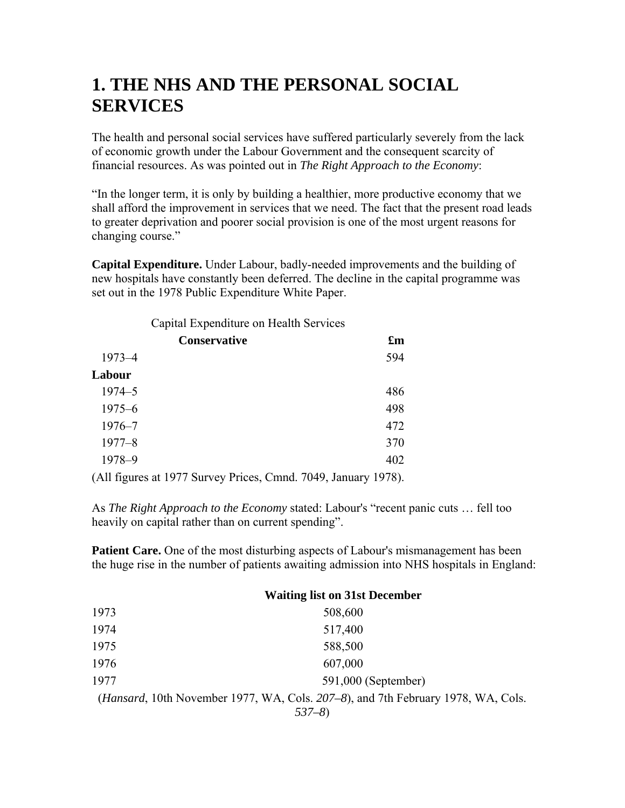#### **1. THE NHS AND THE PERSONAL SOCIAL SERVICES**

The health and personal social services have suffered particularly severely from the lack of economic growth under the Labour Government and the consequent scarcity of financial resources. As was pointed out in *The Right Approach to the Economy*:

"In the longer term, it is only by building a healthier, more productive economy that we shall afford the improvement in services that we need. The fact that the present road leads to greater deprivation and poorer social provision is one of the most urgent reasons for changing course."

**Capital Expenditure.** Under Labour, badly-needed improvements and the building of new hospitals have constantly been deferred. The decline in the capital programme was set out in the 1978 Public Expenditure White Paper.

|                  | Capital Expenditure on Health Services |                |               |         |                           |
|------------------|----------------------------------------|----------------|---------------|---------|---------------------------|
|                  | <b>Conservative</b>                    |                |               |         | $\mathbf{f}_{\mathbf{m}}$ |
| $1973 - 4$       |                                        |                |               |         | 594                       |
| Labour           |                                        |                |               |         |                           |
| $1974 - 5$       |                                        |                |               |         | 486                       |
| $1975 - 6$       |                                        |                |               |         | 498                       |
| $1976 - 7$       |                                        |                |               |         | 472                       |
| $1977 - 8$       |                                        |                |               |         | 370                       |
| 1978-9           |                                        |                |               |         | 402                       |
| $\sim$ 11 $\sim$ | $\cdot$ 10 $\sigma$ $\sigma$           | $\mathbf{r}$ . | $\sim$ $\sim$ | 1.7010T | 10.70                     |

(All figures at 1977 Survey Prices, Cmnd. 7049, January 1978).

As *The Right Approach to the Economy* stated: Labour's "recent panic cuts … fell too heavily on capital rather than on current spending".

**Patient Care.** One of the most disturbing aspects of Labour's mismanagement has been the huge rise in the number of patients awaiting admission into NHS hospitals in England:

|      | <b>Waiting list on 31st December</b>                                                      |
|------|-------------------------------------------------------------------------------------------|
| 1973 | 508,600                                                                                   |
| 1974 | 517,400                                                                                   |
| 1975 | 588,500                                                                                   |
| 1976 | 607,000                                                                                   |
| 1977 | 591,000 (September)                                                                       |
|      | ( <i>Hansard</i> , 10th November 1977, WA, Cols. 207–8), and 7th February 1978, WA, Cols. |
|      | $537 - 8$                                                                                 |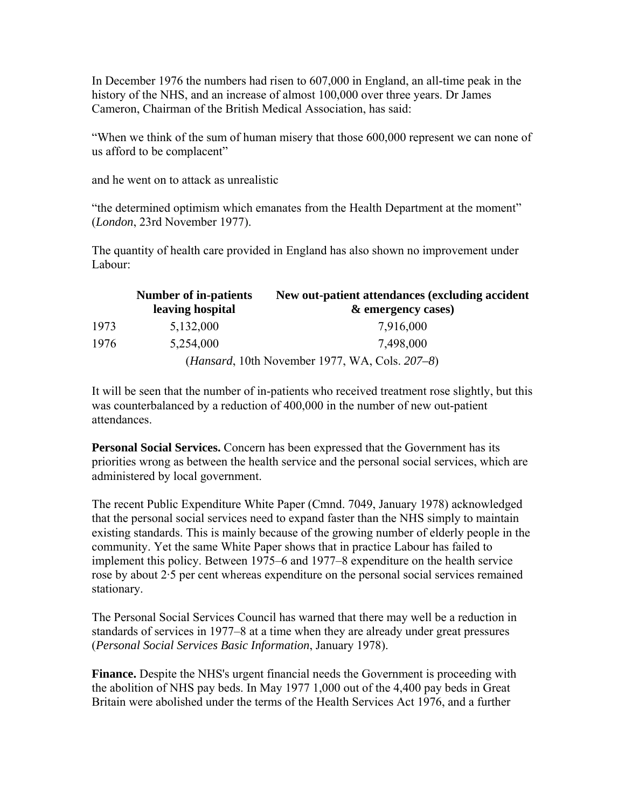In December 1976 the numbers had risen to 607,000 in England, an all-time peak in the history of the NHS, and an increase of almost 100,000 over three years. Dr James Cameron, Chairman of the British Medical Association, has said:

"When we think of the sum of human misery that those 600,000 represent we can none of us afford to be complacent"

and he went on to attack as unrealistic

"the determined optimism which emanates from the Health Department at the moment" (*London*, 23rd November 1977).

The quantity of health care provided in England has also shown no improvement under Labour:

|      | <b>Number of in-patients</b><br>leaving hospital | New out-patient attendances (excluding accident<br>& emergency cases) |
|------|--------------------------------------------------|-----------------------------------------------------------------------|
| 1973 | 5,132,000                                        | 7,916,000                                                             |
| 1976 | 5,254,000                                        | 7,498,000                                                             |
|      |                                                  | <i>(Hansard, 10th November 1977, WA, Cols. 207–8)</i>                 |

It will be seen that the number of in-patients who received treatment rose slightly, but this was counterbalanced by a reduction of 400,000 in the number of new out-patient attendances.

**Personal Social Services.** Concern has been expressed that the Government has its priorities wrong as between the health service and the personal social services, which are administered by local government.

The recent Public Expenditure White Paper (Cmnd. 7049, January 1978) acknowledged that the personal social services need to expand faster than the NHS simply to maintain existing standards. This is mainly because of the growing number of elderly people in the community. Yet the same White Paper shows that in practice Labour has failed to implement this policy. Between 1975–6 and 1977–8 expenditure on the health service rose by about 2·5 per cent whereas expenditure on the personal social services remained stationary.

The Personal Social Services Council has warned that there may well be a reduction in standards of services in 1977–8 at a time when they are already under great pressures (*Personal Social Services Basic Information*, January 1978).

**Finance.** Despite the NHS's urgent financial needs the Government is proceeding with the abolition of NHS pay beds. In May 1977 1,000 out of the 4,400 pay beds in Great Britain were abolished under the terms of the Health Services Act 1976, and a further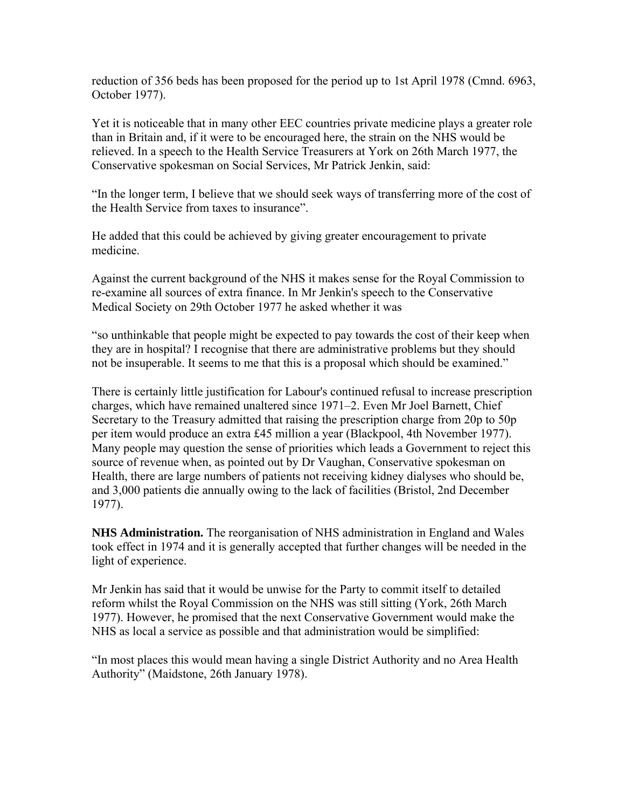reduction of 356 beds has been proposed for the period up to 1st April 1978 (Cmnd. 6963, October 1977).

Yet it is noticeable that in many other EEC countries private medicine plays a greater role than in Britain and, if it were to be encouraged here, the strain on the NHS would be relieved. In a speech to the Health Service Treasurers at York on 26th March 1977, the Conservative spokesman on Social Services, Mr Patrick Jenkin, said:

"In the longer term, I believe that we should seek ways of transferring more of the cost of the Health Service from taxes to insurance".

He added that this could be achieved by giving greater encouragement to private medicine.

Against the current background of the NHS it makes sense for the Royal Commission to re-examine all sources of extra finance. In Mr Jenkin's speech to the Conservative Medical Society on 29th October 1977 he asked whether it was

"so unthinkable that people might be expected to pay towards the cost of their keep when they are in hospital? I recognise that there are administrative problems but they should not be insuperable. It seems to me that this is a proposal which should be examined."

There is certainly little justification for Labour's continued refusal to increase prescription charges, which have remained unaltered since 1971–2. Even Mr Joel Barnett, Chief Secretary to the Treasury admitted that raising the prescription charge from 20p to 50p per item would produce an extra £45 million a year (Blackpool, 4th November 1977). Many people may question the sense of priorities which leads a Government to reject this source of revenue when, as pointed out by Dr Vaughan, Conservative spokesman on Health, there are large numbers of patients not receiving kidney dialyses who should be, and 3,000 patients die annually owing to the lack of facilities (Bristol, 2nd December 1977).

**NHS Administration.** The reorganisation of NHS administration in England and Wales took effect in 1974 and it is generally accepted that further changes will be needed in the light of experience.

Mr Jenkin has said that it would be unwise for the Party to commit itself to detailed reform whilst the Royal Commission on the NHS was still sitting (York, 26th March 1977). However, he promised that the next Conservative Government would make the NHS as local a service as possible and that administration would be simplified:

"In most places this would mean having a single District Authority and no Area Health Authority" (Maidstone, 26th January 1978).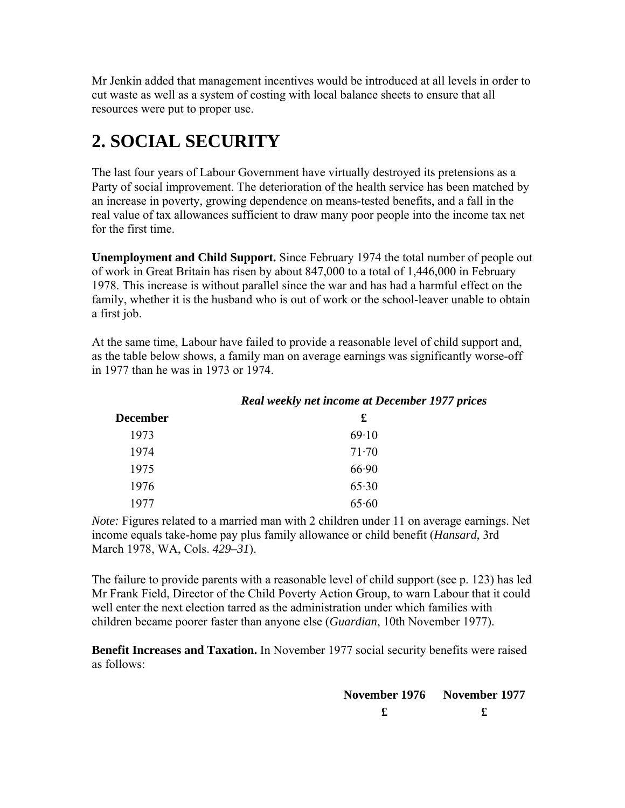Mr Jenkin added that management incentives would be introduced at all levels in order to cut waste as well as a system of costing with local balance sheets to ensure that all resources were put to proper use.

### **2. SOCIAL SECURITY**

The last four years of Labour Government have virtually destroyed its pretensions as a Party of social improvement. The deterioration of the health service has been matched by an increase in poverty, growing dependence on means-tested benefits, and a fall in the real value of tax allowances sufficient to draw many poor people into the income tax net for the first time.

**Unemployment and Child Support.** Since February 1974 the total number of people out of work in Great Britain has risen by about 847,000 to a total of 1,446,000 in February 1978. This increase is without parallel since the war and has had a harmful effect on the family, whether it is the husband who is out of work or the school-leaver unable to obtain a first job.

At the same time, Labour have failed to provide a reasonable level of child support and, as the table below shows, a family man on average earnings was significantly worse-off in 1977 than he was in 1973 or 1974.

*Real weekly net income at December 1977 prices*

| <b>December</b> | £     |
|-----------------|-------|
| 1973            | 69.10 |
| 1974            | 71.70 |
| 1975            | 66.90 |
| 1976            | 65.30 |
| 1977            | 65.60 |

*Note:* Figures related to a married man with 2 children under 11 on average earnings. Net income equals take-home pay plus family allowance or child benefit (*Hansard*, 3rd March 1978, WA, Cols. *429–31*).

The failure to provide parents with a reasonable level of child support (see p. 123) has led Mr Frank Field, Director of the Child Poverty Action Group, to warn Labour that it could well enter the next election tarred as the administration under which families with children became poorer faster than anyone else (*Guardian*, 10th November 1977).

**Benefit Increases and Taxation.** In November 1977 social security benefits were raised as follows:

| November 1976 November 1977 |  |  |
|-----------------------------|--|--|
|                             |  |  |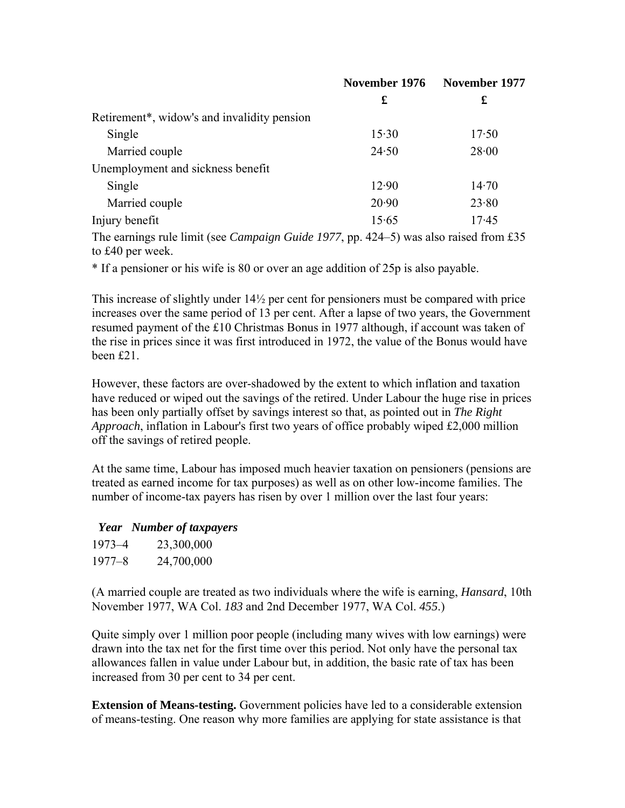|                                                          | November 1976 | November 1977 |  |
|----------------------------------------------------------|---------------|---------------|--|
|                                                          | £             | £             |  |
| Retirement <sup>*</sup> , widow's and invalidity pension |               |               |  |
| Single                                                   | 15.30         | 17.50         |  |
| Married couple                                           | 24.50         | 28.00         |  |
| Unemployment and sickness benefit                        |               |               |  |
| Single                                                   | 12.90         | 14.70         |  |
| Married couple                                           | 20.90         | 23.80         |  |
| Injury benefit                                           | 15.65         | 17.45         |  |
|                                                          |               |               |  |

The earnings rule limit (see *Campaign Guide 1977*, pp. 424–5) was also raised from £35 to £40 per week.

\* If a pensioner or his wife is 80 or over an age addition of 25p is also payable.

This increase of slightly under 14½ per cent for pensioners must be compared with price increases over the same period of 13 per cent. After a lapse of two years, the Government resumed payment of the £10 Christmas Bonus in 1977 although, if account was taken of the rise in prices since it was first introduced in 1972, the value of the Bonus would have been £21.

However, these factors are over-shadowed by the extent to which inflation and taxation have reduced or wiped out the savings of the retired. Under Labour the huge rise in prices has been only partially offset by savings interest so that, as pointed out in *The Right Approach*, inflation in Labour's first two years of office probably wiped £2,000 million off the savings of retired people.

At the same time, Labour has imposed much heavier taxation on pensioners (pensions are treated as earned income for tax purposes) as well as on other low-income families. The number of income-tax payers has risen by over 1 million over the last four years:

#### *Year Number of taxpayers*

| $1973 - 4$ | 23,300,000 |
|------------|------------|
| $1977 - 8$ | 24,700,000 |

(A married couple are treated as two individuals where the wife is earning, *Hansard*, 10th November 1977, WA Col. *183* and 2nd December 1977, WA Col. *455*.)

Quite simply over 1 million poor people (including many wives with low earnings) were drawn into the tax net for the first time over this period. Not only have the personal tax allowances fallen in value under Labour but, in addition, the basic rate of tax has been increased from 30 per cent to 34 per cent.

**Extension of Means-testing.** Government policies have led to a considerable extension of means-testing. One reason why more families are applying for state assistance is that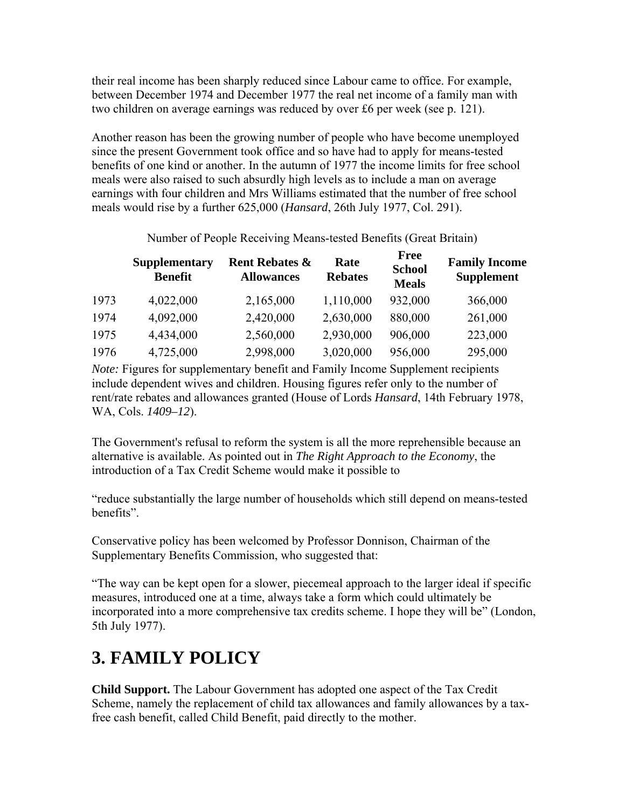their real income has been sharply reduced since Labour came to office. For example, between December 1974 and December 1977 the real net income of a family man with two children on average earnings was reduced by over £6 per week (see p. 121).

Another reason has been the growing number of people who have become unemployed since the present Government took office and so have had to apply for means-tested benefits of one kind or another. In the autumn of 1977 the income limits for free school meals were also raised to such absurdly high levels as to include a man on average earnings with four children and Mrs Williams estimated that the number of free school meals would rise by a further 625,000 (*Hansard*, 26th July 1977, Col. 291).

|      | <b>Supplementary</b><br><b>Benefit</b> | <b>Rent Rebates &amp;</b><br><b>Allowances</b> | Rate<br><b>Rebates</b> | <b>Free</b><br><b>School</b><br><b>Meals</b> | <b>Family Income</b><br><b>Supplement</b> |
|------|----------------------------------------|------------------------------------------------|------------------------|----------------------------------------------|-------------------------------------------|
| 1973 | 4,022,000                              | 2,165,000                                      | 1,110,000              | 932,000                                      | 366,000                                   |
| 1974 | 4,092,000                              | 2,420,000                                      | 2,630,000              | 880,000                                      | 261,000                                   |
| 1975 | 4,434,000                              | 2,560,000                                      | 2,930,000              | 906,000                                      | 223,000                                   |
| 1976 | 4,725,000                              | 2,998,000                                      | 3,020,000              | 956,000                                      | 295,000                                   |

Number of People Receiving Means-tested Benefits (Great Britain)

*Note:* Figures for supplementary benefit and Family Income Supplement recipients include dependent wives and children. Housing figures refer only to the number of rent/rate rebates and allowances granted (House of Lords *Hansard*, 14th February 1978, WA, Cols. *1409–12*).

The Government's refusal to reform the system is all the more reprehensible because an alternative is available. As pointed out in *The Right Approach to the Economy*, the introduction of a Tax Credit Scheme would make it possible to

"reduce substantially the large number of households which still depend on means-tested benefits".

Conservative policy has been welcomed by Professor Donnison, Chairman of the Supplementary Benefits Commission, who suggested that:

"The way can be kept open for a slower, piecemeal approach to the larger ideal if specific measures, introduced one at a time, always take a form which could ultimately be incorporated into a more comprehensive tax credits scheme. I hope they will be" (London, 5th July 1977).

### **3. FAMILY POLICY**

**Child Support.** The Labour Government has adopted one aspect of the Tax Credit Scheme, namely the replacement of child tax allowances and family allowances by a taxfree cash benefit, called Child Benefit, paid directly to the mother.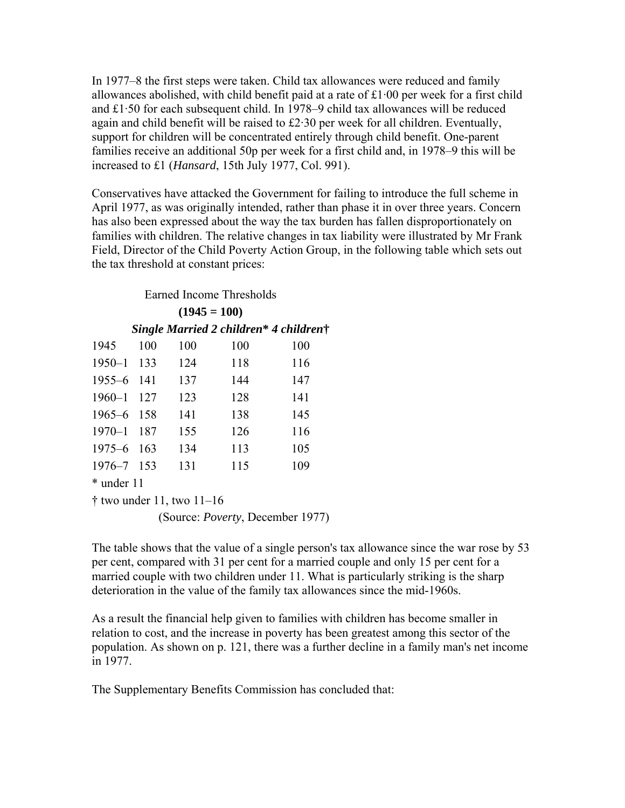In 1977–8 the first steps were taken. Child tax allowances were reduced and family allowances abolished, with child benefit paid at a rate of £1·00 per week for a first child and £1·50 for each subsequent child. In 1978–9 child tax allowances will be reduced again and child benefit will be raised to £2·30 per week for all children. Eventually, support for children will be concentrated entirely through child benefit. One-parent families receive an additional 50p per week for a first child and, in 1978–9 this will be increased to £1 (*Hansard*, 15th July 1977, Col. 991).

Conservatives have attacked the Government for failing to introduce the full scheme in April 1977, as was originally intended, rather than phase it in over three years. Concern has also been expressed about the way the tax burden has fallen disproportionately on families with children. The relative changes in tax liability were illustrated by Mr Frank Field, Director of the Child Poverty Action Group, in the following table which sets out the tax threshold at constant prices:

Earned Income Thresholds

| $(1945 = 100)$                         |     |     |     |     |  |  |
|----------------------------------------|-----|-----|-----|-----|--|--|
| Single Married 2 children* 4 children† |     |     |     |     |  |  |
| 1945                                   | 100 | 100 | 100 | 100 |  |  |
| 1950-1 133                             |     | 124 | 118 | 116 |  |  |
| $1955 - 6$                             | 141 | 137 | 144 | 147 |  |  |
| $1960 - 1$                             | 127 | 123 | 128 | 141 |  |  |
| 1965–6                                 | 158 | 141 | 138 | 145 |  |  |
| $1970 - 1$                             | 187 | 155 | 126 | 116 |  |  |
| $1975 - 6$                             | 163 | 134 | 113 | 105 |  |  |
| 1976–7                                 | 153 | 131 | 115 | 109 |  |  |
| * under 11                             |     |     |     |     |  |  |

† two under 11, two 11–16

The table shows that the value of a single person's tax allowance since the war rose by 53 per cent, compared with 31 per cent for a married couple and only 15 per cent for a married couple with two children under 11. What is particularly striking is the sharp deterioration in the value of the family tax allowances since the mid-1960s.

As a result the financial help given to families with children has become smaller in relation to cost, and the increase in poverty has been greatest among this sector of the population. As shown on p. 121, there was a further decline in a family man's net income in 1977.

The Supplementary Benefits Commission has concluded that:

<sup>(</sup>Source: *Poverty*, December 1977)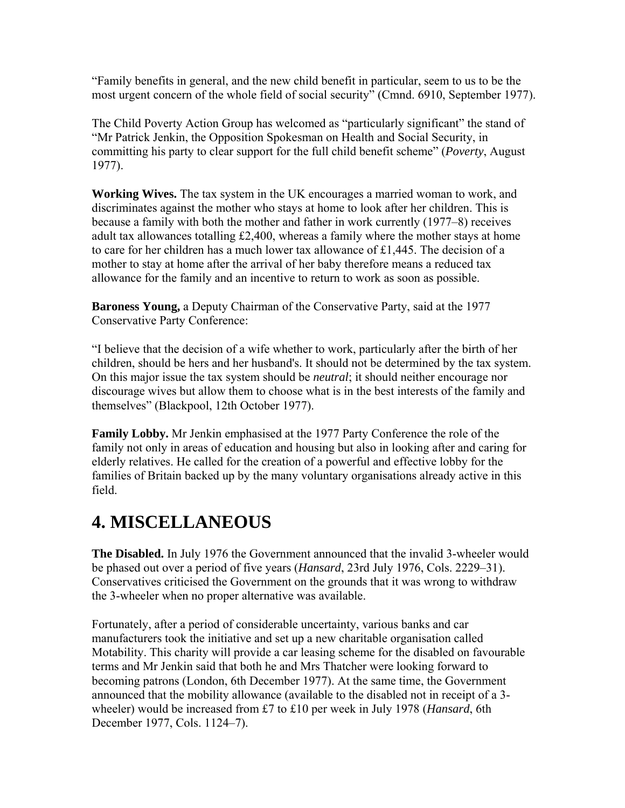"Family benefits in general, and the new child benefit in particular, seem to us to be the most urgent concern of the whole field of social security" (Cmnd. 6910, September 1977).

The Child Poverty Action Group has welcomed as "particularly significant" the stand of "Mr Patrick Jenkin, the Opposition Spokesman on Health and Social Security, in committing his party to clear support for the full child benefit scheme" (*Poverty*, August 1977).

**Working Wives.** The tax system in the UK encourages a married woman to work, and discriminates against the mother who stays at home to look after her children. This is because a family with both the mother and father in work currently (1977–8) receives adult tax allowances totalling £2,400, whereas a family where the mother stays at home to care for her children has a much lower tax allowance of £1,445. The decision of a mother to stay at home after the arrival of her baby therefore means a reduced tax allowance for the family and an incentive to return to work as soon as possible.

**Baroness Young,** a Deputy Chairman of the Conservative Party, said at the 1977 Conservative Party Conference:

"I believe that the decision of a wife whether to work, particularly after the birth of her children, should be hers and her husband's. It should not be determined by the tax system. On this major issue the tax system should be *neutral*; it should neither encourage nor discourage wives but allow them to choose what is in the best interests of the family and themselves" (Blackpool, 12th October 1977).

**Family Lobby.** Mr Jenkin emphasised at the 1977 Party Conference the role of the family not only in areas of education and housing but also in looking after and caring for elderly relatives. He called for the creation of a powerful and effective lobby for the families of Britain backed up by the many voluntary organisations already active in this field.

#### **4. MISCELLANEOUS**

**The Disabled.** In July 1976 the Government announced that the invalid 3-wheeler would be phased out over a period of five years (*Hansard*, 23rd July 1976, Cols. 2229–31). Conservatives criticised the Government on the grounds that it was wrong to withdraw the 3-wheeler when no proper alternative was available.

Fortunately, after a period of considerable uncertainty, various banks and car manufacturers took the initiative and set up a new charitable organisation called Motability. This charity will provide a car leasing scheme for the disabled on favourable terms and Mr Jenkin said that both he and Mrs Thatcher were looking forward to becoming patrons (London, 6th December 1977). At the same time, the Government announced that the mobility allowance (available to the disabled not in receipt of a 3 wheeler) would be increased from £7 to £10 per week in July 1978 (*Hansard*, 6th December 1977, Cols. 1124–7).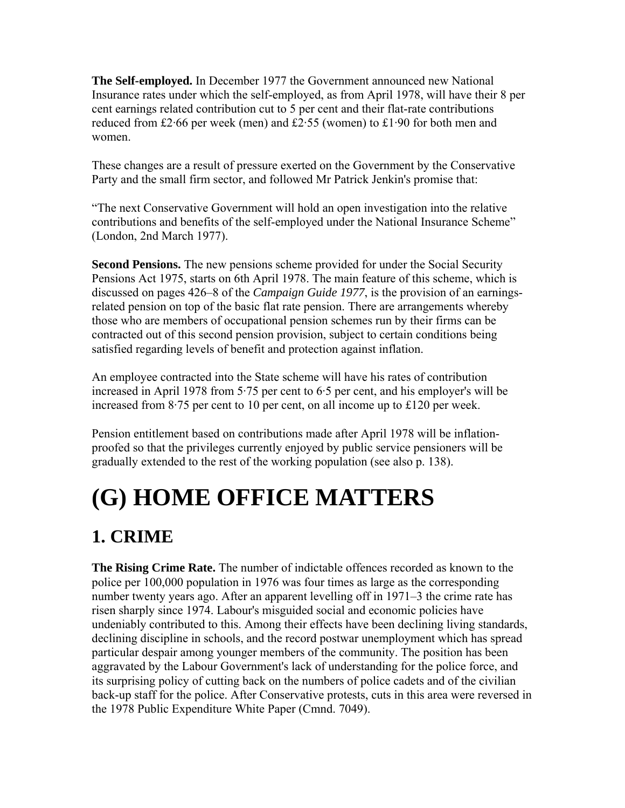**The Self-employed.** In December 1977 the Government announced new National Insurance rates under which the self-employed, as from April 1978, will have their 8 per cent earnings related contribution cut to 5 per cent and their flat-rate contributions reduced from £2·66 per week (men) and £2·55 (women) to £1·90 for both men and women.

These changes are a result of pressure exerted on the Government by the Conservative Party and the small firm sector, and followed Mr Patrick Jenkin's promise that:

"The next Conservative Government will hold an open investigation into the relative contributions and benefits of the self-employed under the National Insurance Scheme" (London, 2nd March 1977).

**Second Pensions.** The new pensions scheme provided for under the Social Security Pensions Act 1975, starts on 6th April 1978. The main feature of this scheme, which is discussed on pages 426–8 of the *Campaign Guide 1977*, is the provision of an earningsrelated pension on top of the basic flat rate pension. There are arrangements whereby those who are members of occupational pension schemes run by their firms can be contracted out of this second pension provision, subject to certain conditions being satisfied regarding levels of benefit and protection against inflation.

An employee contracted into the State scheme will have his rates of contribution increased in April 1978 from 5·75 per cent to 6·5 per cent, and his employer's will be increased from 8·75 per cent to 10 per cent, on all income up to £120 per week.

Pension entitlement based on contributions made after April 1978 will be inflationproofed so that the privileges currently enjoyed by public service pensioners will be gradually extended to the rest of the working population (see also p. 138).

# **(G) HOME OFFICE MATTERS**

### **1. CRIME**

**The Rising Crime Rate.** The number of indictable offences recorded as known to the police per 100,000 population in 1976 was four times as large as the corresponding number twenty years ago. After an apparent levelling off in 1971–3 the crime rate has risen sharply since 1974. Labour's misguided social and economic policies have undeniably contributed to this. Among their effects have been declining living standards, declining discipline in schools, and the record postwar unemployment which has spread particular despair among younger members of the community. The position has been aggravated by the Labour Government's lack of understanding for the police force, and its surprising policy of cutting back on the numbers of police cadets and of the civilian back-up staff for the police. After Conservative protests, cuts in this area were reversed in the 1978 Public Expenditure White Paper (Cmnd. 7049).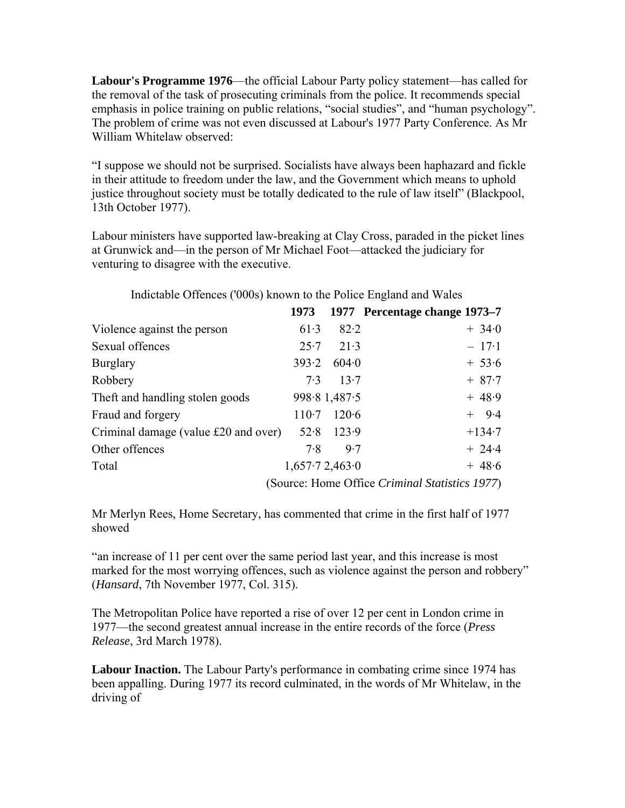**Labour's Programme 1976**—the official Labour Party policy statement—has called for the removal of the task of prosecuting criminals from the police. It recommends special emphasis in police training on public relations, "social studies", and "human psychology". The problem of crime was not even discussed at Labour's 1977 Party Conference. As Mr William Whitelaw observed:

"I suppose we should not be surprised. Socialists have always been haphazard and fickle in their attitude to freedom under the law, and the Government which means to uphold justice throughout society must be totally dedicated to the rule of law itself" (Blackpool, 13th October 1977).

Labour ministers have supported law-breaking at Clay Cross, paraded in the picket lines at Grunwick and—in the person of Mr Michael Foot—attacked the judiciary for venturing to disagree with the executive.

|                                      | 1973           |              | 1977 Percentage change 1973–7                  |
|--------------------------------------|----------------|--------------|------------------------------------------------|
| Violence against the person          | 61.3           | 82.2         | $+34.0$                                        |
| Sexual offences                      | 25.7           | 21.3         | $-17.1$                                        |
| <b>Burglary</b>                      | 393.2          | 604.0        | $+ 53.6$                                       |
| Robbery                              | 7.3            | 13.7         | $+ 87.7$                                       |
| The ft and handling stolen goods     |                | 998.81,487.5 | $+48.9$                                        |
| Fraud and forgery                    | $110-7$        | 120.6        | $+$ 9.4                                        |
| Criminal damage (value £20 and over) | 52.8           | 123.9        | $+134.7$                                       |
| Other offences                       | 7.8            | 9.7          | $+ 24.4$                                       |
| Total                                | 1,657.72,463.0 |              | $+48.6$                                        |
|                                      |                |              | (Source: Home Office Criminal Statistics 1977) |

Indictable Offences ('000s) known to the Police England and Wales

Mr Merlyn Rees, Home Secretary, has commented that crime in the first half of 1977 showed

"an increase of 11 per cent over the same period last year, and this increase is most marked for the most worrying offences, such as violence against the person and robbery" (*Hansard*, 7th November 1977, Col. 315).

The Metropolitan Police have reported a rise of over 12 per cent in London crime in 1977—the second greatest annual increase in the entire records of the force (*Press Release*, 3rd March 1978).

**Labour Inaction.** The Labour Party's performance in combating crime since 1974 has been appalling. During 1977 its record culminated, in the words of Mr Whitelaw, in the driving of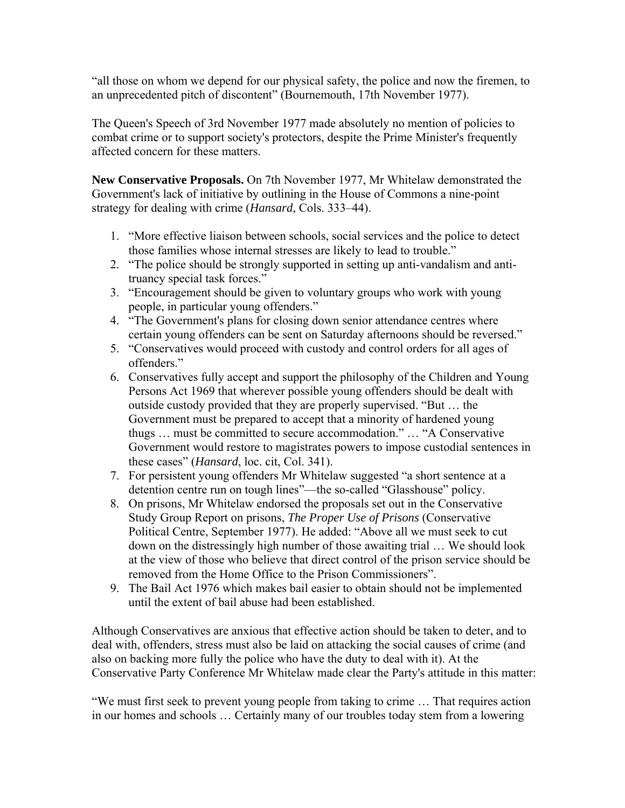"all those on whom we depend for our physical safety, the police and now the firemen, to an unprecedented pitch of discontent" (Bournemouth, 17th November 1977).

The Queen's Speech of 3rd November 1977 made absolutely no mention of policies to combat crime or to support society's protectors, despite the Prime Minister's frequently affected concern for these matters.

**New Conservative Proposals.** On 7th November 1977, Mr Whitelaw demonstrated the Government's lack of initiative by outlining in the House of Commons a nine-point strategy for dealing with crime (*Hansard*, Cols. 333–44).

- 1. "More effective liaison between schools, social services and the police to detect those families whose internal stresses are likely to lead to trouble."
- 2. "The police should be strongly supported in setting up anti-vandalism and antitruancy special task forces."
- 3. "Encouragement should be given to voluntary groups who work with young people, in particular young offenders."
- 4. "The Government's plans for closing down senior attendance centres where certain young offenders can be sent on Saturday afternoons should be reversed."
- 5. "Conservatives would proceed with custody and control orders for all ages of offenders."
- 6. Conservatives fully accept and support the philosophy of the Children and Young Persons Act 1969 that wherever possible young offenders should be dealt with outside custody provided that they are properly supervised. "But … the Government must be prepared to accept that a minority of hardened young thugs … must be committed to secure accommodation." … "A Conservative Government would restore to magistrates powers to impose custodial sentences in these cases" (*Hansard*, loc. cit, Col. 341).
- 7. For persistent young offenders Mr Whitelaw suggested "a short sentence at a detention centre run on tough lines"—the so-called "Glasshouse" policy.
- 8. On prisons, Mr Whitelaw endorsed the proposals set out in the Conservative Study Group Report on prisons, *The Proper Use of Prisons* (Conservative Political Centre, September 1977). He added: "Above all we must seek to cut down on the distressingly high number of those awaiting trial … We should look at the view of those who believe that direct control of the prison service should be removed from the Home Office to the Prison Commissioners".
- 9. The Bail Act 1976 which makes bail easier to obtain should not be implemented until the extent of bail abuse had been established.

Although Conservatives are anxious that effective action should be taken to deter, and to deal with, offenders, stress must also be laid on attacking the social causes of crime (and also on backing more fully the police who have the duty to deal with it). At the Conservative Party Conference Mr Whitelaw made clear the Party's attitude in this matter:

"We must first seek to prevent young people from taking to crime … That requires action in our homes and schools … Certainly many of our troubles today stem from a lowering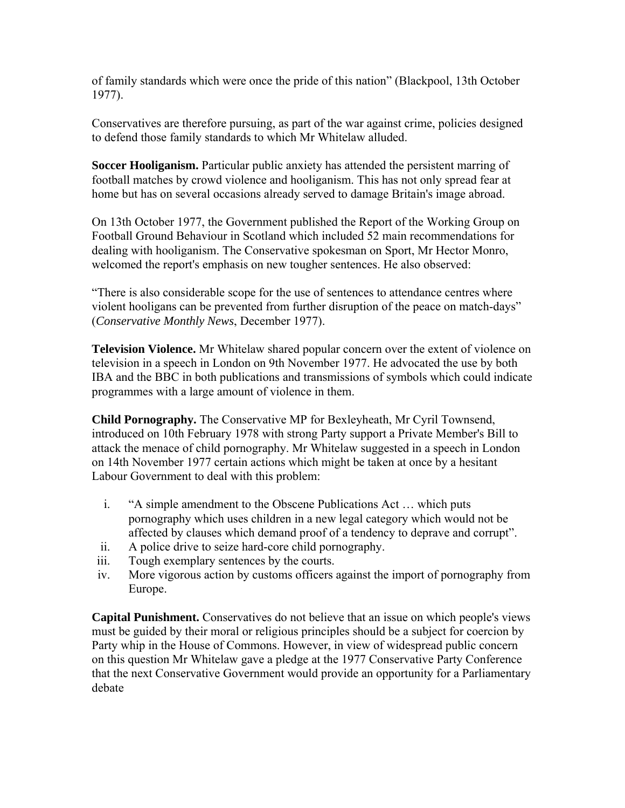of family standards which were once the pride of this nation" (Blackpool, 13th October 1977).

Conservatives are therefore pursuing, as part of the war against crime, policies designed to defend those family standards to which Mr Whitelaw alluded.

**Soccer Hooliganism.** Particular public anxiety has attended the persistent marring of football matches by crowd violence and hooliganism. This has not only spread fear at home but has on several occasions already served to damage Britain's image abroad.

On 13th October 1977, the Government published the Report of the Working Group on Football Ground Behaviour in Scotland which included 52 main recommendations for dealing with hooliganism. The Conservative spokesman on Sport, Mr Hector Monro, welcomed the report's emphasis on new tougher sentences. He also observed:

"There is also considerable scope for the use of sentences to attendance centres where violent hooligans can be prevented from further disruption of the peace on match-days" (*Conservative Monthly News*, December 1977).

**Television Violence.** Mr Whitelaw shared popular concern over the extent of violence on television in a speech in London on 9th November 1977. He advocated the use by both IBA and the BBC in both publications and transmissions of symbols which could indicate programmes with a large amount of violence in them.

**Child Pornography.** The Conservative MP for Bexleyheath, Mr Cyril Townsend, introduced on 10th February 1978 with strong Party support a Private Member's Bill to attack the menace of child pornography. Mr Whitelaw suggested in a speech in London on 14th November 1977 certain actions which might be taken at once by a hesitant Labour Government to deal with this problem:

- i. "A simple amendment to the Obscene Publications Act … which puts pornography which uses children in a new legal category which would not be affected by clauses which demand proof of a tendency to deprave and corrupt".
- ii. A police drive to seize hard-core child pornography.
- iii. Tough exemplary sentences by the courts.
- iv. More vigorous action by customs officers against the import of pornography from Europe.

**Capital Punishment.** Conservatives do not believe that an issue on which people's views must be guided by their moral or religious principles should be a subject for coercion by Party whip in the House of Commons. However, in view of widespread public concern on this question Mr Whitelaw gave a pledge at the 1977 Conservative Party Conference that the next Conservative Government would provide an opportunity for a Parliamentary debate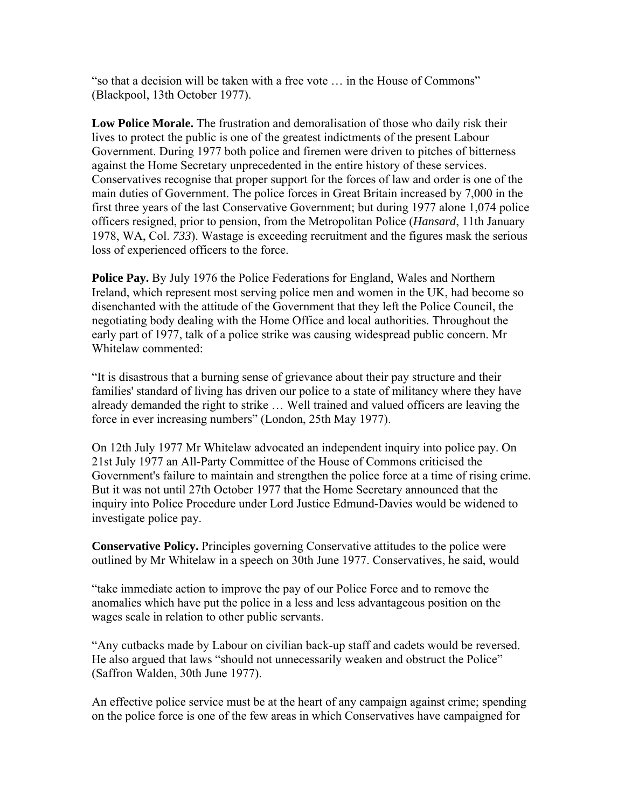"so that a decision will be taken with a free vote … in the House of Commons" (Blackpool, 13th October 1977).

**Low Police Morale.** The frustration and demoralisation of those who daily risk their lives to protect the public is one of the greatest indictments of the present Labour Government. During 1977 both police and firemen were driven to pitches of bitterness against the Home Secretary unprecedented in the entire history of these services. Conservatives recognise that proper support for the forces of law and order is one of the main duties of Government. The police forces in Great Britain increased by 7,000 in the first three years of the last Conservative Government; but during 1977 alone 1,074 police officers resigned, prior to pension, from the Metropolitan Police (*Hansard*, 11th January 1978, WA, Col. *733*). Wastage is exceeding recruitment and the figures mask the serious loss of experienced officers to the force.

**Police Pay.** By July 1976 the Police Federations for England, Wales and Northern Ireland, which represent most serving police men and women in the UK, had become so disenchanted with the attitude of the Government that they left the Police Council, the negotiating body dealing with the Home Office and local authorities. Throughout the early part of 1977, talk of a police strike was causing widespread public concern. Mr Whitelaw commented:

"It is disastrous that a burning sense of grievance about their pay structure and their families' standard of living has driven our police to a state of militancy where they have already demanded the right to strike … Well trained and valued officers are leaving the force in ever increasing numbers" (London, 25th May 1977).

On 12th July 1977 Mr Whitelaw advocated an independent inquiry into police pay. On 21st July 1977 an All-Party Committee of the House of Commons criticised the Government's failure to maintain and strengthen the police force at a time of rising crime. But it was not until 27th October 1977 that the Home Secretary announced that the inquiry into Police Procedure under Lord Justice Edmund-Davies would be widened to investigate police pay.

**Conservative Policy.** Principles governing Conservative attitudes to the police were outlined by Mr Whitelaw in a speech on 30th June 1977. Conservatives, he said, would

"take immediate action to improve the pay of our Police Force and to remove the anomalies which have put the police in a less and less advantageous position on the wages scale in relation to other public servants.

"Any cutbacks made by Labour on civilian back-up staff and cadets would be reversed. He also argued that laws "should not unnecessarily weaken and obstruct the Police" (Saffron Walden, 30th June 1977).

An effective police service must be at the heart of any campaign against crime; spending on the police force is one of the few areas in which Conservatives have campaigned for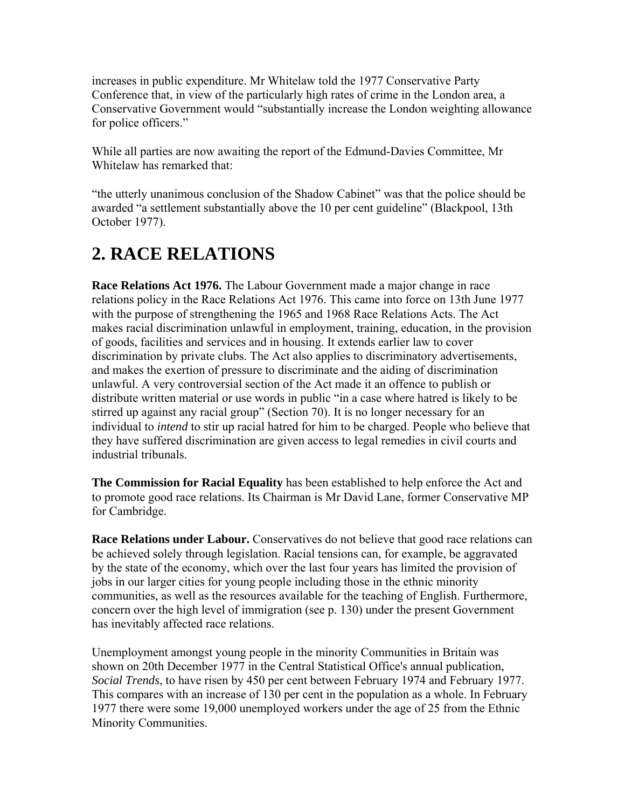increases in public expenditure. Mr Whitelaw told the 1977 Conservative Party Conference that, in view of the particularly high rates of crime in the London area, a Conservative Government would "substantially increase the London weighting allowance for police officers."

While all parties are now awaiting the report of the Edmund-Davies Committee, Mr Whitelaw has remarked that:

"the utterly unanimous conclusion of the Shadow Cabinet" was that the police should be awarded "a settlement substantially above the 10 per cent guideline" (Blackpool, 13th October 1977).

#### **2. RACE RELATIONS**

**Race Relations Act 1976.** The Labour Government made a major change in race relations policy in the Race Relations Act 1976. This came into force on 13th June 1977 with the purpose of strengthening the 1965 and 1968 Race Relations Acts. The Act makes racial discrimination unlawful in employment, training, education, in the provision of goods, facilities and services and in housing. It extends earlier law to cover discrimination by private clubs. The Act also applies to discriminatory advertisements, and makes the exertion of pressure to discriminate and the aiding of discrimination unlawful. A very controversial section of the Act made it an offence to publish or distribute written material or use words in public "in a case where hatred is likely to be stirred up against any racial group" (Section 70). It is no longer necessary for an individual to *intend* to stir up racial hatred for him to be charged. People who believe that they have suffered discrimination are given access to legal remedies in civil courts and industrial tribunals.

**The Commission for Racial Equality** has been established to help enforce the Act and to promote good race relations. Its Chairman is Mr David Lane, former Conservative MP for Cambridge.

**Race Relations under Labour.** Conservatives do not believe that good race relations can be achieved solely through legislation. Racial tensions can, for example, be aggravated by the state of the economy, which over the last four years has limited the provision of jobs in our larger cities for young people including those in the ethnic minority communities, as well as the resources available for the teaching of English. Furthermore, concern over the high level of immigration (see p. 130) under the present Government has inevitably affected race relations.

Unemployment amongst young people in the minority Communities in Britain was shown on 20th December 1977 in the Central Statistical Office's annual publication, *Social Trends*, to have risen by 450 per cent between February 1974 and February 1977. This compares with an increase of 130 per cent in the population as a whole. In February 1977 there were some 19,000 unemployed workers under the age of 25 from the Ethnic Minority Communities.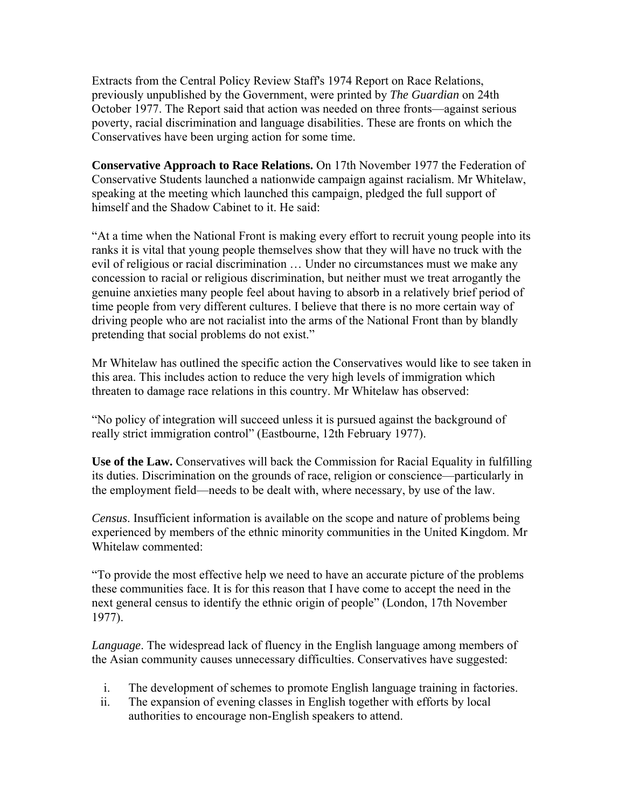Extracts from the Central Policy Review Staff's 1974 Report on Race Relations, previously unpublished by the Government, were printed by *The Guardian* on 24th October 1977. The Report said that action was needed on three fronts—against serious poverty, racial discrimination and language disabilities. These are fronts on which the Conservatives have been urging action for some time.

**Conservative Approach to Race Relations.** On 17th November 1977 the Federation of Conservative Students launched a nationwide campaign against racialism. Mr Whitelaw, speaking at the meeting which launched this campaign, pledged the full support of himself and the Shadow Cabinet to it. He said:

"At a time when the National Front is making every effort to recruit young people into its ranks it is vital that young people themselves show that they will have no truck with the evil of religious or racial discrimination … Under no circumstances must we make any concession to racial or religious discrimination, but neither must we treat arrogantly the genuine anxieties many people feel about having to absorb in a relatively brief period of time people from very different cultures. I believe that there is no more certain way of driving people who are not racialist into the arms of the National Front than by blandly pretending that social problems do not exist."

Mr Whitelaw has outlined the specific action the Conservatives would like to see taken in this area. This includes action to reduce the very high levels of immigration which threaten to damage race relations in this country. Mr Whitelaw has observed:

"No policy of integration will succeed unless it is pursued against the background of really strict immigration control" (Eastbourne, 12th February 1977).

**Use of the Law.** Conservatives will back the Commission for Racial Equality in fulfilling its duties. Discrimination on the grounds of race, religion or conscience—particularly in the employment field—needs to be dealt with, where necessary, by use of the law.

*Census*. Insufficient information is available on the scope and nature of problems being experienced by members of the ethnic minority communities in the United Kingdom. Mr Whitelaw commented:

"To provide the most effective help we need to have an accurate picture of the problems these communities face. It is for this reason that I have come to accept the need in the next general census to identify the ethnic origin of people" (London, 17th November 1977).

*Language*. The widespread lack of fluency in the English language among members of the Asian community causes unnecessary difficulties. Conservatives have suggested:

- i. The development of schemes to promote English language training in factories.
- ii. The expansion of evening classes in English together with efforts by local authorities to encourage non-English speakers to attend.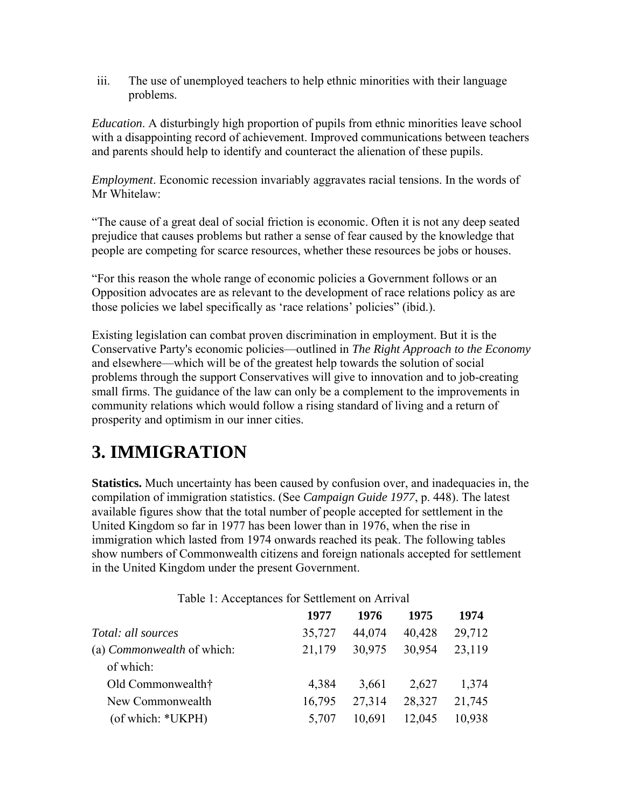iii. The use of unemployed teachers to help ethnic minorities with their language problems.

*Education*. A disturbingly high proportion of pupils from ethnic minorities leave school with a disappointing record of achievement. Improved communications between teachers and parents should help to identify and counteract the alienation of these pupils.

*Employment*. Economic recession invariably aggravates racial tensions. In the words of Mr Whitelaw:

"The cause of a great deal of social friction is economic. Often it is not any deep seated prejudice that causes problems but rather a sense of fear caused by the knowledge that people are competing for scarce resources, whether these resources be jobs or houses.

"For this reason the whole range of economic policies a Government follows or an Opposition advocates are as relevant to the development of race relations policy as are those policies we label specifically as 'race relations' policies" (ibid.).

Existing legislation can combat proven discrimination in employment. But it is the Conservative Party's economic policies—outlined in *The Right Approach to the Economy* and elsewhere—which will be of the greatest help towards the solution of social problems through the support Conservatives will give to innovation and to job-creating small firms. The guidance of the law can only be a complement to the improvements in community relations which would follow a rising standard of living and a return of prosperity and optimism in our inner cities.

### **3. IMMIGRATION**

**Statistics.** Much uncertainty has been caused by confusion over, and inadequacies in, the compilation of immigration statistics. (See *Campaign Guide 1977*, p. 448). The latest available figures show that the total number of people accepted for settlement in the United Kingdom so far in 1977 has been lower than in 1976, when the rise in immigration which lasted from 1974 onwards reached its peak. The following tables show numbers of Commonwealth citizens and foreign nationals accepted for settlement in the United Kingdom under the present Government.

| 1977   | 1976   | 1975   | 1974                                              |
|--------|--------|--------|---------------------------------------------------|
| 35,727 | 44,074 | 40,428 | 29,712                                            |
| 21,179 | 30,975 | 30,954 | 23,119                                            |
|        |        |        |                                                   |
| 4,384  | 3,661  | 2,627  | 1,374                                             |
| 16,795 | 27,314 | 28,327 | 21,745                                            |
| 5,707  | 10,691 | 12,045 | 10,938                                            |
|        |        |        | Tuble 1. Treeplanees for Settlement on Turity and |

Table 1: Acceptances for Settlement on Arrival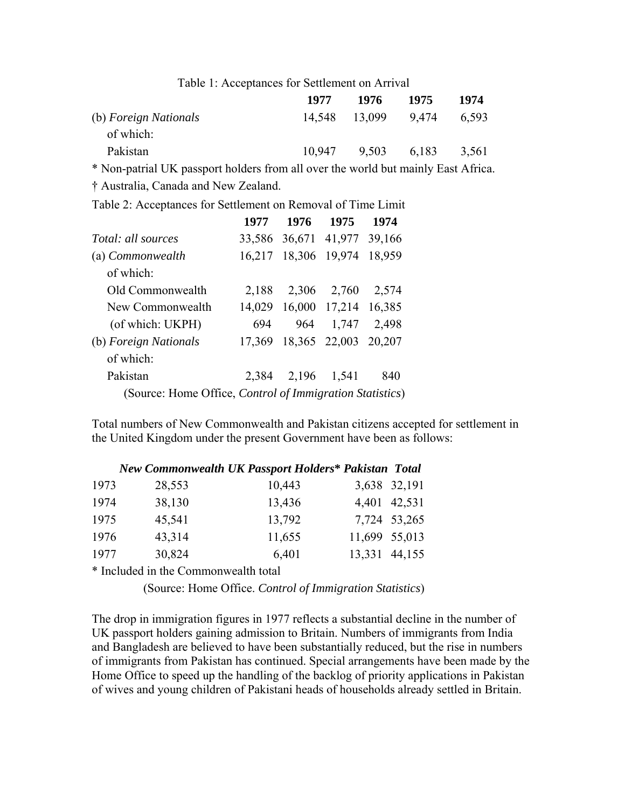| Table 1: Acceptances for Settlement on Arrival |        |        |       |       |  |
|------------------------------------------------|--------|--------|-------|-------|--|
|                                                | 1977   | 1976   | 1975  | 1974  |  |
| (b) Foreign Nationals<br>of which:             | 14.548 | 13,099 | 9.474 | 6.593 |  |
| Pakistan                                       | 10.947 | 9,503  | 6,183 | 3,561 |  |

\* Non-patrial UK passport holders from all over the world but mainly East Africa.

† Australia, Canada and New Zealand.

Table 2: Acceptances for Settlement on Removal of Time Limit

|                                                          | 1977   | 1976   | 1975          | 1974   |  |  |
|----------------------------------------------------------|--------|--------|---------------|--------|--|--|
| <i>Total: all sources</i>                                | 33,586 |        | 36,671 41,977 | 39,166 |  |  |
| (a) Commonwealth                                         | 16,217 | 18,306 | 19,974        | 18,959 |  |  |
| of which:                                                |        |        |               |        |  |  |
| Old Commonwealth                                         | 2,188  | 2,306  | 2,760         | 2,574  |  |  |
| New Commonwealth                                         | 14,029 |        | 16,000 17,214 | 16,385 |  |  |
| (of which: UKPH)                                         | 694    | 964    | 1,747         | 2,498  |  |  |
| (b) Foreign Nationals                                    | 17,369 |        | 18,365 22,003 | 20,207 |  |  |
| of which:                                                |        |        |               |        |  |  |
| Pakistan                                                 | 2,384  | 2,196  | 1,541         | 840    |  |  |
| (Source: Home Office, Control of Immigration Statistics) |        |        |               |        |  |  |

Total numbers of New Commonwealth and Pakistan citizens accepted for settlement in the United Kingdom under the present Government have been as follows:

|      |        | <b>New Commonwealth UK Passport Holders* Pakistan Total</b> |               |  |
|------|--------|-------------------------------------------------------------|---------------|--|
| 1973 | 28,553 | 10,443                                                      | 3,638 32,191  |  |
| 1974 | 38,130 | 13,436                                                      | 4,401 42,531  |  |
| 1975 | 45,541 | 13,792                                                      | 7,724 53,265  |  |
| 1976 | 43,314 | 11,655                                                      | 11,699 55,013 |  |
| 1977 | 30,824 | 6,401                                                       | 13,331 44,155 |  |

\* Included in the Commonwealth total

(Source: Home Office. *Control of Immigration Statistics*)

The drop in immigration figures in 1977 reflects a substantial decline in the number of UK passport holders gaining admission to Britain. Numbers of immigrants from India and Bangladesh are believed to have been substantially reduced, but the rise in numbers of immigrants from Pakistan has continued. Special arrangements have been made by the Home Office to speed up the handling of the backlog of priority applications in Pakistan of wives and young children of Pakistani heads of households already settled in Britain.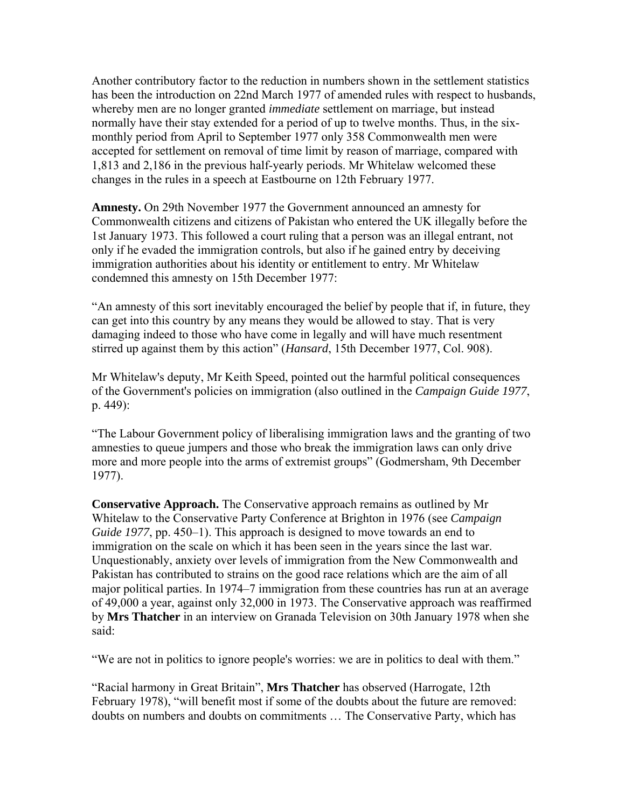Another contributory factor to the reduction in numbers shown in the settlement statistics has been the introduction on 22nd March 1977 of amended rules with respect to husbands, whereby men are no longer granted *immediate* settlement on marriage, but instead normally have their stay extended for a period of up to twelve months. Thus, in the sixmonthly period from April to September 1977 only 358 Commonwealth men were accepted for settlement on removal of time limit by reason of marriage, compared with 1,813 and 2,186 in the previous half-yearly periods. Mr Whitelaw welcomed these changes in the rules in a speech at Eastbourne on 12th February 1977.

**Amnesty.** On 29th November 1977 the Government announced an amnesty for Commonwealth citizens and citizens of Pakistan who entered the UK illegally before the 1st January 1973. This followed a court ruling that a person was an illegal entrant, not only if he evaded the immigration controls, but also if he gained entry by deceiving immigration authorities about his identity or entitlement to entry. Mr Whitelaw condemned this amnesty on 15th December 1977:

"An amnesty of this sort inevitably encouraged the belief by people that if, in future, they can get into this country by any means they would be allowed to stay. That is very damaging indeed to those who have come in legally and will have much resentment stirred up against them by this action" (*Hansard*, 15th December 1977, Col. 908).

Mr Whitelaw's deputy, Mr Keith Speed, pointed out the harmful political consequences of the Government's policies on immigration (also outlined in the *Campaign Guide 1977*, p. 449):

"The Labour Government policy of liberalising immigration laws and the granting of two amnesties to queue jumpers and those who break the immigration laws can only drive more and more people into the arms of extremist groups" (Godmersham, 9th December 1977).

**Conservative Approach.** The Conservative approach remains as outlined by Mr Whitelaw to the Conservative Party Conference at Brighton in 1976 (see *Campaign Guide 1977*, pp. 450–1). This approach is designed to move towards an end to immigration on the scale on which it has been seen in the years since the last war. Unquestionably, anxiety over levels of immigration from the New Commonwealth and Pakistan has contributed to strains on the good race relations which are the aim of all major political parties. In 1974–7 immigration from these countries has run at an average of 49,000 a year, against only 32,000 in 1973. The Conservative approach was reaffirmed by **Mrs Thatcher** in an interview on Granada Television on 30th January 1978 when she said:

"We are not in politics to ignore people's worries: we are in politics to deal with them."

"Racial harmony in Great Britain", **Mrs Thatcher** has observed (Harrogate, 12th February 1978), "will benefit most if some of the doubts about the future are removed: doubts on numbers and doubts on commitments … The Conservative Party, which has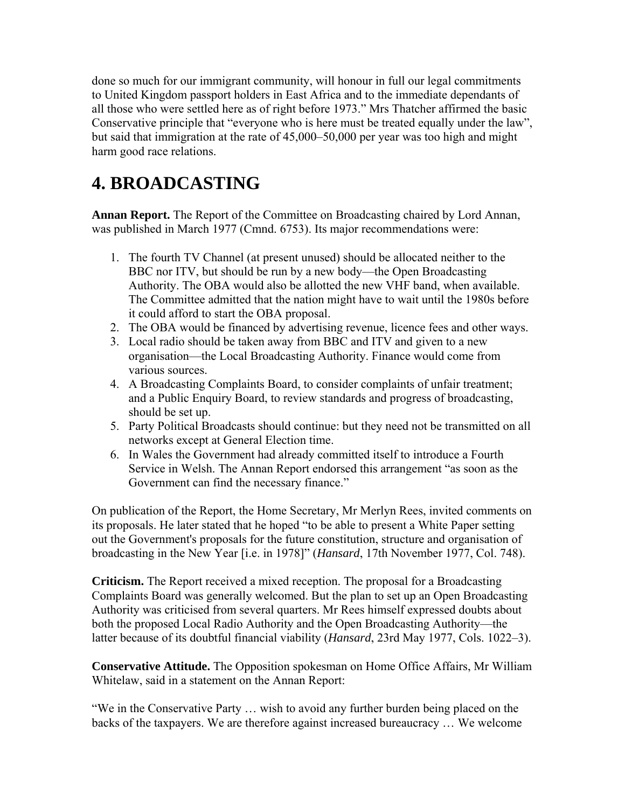done so much for our immigrant community, will honour in full our legal commitments to United Kingdom passport holders in East Africa and to the immediate dependants of all those who were settled here as of right before 1973." Mrs Thatcher affirmed the basic Conservative principle that "everyone who is here must be treated equally under the law", but said that immigration at the rate of 45,000–50,000 per year was too high and might harm good race relations.

### **4. BROADCASTING**

**Annan Report.** The Report of the Committee on Broadcasting chaired by Lord Annan, was published in March 1977 (Cmnd. 6753). Its major recommendations were:

- 1. The fourth TV Channel (at present unused) should be allocated neither to the BBC nor ITV, but should be run by a new body—the Open Broadcasting Authority. The OBA would also be allotted the new VHF band, when available. The Committee admitted that the nation might have to wait until the 1980s before it could afford to start the OBA proposal.
- 2. The OBA would be financed by advertising revenue, licence fees and other ways.
- 3. Local radio should be taken away from BBC and ITV and given to a new organisation—the Local Broadcasting Authority. Finance would come from various sources.
- 4. A Broadcasting Complaints Board, to consider complaints of unfair treatment; and a Public Enquiry Board, to review standards and progress of broadcasting, should be set up.
- 5. Party Political Broadcasts should continue: but they need not be transmitted on all networks except at General Election time.
- 6. In Wales the Government had already committed itself to introduce a Fourth Service in Welsh. The Annan Report endorsed this arrangement "as soon as the Government can find the necessary finance."

On publication of the Report, the Home Secretary, Mr Merlyn Rees, invited comments on its proposals. He later stated that he hoped "to be able to present a White Paper setting out the Government's proposals for the future constitution, structure and organisation of broadcasting in the New Year [i.e. in 1978]" (*Hansard*, 17th November 1977, Col. 748).

**Criticism.** The Report received a mixed reception. The proposal for a Broadcasting Complaints Board was generally welcomed. But the plan to set up an Open Broadcasting Authority was criticised from several quarters. Mr Rees himself expressed doubts about both the proposed Local Radio Authority and the Open Broadcasting Authority—the latter because of its doubtful financial viability (*Hansard*, 23rd May 1977, Cols. 1022–3).

**Conservative Attitude.** The Opposition spokesman on Home Office Affairs, Mr William Whitelaw, said in a statement on the Annan Report:

"We in the Conservative Party … wish to avoid any further burden being placed on the backs of the taxpayers. We are therefore against increased bureaucracy … We welcome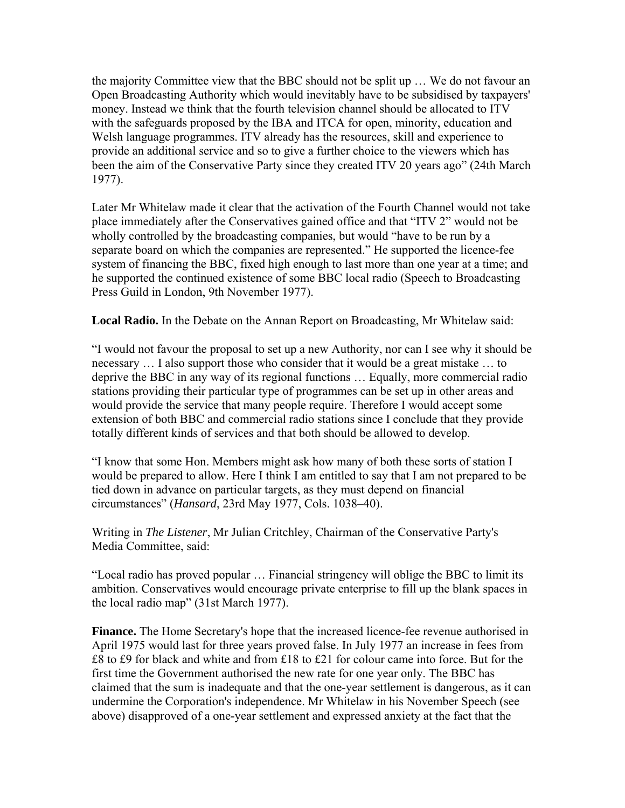the majority Committee view that the BBC should not be split up … We do not favour an Open Broadcasting Authority which would inevitably have to be subsidised by taxpayers' money. Instead we think that the fourth television channel should be allocated to ITV with the safeguards proposed by the IBA and ITCA for open, minority, education and Welsh language programmes. ITV already has the resources, skill and experience to provide an additional service and so to give a further choice to the viewers which has been the aim of the Conservative Party since they created ITV 20 years ago" (24th March 1977).

Later Mr Whitelaw made it clear that the activation of the Fourth Channel would not take place immediately after the Conservatives gained office and that "ITV 2" would not be wholly controlled by the broadcasting companies, but would "have to be run by a separate board on which the companies are represented." He supported the licence-fee system of financing the BBC, fixed high enough to last more than one year at a time; and he supported the continued existence of some BBC local radio (Speech to Broadcasting Press Guild in London, 9th November 1977).

**Local Radio.** In the Debate on the Annan Report on Broadcasting, Mr Whitelaw said:

"I would not favour the proposal to set up a new Authority, nor can I see why it should be necessary … I also support those who consider that it would be a great mistake … to deprive the BBC in any way of its regional functions … Equally, more commercial radio stations providing their particular type of programmes can be set up in other areas and would provide the service that many people require. Therefore I would accept some extension of both BBC and commercial radio stations since I conclude that they provide totally different kinds of services and that both should be allowed to develop.

"I know that some Hon. Members might ask how many of both these sorts of station I would be prepared to allow. Here I think I am entitled to say that I am not prepared to be tied down in advance on particular targets, as they must depend on financial circumstances" (*Hansard*, 23rd May 1977, Cols. 1038–40).

Writing in *The Listener*, Mr Julian Critchley, Chairman of the Conservative Party's Media Committee, said:

"Local radio has proved popular … Financial stringency will oblige the BBC to limit its ambition. Conservatives would encourage private enterprise to fill up the blank spaces in the local radio map" (31st March 1977).

**Finance.** The Home Secretary's hope that the increased licence-fee revenue authorised in April 1975 would last for three years proved false. In July 1977 an increase in fees from £8 to £9 for black and white and from £18 to £21 for colour came into force. But for the first time the Government authorised the new rate for one year only. The BBC has claimed that the sum is inadequate and that the one-year settlement is dangerous, as it can undermine the Corporation's independence. Mr Whitelaw in his November Speech (see above) disapproved of a one-year settlement and expressed anxiety at the fact that the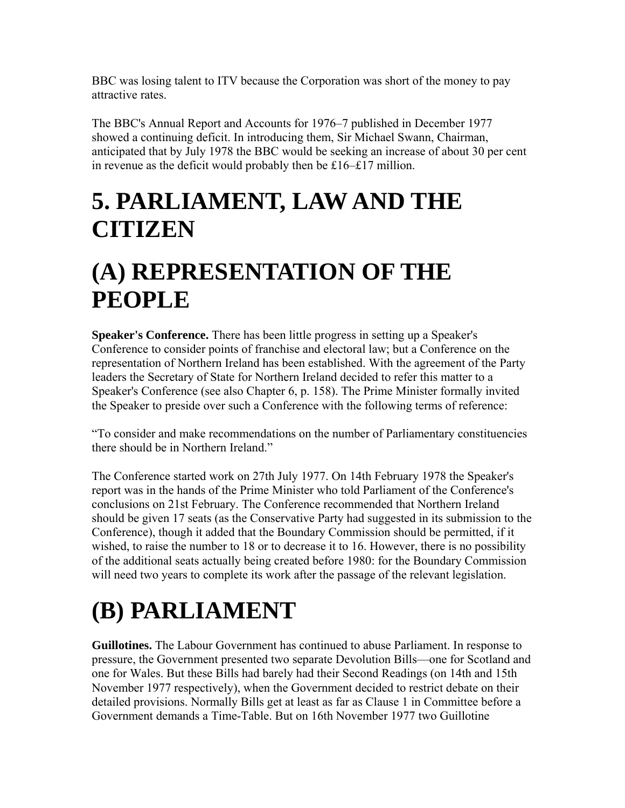BBC was losing talent to ITV because the Corporation was short of the money to pay attractive rates.

The BBC's Annual Report and Accounts for 1976–7 published in December 1977 showed a continuing deficit. In introducing them, Sir Michael Swann, Chairman, anticipated that by July 1978 the BBC would be seeking an increase of about 30 per cent in revenue as the deficit would probably then be £16–£17 million.

### **5. PARLIAMENT, LAW AND THE CITIZEN**

### **(A) REPRESENTATION OF THE PEOPLE**

**Speaker's Conference.** There has been little progress in setting up a Speaker's Conference to consider points of franchise and electoral law; but a Conference on the representation of Northern Ireland has been established. With the agreement of the Party leaders the Secretary of State for Northern Ireland decided to refer this matter to a Speaker's Conference (see also Chapter 6, p. 158). The Prime Minister formally invited the Speaker to preside over such a Conference with the following terms of reference:

"To consider and make recommendations on the number of Parliamentary constituencies there should be in Northern Ireland."

The Conference started work on 27th July 1977. On 14th February 1978 the Speaker's report was in the hands of the Prime Minister who told Parliament of the Conference's conclusions on 21st February. The Conference recommended that Northern Ireland should be given 17 seats (as the Conservative Party had suggested in its submission to the Conference), though it added that the Boundary Commission should be permitted, if it wished, to raise the number to 18 or to decrease it to 16. However, there is no possibility of the additional seats actually being created before 1980: for the Boundary Commission will need two years to complete its work after the passage of the relevant legislation.

# **(B) PARLIAMENT**

**Guillotines.** The Labour Government has continued to abuse Parliament. In response to pressure, the Government presented two separate Devolution Bills—one for Scotland and one for Wales. But these Bills had barely had their Second Readings (on 14th and 15th November 1977 respectively), when the Government decided to restrict debate on their detailed provisions. Normally Bills get at least as far as Clause 1 in Committee before a Government demands a Time-Table. But on 16th November 1977 two Guillotine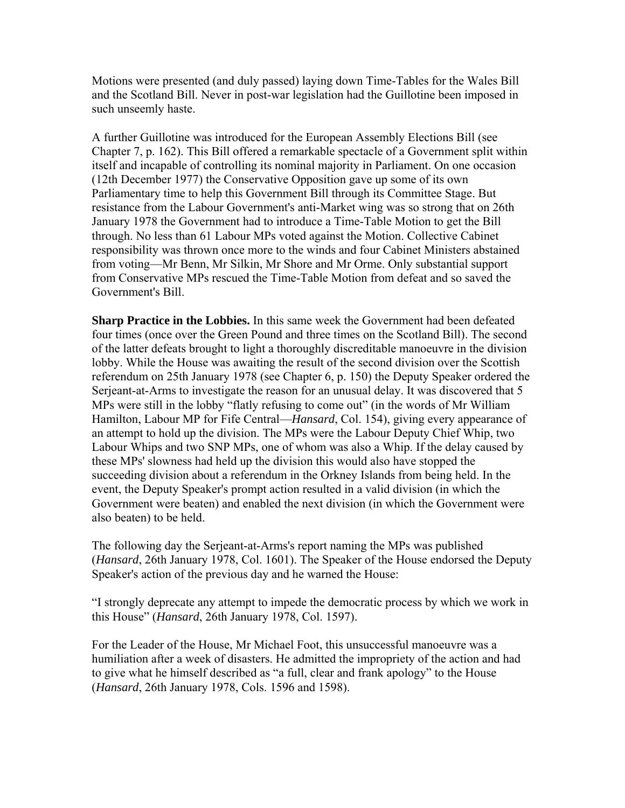Motions were presented (and duly passed) laying down Time-Tables for the Wales Bill and the Scotland Bill. Never in post-war legislation had the Guillotine been imposed in such unseemly haste.

A further Guillotine was introduced for the European Assembly Elections Bill (see Chapter 7, p. 162). This Bill offered a remarkable spectacle of a Government split within itself and incapable of controlling its nominal majority in Parliament. On one occasion (12th December 1977) the Conservative Opposition gave up some of its own Parliamentary time to help this Government Bill through its Committee Stage. But resistance from the Labour Government's anti-Market wing was so strong that on 26th January 1978 the Government had to introduce a Time-Table Motion to get the Bill through. No less than 61 Labour MPs voted against the Motion. Collective Cabinet responsibility was thrown once more to the winds and four Cabinet Ministers abstained from voting—Mr Benn, Mr Silkin, Mr Shore and Mr Orme. Only substantial support from Conservative MPs rescued the Time-Table Motion from defeat and so saved the Government's Bill.

**Sharp Practice in the Lobbies.** In this same week the Government had been defeated four times (once over the Green Pound and three times on the Scotland Bill). The second of the latter defeats brought to light a thoroughly discreditable manoeuvre in the division lobby. While the House was awaiting the result of the second division over the Scottish referendum on 25th January 1978 (see Chapter 6, p. 150) the Deputy Speaker ordered the Serjeant-at-Arms to investigate the reason for an unusual delay. It was discovered that 5 MPs were still in the lobby "flatly refusing to come out" (in the words of Mr William Hamilton, Labour MP for Fife Central—*Hansard*, Col. 154), giving every appearance of an attempt to hold up the division. The MPs were the Labour Deputy Chief Whip, two Labour Whips and two SNP MPs, one of whom was also a Whip. If the delay caused by these MPs' slowness had held up the division this would also have stopped the succeeding division about a referendum in the Orkney Islands from being held. In the event, the Deputy Speaker's prompt action resulted in a valid division (in which the Government were beaten) and enabled the next division (in which the Government were also beaten) to be held.

The following day the Serjeant-at-Arms's report naming the MPs was published (*Hansard*, 26th January 1978, Col. 1601). The Speaker of the House endorsed the Deputy Speaker's action of the previous day and he warned the House:

"I strongly deprecate any attempt to impede the democratic process by which we work in this House" (*Hansard*, 26th January 1978, Col. 1597).

For the Leader of the House, Mr Michael Foot, this unsuccessful manoeuvre was a humiliation after a week of disasters. He admitted the impropriety of the action and had to give what he himself described as "a full, clear and frank apology" to the House (*Hansard*, 26th January 1978, Cols. 1596 and 1598).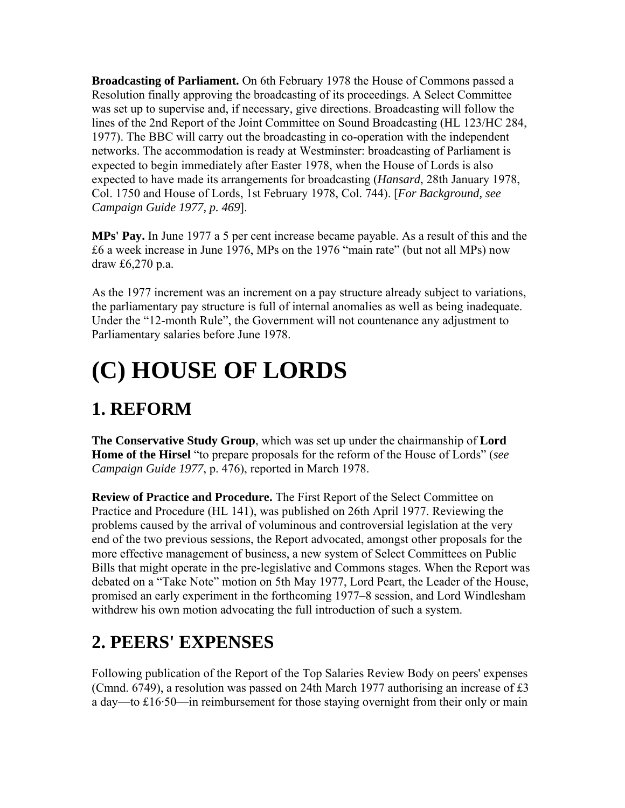**Broadcasting of Parliament.** On 6th February 1978 the House of Commons passed a Resolution finally approving the broadcasting of its proceedings. A Select Committee was set up to supervise and, if necessary, give directions. Broadcasting will follow the lines of the 2nd Report of the Joint Committee on Sound Broadcasting (HL 123/HC 284, 1977). The BBC will carry out the broadcasting in co-operation with the independent networks. The accommodation is ready at Westminster: broadcasting of Parliament is expected to begin immediately after Easter 1978, when the House of Lords is also expected to have made its arrangements for broadcasting (*Hansard*, 28th January 1978, Col. 1750 and House of Lords, 1st February 1978, Col. 744). [*For Background, see Campaign Guide 1977, p. 469*].

**MPs' Pay.** In June 1977 a 5 per cent increase became payable. As a result of this and the £6 a week increase in June 1976, MPs on the 1976 "main rate" (but not all MPs) now draw £6,270 p.a.

As the 1977 increment was an increment on a pay structure already subject to variations, the parliamentary pay structure is full of internal anomalies as well as being inadequate. Under the "12-month Rule", the Government will not countenance any adjustment to Parliamentary salaries before June 1978.

# **(C) HOUSE OF LORDS**

### **1. REFORM**

**The Conservative Study Group**, which was set up under the chairmanship of **Lord Home of the Hirsel** "to prepare proposals for the reform of the House of Lords" (*see Campaign Guide 1977*, p. 476), reported in March 1978.

**Review of Practice and Procedure.** The First Report of the Select Committee on Practice and Procedure (HL 141), was published on 26th April 1977. Reviewing the problems caused by the arrival of voluminous and controversial legislation at the very end of the two previous sessions, the Report advocated, amongst other proposals for the more effective management of business, a new system of Select Committees on Public Bills that might operate in the pre-legislative and Commons stages. When the Report was debated on a "Take Note" motion on 5th May 1977, Lord Peart, the Leader of the House, promised an early experiment in the forthcoming 1977–8 session, and Lord Windlesham withdrew his own motion advocating the full introduction of such a system.

#### **2. PEERS' EXPENSES**

Following publication of the Report of the Top Salaries Review Body on peers' expenses (Cmnd. 6749), a resolution was passed on 24th March 1977 authorising an increase of £3 a day—to £16·50—in reimbursement for those staying overnight from their only or main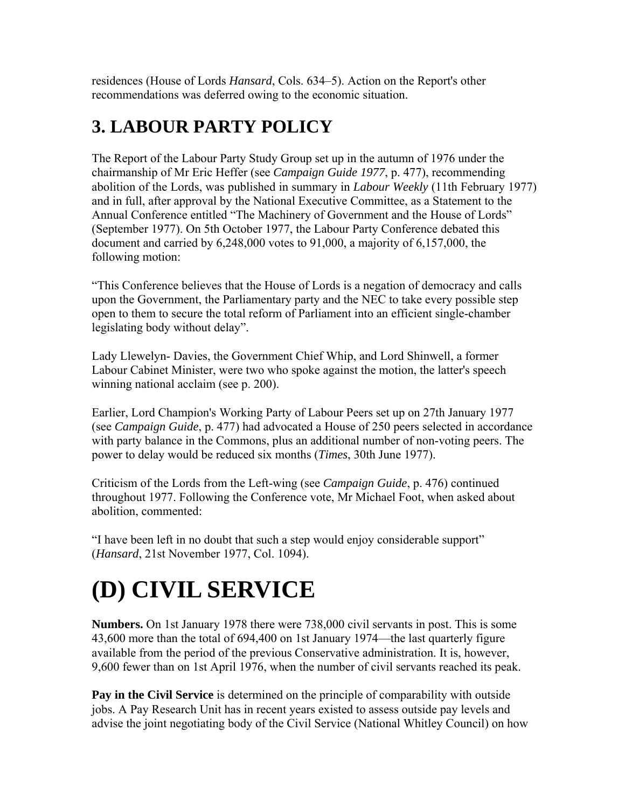residences (House of Lords *Hansard*, Cols. 634–5). Action on the Report's other recommendations was deferred owing to the economic situation.

#### **3. LABOUR PARTY POLICY**

The Report of the Labour Party Study Group set up in the autumn of 1976 under the chairmanship of Mr Eric Heffer (see *Campaign Guide 1977*, p. 477), recommending abolition of the Lords, was published in summary in *Labour Weekly* (11th February 1977) and in full, after approval by the National Executive Committee, as a Statement to the Annual Conference entitled "The Machinery of Government and the House of Lords" (September 1977). On 5th October 1977, the Labour Party Conference debated this document and carried by 6,248,000 votes to 91,000, a majority of 6,157,000, the following motion:

"This Conference believes that the House of Lords is a negation of democracy and calls upon the Government, the Parliamentary party and the NEC to take every possible step open to them to secure the total reform of Parliament into an efficient single-chamber legislating body without delay".

Lady Llewelyn- Davies, the Government Chief Whip, and Lord Shinwell, a former Labour Cabinet Minister, were two who spoke against the motion, the latter's speech winning national acclaim (see p. 200).

Earlier, Lord Champion's Working Party of Labour Peers set up on 27th January 1977 (see *Campaign Guide*, p. 477) had advocated a House of 250 peers selected in accordance with party balance in the Commons, plus an additional number of non-voting peers. The power to delay would be reduced six months (*Times*, 30th June 1977).

Criticism of the Lords from the Left-wing (see *Campaign Guide*, p. 476) continued throughout 1977. Following the Conference vote, Mr Michael Foot, when asked about abolition, commented:

"I have been left in no doubt that such a step would enjoy considerable support" (*Hansard*, 21st November 1977, Col. 1094).

# **(D) CIVIL SERVICE**

**Numbers.** On 1st January 1978 there were 738,000 civil servants in post. This is some 43,600 more than the total of 694,400 on 1st January 1974—the last quarterly figure available from the period of the previous Conservative administration. It is, however, 9,600 fewer than on 1st April 1976, when the number of civil servants reached its peak.

**Pay in the Civil Service** is determined on the principle of comparability with outside jobs. A Pay Research Unit has in recent years existed to assess outside pay levels and advise the joint negotiating body of the Civil Service (National Whitley Council) on how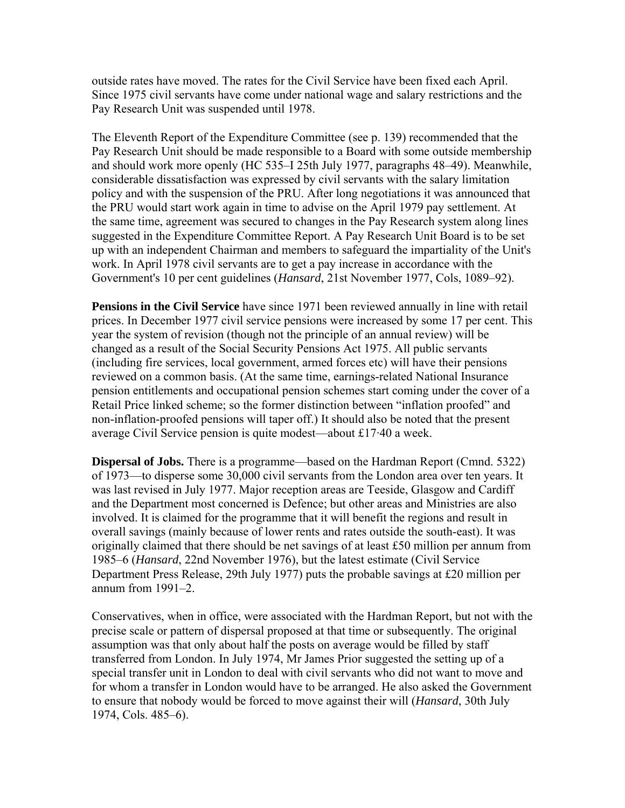outside rates have moved. The rates for the Civil Service have been fixed each April. Since 1975 civil servants have come under national wage and salary restrictions and the Pay Research Unit was suspended until 1978.

The Eleventh Report of the Expenditure Committee (see p. 139) recommended that the Pay Research Unit should be made responsible to a Board with some outside membership and should work more openly (HC 535–I 25th July 1977, paragraphs 48–49). Meanwhile, considerable dissatisfaction was expressed by civil servants with the salary limitation policy and with the suspension of the PRU. After long negotiations it was announced that the PRU would start work again in time to advise on the April 1979 pay settlement. At the same time, agreement was secured to changes in the Pay Research system along lines suggested in the Expenditure Committee Report. A Pay Research Unit Board is to be set up with an independent Chairman and members to safeguard the impartiality of the Unit's work. In April 1978 civil servants are to get a pay increase in accordance with the Government's 10 per cent guidelines (*Hansard*, 21st November 1977, Cols, 1089–92).

**Pensions in the Civil Service** have since 1971 been reviewed annually in line with retail prices. In December 1977 civil service pensions were increased by some 17 per cent. This year the system of revision (though not the principle of an annual review) will be changed as a result of the Social Security Pensions Act 1975. All public servants (including fire services, local government, armed forces etc) will have their pensions reviewed on a common basis. (At the same time, earnings-related National Insurance pension entitlements and occupational pension schemes start coming under the cover of a Retail Price linked scheme; so the former distinction between "inflation proofed" and non-inflation-proofed pensions will taper off.) It should also be noted that the present average Civil Service pension is quite modest—about £17·40 a week.

**Dispersal of Jobs.** There is a programme—based on the Hardman Report (Cmnd. 5322) of 1973—to disperse some 30,000 civil servants from the London area over ten years. It was last revised in July 1977. Major reception areas are Teeside, Glasgow and Cardiff and the Department most concerned is Defence; but other areas and Ministries are also involved. It is claimed for the programme that it will benefit the regions and result in overall savings (mainly because of lower rents and rates outside the south-east). It was originally claimed that there should be net savings of at least £50 million per annum from 1985–6 (*Hansard*, 22nd November 1976), but the latest estimate (Civil Service Department Press Release, 29th July 1977) puts the probable savings at £20 million per annum from 1991–2.

Conservatives, when in office, were associated with the Hardman Report, but not with the precise scale or pattern of dispersal proposed at that time or subsequently. The original assumption was that only about half the posts on average would be filled by staff transferred from London. In July 1974, Mr James Prior suggested the setting up of a special transfer unit in London to deal with civil servants who did not want to move and for whom a transfer in London would have to be arranged. He also asked the Government to ensure that nobody would be forced to move against their will (*Hansard*, 30th July 1974, Cols. 485–6).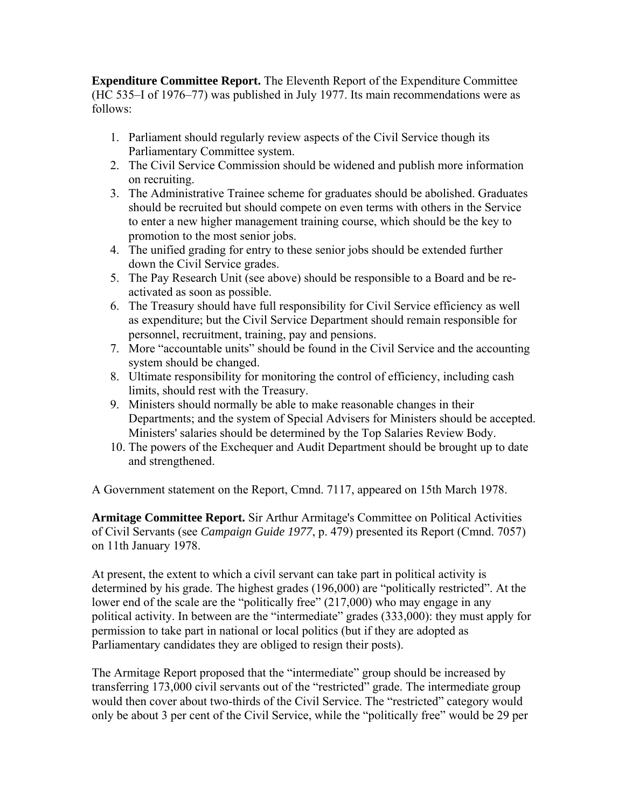**Expenditure Committee Report.** The Eleventh Report of the Expenditure Committee (HC 535–I of 1976–77) was published in July 1977. Its main recommendations were as follows:

- 1. Parliament should regularly review aspects of the Civil Service though its Parliamentary Committee system.
- 2. The Civil Service Commission should be widened and publish more information on recruiting.
- 3. The Administrative Trainee scheme for graduates should be abolished. Graduates should be recruited but should compete on even terms with others in the Service to enter a new higher management training course, which should be the key to promotion to the most senior jobs.
- 4. The unified grading for entry to these senior jobs should be extended further down the Civil Service grades.
- 5. The Pay Research Unit (see above) should be responsible to a Board and be reactivated as soon as possible.
- 6. The Treasury should have full responsibility for Civil Service efficiency as well as expenditure; but the Civil Service Department should remain responsible for personnel, recruitment, training, pay and pensions.
- 7. More "accountable units" should be found in the Civil Service and the accounting system should be changed.
- 8. Ultimate responsibility for monitoring the control of efficiency, including cash limits, should rest with the Treasury.
- 9. Ministers should normally be able to make reasonable changes in their Departments; and the system of Special Advisers for Ministers should be accepted. Ministers' salaries should be determined by the Top Salaries Review Body.
- 10. The powers of the Exchequer and Audit Department should be brought up to date and strengthened.

A Government statement on the Report, Cmnd. 7117, appeared on 15th March 1978.

**Armitage Committee Report.** Sir Arthur Armitage's Committee on Political Activities of Civil Servants (see *Campaign Guide 1977*, p. 479) presented its Report (Cmnd. 7057) on 11th January 1978.

At present, the extent to which a civil servant can take part in political activity is determined by his grade. The highest grades (196,000) are "politically restricted". At the lower end of the scale are the "politically free" (217,000) who may engage in any political activity. In between are the "intermediate" grades (333,000): they must apply for permission to take part in national or local politics (but if they are adopted as Parliamentary candidates they are obliged to resign their posts).

The Armitage Report proposed that the "intermediate" group should be increased by transferring 173,000 civil servants out of the "restricted" grade. The intermediate group would then cover about two-thirds of the Civil Service. The "restricted" category would only be about 3 per cent of the Civil Service, while the "politically free" would be 29 per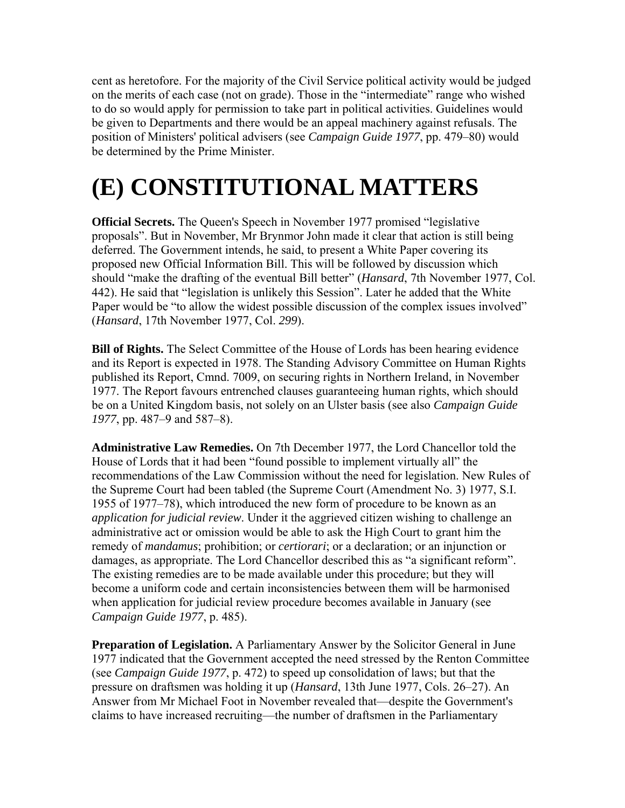cent as heretofore. For the majority of the Civil Service political activity would be judged on the merits of each case (not on grade). Those in the "intermediate" range who wished to do so would apply for permission to take part in political activities. Guidelines would be given to Departments and there would be an appeal machinery against refusals. The position of Ministers' political advisers (see *Campaign Guide 1977*, pp. 479–80) would be determined by the Prime Minister.

# **(E) CONSTITUTIONAL MATTERS**

**Official Secrets.** The Queen's Speech in November 1977 promised "legislative proposals". But in November, Mr Brynmor John made it clear that action is still being deferred. The Government intends, he said, to present a White Paper covering its proposed new Official Information Bill. This will be followed by discussion which should "make the drafting of the eventual Bill better" (*Hansard*, 7th November 1977, Col. 442). He said that "legislation is unlikely this Session". Later he added that the White Paper would be "to allow the widest possible discussion of the complex issues involved" (*Hansard*, 17th November 1977, Col. *299*).

**Bill of Rights.** The Select Committee of the House of Lords has been hearing evidence and its Report is expected in 1978. The Standing Advisory Committee on Human Rights published its Report, Cmnd. 7009, on securing rights in Northern Ireland, in November 1977. The Report favours entrenched clauses guaranteeing human rights, which should be on a United Kingdom basis, not solely on an Ulster basis (see also *Campaign Guide 1977*, pp. 487–9 and 587–8).

**Administrative Law Remedies.** On 7th December 1977, the Lord Chancellor told the House of Lords that it had been "found possible to implement virtually all" the recommendations of the Law Commission without the need for legislation. New Rules of the Supreme Court had been tabled (the Supreme Court (Amendment No. 3) 1977, S.I. 1955 of 1977–78), which introduced the new form of procedure to be known as an *application for judicial review*. Under it the aggrieved citizen wishing to challenge an administrative act or omission would be able to ask the High Court to grant him the remedy of *mandamus*; prohibition; or *certiorari*; or a declaration; or an injunction or damages, as appropriate. The Lord Chancellor described this as "a significant reform". The existing remedies are to be made available under this procedure; but they will become a uniform code and certain inconsistencies between them will be harmonised when application for judicial review procedure becomes available in January (see *Campaign Guide 1977*, p. 485).

**Preparation of Legislation.** A Parliamentary Answer by the Solicitor General in June 1977 indicated that the Government accepted the need stressed by the Renton Committee (see *Campaign Guide 1977*, p. 472) to speed up consolidation of laws; but that the pressure on draftsmen was holding it up (*Hansard*, 13th June 1977, Cols. 26–27). An Answer from Mr Michael Foot in November revealed that—despite the Government's claims to have increased recruiting—the number of draftsmen in the Parliamentary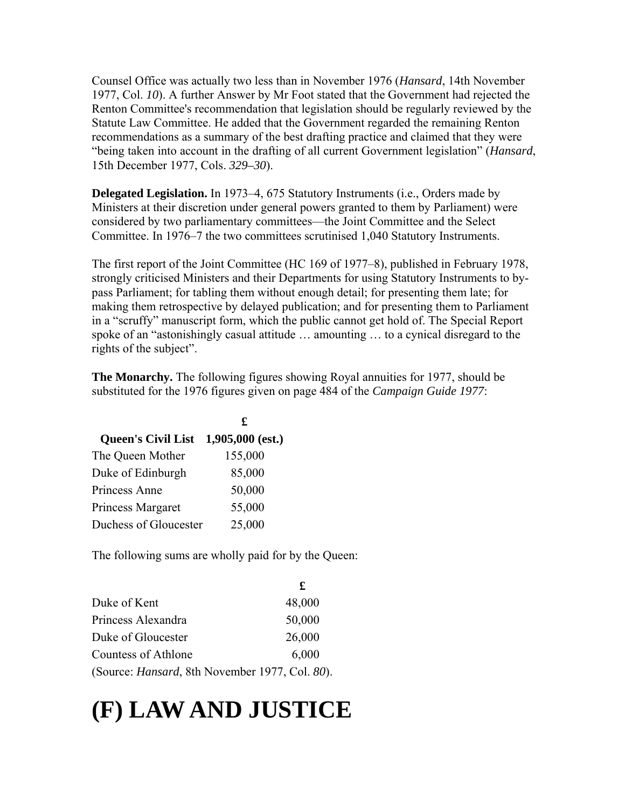Counsel Office was actually two less than in November 1976 (*Hansard*, 14th November 1977, Col. *10*). A further Answer by Mr Foot stated that the Government had rejected the Renton Committee's recommendation that legislation should be regularly reviewed by the Statute Law Committee. He added that the Government regarded the remaining Renton recommendations as a summary of the best drafting practice and claimed that they were "being taken into account in the drafting of all current Government legislation" (*Hansard*, 15th December 1977, Cols. *329–30*).

**Delegated Legislation.** In 1973–4, 675 Statutory Instruments (i.e., Orders made by Ministers at their discretion under general powers granted to them by Parliament) were considered by two parliamentary committees—the Joint Committee and the Select Committee. In 1976–7 the two committees scrutinised 1,040 Statutory Instruments.

The first report of the Joint Committee (HC 169 of 1977–8), published in February 1978, strongly criticised Ministers and their Departments for using Statutory Instruments to bypass Parliament; for tabling them without enough detail; for presenting them late; for making them retrospective by delayed publication; and for presenting them to Parliament in a "scruffy" manuscript form, which the public cannot get hold of. The Special Report spoke of an "astonishingly casual attitude … amounting … to a cynical disregard to the rights of the subject".

**The Monarchy.** The following figures showing Royal annuities for 1977, should be substituted for the 1976 figures given on page 484 of the *Campaign Guide 1977*:

| £                               |
|---------------------------------|
| $1,905,000$ (est.)              |
| 155,000                         |
| 85,000                          |
| 50,000                          |
| 55,000                          |
| 25,000<br>Duchess of Gloucester |
|                                 |

The following sums are wholly paid for by the Queen:

|                                                        | £      |
|--------------------------------------------------------|--------|
| Duke of Kent                                           | 48,000 |
| Princess Alexandra                                     | 50,000 |
| Duke of Gloucester                                     | 26,000 |
| Countess of Athlone                                    | 6,000  |
| (Source: <i>Hansard</i> , 8th November 1977, Col. 80). |        |

# **(F) LAW AND JUSTICE**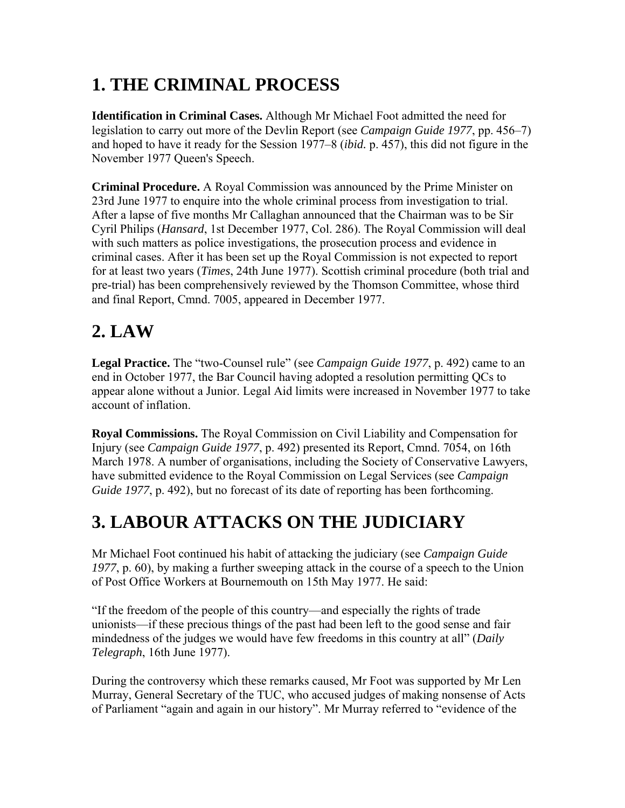# **1. THE CRIMINAL PROCESS**

**Identification in Criminal Cases.** Although Mr Michael Foot admitted the need for legislation to carry out more of the Devlin Report (see *Campaign Guide 1977*, pp. 456–7) and hoped to have it ready for the Session 1977–8 (*ibid.* p. 457), this did not figure in the November 1977 Queen's Speech.

**Criminal Procedure.** A Royal Commission was announced by the Prime Minister on 23rd June 1977 to enquire into the whole criminal process from investigation to trial. After a lapse of five months Mr Callaghan announced that the Chairman was to be Sir Cyril Philips (*Hansard*, 1st December 1977, Col. 286). The Royal Commission will deal with such matters as police investigations, the prosecution process and evidence in criminal cases. After it has been set up the Royal Commission is not expected to report for at least two years (*Times*, 24th June 1977). Scottish criminal procedure (both trial and pre-trial) has been comprehensively reviewed by the Thomson Committee, whose third and final Report, Cmnd. 7005, appeared in December 1977.

# **2. LAW**

**Legal Practice.** The "two-Counsel rule" (see *Campaign Guide 1977*, p. 492) came to an end in October 1977, the Bar Council having adopted a resolution permitting QCs to appear alone without a Junior. Legal Aid limits were increased in November 1977 to take account of inflation.

**Royal Commissions.** The Royal Commission on Civil Liability and Compensation for Injury (see *Campaign Guide 1977*, p. 492) presented its Report, Cmnd. 7054, on 16th March 1978. A number of organisations, including the Society of Conservative Lawyers, have submitted evidence to the Royal Commission on Legal Services (see *Campaign Guide 1977*, p. 492), but no forecast of its date of reporting has been forthcoming.

### **3. LABOUR ATTACKS ON THE JUDICIARY**

Mr Michael Foot continued his habit of attacking the judiciary (see *Campaign Guide 1977*, p. 60), by making a further sweeping attack in the course of a speech to the Union of Post Office Workers at Bournemouth on 15th May 1977. He said:

"If the freedom of the people of this country—and especially the rights of trade unionists—if these precious things of the past had been left to the good sense and fair mindedness of the judges we would have few freedoms in this country at all" (*Daily Telegraph*, 16th June 1977).

During the controversy which these remarks caused, Mr Foot was supported by Mr Len Murray, General Secretary of the TUC, who accused judges of making nonsense of Acts of Parliament "again and again in our history". Mr Murray referred to "evidence of the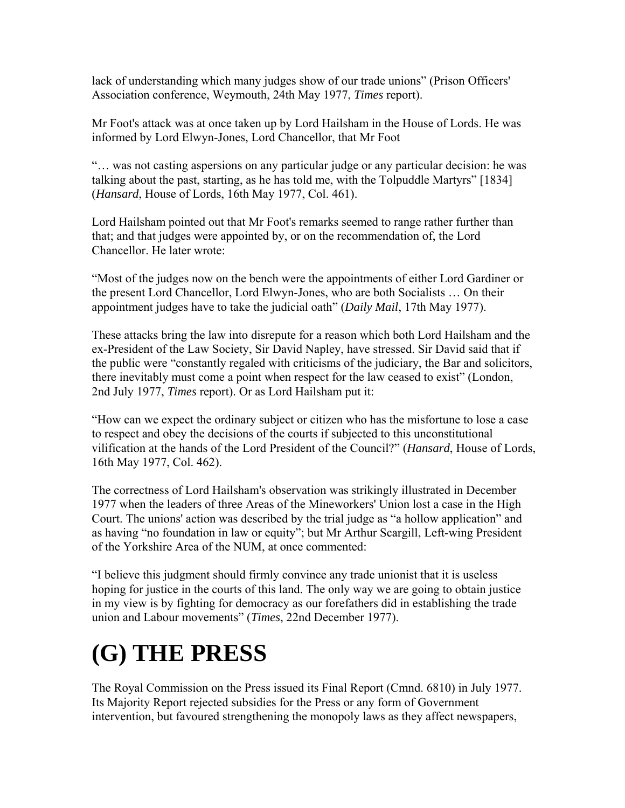lack of understanding which many judges show of our trade unions" (Prison Officers' Association conference, Weymouth, 24th May 1977, *Times* report).

Mr Foot's attack was at once taken up by Lord Hailsham in the House of Lords. He was informed by Lord Elwyn-Jones, Lord Chancellor, that Mr Foot

"… was not casting aspersions on any particular judge or any particular decision: he was talking about the past, starting, as he has told me, with the Tolpuddle Martyrs" [1834] (*Hansard*, House of Lords, 16th May 1977, Col. 461).

Lord Hailsham pointed out that Mr Foot's remarks seemed to range rather further than that; and that judges were appointed by, or on the recommendation of, the Lord Chancellor. He later wrote:

"Most of the judges now on the bench were the appointments of either Lord Gardiner or the present Lord Chancellor, Lord Elwyn-Jones, who are both Socialists … On their appointment judges have to take the judicial oath" (*Daily Mail*, 17th May 1977).

These attacks bring the law into disrepute for a reason which both Lord Hailsham and the ex-President of the Law Society, Sir David Napley, have stressed. Sir David said that if the public were "constantly regaled with criticisms of the judiciary, the Bar and solicitors, there inevitably must come a point when respect for the law ceased to exist" (London, 2nd July 1977, *Times* report). Or as Lord Hailsham put it:

"How can we expect the ordinary subject or citizen who has the misfortune to lose a case to respect and obey the decisions of the courts if subjected to this unconstitutional vilification at the hands of the Lord President of the Council?" (*Hansard*, House of Lords, 16th May 1977, Col. 462).

The correctness of Lord Hailsham's observation was strikingly illustrated in December 1977 when the leaders of three Areas of the Mineworkers' Union lost a case in the High Court. The unions' action was described by the trial judge as "a hollow application" and as having "no foundation in law or equity"; but Mr Arthur Scargill, Left-wing President of the Yorkshire Area of the NUM, at once commented:

"I believe this judgment should firmly convince any trade unionist that it is useless hoping for justice in the courts of this land. The only way we are going to obtain justice in my view is by fighting for democracy as our forefathers did in establishing the trade union and Labour movements" (*Times*, 22nd December 1977).

# **(G) THE PRESS**

The Royal Commission on the Press issued its Final Report (Cmnd. 6810) in July 1977. Its Majority Report rejected subsidies for the Press or any form of Government intervention, but favoured strengthening the monopoly laws as they affect newspapers,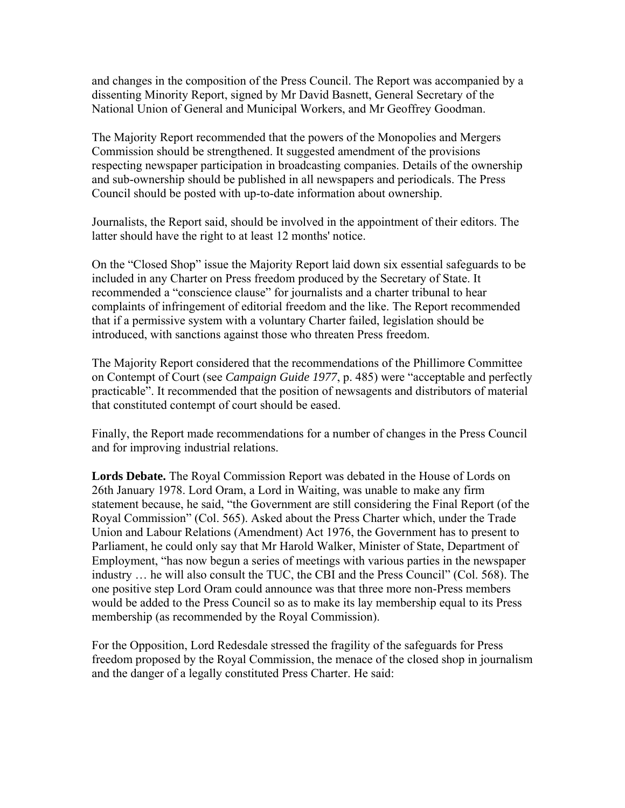and changes in the composition of the Press Council. The Report was accompanied by a dissenting Minority Report, signed by Mr David Basnett, General Secretary of the National Union of General and Municipal Workers, and Mr Geoffrey Goodman.

The Majority Report recommended that the powers of the Monopolies and Mergers Commission should be strengthened. It suggested amendment of the provisions respecting newspaper participation in broadcasting companies. Details of the ownership and sub-ownership should be published in all newspapers and periodicals. The Press Council should be posted with up-to-date information about ownership.

Journalists, the Report said, should be involved in the appointment of their editors. The latter should have the right to at least 12 months' notice.

On the "Closed Shop" issue the Majority Report laid down six essential safeguards to be included in any Charter on Press freedom produced by the Secretary of State. It recommended a "conscience clause" for journalists and a charter tribunal to hear complaints of infringement of editorial freedom and the like. The Report recommended that if a permissive system with a voluntary Charter failed, legislation should be introduced, with sanctions against those who threaten Press freedom.

The Majority Report considered that the recommendations of the Phillimore Committee on Contempt of Court (see *Campaign Guide 1977*, p. 485) were "acceptable and perfectly practicable". It recommended that the position of newsagents and distributors of material that constituted contempt of court should be eased.

Finally, the Report made recommendations for a number of changes in the Press Council and for improving industrial relations.

**Lords Debate.** The Royal Commission Report was debated in the House of Lords on 26th January 1978. Lord Oram, a Lord in Waiting, was unable to make any firm statement because, he said, "the Government are still considering the Final Report (of the Royal Commission" (Col. 565). Asked about the Press Charter which, under the Trade Union and Labour Relations (Amendment) Act 1976, the Government has to present to Parliament, he could only say that Mr Harold Walker, Minister of State, Department of Employment, "has now begun a series of meetings with various parties in the newspaper industry … he will also consult the TUC, the CBI and the Press Council" (Col. 568). The one positive step Lord Oram could announce was that three more non-Press members would be added to the Press Council so as to make its lay membership equal to its Press membership (as recommended by the Royal Commission).

For the Opposition, Lord Redesdale stressed the fragility of the safeguards for Press freedom proposed by the Royal Commission, the menace of the closed shop in journalism and the danger of a legally constituted Press Charter. He said: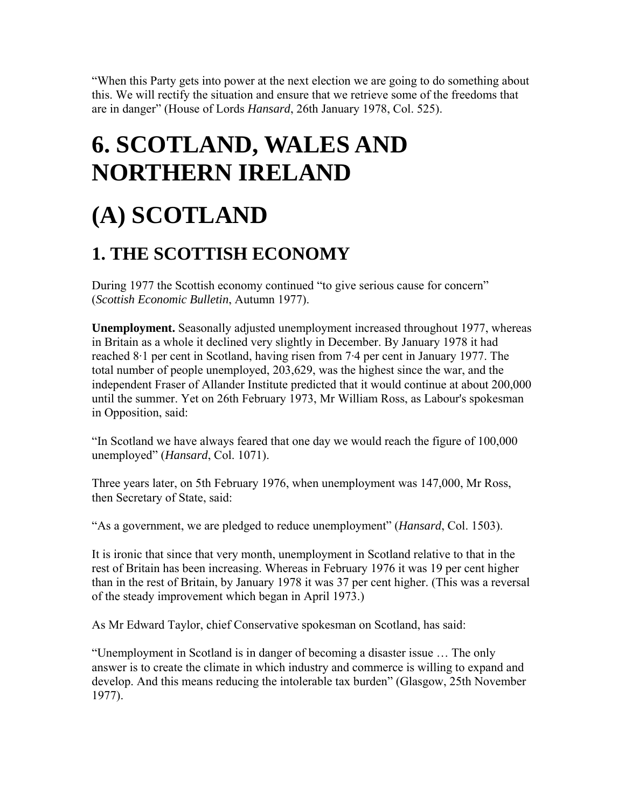"When this Party gets into power at the next election we are going to do something about this. We will rectify the situation and ensure that we retrieve some of the freedoms that are in danger" (House of Lords *Hansard*, 26th January 1978, Col. 525).

# **6. SCOTLAND, WALES AND NORTHERN IRELAND**

# **(A) SCOTLAND**

#### **1. THE SCOTTISH ECONOMY**

During 1977 the Scottish economy continued "to give serious cause for concern" (*Scottish Economic Bulletin*, Autumn 1977).

**Unemployment.** Seasonally adjusted unemployment increased throughout 1977, whereas in Britain as a whole it declined very slightly in December. By January 1978 it had reached 8·1 per cent in Scotland, having risen from 7·4 per cent in January 1977. The total number of people unemployed, 203,629, was the highest since the war, and the independent Fraser of Allander Institute predicted that it would continue at about 200,000 until the summer. Yet on 26th February 1973, Mr William Ross, as Labour's spokesman in Opposition, said:

"In Scotland we have always feared that one day we would reach the figure of 100,000 unemployed" (*Hansard*, Col. 1071).

Three years later, on 5th February 1976, when unemployment was 147,000, Mr Ross, then Secretary of State, said:

"As a government, we are pledged to reduce unemployment" (*Hansard*, Col. 1503).

It is ironic that since that very month, unemployment in Scotland relative to that in the rest of Britain has been increasing. Whereas in February 1976 it was 19 per cent higher than in the rest of Britain, by January 1978 it was 37 per cent higher. (This was a reversal of the steady improvement which began in April 1973.)

As Mr Edward Taylor, chief Conservative spokesman on Scotland, has said:

"Unemployment in Scotland is in danger of becoming a disaster issue … The only answer is to create the climate in which industry and commerce is willing to expand and develop. And this means reducing the intolerable tax burden" (Glasgow, 25th November 1977).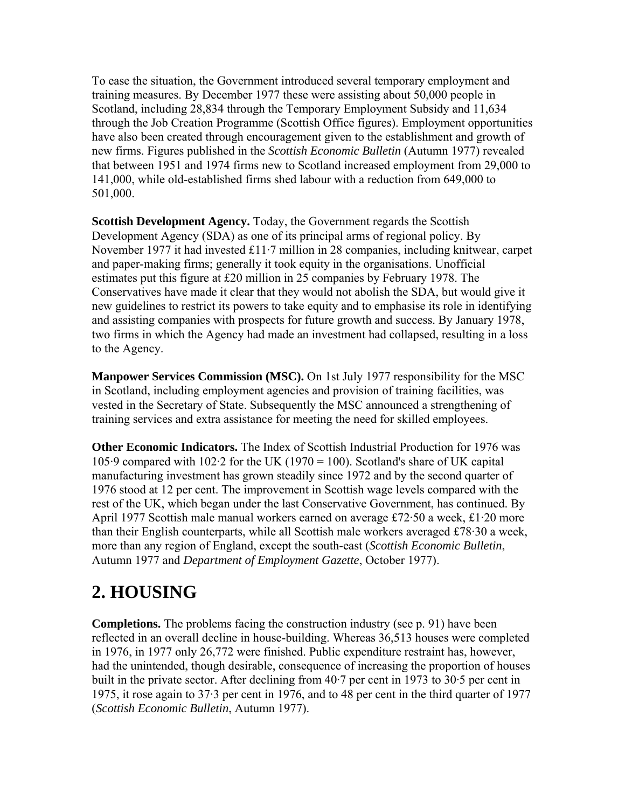To ease the situation, the Government introduced several temporary employment and training measures. By December 1977 these were assisting about 50,000 people in Scotland, including 28,834 through the Temporary Employment Subsidy and 11,634 through the Job Creation Programme (Scottish Office figures). Employment opportunities have also been created through encouragement given to the establishment and growth of new firms. Figures published in the *Scottish Economic Bulletin* (Autumn 1977) revealed that between 1951 and 1974 firms new to Scotland increased employment from 29,000 to 141,000, while old-established firms shed labour with a reduction from 649,000 to 501,000.

**Scottish Development Agency.** Today, the Government regards the Scottish Development Agency (SDA) as one of its principal arms of regional policy. By November 1977 it had invested £11·7 million in 28 companies, including knitwear, carpet and paper-making firms; generally it took equity in the organisations. Unofficial estimates put this figure at £20 million in 25 companies by February 1978. The Conservatives have made it clear that they would not abolish the SDA, but would give it new guidelines to restrict its powers to take equity and to emphasise its role in identifying and assisting companies with prospects for future growth and success. By January 1978, two firms in which the Agency had made an investment had collapsed, resulting in a loss to the Agency.

**Manpower Services Commission (MSC).** On 1st July 1977 responsibility for the MSC in Scotland, including employment agencies and provision of training facilities, was vested in the Secretary of State. Subsequently the MSC announced a strengthening of training services and extra assistance for meeting the need for skilled employees.

**Other Economic Indicators.** The Index of Scottish Industrial Production for 1976 was 105·9 compared with 102·2 for the UK (1970 = 100). Scotland's share of UK capital manufacturing investment has grown steadily since 1972 and by the second quarter of 1976 stood at 12 per cent. The improvement in Scottish wage levels compared with the rest of the UK, which began under the last Conservative Government, has continued. By April 1977 Scottish male manual workers earned on average £72·50 a week, £1·20 more than their English counterparts, while all Scottish male workers averaged £78·30 a week, more than any region of England, except the south-east (*Scottish Economic Bulletin*, Autumn 1977 and *Department of Employment Gazette*, October 1977).

### **2. HOUSING**

**Completions.** The problems facing the construction industry (see p. 91) have been reflected in an overall decline in house-building. Whereas 36,513 houses were completed in 1976, in 1977 only 26,772 were finished. Public expenditure restraint has, however, had the unintended, though desirable, consequence of increasing the proportion of houses built in the private sector. After declining from 40·7 per cent in 1973 to 30·5 per cent in 1975, it rose again to 37·3 per cent in 1976, and to 48 per cent in the third quarter of 1977 (*Scottish Economic Bulletin*, Autumn 1977).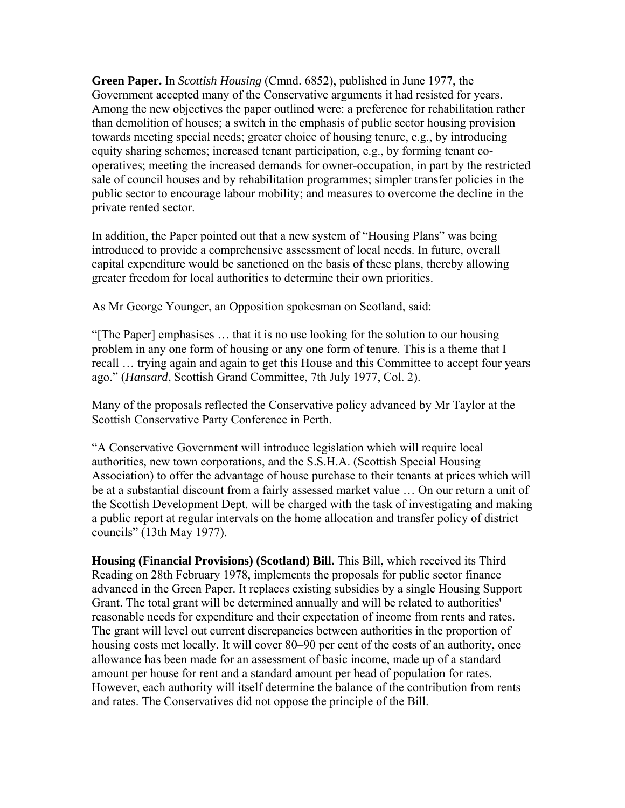**Green Paper.** In *Scottish Housing* (Cmnd. 6852), published in June 1977, the Government accepted many of the Conservative arguments it had resisted for years. Among the new objectives the paper outlined were: a preference for rehabilitation rather than demolition of houses; a switch in the emphasis of public sector housing provision towards meeting special needs; greater choice of housing tenure, e.g., by introducing equity sharing schemes; increased tenant participation, e.g., by forming tenant cooperatives; meeting the increased demands for owner-occupation, in part by the restricted sale of council houses and by rehabilitation programmes; simpler transfer policies in the public sector to encourage labour mobility; and measures to overcome the decline in the private rented sector.

In addition, the Paper pointed out that a new system of "Housing Plans" was being introduced to provide a comprehensive assessment of local needs. In future, overall capital expenditure would be sanctioned on the basis of these plans, thereby allowing greater freedom for local authorities to determine their own priorities.

As Mr George Younger, an Opposition spokesman on Scotland, said:

"[The Paper] emphasises … that it is no use looking for the solution to our housing problem in any one form of housing or any one form of tenure. This is a theme that I recall … trying again and again to get this House and this Committee to accept four years ago." (*Hansard*, Scottish Grand Committee, 7th July 1977, Col. 2).

Many of the proposals reflected the Conservative policy advanced by Mr Taylor at the Scottish Conservative Party Conference in Perth.

"A Conservative Government will introduce legislation which will require local authorities, new town corporations, and the S.S.H.A. (Scottish Special Housing Association) to offer the advantage of house purchase to their tenants at prices which will be at a substantial discount from a fairly assessed market value … On our return a unit of the Scottish Development Dept. will be charged with the task of investigating and making a public report at regular intervals on the home allocation and transfer policy of district councils" (13th May 1977).

**Housing (Financial Provisions) (Scotland) Bill.** This Bill, which received its Third Reading on 28th February 1978, implements the proposals for public sector finance advanced in the Green Paper. It replaces existing subsidies by a single Housing Support Grant. The total grant will be determined annually and will be related to authorities' reasonable needs for expenditure and their expectation of income from rents and rates. The grant will level out current discrepancies between authorities in the proportion of housing costs met locally. It will cover 80–90 per cent of the costs of an authority, once allowance has been made for an assessment of basic income, made up of a standard amount per house for rent and a standard amount per head of population for rates. However, each authority will itself determine the balance of the contribution from rents and rates. The Conservatives did not oppose the principle of the Bill.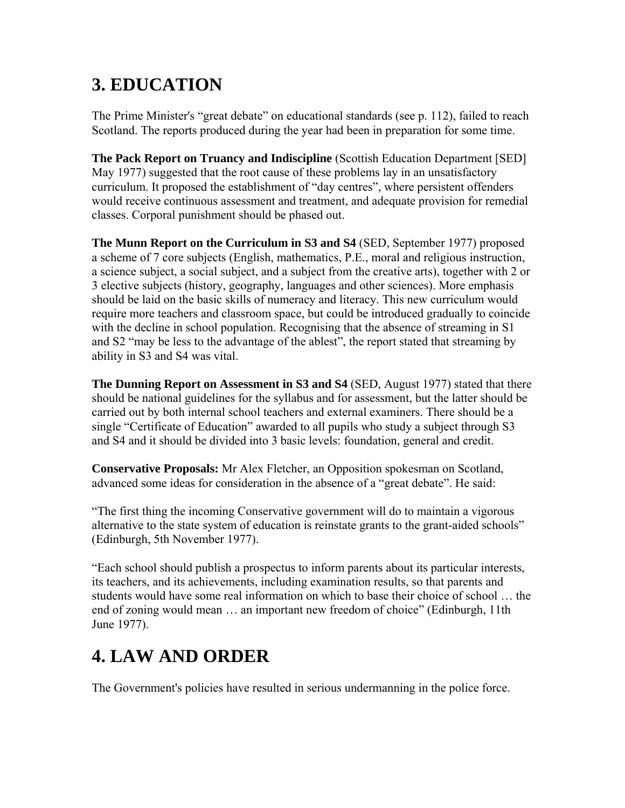### **3. EDUCATION**

The Prime Minister's "great debate" on educational standards (see p. 112), failed to reach Scotland. The reports produced during the year had been in preparation for some time.

**The Pack Report on Truancy and Indiscipline** (Scottish Education Department [SED] May 1977) suggested that the root cause of these problems lay in an unsatisfactory curriculum. It proposed the establishment of "day centres", where persistent offenders would receive continuous assessment and treatment, and adequate provision for remedial classes. Corporal punishment should be phased out.

**The Munn Report on the Curriculum in S3 and S4** (SED, September 1977) proposed a scheme of 7 core subjects (English, mathematics, P.E., moral and religious instruction, a science subject, a social subject, and a subject from the creative arts), together with 2 or 3 elective subjects (history, geography, languages and other sciences). More emphasis should be laid on the basic skills of numeracy and literacy. This new curriculum would require more teachers and classroom space, but could be introduced gradually to coincide with the decline in school population. Recognising that the absence of streaming in S1 and S2 "may be less to the advantage of the ablest", the report stated that streaming by ability in S3 and S4 was vital.

**The Dunning Report on Assessment in S3 and S4** (SED, August 1977) stated that there should be national guidelines for the syllabus and for assessment, but the latter should be carried out by both internal school teachers and external examiners. There should be a single "Certificate of Education" awarded to all pupils who study a subject through S3 and S4 and it should be divided into 3 basic levels: foundation, general and credit.

**Conservative Proposals:** Mr Alex Fletcher, an Opposition spokesman on Scotland, advanced some ideas for consideration in the absence of a "great debate". He said:

"The first thing the incoming Conservative government will do to maintain a vigorous alternative to the state system of education is reinstate grants to the grant-aided schools" (Edinburgh, 5th November 1977).

"Each school should publish a prospectus to inform parents about its particular interests, its teachers, and its achievements, including examination results, so that parents and students would have some real information on which to base their choice of school … the end of zoning would mean … an important new freedom of choice" (Edinburgh, 11th June 1977).

### **4. LAW AND ORDER**

The Government's policies have resulted in serious undermanning in the police force.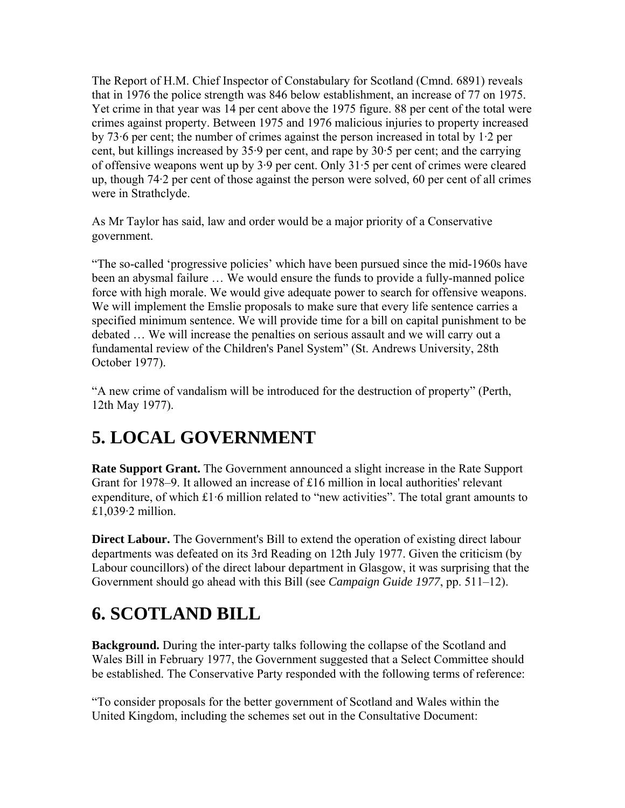The Report of H.M. Chief Inspector of Constabulary for Scotland (Cmnd. 6891) reveals that in 1976 the police strength was 846 below establishment, an increase of 77 on 1975. Yet crime in that year was 14 per cent above the 1975 figure. 88 per cent of the total were crimes against property. Between 1975 and 1976 malicious injuries to property increased by 73·6 per cent; the number of crimes against the person increased in total by 1·2 per cent, but killings increased by 35·9 per cent, and rape by 30·5 per cent; and the carrying of offensive weapons went up by 3·9 per cent. Only 31·5 per cent of crimes were cleared up, though 74·2 per cent of those against the person were solved, 60 per cent of all crimes were in Strathclyde.

As Mr Taylor has said, law and order would be a major priority of a Conservative government.

"The so-called 'progressive policies' which have been pursued since the mid-1960s have been an abysmal failure … We would ensure the funds to provide a fully-manned police force with high morale. We would give adequate power to search for offensive weapons. We will implement the Emslie proposals to make sure that every life sentence carries a specified minimum sentence. We will provide time for a bill on capital punishment to be debated … We will increase the penalties on serious assault and we will carry out a fundamental review of the Children's Panel System" (St. Andrews University, 28th October 1977).

"A new crime of vandalism will be introduced for the destruction of property" (Perth, 12th May 1977).

# **5. LOCAL GOVERNMENT**

**Rate Support Grant.** The Government announced a slight increase in the Rate Support Grant for 1978–9. It allowed an increase of £16 million in local authorities' relevant expenditure, of which £1·6 million related to "new activities". The total grant amounts to  $£1,039.2$  million.

**Direct Labour.** The Government's Bill to extend the operation of existing direct labour departments was defeated on its 3rd Reading on 12th July 1977. Given the criticism (by Labour councillors) of the direct labour department in Glasgow, it was surprising that the Government should go ahead with this Bill (see *Campaign Guide 1977*, pp. 511–12).

### **6. SCOTLAND BILL**

**Background.** During the inter-party talks following the collapse of the Scotland and Wales Bill in February 1977, the Government suggested that a Select Committee should be established. The Conservative Party responded with the following terms of reference:

"To consider proposals for the better government of Scotland and Wales within the United Kingdom, including the schemes set out in the Consultative Document: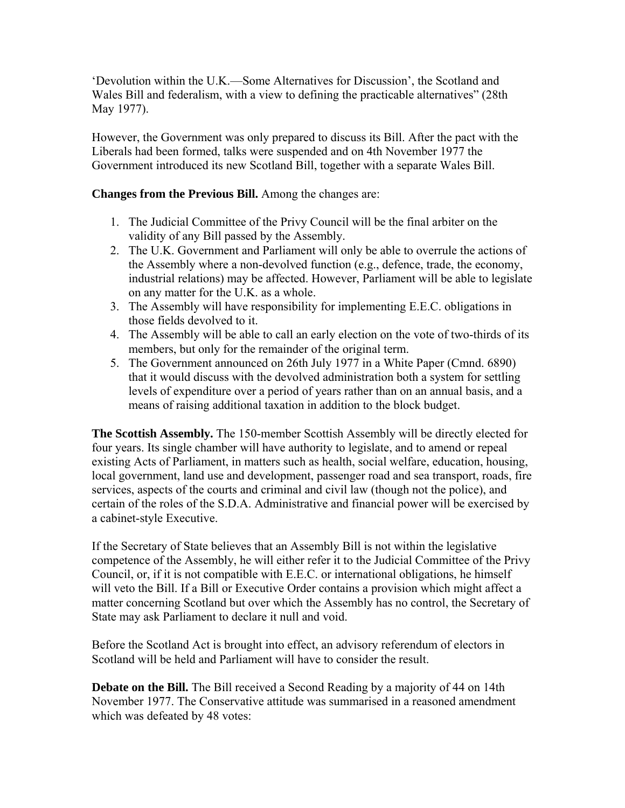'Devolution within the U.K.—Some Alternatives for Discussion', the Scotland and Wales Bill and federalism, with a view to defining the practicable alternatives" (28th May 1977).

However, the Government was only prepared to discuss its Bill. After the pact with the Liberals had been formed, talks were suspended and on 4th November 1977 the Government introduced its new Scotland Bill, together with a separate Wales Bill.

#### **Changes from the Previous Bill.** Among the changes are:

- 1. The Judicial Committee of the Privy Council will be the final arbiter on the validity of any Bill passed by the Assembly.
- 2. The U.K. Government and Parliament will only be able to overrule the actions of the Assembly where a non-devolved function (e.g., defence, trade, the economy, industrial relations) may be affected. However, Parliament will be able to legislate on any matter for the U.K. as a whole.
- 3. The Assembly will have responsibility for implementing E.E.C. obligations in those fields devolved to it.
- 4. The Assembly will be able to call an early election on the vote of two-thirds of its members, but only for the remainder of the original term.
- 5. The Government announced on 26th July 1977 in a White Paper (Cmnd. 6890) that it would discuss with the devolved administration both a system for settling levels of expenditure over a period of years rather than on an annual basis, and a means of raising additional taxation in addition to the block budget.

**The Scottish Assembly.** The 150-member Scottish Assembly will be directly elected for four years. Its single chamber will have authority to legislate, and to amend or repeal existing Acts of Parliament, in matters such as health, social welfare, education, housing, local government, land use and development, passenger road and sea transport, roads, fire services, aspects of the courts and criminal and civil law (though not the police), and certain of the roles of the S.D.A. Administrative and financial power will be exercised by a cabinet-style Executive.

If the Secretary of State believes that an Assembly Bill is not within the legislative competence of the Assembly, he will either refer it to the Judicial Committee of the Privy Council, or, if it is not compatible with E.E.C. or international obligations, he himself will veto the Bill. If a Bill or Executive Order contains a provision which might affect a matter concerning Scotland but over which the Assembly has no control, the Secretary of State may ask Parliament to declare it null and void.

Before the Scotland Act is brought into effect, an advisory referendum of electors in Scotland will be held and Parliament will have to consider the result.

**Debate on the Bill.** The Bill received a Second Reading by a majority of 44 on 14th November 1977. The Conservative attitude was summarised in a reasoned amendment which was defeated by 48 votes: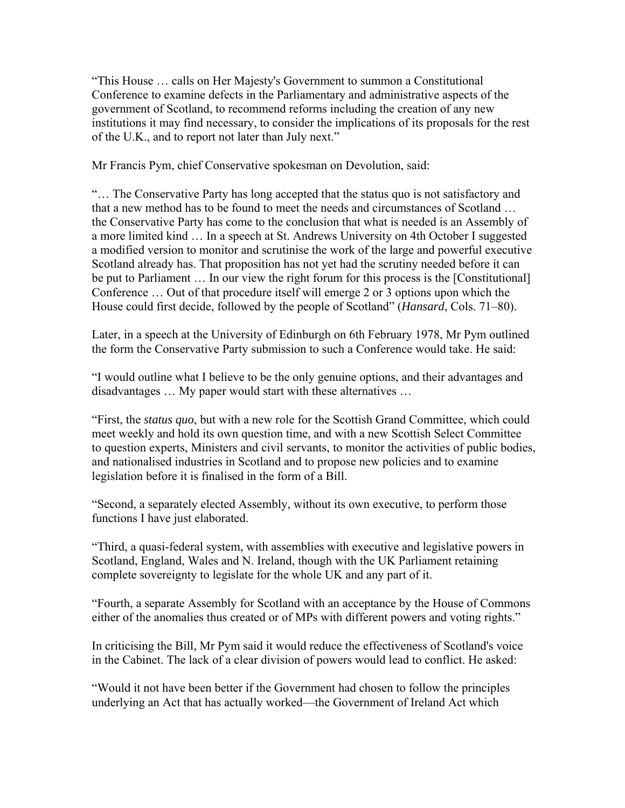"This House … calls on Her Majesty's Government to summon a Constitutional Conference to examine defects in the Parliamentary and administrative aspects of the government of Scotland, to recommend reforms including the creation of any new institutions it may find necessary, to consider the implications of its proposals for the rest of the U.K., and to report not later than July next."

Mr Francis Pym, chief Conservative spokesman on Devolution, said:

"… The Conservative Party has long accepted that the status quo is not satisfactory and that a new method has to be found to meet the needs and circumstances of Scotland … the Conservative Party has come to the conclusion that what is needed is an Assembly of a more limited kind … In a speech at St. Andrews University on 4th October I suggested a modified version to monitor and scrutinise the work of the large and powerful executive Scotland already has. That proposition has not yet had the scrutiny needed before it can be put to Parliament … In our view the right forum for this process is the [Constitutional] Conference … Out of that procedure itself will emerge 2 or 3 options upon which the House could first decide, followed by the people of Scotland" (*Hansard*, Cols. 71–80).

Later, in a speech at the University of Edinburgh on 6th February 1978, Mr Pym outlined the form the Conservative Party submission to such a Conference would take. He said:

"I would outline what I believe to be the only genuine options, and their advantages and disadvantages … My paper would start with these alternatives …

"First, the *status quo*, but with a new role for the Scottish Grand Committee, which could meet weekly and hold its own question time, and with a new Scottish Select Committee to question experts, Ministers and civil servants, to monitor the activities of public bodies, and nationalised industries in Scotland and to propose new policies and to examine legislation before it is finalised in the form of a Bill.

"Second, a separately elected Assembly, without its own executive, to perform those functions I have just elaborated.

"Third, a quasi-federal system, with assemblies with executive and legislative powers in Scotland, England, Wales and N. Ireland, though with the UK Parliament retaining complete sovereignty to legislate for the whole UK and any part of it.

"Fourth, a separate Assembly for Scotland with an acceptance by the House of Commons either of the anomalies thus created or of MPs with different powers and voting rights."

In criticising the Bill, Mr Pym said it would reduce the effectiveness of Scotland's voice in the Cabinet. The lack of a clear division of powers would lead to conflict. He asked:

"Would it not have been better if the Government had chosen to follow the principles underlying an Act that has actually worked—the Government of Ireland Act which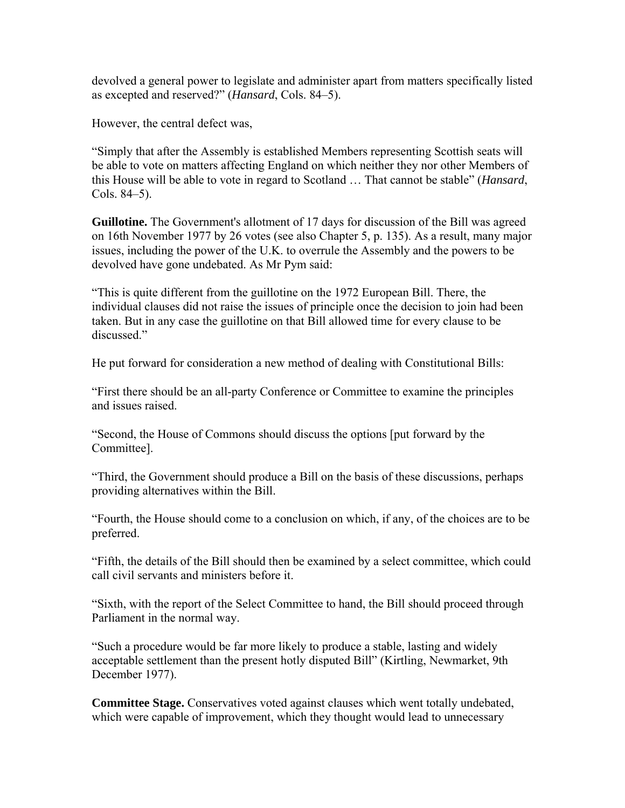devolved a general power to legislate and administer apart from matters specifically listed as excepted and reserved?" (*Hansard*, Cols. 84–5).

However, the central defect was,

"Simply that after the Assembly is established Members representing Scottish seats will be able to vote on matters affecting England on which neither they nor other Members of this House will be able to vote in regard to Scotland … That cannot be stable" (*Hansard*, Cols. 84–5).

**Guillotine.** The Government's allotment of 17 days for discussion of the Bill was agreed on 16th November 1977 by 26 votes (see also Chapter 5, p. 135). As a result, many major issues, including the power of the U.K. to overrule the Assembly and the powers to be devolved have gone undebated. As Mr Pym said:

"This is quite different from the guillotine on the 1972 European Bill. There, the individual clauses did not raise the issues of principle once the decision to join had been taken. But in any case the guillotine on that Bill allowed time for every clause to be discussed."

He put forward for consideration a new method of dealing with Constitutional Bills:

"First there should be an all-party Conference or Committee to examine the principles and issues raised.

"Second, the House of Commons should discuss the options [put forward by the Committee].

"Third, the Government should produce a Bill on the basis of these discussions, perhaps providing alternatives within the Bill.

"Fourth, the House should come to a conclusion on which, if any, of the choices are to be preferred.

"Fifth, the details of the Bill should then be examined by a select committee, which could call civil servants and ministers before it.

"Sixth, with the report of the Select Committee to hand, the Bill should proceed through Parliament in the normal way.

"Such a procedure would be far more likely to produce a stable, lasting and widely acceptable settlement than the present hotly disputed Bill" (Kirtling, Newmarket, 9th December 1977).

**Committee Stage.** Conservatives voted against clauses which went totally undebated, which were capable of improvement, which they thought would lead to unnecessary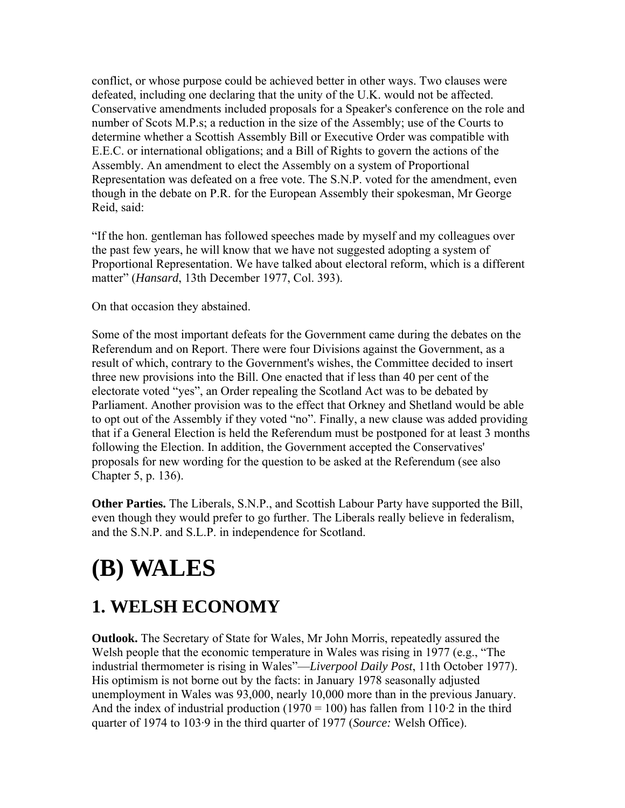conflict, or whose purpose could be achieved better in other ways. Two clauses were defeated, including one declaring that the unity of the U.K. would not be affected. Conservative amendments included proposals for a Speaker's conference on the role and number of Scots M.P.s; a reduction in the size of the Assembly; use of the Courts to determine whether a Scottish Assembly Bill or Executive Order was compatible with E.E.C. or international obligations; and a Bill of Rights to govern the actions of the Assembly. An amendment to elect the Assembly on a system of Proportional Representation was defeated on a free vote. The S.N.P. voted for the amendment, even though in the debate on P.R. for the European Assembly their spokesman, Mr George Reid, said:

"If the hon. gentleman has followed speeches made by myself and my colleagues over the past few years, he will know that we have not suggested adopting a system of Proportional Representation. We have talked about electoral reform, which is a different matter" (*Hansard*, 13th December 1977, Col. 393).

On that occasion they abstained.

Some of the most important defeats for the Government came during the debates on the Referendum and on Report. There were four Divisions against the Government, as a result of which, contrary to the Government's wishes, the Committee decided to insert three new provisions into the Bill. One enacted that if less than 40 per cent of the electorate voted "yes", an Order repealing the Scotland Act was to be debated by Parliament. Another provision was to the effect that Orkney and Shetland would be able to opt out of the Assembly if they voted "no". Finally, a new clause was added providing that if a General Election is held the Referendum must be postponed for at least 3 months following the Election. In addition, the Government accepted the Conservatives' proposals for new wording for the question to be asked at the Referendum (see also Chapter 5, p. 136).

**Other Parties.** The Liberals, S.N.P., and Scottish Labour Party have supported the Bill, even though they would prefer to go further. The Liberals really believe in federalism, and the S.N.P. and S.L.P. in independence for Scotland.

# **(B) WALES**

### **1. WELSH ECONOMY**

**Outlook.** The Secretary of State for Wales, Mr John Morris, repeatedly assured the Welsh people that the economic temperature in Wales was rising in 1977 (e.g., "The industrial thermometer is rising in Wales"—*Liverpool Daily Post*, 11th October 1977). His optimism is not borne out by the facts: in January 1978 seasonally adjusted unemployment in Wales was 93,000, nearly 10,000 more than in the previous January. And the index of industrial production (1970 = 100) has fallen from  $110.2$  in the third quarter of 1974 to 103·9 in the third quarter of 1977 (*Source:* Welsh Office).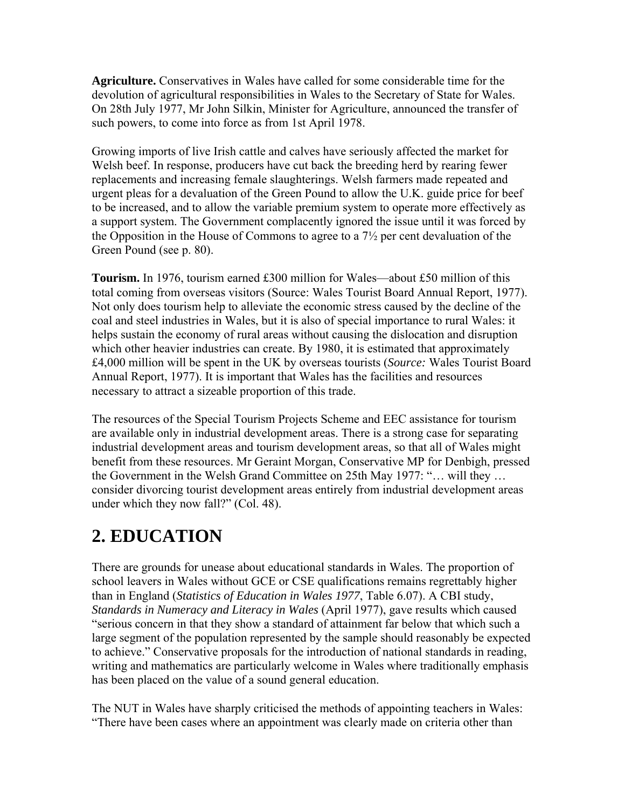**Agriculture.** Conservatives in Wales have called for some considerable time for the devolution of agricultural responsibilities in Wales to the Secretary of State for Wales. On 28th July 1977, Mr John Silkin, Minister for Agriculture, announced the transfer of such powers, to come into force as from 1st April 1978.

Growing imports of live Irish cattle and calves have seriously affected the market for Welsh beef. In response, producers have cut back the breeding herd by rearing fewer replacements and increasing female slaughterings. Welsh farmers made repeated and urgent pleas for a devaluation of the Green Pound to allow the U.K. guide price for beef to be increased, and to allow the variable premium system to operate more effectively as a support system. The Government complacently ignored the issue until it was forced by the Opposition in the House of Commons to agree to a 7½ per cent devaluation of the Green Pound (see p. 80).

**Tourism.** In 1976, tourism earned £300 million for Wales—about £50 million of this total coming from overseas visitors (Source: Wales Tourist Board Annual Report, 1977). Not only does tourism help to alleviate the economic stress caused by the decline of the coal and steel industries in Wales, but it is also of special importance to rural Wales: it helps sustain the economy of rural areas without causing the dislocation and disruption which other heavier industries can create. By 1980, it is estimated that approximately £4,000 million will be spent in the UK by overseas tourists (*Source:* Wales Tourist Board Annual Report, 1977). It is important that Wales has the facilities and resources necessary to attract a sizeable proportion of this trade.

The resources of the Special Tourism Projects Scheme and EEC assistance for tourism are available only in industrial development areas. There is a strong case for separating industrial development areas and tourism development areas, so that all of Wales might benefit from these resources. Mr Geraint Morgan, Conservative MP for Denbigh, pressed the Government in the Welsh Grand Committee on 25th May 1977: "… will they … consider divorcing tourist development areas entirely from industrial development areas under which they now fall?" (Col. 48).

### **2. EDUCATION**

There are grounds for unease about educational standards in Wales. The proportion of school leavers in Wales without GCE or CSE qualifications remains regrettably higher than in England (*Statistics of Education in Wales 1977*, Table 6.07). A CBI study, *Standards in Numeracy and Literacy in Wales* (April 1977), gave results which caused "serious concern in that they show a standard of attainment far below that which such a large segment of the population represented by the sample should reasonably be expected to achieve." Conservative proposals for the introduction of national standards in reading, writing and mathematics are particularly welcome in Wales where traditionally emphasis has been placed on the value of a sound general education.

The NUT in Wales have sharply criticised the methods of appointing teachers in Wales: "There have been cases where an appointment was clearly made on criteria other than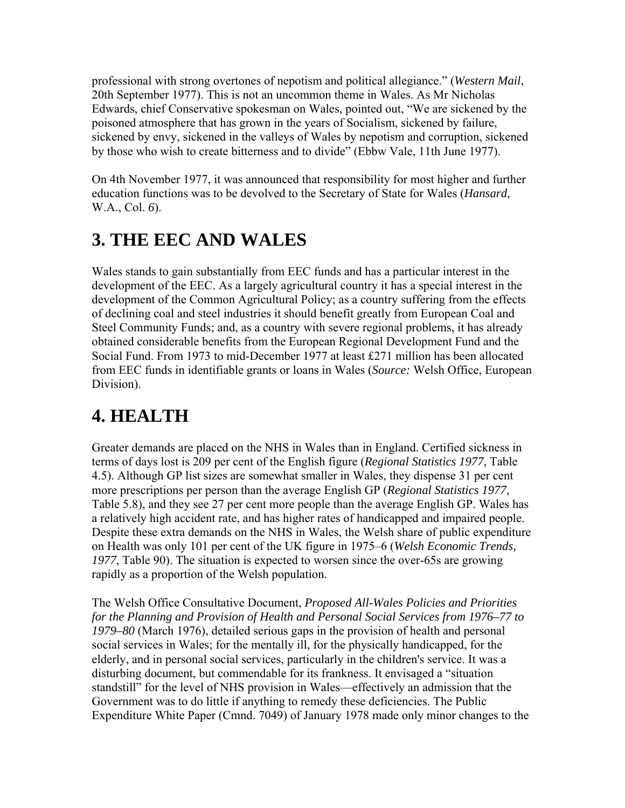professional with strong overtones of nepotism and political allegiance." (*Western Mail*, 20th September 1977). This is not an uncommon theme in Wales. As Mr Nicholas Edwards, chief Conservative spokesman on Wales, pointed out, "We are sickened by the poisoned atmosphere that has grown in the years of Socialism, sickened by failure, sickened by envy, sickened in the valleys of Wales by nepotism and corruption, sickened by those who wish to create bitterness and to divide" (Ebbw Vale, 11th June 1977).

On 4th November 1977, it was announced that responsibility for most higher and further education functions was to be devolved to the Secretary of State for Wales (*Hansard*, W.A., Col. *6*).

### **3. THE EEC AND WALES**

Wales stands to gain substantially from EEC funds and has a particular interest in the development of the EEC. As a largely agricultural country it has a special interest in the development of the Common Agricultural Policy; as a country suffering from the effects of declining coal and steel industries it should benefit greatly from European Coal and Steel Community Funds; and, as a country with severe regional problems, it has already obtained considerable benefits from the European Regional Development Fund and the Social Fund. From 1973 to mid-December 1977 at least £271 million has been allocated from EEC funds in identifiable grants or loans in Wales (*Source:* Welsh Office, European Division).

### **4. HEALTH**

Greater demands are placed on the NHS in Wales than in England. Certified sickness in terms of days lost is 209 per cent of the English figure (*Regional Statistics 1977*, Table 4.5). Although GP list sizes are somewhat smaller in Wales, they dispense 31 per cent more prescriptions per person than the average English GP (*Regional Statistics 1977*, Table 5.8), and they see 27 per cent more people than the average English GP. Wales has a relatively high accident rate, and has higher rates of handicapped and impaired people. Despite these extra demands on the NHS in Wales, the Welsh share of public expenditure on Health was only 101 per cent of the UK figure in 1975–6 (*Welsh Economic Trends, 1977*, Table 90). The situation is expected to worsen since the over-65s are growing rapidly as a proportion of the Welsh population.

The Welsh Office Consultative Document, *Proposed All-Wales Policies and Priorities for the Planning and Provision of Health and Personal Social Services from 1976–77 to 1979–80* (March 1976), detailed serious gaps in the provision of health and personal social services in Wales; for the mentally ill, for the physically handicapped, for the elderly, and in personal social services, particularly in the children's service. It was a disturbing document, but commendable for its frankness. It envisaged a "situation standstill" for the level of NHS provision in Wales—effectively an admission that the Government was to do little if anything to remedy these deficiencies. The Public Expenditure White Paper (Cmnd. 7049) of January 1978 made only minor changes to the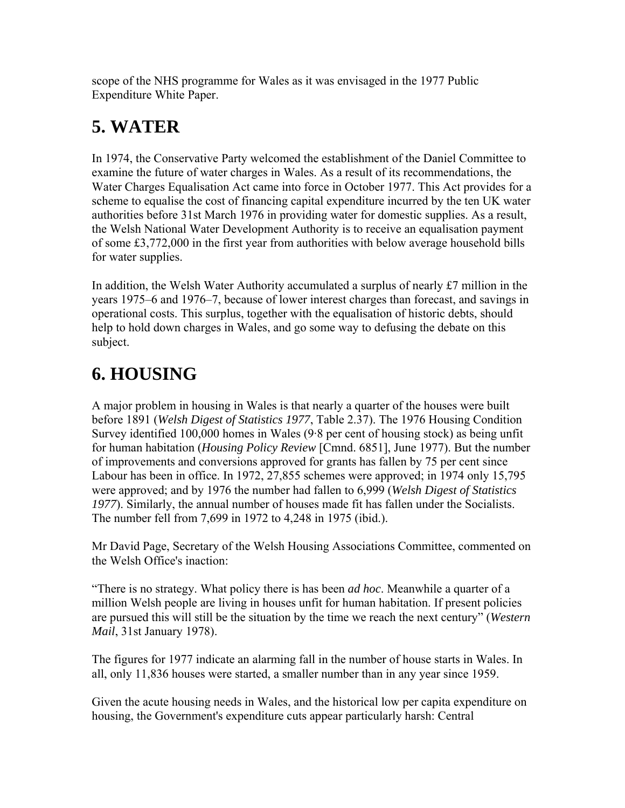scope of the NHS programme for Wales as it was envisaged in the 1977 Public Expenditure White Paper.

### **5. WATER**

In 1974, the Conservative Party welcomed the establishment of the Daniel Committee to examine the future of water charges in Wales. As a result of its recommendations, the Water Charges Equalisation Act came into force in October 1977. This Act provides for a scheme to equalise the cost of financing capital expenditure incurred by the ten UK water authorities before 31st March 1976 in providing water for domestic supplies. As a result, the Welsh National Water Development Authority is to receive an equalisation payment of some £3,772,000 in the first year from authorities with below average household bills for water supplies.

In addition, the Welsh Water Authority accumulated a surplus of nearly £7 million in the years 1975–6 and 1976–7, because of lower interest charges than forecast, and savings in operational costs. This surplus, together with the equalisation of historic debts, should help to hold down charges in Wales, and go some way to defusing the debate on this subject.

# **6. HOUSING**

A major problem in housing in Wales is that nearly a quarter of the houses were built before 1891 (*Welsh Digest of Statistics 1977*, Table 2.37). The 1976 Housing Condition Survey identified 100,000 homes in Wales (9·8 per cent of housing stock) as being unfit for human habitation (*Housing Policy Review* [Cmnd. 6851], June 1977). But the number of improvements and conversions approved for grants has fallen by 75 per cent since Labour has been in office. In 1972, 27,855 schemes were approved; in 1974 only 15,795 were approved; and by 1976 the number had fallen to 6,999 (*Welsh Digest of Statistics 1977*). Similarly, the annual number of houses made fit has fallen under the Socialists. The number fell from 7,699 in 1972 to 4,248 in 1975 (ibid.).

Mr David Page, Secretary of the Welsh Housing Associations Committee, commented on the Welsh Office's inaction:

"There is no strategy. What policy there is has been *ad hoc*. Meanwhile a quarter of a million Welsh people are living in houses unfit for human habitation. If present policies are pursued this will still be the situation by the time we reach the next century" (*Western Mail*, 31st January 1978).

The figures for 1977 indicate an alarming fall in the number of house starts in Wales. In all, only 11,836 houses were started, a smaller number than in any year since 1959.

Given the acute housing needs in Wales, and the historical low per capita expenditure on housing, the Government's expenditure cuts appear particularly harsh: Central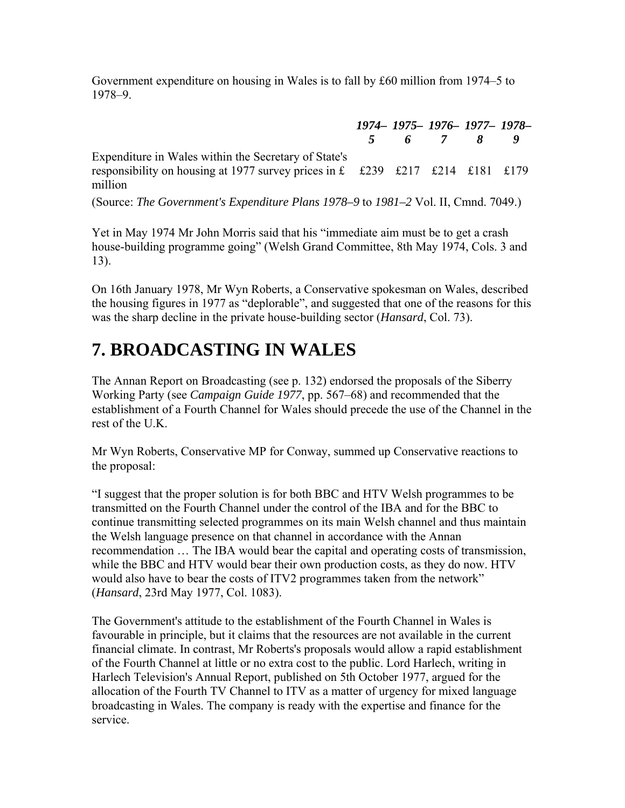Government expenditure on housing in Wales is to fall by £60 million from 1974–5 to 1978–9.

*1974– 1975– 1976– 1977– 1978– 5 6 7 8 9* Expenditure in Wales within the Secretary of State's responsibility on housing at 1977 survey prices in £ £239 £217 £214 £181 £179 million

(Source: *The Government's Expenditure Plans 1978–9* to *1981–2* Vol. II, Cmnd. 7049.)

Yet in May 1974 Mr John Morris said that his "immediate aim must be to get a crash house-building programme going" (Welsh Grand Committee, 8th May 1974, Cols. 3 and 13).

On 16th January 1978, Mr Wyn Roberts, a Conservative spokesman on Wales, described the housing figures in 1977 as "deplorable", and suggested that one of the reasons for this was the sharp decline in the private house-building sector (*Hansard*, Col. 73).

### **7. BROADCASTING IN WALES**

The Annan Report on Broadcasting (see p. 132) endorsed the proposals of the Siberry Working Party (see *Campaign Guide 1977*, pp. 567–68) and recommended that the establishment of a Fourth Channel for Wales should precede the use of the Channel in the rest of the UK

Mr Wyn Roberts, Conservative MP for Conway, summed up Conservative reactions to the proposal:

"I suggest that the proper solution is for both BBC and HTV Welsh programmes to be transmitted on the Fourth Channel under the control of the IBA and for the BBC to continue transmitting selected programmes on its main Welsh channel and thus maintain the Welsh language presence on that channel in accordance with the Annan recommendation … The IBA would bear the capital and operating costs of transmission, while the BBC and HTV would bear their own production costs, as they do now. HTV would also have to bear the costs of ITV2 programmes taken from the network" (*Hansard*, 23rd May 1977, Col. 1083).

The Government's attitude to the establishment of the Fourth Channel in Wales is favourable in principle, but it claims that the resources are not available in the current financial climate. In contrast, Mr Roberts's proposals would allow a rapid establishment of the Fourth Channel at little or no extra cost to the public. Lord Harlech, writing in Harlech Television's Annual Report, published on 5th October 1977, argued for the allocation of the Fourth TV Channel to ITV as a matter of urgency for mixed language broadcasting in Wales. The company is ready with the expertise and finance for the service.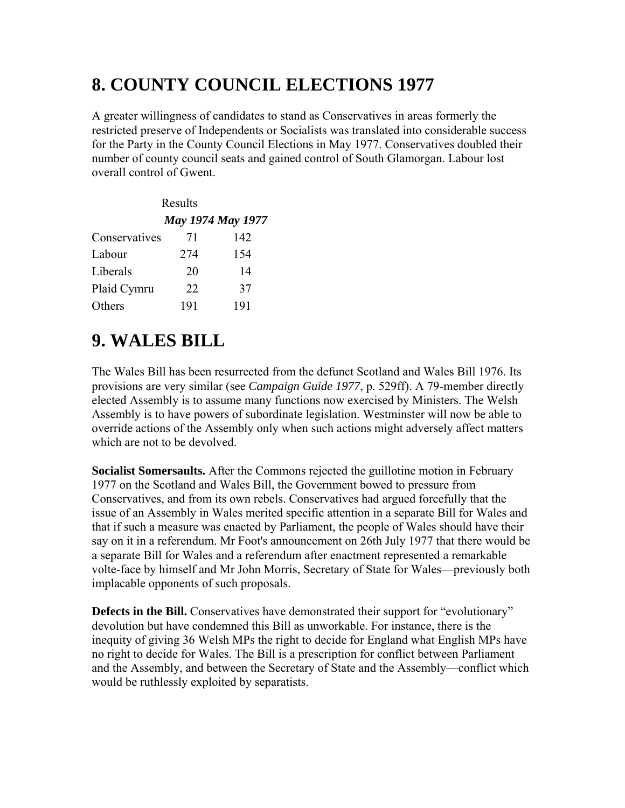### **8. COUNTY COUNCIL ELECTIONS 1977**

A greater willingness of candidates to stand as Conservatives in areas formerly the restricted preserve of Independents or Socialists was translated into considerable success for the Party in the County Council Elections in May 1977. Conservatives doubled their number of county council seats and gained control of South Glamorgan. Labour lost overall control of Gwent.

| Results       |                   |     |  |  |  |
|---------------|-------------------|-----|--|--|--|
|               | May 1974 May 1977 |     |  |  |  |
| Conservatives | 71                | 142 |  |  |  |
| Labour        | 274               | 154 |  |  |  |
| Liberals      | 20                | 14  |  |  |  |
| Plaid Cymru   | 22                | 37  |  |  |  |
| Others        | 191               | 191 |  |  |  |

### **9. WALES BILL**

The Wales Bill has been resurrected from the defunct Scotland and Wales Bill 1976. Its provisions are very similar (see *Campaign Guide 1977*, p. 529ff). A 79-member directly elected Assembly is to assume many functions now exercised by Ministers. The Welsh Assembly is to have powers of subordinate legislation. Westminster will now be able to override actions of the Assembly only when such actions might adversely affect matters which are not to be devolved.

**Socialist Somersaults.** After the Commons rejected the guillotine motion in February 1977 on the Scotland and Wales Bill, the Government bowed to pressure from Conservatives, and from its own rebels. Conservatives had argued forcefully that the issue of an Assembly in Wales merited specific attention in a separate Bill for Wales and that if such a measure was enacted by Parliament, the people of Wales should have their say on it in a referendum. Mr Foot's announcement on 26th July 1977 that there would be a separate Bill for Wales and a referendum after enactment represented a remarkable volte-face by himself and Mr John Morris, Secretary of State for Wales—previously both implacable opponents of such proposals.

**Defects in the Bill.** Conservatives have demonstrated their support for "evolutionary" devolution but have condemned this Bill as unworkable. For instance, there is the inequity of giving 36 Welsh MPs the right to decide for England what English MPs have no right to decide for Wales. The Bill is a prescription for conflict between Parliament and the Assembly, and between the Secretary of State and the Assembly—conflict which would be ruthlessly exploited by separatists.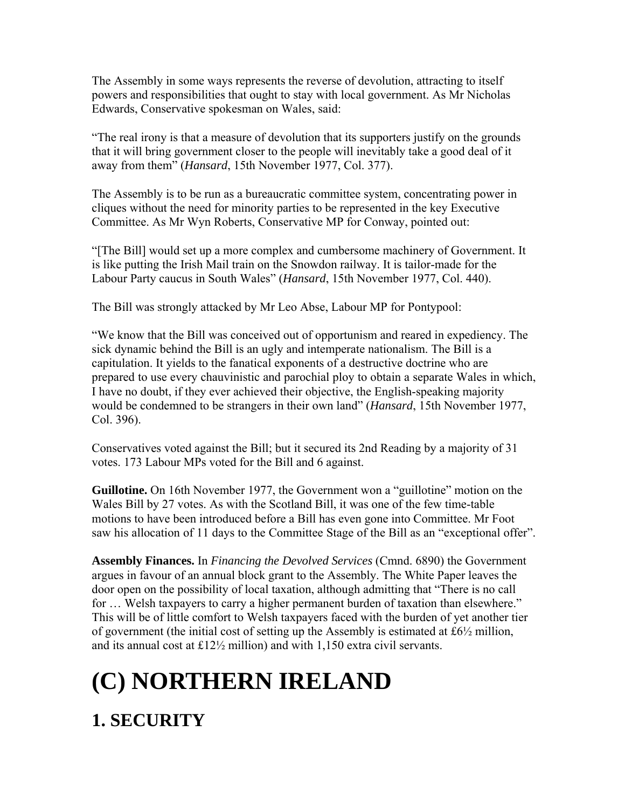The Assembly in some ways represents the reverse of devolution, attracting to itself powers and responsibilities that ought to stay with local government. As Mr Nicholas Edwards, Conservative spokesman on Wales, said:

"The real irony is that a measure of devolution that its supporters justify on the grounds that it will bring government closer to the people will inevitably take a good deal of it away from them" (*Hansard*, 15th November 1977, Col. 377).

The Assembly is to be run as a bureaucratic committee system, concentrating power in cliques without the need for minority parties to be represented in the key Executive Committee. As Mr Wyn Roberts, Conservative MP for Conway, pointed out:

"[The Bill] would set up a more complex and cumbersome machinery of Government. It is like putting the Irish Mail train on the Snowdon railway. It is tailor-made for the Labour Party caucus in South Wales" (*Hansard*, 15th November 1977, Col. 440).

The Bill was strongly attacked by Mr Leo Abse, Labour MP for Pontypool:

"We know that the Bill was conceived out of opportunism and reared in expediency. The sick dynamic behind the Bill is an ugly and intemperate nationalism. The Bill is a capitulation. It yields to the fanatical exponents of a destructive doctrine who are prepared to use every chauvinistic and parochial ploy to obtain a separate Wales in which, I have no doubt, if they ever achieved their objective, the English-speaking majority would be condemned to be strangers in their own land" (*Hansard*, 15th November 1977, Col. 396).

Conservatives voted against the Bill; but it secured its 2nd Reading by a majority of 31 votes. 173 Labour MPs voted for the Bill and 6 against.

**Guillotine.** On 16th November 1977, the Government won a "guillotine" motion on the Wales Bill by 27 votes. As with the Scotland Bill, it was one of the few time-table motions to have been introduced before a Bill has even gone into Committee. Mr Foot saw his allocation of 11 days to the Committee Stage of the Bill as an "exceptional offer".

**Assembly Finances.** In *Financing the Devolved Services* (Cmnd. 6890) the Government argues in favour of an annual block grant to the Assembly. The White Paper leaves the door open on the possibility of local taxation, although admitting that "There is no call for … Welsh taxpayers to carry a higher permanent burden of taxation than elsewhere." This will be of little comfort to Welsh taxpayers faced with the burden of yet another tier of government (the initial cost of setting up the Assembly is estimated at £6½ million, and its annual cost at £12½ million) and with 1,150 extra civil servants.

# **(C) NORTHERN IRELAND**

### **1. SECURITY**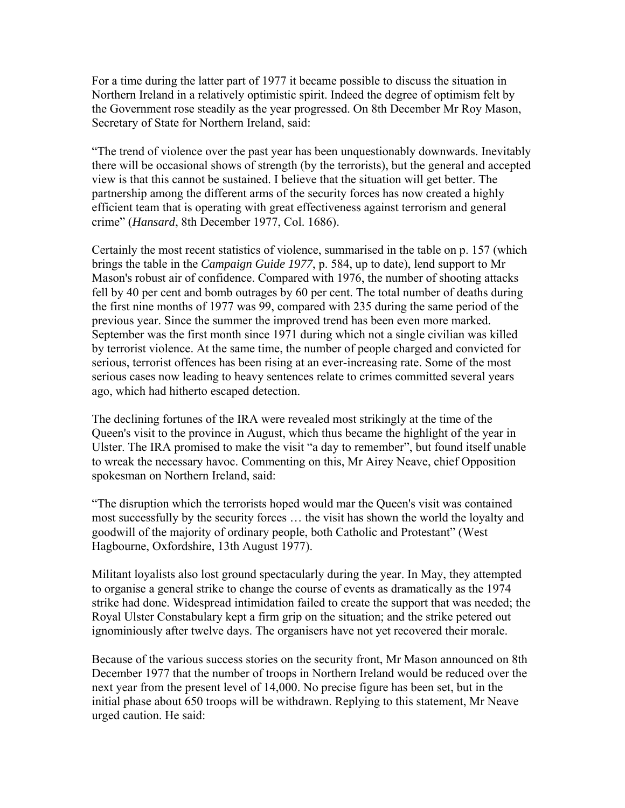For a time during the latter part of 1977 it became possible to discuss the situation in Northern Ireland in a relatively optimistic spirit. Indeed the degree of optimism felt by the Government rose steadily as the year progressed. On 8th December Mr Roy Mason, Secretary of State for Northern Ireland, said:

"The trend of violence over the past year has been unquestionably downwards. Inevitably there will be occasional shows of strength (by the terrorists), but the general and accepted view is that this cannot be sustained. I believe that the situation will get better. The partnership among the different arms of the security forces has now created a highly efficient team that is operating with great effectiveness against terrorism and general crime" (*Hansard*, 8th December 1977, Col. 1686).

Certainly the most recent statistics of violence, summarised in the table on p. 157 (which brings the table in the *Campaign Guide 1977*, p. 584, up to date), lend support to Mr Mason's robust air of confidence. Compared with 1976, the number of shooting attacks fell by 40 per cent and bomb outrages by 60 per cent. The total number of deaths during the first nine months of 1977 was 99, compared with 235 during the same period of the previous year. Since the summer the improved trend has been even more marked. September was the first month since 1971 during which not a single civilian was killed by terrorist violence. At the same time, the number of people charged and convicted for serious, terrorist offences has been rising at an ever-increasing rate. Some of the most serious cases now leading to heavy sentences relate to crimes committed several years ago, which had hitherto escaped detection.

The declining fortunes of the IRA were revealed most strikingly at the time of the Queen's visit to the province in August, which thus became the highlight of the year in Ulster. The IRA promised to make the visit "a day to remember", but found itself unable to wreak the necessary havoc. Commenting on this, Mr Airey Neave, chief Opposition spokesman on Northern Ireland, said:

"The disruption which the terrorists hoped would mar the Queen's visit was contained most successfully by the security forces … the visit has shown the world the loyalty and goodwill of the majority of ordinary people, both Catholic and Protestant" (West Hagbourne, Oxfordshire, 13th August 1977).

Militant loyalists also lost ground spectacularly during the year. In May, they attempted to organise a general strike to change the course of events as dramatically as the 1974 strike had done. Widespread intimidation failed to create the support that was needed; the Royal Ulster Constabulary kept a firm grip on the situation; and the strike petered out ignominiously after twelve days. The organisers have not yet recovered their morale.

Because of the various success stories on the security front, Mr Mason announced on 8th December 1977 that the number of troops in Northern Ireland would be reduced over the next year from the present level of 14,000. No precise figure has been set, but in the initial phase about 650 troops will be withdrawn. Replying to this statement, Mr Neave urged caution. He said: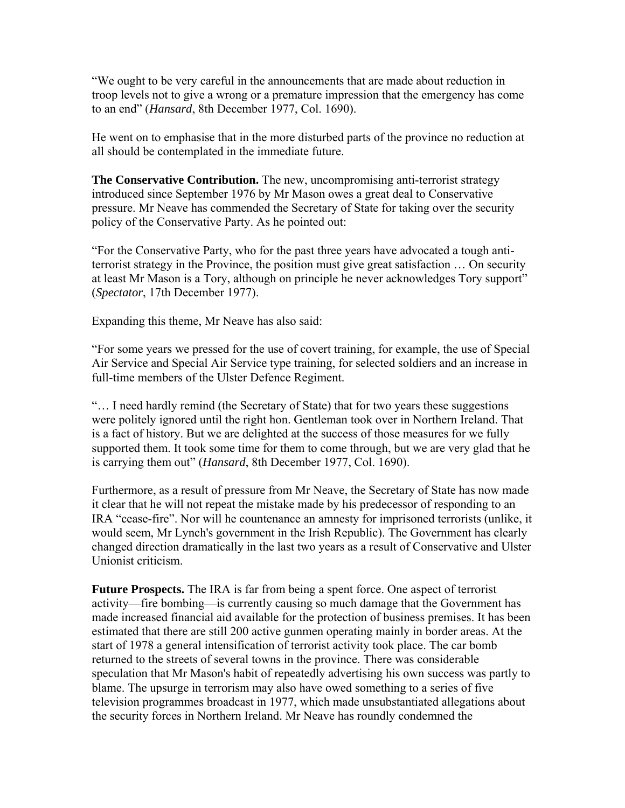"We ought to be very careful in the announcements that are made about reduction in troop levels not to give a wrong or a premature impression that the emergency has come to an end" (*Hansard*, 8th December 1977, Col. 1690).

He went on to emphasise that in the more disturbed parts of the province no reduction at all should be contemplated in the immediate future.

**The Conservative Contribution.** The new, uncompromising anti-terrorist strategy introduced since September 1976 by Mr Mason owes a great deal to Conservative pressure. Mr Neave has commended the Secretary of State for taking over the security policy of the Conservative Party. As he pointed out:

"For the Conservative Party, who for the past three years have advocated a tough antiterrorist strategy in the Province, the position must give great satisfaction … On security at least Mr Mason is a Tory, although on principle he never acknowledges Tory support" (*Spectator*, 17th December 1977).

Expanding this theme, Mr Neave has also said:

"For some years we pressed for the use of covert training, for example, the use of Special Air Service and Special Air Service type training, for selected soldiers and an increase in full-time members of the Ulster Defence Regiment.

"… I need hardly remind (the Secretary of State) that for two years these suggestions were politely ignored until the right hon. Gentleman took over in Northern Ireland. That is a fact of history. But we are delighted at the success of those measures for we fully supported them. It took some time for them to come through, but we are very glad that he is carrying them out" (*Hansard*, 8th December 1977, Col. 1690).

Furthermore, as a result of pressure from Mr Neave, the Secretary of State has now made it clear that he will not repeat the mistake made by his predecessor of responding to an IRA "cease-fire". Nor will he countenance an amnesty for imprisoned terrorists (unlike, it would seem, Mr Lynch's government in the Irish Republic). The Government has clearly changed direction dramatically in the last two years as a result of Conservative and Ulster Unionist criticism.

**Future Prospects.** The IRA is far from being a spent force. One aspect of terrorist activity—fire bombing—is currently causing so much damage that the Government has made increased financial aid available for the protection of business premises. It has been estimated that there are still 200 active gunmen operating mainly in border areas. At the start of 1978 a general intensification of terrorist activity took place. The car bomb returned to the streets of several towns in the province. There was considerable speculation that Mr Mason's habit of repeatedly advertising his own success was partly to blame. The upsurge in terrorism may also have owed something to a series of five television programmes broadcast in 1977, which made unsubstantiated allegations about the security forces in Northern Ireland. Mr Neave has roundly condemned the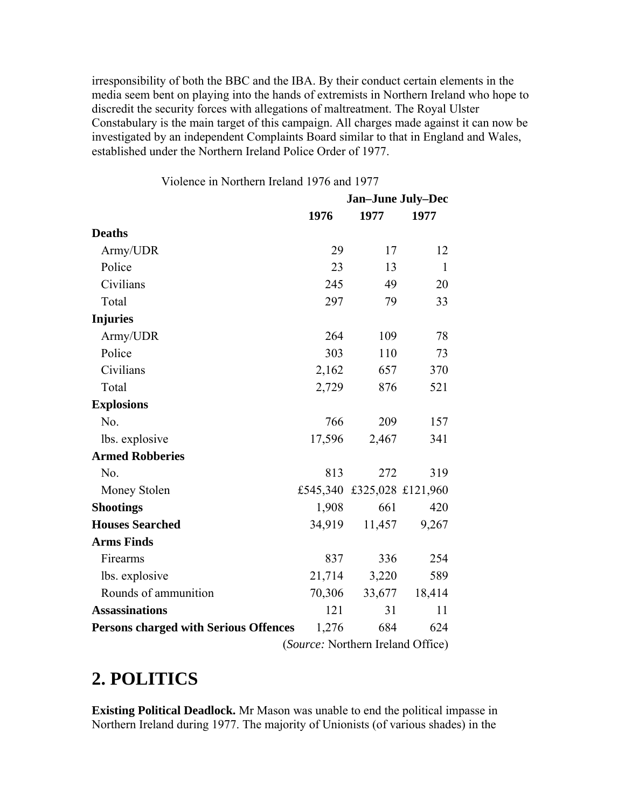irresponsibility of both the BBC and the IBA. By their conduct certain elements in the media seem bent on playing into the hands of extremists in Northern Ireland who hope to discredit the security forces with allegations of maltreatment. The Royal Ulster Constabulary is the main target of this campaign. All charges made against it can now be investigated by an independent Complaints Board similar to that in England and Wales, established under the Northern Ireland Police Order of 1977.

|                                              | <b>Jan-June July-Dec</b> |                            |              |  |
|----------------------------------------------|--------------------------|----------------------------|--------------|--|
|                                              | 1976                     | 1977                       | 1977         |  |
| <b>Deaths</b>                                |                          |                            |              |  |
| Army/UDR                                     | 29                       | 17                         | 12           |  |
| Police                                       | 23                       | 13                         | $\mathbf{1}$ |  |
| Civilians                                    | 245                      | 49                         | 20           |  |
| Total                                        | 297                      | 79                         | 33           |  |
| <b>Injuries</b>                              |                          |                            |              |  |
| Army/UDR                                     | 264                      | 109                        | 78           |  |
| Police                                       | 303                      | 110                        | 73           |  |
| Civilians                                    | 2,162                    | 657                        | 370          |  |
| Total                                        | 2,729                    | 876                        | 521          |  |
| <b>Explosions</b>                            |                          |                            |              |  |
| N <sub>0</sub>                               | 766                      | 209                        | 157          |  |
| lbs. explosive                               | 17,596                   | 2,467                      | 341          |  |
| <b>Armed Robberies</b>                       |                          |                            |              |  |
| No.                                          | 813                      | 272                        | 319          |  |
| Money Stolen                                 |                          | £545,340 £325,028 £121,960 |              |  |
| <b>Shootings</b>                             | 1,908                    | 661                        | 420          |  |
| <b>Houses Searched</b>                       | 34,919                   | 11,457                     | 9,267        |  |
| <b>Arms Finds</b>                            |                          |                            |              |  |
| Firearms                                     | 837                      | 336                        | 254          |  |
| lbs. explosive                               | 21,714                   | 3,220                      | 589          |  |
| Rounds of ammunition                         | 70,306                   | 33,677                     | 18,414       |  |
| <b>Assassinations</b>                        | 121                      | 31                         | 11           |  |
| <b>Persons charged with Serious Offences</b> | 1,276                    | 684                        | 624          |  |
| (Source: Northern Ireland Office)            |                          |                            |              |  |

Violence in Northern Ireland 1976 and 1977

#### **2. POLITICS**

**Existing Political Deadlock.** Mr Mason was unable to end the political impasse in Northern Ireland during 1977. The majority of Unionists (of various shades) in the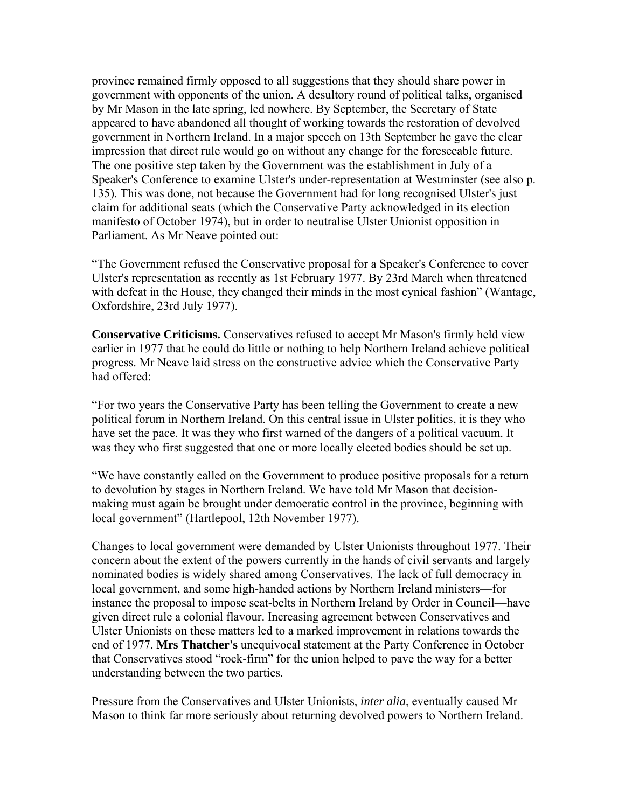province remained firmly opposed to all suggestions that they should share power in government with opponents of the union. A desultory round of political talks, organised by Mr Mason in the late spring, led nowhere. By September, the Secretary of State appeared to have abandoned all thought of working towards the restoration of devolved government in Northern Ireland. In a major speech on 13th September he gave the clear impression that direct rule would go on without any change for the foreseeable future. The one positive step taken by the Government was the establishment in July of a Speaker's Conference to examine Ulster's under-representation at Westminster (see also p. 135). This was done, not because the Government had for long recognised Ulster's just claim for additional seats (which the Conservative Party acknowledged in its election manifesto of October 1974), but in order to neutralise Ulster Unionist opposition in Parliament. As Mr Neave pointed out:

"The Government refused the Conservative proposal for a Speaker's Conference to cover Ulster's representation as recently as 1st February 1977. By 23rd March when threatened with defeat in the House, they changed their minds in the most cynical fashion" (Wantage, Oxfordshire, 23rd July 1977).

**Conservative Criticisms.** Conservatives refused to accept Mr Mason's firmly held view earlier in 1977 that he could do little or nothing to help Northern Ireland achieve political progress. Mr Neave laid stress on the constructive advice which the Conservative Party had offered:

"For two years the Conservative Party has been telling the Government to create a new political forum in Northern Ireland. On this central issue in Ulster politics, it is they who have set the pace. It was they who first warned of the dangers of a political vacuum. It was they who first suggested that one or more locally elected bodies should be set up.

"We have constantly called on the Government to produce positive proposals for a return to devolution by stages in Northern Ireland. We have told Mr Mason that decisionmaking must again be brought under democratic control in the province, beginning with local government" (Hartlepool, 12th November 1977).

Changes to local government were demanded by Ulster Unionists throughout 1977. Their concern about the extent of the powers currently in the hands of civil servants and largely nominated bodies is widely shared among Conservatives. The lack of full democracy in local government, and some high-handed actions by Northern Ireland ministers—for instance the proposal to impose seat-belts in Northern Ireland by Order in Council—have given direct rule a colonial flavour. Increasing agreement between Conservatives and Ulster Unionists on these matters led to a marked improvement in relations towards the end of 1977. **Mrs Thatcher's** unequivocal statement at the Party Conference in October that Conservatives stood "rock-firm" for the union helped to pave the way for a better understanding between the two parties.

Pressure from the Conservatives and Ulster Unionists, *inter alia*, eventually caused Mr Mason to think far more seriously about returning devolved powers to Northern Ireland.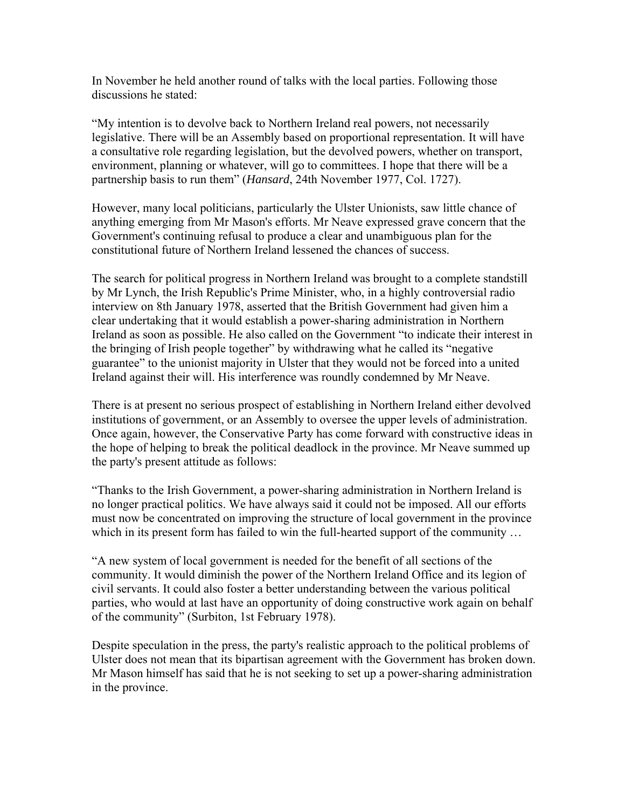In November he held another round of talks with the local parties. Following those discussions he stated:

"My intention is to devolve back to Northern Ireland real powers, not necessarily legislative. There will be an Assembly based on proportional representation. It will have a consultative role regarding legislation, but the devolved powers, whether on transport, environment, planning or whatever, will go to committees. I hope that there will be a partnership basis to run them" (*Hansard*, 24th November 1977, Col. 1727).

However, many local politicians, particularly the Ulster Unionists, saw little chance of anything emerging from Mr Mason's efforts. Mr Neave expressed grave concern that the Government's continuing refusal to produce a clear and unambiguous plan for the constitutional future of Northern Ireland lessened the chances of success.

The search for political progress in Northern Ireland was brought to a complete standstill by Mr Lynch, the Irish Republic's Prime Minister, who, in a highly controversial radio interview on 8th January 1978, asserted that the British Government had given him a clear undertaking that it would establish a power-sharing administration in Northern Ireland as soon as possible. He also called on the Government "to indicate their interest in the bringing of Irish people together" by withdrawing what he called its "negative guarantee" to the unionist majority in Ulster that they would not be forced into a united Ireland against their will. His interference was roundly condemned by Mr Neave.

There is at present no serious prospect of establishing in Northern Ireland either devolved institutions of government, or an Assembly to oversee the upper levels of administration. Once again, however, the Conservative Party has come forward with constructive ideas in the hope of helping to break the political deadlock in the province. Mr Neave summed up the party's present attitude as follows:

"Thanks to the Irish Government, a power-sharing administration in Northern Ireland is no longer practical politics. We have always said it could not be imposed. All our efforts must now be concentrated on improving the structure of local government in the province which in its present form has failed to win the full-hearted support of the community ...

"A new system of local government is needed for the benefit of all sections of the community. It would diminish the power of the Northern Ireland Office and its legion of civil servants. It could also foster a better understanding between the various political parties, who would at last have an opportunity of doing constructive work again on behalf of the community" (Surbiton, 1st February 1978).

Despite speculation in the press, the party's realistic approach to the political problems of Ulster does not mean that its bipartisan agreement with the Government has broken down. Mr Mason himself has said that he is not seeking to set up a power-sharing administration in the province.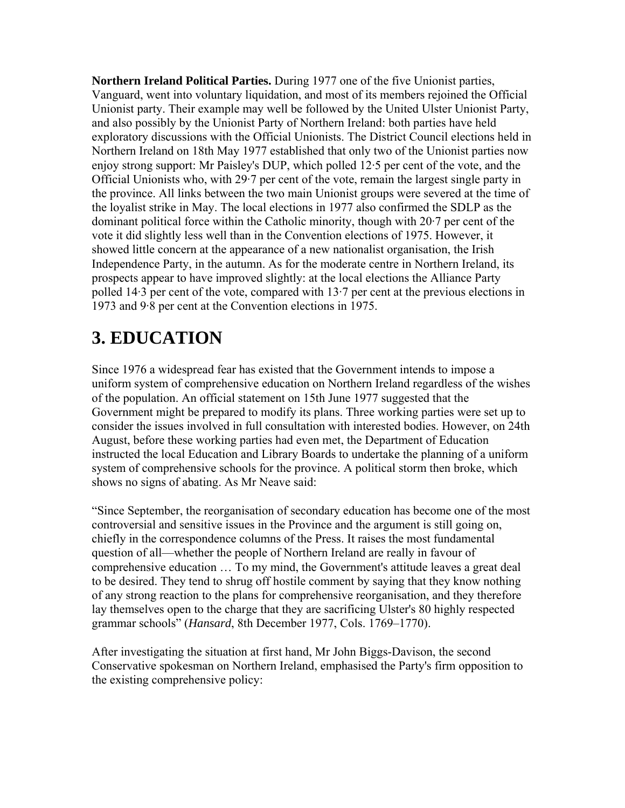**Northern Ireland Political Parties.** During 1977 one of the five Unionist parties, Vanguard, went into voluntary liquidation, and most of its members rejoined the Official Unionist party. Their example may well be followed by the United Ulster Unionist Party, and also possibly by the Unionist Party of Northern Ireland: both parties have held exploratory discussions with the Official Unionists. The District Council elections held in Northern Ireland on 18th May 1977 established that only two of the Unionist parties now enjoy strong support: Mr Paisley's DUP, which polled 12·5 per cent of the vote, and the Official Unionists who, with 29·7 per cent of the vote, remain the largest single party in the province. All links between the two main Unionist groups were severed at the time of the loyalist strike in May. The local elections in 1977 also confirmed the SDLP as the dominant political force within the Catholic minority, though with 20·7 per cent of the vote it did slightly less well than in the Convention elections of 1975. However, it showed little concern at the appearance of a new nationalist organisation, the Irish Independence Party, in the autumn. As for the moderate centre in Northern Ireland, its prospects appear to have improved slightly: at the local elections the Alliance Party polled 14·3 per cent of the vote, compared with 13·7 per cent at the previous elections in 1973 and 9·8 per cent at the Convention elections in 1975.

#### **3. EDUCATION**

Since 1976 a widespread fear has existed that the Government intends to impose a uniform system of comprehensive education on Northern Ireland regardless of the wishes of the population. An official statement on 15th June 1977 suggested that the Government might be prepared to modify its plans. Three working parties were set up to consider the issues involved in full consultation with interested bodies. However, on 24th August, before these working parties had even met, the Department of Education instructed the local Education and Library Boards to undertake the planning of a uniform system of comprehensive schools for the province. A political storm then broke, which shows no signs of abating. As Mr Neave said:

"Since September, the reorganisation of secondary education has become one of the most controversial and sensitive issues in the Province and the argument is still going on, chiefly in the correspondence columns of the Press. It raises the most fundamental question of all—whether the people of Northern Ireland are really in favour of comprehensive education … To my mind, the Government's attitude leaves a great deal to be desired. They tend to shrug off hostile comment by saying that they know nothing of any strong reaction to the plans for comprehensive reorganisation, and they therefore lay themselves open to the charge that they are sacrificing Ulster's 80 highly respected grammar schools" (*Hansard*, 8th December 1977, Cols. 1769–1770).

After investigating the situation at first hand, Mr John Biggs-Davison, the second Conservative spokesman on Northern Ireland, emphasised the Party's firm opposition to the existing comprehensive policy: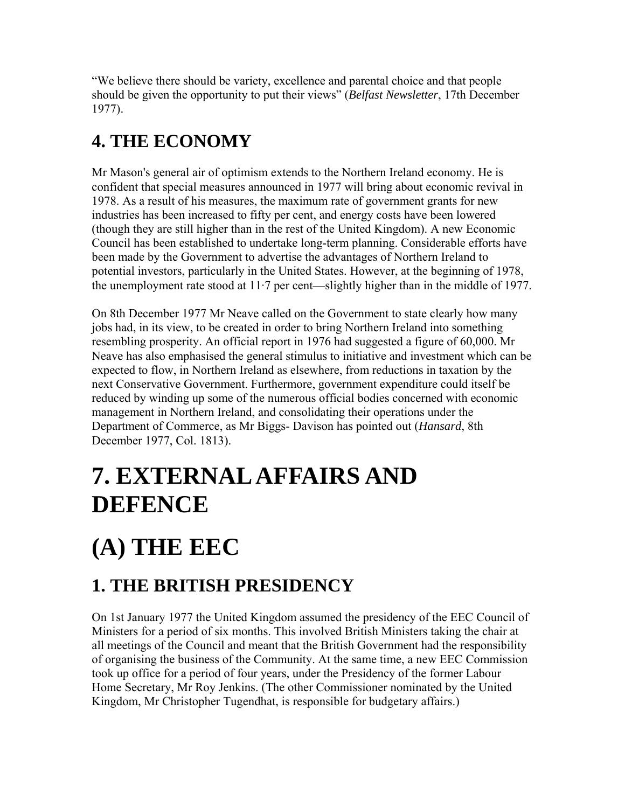"We believe there should be variety, excellence and parental choice and that people should be given the opportunity to put their views" (*Belfast Newsletter*, 17th December 1977).

# **4. THE ECONOMY**

Mr Mason's general air of optimism extends to the Northern Ireland economy. He is confident that special measures announced in 1977 will bring about economic revival in 1978. As a result of his measures, the maximum rate of government grants for new industries has been increased to fifty per cent, and energy costs have been lowered (though they are still higher than in the rest of the United Kingdom). A new Economic Council has been established to undertake long-term planning. Considerable efforts have been made by the Government to advertise the advantages of Northern Ireland to potential investors, particularly in the United States. However, at the beginning of 1978, the unemployment rate stood at 11·7 per cent—slightly higher than in the middle of 1977.

On 8th December 1977 Mr Neave called on the Government to state clearly how many jobs had, in its view, to be created in order to bring Northern Ireland into something resembling prosperity. An official report in 1976 had suggested a figure of 60,000. Mr Neave has also emphasised the general stimulus to initiative and investment which can be expected to flow, in Northern Ireland as elsewhere, from reductions in taxation by the next Conservative Government. Furthermore, government expenditure could itself be reduced by winding up some of the numerous official bodies concerned with economic management in Northern Ireland, and consolidating their operations under the Department of Commerce, as Mr Biggs- Davison has pointed out (*Hansard*, 8th December 1977, Col. 1813).

# **7. EXTERNAL AFFAIRS AND DEFENCE**

# **(A) THE EEC**

# **1. THE BRITISH PRESIDENCY**

On 1st January 1977 the United Kingdom assumed the presidency of the EEC Council of Ministers for a period of six months. This involved British Ministers taking the chair at all meetings of the Council and meant that the British Government had the responsibility of organising the business of the Community. At the same time, a new EEC Commission took up office for a period of four years, under the Presidency of the former Labour Home Secretary, Mr Roy Jenkins. (The other Commissioner nominated by the United Kingdom, Mr Christopher Tugendhat, is responsible for budgetary affairs.)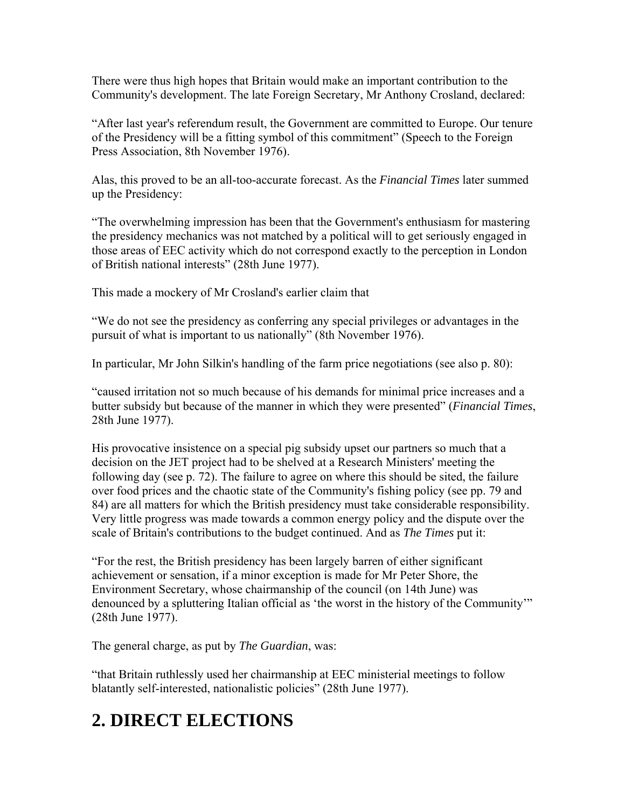There were thus high hopes that Britain would make an important contribution to the Community's development. The late Foreign Secretary, Mr Anthony Crosland, declared:

"After last year's referendum result, the Government are committed to Europe. Our tenure of the Presidency will be a fitting symbol of this commitment" (Speech to the Foreign Press Association, 8th November 1976).

Alas, this proved to be an all-too-accurate forecast. As the *Financial Times* later summed up the Presidency:

"The overwhelming impression has been that the Government's enthusiasm for mastering the presidency mechanics was not matched by a political will to get seriously engaged in those areas of EEC activity which do not correspond exactly to the perception in London of British national interests" (28th June 1977).

This made a mockery of Mr Crosland's earlier claim that

"We do not see the presidency as conferring any special privileges or advantages in the pursuit of what is important to us nationally" (8th November 1976).

In particular, Mr John Silkin's handling of the farm price negotiations (see also p. 80):

"caused irritation not so much because of his demands for minimal price increases and a butter subsidy but because of the manner in which they were presented" (*Financial Times*, 28th June 1977).

His provocative insistence on a special pig subsidy upset our partners so much that a decision on the JET project had to be shelved at a Research Ministers' meeting the following day (see p. 72). The failure to agree on where this should be sited, the failure over food prices and the chaotic state of the Community's fishing policy (see pp. 79 and 84) are all matters for which the British presidency must take considerable responsibility. Very little progress was made towards a common energy policy and the dispute over the scale of Britain's contributions to the budget continued. And as *The Times* put it:

"For the rest, the British presidency has been largely barren of either significant achievement or sensation, if a minor exception is made for Mr Peter Shore, the Environment Secretary, whose chairmanship of the council (on 14th June) was denounced by a spluttering Italian official as 'the worst in the history of the Community'" (28th June 1977).

The general charge, as put by *The Guardian*, was:

"that Britain ruthlessly used her chairmanship at EEC ministerial meetings to follow blatantly self-interested, nationalistic policies" (28th June 1977).

### **2. DIRECT ELECTIONS**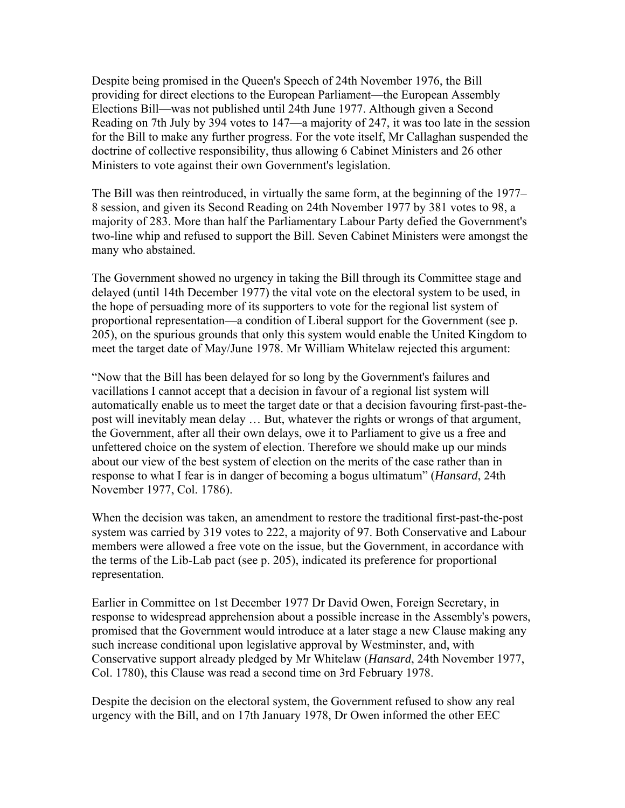Despite being promised in the Queen's Speech of 24th November 1976, the Bill providing for direct elections to the European Parliament—the European Assembly Elections Bill—was not published until 24th June 1977. Although given a Second Reading on 7th July by 394 votes to 147—a majority of 247, it was too late in the session for the Bill to make any further progress. For the vote itself, Mr Callaghan suspended the doctrine of collective responsibility, thus allowing 6 Cabinet Ministers and 26 other Ministers to vote against their own Government's legislation.

The Bill was then reintroduced, in virtually the same form, at the beginning of the 1977– 8 session, and given its Second Reading on 24th November 1977 by 381 votes to 98, a majority of 283. More than half the Parliamentary Labour Party defied the Government's two-line whip and refused to support the Bill. Seven Cabinet Ministers were amongst the many who abstained.

The Government showed no urgency in taking the Bill through its Committee stage and delayed (until 14th December 1977) the vital vote on the electoral system to be used, in the hope of persuading more of its supporters to vote for the regional list system of proportional representation—a condition of Liberal support for the Government (see p. 205), on the spurious grounds that only this system would enable the United Kingdom to meet the target date of May/June 1978. Mr William Whitelaw rejected this argument:

"Now that the Bill has been delayed for so long by the Government's failures and vacillations I cannot accept that a decision in favour of a regional list system will automatically enable us to meet the target date or that a decision favouring first-past-thepost will inevitably mean delay … But, whatever the rights or wrongs of that argument, the Government, after all their own delays, owe it to Parliament to give us a free and unfettered choice on the system of election. Therefore we should make up our minds about our view of the best system of election on the merits of the case rather than in response to what I fear is in danger of becoming a bogus ultimatum" (*Hansard*, 24th November 1977, Col. 1786).

When the decision was taken, an amendment to restore the traditional first-past-the-post system was carried by 319 votes to 222, a majority of 97. Both Conservative and Labour members were allowed a free vote on the issue, but the Government, in accordance with the terms of the Lib-Lab pact (see p. 205), indicated its preference for proportional representation.

Earlier in Committee on 1st December 1977 Dr David Owen, Foreign Secretary, in response to widespread apprehension about a possible increase in the Assembly's powers, promised that the Government would introduce at a later stage a new Clause making any such increase conditional upon legislative approval by Westminster, and, with Conservative support already pledged by Mr Whitelaw (*Hansard*, 24th November 1977, Col. 1780), this Clause was read a second time on 3rd February 1978.

Despite the decision on the electoral system, the Government refused to show any real urgency with the Bill, and on 17th January 1978, Dr Owen informed the other EEC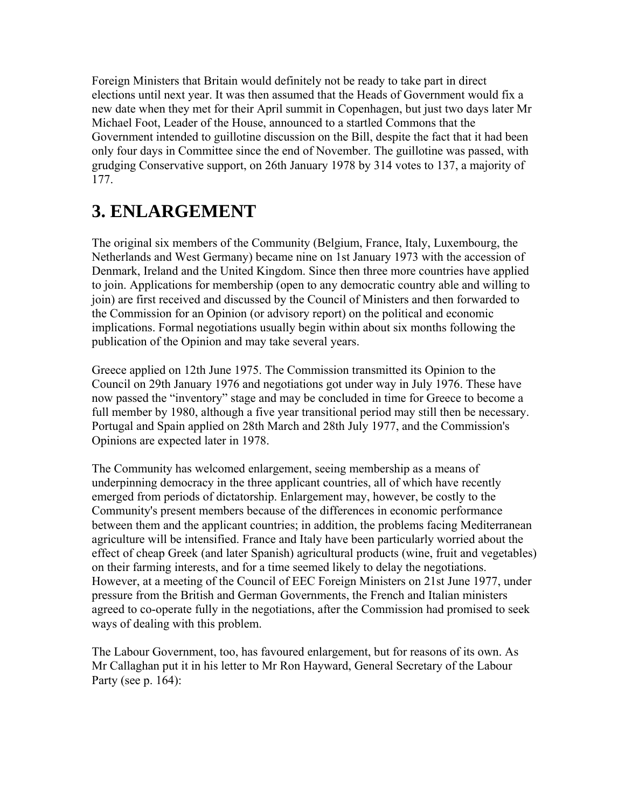Foreign Ministers that Britain would definitely not be ready to take part in direct elections until next year. It was then assumed that the Heads of Government would fix a new date when they met for their April summit in Copenhagen, but just two days later Mr Michael Foot, Leader of the House, announced to a startled Commons that the Government intended to guillotine discussion on the Bill, despite the fact that it had been only four days in Committee since the end of November. The guillotine was passed, with grudging Conservative support, on 26th January 1978 by 314 votes to 137, a majority of 177.

#### **3. ENLARGEMENT**

The original six members of the Community (Belgium, France, Italy, Luxembourg, the Netherlands and West Germany) became nine on 1st January 1973 with the accession of Denmark, Ireland and the United Kingdom. Since then three more countries have applied to join. Applications for membership (open to any democratic country able and willing to join) are first received and discussed by the Council of Ministers and then forwarded to the Commission for an Opinion (or advisory report) on the political and economic implications. Formal negotiations usually begin within about six months following the publication of the Opinion and may take several years.

Greece applied on 12th June 1975. The Commission transmitted its Opinion to the Council on 29th January 1976 and negotiations got under way in July 1976. These have now passed the "inventory" stage and may be concluded in time for Greece to become a full member by 1980, although a five year transitional period may still then be necessary. Portugal and Spain applied on 28th March and 28th July 1977, and the Commission's Opinions are expected later in 1978.

The Community has welcomed enlargement, seeing membership as a means of underpinning democracy in the three applicant countries, all of which have recently emerged from periods of dictatorship. Enlargement may, however, be costly to the Community's present members because of the differences in economic performance between them and the applicant countries; in addition, the problems facing Mediterranean agriculture will be intensified. France and Italy have been particularly worried about the effect of cheap Greek (and later Spanish) agricultural products (wine, fruit and vegetables) on their farming interests, and for a time seemed likely to delay the negotiations. However, at a meeting of the Council of EEC Foreign Ministers on 21st June 1977, under pressure from the British and German Governments, the French and Italian ministers agreed to co-operate fully in the negotiations, after the Commission had promised to seek ways of dealing with this problem.

The Labour Government, too, has favoured enlargement, but for reasons of its own. As Mr Callaghan put it in his letter to Mr Ron Hayward, General Secretary of the Labour Party (see p. 164):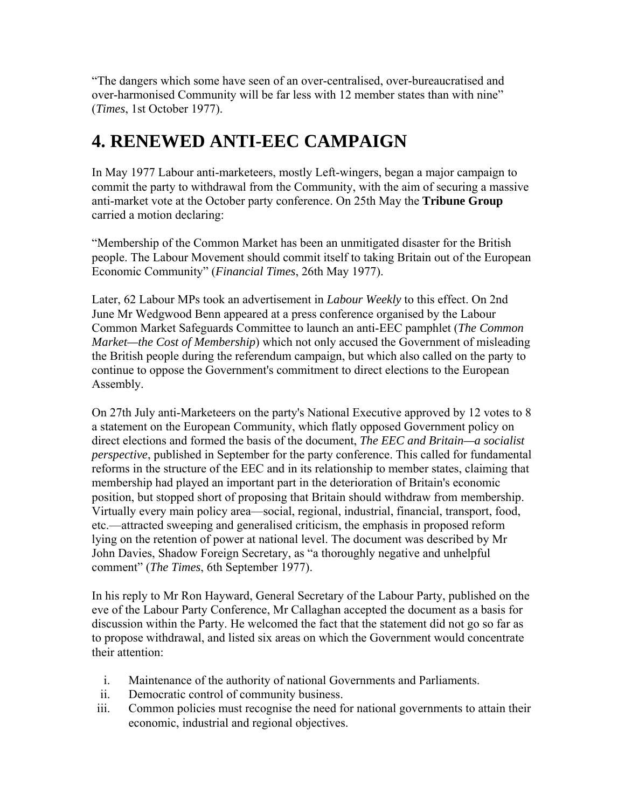"The dangers which some have seen of an over-centralised, over-bureaucratised and over-harmonised Community will be far less with 12 member states than with nine" (*Times*, 1st October 1977).

#### **4. RENEWED ANTI-EEC CAMPAIGN**

In May 1977 Labour anti-marketeers, mostly Left-wingers, began a major campaign to commit the party to withdrawal from the Community, with the aim of securing a massive anti-market vote at the October party conference. On 25th May the **Tribune Group** carried a motion declaring:

"Membership of the Common Market has been an unmitigated disaster for the British people. The Labour Movement should commit itself to taking Britain out of the European Economic Community" (*Financial Times*, 26th May 1977).

Later, 62 Labour MPs took an advertisement in *Labour Weekly* to this effect. On 2nd June Mr Wedgwood Benn appeared at a press conference organised by the Labour Common Market Safeguards Committee to launch an anti-EEC pamphlet (*The Common Market—the Cost of Membership*) which not only accused the Government of misleading the British people during the referendum campaign, but which also called on the party to continue to oppose the Government's commitment to direct elections to the European Assembly.

On 27th July anti-Marketeers on the party's National Executive approved by 12 votes to 8 a statement on the European Community, which flatly opposed Government policy on direct elections and formed the basis of the document, *The EEC and Britain—a socialist perspective*, published in September for the party conference. This called for fundamental reforms in the structure of the EEC and in its relationship to member states, claiming that membership had played an important part in the deterioration of Britain's economic position, but stopped short of proposing that Britain should withdraw from membership. Virtually every main policy area—social, regional, industrial, financial, transport, food, etc.—attracted sweeping and generalised criticism, the emphasis in proposed reform lying on the retention of power at national level. The document was described by Mr John Davies, Shadow Foreign Secretary, as "a thoroughly negative and unhelpful comment" (*The Times*, 6th September 1977).

In his reply to Mr Ron Hayward, General Secretary of the Labour Party, published on the eve of the Labour Party Conference, Mr Callaghan accepted the document as a basis for discussion within the Party. He welcomed the fact that the statement did not go so far as to propose withdrawal, and listed six areas on which the Government would concentrate their attention:

- i. Maintenance of the authority of national Governments and Parliaments.
- ii. Democratic control of community business.
- iii. Common policies must recognise the need for national governments to attain their economic, industrial and regional objectives.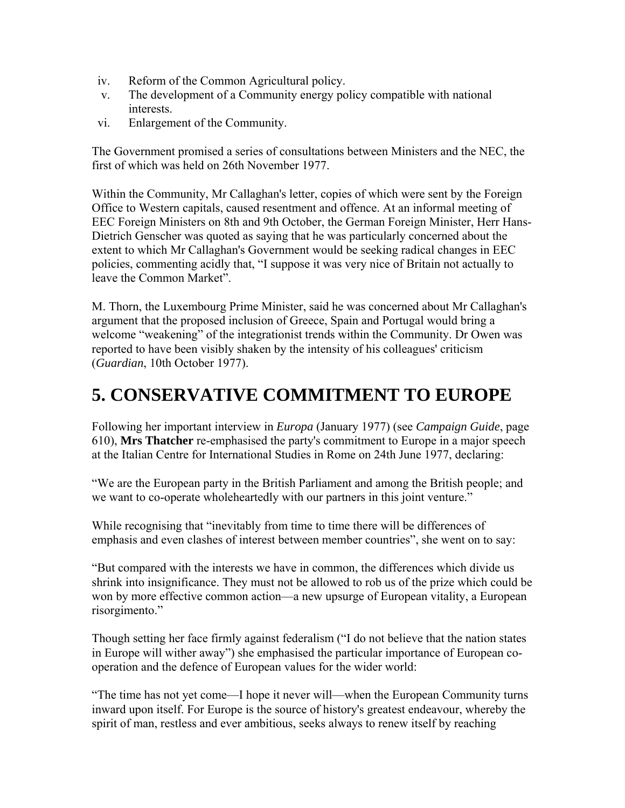- iv. Reform of the Common Agricultural policy.
- v. The development of a Community energy policy compatible with national interests.
- vi. Enlargement of the Community.

The Government promised a series of consultations between Ministers and the NEC, the first of which was held on 26th November 1977.

Within the Community, Mr Callaghan's letter, copies of which were sent by the Foreign Office to Western capitals, caused resentment and offence. At an informal meeting of EEC Foreign Ministers on 8th and 9th October, the German Foreign Minister, Herr Hans-Dietrich Genscher was quoted as saying that he was particularly concerned about the extent to which Mr Callaghan's Government would be seeking radical changes in EEC policies, commenting acidly that, "I suppose it was very nice of Britain not actually to leave the Common Market".

M. Thorn, the Luxembourg Prime Minister, said he was concerned about Mr Callaghan's argument that the proposed inclusion of Greece, Spain and Portugal would bring a welcome "weakening" of the integrationist trends within the Community. Dr Owen was reported to have been visibly shaken by the intensity of his colleagues' criticism (*Guardian*, 10th October 1977).

#### **5. CONSERVATIVE COMMITMENT TO EUROPE**

Following her important interview in *Europa* (January 1977) (see *Campaign Guide*, page 610), **Mrs Thatcher** re-emphasised the party's commitment to Europe in a major speech at the Italian Centre for International Studies in Rome on 24th June 1977, declaring:

"We are the European party in the British Parliament and among the British people; and we want to co-operate wholeheartedly with our partners in this joint venture."

While recognising that "inevitably from time to time there will be differences of emphasis and even clashes of interest between member countries", she went on to say:

"But compared with the interests we have in common, the differences which divide us shrink into insignificance. They must not be allowed to rob us of the prize which could be won by more effective common action—a new upsurge of European vitality, a European risorgimento."

Though setting her face firmly against federalism ("I do not believe that the nation states in Europe will wither away") she emphasised the particular importance of European cooperation and the defence of European values for the wider world:

"The time has not yet come—I hope it never will—when the European Community turns inward upon itself. For Europe is the source of history's greatest endeavour, whereby the spirit of man, restless and ever ambitious, seeks always to renew itself by reaching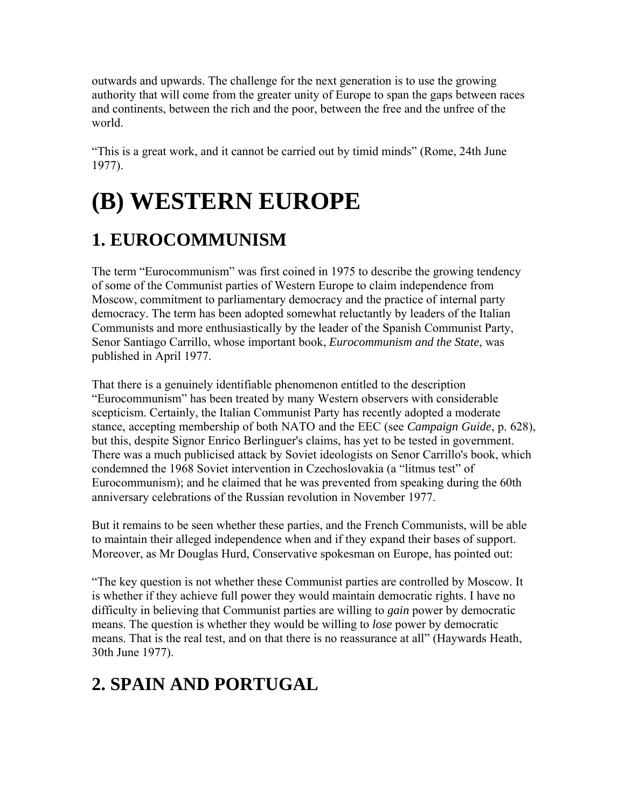outwards and upwards. The challenge for the next generation is to use the growing authority that will come from the greater unity of Europe to span the gaps between races and continents, between the rich and the poor, between the free and the unfree of the world.

"This is a great work, and it cannot be carried out by timid minds" (Rome, 24th June 1977).

# **(B) WESTERN EUROPE**

### **1. EUROCOMMUNISM**

The term "Eurocommunism" was first coined in 1975 to describe the growing tendency of some of the Communist parties of Western Europe to claim independence from Moscow, commitment to parliamentary democracy and the practice of internal party democracy. The term has been adopted somewhat reluctantly by leaders of the Italian Communists and more enthusiastically by the leader of the Spanish Communist Party, Senor Santiago Carrillo, whose important book, *Eurocommunism and the State*, was published in April 1977.

That there is a genuinely identifiable phenomenon entitled to the description "Eurocommunism" has been treated by many Western observers with considerable scepticism. Certainly, the Italian Communist Party has recently adopted a moderate stance, accepting membership of both NATO and the EEC (see *Campaign Guide*, p. 628), but this, despite Signor Enrico Berlinguer's claims, has yet to be tested in government. There was a much publicised attack by Soviet ideologists on Senor Carrillo's book, which condemned the 1968 Soviet intervention in Czechoslovakia (a "litmus test" of Eurocommunism); and he claimed that he was prevented from speaking during the 60th anniversary celebrations of the Russian revolution in November 1977.

But it remains to be seen whether these parties, and the French Communists, will be able to maintain their alleged independence when and if they expand their bases of support. Moreover, as Mr Douglas Hurd, Conservative spokesman on Europe, has pointed out:

"The key question is not whether these Communist parties are controlled by Moscow. It is whether if they achieve full power they would maintain democratic rights. I have no difficulty in believing that Communist parties are willing to *gain* power by democratic means. The question is whether they would be willing to *lose* power by democratic means. That is the real test, and on that there is no reassurance at all" (Haywards Heath, 30th June 1977).

### **2. SPAIN AND PORTUGAL**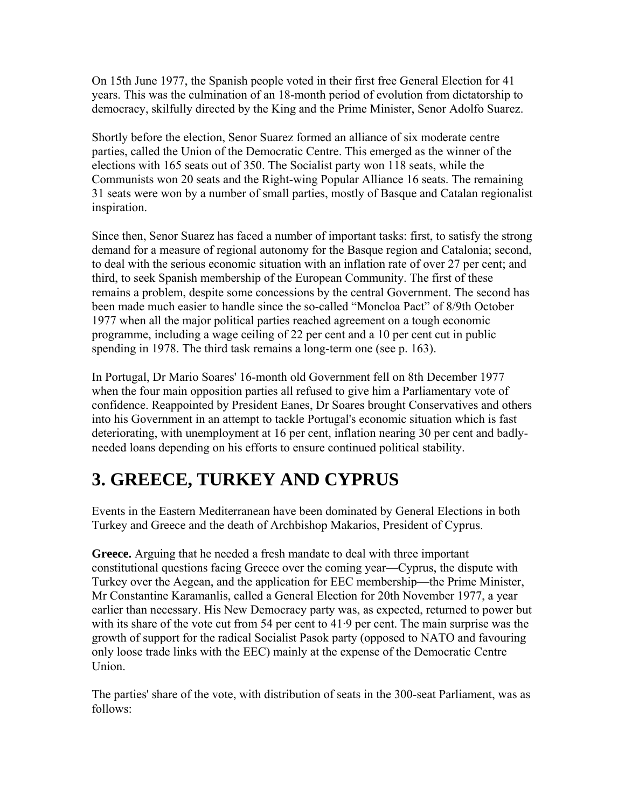On 15th June 1977, the Spanish people voted in their first free General Election for 41 years. This was the culmination of an 18-month period of evolution from dictatorship to democracy, skilfully directed by the King and the Prime Minister, Senor Adolfo Suarez.

Shortly before the election, Senor Suarez formed an alliance of six moderate centre parties, called the Union of the Democratic Centre. This emerged as the winner of the elections with 165 seats out of 350. The Socialist party won 118 seats, while the Communists won 20 seats and the Right-wing Popular Alliance 16 seats. The remaining 31 seats were won by a number of small parties, mostly of Basque and Catalan regionalist inspiration.

Since then, Senor Suarez has faced a number of important tasks: first, to satisfy the strong demand for a measure of regional autonomy for the Basque region and Catalonia; second, to deal with the serious economic situation with an inflation rate of over 27 per cent; and third, to seek Spanish membership of the European Community. The first of these remains a problem, despite some concessions by the central Government. The second has been made much easier to handle since the so-called "Moncloa Pact" of 8/9th October 1977 when all the major political parties reached agreement on a tough economic programme, including a wage ceiling of 22 per cent and a 10 per cent cut in public spending in 1978. The third task remains a long-term one (see p. 163).

In Portugal, Dr Mario Soares' 16-month old Government fell on 8th December 1977 when the four main opposition parties all refused to give him a Parliamentary vote of confidence. Reappointed by President Eanes, Dr Soares brought Conservatives and others into his Government in an attempt to tackle Portugal's economic situation which is fast deteriorating, with unemployment at 16 per cent, inflation nearing 30 per cent and badlyneeded loans depending on his efforts to ensure continued political stability.

### **3. GREECE, TURKEY AND CYPRUS**

Events in the Eastern Mediterranean have been dominated by General Elections in both Turkey and Greece and the death of Archbishop Makarios, President of Cyprus.

**Greece.** Arguing that he needed a fresh mandate to deal with three important constitutional questions facing Greece over the coming year—Cyprus, the dispute with Turkey over the Aegean, and the application for EEC membership—the Prime Minister, Mr Constantine Karamanlis, called a General Election for 20th November 1977, a year earlier than necessary. His New Democracy party was, as expected, returned to power but with its share of the vote cut from 54 per cent to 41·9 per cent. The main surprise was the growth of support for the radical Socialist Pasok party (opposed to NATO and favouring only loose trade links with the EEC) mainly at the expense of the Democratic Centre Union.

The parties' share of the vote, with distribution of seats in the 300-seat Parliament, was as follows: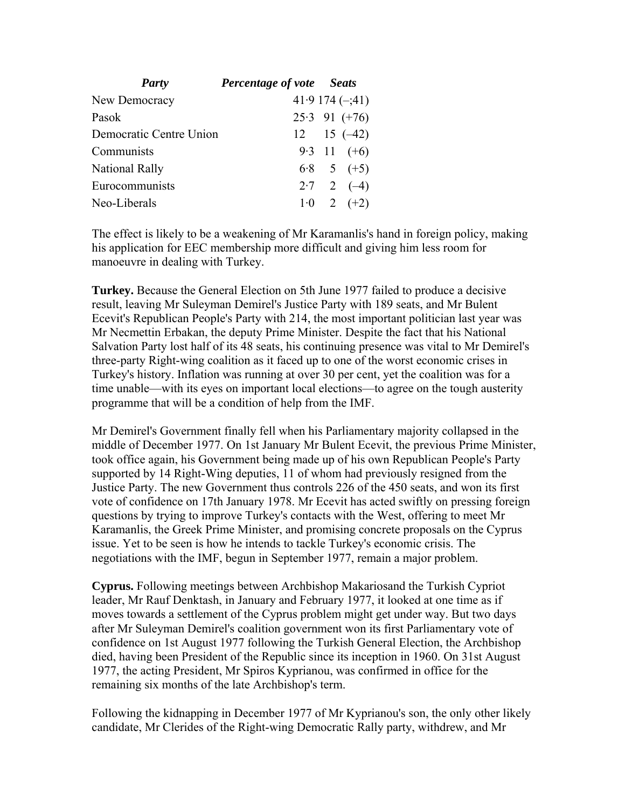| Party                   | <b>Percentage of vote</b> Seats |                      |
|-------------------------|---------------------------------|----------------------|
| New Democracy           |                                 | $41.9174(-1)$        |
| Pasok                   |                                 | $25.3$ 91 (+76)      |
| Democratic Centre Union |                                 | $12 \t15 \t(-42)$    |
| Communists              |                                 | 9.3 11 $(+6)$        |
| <b>National Rally</b>   |                                 | $6.8$ 5 $(+5)$       |
| Eurocommunists          |                                 | $2 \cdot 7$ 2 $(-4)$ |
| Neo-Liberals            |                                 | $1 \cdot 0$ 2 (+2)   |

The effect is likely to be a weakening of Mr Karamanlis's hand in foreign policy, making his application for EEC membership more difficult and giving him less room for manoeuvre in dealing with Turkey.

**Turkey.** Because the General Election on 5th June 1977 failed to produce a decisive result, leaving Mr Suleyman Demirel's Justice Party with 189 seats, and Mr Bulent Ecevit's Republican People's Party with 214, the most important politician last year was Mr Necmettin Erbakan, the deputy Prime Minister. Despite the fact that his National Salvation Party lost half of its 48 seats, his continuing presence was vital to Mr Demirel's three-party Right-wing coalition as it faced up to one of the worst economic crises in Turkey's history. Inflation was running at over 30 per cent, yet the coalition was for a time unable—with its eyes on important local elections—to agree on the tough austerity programme that will be a condition of help from the IMF.

Mr Demirel's Government finally fell when his Parliamentary majority collapsed in the middle of December 1977. On 1st January Mr Bulent Ecevit, the previous Prime Minister, took office again, his Government being made up of his own Republican People's Party supported by 14 Right-Wing deputies, 11 of whom had previously resigned from the Justice Party. The new Government thus controls 226 of the 450 seats, and won its first vote of confidence on 17th January 1978. Mr Ecevit has acted swiftly on pressing foreign questions by trying to improve Turkey's contacts with the West, offering to meet Mr Karamanlis, the Greek Prime Minister, and promising concrete proposals on the Cyprus issue. Yet to be seen is how he intends to tackle Turkey's economic crisis. The negotiations with the IMF, begun in September 1977, remain a major problem.

**Cyprus.** Following meetings between Archbishop Makariosand the Turkish Cypriot leader, Mr Rauf Denktash, in January and February 1977, it looked at one time as if moves towards a settlement of the Cyprus problem might get under way. But two days after Mr Suleyman Demirel's coalition government won its first Parliamentary vote of confidence on 1st August 1977 following the Turkish General Election, the Archbishop died, having been President of the Republic since its inception in 1960. On 31st August 1977, the acting President, Mr Spiros Kyprianou, was confirmed in office for the remaining six months of the late Archbishop's term.

Following the kidnapping in December 1977 of Mr Kyprianou's son, the only other likely candidate, Mr Clerides of the Right-wing Democratic Rally party, withdrew, and Mr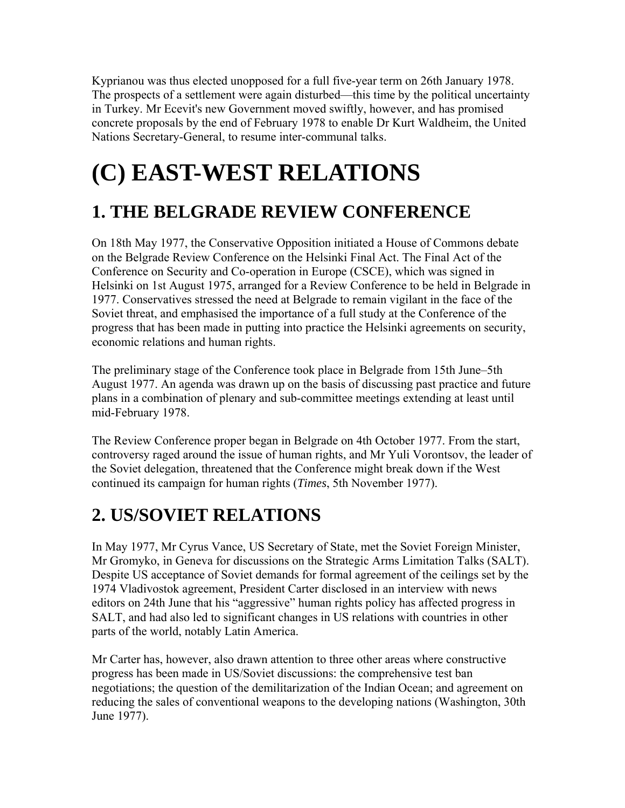Kyprianou was thus elected unopposed for a full five-year term on 26th January 1978. The prospects of a settlement were again disturbed—this time by the political uncertainty in Turkey. Mr Ecevit's new Government moved swiftly, however, and has promised concrete proposals by the end of February 1978 to enable Dr Kurt Waldheim, the United Nations Secretary-General, to resume inter-communal talks.

# **(C) EAST-WEST RELATIONS**

#### **1. THE BELGRADE REVIEW CONFERENCE**

On 18th May 1977, the Conservative Opposition initiated a House of Commons debate on the Belgrade Review Conference on the Helsinki Final Act. The Final Act of the Conference on Security and Co-operation in Europe (CSCE), which was signed in Helsinki on 1st August 1975, arranged for a Review Conference to be held in Belgrade in 1977. Conservatives stressed the need at Belgrade to remain vigilant in the face of the Soviet threat, and emphasised the importance of a full study at the Conference of the progress that has been made in putting into practice the Helsinki agreements on security, economic relations and human rights.

The preliminary stage of the Conference took place in Belgrade from 15th June–5th August 1977. An agenda was drawn up on the basis of discussing past practice and future plans in a combination of plenary and sub-committee meetings extending at least until mid-February 1978.

The Review Conference proper began in Belgrade on 4th October 1977. From the start, controversy raged around the issue of human rights, and Mr Yuli Vorontsov, the leader of the Soviet delegation, threatened that the Conference might break down if the West continued its campaign for human rights (*Times*, 5th November 1977).

#### **2. US/SOVIET RELATIONS**

In May 1977, Mr Cyrus Vance, US Secretary of State, met the Soviet Foreign Minister, Mr Gromyko, in Geneva for discussions on the Strategic Arms Limitation Talks (SALT). Despite US acceptance of Soviet demands for formal agreement of the ceilings set by the 1974 Vladivostok agreement, President Carter disclosed in an interview with news editors on 24th June that his "aggressive" human rights policy has affected progress in SALT, and had also led to significant changes in US relations with countries in other parts of the world, notably Latin America.

Mr Carter has, however, also drawn attention to three other areas where constructive progress has been made in US/Soviet discussions: the comprehensive test ban negotiations; the question of the demilitarization of the Indian Ocean; and agreement on reducing the sales of conventional weapons to the developing nations (Washington, 30th June 1977).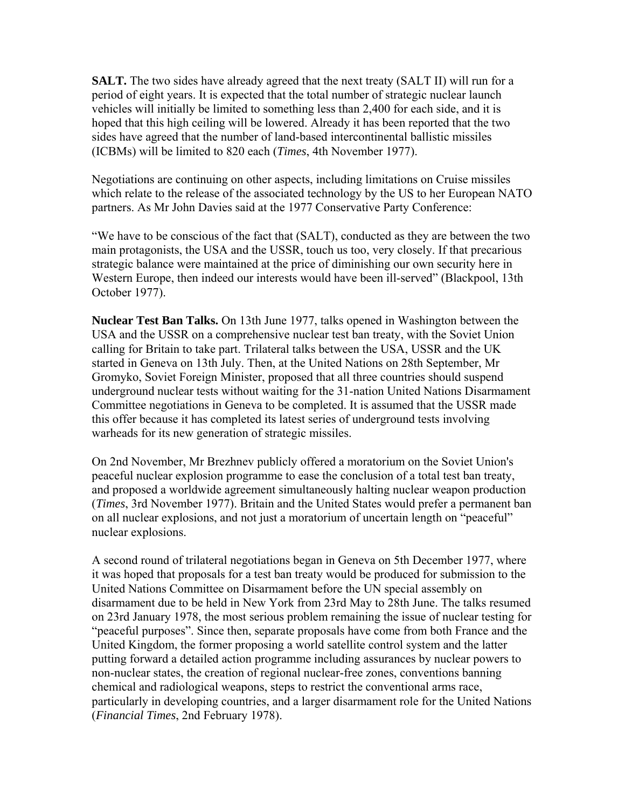**SALT.** The two sides have already agreed that the next treaty (SALT II) will run for a period of eight years. It is expected that the total number of strategic nuclear launch vehicles will initially be limited to something less than 2,400 for each side, and it is hoped that this high ceiling will be lowered. Already it has been reported that the two sides have agreed that the number of land-based intercontinental ballistic missiles (ICBMs) will be limited to 820 each (*Times*, 4th November 1977).

Negotiations are continuing on other aspects, including limitations on Cruise missiles which relate to the release of the associated technology by the US to her European NATO partners. As Mr John Davies said at the 1977 Conservative Party Conference:

"We have to be conscious of the fact that (SALT), conducted as they are between the two main protagonists, the USA and the USSR, touch us too, very closely. If that precarious strategic balance were maintained at the price of diminishing our own security here in Western Europe, then indeed our interests would have been ill-served" (Blackpool, 13th October 1977).

**Nuclear Test Ban Talks.** On 13th June 1977, talks opened in Washington between the USA and the USSR on a comprehensive nuclear test ban treaty, with the Soviet Union calling for Britain to take part. Trilateral talks between the USA, USSR and the UK started in Geneva on 13th July. Then, at the United Nations on 28th September, Mr Gromyko, Soviet Foreign Minister, proposed that all three countries should suspend underground nuclear tests without waiting for the 31-nation United Nations Disarmament Committee negotiations in Geneva to be completed. It is assumed that the USSR made this offer because it has completed its latest series of underground tests involving warheads for its new generation of strategic missiles.

On 2nd November, Mr Brezhnev publicly offered a moratorium on the Soviet Union's peaceful nuclear explosion programme to ease the conclusion of a total test ban treaty, and proposed a worldwide agreement simultaneously halting nuclear weapon production (*Times*, 3rd November 1977). Britain and the United States would prefer a permanent ban on all nuclear explosions, and not just a moratorium of uncertain length on "peaceful" nuclear explosions.

A second round of trilateral negotiations began in Geneva on 5th December 1977, where it was hoped that proposals for a test ban treaty would be produced for submission to the United Nations Committee on Disarmament before the UN special assembly on disarmament due to be held in New York from 23rd May to 28th June. The talks resumed on 23rd January 1978, the most serious problem remaining the issue of nuclear testing for "peaceful purposes". Since then, separate proposals have come from both France and the United Kingdom, the former proposing a world satellite control system and the latter putting forward a detailed action programme including assurances by nuclear powers to non-nuclear states, the creation of regional nuclear-free zones, conventions banning chemical and radiological weapons, steps to restrict the conventional arms race, particularly in developing countries, and a larger disarmament role for the United Nations (*Financial Times*, 2nd February 1978).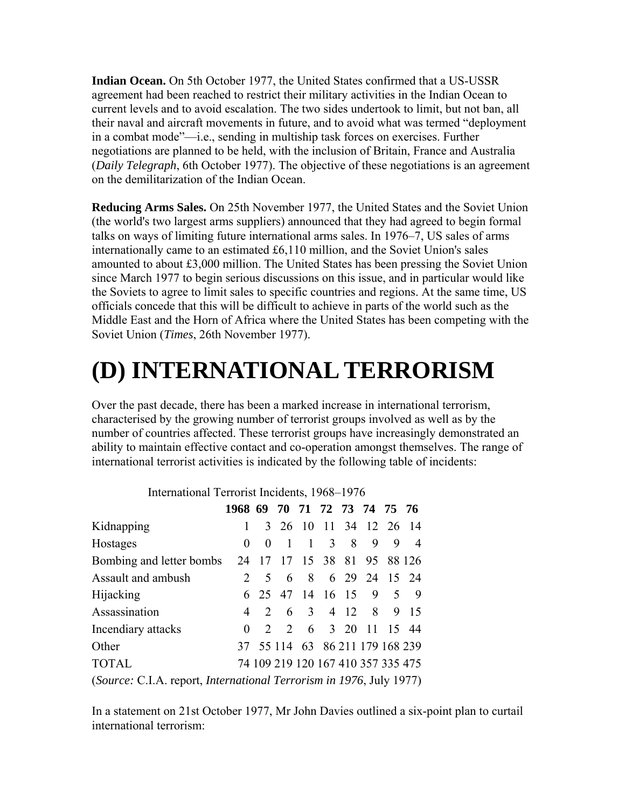**Indian Ocean.** On 5th October 1977, the United States confirmed that a US-USSR agreement had been reached to restrict their military activities in the Indian Ocean to current levels and to avoid escalation. The two sides undertook to limit, but not ban, all their naval and aircraft movements in future, and to avoid what was termed "deployment in a combat mode"—i.e., sending in multiship task forces on exercises. Further negotiations are planned to be held, with the inclusion of Britain, France and Australia (*Daily Telegraph*, 6th October 1977). The objective of these negotiations is an agreement on the demilitarization of the Indian Ocean.

**Reducing Arms Sales.** On 25th November 1977, the United States and the Soviet Union (the world's two largest arms suppliers) announced that they had agreed to begin formal talks on ways of limiting future international arms sales. In 1976–7, US sales of arms internationally came to an estimated £6,110 million, and the Soviet Union's sales amounted to about £3,000 million. The United States has been pressing the Soviet Union since March 1977 to begin serious discussions on this issue, and in particular would like the Soviets to agree to limit sales to specific countries and regions. At the same time, US officials concede that this will be difficult to achieve in parts of the world such as the Middle East and the Horn of Africa where the United States has been competing with the Soviet Union (*Times*, 26th November 1977).

## **(D) INTERNATIONAL TERRORISM**

Over the past decade, there has been a marked increase in international terrorism, characterised by the growing number of terrorist groups involved as well as by the number of countries affected. These terrorist groups have increasingly demonstrated an ability to maintain effective contact and co-operation amongst themselves. The range of international terrorist activities is indicated by the following table of incidents:

| $\frac{1}{1000}$                                     |                              |  |  |  |  |  |  |                                    |  |
|------------------------------------------------------|------------------------------|--|--|--|--|--|--|------------------------------------|--|
|                                                      | 1968 69 70 71 72 73 74 75 76 |  |  |  |  |  |  |                                    |  |
| Kidnapping                                           |                              |  |  |  |  |  |  | 3 26 10 11 34 12 26 14             |  |
| Hostages                                             | $\theta$                     |  |  |  |  |  |  | 0 1 1 3 8 9 9 4                    |  |
| Bombing and letter bombs 24 17 17 15 38 81 95 88 126 |                              |  |  |  |  |  |  |                                    |  |
| Assault and ambush                                   |                              |  |  |  |  |  |  | 2 5 6 8 6 29 24 15 24              |  |
| <b>Hijacking</b>                                     |                              |  |  |  |  |  |  | 6 25 47 14 16 15 9 5 9             |  |
| Assassination                                        |                              |  |  |  |  |  |  | 4 2 6 3 4 12 8 9 15                |  |
| Incendiary attacks                                   |                              |  |  |  |  |  |  | 2 2 6 3 20 11 15 44                |  |
| Other                                                |                              |  |  |  |  |  |  | 37 55 114 63 86 211 179 168 239    |  |
| <b>TOTAL</b>                                         |                              |  |  |  |  |  |  | 74 109 219 120 167 410 357 335 475 |  |
|                                                      |                              |  |  |  |  |  |  |                                    |  |

International Terrorist Incidents, 1968–1976

(*Source:* C.I.A. report, *International Terrorism in 1976*, July 1977)

In a statement on 21st October 1977, Mr John Davies outlined a six-point plan to curtail international terrorism: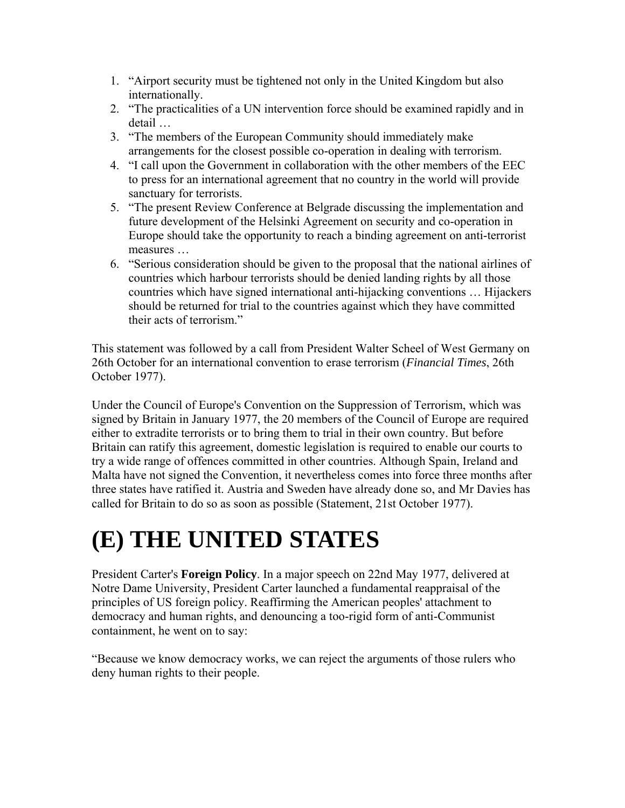- 1. "Airport security must be tightened not only in the United Kingdom but also internationally.
- 2. "The practicalities of a UN intervention force should be examined rapidly and in detail …
- 3. "The members of the European Community should immediately make arrangements for the closest possible co-operation in dealing with terrorism.
- 4. "I call upon the Government in collaboration with the other members of the EEC to press for an international agreement that no country in the world will provide sanctuary for terrorists.
- 5. "The present Review Conference at Belgrade discussing the implementation and future development of the Helsinki Agreement on security and co-operation in Europe should take the opportunity to reach a binding agreement on anti-terrorist measures …
- 6. "Serious consideration should be given to the proposal that the national airlines of countries which harbour terrorists should be denied landing rights by all those countries which have signed international anti-hijacking conventions … Hijackers should be returned for trial to the countries against which they have committed their acts of terrorism."

This statement was followed by a call from President Walter Scheel of West Germany on 26th October for an international convention to erase terrorism (*Financial Times*, 26th October 1977).

Under the Council of Europe's Convention on the Suppression of Terrorism, which was signed by Britain in January 1977, the 20 members of the Council of Europe are required either to extradite terrorists or to bring them to trial in their own country. But before Britain can ratify this agreement, domestic legislation is required to enable our courts to try a wide range of offences committed in other countries. Although Spain, Ireland and Malta have not signed the Convention, it nevertheless comes into force three months after three states have ratified it. Austria and Sweden have already done so, and Mr Davies has called for Britain to do so as soon as possible (Statement, 21st October 1977).

## **(E) THE UNITED STATES**

President Carter's **Foreign Policy**. In a major speech on 22nd May 1977, delivered at Notre Dame University, President Carter launched a fundamental reappraisal of the principles of US foreign policy. Reaffirming the American peoples' attachment to democracy and human rights, and denouncing a too-rigid form of anti-Communist containment, he went on to say:

"Because we know democracy works, we can reject the arguments of those rulers who deny human rights to their people.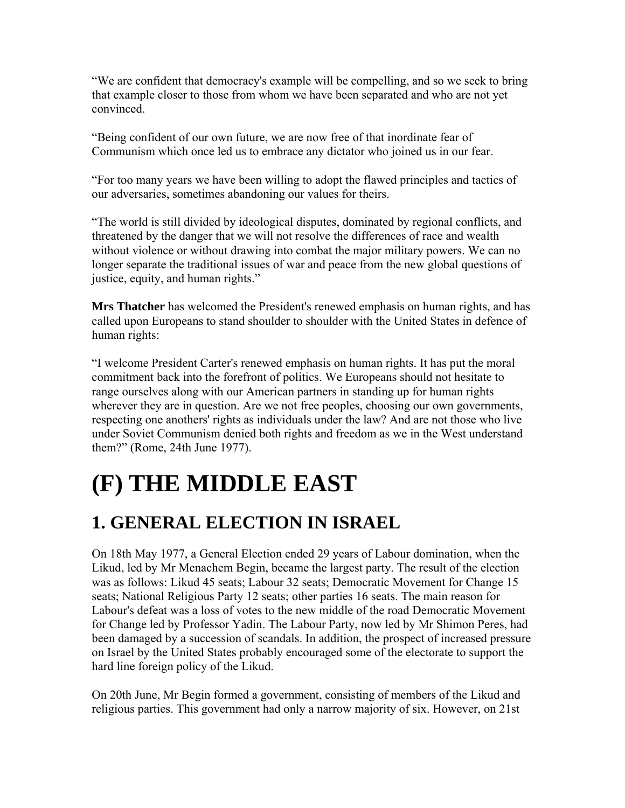"We are confident that democracy's example will be compelling, and so we seek to bring that example closer to those from whom we have been separated and who are not yet convinced.

"Being confident of our own future, we are now free of that inordinate fear of Communism which once led us to embrace any dictator who joined us in our fear.

"For too many years we have been willing to adopt the flawed principles and tactics of our adversaries, sometimes abandoning our values for theirs.

"The world is still divided by ideological disputes, dominated by regional conflicts, and threatened by the danger that we will not resolve the differences of race and wealth without violence or without drawing into combat the major military powers. We can no longer separate the traditional issues of war and peace from the new global questions of justice, equity, and human rights."

**Mrs Thatcher** has welcomed the President's renewed emphasis on human rights, and has called upon Europeans to stand shoulder to shoulder with the United States in defence of human rights:

"I welcome President Carter's renewed emphasis on human rights. It has put the moral commitment back into the forefront of politics. We Europeans should not hesitate to range ourselves along with our American partners in standing up for human rights wherever they are in question. Are we not free peoples, choosing our own governments, respecting one anothers' rights as individuals under the law? And are not those who live under Soviet Communism denied both rights and freedom as we in the West understand them?" (Rome, 24th June 1977).

## **(F) THE MIDDLE EAST**

## **1. GENERAL ELECTION IN ISRAEL**

On 18th May 1977, a General Election ended 29 years of Labour domination, when the Likud, led by Mr Menachem Begin, became the largest party. The result of the election was as follows: Likud 45 seats; Labour 32 seats; Democratic Movement for Change 15 seats; National Religious Party 12 seats; other parties 16 seats. The main reason for Labour's defeat was a loss of votes to the new middle of the road Democratic Movement for Change led by Professor Yadin. The Labour Party, now led by Mr Shimon Peres, had been damaged by a succession of scandals. In addition, the prospect of increased pressure on Israel by the United States probably encouraged some of the electorate to support the hard line foreign policy of the Likud.

On 20th June, Mr Begin formed a government, consisting of members of the Likud and religious parties. This government had only a narrow majority of six. However, on 21st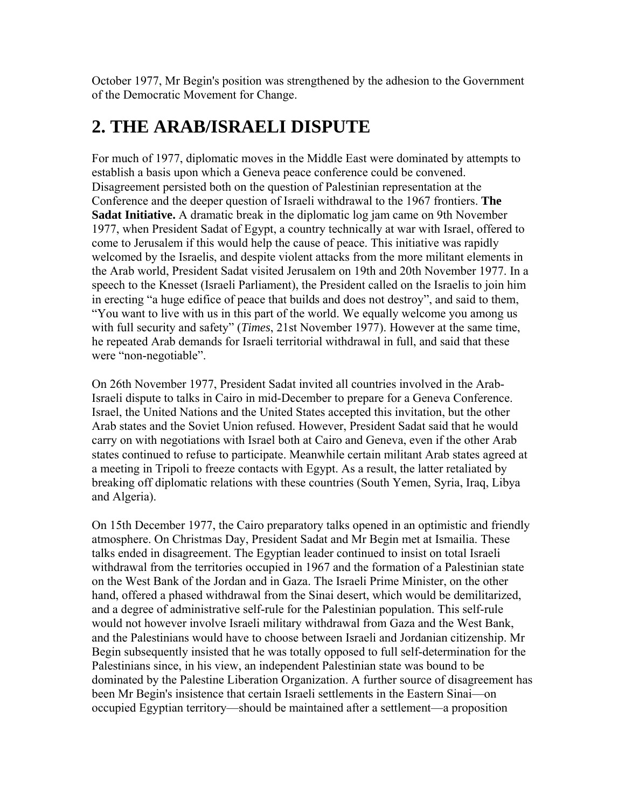October 1977, Mr Begin's position was strengthened by the adhesion to the Government of the Democratic Movement for Change.

### **2. THE ARAB/ISRAELI DISPUTE**

For much of 1977, diplomatic moves in the Middle East were dominated by attempts to establish a basis upon which a Geneva peace conference could be convened. Disagreement persisted both on the question of Palestinian representation at the Conference and the deeper question of Israeli withdrawal to the 1967 frontiers. **The Sadat Initiative.** A dramatic break in the diplomatic log jam came on 9th November 1977, when President Sadat of Egypt, a country technically at war with Israel, offered to come to Jerusalem if this would help the cause of peace. This initiative was rapidly welcomed by the Israelis, and despite violent attacks from the more militant elements in the Arab world, President Sadat visited Jerusalem on 19th and 20th November 1977. In a speech to the Knesset (Israeli Parliament), the President called on the Israelis to join him in erecting "a huge edifice of peace that builds and does not destroy", and said to them, "You want to live with us in this part of the world. We equally welcome you among us with full security and safety" (*Times*, 21st November 1977). However at the same time, he repeated Arab demands for Israeli territorial withdrawal in full, and said that these were "non-negotiable".

On 26th November 1977, President Sadat invited all countries involved in the Arab-Israeli dispute to talks in Cairo in mid-December to prepare for a Geneva Conference. Israel, the United Nations and the United States accepted this invitation, but the other Arab states and the Soviet Union refused. However, President Sadat said that he would carry on with negotiations with Israel both at Cairo and Geneva, even if the other Arab states continued to refuse to participate. Meanwhile certain militant Arab states agreed at a meeting in Tripoli to freeze contacts with Egypt. As a result, the latter retaliated by breaking off diplomatic relations with these countries (South Yemen, Syria, Iraq, Libya and Algeria).

On 15th December 1977, the Cairo preparatory talks opened in an optimistic and friendly atmosphere. On Christmas Day, President Sadat and Mr Begin met at Ismailia. These talks ended in disagreement. The Egyptian leader continued to insist on total Israeli withdrawal from the territories occupied in 1967 and the formation of a Palestinian state on the West Bank of the Jordan and in Gaza. The Israeli Prime Minister, on the other hand, offered a phased withdrawal from the Sinai desert, which would be demilitarized, and a degree of administrative self-rule for the Palestinian population. This self-rule would not however involve Israeli military withdrawal from Gaza and the West Bank, and the Palestinians would have to choose between Israeli and Jordanian citizenship. Mr Begin subsequently insisted that he was totally opposed to full self-determination for the Palestinians since, in his view, an independent Palestinian state was bound to be dominated by the Palestine Liberation Organization. A further source of disagreement has been Mr Begin's insistence that certain Israeli settlements in the Eastern Sinai—on occupied Egyptian territory—should be maintained after a settlement—a proposition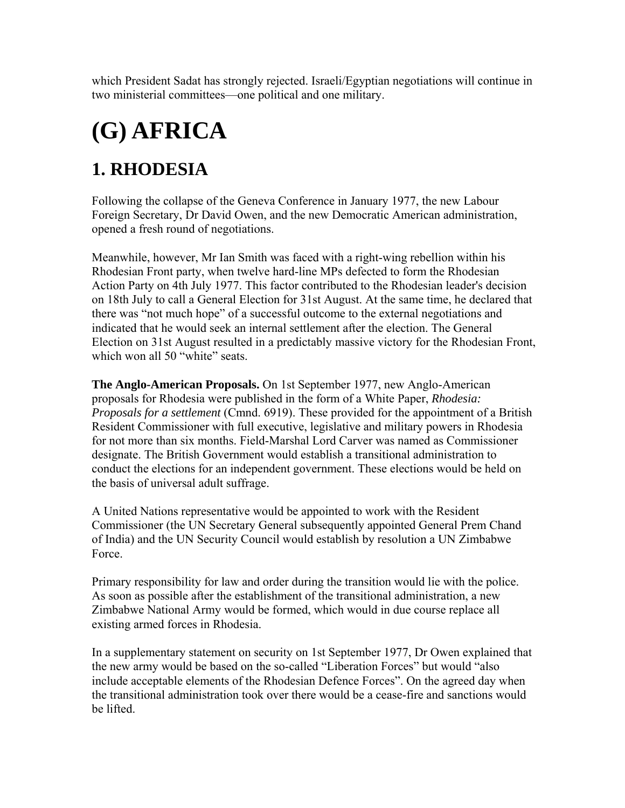which President Sadat has strongly rejected. Israeli/Egyptian negotiations will continue in two ministerial committees—one political and one military.

# **(G) AFRICA**

## **1. RHODESIA**

Following the collapse of the Geneva Conference in January 1977, the new Labour Foreign Secretary, Dr David Owen, and the new Democratic American administration, opened a fresh round of negotiations.

Meanwhile, however, Mr Ian Smith was faced with a right-wing rebellion within his Rhodesian Front party, when twelve hard-line MPs defected to form the Rhodesian Action Party on 4th July 1977. This factor contributed to the Rhodesian leader's decision on 18th July to call a General Election for 31st August. At the same time, he declared that there was "not much hope" of a successful outcome to the external negotiations and indicated that he would seek an internal settlement after the election. The General Election on 31st August resulted in a predictably massive victory for the Rhodesian Front, which won all 50 "white" seats.

**The Anglo-American Proposals.** On 1st September 1977, new Anglo-American proposals for Rhodesia were published in the form of a White Paper, *Rhodesia: Proposals for a settlement* (Cmnd. 6919). These provided for the appointment of a British Resident Commissioner with full executive, legislative and military powers in Rhodesia for not more than six months. Field-Marshal Lord Carver was named as Commissioner designate. The British Government would establish a transitional administration to conduct the elections for an independent government. These elections would be held on the basis of universal adult suffrage.

A United Nations representative would be appointed to work with the Resident Commissioner (the UN Secretary General subsequently appointed General Prem Chand of India) and the UN Security Council would establish by resolution a UN Zimbabwe Force.

Primary responsibility for law and order during the transition would lie with the police. As soon as possible after the establishment of the transitional administration, a new Zimbabwe National Army would be formed, which would in due course replace all existing armed forces in Rhodesia.

In a supplementary statement on security on 1st September 1977, Dr Owen explained that the new army would be based on the so-called "Liberation Forces" but would "also include acceptable elements of the Rhodesian Defence Forces". On the agreed day when the transitional administration took over there would be a cease-fire and sanctions would be lifted.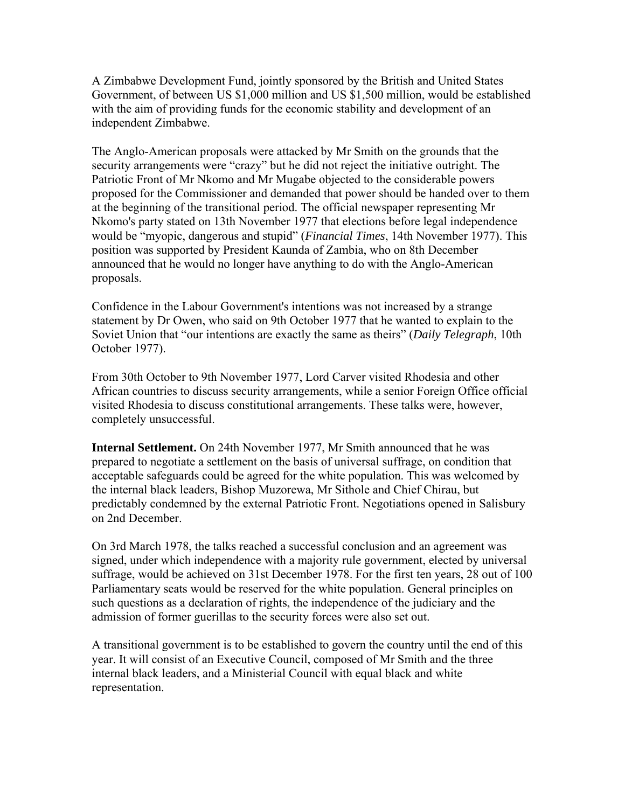A Zimbabwe Development Fund, jointly sponsored by the British and United States Government, of between US \$1,000 million and US \$1,500 million, would be established with the aim of providing funds for the economic stability and development of an independent Zimbabwe.

The Anglo-American proposals were attacked by Mr Smith on the grounds that the security arrangements were "crazy" but he did not reject the initiative outright. The Patriotic Front of Mr Nkomo and Mr Mugabe objected to the considerable powers proposed for the Commissioner and demanded that power should be handed over to them at the beginning of the transitional period. The official newspaper representing Mr Nkomo's party stated on 13th November 1977 that elections before legal independence would be "myopic, dangerous and stupid" (*Financial Times*, 14th November 1977). This position was supported by President Kaunda of Zambia, who on 8th December announced that he would no longer have anything to do with the Anglo-American proposals.

Confidence in the Labour Government's intentions was not increased by a strange statement by Dr Owen, who said on 9th October 1977 that he wanted to explain to the Soviet Union that "our intentions are exactly the same as theirs" (*Daily Telegraph*, 10th October 1977).

From 30th October to 9th November 1977, Lord Carver visited Rhodesia and other African countries to discuss security arrangements, while a senior Foreign Office official visited Rhodesia to discuss constitutional arrangements. These talks were, however, completely unsuccessful.

**Internal Settlement.** On 24th November 1977, Mr Smith announced that he was prepared to negotiate a settlement on the basis of universal suffrage, on condition that acceptable safeguards could be agreed for the white population. This was welcomed by the internal black leaders, Bishop Muzorewa, Mr Sithole and Chief Chirau, but predictably condemned by the external Patriotic Front. Negotiations opened in Salisbury on 2nd December.

On 3rd March 1978, the talks reached a successful conclusion and an agreement was signed, under which independence with a majority rule government, elected by universal suffrage, would be achieved on 31st December 1978. For the first ten years, 28 out of 100 Parliamentary seats would be reserved for the white population. General principles on such questions as a declaration of rights, the independence of the judiciary and the admission of former guerillas to the security forces were also set out.

A transitional government is to be established to govern the country until the end of this year. It will consist of an Executive Council, composed of Mr Smith and the three internal black leaders, and a Ministerial Council with equal black and white representation.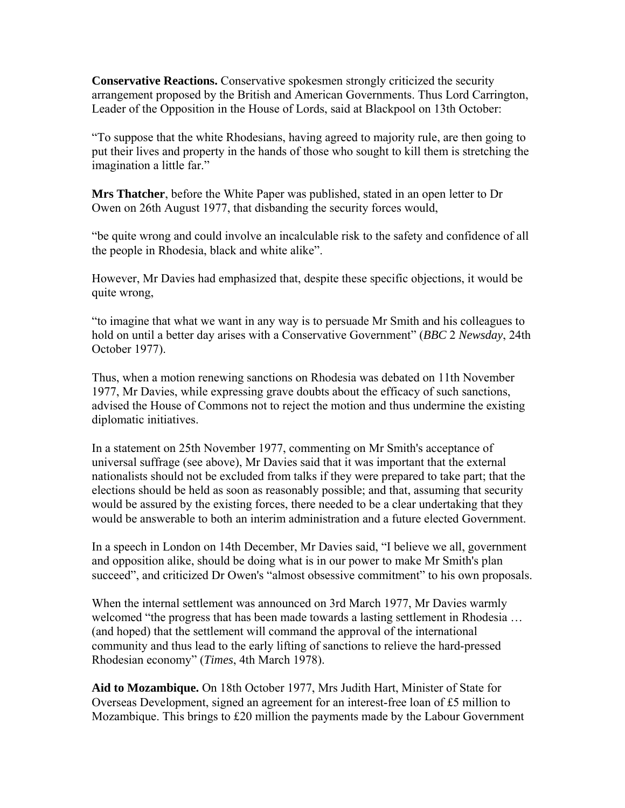**Conservative Reactions.** Conservative spokesmen strongly criticized the security arrangement proposed by the British and American Governments. Thus Lord Carrington, Leader of the Opposition in the House of Lords, said at Blackpool on 13th October:

"To suppose that the white Rhodesians, having agreed to majority rule, are then going to put their lives and property in the hands of those who sought to kill them is stretching the imagination a little far."

**Mrs Thatcher**, before the White Paper was published, stated in an open letter to Dr Owen on 26th August 1977, that disbanding the security forces would,

"be quite wrong and could involve an incalculable risk to the safety and confidence of all the people in Rhodesia, black and white alike".

However, Mr Davies had emphasized that, despite these specific objections, it would be quite wrong,

"to imagine that what we want in any way is to persuade Mr Smith and his colleagues to hold on until a better day arises with a Conservative Government" (*BBC* 2 *Newsday*, 24th October 1977).

Thus, when a motion renewing sanctions on Rhodesia was debated on 11th November 1977, Mr Davies, while expressing grave doubts about the efficacy of such sanctions, advised the House of Commons not to reject the motion and thus undermine the existing diplomatic initiatives.

In a statement on 25th November 1977, commenting on Mr Smith's acceptance of universal suffrage (see above), Mr Davies said that it was important that the external nationalists should not be excluded from talks if they were prepared to take part; that the elections should be held as soon as reasonably possible; and that, assuming that security would be assured by the existing forces, there needed to be a clear undertaking that they would be answerable to both an interim administration and a future elected Government.

In a speech in London on 14th December, Mr Davies said, "I believe we all, government and opposition alike, should be doing what is in our power to make Mr Smith's plan succeed", and criticized Dr Owen's "almost obsessive commitment" to his own proposals.

When the internal settlement was announced on 3rd March 1977, Mr Davies warmly welcomed "the progress that has been made towards a lasting settlement in Rhodesia ... (and hoped) that the settlement will command the approval of the international community and thus lead to the early lifting of sanctions to relieve the hard-pressed Rhodesian economy" (*Times*, 4th March 1978).

**Aid to Mozambique.** On 18th October 1977, Mrs Judith Hart, Minister of State for Overseas Development, signed an agreement for an interest-free loan of £5 million to Mozambique. This brings to £20 million the payments made by the Labour Government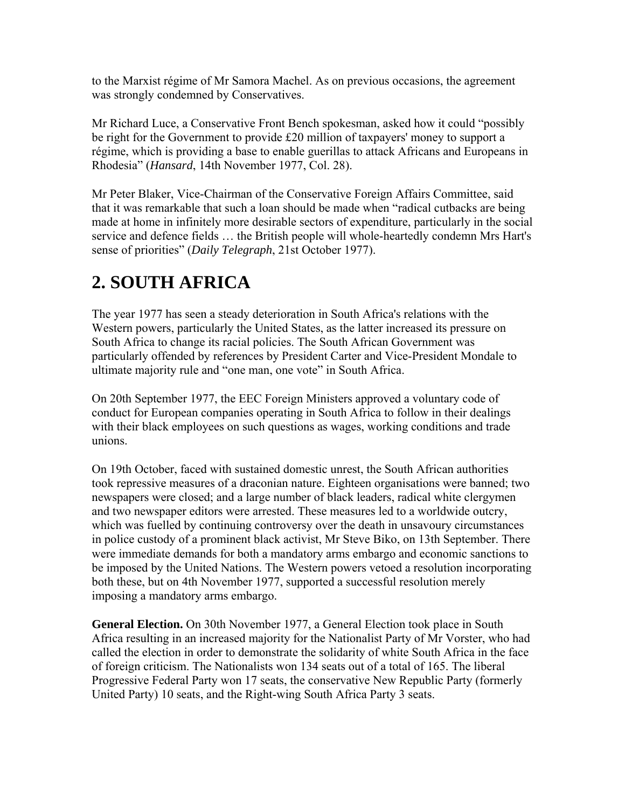to the Marxist régime of Mr Samora Machel. As on previous occasions, the agreement was strongly condemned by Conservatives.

Mr Richard Luce, a Conservative Front Bench spokesman, asked how it could "possibly be right for the Government to provide £20 million of taxpayers' money to support a régime, which is providing a base to enable guerillas to attack Africans and Europeans in Rhodesia" (*Hansard*, 14th November 1977, Col. 28).

Mr Peter Blaker, Vice-Chairman of the Conservative Foreign Affairs Committee, said that it was remarkable that such a loan should be made when "radical cutbacks are being made at home in infinitely more desirable sectors of expenditure, particularly in the social service and defence fields … the British people will whole-heartedly condemn Mrs Hart's sense of priorities" (*Daily Telegraph*, 21st October 1977).

## **2. SOUTH AFRICA**

The year 1977 has seen a steady deterioration in South Africa's relations with the Western powers, particularly the United States, as the latter increased its pressure on South Africa to change its racial policies. The South African Government was particularly offended by references by President Carter and Vice-President Mondale to ultimate majority rule and "one man, one vote" in South Africa.

On 20th September 1977, the EEC Foreign Ministers approved a voluntary code of conduct for European companies operating in South Africa to follow in their dealings with their black employees on such questions as wages, working conditions and trade unions.

On 19th October, faced with sustained domestic unrest, the South African authorities took repressive measures of a draconian nature. Eighteen organisations were banned; two newspapers were closed; and a large number of black leaders, radical white clergymen and two newspaper editors were arrested. These measures led to a worldwide outcry, which was fuelled by continuing controversy over the death in unsavoury circumstances in police custody of a prominent black activist, Mr Steve Biko, on 13th September. There were immediate demands for both a mandatory arms embargo and economic sanctions to be imposed by the United Nations. The Western powers vetoed a resolution incorporating both these, but on 4th November 1977, supported a successful resolution merely imposing a mandatory arms embargo.

**General Election.** On 30th November 1977, a General Election took place in South Africa resulting in an increased majority for the Nationalist Party of Mr Vorster, who had called the election in order to demonstrate the solidarity of white South Africa in the face of foreign criticism. The Nationalists won 134 seats out of a total of 165. The liberal Progressive Federal Party won 17 seats, the conservative New Republic Party (formerly United Party) 10 seats, and the Right-wing South Africa Party 3 seats.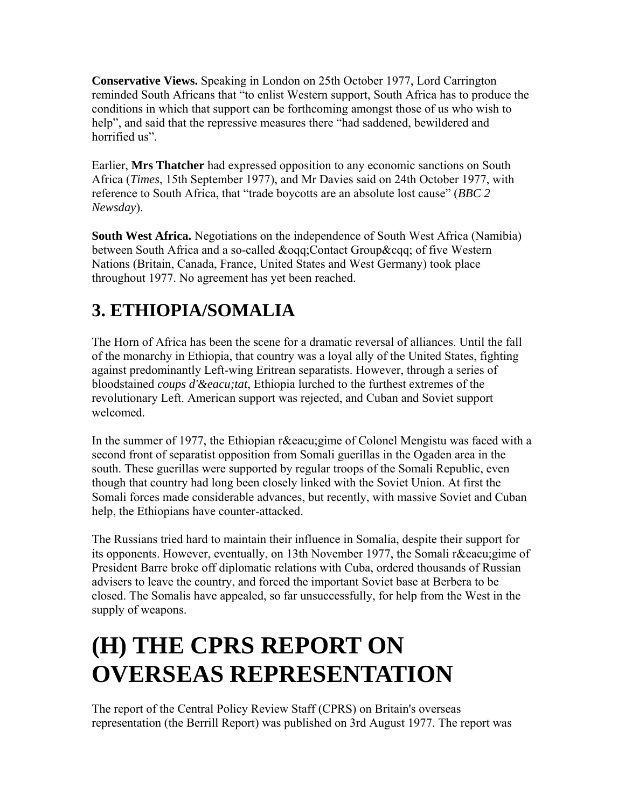**Conservative Views.** Speaking in London on 25th October 1977, Lord Carrington reminded South Africans that "to enlist Western support, South Africa has to produce the conditions in which that support can be forthcoming amongst those of us who wish to help", and said that the repressive measures there "had saddened, bewildered and horrified us".

Earlier, **Mrs Thatcher** had expressed opposition to any economic sanctions on South Africa (*Times*, 15th September 1977), and Mr Davies said on 24th October 1977, with reference to South Africa, that "trade boycotts are an absolute lost cause" (*BBC 2 Newsday*).

**South West Africa.** Negotiations on the independence of South West Africa (Namibia) between South Africa and a so-called &oqq;Contact Group&cqq; of five Western Nations (Britain, Canada, France, United States and West Germany) took place throughout 1977. No agreement has yet been reached.

## **3. ETHIOPIA/SOMALIA**

The Horn of Africa has been the scene for a dramatic reversal of alliances. Until the fall of the monarchy in Ethiopia, that country was a loyal ally of the United States, fighting against predominantly Left-wing Eritrean separatists. However, through a series of bloodstained *coups d'&eacu;tat*, Ethiopia lurched to the furthest extremes of the revolutionary Left. American support was rejected, and Cuban and Soviet support welcomed.

In the summer of 1977, the Ethiopian r&eacu;gime of Colonel Mengistu was faced with a second front of separatist opposition from Somali guerillas in the Ogaden area in the south. These guerillas were supported by regular troops of the Somali Republic, even though that country had long been closely linked with the Soviet Union. At first the Somali forces made considerable advances, but recently, with massive Soviet and Cuban help, the Ethiopians have counter-attacked.

The Russians tried hard to maintain their influence in Somalia, despite their support for its opponents. However, eventually, on 13th November 1977, the Somali r&eacu;gime of President Barre broke off diplomatic relations with Cuba, ordered thousands of Russian advisers to leave the country, and forced the important Soviet base at Berbera to be closed. The Somalis have appealed, so far unsuccessfully, for help from the West in the supply of weapons.

## **(H) THE CPRS REPORT ON OVERSEAS REPRESENTATION**

The report of the Central Policy Review Staff (CPRS) on Britain's overseas representation (the Berrill Report) was published on 3rd August 1977. The report was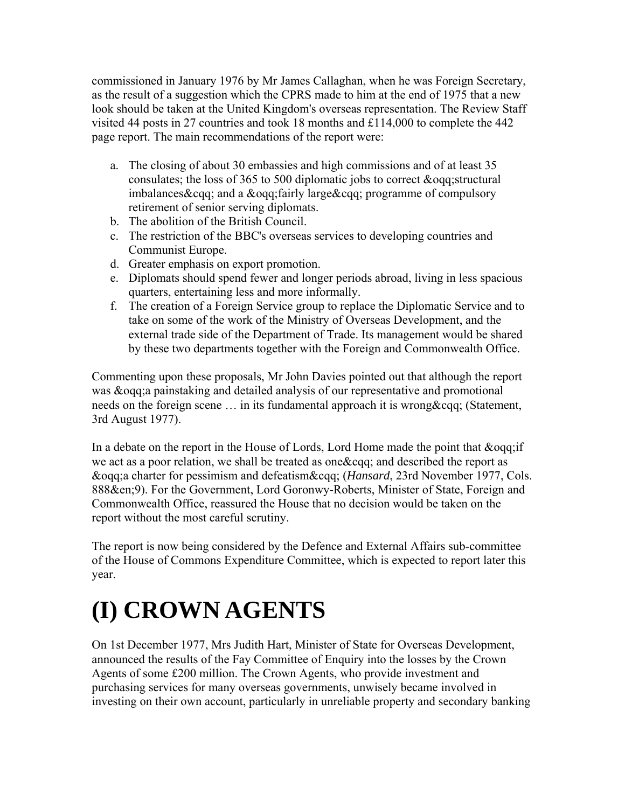commissioned in January 1976 by Mr James Callaghan, when he was Foreign Secretary, as the result of a suggestion which the CPRS made to him at the end of 1975 that a new look should be taken at the United Kingdom's overseas representation. The Review Staff visited 44 posts in 27 countries and took 18 months and £114,000 to complete the 442 page report. The main recommendations of the report were:

- a. The closing of about 30 embassies and high commissions and of at least 35 consulates; the loss of 365 to 500 diplomatic jobs to correct &oqq;structural imbalances&cqq; and a &oqq;fairly large&cqq; programme of compulsory retirement of senior serving diplomats.
- b. The abolition of the British Council.
- c. The restriction of the BBC's overseas services to developing countries and Communist Europe.
- d. Greater emphasis on export promotion.
- e. Diplomats should spend fewer and longer periods abroad, living in less spacious quarters, entertaining less and more informally.
- f. The creation of a Foreign Service group to replace the Diplomatic Service and to take on some of the work of the Ministry of Overseas Development, and the external trade side of the Department of Trade. Its management would be shared by these two departments together with the Foreign and Commonwealth Office.

Commenting upon these proposals, Mr John Davies pointed out that although the report was &oqq;a painstaking and detailed analysis of our representative and promotional needs on the foreign scene ... in its fundamental approach it is wrong & cqq; (Statement, 3rd August 1977).

In a debate on the report in the House of Lords, Lord Home made the point that &oqq;if we act as a poor relation, we shall be treated as one&cqq; and described the report as &oqq;a charter for pessimism and defeatism&cqq; (*Hansard*, 23rd November 1977, Cols. 888&en;9). For the Government, Lord Goronwy-Roberts, Minister of State, Foreign and Commonwealth Office, reassured the House that no decision would be taken on the report without the most careful scrutiny.

The report is now being considered by the Defence and External Affairs sub-committee of the House of Commons Expenditure Committee, which is expected to report later this year.

# **(I) CROWN AGENTS**

On 1st December 1977, Mrs Judith Hart, Minister of State for Overseas Development, announced the results of the Fay Committee of Enquiry into the losses by the Crown Agents of some £200 million. The Crown Agents, who provide investment and purchasing services for many overseas governments, unwisely became involved in investing on their own account, particularly in unreliable property and secondary banking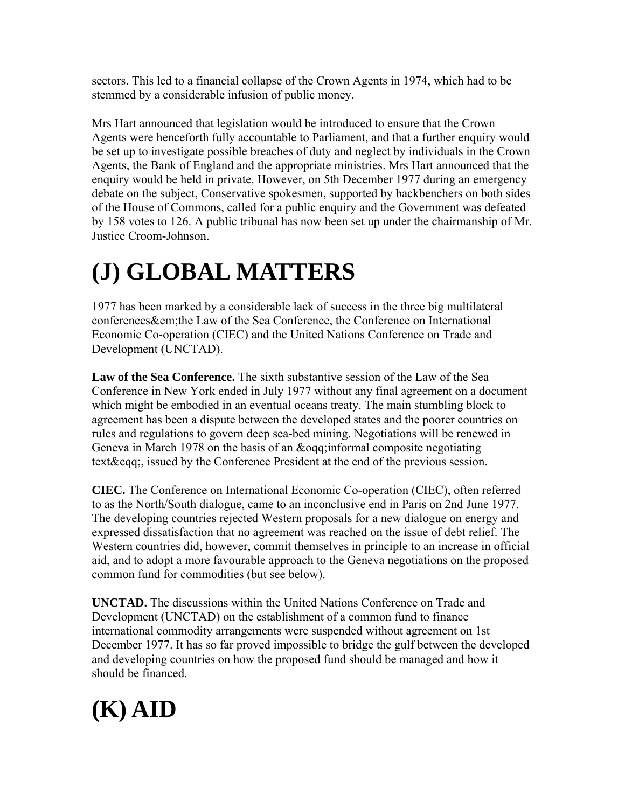sectors. This led to a financial collapse of the Crown Agents in 1974, which had to be stemmed by a considerable infusion of public money.

Mrs Hart announced that legislation would be introduced to ensure that the Crown Agents were henceforth fully accountable to Parliament, and that a further enquiry would be set up to investigate possible breaches of duty and neglect by individuals in the Crown Agents, the Bank of England and the appropriate ministries. Mrs Hart announced that the enquiry would be held in private. However, on 5th December 1977 during an emergency debate on the subject, Conservative spokesmen, supported by backbenchers on both sides of the House of Commons, called for a public enquiry and the Government was defeated by 158 votes to 126. A public tribunal has now been set up under the chairmanship of Mr. Justice Croom-Johnson.

# **(J) GLOBAL MATTERS**

1977 has been marked by a considerable lack of success in the three big multilateral conferences&em;the Law of the Sea Conference, the Conference on International Economic Co-operation (CIEC) and the United Nations Conference on Trade and Development (UNCTAD).

**Law of the Sea Conference.** The sixth substantive session of the Law of the Sea Conference in New York ended in July 1977 without any final agreement on a document which might be embodied in an eventual oceans treaty. The main stumbling block to agreement has been a dispute between the developed states and the poorer countries on rules and regulations to govern deep sea-bed mining. Negotiations will be renewed in Geneva in March 1978 on the basis of an &oqq;informal composite negotiating text&cqq;, issued by the Conference President at the end of the previous session.

**CIEC.** The Conference on International Economic Co-operation (CIEC), often referred to as the North/South dialogue, came to an inconclusive end in Paris on 2nd June 1977. The developing countries rejected Western proposals for a new dialogue on energy and expressed dissatisfaction that no agreement was reached on the issue of debt relief. The Western countries did, however, commit themselves in principle to an increase in official aid, and to adopt a more favourable approach to the Geneva negotiations on the proposed common fund for commodities (but see below).

**UNCTAD.** The discussions within the United Nations Conference on Trade and Development (UNCTAD) on the establishment of a common fund to finance international commodity arrangements were suspended without agreement on 1st December 1977. It has so far proved impossible to bridge the gulf between the developed and developing countries on how the proposed fund should be managed and how it should be financed.

## **(K) AID**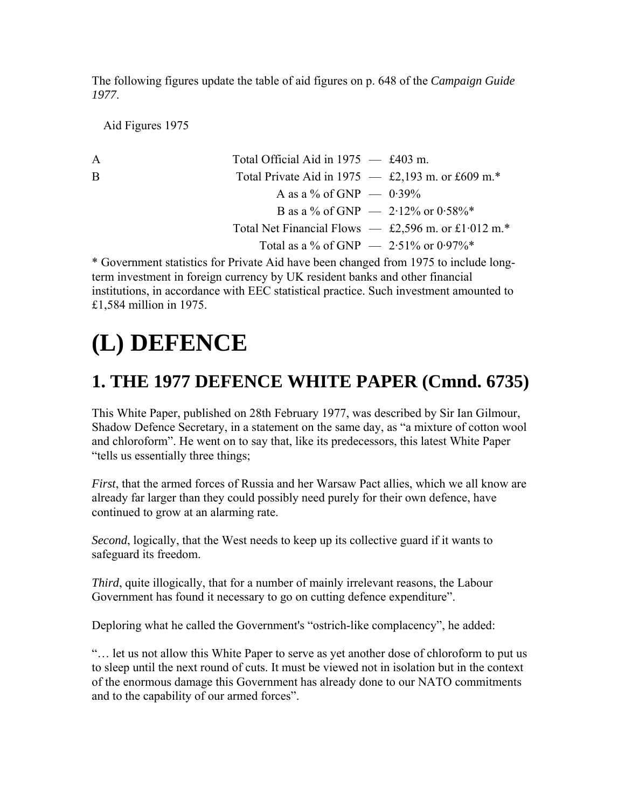The following figures update the table of aid figures on p. 648 of the *Campaign Guide 1977*.

Aid Figures 1975

| A  | Total Official Aid in $1975 - £403$ m.                |
|----|-------------------------------------------------------|
| B. | Total Private Aid in 1975 $-$ £2,193 m. or £609 m.*   |
|    | A as a % of GNP $-$ 0.39%                             |
|    | B as a % of GNP $-2.12\%$ or 0.58%*                   |
|    | Total Net Financial Flows $-$ £2,596 m. or £1.012 m.* |
|    | Total as a % of GNP $-$ 2.51% or 0.97%*               |
|    |                                                       |

\* Government statistics for Private Aid have been changed from 1975 to include longterm investment in foreign currency by UK resident banks and other financial institutions, in accordance with EEC statistical practice. Such investment amounted to £1,584 million in 1975.

## **(L) DEFENCE**

### **1. THE 1977 DEFENCE WHITE PAPER (Cmnd. 6735)**

This White Paper, published on 28th February 1977, was described by Sir Ian Gilmour, Shadow Defence Secretary, in a statement on the same day, as "a mixture of cotton wool and chloroform". He went on to say that, like its predecessors, this latest White Paper "tells us essentially three things;

*First*, that the armed forces of Russia and her Warsaw Pact allies, which we all know are already far larger than they could possibly need purely for their own defence, have continued to grow at an alarming rate.

*Second*, logically, that the West needs to keep up its collective guard if it wants to safeguard its freedom.

*Third*, quite illogically, that for a number of mainly irrelevant reasons, the Labour Government has found it necessary to go on cutting defence expenditure".

Deploring what he called the Government's "ostrich-like complacency", he added:

"… let us not allow this White Paper to serve as yet another dose of chloroform to put us to sleep until the next round of cuts. It must be viewed not in isolation but in the context of the enormous damage this Government has already done to our NATO commitments and to the capability of our armed forces".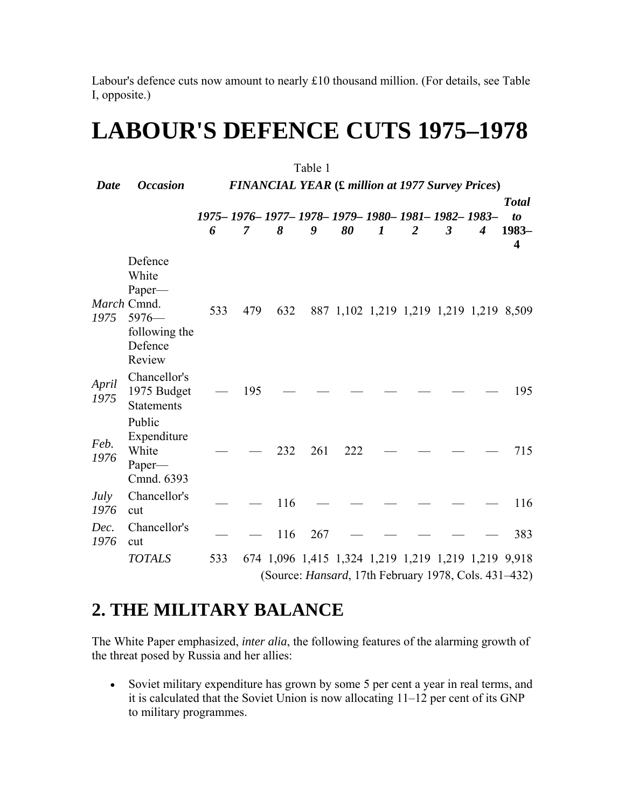Labour's defence cuts now amount to nearly £10 thousand million. (For details, see Table I, opposite.)

## **LABOUR'S DEFENCE CUTS 1975–1978**

| Table 1       |                                                                                            |                                                         |                                                                     |     |     |     |   |                                                              |                |   |                                                                                |  |  |
|---------------|--------------------------------------------------------------------------------------------|---------------------------------------------------------|---------------------------------------------------------------------|-----|-----|-----|---|--------------------------------------------------------------|----------------|---|--------------------------------------------------------------------------------|--|--|
| Date          | <b>Occasion</b>                                                                            | <b>FINANCIAL YEAR (£ million at 1977 Survey Prices)</b> |                                                                     |     |     |     |   |                                                              |                |   |                                                                                |  |  |
|               |                                                                                            | 6                                                       | 1975 - 1976 - 1977 - 1978 - 1979 - 1980 - 1981 - 1982 - 1983 -<br>7 | 8   | 9   | 80  | 1 | $\overline{2}$                                               | $\mathfrak{Z}$ | 4 | <b>Total</b><br>$\boldsymbol{\mathit{to}}$<br>1983-<br>$\overline{\mathbf{4}}$ |  |  |
| 1975          | Defence<br>White<br>Paper-<br>March Cmnd.<br>$5976-$<br>following the<br>Defence<br>Review | 533                                                     | 479                                                                 | 632 |     |     |   | 887 1,102 1,219 1,219 1,219 1,219 8,509                      |                |   |                                                                                |  |  |
| April<br>1975 | Chancellor's<br>1975 Budget<br><b>Statements</b>                                           |                                                         | 195                                                                 |     |     |     |   |                                                              |                |   | 195                                                                            |  |  |
| Feb.<br>1976  | Public<br>Expenditure<br>White<br>Paper-<br>Cmnd. 6393                                     |                                                         |                                                                     | 232 | 261 | 222 |   |                                                              |                |   | 715                                                                            |  |  |
| July<br>1976  | Chancellor's<br>cut                                                                        |                                                         |                                                                     | 116 |     |     |   |                                                              |                |   | 116                                                                            |  |  |
| Dec.<br>1976  | Chancellor's<br>cut                                                                        |                                                         |                                                                     | 116 | 267 |     |   |                                                              |                |   | 383                                                                            |  |  |
|               | <b>TOTALS</b>                                                                              | 533                                                     |                                                                     |     |     |     |   | 674 1,096 1,415 1,324 1,219 1,219 1,219 1,219 9,918          |                |   |                                                                                |  |  |
|               |                                                                                            |                                                         |                                                                     |     |     |     |   | (Source: <i>Hansard</i> , 17th February 1978, Cols. 431–432) |                |   |                                                                                |  |  |

## **2. THE MILITARY BALANCE**

The White Paper emphasized, *inter alia*, the following features of the alarming growth of the threat posed by Russia and her allies:

• Soviet military expenditure has grown by some 5 per cent a year in real terms, and it is calculated that the Soviet Union is now allocating 11–12 per cent of its GNP to military programmes.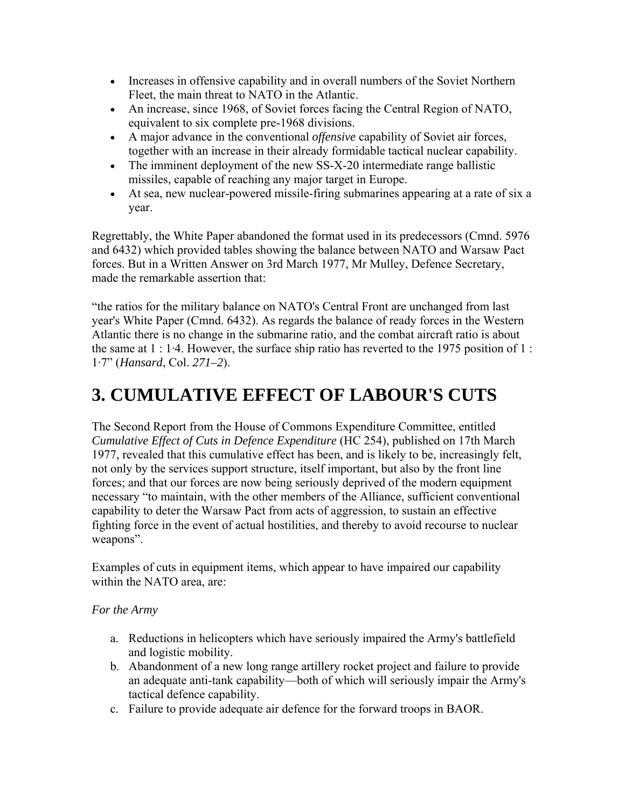- Increases in offensive capability and in overall numbers of the Soviet Northern Fleet, the main threat to NATO in the Atlantic.
- An increase, since 1968, of Soviet forces facing the Central Region of NATO, equivalent to six complete pre-1968 divisions.
- A major advance in the conventional *offensive* capability of Soviet air forces, together with an increase in their already formidable tactical nuclear capability.
- The imminent deployment of the new SS-X-20 intermediate range ballistic missiles, capable of reaching any major target in Europe.
- At sea, new nuclear-powered missile-firing submarines appearing at a rate of six a year.

Regrettably, the White Paper abandoned the format used in its predecessors (Cmnd. 5976 and 6432) which provided tables showing the balance between NATO and Warsaw Pact forces. But in a Written Answer on 3rd March 1977, Mr Mulley, Defence Secretary, made the remarkable assertion that:

"the ratios for the military balance on NATO's Central Front are unchanged from last year's White Paper (Cmnd. 6432). As regards the balance of ready forces in the Western Atlantic there is no change in the submarine ratio, and the combat aircraft ratio is about the same at 1 : 1·4. However, the surface ship ratio has reverted to the 1975 position of 1 : 1·7" (*Hansard*, Col. *271–2*).

## **3. CUMULATIVE EFFECT OF LABOUR'S CUTS**

The Second Report from the House of Commons Expenditure Committee, entitled *Cumulative Effect of Cuts in Defence Expenditure* (HC 254), published on 17th March 1977, revealed that this cumulative effect has been, and is likely to be, increasingly felt, not only by the services support structure, itself important, but also by the front line forces; and that our forces are now being seriously deprived of the modern equipment necessary "to maintain, with the other members of the Alliance, sufficient conventional capability to deter the Warsaw Pact from acts of aggression, to sustain an effective fighting force in the event of actual hostilities, and thereby to avoid recourse to nuclear weapons".

Examples of cuts in equipment items, which appear to have impaired our capability within the NATO area, are:

#### *For the Army*

- a. Reductions in helicopters which have seriously impaired the Army's battlefield and logistic mobility.
- b. Abandonment of a new long range artillery rocket project and failure to provide an adequate anti-tank capability—both of which will seriously impair the Army's tactical defence capability.
- c. Failure to provide adequate air defence for the forward troops in BAOR.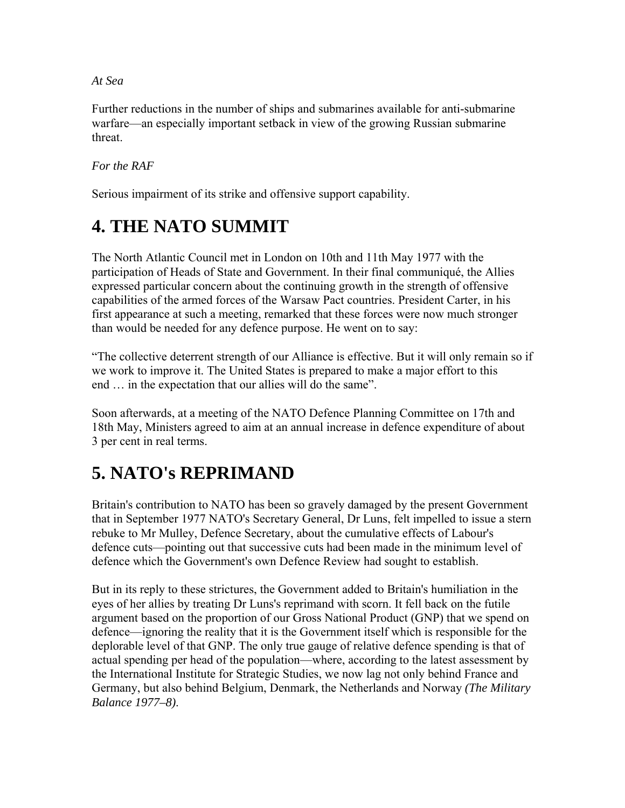*At Sea*

Further reductions in the number of ships and submarines available for anti-submarine warfare—an especially important setback in view of the growing Russian submarine threat.

*For the RAF*

Serious impairment of its strike and offensive support capability.

## **4. THE NATO SUMMIT**

The North Atlantic Council met in London on 10th and 11th May 1977 with the participation of Heads of State and Government. In their final communiqué, the Allies expressed particular concern about the continuing growth in the strength of offensive capabilities of the armed forces of the Warsaw Pact countries. President Carter, in his first appearance at such a meeting, remarked that these forces were now much stronger than would be needed for any defence purpose. He went on to say:

"The collective deterrent strength of our Alliance is effective. But it will only remain so if we work to improve it. The United States is prepared to make a major effort to this end … in the expectation that our allies will do the same".

Soon afterwards, at a meeting of the NATO Defence Planning Committee on 17th and 18th May, Ministers agreed to aim at an annual increase in defence expenditure of about 3 per cent in real terms.

## **5. NATO's REPRIMAND**

Britain's contribution to NATO has been so gravely damaged by the present Government that in September 1977 NATO's Secretary General, Dr Luns, felt impelled to issue a stern rebuke to Mr Mulley, Defence Secretary, about the cumulative effects of Labour's defence cuts—pointing out that successive cuts had been made in the minimum level of defence which the Government's own Defence Review had sought to establish.

But in its reply to these strictures, the Government added to Britain's humiliation in the eyes of her allies by treating Dr Luns's reprimand with scorn. It fell back on the futile argument based on the proportion of our Gross National Product (GNP) that we spend on defence—ignoring the reality that it is the Government itself which is responsible for the deplorable level of that GNP. The only true gauge of relative defence spending is that of actual spending per head of the population—where, according to the latest assessment by the International Institute for Strategic Studies, we now lag not only behind France and Germany, but also behind Belgium, Denmark, the Netherlands and Norway *(The Military Balance 1977–8)*.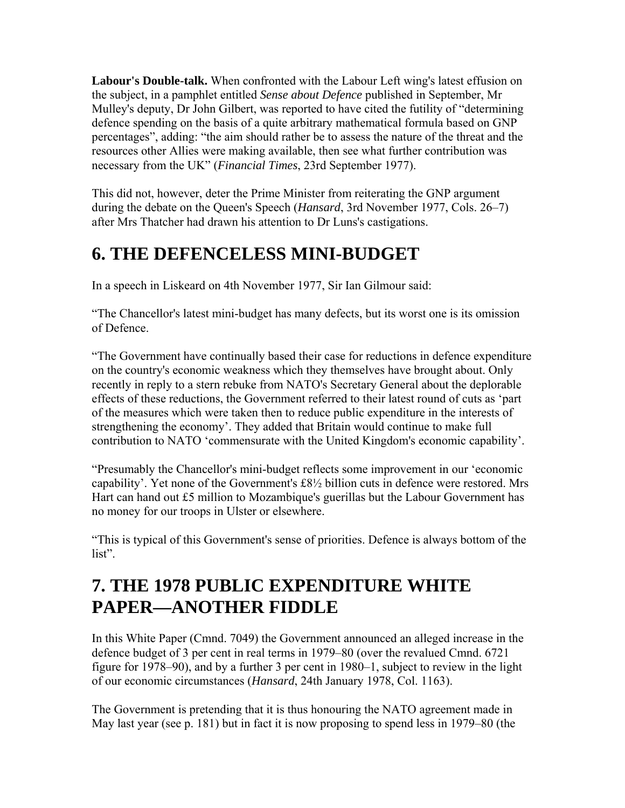**Labour's Double-talk.** When confronted with the Labour Left wing's latest effusion on the subject, in a pamphlet entitled *Sense about Defence* published in September, Mr Mulley's deputy, Dr John Gilbert, was reported to have cited the futility of "determining defence spending on the basis of a quite arbitrary mathematical formula based on GNP percentages", adding: "the aim should rather be to assess the nature of the threat and the resources other Allies were making available, then see what further contribution was necessary from the UK" (*Financial Times*, 23rd September 1977).

This did not, however, deter the Prime Minister from reiterating the GNP argument during the debate on the Queen's Speech (*Hansard*, 3rd November 1977, Cols. 26–7) after Mrs Thatcher had drawn his attention to Dr Luns's castigations.

## **6. THE DEFENCELESS MINI-BUDGET**

In a speech in Liskeard on 4th November 1977, Sir Ian Gilmour said:

"The Chancellor's latest mini-budget has many defects, but its worst one is its omission of Defence.

"The Government have continually based their case for reductions in defence expenditure on the country's economic weakness which they themselves have brought about. Only recently in reply to a stern rebuke from NATO's Secretary General about the deplorable effects of these reductions, the Government referred to their latest round of cuts as 'part of the measures which were taken then to reduce public expenditure in the interests of strengthening the economy'. They added that Britain would continue to make full contribution to NATO 'commensurate with the United Kingdom's economic capability'.

"Presumably the Chancellor's mini-budget reflects some improvement in our 'economic capability'. Yet none of the Government's £8½ billion cuts in defence were restored. Mrs Hart can hand out £5 million to Mozambique's guerillas but the Labour Government has no money for our troops in Ulster or elsewhere.

"This is typical of this Government's sense of priorities. Defence is always bottom of the list".

## **7. THE 1978 PUBLIC EXPENDITURE WHITE PAPER—ANOTHER FIDDLE**

In this White Paper (Cmnd. 7049) the Government announced an alleged increase in the defence budget of 3 per cent in real terms in 1979–80 (over the revalued Cmnd. 6721 figure for 1978–90), and by a further 3 per cent in 1980–1, subject to review in the light of our economic circumstances (*Hansard*, 24th January 1978, Col. 1163).

The Government is pretending that it is thus honouring the NATO agreement made in May last year (see p. 181) but in fact it is now proposing to spend less in 1979–80 (the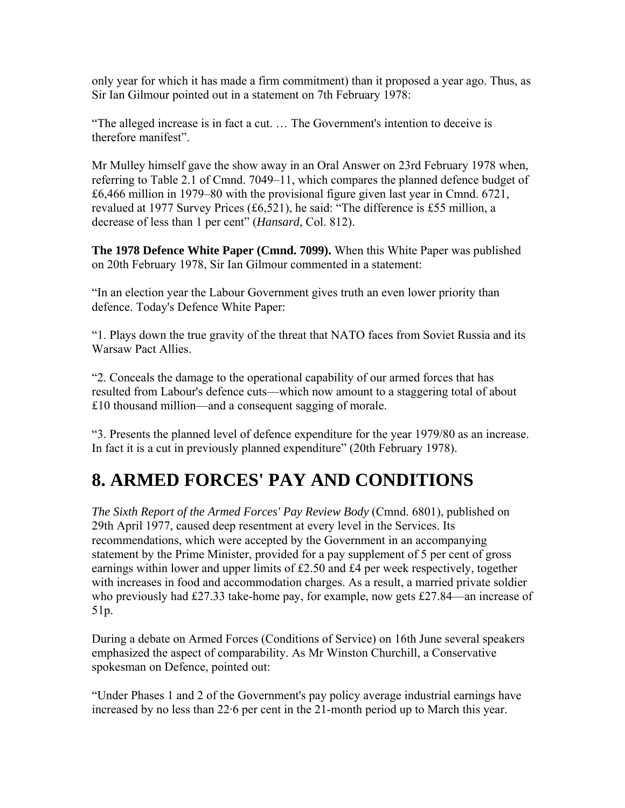only year for which it has made a firm commitment) than it proposed a year ago. Thus, as Sir Ian Gilmour pointed out in a statement on 7th February 1978:

"The alleged increase is in fact a cut. … The Government's intention to deceive is therefore manifest".

Mr Mulley himself gave the show away in an Oral Answer on 23rd February 1978 when, referring to Table 2.1 of Cmnd. 7049–11, which compares the planned defence budget of £6,466 million in 1979–80 with the provisional figure given last year in Cmnd. 6721, revalued at 1977 Survey Prices (£6,521), he said: "The difference is £55 million, a decrease of less than 1 per cent" (*Hansard*, Col. 812).

**The 1978 Defence White Paper (Cmnd. 7099).** When this White Paper was published on 20th February 1978, Sir Ian Gilmour commented in a statement:

"In an election year the Labour Government gives truth an even lower priority than defence. Today's Defence White Paper:

"1. Plays down the true gravity of the threat that NATO faces from Soviet Russia and its Warsaw Pact Allies.

"2. Conceals the damage to the operational capability of our armed forces that has resulted from Labour's defence cuts—which now amount to a staggering total of about £10 thousand million—and a consequent sagging of morale.

"3. Presents the planned level of defence expenditure for the year 1979/80 as an increase. In fact it is a cut in previously planned expenditure" (20th February 1978).

## **8. ARMED FORCES' PAY AND CONDITIONS**

*The Sixth Report of the Armed Forces' Pay Review Body* (Cmnd. 6801), published on 29th April 1977, caused deep resentment at every level in the Services. Its recommendations, which were accepted by the Government in an accompanying statement by the Prime Minister, provided for a pay supplement of 5 per cent of gross earnings within lower and upper limits of £2.50 and £4 per week respectively, together with increases in food and accommodation charges. As a result, a married private soldier who previously had £27.33 take-home pay, for example, now gets £27.84—an increase of 51p.

During a debate on Armed Forces (Conditions of Service) on 16th June several speakers emphasized the aspect of comparability. As Mr Winston Churchill, a Conservative spokesman on Defence, pointed out:

"Under Phases 1 and 2 of the Government's pay policy average industrial earnings have increased by no less than 22·6 per cent in the 21-month period up to March this year.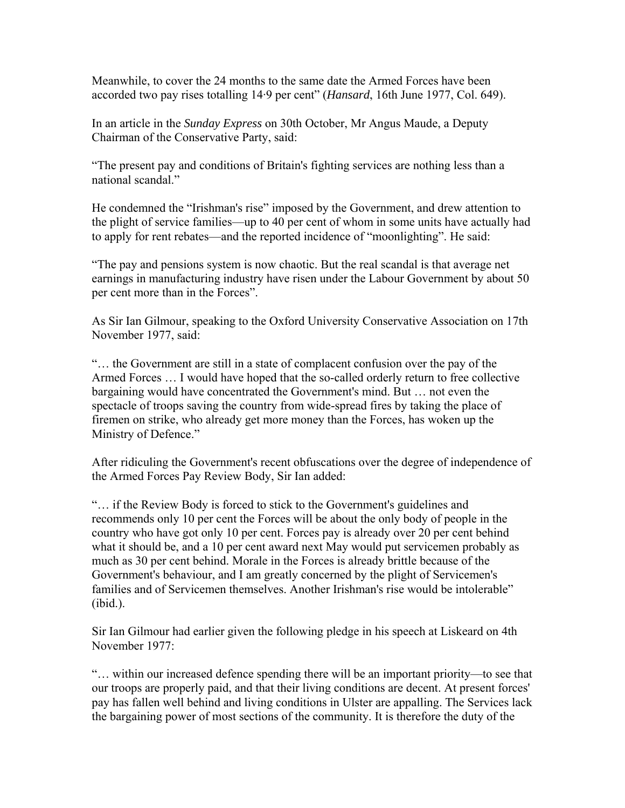Meanwhile, to cover the 24 months to the same date the Armed Forces have been accorded two pay rises totalling 14·9 per cent" (*Hansard*, 16th June 1977, Col. 649).

In an article in the *Sunday Express* on 30th October, Mr Angus Maude, a Deputy Chairman of the Conservative Party, said:

"The present pay and conditions of Britain's fighting services are nothing less than a national scandal."

He condemned the "Irishman's rise" imposed by the Government, and drew attention to the plight of service families—up to 40 per cent of whom in some units have actually had to apply for rent rebates—and the reported incidence of "moonlighting". He said:

"The pay and pensions system is now chaotic. But the real scandal is that average net earnings in manufacturing industry have risen under the Labour Government by about 50 per cent more than in the Forces".

As Sir Ian Gilmour, speaking to the Oxford University Conservative Association on 17th November 1977, said:

"… the Government are still in a state of complacent confusion over the pay of the Armed Forces … I would have hoped that the so-called orderly return to free collective bargaining would have concentrated the Government's mind. But … not even the spectacle of troops saving the country from wide-spread fires by taking the place of firemen on strike, who already get more money than the Forces, has woken up the Ministry of Defence."

After ridiculing the Government's recent obfuscations over the degree of independence of the Armed Forces Pay Review Body, Sir Ian added:

"… if the Review Body is forced to stick to the Government's guidelines and recommends only 10 per cent the Forces will be about the only body of people in the country who have got only 10 per cent. Forces pay is already over 20 per cent behind what it should be, and a 10 per cent award next May would put servicemen probably as much as 30 per cent behind. Morale in the Forces is already brittle because of the Government's behaviour, and I am greatly concerned by the plight of Servicemen's families and of Servicemen themselves. Another Irishman's rise would be intolerable" (ibid.).

Sir Ian Gilmour had earlier given the following pledge in his speech at Liskeard on 4th November 1977:

"… within our increased defence spending there will be an important priority—to see that our troops are properly paid, and that their living conditions are decent. At present forces' pay has fallen well behind and living conditions in Ulster are appalling. The Services lack the bargaining power of most sections of the community. It is therefore the duty of the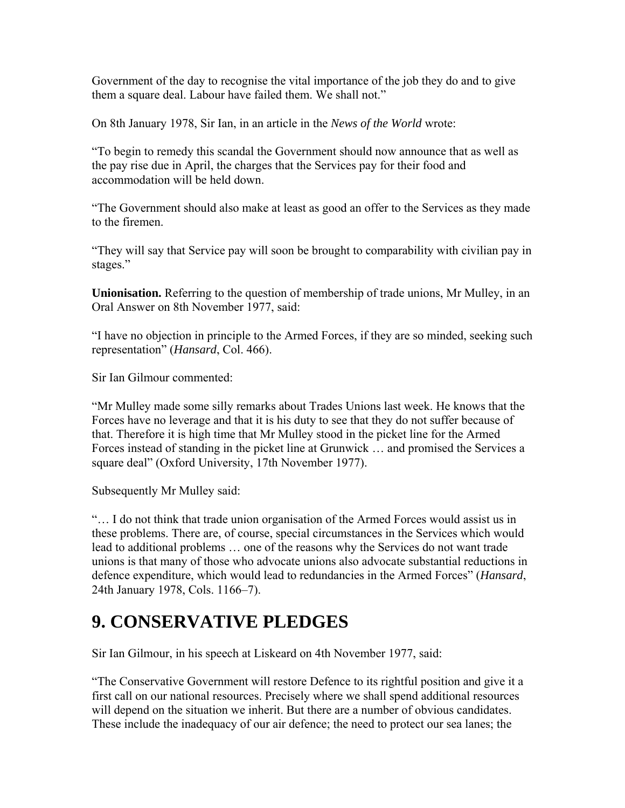Government of the day to recognise the vital importance of the job they do and to give them a square deal. Labour have failed them. We shall not."

On 8th January 1978, Sir Ian, in an article in the *News of the World* wrote:

"To begin to remedy this scandal the Government should now announce that as well as the pay rise due in April, the charges that the Services pay for their food and accommodation will be held down.

"The Government should also make at least as good an offer to the Services as they made to the firemen.

"They will say that Service pay will soon be brought to comparability with civilian pay in stages."

**Unionisation.** Referring to the question of membership of trade unions, Mr Mulley, in an Oral Answer on 8th November 1977, said:

"I have no objection in principle to the Armed Forces, if they are so minded, seeking such representation" (*Hansard*, Col. 466).

Sir Ian Gilmour commented:

"Mr Mulley made some silly remarks about Trades Unions last week. He knows that the Forces have no leverage and that it is his duty to see that they do not suffer because of that. Therefore it is high time that Mr Mulley stood in the picket line for the Armed Forces instead of standing in the picket line at Grunwick … and promised the Services a square deal" (Oxford University, 17th November 1977).

Subsequently Mr Mulley said:

"… I do not think that trade union organisation of the Armed Forces would assist us in these problems. There are, of course, special circumstances in the Services which would lead to additional problems … one of the reasons why the Services do not want trade unions is that many of those who advocate unions also advocate substantial reductions in defence expenditure, which would lead to redundancies in the Armed Forces" (*Hansard*, 24th January 1978, Cols. 1166–7).

### **9. CONSERVATIVE PLEDGES**

Sir Ian Gilmour, in his speech at Liskeard on 4th November 1977, said:

"The Conservative Government will restore Defence to its rightful position and give it a first call on our national resources. Precisely where we shall spend additional resources will depend on the situation we inherit. But there are a number of obvious candidates. These include the inadequacy of our air defence; the need to protect our sea lanes; the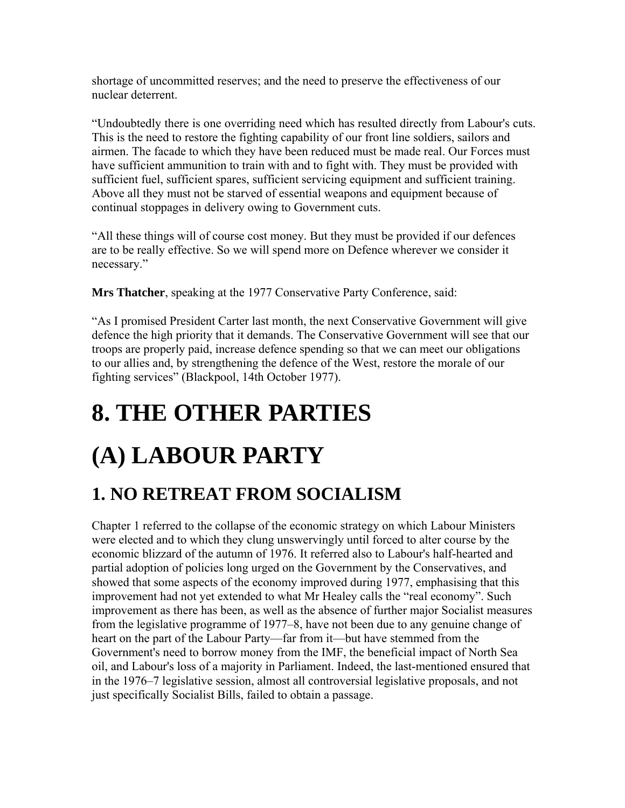shortage of uncommitted reserves; and the need to preserve the effectiveness of our nuclear deterrent.

"Undoubtedly there is one overriding need which has resulted directly from Labour's cuts. This is the need to restore the fighting capability of our front line soldiers, sailors and airmen. The facade to which they have been reduced must be made real. Our Forces must have sufficient ammunition to train with and to fight with. They must be provided with sufficient fuel, sufficient spares, sufficient servicing equipment and sufficient training. Above all they must not be starved of essential weapons and equipment because of continual stoppages in delivery owing to Government cuts.

"All these things will of course cost money. But they must be provided if our defences are to be really effective. So we will spend more on Defence wherever we consider it necessary."

**Mrs Thatcher**, speaking at the 1977 Conservative Party Conference, said:

"As I promised President Carter last month, the next Conservative Government will give defence the high priority that it demands. The Conservative Government will see that our troops are properly paid, increase defence spending so that we can meet our obligations to our allies and, by strengthening the defence of the West, restore the morale of our fighting services" (Blackpool, 14th October 1977).

## **8. THE OTHER PARTIES**

# **(A) LABOUR PARTY**

## **1. NO RETREAT FROM SOCIALISM**

Chapter 1 referred to the collapse of the economic strategy on which Labour Ministers were elected and to which they clung unswervingly until forced to alter course by the economic blizzard of the autumn of 1976. It referred also to Labour's half-hearted and partial adoption of policies long urged on the Government by the Conservatives, and showed that some aspects of the economy improved during 1977, emphasising that this improvement had not yet extended to what Mr Healey calls the "real economy". Such improvement as there has been, as well as the absence of further major Socialist measures from the legislative programme of 1977–8, have not been due to any genuine change of heart on the part of the Labour Party—far from it—but have stemmed from the Government's need to borrow money from the IMF, the beneficial impact of North Sea oil, and Labour's loss of a majority in Parliament. Indeed, the last-mentioned ensured that in the 1976–7 legislative session, almost all controversial legislative proposals, and not just specifically Socialist Bills, failed to obtain a passage.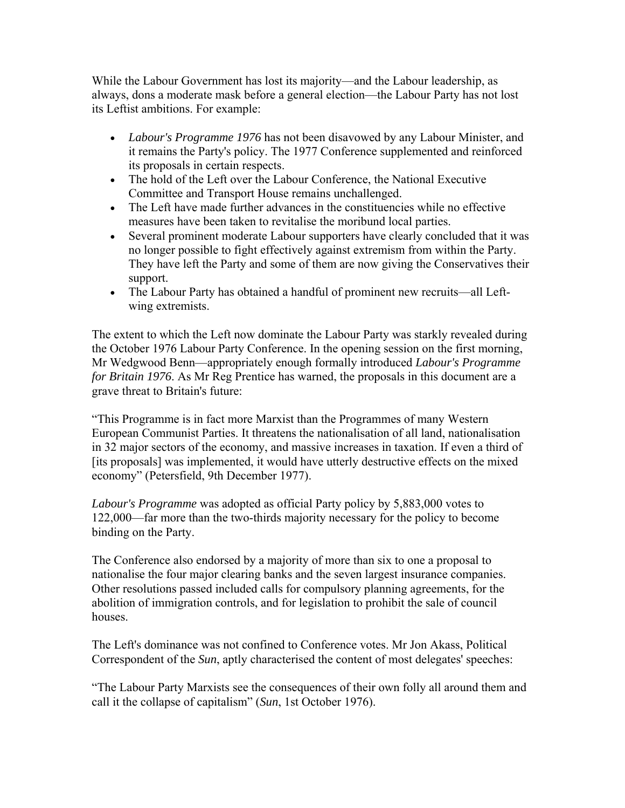While the Labour Government has lost its majority—and the Labour leadership, as always, dons a moderate mask before a general election—the Labour Party has not lost its Leftist ambitions. For example:

- *Labour's Programme 1976* has not been disavowed by any Labour Minister, and it remains the Party's policy. The 1977 Conference supplemented and reinforced its proposals in certain respects.
- The hold of the Left over the Labour Conference, the National Executive Committee and Transport House remains unchallenged.
- The Left have made further advances in the constituencies while no effective measures have been taken to revitalise the moribund local parties.
- Several prominent moderate Labour supporters have clearly concluded that it was no longer possible to fight effectively against extremism from within the Party. They have left the Party and some of them are now giving the Conservatives their support.
- The Labour Party has obtained a handful of prominent new recruits—all Leftwing extremists.

The extent to which the Left now dominate the Labour Party was starkly revealed during the October 1976 Labour Party Conference. In the opening session on the first morning, Mr Wedgwood Benn—appropriately enough formally introduced *Labour's Programme for Britain 1976*. As Mr Reg Prentice has warned, the proposals in this document are a grave threat to Britain's future:

"This Programme is in fact more Marxist than the Programmes of many Western European Communist Parties. It threatens the nationalisation of all land, nationalisation in 32 major sectors of the economy, and massive increases in taxation. If even a third of [its proposals] was implemented, it would have utterly destructive effects on the mixed economy" (Petersfield, 9th December 1977).

*Labour's Programme* was adopted as official Party policy by 5,883,000 votes to 122,000—far more than the two-thirds majority necessary for the policy to become binding on the Party.

The Conference also endorsed by a majority of more than six to one a proposal to nationalise the four major clearing banks and the seven largest insurance companies. Other resolutions passed included calls for compulsory planning agreements, for the abolition of immigration controls, and for legislation to prohibit the sale of council houses.

The Left's dominance was not confined to Conference votes. Mr Jon Akass, Political Correspondent of the *Sun*, aptly characterised the content of most delegates' speeches:

"The Labour Party Marxists see the consequences of their own folly all around them and call it the collapse of capitalism" (*Sun*, 1st October 1976).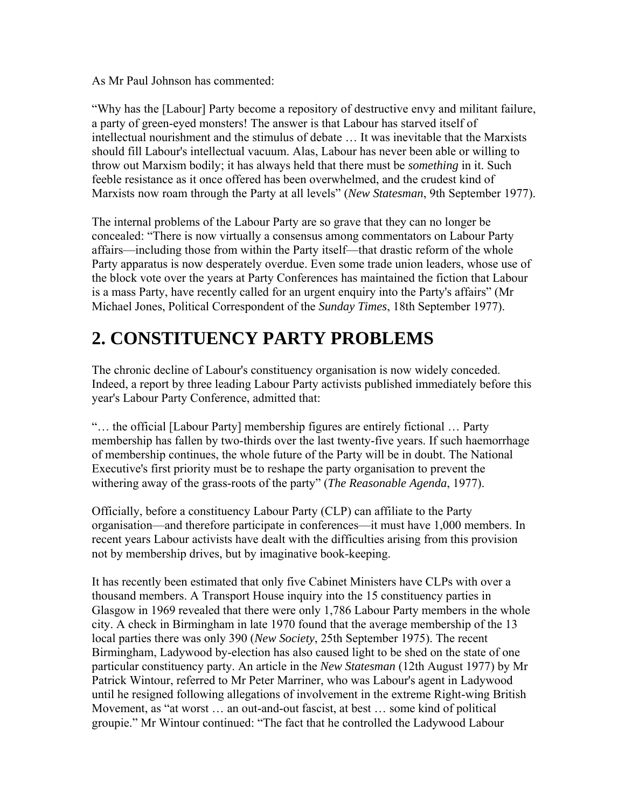As Mr Paul Johnson has commented:

"Why has the [Labour] Party become a repository of destructive envy and militant failure, a party of green-eyed monsters! The answer is that Labour has starved itself of intellectual nourishment and the stimulus of debate … It was inevitable that the Marxists should fill Labour's intellectual vacuum. Alas, Labour has never been able or willing to throw out Marxism bodily; it has always held that there must be *something* in it. Such feeble resistance as it once offered has been overwhelmed, and the crudest kind of Marxists now roam through the Party at all levels" (*New Statesman*, 9th September 1977).

The internal problems of the Labour Party are so grave that they can no longer be concealed: "There is now virtually a consensus among commentators on Labour Party affairs—including those from within the Party itself—that drastic reform of the whole Party apparatus is now desperately overdue. Even some trade union leaders, whose use of the block vote over the years at Party Conferences has maintained the fiction that Labour is a mass Party, have recently called for an urgent enquiry into the Party's affairs" (Mr Michael Jones, Political Correspondent of the *Sunday Times*, 18th September 1977).

## **2. CONSTITUENCY PARTY PROBLEMS**

The chronic decline of Labour's constituency organisation is now widely conceded. Indeed, a report by three leading Labour Party activists published immediately before this year's Labour Party Conference, admitted that:

"… the official [Labour Party] membership figures are entirely fictional … Party membership has fallen by two-thirds over the last twenty-five years. If such haemorrhage of membership continues, the whole future of the Party will be in doubt. The National Executive's first priority must be to reshape the party organisation to prevent the withering away of the grass-roots of the party" (*The Reasonable Agenda*, 1977).

Officially, before a constituency Labour Party (CLP) can affiliate to the Party organisation—and therefore participate in conferences—it must have 1,000 members. In recent years Labour activists have dealt with the difficulties arising from this provision not by membership drives, but by imaginative book-keeping.

It has recently been estimated that only five Cabinet Ministers have CLPs with over a thousand members. A Transport House inquiry into the 15 constituency parties in Glasgow in 1969 revealed that there were only 1,786 Labour Party members in the whole city. A check in Birmingham in late 1970 found that the average membership of the 13 local parties there was only 390 (*New Society*, 25th September 1975). The recent Birmingham, Ladywood by-election has also caused light to be shed on the state of one particular constituency party. An article in the *New Statesman* (12th August 1977) by Mr Patrick Wintour, referred to Mr Peter Marriner, who was Labour's agent in Ladywood until he resigned following allegations of involvement in the extreme Right-wing British Movement, as "at worst … an out-and-out fascist, at best … some kind of political groupie." Mr Wintour continued: "The fact that he controlled the Ladywood Labour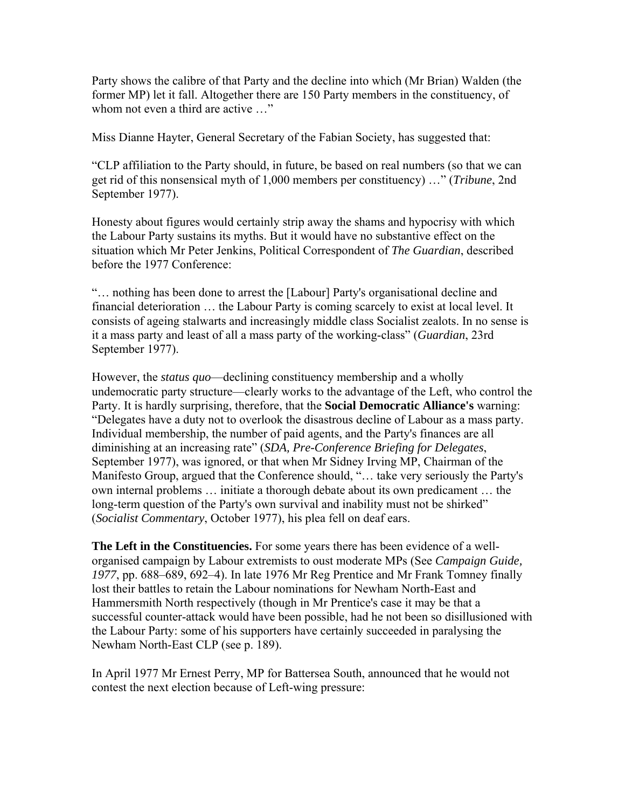Party shows the calibre of that Party and the decline into which (Mr Brian) Walden (the former MP) let it fall. Altogether there are 150 Party members in the constituency, of whom not even a third are active ..."

Miss Dianne Hayter, General Secretary of the Fabian Society, has suggested that:

"CLP affiliation to the Party should, in future, be based on real numbers (so that we can get rid of this nonsensical myth of 1,000 members per constituency) …" (*Tribune*, 2nd September 1977).

Honesty about figures would certainly strip away the shams and hypocrisy with which the Labour Party sustains its myths. But it would have no substantive effect on the situation which Mr Peter Jenkins, Political Correspondent of *The Guardian*, described before the 1977 Conference:

"… nothing has been done to arrest the [Labour] Party's organisational decline and financial deterioration … the Labour Party is coming scarcely to exist at local level. It consists of ageing stalwarts and increasingly middle class Socialist zealots. In no sense is it a mass party and least of all a mass party of the working-class" (*Guardian*, 23rd September 1977).

However, the *status quo*—declining constituency membership and a wholly undemocratic party structure—clearly works to the advantage of the Left, who control the Party. It is hardly surprising, therefore, that the **Social Democratic Alliance's** warning: "Delegates have a duty not to overlook the disastrous decline of Labour as a mass party. Individual membership, the number of paid agents, and the Party's finances are all diminishing at an increasing rate" (*SDA, Pre-Conference Briefing for Delegates*, September 1977), was ignored, or that when Mr Sidney Irving MP, Chairman of the Manifesto Group, argued that the Conference should, "… take very seriously the Party's own internal problems … initiate a thorough debate about its own predicament … the long-term question of the Party's own survival and inability must not be shirked" (*Socialist Commentary*, October 1977), his plea fell on deaf ears.

**The Left in the Constituencies.** For some years there has been evidence of a wellorganised campaign by Labour extremists to oust moderate MPs (See *Campaign Guide, 1977*, pp. 688–689, 692–4). In late 1976 Mr Reg Prentice and Mr Frank Tomney finally lost their battles to retain the Labour nominations for Newham North-East and Hammersmith North respectively (though in Mr Prentice's case it may be that a successful counter-attack would have been possible, had he not been so disillusioned with the Labour Party: some of his supporters have certainly succeeded in paralysing the Newham North-East CLP (see p. 189).

In April 1977 Mr Ernest Perry, MP for Battersea South, announced that he would not contest the next election because of Left-wing pressure: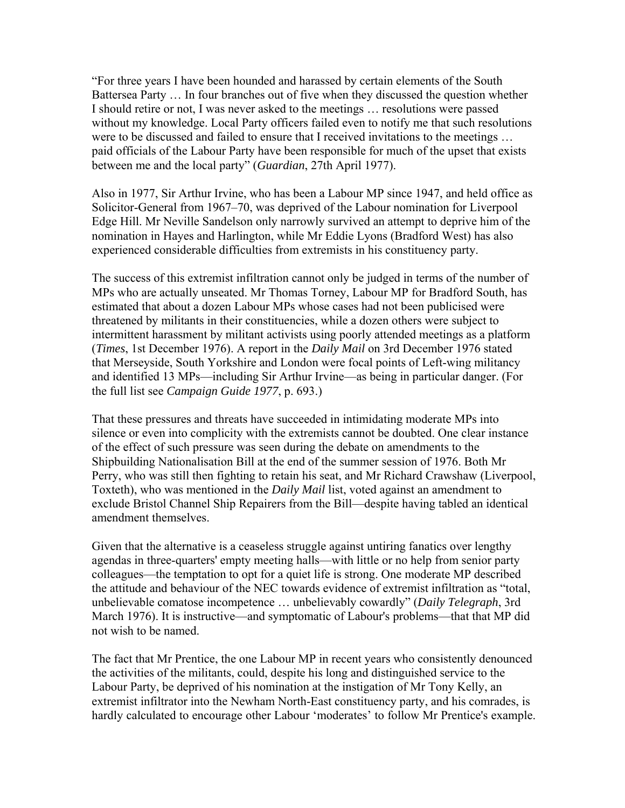"For three years I have been hounded and harassed by certain elements of the South Battersea Party … In four branches out of five when they discussed the question whether I should retire or not, I was never asked to the meetings … resolutions were passed without my knowledge. Local Party officers failed even to notify me that such resolutions were to be discussed and failed to ensure that I received invitations to the meetings … paid officials of the Labour Party have been responsible for much of the upset that exists between me and the local party" (*Guardian*, 27th April 1977).

Also in 1977, Sir Arthur Irvine, who has been a Labour MP since 1947, and held office as Solicitor-General from 1967–70, was deprived of the Labour nomination for Liverpool Edge Hill. Mr Neville Sandelson only narrowly survived an attempt to deprive him of the nomination in Hayes and Harlington, while Mr Eddie Lyons (Bradford West) has also experienced considerable difficulties from extremists in his constituency party.

The success of this extremist infiltration cannot only be judged in terms of the number of MPs who are actually unseated. Mr Thomas Torney, Labour MP for Bradford South, has estimated that about a dozen Labour MPs whose cases had not been publicised were threatened by militants in their constituencies, while a dozen others were subject to intermittent harassment by militant activists using poorly attended meetings as a platform (*Times*, 1st December 1976). A report in the *Daily Mail* on 3rd December 1976 stated that Merseyside, South Yorkshire and London were focal points of Left-wing militancy and identified 13 MPs—including Sir Arthur Irvine—as being in particular danger. (For the full list see *Campaign Guide 1977*, p. 693.)

That these pressures and threats have succeeded in intimidating moderate MPs into silence or even into complicity with the extremists cannot be doubted. One clear instance of the effect of such pressure was seen during the debate on amendments to the Shipbuilding Nationalisation Bill at the end of the summer session of 1976. Both Mr Perry, who was still then fighting to retain his seat, and Mr Richard Crawshaw (Liverpool, Toxteth), who was mentioned in the *Daily Mail* list, voted against an amendment to exclude Bristol Channel Ship Repairers from the Bill—despite having tabled an identical amendment themselves.

Given that the alternative is a ceaseless struggle against untiring fanatics over lengthy agendas in three-quarters' empty meeting halls—with little or no help from senior party colleagues—the temptation to opt for a quiet life is strong. One moderate MP described the attitude and behaviour of the NEC towards evidence of extremist infiltration as "total, unbelievable comatose incompetence … unbelievably cowardly" (*Daily Telegraph*, 3rd March 1976). It is instructive—and symptomatic of Labour's problems—that that MP did not wish to be named.

The fact that Mr Prentice, the one Labour MP in recent years who consistently denounced the activities of the militants, could, despite his long and distinguished service to the Labour Party, be deprived of his nomination at the instigation of Mr Tony Kelly, an extremist infiltrator into the Newham North-East constituency party, and his comrades, is hardly calculated to encourage other Labour 'moderates' to follow Mr Prentice's example.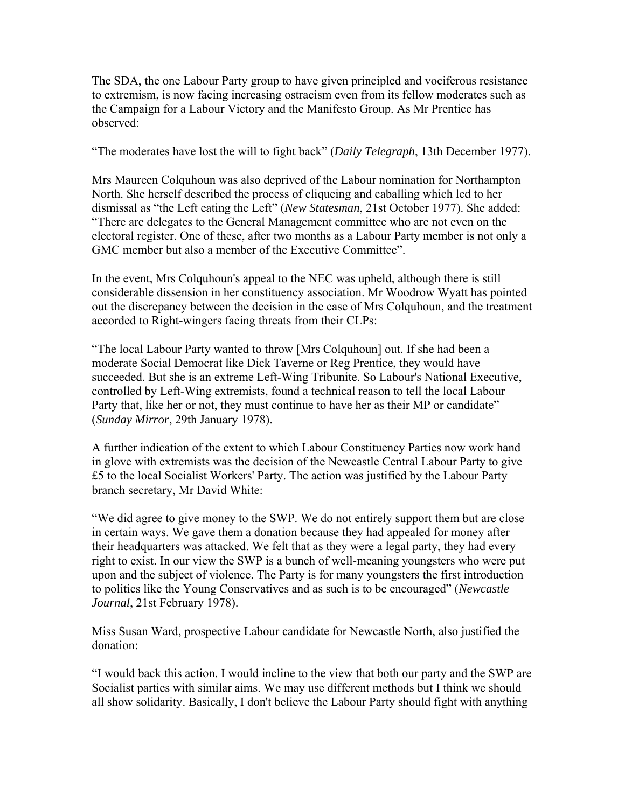The SDA, the one Labour Party group to have given principled and vociferous resistance to extremism, is now facing increasing ostracism even from its fellow moderates such as the Campaign for a Labour Victory and the Manifesto Group. As Mr Prentice has observed:

"The moderates have lost the will to fight back" (*Daily Telegraph*, 13th December 1977).

Mrs Maureen Colquhoun was also deprived of the Labour nomination for Northampton North. She herself described the process of cliqueing and caballing which led to her dismissal as "the Left eating the Left" (*New Statesman*, 21st October 1977). She added: "There are delegates to the General Management committee who are not even on the electoral register. One of these, after two months as a Labour Party member is not only a GMC member but also a member of the Executive Committee".

In the event, Mrs Colquhoun's appeal to the NEC was upheld, although there is still considerable dissension in her constituency association. Mr Woodrow Wyatt has pointed out the discrepancy between the decision in the case of Mrs Colquhoun, and the treatment accorded to Right-wingers facing threats from their CLPs:

"The local Labour Party wanted to throw [Mrs Colquhoun] out. If she had been a moderate Social Democrat like Dick Taverne or Reg Prentice, they would have succeeded. But she is an extreme Left-Wing Tribunite. So Labour's National Executive, controlled by Left-Wing extremists, found a technical reason to tell the local Labour Party that, like her or not, they must continue to have her as their MP or candidate" (*Sunday Mirror*, 29th January 1978).

A further indication of the extent to which Labour Constituency Parties now work hand in glove with extremists was the decision of the Newcastle Central Labour Party to give £5 to the local Socialist Workers' Party. The action was justified by the Labour Party branch secretary, Mr David White:

"We did agree to give money to the SWP. We do not entirely support them but are close in certain ways. We gave them a donation because they had appealed for money after their headquarters was attacked. We felt that as they were a legal party, they had every right to exist. In our view the SWP is a bunch of well-meaning youngsters who were put upon and the subject of violence. The Party is for many youngsters the first introduction to politics like the Young Conservatives and as such is to be encouraged" (*Newcastle Journal*, 21st February 1978).

Miss Susan Ward, prospective Labour candidate for Newcastle North, also justified the donation:

"I would back this action. I would incline to the view that both our party and the SWP are Socialist parties with similar aims. We may use different methods but I think we should all show solidarity. Basically, I don't believe the Labour Party should fight with anything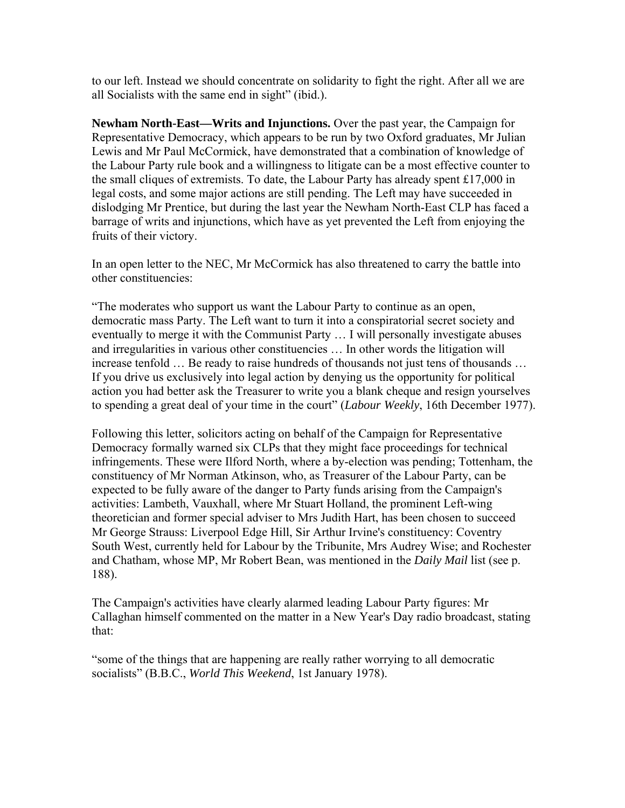to our left. Instead we should concentrate on solidarity to fight the right. After all we are all Socialists with the same end in sight" (ibid.).

**Newham North-East—Writs and Injunctions.** Over the past year, the Campaign for Representative Democracy, which appears to be run by two Oxford graduates, Mr Julian Lewis and Mr Paul McCormick, have demonstrated that a combination of knowledge of the Labour Party rule book and a willingness to litigate can be a most effective counter to the small cliques of extremists. To date, the Labour Party has already spent £17,000 in legal costs, and some major actions are still pending. The Left may have succeeded in dislodging Mr Prentice, but during the last year the Newham North-East CLP has faced a barrage of writs and injunctions, which have as yet prevented the Left from enjoying the fruits of their victory.

In an open letter to the NEC, Mr McCormick has also threatened to carry the battle into other constituencies:

"The moderates who support us want the Labour Party to continue as an open, democratic mass Party. The Left want to turn it into a conspiratorial secret society and eventually to merge it with the Communist Party … I will personally investigate abuses and irregularities in various other constituencies … In other words the litigation will increase tenfold … Be ready to raise hundreds of thousands not just tens of thousands … If you drive us exclusively into legal action by denying us the opportunity for political action you had better ask the Treasurer to write you a blank cheque and resign yourselves to spending a great deal of your time in the court" (*Labour Weekly*, 16th December 1977).

Following this letter, solicitors acting on behalf of the Campaign for Representative Democracy formally warned six CLPs that they might face proceedings for technical infringements. These were Ilford North, where a by-election was pending; Tottenham, the constituency of Mr Norman Atkinson, who, as Treasurer of the Labour Party, can be expected to be fully aware of the danger to Party funds arising from the Campaign's activities: Lambeth, Vauxhall, where Mr Stuart Holland, the prominent Left-wing theoretician and former special adviser to Mrs Judith Hart, has been chosen to succeed Mr George Strauss: Liverpool Edge Hill, Sir Arthur Irvine's constituency: Coventry South West, currently held for Labour by the Tribunite, Mrs Audrey Wise; and Rochester and Chatham, whose MP, Mr Robert Bean, was mentioned in the *Daily Mail* list (see p. 188).

The Campaign's activities have clearly alarmed leading Labour Party figures: Mr Callaghan himself commented on the matter in a New Year's Day radio broadcast, stating that:

"some of the things that are happening are really rather worrying to all democratic socialists" (B.B.C., *World This Weekend*, 1st January 1978).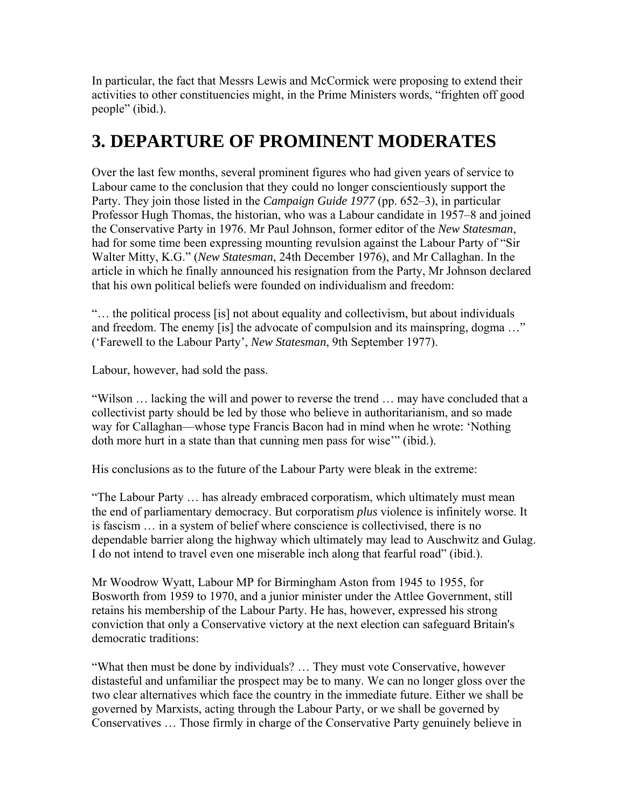In particular, the fact that Messrs Lewis and McCormick were proposing to extend their activities to other constituencies might, in the Prime Ministers words, "frighten off good people" (ibid.).

### **3. DEPARTURE OF PROMINENT MODERATES**

Over the last few months, several prominent figures who had given years of service to Labour came to the conclusion that they could no longer conscientiously support the Party. They join those listed in the *Campaign Guide 1977* (pp. 652–3), in particular Professor Hugh Thomas, the historian, who was a Labour candidate in 1957–8 and joined the Conservative Party in 1976. Mr Paul Johnson, former editor of the *New Statesman*, had for some time been expressing mounting revulsion against the Labour Party of "Sir Walter Mitty, K.G." (*New Statesman*, 24th December 1976), and Mr Callaghan. In the article in which he finally announced his resignation from the Party, Mr Johnson declared that his own political beliefs were founded on individualism and freedom:

"… the political process [is] not about equality and collectivism, but about individuals and freedom. The enemy [is] the advocate of compulsion and its mainspring, dogma …" ('Farewell to the Labour Party', *New Statesman*, 9th September 1977).

Labour, however, had sold the pass.

"Wilson … lacking the will and power to reverse the trend … may have concluded that a collectivist party should be led by those who believe in authoritarianism, and so made way for Callaghan—whose type Francis Bacon had in mind when he wrote: 'Nothing doth more hurt in a state than that cunning men pass for wise'" (ibid.).

His conclusions as to the future of the Labour Party were bleak in the extreme:

"The Labour Party … has already embraced corporatism, which ultimately must mean the end of parliamentary democracy. But corporatism *plus* violence is infinitely worse. It is fascism … in a system of belief where conscience is collectivised, there is no dependable barrier along the highway which ultimately may lead to Auschwitz and Gulag. I do not intend to travel even one miserable inch along that fearful road" (ibid.).

Mr Woodrow Wyatt, Labour MP for Birmingham Aston from 1945 to 1955, for Bosworth from 1959 to 1970, and a junior minister under the Attlee Government, still retains his membership of the Labour Party. He has, however, expressed his strong conviction that only a Conservative victory at the next election can safeguard Britain's democratic traditions:

"What then must be done by individuals? … They must vote Conservative, however distasteful and unfamiliar the prospect may be to many. We can no longer gloss over the two clear alternatives which face the country in the immediate future. Either we shall be governed by Marxists, acting through the Labour Party, or we shall be governed by Conservatives … Those firmly in charge of the Conservative Party genuinely believe in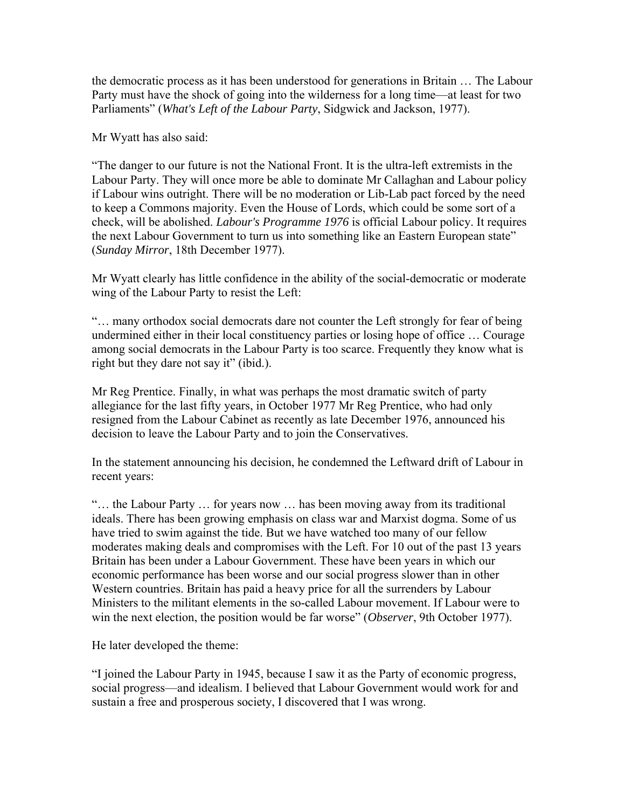the democratic process as it has been understood for generations in Britain … The Labour Party must have the shock of going into the wilderness for a long time—at least for two Parliaments" (*What's Left of the Labour Party*, Sidgwick and Jackson, 1977).

Mr Wyatt has also said:

"The danger to our future is not the National Front. It is the ultra-left extremists in the Labour Party. They will once more be able to dominate Mr Callaghan and Labour policy if Labour wins outright. There will be no moderation or Lib-Lab pact forced by the need to keep a Commons majority. Even the House of Lords, which could be some sort of a check, will be abolished. *Labour's Programme 1976* is official Labour policy. It requires the next Labour Government to turn us into something like an Eastern European state" (*Sunday Mirror*, 18th December 1977).

Mr Wyatt clearly has little confidence in the ability of the social-democratic or moderate wing of the Labour Party to resist the Left:

"… many orthodox social democrats dare not counter the Left strongly for fear of being undermined either in their local constituency parties or losing hope of office … Courage among social democrats in the Labour Party is too scarce. Frequently they know what is right but they dare not say it" (ibid.).

Mr Reg Prentice. Finally, in what was perhaps the most dramatic switch of party allegiance for the last fifty years, in October 1977 Mr Reg Prentice, who had only resigned from the Labour Cabinet as recently as late December 1976, announced his decision to leave the Labour Party and to join the Conservatives.

In the statement announcing his decision, he condemned the Leftward drift of Labour in recent years:

"… the Labour Party … for years now … has been moving away from its traditional ideals. There has been growing emphasis on class war and Marxist dogma. Some of us have tried to swim against the tide. But we have watched too many of our fellow moderates making deals and compromises with the Left. For 10 out of the past 13 years Britain has been under a Labour Government. These have been years in which our economic performance has been worse and our social progress slower than in other Western countries. Britain has paid a heavy price for all the surrenders by Labour Ministers to the militant elements in the so-called Labour movement. If Labour were to win the next election, the position would be far worse" (*Observer*, 9th October 1977).

He later developed the theme:

"I joined the Labour Party in 1945, because I saw it as the Party of economic progress, social progress—and idealism. I believed that Labour Government would work for and sustain a free and prosperous society, I discovered that I was wrong.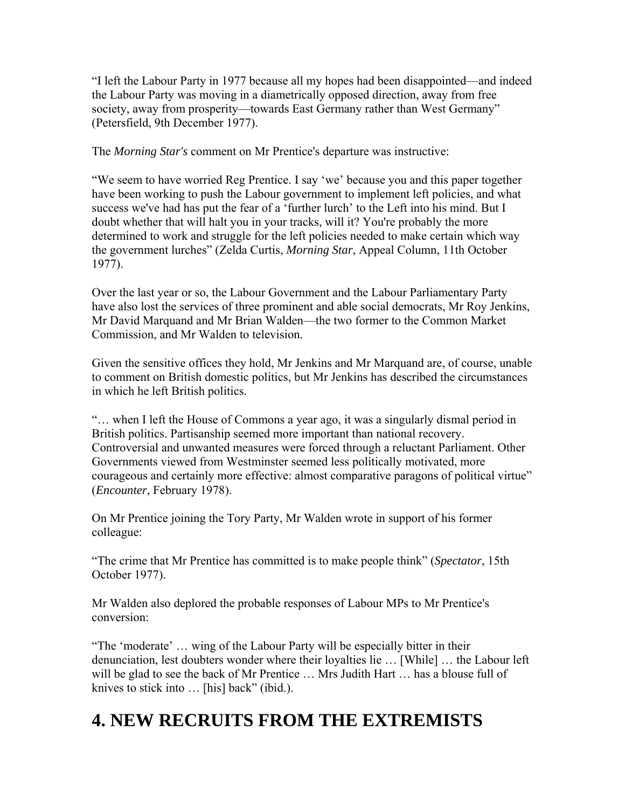"I left the Labour Party in 1977 because all my hopes had been disappointed—and indeed the Labour Party was moving in a diametrically opposed direction, away from free society, away from prosperity—towards East Germany rather than West Germany" (Petersfield, 9th December 1977).

The *Morning Star's* comment on Mr Prentice's departure was instructive:

"We seem to have worried Reg Prentice. I say 'we' because you and this paper together have been working to push the Labour government to implement left policies, and what success we've had has put the fear of a 'further lurch' to the Left into his mind. But I doubt whether that will halt you in your tracks, will it? You're probably the more determined to work and struggle for the left policies needed to make certain which way the government lurches" (Zelda Curtis, *Morning Star*, Appeal Column, 11th October 1977).

Over the last year or so, the Labour Government and the Labour Parliamentary Party have also lost the services of three prominent and able social democrats, Mr Roy Jenkins, Mr David Marquand and Mr Brian Walden—the two former to the Common Market Commission, and Mr Walden to television.

Given the sensitive offices they hold, Mr Jenkins and Mr Marquand are, of course, unable to comment on British domestic politics, but Mr Jenkins has described the circumstances in which he left British politics.

"… when I left the House of Commons a year ago, it was a singularly dismal period in British politics. Partisanship seemed more important than national recovery. Controversial and unwanted measures were forced through a reluctant Parliament. Other Governments viewed from Westminster seemed less politically motivated, more courageous and certainly more effective: almost comparative paragons of political virtue" (*Encounter*, February 1978).

On Mr Prentice joining the Tory Party, Mr Walden wrote in support of his former colleague:

"The crime that Mr Prentice has committed is to make people think" (*Spectator*, 15th October 1977).

Mr Walden also deplored the probable responses of Labour MPs to Mr Prentice's conversion:

"The 'moderate' … wing of the Labour Party will be especially bitter in their denunciation, lest doubters wonder where their loyalties lie … [While] … the Labour left will be glad to see the back of Mr Prentice ... Mrs Judith Hart ... has a blouse full of knives to stick into ... [his] back" (ibid.).

## **4. NEW RECRUITS FROM THE EXTREMISTS**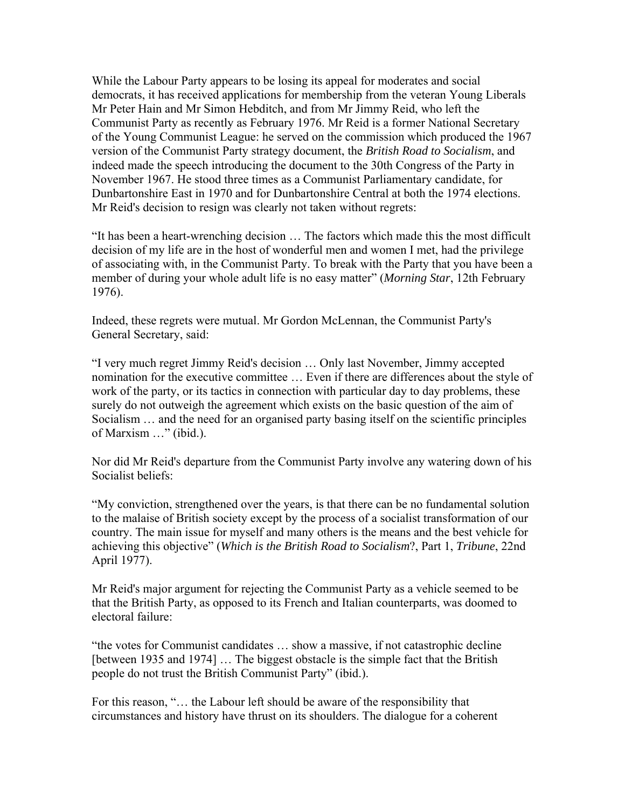While the Labour Party appears to be losing its appeal for moderates and social democrats, it has received applications for membership from the veteran Young Liberals Mr Peter Hain and Mr Simon Hebditch, and from Mr Jimmy Reid, who left the Communist Party as recently as February 1976. Mr Reid is a former National Secretary of the Young Communist League: he served on the commission which produced the 1967 version of the Communist Party strategy document, the *British Road to Socialism*, and indeed made the speech introducing the document to the 30th Congress of the Party in November 1967. He stood three times as a Communist Parliamentary candidate, for Dunbartonshire East in 1970 and for Dunbartonshire Central at both the 1974 elections. Mr Reid's decision to resign was clearly not taken without regrets:

"It has been a heart-wrenching decision … The factors which made this the most difficult decision of my life are in the host of wonderful men and women I met, had the privilege of associating with, in the Communist Party. To break with the Party that you have been a member of during your whole adult life is no easy matter" (*Morning Star*, 12th February 1976).

Indeed, these regrets were mutual. Mr Gordon McLennan, the Communist Party's General Secretary, said:

"I very much regret Jimmy Reid's decision … Only last November, Jimmy accepted nomination for the executive committee … Even if there are differences about the style of work of the party, or its tactics in connection with particular day to day problems, these surely do not outweigh the agreement which exists on the basic question of the aim of Socialism … and the need for an organised party basing itself on the scientific principles of Marxism …" (ibid.).

Nor did Mr Reid's departure from the Communist Party involve any watering down of his Socialist beliefs:

"My conviction, strengthened over the years, is that there can be no fundamental solution to the malaise of British society except by the process of a socialist transformation of our country. The main issue for myself and many others is the means and the best vehicle for achieving this objective" (*Which is the British Road to Socialism*?, Part 1, *Tribune*, 22nd April 1977).

Mr Reid's major argument for rejecting the Communist Party as a vehicle seemed to be that the British Party, as opposed to its French and Italian counterparts, was doomed to electoral failure:

"the votes for Communist candidates … show a massive, if not catastrophic decline [between 1935 and 1974] … The biggest obstacle is the simple fact that the British people do not trust the British Communist Party" (ibid.).

For this reason, "… the Labour left should be aware of the responsibility that circumstances and history have thrust on its shoulders. The dialogue for a coherent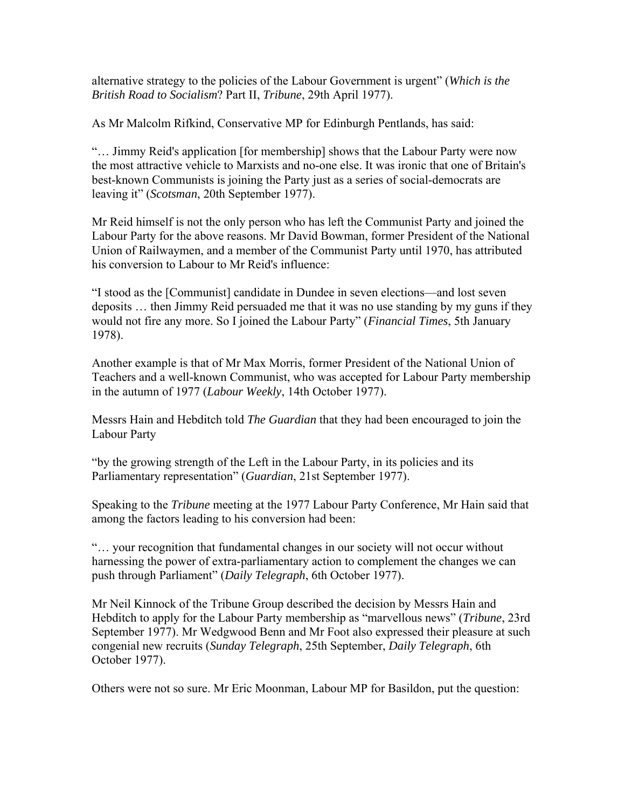alternative strategy to the policies of the Labour Government is urgent" (*Which is the British Road to Socialism*? Part II, *Tribune*, 29th April 1977).

As Mr Malcolm Rifkind, Conservative MP for Edinburgh Pentlands, has said:

"… Jimmy Reid's application [for membership] shows that the Labour Party were now the most attractive vehicle to Marxists and no-one else. It was ironic that one of Britain's best-known Communists is joining the Party just as a series of social-democrats are leaving it" (*Scotsman*, 20th September 1977).

Mr Reid himself is not the only person who has left the Communist Party and joined the Labour Party for the above reasons. Mr David Bowman, former President of the National Union of Railwaymen, and a member of the Communist Party until 1970, has attributed his conversion to Labour to Mr Reid's influence:

"I stood as the [Communist] candidate in Dundee in seven elections—and lost seven deposits … then Jimmy Reid persuaded me that it was no use standing by my guns if they would not fire any more. So I joined the Labour Party" (*Financial Times*, 5th January 1978).

Another example is that of Mr Max Morris, former President of the National Union of Teachers and a well-known Communist, who was accepted for Labour Party membership in the autumn of 1977 (*Labour Weekly*, 14th October 1977).

Messrs Hain and Hebditch told *The Guardian* that they had been encouraged to join the Labour Party

"by the growing strength of the Left in the Labour Party, in its policies and its Parliamentary representation" (*Guardian*, 21st September 1977).

Speaking to the *Tribune* meeting at the 1977 Labour Party Conference, Mr Hain said that among the factors leading to his conversion had been:

"… your recognition that fundamental changes in our society will not occur without harnessing the power of extra-parliamentary action to complement the changes we can push through Parliament" (*Daily Telegraph*, 6th October 1977).

Mr Neil Kinnock of the Tribune Group described the decision by Messrs Hain and Hebditch to apply for the Labour Party membership as "marvellous news" (*Tribune*, 23rd September 1977). Mr Wedgwood Benn and Mr Foot also expressed their pleasure at such congenial new recruits (*Sunday Telegraph*, 25th September, *Daily Telegraph*, 6th October 1977).

Others were not so sure. Mr Eric Moonman, Labour MP for Basildon, put the question: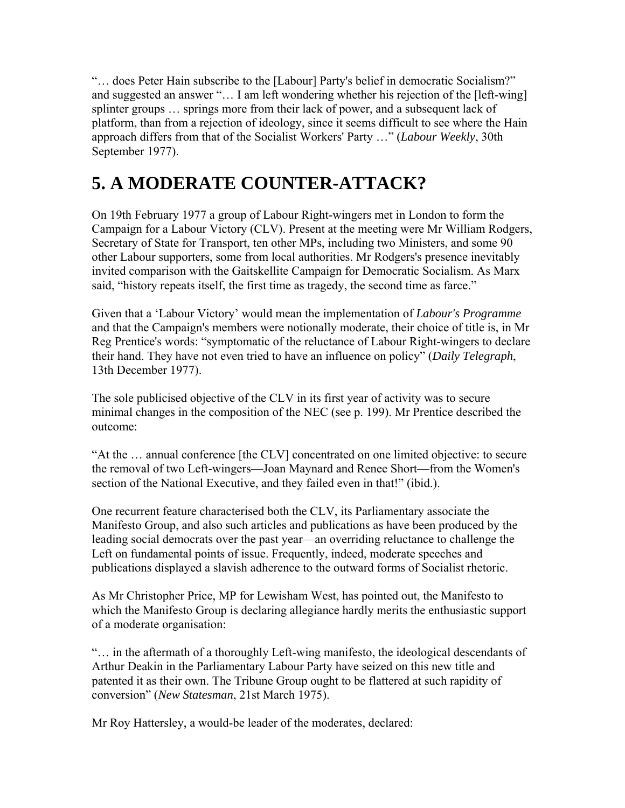"… does Peter Hain subscribe to the [Labour] Party's belief in democratic Socialism?" and suggested an answer "… I am left wondering whether his rejection of the [left-wing] splinter groups … springs more from their lack of power, and a subsequent lack of platform, than from a rejection of ideology, since it seems difficult to see where the Hain approach differs from that of the Socialist Workers' Party …" (*Labour Weekly*, 30th September 1977).

## **5. A MODERATE COUNTER-ATTACK?**

On 19th February 1977 a group of Labour Right-wingers met in London to form the Campaign for a Labour Victory (CLV). Present at the meeting were Mr William Rodgers, Secretary of State for Transport, ten other MPs, including two Ministers, and some 90 other Labour supporters, some from local authorities. Mr Rodgers's presence inevitably invited comparison with the Gaitskellite Campaign for Democratic Socialism. As Marx said, "history repeats itself, the first time as tragedy, the second time as farce."

Given that a 'Labour Victory' would mean the implementation of *Labour's Programme* and that the Campaign's members were notionally moderate, their choice of title is, in Mr Reg Prentice's words: "symptomatic of the reluctance of Labour Right-wingers to declare their hand. They have not even tried to have an influence on policy" (*Daily Telegraph*, 13th December 1977).

The sole publicised objective of the CLV in its first year of activity was to secure minimal changes in the composition of the NEC (see p. 199). Mr Prentice described the outcome:

"At the … annual conference [the CLV] concentrated on one limited objective: to secure the removal of two Left-wingers—Joan Maynard and Renee Short—from the Women's section of the National Executive, and they failed even in that!" (ibid.).

One recurrent feature characterised both the CLV, its Parliamentary associate the Manifesto Group, and also such articles and publications as have been produced by the leading social democrats over the past year—an overriding reluctance to challenge the Left on fundamental points of issue. Frequently, indeed, moderate speeches and publications displayed a slavish adherence to the outward forms of Socialist rhetoric.

As Mr Christopher Price, MP for Lewisham West, has pointed out, the Manifesto to which the Manifesto Group is declaring allegiance hardly merits the enthusiastic support of a moderate organisation:

"… in the aftermath of a thoroughly Left-wing manifesto, the ideological descendants of Arthur Deakin in the Parliamentary Labour Party have seized on this new title and patented it as their own. The Tribune Group ought to be flattered at such rapidity of conversion" (*New Statesman*, 21st March 1975).

Mr Roy Hattersley, a would-be leader of the moderates, declared: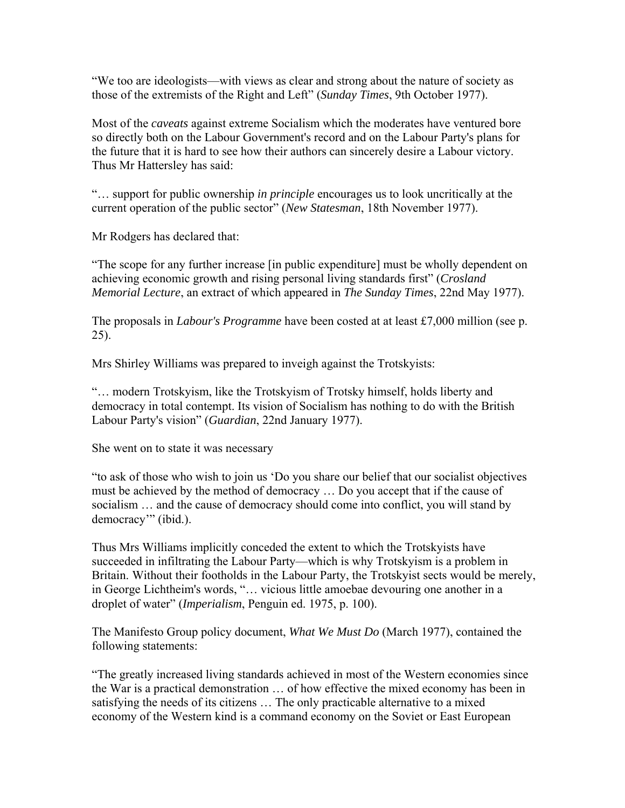"We too are ideologists—with views as clear and strong about the nature of society as those of the extremists of the Right and Left" (*Sunday Times*, 9th October 1977).

Most of the *caveats* against extreme Socialism which the moderates have ventured bore so directly both on the Labour Government's record and on the Labour Party's plans for the future that it is hard to see how their authors can sincerely desire a Labour victory. Thus Mr Hattersley has said:

"… support for public ownership *in principle* encourages us to look uncritically at the current operation of the public sector" (*New Statesman*, 18th November 1977).

Mr Rodgers has declared that:

"The scope for any further increase [in public expenditure] must be wholly dependent on achieving economic growth and rising personal living standards first" (*Crosland Memorial Lecture*, an extract of which appeared in *The Sunday Times*, 22nd May 1977).

The proposals in *Labour's Programme* have been costed at at least £7,000 million (see p. 25).

Mrs Shirley Williams was prepared to inveigh against the Trotskyists:

"… modern Trotskyism, like the Trotskyism of Trotsky himself, holds liberty and democracy in total contempt. Its vision of Socialism has nothing to do with the British Labour Party's vision" (*Guardian*, 22nd January 1977).

She went on to state it was necessary

"to ask of those who wish to join us 'Do you share our belief that our socialist objectives must be achieved by the method of democracy … Do you accept that if the cause of socialism … and the cause of democracy should come into conflict, you will stand by democracy'" (ibid.).

Thus Mrs Williams implicitly conceded the extent to which the Trotskyists have succeeded in infiltrating the Labour Party—which is why Trotskyism is a problem in Britain. Without their footholds in the Labour Party, the Trotskyist sects would be merely, in George Lichtheim's words, "… vicious little amoebae devouring one another in a droplet of water" (*Imperialism*, Penguin ed. 1975, p. 100).

The Manifesto Group policy document, *What We Must Do* (March 1977), contained the following statements:

"The greatly increased living standards achieved in most of the Western economies since the War is a practical demonstration … of how effective the mixed economy has been in satisfying the needs of its citizens … The only practicable alternative to a mixed economy of the Western kind is a command economy on the Soviet or East European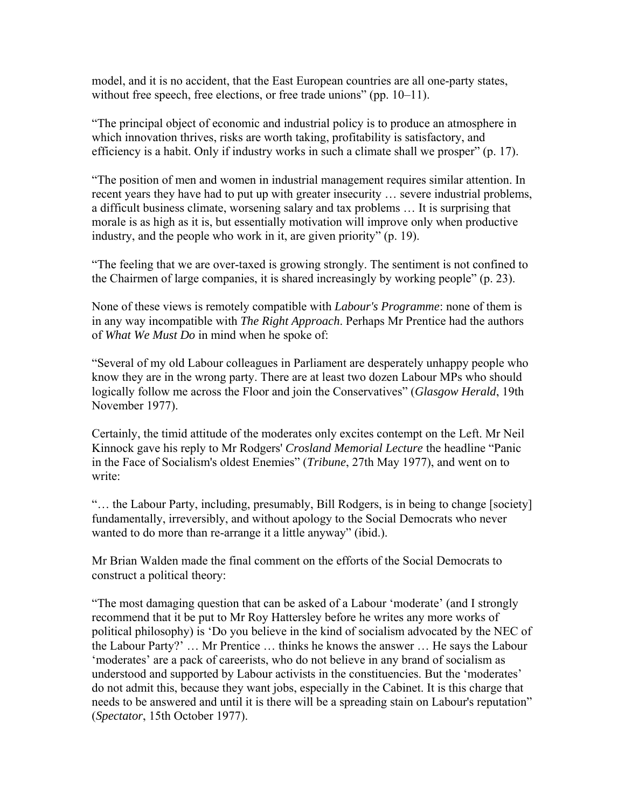model, and it is no accident, that the East European countries are all one-party states, without free speech, free elections, or free trade unions" (pp. 10–11).

"The principal object of economic and industrial policy is to produce an atmosphere in which innovation thrives, risks are worth taking, profitability is satisfactory, and efficiency is a habit. Only if industry works in such a climate shall we prosper" (p. 17).

"The position of men and women in industrial management requires similar attention. In recent years they have had to put up with greater insecurity … severe industrial problems, a difficult business climate, worsening salary and tax problems … It is surprising that morale is as high as it is, but essentially motivation will improve only when productive industry, and the people who work in it, are given priority" (p. 19).

"The feeling that we are over-taxed is growing strongly. The sentiment is not confined to the Chairmen of large companies, it is shared increasingly by working people" (p. 23).

None of these views is remotely compatible with *Labour's Programme*: none of them is in any way incompatible with *The Right Approach*. Perhaps Mr Prentice had the authors of *What We Must Do* in mind when he spoke of:

"Several of my old Labour colleagues in Parliament are desperately unhappy people who know they are in the wrong party. There are at least two dozen Labour MPs who should logically follow me across the Floor and join the Conservatives" (*Glasgow Herald*, 19th November 1977).

Certainly, the timid attitude of the moderates only excites contempt on the Left. Mr Neil Kinnock gave his reply to Mr Rodgers' *Crosland Memorial Lecture* the headline "Panic in the Face of Socialism's oldest Enemies" (*Tribune*, 27th May 1977), and went on to write:

"… the Labour Party, including, presumably, Bill Rodgers, is in being to change [society] fundamentally, irreversibly, and without apology to the Social Democrats who never wanted to do more than re-arrange it a little anyway" (ibid.).

Mr Brian Walden made the final comment on the efforts of the Social Democrats to construct a political theory:

"The most damaging question that can be asked of a Labour 'moderate' (and I strongly recommend that it be put to Mr Roy Hattersley before he writes any more works of political philosophy) is 'Do you believe in the kind of socialism advocated by the NEC of the Labour Party?' … Mr Prentice … thinks he knows the answer … He says the Labour 'moderates' are a pack of careerists, who do not believe in any brand of socialism as understood and supported by Labour activists in the constituencies. But the 'moderates' do not admit this, because they want jobs, especially in the Cabinet. It is this charge that needs to be answered and until it is there will be a spreading stain on Labour's reputation" (*Spectator*, 15th October 1977).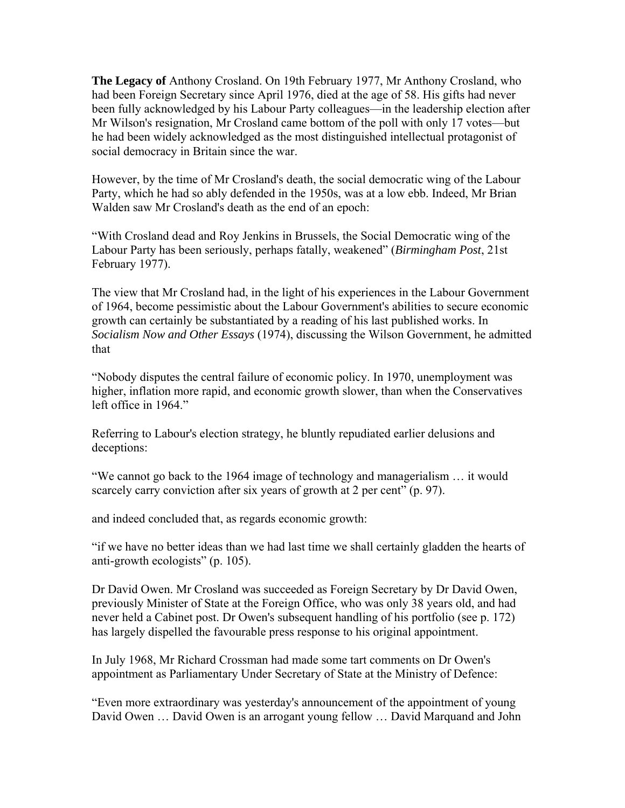**The Legacy of** Anthony Crosland. On 19th February 1977, Mr Anthony Crosland, who had been Foreign Secretary since April 1976, died at the age of 58. His gifts had never been fully acknowledged by his Labour Party colleagues—in the leadership election after Mr Wilson's resignation, Mr Crosland came bottom of the poll with only 17 votes—but he had been widely acknowledged as the most distinguished intellectual protagonist of social democracy in Britain since the war.

However, by the time of Mr Crosland's death, the social democratic wing of the Labour Party, which he had so ably defended in the 1950s, was at a low ebb. Indeed, Mr Brian Walden saw Mr Crosland's death as the end of an epoch:

"With Crosland dead and Roy Jenkins in Brussels, the Social Democratic wing of the Labour Party has been seriously, perhaps fatally, weakened" (*Birmingham Post*, 21st February 1977).

The view that Mr Crosland had, in the light of his experiences in the Labour Government of 1964, become pessimistic about the Labour Government's abilities to secure economic growth can certainly be substantiated by a reading of his last published works. In *Socialism Now and Other Essays* (1974), discussing the Wilson Government, he admitted that

"Nobody disputes the central failure of economic policy. In 1970, unemployment was higher, inflation more rapid, and economic growth slower, than when the Conservatives left office in 1964."

Referring to Labour's election strategy, he bluntly repudiated earlier delusions and deceptions:

"We cannot go back to the 1964 image of technology and managerialism … it would scarcely carry conviction after six years of growth at 2 per cent" (p. 97).

and indeed concluded that, as regards economic growth:

"if we have no better ideas than we had last time we shall certainly gladden the hearts of anti-growth ecologists" (p. 105).

Dr David Owen. Mr Crosland was succeeded as Foreign Secretary by Dr David Owen, previously Minister of State at the Foreign Office, who was only 38 years old, and had never held a Cabinet post. Dr Owen's subsequent handling of his portfolio (see p. 172) has largely dispelled the favourable press response to his original appointment.

In July 1968, Mr Richard Crossman had made some tart comments on Dr Owen's appointment as Parliamentary Under Secretary of State at the Ministry of Defence:

"Even more extraordinary was yesterday's announcement of the appointment of young David Owen … David Owen is an arrogant young fellow … David Marquand and John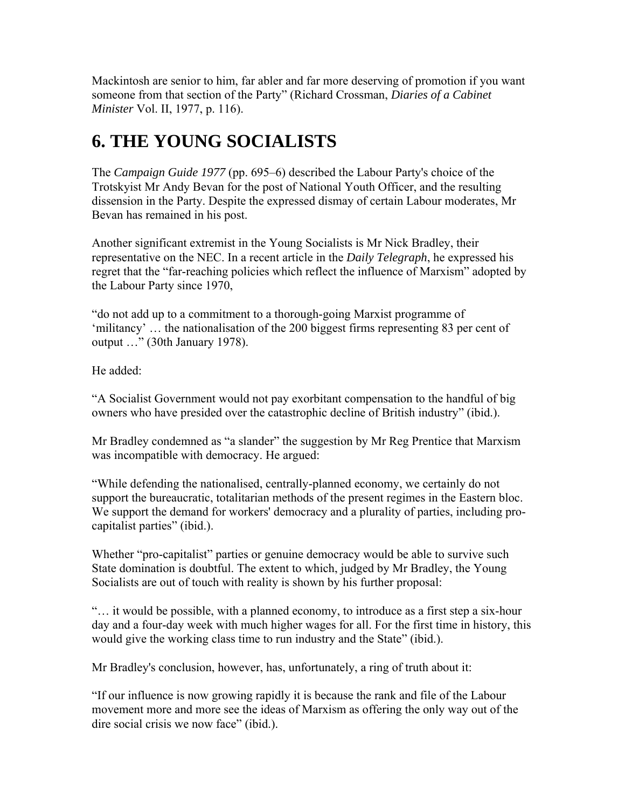Mackintosh are senior to him, far abler and far more deserving of promotion if you want someone from that section of the Party" (Richard Crossman, *Diaries of a Cabinet Minister* Vol. II, 1977, p. 116).

## **6. THE YOUNG SOCIALISTS**

The *Campaign Guide 1977* (pp. 695–6) described the Labour Party's choice of the Trotskyist Mr Andy Bevan for the post of National Youth Officer, and the resulting dissension in the Party. Despite the expressed dismay of certain Labour moderates, Mr Bevan has remained in his post.

Another significant extremist in the Young Socialists is Mr Nick Bradley, their representative on the NEC. In a recent article in the *Daily Telegraph*, he expressed his regret that the "far-reaching policies which reflect the influence of Marxism" adopted by the Labour Party since 1970,

"do not add up to a commitment to a thorough-going Marxist programme of 'militancy' … the nationalisation of the 200 biggest firms representing 83 per cent of output …" (30th January 1978).

He added:

"A Socialist Government would not pay exorbitant compensation to the handful of big owners who have presided over the catastrophic decline of British industry" (ibid.).

Mr Bradley condemned as "a slander" the suggestion by Mr Reg Prentice that Marxism was incompatible with democracy. He argued:

"While defending the nationalised, centrally-planned economy, we certainly do not support the bureaucratic, totalitarian methods of the present regimes in the Eastern bloc. We support the demand for workers' democracy and a plurality of parties, including procapitalist parties" (ibid.).

Whether "pro-capitalist" parties or genuine democracy would be able to survive such State domination is doubtful. The extent to which, judged by Mr Bradley, the Young Socialists are out of touch with reality is shown by his further proposal:

"… it would be possible, with a planned economy, to introduce as a first step a six-hour day and a four-day week with much higher wages for all. For the first time in history, this would give the working class time to run industry and the State" (ibid.).

Mr Bradley's conclusion, however, has, unfortunately, a ring of truth about it:

"If our influence is now growing rapidly it is because the rank and file of the Labour movement more and more see the ideas of Marxism as offering the only way out of the dire social crisis we now face" (ibid.).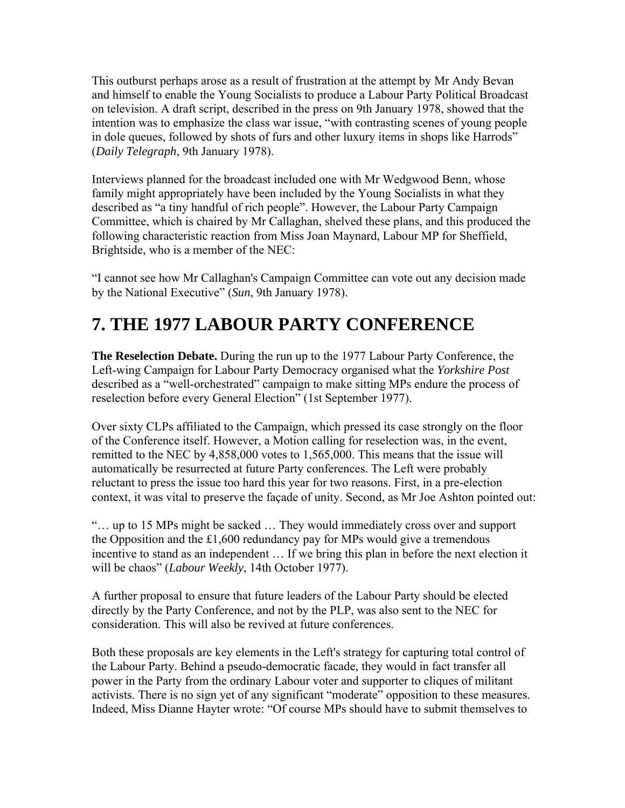This outburst perhaps arose as a result of frustration at the attempt by Mr Andy Bevan and himself to enable the Young Socialists to produce a Labour Party Political Broadcast on television. A draft script, described in the press on 9th January 1978, showed that the intention was to emphasize the class war issue, "with contrasting scenes of young people in dole queues, followed by shots of furs and other luxury items in shops like Harrods" (*Daily Telegraph*, 9th January 1978).

Interviews planned for the broadcast included one with Mr Wedgwood Benn, whose family might appropriately have been included by the Young Socialists in what they described as "a tiny handful of rich people". However, the Labour Party Campaign Committee, which is chaired by Mr Callaghan, shelved these plans, and this produced the following characteristic reaction from Miss Joan Maynard, Labour MP for Sheffield, Brightside, who is a member of the NEC:

"I cannot see how Mr Callaghan's Campaign Committee can vote out any decision made by the National Executive" (*Sun*, 9th January 1978).

### **7. THE 1977 LABOUR PARTY CONFERENCE**

**The Reselection Debate.** During the run up to the 1977 Labour Party Conference, the Left-wing Campaign for Labour Party Democracy organised what the *Yorkshire Post* described as a "well-orchestrated" campaign to make sitting MPs endure the process of reselection before every General Election" (1st September 1977).

Over sixty CLPs affiliated to the Campaign, which pressed its case strongly on the floor of the Conference itself. However, a Motion calling for reselection was, in the event, remitted to the NEC by 4,858,000 votes to 1,565,000. This means that the issue will automatically be resurrected at future Party conferences. The Left were probably reluctant to press the issue too hard this year for two reasons. First, in a pre-election context, it was vital to preserve the façade of unity. Second, as Mr Joe Ashton pointed out:

"… up to 15 MPs might be sacked … They would immediately cross over and support the Opposition and the £1,600 redundancy pay for MPs would give a tremendous incentive to stand as an independent … If we bring this plan in before the next election it will be chaos" (*Labour Weekly*, 14th October 1977).

A further proposal to ensure that future leaders of the Labour Party should be elected directly by the Party Conference, and not by the PLP, was also sent to the NEC for consideration. This will also be revived at future conferences.

Both these proposals are key elements in the Left's strategy for capturing total control of the Labour Party. Behind a pseudo-democratic facade, they would in fact transfer all power in the Party from the ordinary Labour voter and supporter to cliques of militant activists. There is no sign yet of any significant "moderate" opposition to these measures. Indeed, Miss Dianne Hayter wrote: "Of course MPs should have to submit themselves to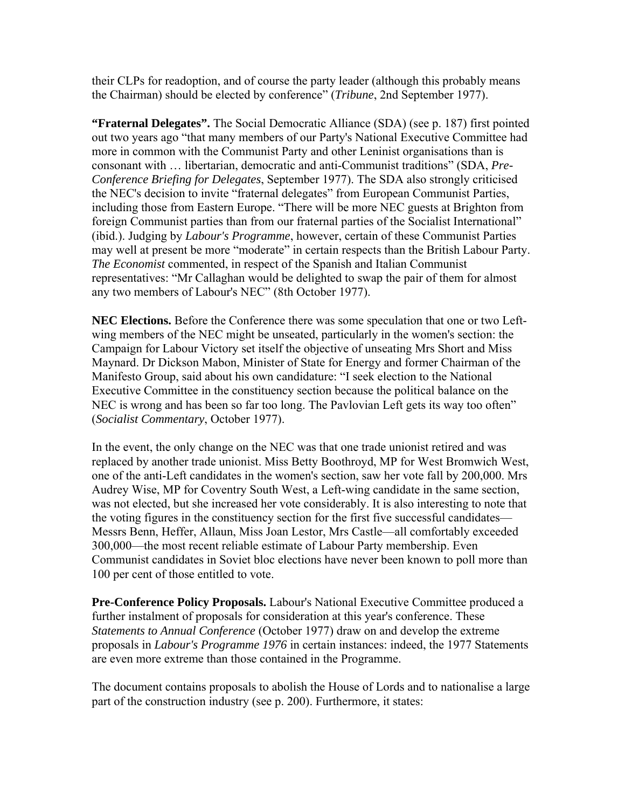their CLPs for readoption, and of course the party leader (although this probably means the Chairman) should be elected by conference" (*Tribune*, 2nd September 1977).

**"Fraternal Delegates".** The Social Democratic Alliance (SDA) (see p. 187) first pointed out two years ago "that many members of our Party's National Executive Committee had more in common with the Communist Party and other Leninist organisations than is consonant with … libertarian, democratic and anti-Communist traditions" (SDA, *Pre-Conference Briefing for Delegates*, September 1977). The SDA also strongly criticised the NEC's decision to invite "fraternal delegates" from European Communist Parties, including those from Eastern Europe. "There will be more NEC guests at Brighton from foreign Communist parties than from our fraternal parties of the Socialist International" (ibid.). Judging by *Labour's Programme*, however, certain of these Communist Parties may well at present be more "moderate" in certain respects than the British Labour Party. *The Economist* commented, in respect of the Spanish and Italian Communist representatives: "Mr Callaghan would be delighted to swap the pair of them for almost any two members of Labour's NEC" (8th October 1977).

**NEC Elections.** Before the Conference there was some speculation that one or two Leftwing members of the NEC might be unseated, particularly in the women's section: the Campaign for Labour Victory set itself the objective of unseating Mrs Short and Miss Maynard. Dr Dickson Mabon, Minister of State for Energy and former Chairman of the Manifesto Group, said about his own candidature: "I seek election to the National Executive Committee in the constituency section because the political balance on the NEC is wrong and has been so far too long. The Pavlovian Left gets its way too often" (*Socialist Commentary*, October 1977).

In the event, the only change on the NEC was that one trade unionist retired and was replaced by another trade unionist. Miss Betty Boothroyd, MP for West Bromwich West, one of the anti-Left candidates in the women's section, saw her vote fall by 200,000. Mrs Audrey Wise, MP for Coventry South West, a Left-wing candidate in the same section, was not elected, but she increased her vote considerably. It is also interesting to note that the voting figures in the constituency section for the first five successful candidates— Messrs Benn, Heffer, Allaun, Miss Joan Lestor, Mrs Castle—all comfortably exceeded 300,000—the most recent reliable estimate of Labour Party membership. Even Communist candidates in Soviet bloc elections have never been known to poll more than 100 per cent of those entitled to vote.

**Pre-Conference Policy Proposals.** Labour's National Executive Committee produced a further instalment of proposals for consideration at this year's conference. These *Statements to Annual Conference* (October 1977) draw on and develop the extreme proposals in *Labour's Programme 1976* in certain instances: indeed, the 1977 Statements are even more extreme than those contained in the Programme.

The document contains proposals to abolish the House of Lords and to nationalise a large part of the construction industry (see p. 200). Furthermore, it states: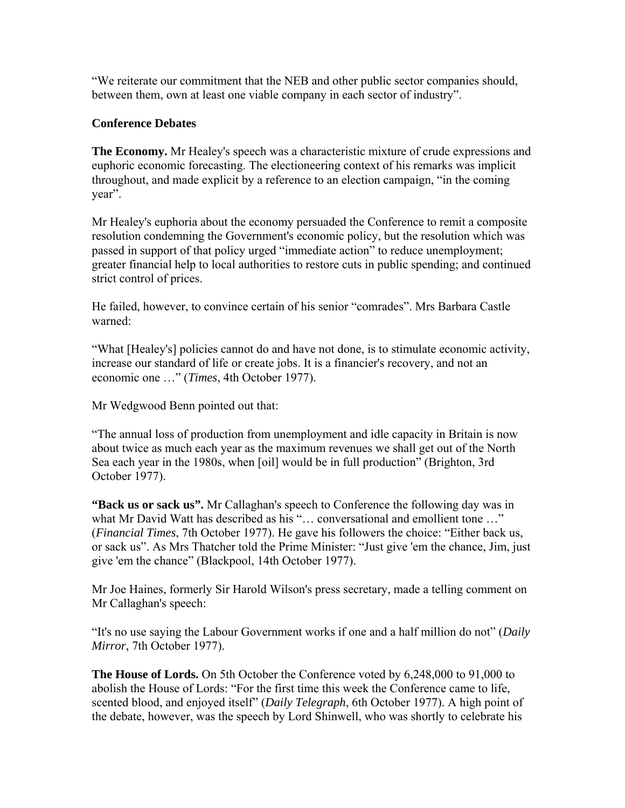"We reiterate our commitment that the NEB and other public sector companies should, between them, own at least one viable company in each sector of industry".

### **Conference Debates**

**The Economy.** Mr Healey's speech was a characteristic mixture of crude expressions and euphoric economic forecasting. The electioneering context of his remarks was implicit throughout, and made explicit by a reference to an election campaign, "in the coming year".

Mr Healey's euphoria about the economy persuaded the Conference to remit a composite resolution condemning the Government's economic policy, but the resolution which was passed in support of that policy urged "immediate action" to reduce unemployment; greater financial help to local authorities to restore cuts in public spending; and continued strict control of prices.

He failed, however, to convince certain of his senior "comrades". Mrs Barbara Castle warned:

"What [Healey's] policies cannot do and have not done, is to stimulate economic activity, increase our standard of life or create jobs. It is a financier's recovery, and not an economic one …" (*Times*, 4th October 1977).

Mr Wedgwood Benn pointed out that:

"The annual loss of production from unemployment and idle capacity in Britain is now about twice as much each year as the maximum revenues we shall get out of the North Sea each year in the 1980s, when [oil] would be in full production" (Brighton, 3rd October 1977).

**"Back us or sack us".** Mr Callaghan's speech to Conference the following day was in what Mr David Watt has described as his "... conversational and emollient tone ..." (*Financial Times*, 7th October 1977). He gave his followers the choice: "Either back us, or sack us". As Mrs Thatcher told the Prime Minister: "Just give 'em the chance, Jim, just give 'em the chance" (Blackpool, 14th October 1977).

Mr Joe Haines, formerly Sir Harold Wilson's press secretary, made a telling comment on Mr Callaghan's speech:

"It's no use saying the Labour Government works if one and a half million do not" (*Daily Mirror*, 7th October 1977).

**The House of Lords.** On 5th October the Conference voted by 6,248,000 to 91,000 to abolish the House of Lords: "For the first time this week the Conference came to life, scented blood, and enjoyed itself" (*Daily Telegraph*, 6th October 1977). A high point of the debate, however, was the speech by Lord Shinwell, who was shortly to celebrate his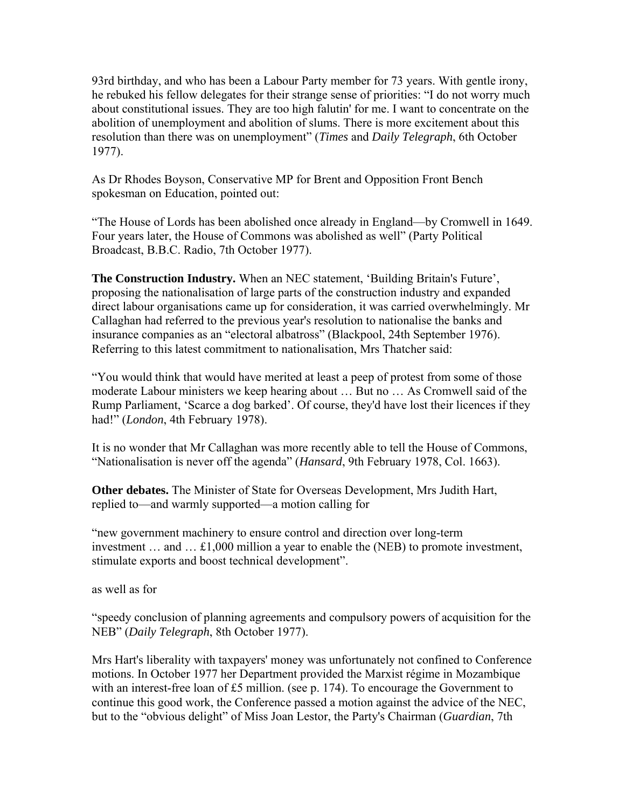93rd birthday, and who has been a Labour Party member for 73 years. With gentle irony, he rebuked his fellow delegates for their strange sense of priorities: "I do not worry much about constitutional issues. They are too high falutin' for me. I want to concentrate on the abolition of unemployment and abolition of slums. There is more excitement about this resolution than there was on unemployment" (*Times* and *Daily Telegraph*, 6th October 1977).

As Dr Rhodes Boyson, Conservative MP for Brent and Opposition Front Bench spokesman on Education, pointed out:

"The House of Lords has been abolished once already in England—by Cromwell in 1649. Four years later, the House of Commons was abolished as well" (Party Political Broadcast, B.B.C. Radio, 7th October 1977).

**The Construction Industry.** When an NEC statement, 'Building Britain's Future', proposing the nationalisation of large parts of the construction industry and expanded direct labour organisations came up for consideration, it was carried overwhelmingly. Mr Callaghan had referred to the previous year's resolution to nationalise the banks and insurance companies as an "electoral albatross" (Blackpool, 24th September 1976). Referring to this latest commitment to nationalisation, Mrs Thatcher said:

"You would think that would have merited at least a peep of protest from some of those moderate Labour ministers we keep hearing about … But no … As Cromwell said of the Rump Parliament, 'Scarce a dog barked'. Of course, they'd have lost their licences if they had!" (*London*, 4th February 1978).

It is no wonder that Mr Callaghan was more recently able to tell the House of Commons, "Nationalisation is never off the agenda" (*Hansard*, 9th February 1978, Col. 1663).

**Other debates.** The Minister of State for Overseas Development, Mrs Judith Hart, replied to—and warmly supported—a motion calling for

"new government machinery to ensure control and direction over long-term investment … and … £1,000 million a year to enable the (NEB) to promote investment, stimulate exports and boost technical development".

as well as for

"speedy conclusion of planning agreements and compulsory powers of acquisition for the NEB" (*Daily Telegraph*, 8th October 1977).

Mrs Hart's liberality with taxpayers' money was unfortunately not confined to Conference motions. In October 1977 her Department provided the Marxist régime in Mozambique with an interest-free loan of £5 million. (see p. 174). To encourage the Government to continue this good work, the Conference passed a motion against the advice of the NEC, but to the "obvious delight" of Miss Joan Lestor, the Party's Chairman (*Guardian*, 7th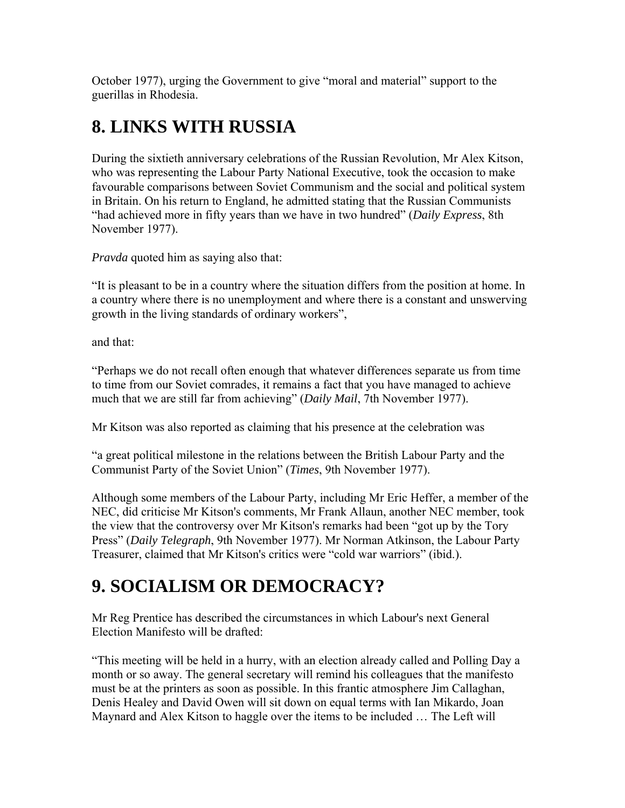October 1977), urging the Government to give "moral and material" support to the guerillas in Rhodesia.

### **8. LINKS WITH RUSSIA**

During the sixtieth anniversary celebrations of the Russian Revolution, Mr Alex Kitson, who was representing the Labour Party National Executive, took the occasion to make favourable comparisons between Soviet Communism and the social and political system in Britain. On his return to England, he admitted stating that the Russian Communists "had achieved more in fifty years than we have in two hundred" (*Daily Express*, 8th November 1977).

*Pravda* quoted him as saying also that:

"It is pleasant to be in a country where the situation differs from the position at home. In a country where there is no unemployment and where there is a constant and unswerving growth in the living standards of ordinary workers",

and that:

"Perhaps we do not recall often enough that whatever differences separate us from time to time from our Soviet comrades, it remains a fact that you have managed to achieve much that we are still far from achieving" (*Daily Mail*, 7th November 1977).

Mr Kitson was also reported as claiming that his presence at the celebration was

"a great political milestone in the relations between the British Labour Party and the Communist Party of the Soviet Union" (*Times*, 9th November 1977).

Although some members of the Labour Party, including Mr Eric Heffer, a member of the NEC, did criticise Mr Kitson's comments, Mr Frank Allaun, another NEC member, took the view that the controversy over Mr Kitson's remarks had been "got up by the Tory Press" (*Daily Telegraph*, 9th November 1977). Mr Norman Atkinson, the Labour Party Treasurer, claimed that Mr Kitson's critics were "cold war warriors" (ibid.).

### **9. SOCIALISM OR DEMOCRACY?**

Mr Reg Prentice has described the circumstances in which Labour's next General Election Manifesto will be drafted:

"This meeting will be held in a hurry, with an election already called and Polling Day a month or so away. The general secretary will remind his colleagues that the manifesto must be at the printers as soon as possible. In this frantic atmosphere Jim Callaghan, Denis Healey and David Owen will sit down on equal terms with Ian Mikardo, Joan Maynard and Alex Kitson to haggle over the items to be included … The Left will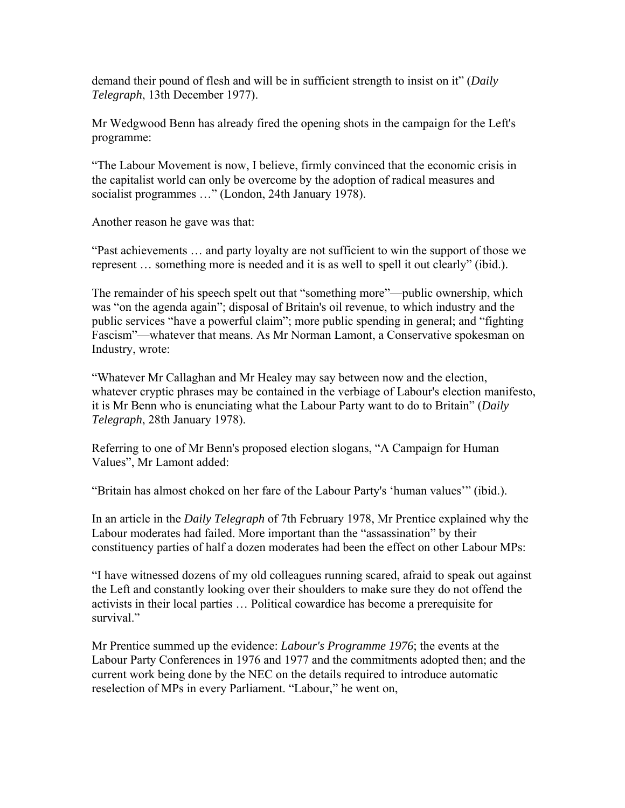demand their pound of flesh and will be in sufficient strength to insist on it" (*Daily Telegraph*, 13th December 1977).

Mr Wedgwood Benn has already fired the opening shots in the campaign for the Left's programme:

"The Labour Movement is now, I believe, firmly convinced that the economic crisis in the capitalist world can only be overcome by the adoption of radical measures and socialist programmes ..." (London, 24th January 1978).

Another reason he gave was that:

"Past achievements … and party loyalty are not sufficient to win the support of those we represent … something more is needed and it is as well to spell it out clearly" (ibid.).

The remainder of his speech spelt out that "something more"—public ownership, which was "on the agenda again"; disposal of Britain's oil revenue, to which industry and the public services "have a powerful claim"; more public spending in general; and "fighting Fascism"—whatever that means. As Mr Norman Lamont, a Conservative spokesman on Industry, wrote:

"Whatever Mr Callaghan and Mr Healey may say between now and the election, whatever cryptic phrases may be contained in the verbiage of Labour's election manifesto, it is Mr Benn who is enunciating what the Labour Party want to do to Britain" (*Daily Telegraph*, 28th January 1978).

Referring to one of Mr Benn's proposed election slogans, "A Campaign for Human Values", Mr Lamont added:

"Britain has almost choked on her fare of the Labour Party's 'human values'" (ibid.).

In an article in the *Daily Telegraph* of 7th February 1978, Mr Prentice explained why the Labour moderates had failed. More important than the "assassination" by their constituency parties of half a dozen moderates had been the effect on other Labour MPs:

"I have witnessed dozens of my old colleagues running scared, afraid to speak out against the Left and constantly looking over their shoulders to make sure they do not offend the activists in their local parties … Political cowardice has become a prerequisite for survival."

Mr Prentice summed up the evidence: *Labour's Programme 1976*; the events at the Labour Party Conferences in 1976 and 1977 and the commitments adopted then; and the current work being done by the NEC on the details required to introduce automatic reselection of MPs in every Parliament. "Labour," he went on,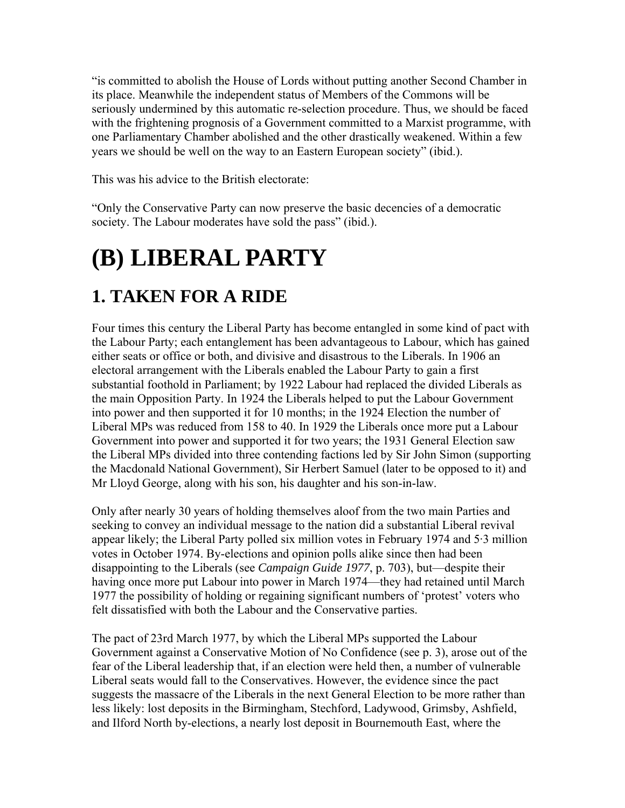"is committed to abolish the House of Lords without putting another Second Chamber in its place. Meanwhile the independent status of Members of the Commons will be seriously undermined by this automatic re-selection procedure. Thus, we should be faced with the frightening prognosis of a Government committed to a Marxist programme, with one Parliamentary Chamber abolished and the other drastically weakened. Within a few years we should be well on the way to an Eastern European society" (ibid.).

This was his advice to the British electorate:

"Only the Conservative Party can now preserve the basic decencies of a democratic society. The Labour moderates have sold the pass" (ibid.).

# **(B) LIBERAL PARTY**

### **1. TAKEN FOR A RIDE**

Four times this century the Liberal Party has become entangled in some kind of pact with the Labour Party; each entanglement has been advantageous to Labour, which has gained either seats or office or both, and divisive and disastrous to the Liberals. In 1906 an electoral arrangement with the Liberals enabled the Labour Party to gain a first substantial foothold in Parliament; by 1922 Labour had replaced the divided Liberals as the main Opposition Party. In 1924 the Liberals helped to put the Labour Government into power and then supported it for 10 months; in the 1924 Election the number of Liberal MPs was reduced from 158 to 40. In 1929 the Liberals once more put a Labour Government into power and supported it for two years; the 1931 General Election saw the Liberal MPs divided into three contending factions led by Sir John Simon (supporting the Macdonald National Government), Sir Herbert Samuel (later to be opposed to it) and Mr Lloyd George, along with his son, his daughter and his son-in-law.

Only after nearly 30 years of holding themselves aloof from the two main Parties and seeking to convey an individual message to the nation did a substantial Liberal revival appear likely; the Liberal Party polled six million votes in February 1974 and 5·3 million votes in October 1974. By-elections and opinion polls alike since then had been disappointing to the Liberals (see *Campaign Guide 1977*, p. 703), but—despite their having once more put Labour into power in March 1974—they had retained until March 1977 the possibility of holding or regaining significant numbers of 'protest' voters who felt dissatisfied with both the Labour and the Conservative parties.

The pact of 23rd March 1977, by which the Liberal MPs supported the Labour Government against a Conservative Motion of No Confidence (see p. 3), arose out of the fear of the Liberal leadership that, if an election were held then, a number of vulnerable Liberal seats would fall to the Conservatives. However, the evidence since the pact suggests the massacre of the Liberals in the next General Election to be more rather than less likely: lost deposits in the Birmingham, Stechford, Ladywood, Grimsby, Ashfield, and Ilford North by-elections, a nearly lost deposit in Bournemouth East, where the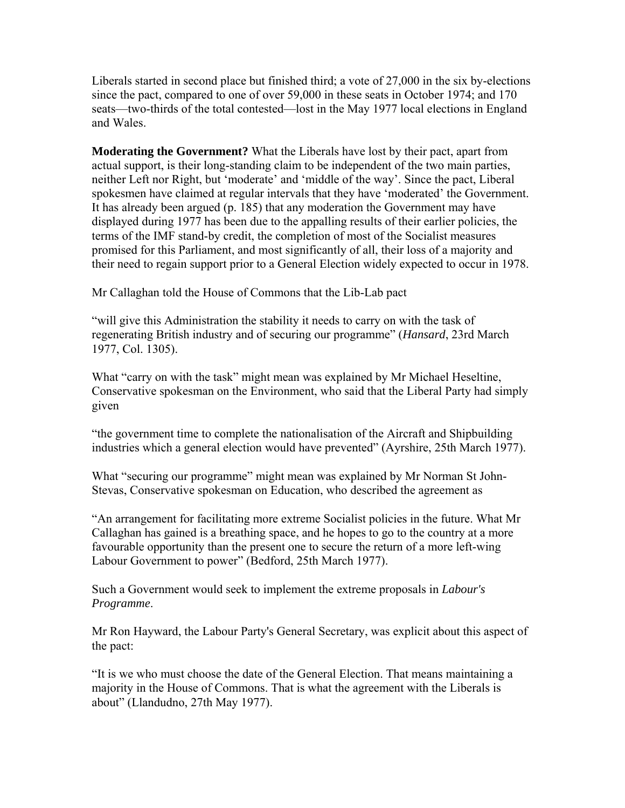Liberals started in second place but finished third; a vote of 27,000 in the six by-elections since the pact, compared to one of over 59,000 in these seats in October 1974; and 170 seats—two-thirds of the total contested—lost in the May 1977 local elections in England and Wales.

**Moderating the Government?** What the Liberals have lost by their pact, apart from actual support, is their long-standing claim to be independent of the two main parties, neither Left nor Right, but 'moderate' and 'middle of the way'. Since the pact, Liberal spokesmen have claimed at regular intervals that they have 'moderated' the Government. It has already been argued (p. 185) that any moderation the Government may have displayed during 1977 has been due to the appalling results of their earlier policies, the terms of the IMF stand-by credit, the completion of most of the Socialist measures promised for this Parliament, and most significantly of all, their loss of a majority and their need to regain support prior to a General Election widely expected to occur in 1978.

Mr Callaghan told the House of Commons that the Lib-Lab pact

"will give this Administration the stability it needs to carry on with the task of regenerating British industry and of securing our programme" (*Hansard*, 23rd March 1977, Col. 1305).

What "carry on with the task" might mean was explained by Mr Michael Heseltine, Conservative spokesman on the Environment, who said that the Liberal Party had simply given

"the government time to complete the nationalisation of the Aircraft and Shipbuilding industries which a general election would have prevented" (Ayrshire, 25th March 1977).

What "securing our programme" might mean was explained by Mr Norman St John-Stevas, Conservative spokesman on Education, who described the agreement as

"An arrangement for facilitating more extreme Socialist policies in the future. What Mr Callaghan has gained is a breathing space, and he hopes to go to the country at a more favourable opportunity than the present one to secure the return of a more left-wing Labour Government to power" (Bedford, 25th March 1977).

Such a Government would seek to implement the extreme proposals in *Labour's Programme*.

Mr Ron Hayward, the Labour Party's General Secretary, was explicit about this aspect of the pact:

"It is we who must choose the date of the General Election. That means maintaining a majority in the House of Commons. That is what the agreement with the Liberals is about" (Llandudno, 27th May 1977).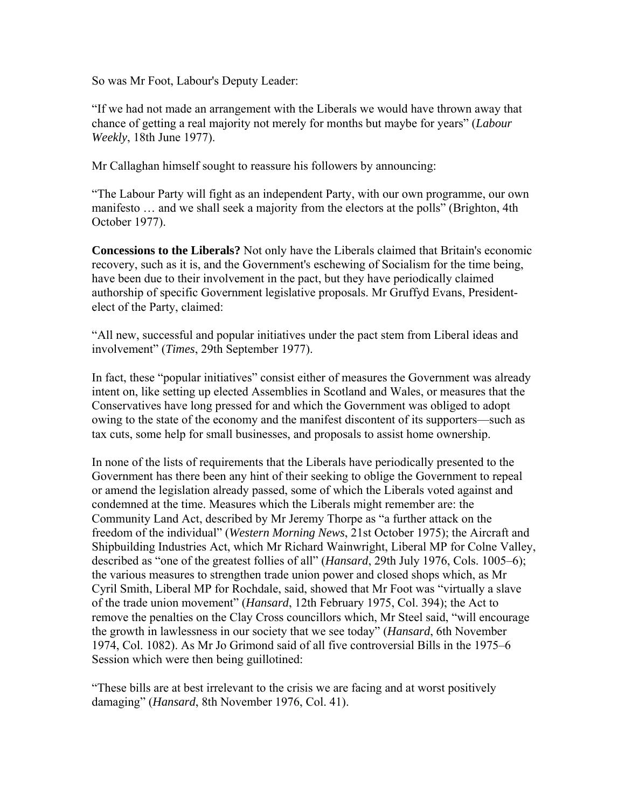So was Mr Foot, Labour's Deputy Leader:

"If we had not made an arrangement with the Liberals we would have thrown away that chance of getting a real majority not merely for months but maybe for years" (*Labour Weekly*, 18th June 1977).

Mr Callaghan himself sought to reassure his followers by announcing:

"The Labour Party will fight as an independent Party, with our own programme, our own manifesto … and we shall seek a majority from the electors at the polls" (Brighton, 4th October 1977).

**Concessions to the Liberals?** Not only have the Liberals claimed that Britain's economic recovery, such as it is, and the Government's eschewing of Socialism for the time being, have been due to their involvement in the pact, but they have periodically claimed authorship of specific Government legislative proposals. Mr Gruffyd Evans, Presidentelect of the Party, claimed:

"All new, successful and popular initiatives under the pact stem from Liberal ideas and involvement" (*Times*, 29th September 1977).

In fact, these "popular initiatives" consist either of measures the Government was already intent on, like setting up elected Assemblies in Scotland and Wales, or measures that the Conservatives have long pressed for and which the Government was obliged to adopt owing to the state of the economy and the manifest discontent of its supporters—such as tax cuts, some help for small businesses, and proposals to assist home ownership.

In none of the lists of requirements that the Liberals have periodically presented to the Government has there been any hint of their seeking to oblige the Government to repeal or amend the legislation already passed, some of which the Liberals voted against and condemned at the time. Measures which the Liberals might remember are: the Community Land Act, described by Mr Jeremy Thorpe as "a further attack on the freedom of the individual" (*Western Morning News*, 21st October 1975); the Aircraft and Shipbuilding Industries Act, which Mr Richard Wainwright, Liberal MP for Colne Valley, described as "one of the greatest follies of all" (*Hansard*, 29th July 1976, Cols. 1005–6); the various measures to strengthen trade union power and closed shops which, as Mr Cyril Smith, Liberal MP for Rochdale, said, showed that Mr Foot was "virtually a slave of the trade union movement" (*Hansard*, 12th February 1975, Col. 394); the Act to remove the penalties on the Clay Cross councillors which, Mr Steel said, "will encourage the growth in lawlessness in our society that we see today" (*Hansard*, 6th November 1974, Col. 1082). As Mr Jo Grimond said of all five controversial Bills in the 1975–6 Session which were then being guillotined:

"These bills are at best irrelevant to the crisis we are facing and at worst positively damaging" (*Hansard*, 8th November 1976, Col. 41).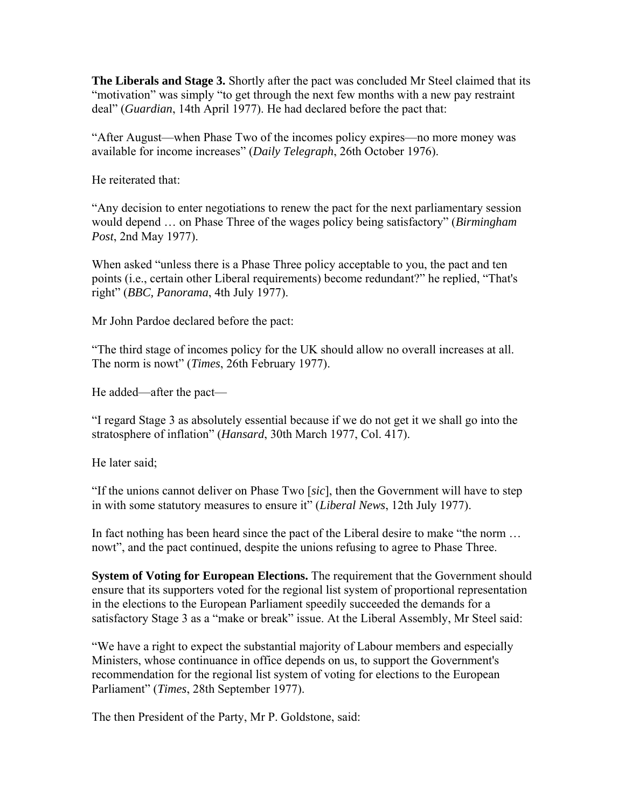**The Liberals and Stage 3.** Shortly after the pact was concluded Mr Steel claimed that its "motivation" was simply "to get through the next few months with a new pay restraint deal" (*Guardian*, 14th April 1977). He had declared before the pact that:

"After August—when Phase Two of the incomes policy expires—no more money was available for income increases" (*Daily Telegraph*, 26th October 1976).

He reiterated that:

"Any decision to enter negotiations to renew the pact for the next parliamentary session would depend … on Phase Three of the wages policy being satisfactory" (*Birmingham Post*, 2nd May 1977).

When asked "unless there is a Phase Three policy acceptable to you, the pact and ten points (i.e., certain other Liberal requirements) become redundant?" he replied, "That's right" (*BBC, Panorama*, 4th July 1977).

Mr John Pardoe declared before the pact:

"The third stage of incomes policy for the UK should allow no overall increases at all. The norm is nowt" (*Times*, 26th February 1977).

He added—after the pact—

"I regard Stage 3 as absolutely essential because if we do not get it we shall go into the stratosphere of inflation" (*Hansard*, 30th March 1977, Col. 417).

He later said;

"If the unions cannot deliver on Phase Two [*sic*], then the Government will have to step in with some statutory measures to ensure it" (*Liberal News*, 12th July 1977).

In fact nothing has been heard since the pact of the Liberal desire to make "the norm ... nowt", and the pact continued, despite the unions refusing to agree to Phase Three.

**System of Voting for European Elections.** The requirement that the Government should ensure that its supporters voted for the regional list system of proportional representation in the elections to the European Parliament speedily succeeded the demands for a satisfactory Stage 3 as a "make or break" issue. At the Liberal Assembly, Mr Steel said:

"We have a right to expect the substantial majority of Labour members and especially Ministers, whose continuance in office depends on us, to support the Government's recommendation for the regional list system of voting for elections to the European Parliament" (*Times*, 28th September 1977).

The then President of the Party, Mr P. Goldstone, said: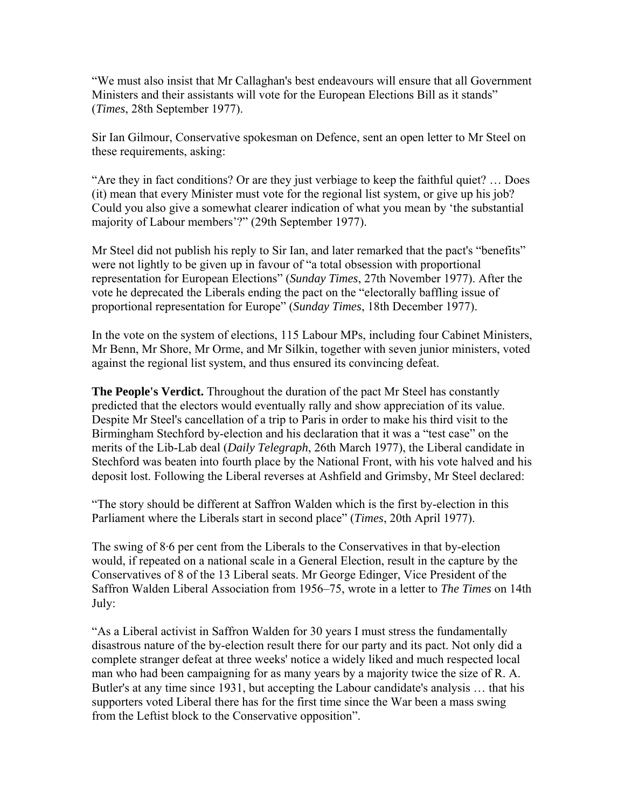"We must also insist that Mr Callaghan's best endeavours will ensure that all Government Ministers and their assistants will vote for the European Elections Bill as it stands" (*Times*, 28th September 1977).

Sir Ian Gilmour, Conservative spokesman on Defence, sent an open letter to Mr Steel on these requirements, asking:

"Are they in fact conditions? Or are they just verbiage to keep the faithful quiet? … Does (it) mean that every Minister must vote for the regional list system, or give up his job? Could you also give a somewhat clearer indication of what you mean by 'the substantial majority of Labour members'?" (29th September 1977).

Mr Steel did not publish his reply to Sir Ian, and later remarked that the pact's "benefits" were not lightly to be given up in favour of "a total obsession with proportional representation for European Elections" (*Sunday Times*, 27th November 1977). After the vote he deprecated the Liberals ending the pact on the "electorally baffling issue of proportional representation for Europe" (*Sunday Times*, 18th December 1977).

In the vote on the system of elections, 115 Labour MPs, including four Cabinet Ministers, Mr Benn, Mr Shore, Mr Orme, and Mr Silkin, together with seven junior ministers, voted against the regional list system, and thus ensured its convincing defeat.

**The People's Verdict.** Throughout the duration of the pact Mr Steel has constantly predicted that the electors would eventually rally and show appreciation of its value. Despite Mr Steel's cancellation of a trip to Paris in order to make his third visit to the Birmingham Stechford by-election and his declaration that it was a "test case" on the merits of the Lib-Lab deal (*Daily Telegraph*, 26th March 1977), the Liberal candidate in Stechford was beaten into fourth place by the National Front, with his vote halved and his deposit lost. Following the Liberal reverses at Ashfield and Grimsby, Mr Steel declared:

"The story should be different at Saffron Walden which is the first by-election in this Parliament where the Liberals start in second place" (*Times*, 20th April 1977).

The swing of 8·6 per cent from the Liberals to the Conservatives in that by-election would, if repeated on a national scale in a General Election, result in the capture by the Conservatives of 8 of the 13 Liberal seats. Mr George Edinger, Vice President of the Saffron Walden Liberal Association from 1956–75, wrote in a letter to *The Times* on 14th July:

"As a Liberal activist in Saffron Walden for 30 years I must stress the fundamentally disastrous nature of the by-election result there for our party and its pact. Not only did a complete stranger defeat at three weeks' notice a widely liked and much respected local man who had been campaigning for as many years by a majority twice the size of R. A. Butler's at any time since 1931, but accepting the Labour candidate's analysis … that his supporters voted Liberal there has for the first time since the War been a mass swing from the Leftist block to the Conservative opposition".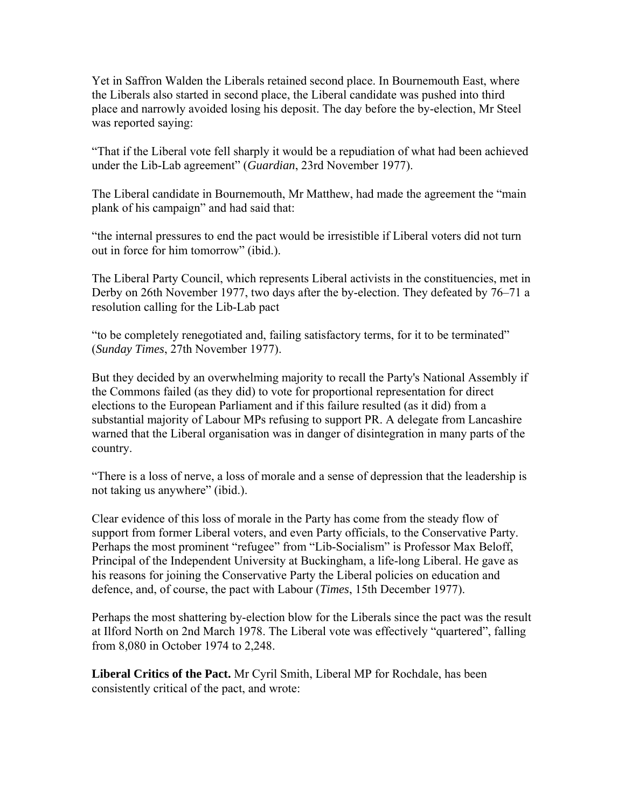Yet in Saffron Walden the Liberals retained second place. In Bournemouth East, where the Liberals also started in second place, the Liberal candidate was pushed into third place and narrowly avoided losing his deposit. The day before the by-election, Mr Steel was reported saying:

"That if the Liberal vote fell sharply it would be a repudiation of what had been achieved under the Lib-Lab agreement" (*Guardian*, 23rd November 1977).

The Liberal candidate in Bournemouth, Mr Matthew, had made the agreement the "main plank of his campaign" and had said that:

"the internal pressures to end the pact would be irresistible if Liberal voters did not turn out in force for him tomorrow" (ibid.).

The Liberal Party Council, which represents Liberal activists in the constituencies, met in Derby on 26th November 1977, two days after the by-election. They defeated by 76–71 a resolution calling for the Lib-Lab pact

"to be completely renegotiated and, failing satisfactory terms, for it to be terminated" (*Sunday Times*, 27th November 1977).

But they decided by an overwhelming majority to recall the Party's National Assembly if the Commons failed (as they did) to vote for proportional representation for direct elections to the European Parliament and if this failure resulted (as it did) from a substantial majority of Labour MPs refusing to support PR. A delegate from Lancashire warned that the Liberal organisation was in danger of disintegration in many parts of the country.

"There is a loss of nerve, a loss of morale and a sense of depression that the leadership is not taking us anywhere" (ibid.).

Clear evidence of this loss of morale in the Party has come from the steady flow of support from former Liberal voters, and even Party officials, to the Conservative Party. Perhaps the most prominent "refugee" from "Lib-Socialism" is Professor Max Beloff, Principal of the Independent University at Buckingham, a life-long Liberal. He gave as his reasons for joining the Conservative Party the Liberal policies on education and defence, and, of course, the pact with Labour (*Times*, 15th December 1977).

Perhaps the most shattering by-election blow for the Liberals since the pact was the result at Ilford North on 2nd March 1978. The Liberal vote was effectively "quartered", falling from 8,080 in October 1974 to 2,248.

**Liberal Critics of the Pact.** Mr Cyril Smith, Liberal MP for Rochdale, has been consistently critical of the pact, and wrote: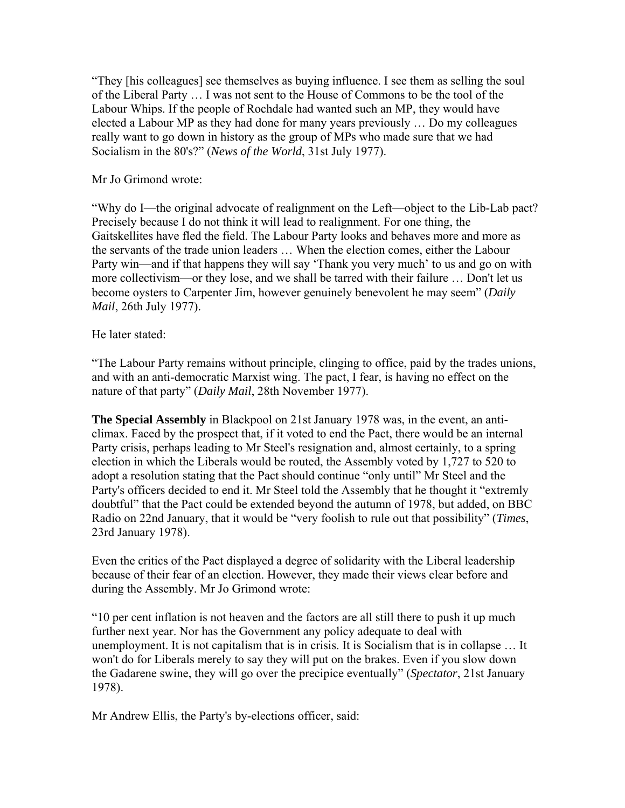"They [his colleagues] see themselves as buying influence. I see them as selling the soul of the Liberal Party … I was not sent to the House of Commons to be the tool of the Labour Whips. If the people of Rochdale had wanted such an MP, they would have elected a Labour MP as they had done for many years previously … Do my colleagues really want to go down in history as the group of MPs who made sure that we had Socialism in the 80's?" (*News of the World*, 31st July 1977).

Mr Jo Grimond wrote:

"Why do I—the original advocate of realignment on the Left—object to the Lib-Lab pact? Precisely because I do not think it will lead to realignment. For one thing, the Gaitskellites have fled the field. The Labour Party looks and behaves more and more as the servants of the trade union leaders … When the election comes, either the Labour Party win—and if that happens they will say 'Thank you very much' to us and go on with more collectivism—or they lose, and we shall be tarred with their failure … Don't let us become oysters to Carpenter Jim, however genuinely benevolent he may seem" (*Daily Mail*, 26th July 1977).

### He later stated:

"The Labour Party remains without principle, clinging to office, paid by the trades unions, and with an anti-democratic Marxist wing. The pact, I fear, is having no effect on the nature of that party" (*Daily Mail*, 28th November 1977).

**The Special Assembly** in Blackpool on 21st January 1978 was, in the event, an anticlimax. Faced by the prospect that, if it voted to end the Pact, there would be an internal Party crisis, perhaps leading to Mr Steel's resignation and, almost certainly, to a spring election in which the Liberals would be routed, the Assembly voted by 1,727 to 520 to adopt a resolution stating that the Pact should continue "only until" Mr Steel and the Party's officers decided to end it. Mr Steel told the Assembly that he thought it "extremly doubtful" that the Pact could be extended beyond the autumn of 1978, but added, on BBC Radio on 22nd January, that it would be "very foolish to rule out that possibility" (*Times*, 23rd January 1978).

Even the critics of the Pact displayed a degree of solidarity with the Liberal leadership because of their fear of an election. However, they made their views clear before and during the Assembly. Mr Jo Grimond wrote:

"10 per cent inflation is not heaven and the factors are all still there to push it up much further next year. Nor has the Government any policy adequate to deal with unemployment. It is not capitalism that is in crisis. It is Socialism that is in collapse … It won't do for Liberals merely to say they will put on the brakes. Even if you slow down the Gadarene swine, they will go over the precipice eventually" (*Spectator*, 21st January 1978).

Mr Andrew Ellis, the Party's by-elections officer, said: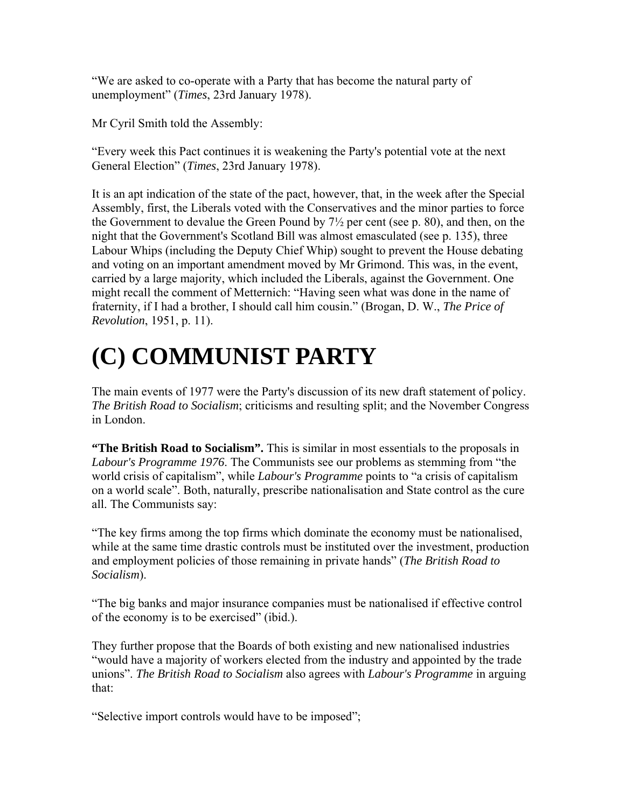"We are asked to co-operate with a Party that has become the natural party of unemployment" (*Times*, 23rd January 1978).

Mr Cyril Smith told the Assembly:

"Every week this Pact continues it is weakening the Party's potential vote at the next General Election" (*Times*, 23rd January 1978).

It is an apt indication of the state of the pact, however, that, in the week after the Special Assembly, first, the Liberals voted with the Conservatives and the minor parties to force the Government to devalue the Green Pound by 7½ per cent (see p. 80), and then, on the night that the Government's Scotland Bill was almost emasculated (see p. 135), three Labour Whips (including the Deputy Chief Whip) sought to prevent the House debating and voting on an important amendment moved by Mr Grimond. This was, in the event, carried by a large majority, which included the Liberals, against the Government. One might recall the comment of Metternich: "Having seen what was done in the name of fraternity, if I had a brother, I should call him cousin." (Brogan, D. W., *The Price of Revolution*, 1951, p. 11).

# **(C) COMMUNIST PARTY**

The main events of 1977 were the Party's discussion of its new draft statement of policy. *The British Road to Socialism*; criticisms and resulting split; and the November Congress in London.

**"The British Road to Socialism".** This is similar in most essentials to the proposals in *Labour's Programme 1976*. The Communists see our problems as stemming from "the world crisis of capitalism", while *Labour's Programme* points to "a crisis of capitalism on a world scale". Both, naturally, prescribe nationalisation and State control as the cure all. The Communists say:

"The key firms among the top firms which dominate the economy must be nationalised, while at the same time drastic controls must be instituted over the investment, production and employment policies of those remaining in private hands" (*The British Road to Socialism*).

"The big banks and major insurance companies must be nationalised if effective control of the economy is to be exercised" (ibid.).

They further propose that the Boards of both existing and new nationalised industries "would have a majority of workers elected from the industry and appointed by the trade unions". *The British Road to Socialism* also agrees with *Labour's Programme* in arguing that:

"Selective import controls would have to be imposed";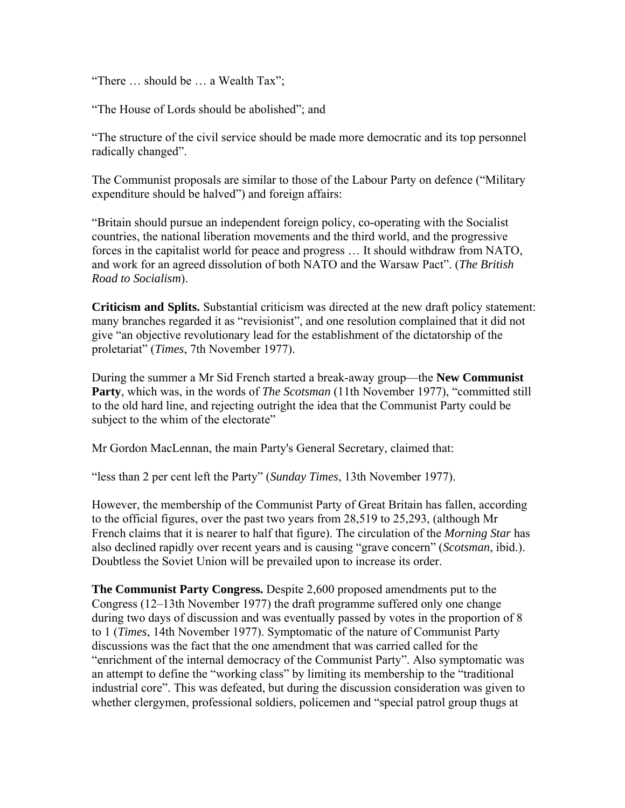"There … should be … a Wealth Tax";

"The House of Lords should be abolished"; and

"The structure of the civil service should be made more democratic and its top personnel radically changed".

The Communist proposals are similar to those of the Labour Party on defence ("Military expenditure should be halved") and foreign affairs:

"Britain should pursue an independent foreign policy, co-operating with the Socialist countries, the national liberation movements and the third world, and the progressive forces in the capitalist world for peace and progress … It should withdraw from NATO, and work for an agreed dissolution of both NATO and the Warsaw Pact". (*The British Road to Socialism*).

**Criticism and Splits.** Substantial criticism was directed at the new draft policy statement: many branches regarded it as "revisionist", and one resolution complained that it did not give "an objective revolutionary lead for the establishment of the dictatorship of the proletariat" (*Times*, 7th November 1977).

During the summer a Mr Sid French started a break-away group—the **New Communist Party**, which was, in the words of *The Scotsman* (11th November 1977), "committed still to the old hard line, and rejecting outright the idea that the Communist Party could be subject to the whim of the electorate"

Mr Gordon MacLennan, the main Party's General Secretary, claimed that:

"less than 2 per cent left the Party" (*Sunday Times*, 13th November 1977).

However, the membership of the Communist Party of Great Britain has fallen, according to the official figures, over the past two years from 28,519 to 25,293, (although Mr French claims that it is nearer to half that figure). The circulation of the *Morning Star* has also declined rapidly over recent years and is causing "grave concern" (*Scotsman*, ibid.). Doubtless the Soviet Union will be prevailed upon to increase its order.

**The Communist Party Congress.** Despite 2,600 proposed amendments put to the Congress (12–13th November 1977) the draft programme suffered only one change during two days of discussion and was eventually passed by votes in the proportion of 8 to 1 (*Times*, 14th November 1977). Symptomatic of the nature of Communist Party discussions was the fact that the one amendment that was carried called for the "enrichment of the internal democracy of the Communist Party". Also symptomatic was an attempt to define the "working class" by limiting its membership to the "traditional industrial core". This was defeated, but during the discussion consideration was given to whether clergymen, professional soldiers, policemen and "special patrol group thugs at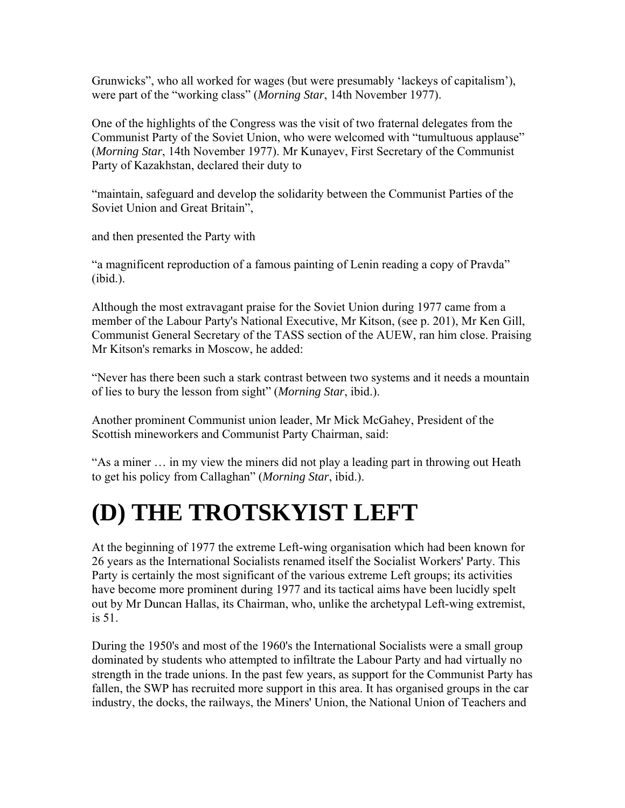Grunwicks", who all worked for wages (but were presumably 'lackeys of capitalism'), were part of the "working class" (*Morning Star*, 14th November 1977).

One of the highlights of the Congress was the visit of two fraternal delegates from the Communist Party of the Soviet Union, who were welcomed with "tumultuous applause" (*Morning Star*, 14th November 1977). Mr Kunayev, First Secretary of the Communist Party of Kazakhstan, declared their duty to

"maintain, safeguard and develop the solidarity between the Communist Parties of the Soviet Union and Great Britain",

and then presented the Party with

"a magnificent reproduction of a famous painting of Lenin reading a copy of Pravda" (ibid.).

Although the most extravagant praise for the Soviet Union during 1977 came from a member of the Labour Party's National Executive, Mr Kitson, (see p. 201), Mr Ken Gill, Communist General Secretary of the TASS section of the AUEW, ran him close. Praising Mr Kitson's remarks in Moscow, he added:

"Never has there been such a stark contrast between two systems and it needs a mountain of lies to bury the lesson from sight" (*Morning Star*, ibid.).

Another prominent Communist union leader, Mr Mick McGahey, President of the Scottish mineworkers and Communist Party Chairman, said:

"As a miner … in my view the miners did not play a leading part in throwing out Heath to get his policy from Callaghan" (*Morning Star*, ibid.).

# **(D) THE TROTSKYIST LEFT**

At the beginning of 1977 the extreme Left-wing organisation which had been known for 26 years as the International Socialists renamed itself the Socialist Workers' Party. This Party is certainly the most significant of the various extreme Left groups; its activities have become more prominent during 1977 and its tactical aims have been lucidly spelt out by Mr Duncan Hallas, its Chairman, who, unlike the archetypal Left-wing extremist, is 51.

During the 1950's and most of the 1960's the International Socialists were a small group dominated by students who attempted to infiltrate the Labour Party and had virtually no strength in the trade unions. In the past few years, as support for the Communist Party has fallen, the SWP has recruited more support in this area. It has organised groups in the car industry, the docks, the railways, the Miners' Union, the National Union of Teachers and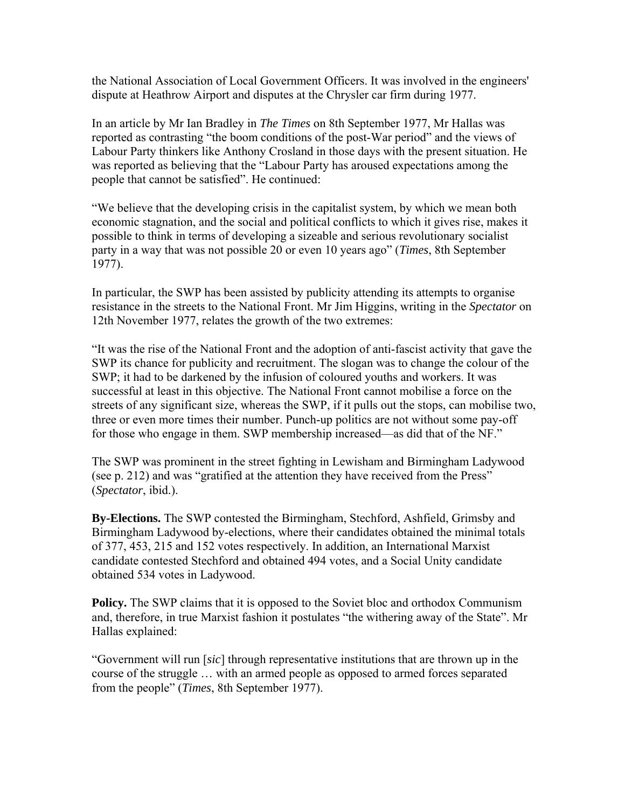the National Association of Local Government Officers. It was involved in the engineers' dispute at Heathrow Airport and disputes at the Chrysler car firm during 1977.

In an article by Mr Ian Bradley in *The Times* on 8th September 1977, Mr Hallas was reported as contrasting "the boom conditions of the post-War period" and the views of Labour Party thinkers like Anthony Crosland in those days with the present situation. He was reported as believing that the "Labour Party has aroused expectations among the people that cannot be satisfied". He continued:

"We believe that the developing crisis in the capitalist system, by which we mean both economic stagnation, and the social and political conflicts to which it gives rise, makes it possible to think in terms of developing a sizeable and serious revolutionary socialist party in a way that was not possible 20 or even 10 years ago" (*Times*, 8th September 1977).

In particular, the SWP has been assisted by publicity attending its attempts to organise resistance in the streets to the National Front. Mr Jim Higgins, writing in the *Spectator* on 12th November 1977, relates the growth of the two extremes:

"It was the rise of the National Front and the adoption of anti-fascist activity that gave the SWP its chance for publicity and recruitment. The slogan was to change the colour of the SWP; it had to be darkened by the infusion of coloured youths and workers. It was successful at least in this objective. The National Front cannot mobilise a force on the streets of any significant size, whereas the SWP, if it pulls out the stops, can mobilise two, three or even more times their number. Punch-up politics are not without some pay-off for those who engage in them. SWP membership increased—as did that of the NF."

The SWP was prominent in the street fighting in Lewisham and Birmingham Ladywood (see p. 212) and was "gratified at the attention they have received from the Press" (*Spectator*, ibid.).

**By-Elections.** The SWP contested the Birmingham, Stechford, Ashfield, Grimsby and Birmingham Ladywood by-elections, where their candidates obtained the minimal totals of 377, 453, 215 and 152 votes respectively. In addition, an International Marxist candidate contested Stechford and obtained 494 votes, and a Social Unity candidate obtained 534 votes in Ladywood.

**Policy.** The SWP claims that it is opposed to the Soviet bloc and orthodox Communism and, therefore, in true Marxist fashion it postulates "the withering away of the State". Mr Hallas explained:

"Government will run [*sic*] through representative institutions that are thrown up in the course of the struggle … with an armed people as opposed to armed forces separated from the people" (*Times*, 8th September 1977).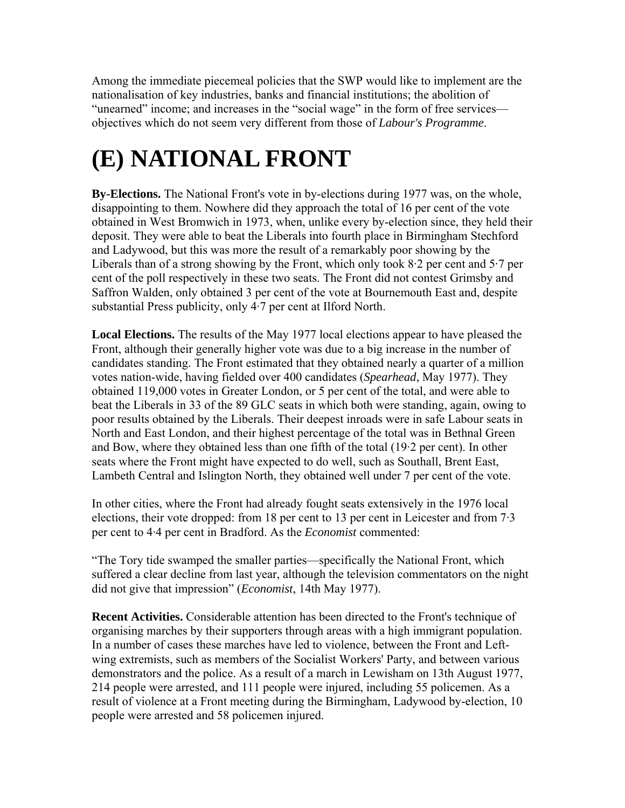Among the immediate piecemeal policies that the SWP would like to implement are the nationalisation of key industries, banks and financial institutions; the abolition of "unearned" income; and increases in the "social wage" in the form of free services objectives which do not seem very different from those of *Labour's Programme*.

# **(E) NATIONAL FRONT**

**By-Elections.** The National Front's vote in by-elections during 1977 was, on the whole, disappointing to them. Nowhere did they approach the total of 16 per cent of the vote obtained in West Bromwich in 1973, when, unlike every by-election since, they held their deposit. They were able to beat the Liberals into fourth place in Birmingham Stechford and Ladywood, but this was more the result of a remarkably poor showing by the Liberals than of a strong showing by the Front, which only took 8·2 per cent and 5·7 per cent of the poll respectively in these two seats. The Front did not contest Grimsby and Saffron Walden, only obtained 3 per cent of the vote at Bournemouth East and, despite substantial Press publicity, only 4·7 per cent at Ilford North.

**Local Elections.** The results of the May 1977 local elections appear to have pleased the Front, although their generally higher vote was due to a big increase in the number of candidates standing. The Front estimated that they obtained nearly a quarter of a million votes nation-wide, having fielded over 400 candidates (*Spearhead*, May 1977). They obtained 119,000 votes in Greater London, or 5 per cent of the total, and were able to beat the Liberals in 33 of the 89 GLC seats in which both were standing, again, owing to poor results obtained by the Liberals. Their deepest inroads were in safe Labour seats in North and East London, and their highest percentage of the total was in Bethnal Green and Bow, where they obtained less than one fifth of the total (19·2 per cent). In other seats where the Front might have expected to do well, such as Southall, Brent East, Lambeth Central and Islington North, they obtained well under 7 per cent of the vote.

In other cities, where the Front had already fought seats extensively in the 1976 local elections, their vote dropped: from 18 per cent to 13 per cent in Leicester and from 7·3 per cent to 4·4 per cent in Bradford. As the *Economist* commented:

"The Tory tide swamped the smaller parties—specifically the National Front, which suffered a clear decline from last year, although the television commentators on the night did not give that impression" (*Economist*, 14th May 1977).

**Recent Activities.** Considerable attention has been directed to the Front's technique of organising marches by their supporters through areas with a high immigrant population. In a number of cases these marches have led to violence, between the Front and Leftwing extremists, such as members of the Socialist Workers' Party, and between various demonstrators and the police. As a result of a march in Lewisham on 13th August 1977, 214 people were arrested, and 111 people were injured, including 55 policemen. As a result of violence at a Front meeting during the Birmingham, Ladywood by-election, 10 people were arrested and 58 policemen injured.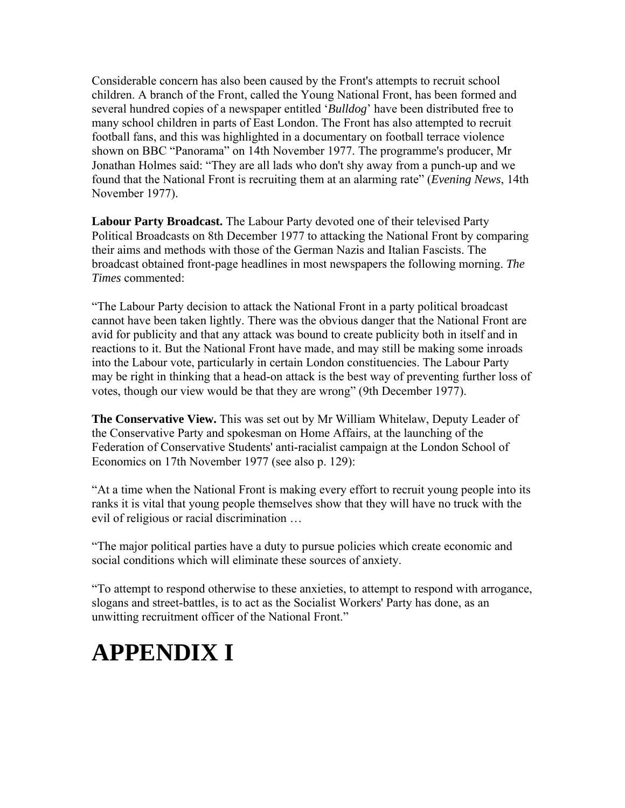Considerable concern has also been caused by the Front's attempts to recruit school children. A branch of the Front, called the Young National Front, has been formed and several hundred copies of a newspaper entitled '*Bulldog*' have been distributed free to many school children in parts of East London. The Front has also attempted to recruit football fans, and this was highlighted in a documentary on football terrace violence shown on BBC "Panorama" on 14th November 1977. The programme's producer, Mr Jonathan Holmes said: "They are all lads who don't shy away from a punch-up and we found that the National Front is recruiting them at an alarming rate" (*Evening News*, 14th November 1977).

**Labour Party Broadcast.** The Labour Party devoted one of their televised Party Political Broadcasts on 8th December 1977 to attacking the National Front by comparing their aims and methods with those of the German Nazis and Italian Fascists. The broadcast obtained front-page headlines in most newspapers the following morning. *The Times* commented:

"The Labour Party decision to attack the National Front in a party political broadcast cannot have been taken lightly. There was the obvious danger that the National Front are avid for publicity and that any attack was bound to create publicity both in itself and in reactions to it. But the National Front have made, and may still be making some inroads into the Labour vote, particularly in certain London constituencies. The Labour Party may be right in thinking that a head-on attack is the best way of preventing further loss of votes, though our view would be that they are wrong" (9th December 1977).

**The Conservative View.** This was set out by Mr William Whitelaw, Deputy Leader of the Conservative Party and spokesman on Home Affairs, at the launching of the Federation of Conservative Students' anti-racialist campaign at the London School of Economics on 17th November 1977 (see also p. 129):

"At a time when the National Front is making every effort to recruit young people into its ranks it is vital that young people themselves show that they will have no truck with the evil of religious or racial discrimination …

"The major political parties have a duty to pursue policies which create economic and social conditions which will eliminate these sources of anxiety.

"To attempt to respond otherwise to these anxieties, to attempt to respond with arrogance, slogans and street-battles, is to act as the Socialist Workers' Party has done, as an unwitting recruitment officer of the National Front."

# **APPENDIX I**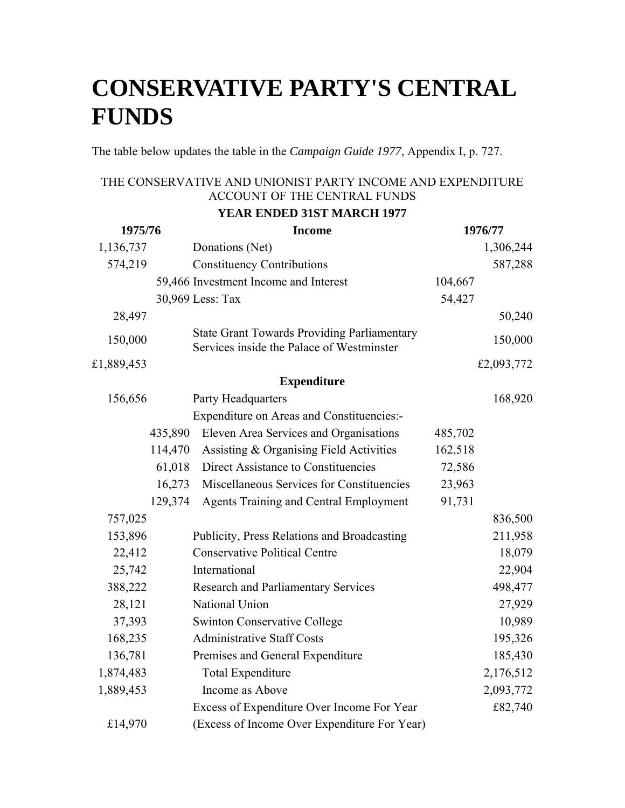## **CONSERVATIVE PARTY'S CENTRAL FUNDS**

The table below updates the table in the *Campaign Guide 1977*, Appendix I, p. 727.

### THE CONSERVATIVE AND UNIONIST PARTY INCOME AND EXPENDITURE ACCOUNT OF THE CENTRAL FUNDS

### **YEAR ENDED 31ST MARCH 1977**

| 1975/76    |         | <b>Income</b>                                                                                   | 1976/77 |            |  |
|------------|---------|-------------------------------------------------------------------------------------------------|---------|------------|--|
| 1,136,737  |         | Donations (Net)                                                                                 |         | 1,306,244  |  |
| 574,219    |         | <b>Constituency Contributions</b>                                                               |         | 587,288    |  |
|            |         | 59,466 Investment Income and Interest                                                           | 104,667 |            |  |
|            |         | 30,969 Less: Tax                                                                                | 54,427  |            |  |
| 28,497     |         |                                                                                                 |         | 50,240     |  |
| 150,000    |         | <b>State Grant Towards Providing Parliamentary</b><br>Services inside the Palace of Westminster |         | 150,000    |  |
| £1,889,453 |         |                                                                                                 |         | £2,093,772 |  |
|            |         | <b>Expenditure</b>                                                                              |         |            |  |
| 156,656    |         | Party Headquarters                                                                              |         | 168,920    |  |
|            |         | <b>Expenditure on Areas and Constituencies:-</b>                                                |         |            |  |
|            | 435,890 | Eleven Area Services and Organisations                                                          | 485,702 |            |  |
|            | 114,470 | Assisting & Organising Field Activities                                                         | 162,518 |            |  |
|            | 61,018  | Direct Assistance to Constituencies                                                             | 72,586  |            |  |
|            | 16,273  | Miscellaneous Services for Constituencies                                                       | 23,963  |            |  |
|            | 129,374 | <b>Agents Training and Central Employment</b>                                                   | 91,731  |            |  |
| 757,025    |         |                                                                                                 |         | 836,500    |  |
| 153,896    |         | Publicity, Press Relations and Broadcasting                                                     |         | 211,958    |  |
| 22,412     |         | <b>Conservative Political Centre</b>                                                            |         | 18,079     |  |
| 25,742     |         | International                                                                                   |         | 22,904     |  |
| 388,222    |         | <b>Research and Parliamentary Services</b>                                                      |         | 498,477    |  |
| 28,121     |         | National Union                                                                                  |         | 27,929     |  |
| 37,393     |         | <b>Swinton Conservative College</b>                                                             |         | 10,989     |  |
| 168,235    |         | <b>Administrative Staff Costs</b>                                                               |         | 195,326    |  |
| 136,781    |         | Premises and General Expenditure                                                                |         | 185,430    |  |
| 1,874,483  |         | <b>Total Expenditure</b>                                                                        |         | 2,176,512  |  |
| 1,889,453  |         | Income as Above                                                                                 |         | 2,093,772  |  |
|            |         | Excess of Expenditure Over Income For Year                                                      |         | £82,740    |  |
| £14,970    |         | (Excess of Income Over Expenditure For Year)                                                    |         |            |  |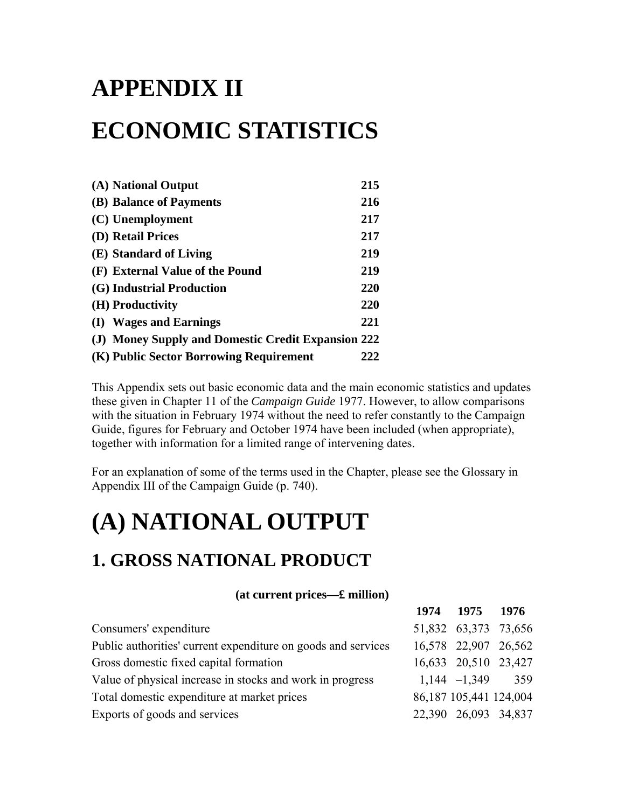# **APPENDIX II ECONOMIC STATISTICS**

| (A) National Output                                | 215 |
|----------------------------------------------------|-----|
|                                                    |     |
| (B) Balance of Payments                            | 216 |
| (C) Unemployment                                   | 217 |
| (D) Retail Prices                                  | 217 |
| (E) Standard of Living                             | 219 |
| (F) External Value of the Pound                    | 219 |
| (G) Industrial Production                          | 220 |
| (H) Productivity                                   | 220 |
| (I) Wages and Earnings                             | 221 |
| (J) Money Supply and Domestic Credit Expansion 222 |     |
| (K) Public Sector Borrowing Requirement            | 222 |

This Appendix sets out basic economic data and the main economic statistics and updates these given in Chapter 11 of the *Campaign Guide* 1977. However, to allow comparisons with the situation in February 1974 without the need to refer constantly to the Campaign Guide, figures for February and October 1974 have been included (when appropriate), together with information for a limited range of intervening dates.

For an explanation of some of the terms used in the Chapter, please see the Glossary in Appendix III of the Campaign Guide (p. 740).

## **(A) NATIONAL OUTPUT**

### **1. GROSS NATIONAL PRODUCT**

### **(at current prices—£ million)**

|                                                               | 1974 1975 1976         |  |
|---------------------------------------------------------------|------------------------|--|
| Consumers' expenditure                                        | 51,832 63,373 73,656   |  |
| Public authorities' current expenditure on goods and services | 16,578 22,907 26,562   |  |
| Gross domestic fixed capital formation                        | 16,633 20,510 23,427   |  |
| Value of physical increase in stocks and work in progress     | $1,144 - 1,349$ 359    |  |
| Total domestic expenditure at market prices                   | 86,187 105,441 124,004 |  |
| Exports of goods and services                                 | 22,390 26,093 34,837   |  |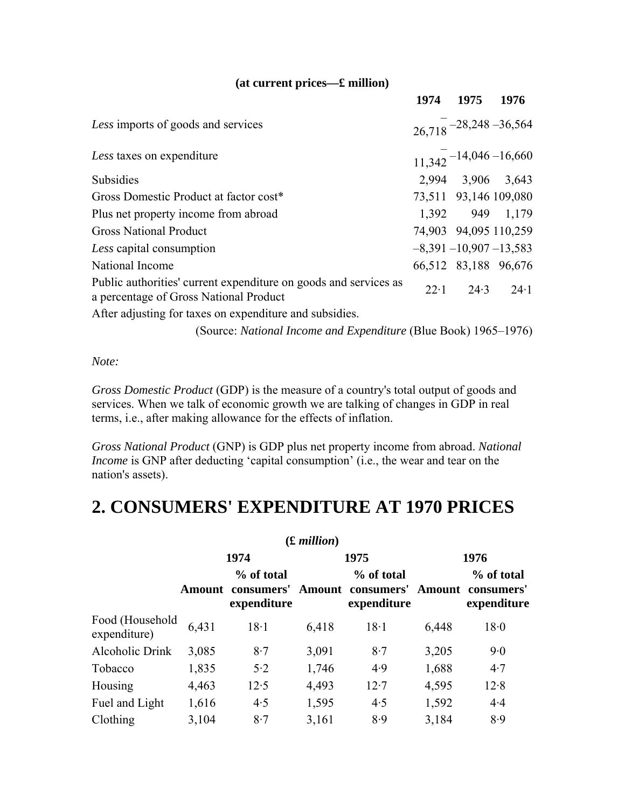### **(at current prices—£ million)**

|                                                                                                            |              | 1974 1975 1976             |                                     |
|------------------------------------------------------------------------------------------------------------|--------------|----------------------------|-------------------------------------|
| Less imports of goods and services                                                                         |              |                            | $26.718 - 28,248 - 36,564$          |
| Less taxes on expenditure                                                                                  |              |                            | $11,342$ <sup>-14,046</sup> -16,660 |
| Subsidies                                                                                                  |              | 2,994 3,906 3,643          |                                     |
| Gross Domestic Product at factor cost*                                                                     |              | 73,511 93,146 109,080      |                                     |
| Plus net property income from abroad                                                                       |              | 1,392 949 1,179            |                                     |
| <b>Gross National Product</b>                                                                              |              | 74,903 94,095 110,259      |                                     |
| Less capital consumption                                                                                   |              | $-8,391 - 10,907 - 13,583$ |                                     |
| National Income                                                                                            |              | 66,512 83,188 96,676       |                                     |
| Public authorities' current expenditure on goods and services as<br>a percentage of Gross National Product | $22 \cdot 1$ |                            | $24.3$ $24.1$                       |
| After adjusting for taxes on expenditure and subsidies.                                                    |              |                            |                                     |

(Source: *National Income and Expenditure* (Blue Book) 1965–1976)

*Note:*

*Gross Domestic Product* (GDP) is the measure of a country's total output of goods and services. When we talk of economic growth we are talking of changes in GDP in real terms, i.e., after making allowance for the effects of inflation.

*Gross National Product* (GNP) is GDP plus net property income from abroad. *National Income* is GNP after deducting 'capital consumption' (i.e., the wear and tear on the nation's assets).

### **2. CONSUMERS' EXPENDITURE AT 1970 PRICES**

|                                 |       |                                                | $(E\text{ million})$ |                                                |               |                                         |  |
|---------------------------------|-------|------------------------------------------------|----------------------|------------------------------------------------|---------------|-----------------------------------------|--|
|                                 |       | 1974                                           |                      | 1975                                           | 1976          |                                         |  |
|                                 |       | % of total<br>Amount consumers'<br>expenditure |                      | % of total<br>Amount consumers'<br>expenditure | <b>Amount</b> | % of total<br>consumers'<br>expenditure |  |
| Food (Household<br>expenditure) | 6,431 | $18-1$                                         | 6,418                | $18-1$                                         | 6,448         | 18.0                                    |  |
| Alcoholic Drink                 | 3,085 | 8.7                                            | 3,091                | 8.7                                            | 3,205         | 9.0                                     |  |
| Tobacco                         | 1,835 | 5.2                                            | 1,746                | 4.9                                            | 1,688         | 4.7                                     |  |
| Housing                         | 4,463 | 12.5                                           | 4,493                | 12.7                                           | 4,595         | 12.8                                    |  |
| Fuel and Light                  | 1,616 | 4.5                                            | 1,595                | 4.5                                            | 1,592         | 4.4                                     |  |
| Clothing                        | 3,104 | 8.7                                            | 3,161                | 8.9                                            | 3,184         | 8.9                                     |  |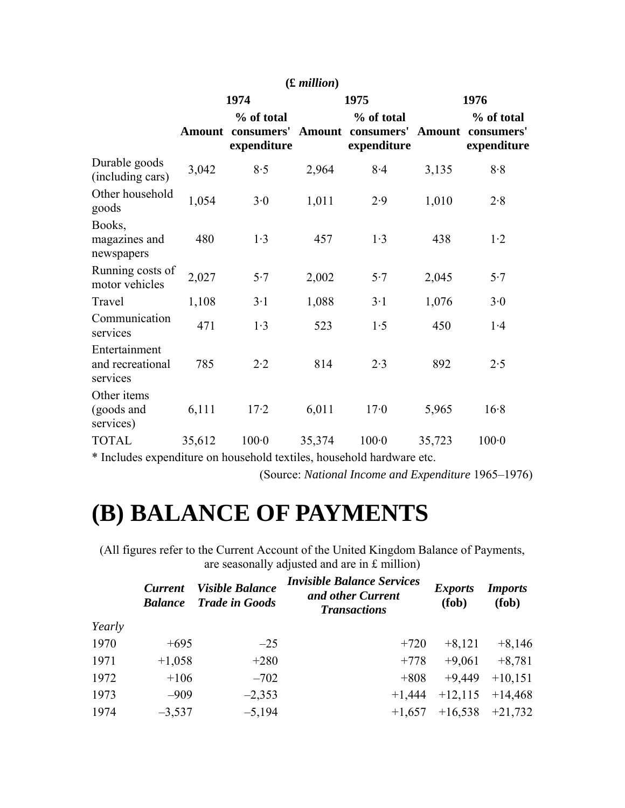|                                               |        |                                                | $(E\text{ million})$ |                                                |               |                                         |
|-----------------------------------------------|--------|------------------------------------------------|----------------------|------------------------------------------------|---------------|-----------------------------------------|
|                                               |        | 1974                                           |                      | 1975                                           | 1976          |                                         |
|                                               |        | % of total<br>Amount consumers'<br>expenditure |                      | % of total<br>Amount consumers'<br>expenditure | <b>Amount</b> | % of total<br>consumers'<br>expenditure |
| Durable goods<br>(including cars)             | 3,042  | 8.5                                            | 2,964                | 8.4                                            | 3,135         | 8.8                                     |
| Other household<br>goods                      | 1,054  | 3.0                                            | 1,011                | 2.9                                            | 1,010         | 2.8                                     |
| Books,<br>magazines and<br>newspapers         | 480    | 1.3                                            | 457                  | 1.3                                            | 438           | 1·2                                     |
| Running costs of<br>motor vehicles            | 2,027  | 5.7                                            | 2,002                | 5.7                                            | 2,045         | 5.7                                     |
| Travel                                        | 1,108  | $3 \cdot 1$                                    | 1,088                | $3-1$                                          | 1,076         | 3.0                                     |
| Communication<br>services                     | 471    | 1.3                                            | 523                  | 1.5                                            | 450           | 1.4                                     |
| Entertainment<br>and recreational<br>services | 785    | $2 \cdot 2$                                    | 814                  | 2.3                                            | 892           | 2.5                                     |
| Other items<br>(goods and<br>services)        | 6,111  | $17-2$                                         | 6,011                | 17 <sub>0</sub>                                | 5,965         | 16.8                                    |
| <b>TOTAL</b>                                  | 35,612 | $100 - 0$                                      | 35,374               | 100 <sub>0</sub>                               | 35,723        | 100 <sub>0</sub>                        |

\* Includes expenditure on household textiles, household hardware etc.

(Source: *National Income and Expenditure* 1965–1976)

## **(B) BALANCE OF PAYMENTS**

(All figures refer to the Current Account of the United Kingdom Balance of Payments, are seasonally adjusted and are in £ million)

|        | <b>Current</b><br><b>Balance</b> | <b>Visible Balance</b><br><b>Trade in Goods</b> | <b>Invisible Balance Services</b><br>and other Current<br><b>Transactions</b> | <i>Exports</i><br>(fob) | <i>Imports</i><br>(fob) |
|--------|----------------------------------|-------------------------------------------------|-------------------------------------------------------------------------------|-------------------------|-------------------------|
| Yearly |                                  |                                                 |                                                                               |                         |                         |
| 1970   | $+695$                           | $-25$                                           | $+720$                                                                        | $+8,121$                | $+8,146$                |
| 1971   | $+1,058$                         | $+280$                                          | $+778$                                                                        | $+9,061$                | $+8,781$                |
| 1972   | $+106$                           | $-702$                                          | $+808$                                                                        | $+9,449$                | $+10,151$               |
| 1973   | $-909$                           | $-2,353$                                        | $+1,444$                                                                      | $+12,115$               | $+14,468$               |
| 1974   | $-3,537$                         | $-5,194$                                        | $+1,657$                                                                      | $+16,538$               | $+21,732$               |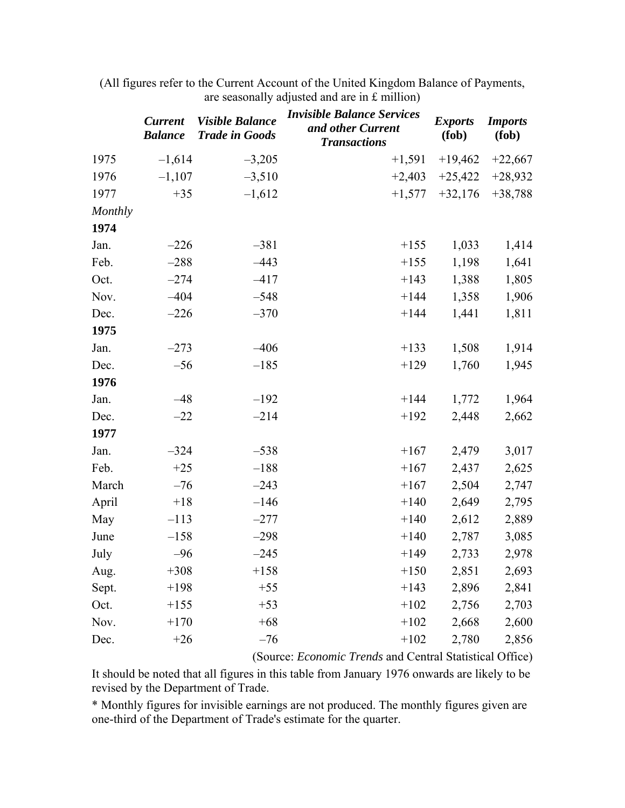|         | <b>Current</b><br><b>Balance</b> | <b>Visible Balance</b><br><b>Trade in Goods</b> | <i><b>Invisible Balance Services</b></i><br>and other Current<br><b>Transactions</b> | <b>Exports</b><br>(fob) | <b>Imports</b><br>(fob) |
|---------|----------------------------------|-------------------------------------------------|--------------------------------------------------------------------------------------|-------------------------|-------------------------|
| 1975    | $-1,614$                         | $-3,205$                                        | $+1,591$                                                                             | $+19,462$               | $+22,667$               |
| 1976    | $-1,107$                         | $-3,510$                                        | $+2,403$                                                                             | $+25,422$               | $+28,932$               |
| 1977    | $+35$                            | $-1,612$                                        | $+1,577$                                                                             | $+32,176$               | $+38,788$               |
| Monthly |                                  |                                                 |                                                                                      |                         |                         |
| 1974    |                                  |                                                 |                                                                                      |                         |                         |
| Jan.    | $-226$                           | $-381$                                          | $+155$                                                                               | 1,033                   | 1,414                   |
| Feb.    | $-288$                           | $-443$                                          | $+155$                                                                               | 1,198                   | 1,641                   |
| Oct.    | $-274$                           | $-417$                                          | $+143$                                                                               | 1,388                   | 1,805                   |
| Nov.    | $-404$                           | $-548$                                          | $+144$                                                                               | 1,358                   | 1,906                   |
| Dec.    | $-226$                           | $-370$                                          | $+144$                                                                               | 1,441                   | 1,811                   |
| 1975    |                                  |                                                 |                                                                                      |                         |                         |
| Jan.    | $-273$                           | $-406$                                          | $+133$                                                                               | 1,508                   | 1,914                   |
| Dec.    | $-56$                            | $-185$                                          | $+129$                                                                               | 1,760                   | 1,945                   |
| 1976    |                                  |                                                 |                                                                                      |                         |                         |
| Jan.    | $-48$                            | $-192$                                          | $+144$                                                                               | 1,772                   | 1,964                   |
| Dec.    | $-22$                            | $-214$                                          | $+192$                                                                               | 2,448                   | 2,662                   |
| 1977    |                                  |                                                 |                                                                                      |                         |                         |
| Jan.    | $-324$                           | $-538$                                          | $+167$                                                                               | 2,479                   | 3,017                   |
| Feb.    | $+25$                            | $-188$                                          | $+167$                                                                               | 2,437                   | 2,625                   |
| March   | $-76$                            | $-243$                                          | $+167$                                                                               | 2,504                   | 2,747                   |
| April   | $+18$                            | $-146$                                          | $+140$                                                                               | 2,649                   | 2,795                   |
| May     | $-113$                           | $-277$                                          | $+140$                                                                               | 2,612                   | 2,889                   |
| June    | $-158$                           | $-298$                                          | $+140$                                                                               | 2,787                   | 3,085                   |
| July    | $-96$                            | $-245$                                          | $+149$                                                                               | 2,733                   | 2,978                   |
| Aug.    | $+308$                           | $+158$                                          | $+150$                                                                               | 2,851                   | 2,693                   |
| Sept.   | $+198$                           | $+55$                                           | $+143$                                                                               | 2,896                   | 2,841                   |
| Oct.    | $+155$                           | $+53$                                           | $+102$                                                                               | 2,756                   | 2,703                   |
| Nov.    | $+170$                           | $+68$                                           | $+102$                                                                               | 2,668                   | 2,600                   |
| Dec.    | $+26$                            | $-76$                                           | $+102$                                                                               | 2,780                   | 2,856                   |

(All figures refer to the Current Account of the United Kingdom Balance of Payments, are seasonally adjusted and are in £ million)

(Source: *Economic Trends* and Central Statistical Office)

It should be noted that all figures in this table from January 1976 onwards are likely to be revised by the Department of Trade.

\* Monthly figures for invisible earnings are not produced. The monthly figures given are one-third of the Department of Trade's estimate for the quarter.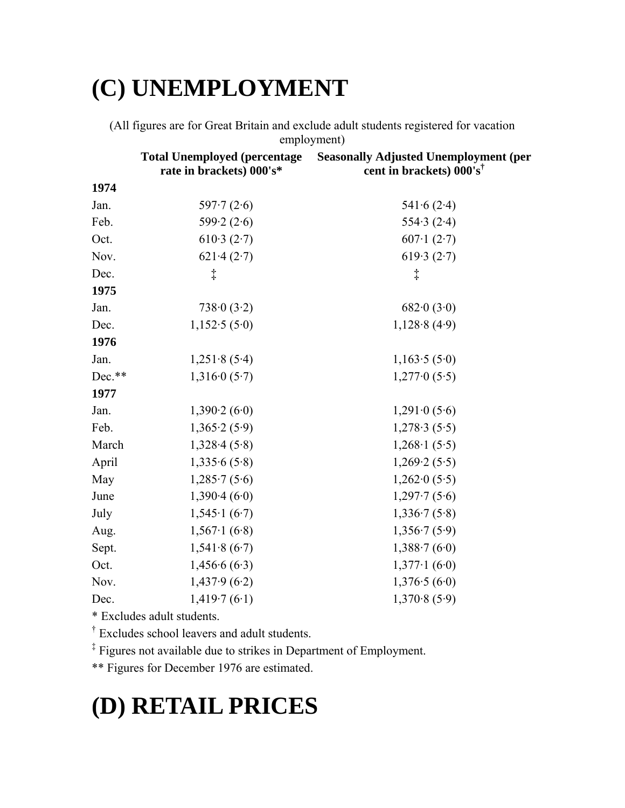# **(C) UNEMPLOYMENT**

(All figures are for Great Britain and exclude adult students registered for vacation employment)

|          | <b>Total Unemployed (percentage)</b><br>rate in brackets) 000's* | <b>Seasonally Adjusted Unemployment (per</b><br>cent in brackets) 000's <sup>†</sup> |
|----------|------------------------------------------------------------------|--------------------------------------------------------------------------------------|
| 1974     |                                                                  |                                                                                      |
| Jan.     | 597 $\cdot$ 7 (2 $\cdot$ 6)                                      | 541.6(2.4)                                                                           |
| Feb.     | 599.2 $(2.6)$                                                    | 554.3 $(2.4)$                                                                        |
| Oct.     | 610.3(2.7)                                                       | 607.1(2.7)                                                                           |
| Nov.     | 621.4(2.7)                                                       | 619.3(2.7)                                                                           |
| Dec.     | $\ddagger$                                                       | $\ddagger$                                                                           |
| 1975     |                                                                  |                                                                                      |
| Jan.     | 738.0(3.2)                                                       | 682.0(3.0)                                                                           |
| Dec.     | 1,152.5(5.0)                                                     | 1,128.8(4.9)                                                                         |
| 1976     |                                                                  |                                                                                      |
| Jan.     | 1,251.8(5.4)                                                     | 1,163.5(5.0)                                                                         |
| $Dec.**$ | 1,3160(5.7)                                                      | 1,2770(5.5)                                                                          |
| 1977     |                                                                  |                                                                                      |
| Jan.     | 1,390.2(6.0)                                                     | $1,291 \cdot 0 (5 \cdot 6)$                                                          |
| Feb.     | 1,365.2(5.9)                                                     | 1,278.3(5.5)                                                                         |
| March    | 1,328.4(5.8)                                                     | $1,268 \cdot 1(5.5)$                                                                 |
| April    | 1,335.6(5.8)                                                     | 1,269.2(5.5)                                                                         |
| May      | 1,285.7(5.6)                                                     | $1,262 \cdot 0 (5.5)$                                                                |
| June     | 1,390.4(6.0)                                                     | 1,297.7(5.6)                                                                         |
| July     | $1,545 \cdot 1(6 \cdot 7)$                                       | 1,336.7(5.8)                                                                         |
| Aug.     | $1,567 \cdot 1(6.8)$                                             | 1,356.7(5.9)                                                                         |
| Sept.    | 1,541.8(6.7)                                                     | 1,388.7(6.0)                                                                         |
| Oct.     | 1,456.6(6.3)                                                     | $1,377 \cdot 1(6 \cdot 0)$                                                           |
| Nov.     | 1,437.9(6.2)                                                     | 1,376.5(6.0)                                                                         |
| Dec.     | 1,419.7(6.1)                                                     | 1,370.8(5.9)                                                                         |

\* Excludes adult students.

† Excludes school leavers and adult students.

‡ Figures not available due to strikes in Department of Employment.

\*\* Figures for December 1976 are estimated.

# **(D) RETAIL PRICES**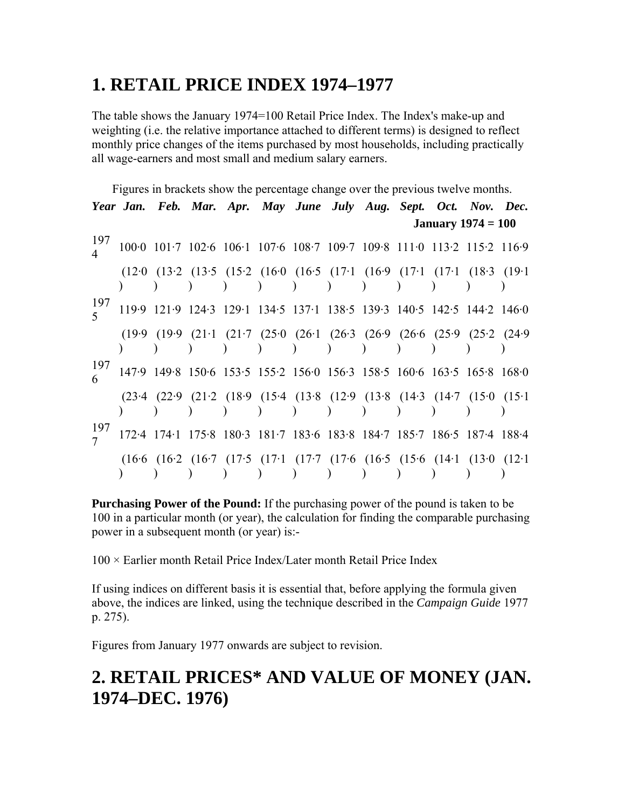### **1. RETAIL PRICE INDEX 1974–1977**

The table shows the January 1974=100 Retail Price Index. The Index's make-up and weighting (i.e. the relative importance attached to different terms) is designed to reflect monthly price changes of the items purchased by most households, including practically all wage-earners and most small and medium salary earners.

Figures in brackets show the percentage change over the previous twelve months. *Year Jan. Feb. Mar. Apr. May June July Aug. Sept. Oct. Nov. Dec.*  **January 1974 = 100**  197  $\frac{197}{4}$  100·0 101·7 102·6 106·1 107·6 108·7 109·7 109·8 111·0 113·2 115·2 116·9 (12·0 (13·2 (13·5 (15·2 (16·0 (16·5 (17·1 (16·9 (17·1 (17·1 (18·3 (19·1 ) )  $\big)$  $)$ ) )  $)$ ) ) )  $\overline{)}$  $\mathcal{L}$ 197  $\frac{197}{5}$  119·9 121·9 124·3 129·1 134·5 137·1 138·5 139·3 140·5 142·5 144·2 146·0 (19·9 (19·9 (21·1 (21·7 (25·0 (26·1 (26·3 (26·9 (26·6 (25·9 (25·2 (24·9 ) ) ) ) ) ) ) ) ) ) )  $\rightarrow$ 197 <sup>6</sup>147·9 149·8 150·6 153·5 155·2 156·0 156·3 158·5 160·6 163·5 165·8 168·0 (23·4 (22·9 (21·2 (18·9 (15·4 (13·8 (12·9 (13·8 (14·3 (14·7 (15·0 (15·1  $\sqrt{ }$ ) ) ) ) ) ) ) ) ) ) ) 197 <sup>7</sup>172·4 174·1 175·8 180·3 181·7 183·6 183·8 184·7 185·7 186·5 187·4 188·4 (16·6 (16·2 (16·7 (17·5 (17·1 (17·7 (17·6 (16·5 (15·6 (14·1 (13·0 (12·1 ) ) ) ) ) ) ) ) ) ) ) )

**Purchasing Power of the Pound:** If the purchasing power of the pound is taken to be 100 in a particular month (or year), the calculation for finding the comparable purchasing power in a subsequent month (or year) is:-

 $100 \times$  Earlier month Retail Price Index/Later month Retail Price Index

If using indices on different basis it is essential that, before applying the formula given above, the indices are linked, using the technique described in the *Campaign Guide* 1977 p. 275).

Figures from January 1977 onwards are subject to revision.

### **2. RETAIL PRICES\* AND VALUE OF MONEY (JAN. 1974–DEC. 1976)**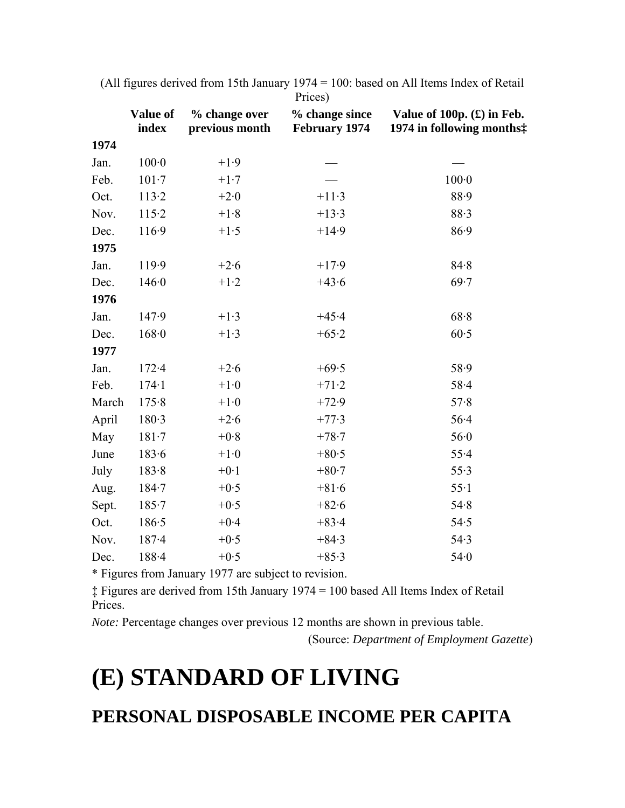|       | Value of<br>index | % change over<br>previous month | % change since<br><b>February 1974</b> | Value of 100p. $(E)$ in Feb.<br>1974 in following months: |
|-------|-------------------|---------------------------------|----------------------------------------|-----------------------------------------------------------|
| 1974  |                   |                                 |                                        |                                                           |
| Jan.  | $100-0$           | $+1.9$                          |                                        |                                                           |
| Feb.  | $101 - 7$         | $+1.7$                          |                                        | $100-0$                                                   |
| Oct.  | 113.2             | $+2.0$                          | $+11.3$                                | 88.9                                                      |
| Nov.  | 115.2             | $+1.8$                          | $+13.3$                                | 88.3                                                      |
| Dec.  | 116.9             | $+1.5$                          | $+14.9$                                | 86.9                                                      |
| 1975  |                   |                                 |                                        |                                                           |
| Jan.  | 119.9             | $+2.6$                          | $+17.9$                                | 84.8                                                      |
| Dec.  | 146.0             | $+1.2$                          | $+43.6$                                | 69.7                                                      |
| 1976  |                   |                                 |                                        |                                                           |
| Jan.  | 147.9             | $+1.3$                          | $+45.4$                                | 68.8                                                      |
| Dec.  | 168.0             | $+1.3$                          | $+65.2$                                | 60.5                                                      |
| 1977  |                   |                                 |                                        |                                                           |
| Jan.  | $172 - 4$         | $+2.6$                          | $+69.5$                                | 58.9                                                      |
| Feb.  | $174 - 1$         | $+1.0$                          | $+71.2$                                | $58 - 4$                                                  |
| March | 175.8             | $+1.0$                          | $+72.9$                                | 57.8                                                      |
| April | 180.3             | $+2.6$                          | $+77.3$                                | $56 - 4$                                                  |
| May   | $181 - 7$         | $+0.8$                          | $+78.7$                                | 56.0                                                      |
| June  | 183.6             | $+1.0$                          | $+80.5$                                | 55.4                                                      |
| July  | 183.8             | $+0.1$                          | $+80.7$                                | 55.3                                                      |
| Aug.  | $184 - 7$         | $+0.5$                          | $+81.6$                                | $55-1$                                                    |
| Sept. | $185 - 7$         | $+0.5$                          | $+82.6$                                | 54.8                                                      |
| Oct.  | 186.5             | $+0.4$                          | $+83.4$                                | 54.5                                                      |
| Nov.  | $187 - 4$         | $+0.5$                          | $+84.3$                                | 54.3                                                      |
| Dec.  | 188.4             | $+0.5$                          | $+85.3$                                | 54.0                                                      |

(All figures derived from 15th January 1974 = 100: based on All Items Index of Retail Prices)

\* Figures from January 1977 are subject to revision.

‡ Figures are derived from 15th January 1974 = 100 based All Items Index of Retail Prices.

*Note:* Percentage changes over previous 12 months are shown in previous table.

(Source: *Department of Employment Gazette*)

### **(E) STANDARD OF LIVING**

### **PERSONAL DISPOSABLE INCOME PER CAPITA**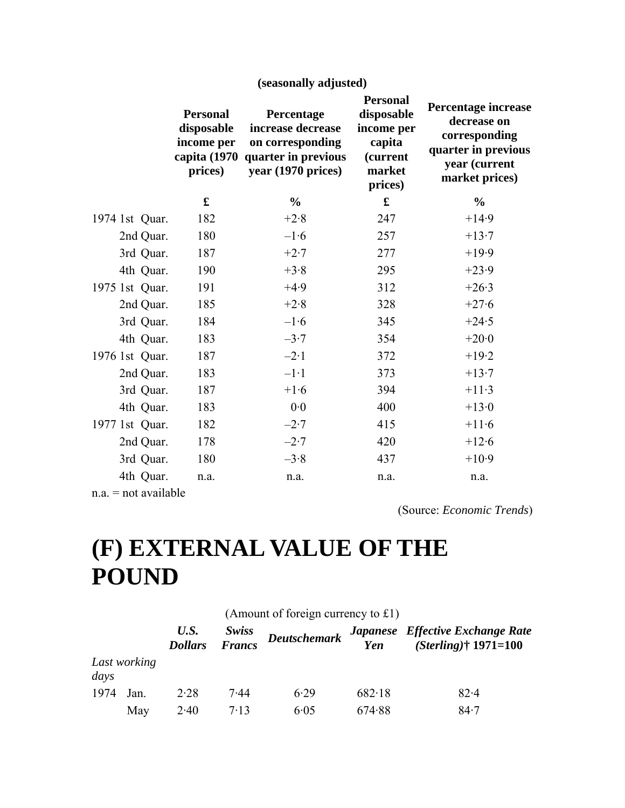|                | (seasonally adjusted)                                                  |                                                                                                  |                                                                                        |                                                                                                               |  |  |
|----------------|------------------------------------------------------------------------|--------------------------------------------------------------------------------------------------|----------------------------------------------------------------------------------------|---------------------------------------------------------------------------------------------------------------|--|--|
|                | <b>Personal</b><br>disposable<br>income per<br>capita (1970<br>prices) | Percentage<br>increase decrease<br>on corresponding<br>quarter in previous<br>year (1970 prices) | <b>Personal</b><br>disposable<br>income per<br>capita<br>(current<br>market<br>prices) | Percentage increase<br>decrease on<br>corresponding<br>quarter in previous<br>year (current<br>market prices) |  |  |
|                | £                                                                      | $\frac{0}{0}$                                                                                    | $\mathbf f$                                                                            | $\frac{0}{0}$                                                                                                 |  |  |
| 1974 1st Quar. | 182                                                                    | $+2.8$                                                                                           | 247                                                                                    | $+14.9$                                                                                                       |  |  |
| 2nd Quar.      | 180                                                                    | $-1.6$                                                                                           | 257                                                                                    | $+13.7$                                                                                                       |  |  |
| 3rd Quar.      | 187                                                                    | $+2.7$                                                                                           | 277                                                                                    | $+19.9$                                                                                                       |  |  |
| 4th Quar.      | 190                                                                    | $+3.8$                                                                                           | 295                                                                                    | $+23.9$                                                                                                       |  |  |
| 1975 1st Quar. | 191                                                                    | $+4.9$                                                                                           | 312                                                                                    | $+26.3$                                                                                                       |  |  |
| 2nd Quar.      | 185                                                                    | $+2.8$                                                                                           | 328                                                                                    | $+27.6$                                                                                                       |  |  |
| 3rd Quar.      | 184                                                                    | $-1.6$                                                                                           | 345                                                                                    | $+24.5$                                                                                                       |  |  |
| 4th Quar.      | 183                                                                    | $-3.7$                                                                                           | 354                                                                                    | $+20.0$                                                                                                       |  |  |
| 1976 1st Quar. | 187                                                                    | $-2.1$                                                                                           | 372                                                                                    | $+19.2$                                                                                                       |  |  |
| 2nd Quar.      | 183                                                                    | $-1.1$                                                                                           | 373                                                                                    | $+13.7$                                                                                                       |  |  |
| 3rd Quar.      | 187                                                                    | $+1.6$                                                                                           | 394                                                                                    | $+11.3$                                                                                                       |  |  |
| 4th Quar.      | 183                                                                    | 0.0                                                                                              | 400                                                                                    | $+13.0$                                                                                                       |  |  |
| 1977 1st Quar. | 182                                                                    | $-2.7$                                                                                           | 415                                                                                    | $+11.6$                                                                                                       |  |  |
| 2nd Quar.      | 178                                                                    | $-2.7$                                                                                           | 420                                                                                    | $+12.6$                                                                                                       |  |  |
| 3rd Quar.      | 180                                                                    | $-3.8$                                                                                           | 437                                                                                    | $+10.9$                                                                                                       |  |  |
| 4th Quar.      | n.a.                                                                   | n.a.                                                                                             | n.a.                                                                                   | n.a.                                                                                                          |  |  |
|                |                                                                        |                                                                                                  |                                                                                        |                                                                                                               |  |  |

 $n.a.$  = not available

(Source: *Economic Trends*)

# **(F) EXTERNAL VALUE OF THE POUND**

|      |              |                        |                 | (Amount of foreign currency to $£1)$ ) |        |                                                             |
|------|--------------|------------------------|-----------------|----------------------------------------|--------|-------------------------------------------------------------|
|      |              | U.S.<br><b>Dollars</b> | Swiss<br>Francs | <b>Deutschemark</b>                    | Yen    | Japanese Effective Exchange Rate<br>$(Sterling)$ † 1971=100 |
| days | Last working |                        |                 |                                        |        |                                                             |
| 1974 | Jan.         | 2.28                   | 7.44            | 6.29                                   | 682.18 | $82 - 4$                                                    |
|      | May          | 2.40                   | 7.13            | 6.05                                   | 674.88 | 84.7                                                        |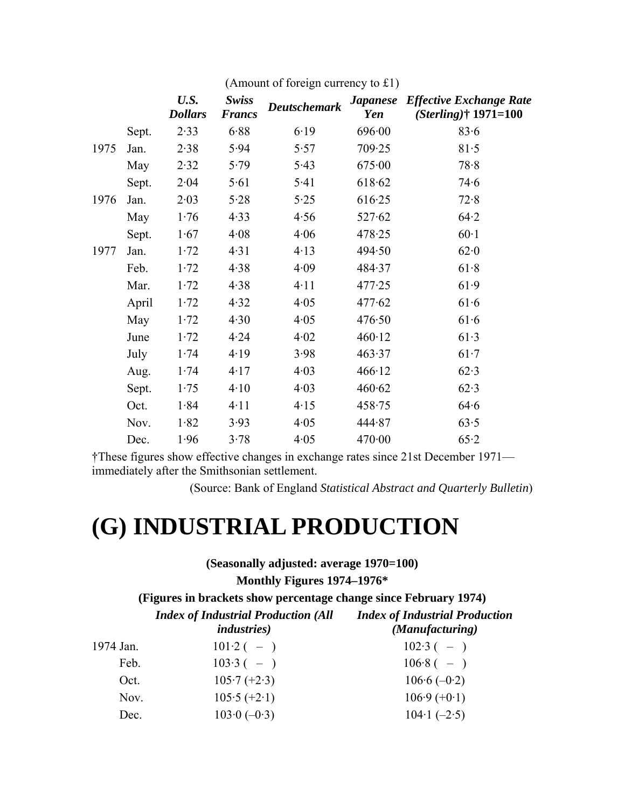|      |       | U.S.<br><b>Dollars</b> | <b>Swiss</b><br><b>Francs</b> | <b>Deutschemark</b> | <b><i>Japanese</i></b><br>Yen | <b>Effective Exchange Rate</b><br>$(Sterling)$ † 1971=100 |
|------|-------|------------------------|-------------------------------|---------------------|-------------------------------|-----------------------------------------------------------|
|      | Sept. | 2.33                   | 6.88                          | 6.19                | 696.00                        | 83.6                                                      |
| 1975 | Jan.  | 2.38                   | 5.94                          | 5.57                | 709.25                        | 81.5                                                      |
|      | May   | 2.32                   | 5.79                          | 5.43                | 675.00                        | 78.8                                                      |
|      | Sept. | 2.04                   | 5.61                          | 5.41                | 618.62                        | 74.6                                                      |
| 1976 | Jan.  | 2.03                   | 5.28                          | 5.25                | 616.25                        | 72.8                                                      |
|      | May   | 1.76                   | 4.33                          | 4.56                | 527.62                        | 64.2                                                      |
|      | Sept. | 1.67                   | 4.08                          | 4.06                | 478.25                        | $60-1$                                                    |
| 1977 | Jan.  | 1.72                   | 4.31                          | 4.13                | 494.50                        | 62.0                                                      |
|      | Feb.  | 1.72                   | 4.38                          | 4.09                | 484.37                        | 61.8                                                      |
|      | Mar.  | 1.72                   | 4.38                          | 4.11                | 477.25                        | 61.9                                                      |
|      | April | 1.72                   | 4.32                          | 4.05                | 477.62                        | 61.6                                                      |
|      | May   | 1.72                   | 4.30                          | 4.05                | 476.50                        | 61.6                                                      |
|      | June  | 1.72                   | 4.24                          | 4.02                | 460.12                        | 61.3                                                      |
|      | July  | 1.74                   | 4.19                          | 3.98                | 463.37                        | 61.7                                                      |
|      | Aug.  | 1.74                   | 4.17                          | 4.03                | 466.12                        | 62.3                                                      |
|      | Sept. | 1.75                   | 4.10                          | 4.03                | 460.62                        | 62.3                                                      |
|      | Oct.  | 1.84                   | 4.11                          | 4.15                | 458.75                        | 64.6                                                      |
|      | Nov.  | 1.82                   | 3.93                          | 4.05                | 444.87                        | 63.5                                                      |
|      | Dec.  | 1.96                   | 3.78                          | 4.05                | 470.00                        | 65.2                                                      |

(Amount of foreign currency to £1)

†These figures show effective changes in exchange rates since 21st December 1971 immediately after the Smithsonian settlement.

(Source: Bank of England *Statistical Abstract and Quarterly Bulletin*)

## **(G) INDUSTRIAL PRODUCTION**

**(Seasonally adjusted: average 1970=100) Monthly Figures 1974–1976\*** 

**(Figures in brackets show percentage change since February 1974)** 

| <b>Index of Industrial Production (All</b> | <b>Index of Industrial Production</b> |
|--------------------------------------------|---------------------------------------|
| <i>industries</i> )                        | (Manufacturing)                       |

|           | <i>industries</i> ) | (Manufacturing) |
|-----------|---------------------|-----------------|
| 1974 Jan. | $101.2(-)$          | $102.3(-)$      |
| Feb.      | $103.3(-)$          | $106.8(-)$      |
| Oct.      | $105.7 (+2.3)$      | $106.6(-0.2)$   |
| Nov.      | $105.5 (+2.1)$      | $106.9 (+0.1)$  |
| Dec.      | $103.0(-0.3)$       | $104.1 (-2.5)$  |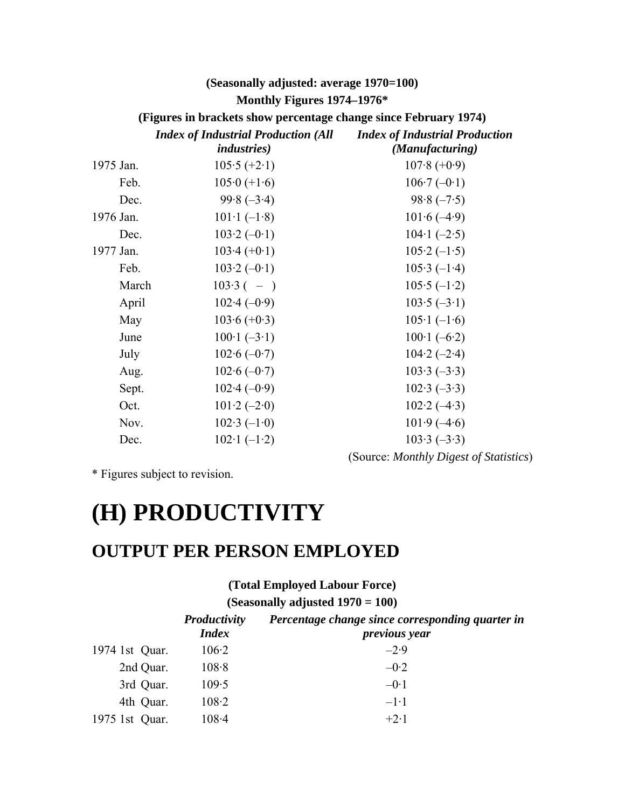### **(Seasonally adjusted: average 1970=100) Monthly Figures 1974–1976\***

**(Figures in brackets show percentage change since February 1974)** 

|           | <b>Index of Industrial Production (All</b><br><i>industries</i> ) | <b>Index of Industrial Production</b><br>(Manufacturing) |
|-----------|-------------------------------------------------------------------|----------------------------------------------------------|
| 1975 Jan. | $105.5 (+2.1)$                                                    | $107.8 (+0.9)$                                           |
| Feb.      | $105.0 (+1.6)$                                                    | $106.7(-0.1)$                                            |
| Dec.      | $99.8(-3.4)$                                                      | $98.8(-7.5)$                                             |
| 1976 Jan. | $101 \cdot 1 (-1.8)$                                              | $101.6(-4.9)$                                            |
| Dec.      | $103.2(-0.1)$                                                     | $104 \cdot 1$ (-2.5)                                     |
| 1977 Jan. | $103.4 (+0.1)$                                                    | $105.2(-1.5)$                                            |
| Feb.      | $103.2(-0.1)$                                                     | $105.3(-1.4)$                                            |
| March     | $103.3(-)$                                                        | $105.5(-1.2)$                                            |
| April     | $102.4(-0.9)$                                                     | $103.5(-3.1)$                                            |
| May       | $103.6 (+0.3)$                                                    | $105 \cdot 1 (-1 \cdot 6)$                               |
| June      | $100 \cdot 1 (-3 \cdot 1)$                                        | $100 \cdot 1 (-6 \cdot 2)$                               |
| July      | $102.6(-0.7)$                                                     | $104.2(-2.4)$                                            |
| Aug.      | $102.6(-0.7)$                                                     | $103.3(-3.3)$                                            |
| Sept.     | $102.4(-0.9)$                                                     | $102.3(-3.3)$                                            |
| Oct.      | $101.2(-2.0)$                                                     | $102.2(-4.3)$                                            |
| Nov.      | $102.3(-1.0)$                                                     | $101.9(-4.6)$                                            |
| Dec.      | $102 \cdot 1(-1 \cdot 2)$                                         | $103.3(-3.3)$                                            |

\* Figures subject to revision.

### **(H) PRODUCTIVITY**

### **OUTPUT PER PERSON EMPLOYED**

**(Total Employed Labour Force)** 

(Source: *Monthly Digest of Statistics*)

**(Seasonally adjusted 1970 = 100)** 

|                | <b>Productivity</b><br><b>Index</b> | Percentage change since corresponding quarter in<br>previous year |
|----------------|-------------------------------------|-------------------------------------------------------------------|
| 1974 1st Quar. | 106.2                               | $-2.9$                                                            |
| 2nd Quar.      | 108.8                               | $-0.2$                                                            |
| 3rd Quar.      | 109.5                               | $-0.1$                                                            |
| 4th Quar.      | 108.2                               | $-1.1$                                                            |
| 1975 1st Quar. | $108 - 4$                           | $+2.1$                                                            |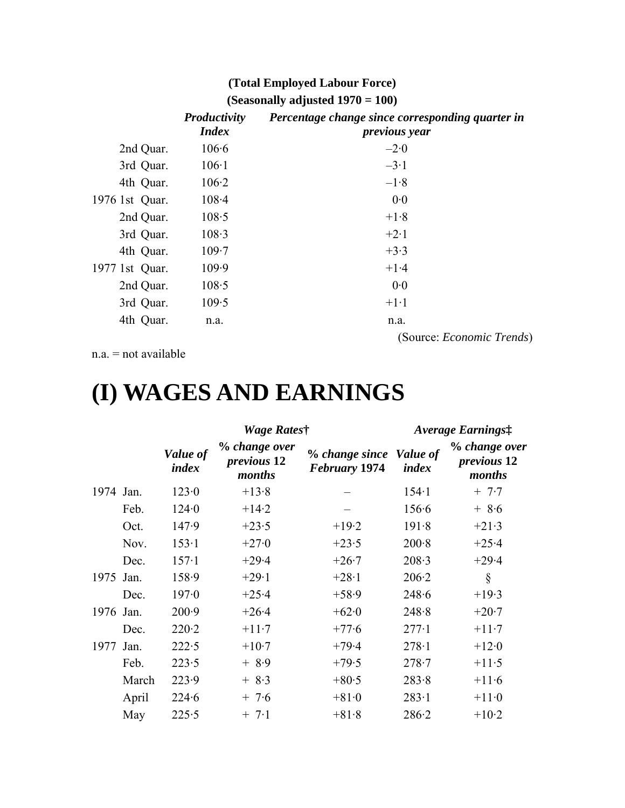### **(Total Employed Labour Force) (Seasonally adjusted 1970 = 100)**

|                | Productivity<br><b>Index</b> | Percentage change since corresponding quarter in<br><i>previous year</i> |
|----------------|------------------------------|--------------------------------------------------------------------------|
| 2nd Quar.      | 106.6                        | $-2.0$                                                                   |
| 3rd Quar.      | 106.1                        | $-3.1$                                                                   |
| 4th Quar.      | 106.2                        | $-1.8$                                                                   |
| 1976 1st Quar. | $108 - 4$                    | 0.0                                                                      |
| 2nd Quar.      | 108.5                        | $+1.8$                                                                   |
| 3rd Quar.      | 108.3                        | $+2.1$                                                                   |
| 4th Quar.      | 109.7                        | $+3.3$                                                                   |
| 1977 1st Quar. | 109.9                        | $+1.4$                                                                   |
| 2nd Quar.      | 108.5                        | 0.0                                                                      |
| 3rd Quar.      | 109.5                        | $+1.1$                                                                   |
| 4th Quar.      | n.a.                         | n.a.                                                                     |
|                |                              | (Source: <i>Economic Trends</i> )                                        |

 $n.a. = not available$ 

## **(I) WAGES AND EARNINGS**

|           |       |                   | Wage Rates†                                   | <b>Average Earnings:</b>               |                   |                                               |
|-----------|-------|-------------------|-----------------------------------------------|----------------------------------------|-------------------|-----------------------------------------------|
|           |       | Value of<br>index | % change over<br><i>previous</i> 12<br>months | % change since<br><b>February 1974</b> | Value of<br>index | % change over<br><i>previous</i> 12<br>months |
| 1974 Jan. |       | 123.0             | $+13.8$                                       |                                        | $154 - 1$         | $+ 7.7$                                       |
|           | Feb.  | 124.0             | $+14.2$                                       |                                        | 156.6             | $+ 8.6$                                       |
|           | Oct.  | 147.9             | $+23.5$                                       | $+19.2$                                | 191.8             | $+21.3$                                       |
|           | Nov.  | 153.1             | $+27.0$                                       | $+23.5$                                | $200 - 8$         | $+25.4$                                       |
|           | Dec.  | $157-1$           | $+29.4$                                       | $+26.7$                                | 208.3             | $+29.4$                                       |
| 1975 Jan. |       | 158.9             | $+29.1$                                       | $+28.1$                                | 206.2             | $\S$                                          |
|           | Dec.  | 197.0             | $+25.4$                                       | $+58.9$                                | 248.6             | $+19.3$                                       |
| 1976 Jan. |       | 200.9             | $+26.4$                                       | $+62.0$                                | 248.8             | $+20.7$                                       |
|           | Dec.  | 220.2             | $+11.7$                                       | $+77.6$                                | $277-1$           | $+11.7$                                       |
| 1977 Jan. |       | 222.5             | $+10.7$                                       | $+79.4$                                | 278.1             | $+12.0$                                       |
|           | Feb.  | 223.5             | $+8.9$                                        | $+79.5$                                | $278 - 7$         | $+11.5$                                       |
|           | March | 223.9             | $+ 8.3$                                       | $+80.5$                                | 283.8             | $+11.6$                                       |
|           | April | 224.6             | $+ 7.6$                                       | $+81.0$                                | 283.1             | $+11.0$                                       |
|           | May   | 225.5             | $+ 7.1$                                       | $+81.8$                                | 286.2             | $+10.2$                                       |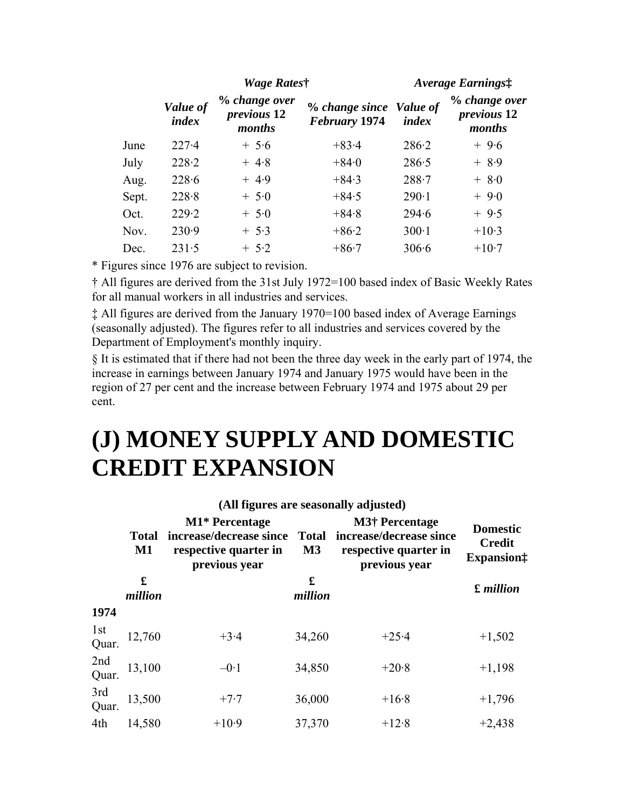|       |                   | Wage Rates†                                   |                                                 | Average Earnings: |                                               |  |
|-------|-------------------|-----------------------------------------------|-------------------------------------------------|-------------------|-----------------------------------------------|--|
|       | Value of<br>index | % change over<br><i>previous</i> 12<br>months | % change since Value of<br><b>February 1974</b> | index             | % change over<br><i>previous</i> 12<br>months |  |
| June  | $227-4$           | $+5.6$                                        | $+83.4$                                         | 286.2             | $+9.6$                                        |  |
| July  | 228.2             | $+4.8$                                        | $+84.0$                                         | 286.5             | $+ 8.9$                                       |  |
| Aug.  | 228.6             | $+4.9$                                        | $+84.3$                                         | $288 - 7$         | $+ 8.0$                                       |  |
| Sept. | 228.8             | $+5.0$                                        | $+84.5$                                         | $290-1$           | $+9.0$                                        |  |
| Oct.  | 229.2             | $+ 5.0$                                       | $+84.8$                                         | 294.6             | $+9.5$                                        |  |
| Nov.  | 230.9             | $+ 5.3$                                       | $+86.2$                                         | $300-1$           | $+10.3$                                       |  |
| Dec.  | 231.5             | $+ 5.2$                                       | $+86.7$                                         | 306.6             | $+10.7$                                       |  |

\* Figures since 1976 are subject to revision.

† All figures are derived from the 31st July 1972=100 based index of Basic Weekly Rates for all manual workers in all industries and services.

‡ All figures are derived from the January 1970=100 based index of Average Earnings (seasonally adjusted). The figures refer to all industries and services covered by the Department of Employment's monthly inquiry.

§ It is estimated that if there had not been the three day week in the early part of 1974, the increase in earnings between January 1974 and January 1975 would have been in the region of 27 per cent and the increase between February 1974 and 1975 about 29 per cent.

## **(J) MONEY SUPPLY AND DOMESTIC CREDIT EXPANSION**

|                          | <b>Total</b><br>$\mathbf{M1}$ | M1* Percentage<br>increase/decrease since<br>respective quarter in<br>previous year | <b>Total</b><br>$\mathbf{M}3$ | <b>Domestic</b><br><b>Credit</b><br><b>Expansion</b> : |           |  |  |
|--------------------------|-------------------------------|-------------------------------------------------------------------------------------|-------------------------------|--------------------------------------------------------|-----------|--|--|
|                          | £<br>million                  |                                                                                     | £<br>million                  |                                                        | £ million |  |  |
| 1974                     |                               |                                                                                     |                               |                                                        |           |  |  |
| 1 <sub>st</sub><br>Quar. | 12,760                        | $+3.4$                                                                              | 34,260                        | $+25.4$                                                | $+1,502$  |  |  |
| 2nd<br>Quar.             | 13,100                        | $-0.1$                                                                              | 34,850                        | $+20.8$                                                | $+1,198$  |  |  |
| 3rd<br>Quar.             | 13,500                        | $+7.7$                                                                              | 36,000                        | $+16.8$                                                | $+1,796$  |  |  |
| 4th                      | 14,580                        | $+10.9$                                                                             | 37,370                        | $+12.8$                                                | $+2,438$  |  |  |

#### **(All figures are seasonally adjusted)**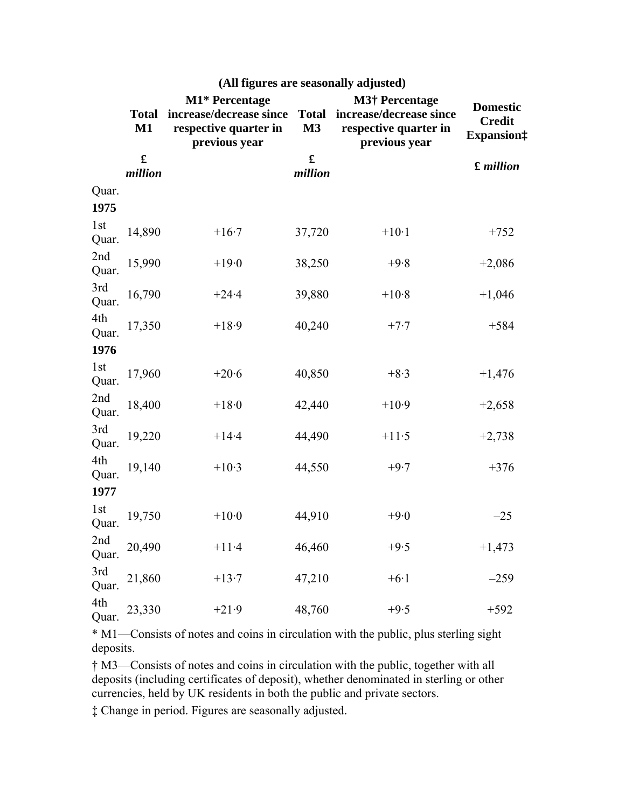|               | <b>Total</b><br>$M1$   | M1* Percentage<br>increase/decrease since<br>respective quarter in<br>previous year | <b>Total</b><br>M3     | <b>M3† Percentage</b><br>increase/decrease since<br>respective quarter in<br>previous year | <b>Domestic</b><br><b>Credit</b><br><b>Expansion</b> # |
|---------------|------------------------|-------------------------------------------------------------------------------------|------------------------|--------------------------------------------------------------------------------------------|--------------------------------------------------------|
|               | $\mathbf f$<br>million |                                                                                     | $\mathbf f$<br>million |                                                                                            | £ million                                              |
| Quar.<br>1975 |                        |                                                                                     |                        |                                                                                            |                                                        |
| 1st<br>Quar.  | 14,890                 | $+16.7$                                                                             | 37,720                 | $+10.1$                                                                                    | $+752$                                                 |
| 2nd<br>Quar.  | 15,990                 | $+19.0$                                                                             | 38,250                 | $+9.8$                                                                                     | $+2,086$                                               |
| 3rd<br>Quar.  | 16,790                 | $+24.4$                                                                             | 39,880                 | $+10.8$                                                                                    | $+1,046$                                               |
| 4th<br>Quar.  | 17,350                 | $+18.9$                                                                             | 40,240                 | $+7.7$                                                                                     | $+584$                                                 |
| 1976          |                        |                                                                                     |                        |                                                                                            |                                                        |
| 1st<br>Quar.  | 17,960                 | $+20.6$                                                                             | 40,850                 | $+8.3$                                                                                     | $+1,476$                                               |
| 2nd<br>Quar.  | 18,400                 | $+18.0$                                                                             | 42,440                 | $+10.9$                                                                                    | $+2,658$                                               |
| 3rd<br>Quar.  | 19,220                 | $+14.4$                                                                             | 44,490                 | $+11.5$                                                                                    | $+2,738$                                               |
| 4th<br>Quar.  | 19,140                 | $+10.3$                                                                             | 44,550                 | $+9.7$                                                                                     | $+376$                                                 |
| 1977          |                        |                                                                                     |                        |                                                                                            |                                                        |
| 1st<br>Quar.  | 19,750                 | $+10.0$                                                                             | 44,910                 | $+9.0$                                                                                     | $-25$                                                  |
| 2nd<br>Quar.  | 20,490                 | $+11.4$                                                                             | 46,460                 | $+9.5$                                                                                     | $+1,473$                                               |
| 3rd<br>Quar.  | 21,860                 | $+13.7$                                                                             | 47,210                 | $+6.1$                                                                                     | $-259$                                                 |
| 4th<br>Quar.  | 23,330                 | $+21.9$                                                                             | 48,760                 | $+9.5$                                                                                     | $+592$                                                 |

### **(All figures are seasonally adjusted)**

\* M1—Consists of notes and coins in circulation with the public, plus sterling sight deposits.

† M3—Consists of notes and coins in circulation with the public, together with all deposits (including certificates of deposit), whether denominated in sterling or other currencies, held by UK residents in both the public and private sectors.

‡ Change in period. Figures are seasonally adjusted.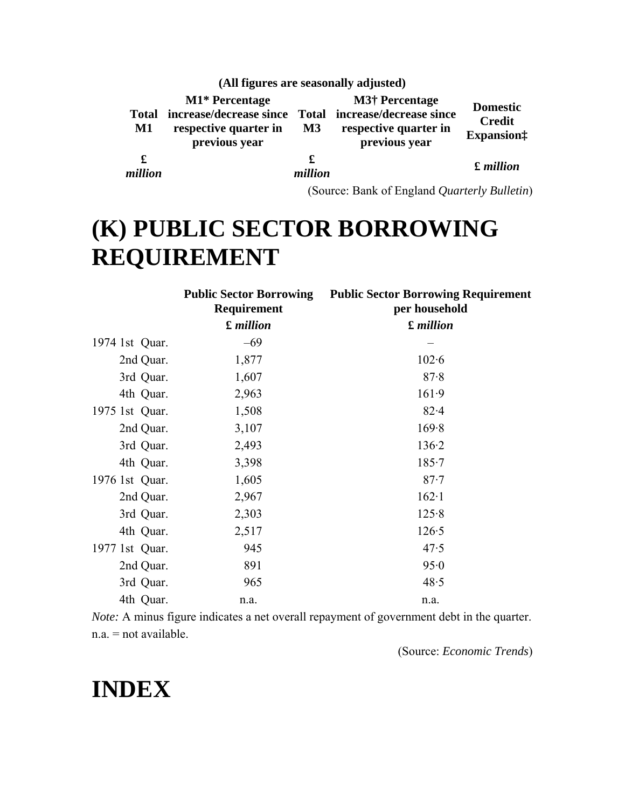|              |                                                                                                                         |               | (All figures are seasonally adjusted)                           |                                                        |
|--------------|-------------------------------------------------------------------------------------------------------------------------|---------------|-----------------------------------------------------------------|--------------------------------------------------------|
| M1           | M1* Percentage<br>Total increase/decrease since Total increase/decrease since<br>respective quarter in<br>previous year | $\mathbf{M}3$ | <b>M3†</b> Percentage<br>respective quarter in<br>previous year | <b>Domestic</b><br><b>Credit</b><br><b>Expansion</b> : |
| £<br>million |                                                                                                                         | £<br>million  |                                                                 | <b>£</b> million                                       |

(Source: Bank of England *Quarterly Bulletin*)

# **(K) PUBLIC SECTOR BORROWING REQUIREMENT**

|                | <b>Public Sector Borrowing</b><br>Requirement | <b>Public Sector Borrowing Requirement</b><br>per household |
|----------------|-----------------------------------------------|-------------------------------------------------------------|
|                | <b>£</b> million                              | <b>£</b> million                                            |
| 1974 1st Quar. | $-69$                                         |                                                             |
| 2nd Quar.      | 1,877                                         | $102 - 6$                                                   |
| 3rd Quar.      | 1,607                                         | 87.8                                                        |
| 4th Quar.      | 2,963                                         | 161.9                                                       |
| 1975 1st Quar. | 1,508                                         | $82 - 4$                                                    |
| 2nd Quar.      | 3,107                                         | 169.8                                                       |
| 3rd Quar.      | 2,493                                         | 136.2                                                       |
| 4th Quar.      | 3,398                                         | $185 - 7$                                                   |
| 1976 1st Quar. | 1,605                                         | $87 - 7$                                                    |
| 2nd Quar.      | 2,967                                         | $162-1$                                                     |
| 3rd Quar.      | 2,303                                         | 125.8                                                       |
| 4th Quar.      | 2,517                                         | 126.5                                                       |
| 1977 1st Quar. | 945                                           | 47.5                                                        |
| 2nd Quar.      | 891                                           | 95.0                                                        |
| 3rd Quar.      | 965                                           | 48.5                                                        |
| 4th Quar.      | n.a.                                          | n.a.                                                        |

*Note:* A minus figure indicates a net overall repayment of government debt in the quarter. n.a. = not available.

(Source: *Economic Trends*)

# **INDEX**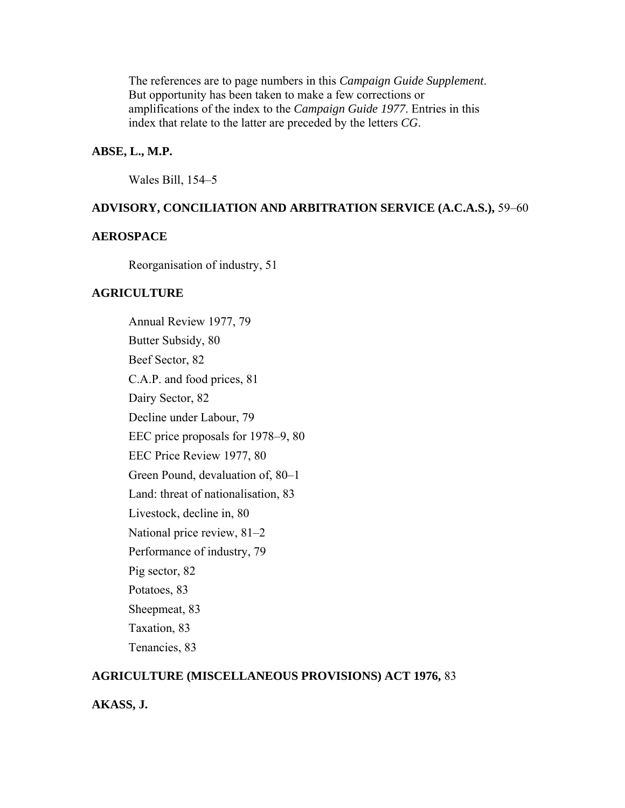The references are to page numbers in this *Campaign Guide Supplement*. But opportunity has been taken to make a few corrections or amplifications of the index to the *Campaign Guide 1977*. Entries in this index that relate to the latter are preceded by the letters *CG*.

#### **ABSE, L., M.P.**

Wales Bill, 154–5

#### **ADVISORY, CONCILIATION AND ARBITRATION SERVICE (A.C.A.S.),** 59–60

#### **AEROSPACE**

Reorganisation of industry, 51

#### **AGRICULTURE**

Annual Review 1977, 79 Butter Subsidy, 80 Beef Sector, 82 C.A.P. and food prices, 81 Dairy Sector, 82 Decline under Labour, 79 EEC price proposals for 1978–9, 80 EEC Price Review 1977, 80 Green Pound, devaluation of, 80–1 Land: threat of nationalisation, 83 Livestock, decline in, 80 National price review, 81–2 Performance of industry, 79 Pig sector, 82 Potatoes, 83 Sheepmeat, 83 Taxation, 83 Tenancies, 83

#### **AGRICULTURE (MISCELLANEOUS PROVISIONS) ACT 1976,** 83

#### **AKASS, J.**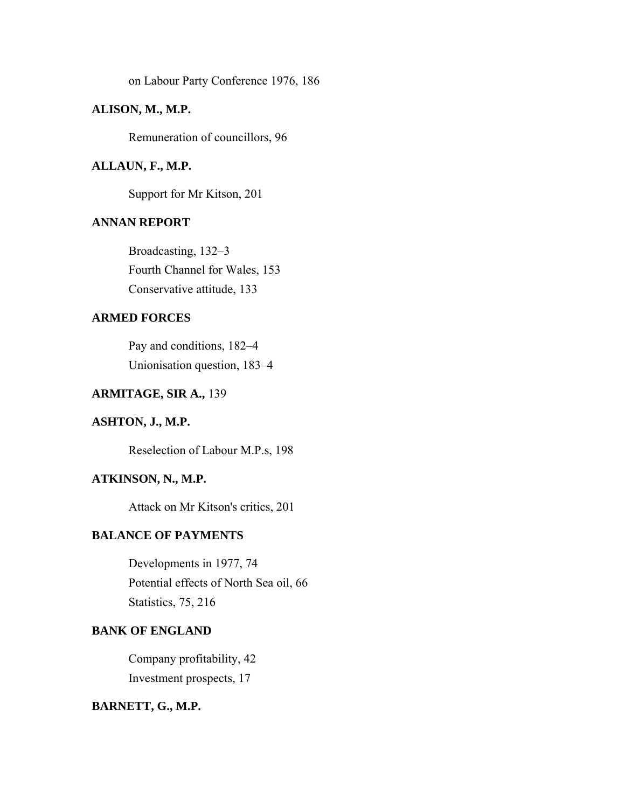on Labour Party Conference 1976, 186

### **ALISON, M., M.P.**

Remuneration of councillors, 96

#### **ALLAUN, F., M.P.**

Support for Mr Kitson, 201

#### **ANNAN REPORT**

Broadcasting, 132–3 Fourth Channel for Wales, 153 Conservative attitude, 133

#### **ARMED FORCES**

Pay and conditions, 182–4 Unionisation question, 183–4

### **ARMITAGE, SIR A.,** 139

### **ASHTON, J., M.P.**

Reselection of Labour M.P.s, 198

### **ATKINSON, N., M.P.**

Attack on Mr Kitson's critics, 201

#### **BALANCE OF PAYMENTS**

Developments in 1977, 74 Potential effects of North Sea oil, 66 Statistics, 75, 216

### **BANK OF ENGLAND**

Company profitability, 42 Investment prospects, 17

### **BARNETT, G., M.P.**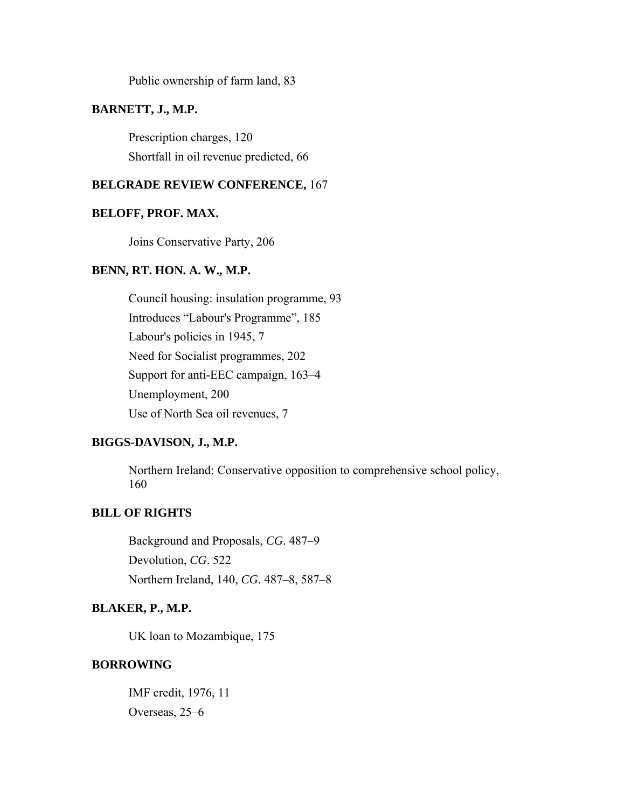Public ownership of farm land, 83

## **BARNETT, J., M.P.**

Prescription charges, 120 Shortfall in oil revenue predicted, 66

### **BELGRADE REVIEW CONFERENCE,** 167

### **BELOFF, PROF. MAX.**

Joins Conservative Party, 206

## **BENN, RT. HON. A. W., M.P.**

Council housing: insulation programme, 93 Introduces "Labour's Programme", 185 Labour's policies in 1945, 7 Need for Socialist programmes, 202 Support for anti-EEC campaign, 163–4 Unemployment, 200 Use of North Sea oil revenues, 7

#### **BIGGS-DAVISON, J., M.P.**

Northern Ireland: Conservative opposition to comprehensive school policy, 160

# **BILL OF RIGHTS**

Background and Proposals, *CG*. 487–9 Devolution, *CG*. 522 Northern Ireland, 140, *CG*. 487–8, 587–8

## **BLAKER, P., M.P.**

UK loan to Mozambique, 175

## **BORROWING**

IMF credit, 1976, 11 Overseas, 25–6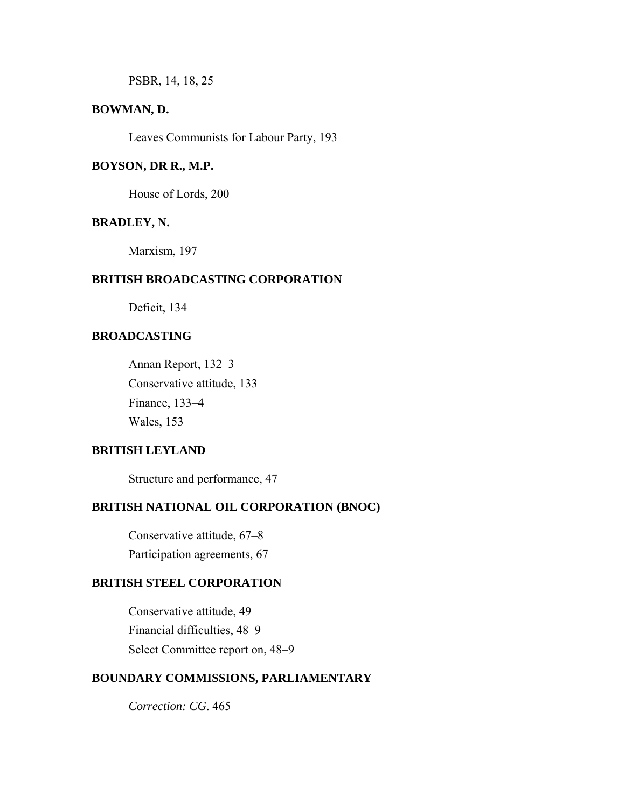PSBR, 14, 18, 25

## **BOWMAN, D.**

Leaves Communists for Labour Party, 193

### **BOYSON, DR R., M.P.**

House of Lords, 200

#### **BRADLEY, N.**

Marxism, 197

### **BRITISH BROADCASTING CORPORATION**

Deficit, 134

# **BROADCASTING**

Annan Report, 132–3 Conservative attitude, 133 Finance, 133–4 Wales, 153

### **BRITISH LEYLAND**

Structure and performance, 47

## **BRITISH NATIONAL OIL CORPORATION (BNOC)**

Conservative attitude, 67–8 Participation agreements, 67

## **BRITISH STEEL CORPORATION**

Conservative attitude, 49 Financial difficulties, 48–9 Select Committee report on, 48–9

## **BOUNDARY COMMISSIONS, PARLIAMENTARY**

*Correction: CG*. 465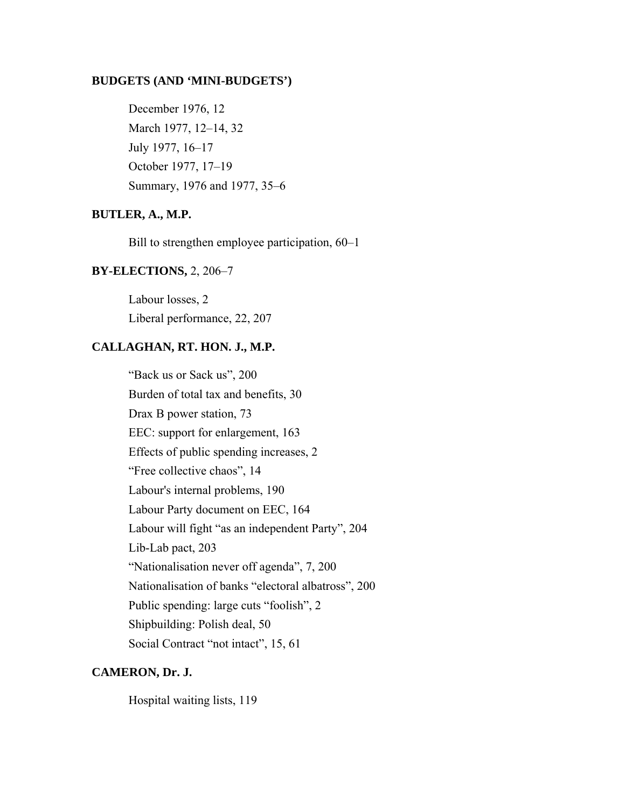#### **BUDGETS (AND 'MINI-BUDGETS')**

December 1976, 12 March 1977, 12–14, 32 July 1977, 16–17 October 1977, 17–19 Summary, 1976 and 1977, 35–6

### **BUTLER, A., M.P.**

Bill to strengthen employee participation, 60–1

#### **BY-ELECTIONS,** 2, 206–7

Labour losses, 2 Liberal performance, 22, 207

#### **CALLAGHAN, RT. HON. J., M.P.**

"Back us or Sack us", 200 Burden of total tax and benefits, 30 Drax B power station, 73 EEC: support for enlargement, 163 Effects of public spending increases, 2 "Free collective chaos", 14 Labour's internal problems, 190 Labour Party document on EEC, 164 Labour will fight "as an independent Party", 204 Lib-Lab pact, 203 "Nationalisation never off agenda", 7, 200 Nationalisation of banks "electoral albatross", 200 Public spending: large cuts "foolish", 2 Shipbuilding: Polish deal, 50 Social Contract "not intact", 15, 61

#### **CAMERON, Dr. J.**

Hospital waiting lists, 119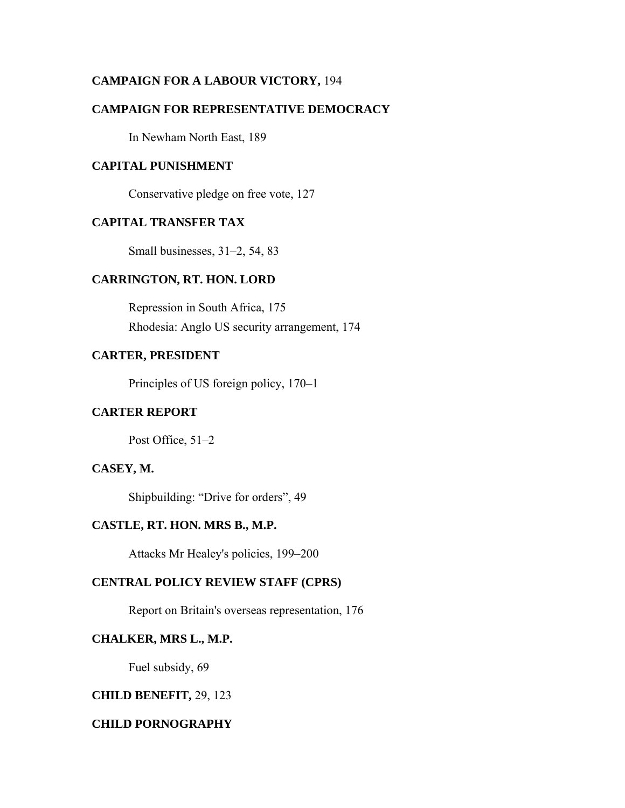## **CAMPAIGN FOR A LABOUR VICTORY,** 194

## **CAMPAIGN FOR REPRESENTATIVE DEMOCRACY**

In Newham North East, 189

### **CAPITAL PUNISHMENT**

Conservative pledge on free vote, 127

### **CAPITAL TRANSFER TAX**

Small businesses, 31–2, 54, 83

#### **CARRINGTON, RT. HON. LORD**

Repression in South Africa, 175 Rhodesia: Anglo US security arrangement, 174

## **CARTER, PRESIDENT**

Principles of US foreign policy, 170–1

## **CARTER REPORT**

Post Office, 51–2

#### **CASEY, M.**

Shipbuilding: "Drive for orders", 49

#### **CASTLE, RT. HON. MRS B., M.P.**

Attacks Mr Healey's policies, 199–200

#### **CENTRAL POLICY REVIEW STAFF (CPRS)**

Report on Britain's overseas representation, 176

#### **CHALKER, MRS L., M.P.**

Fuel subsidy, 69

### **CHILD BENEFIT,** 29, 123

### **CHILD PORNOGRAPHY**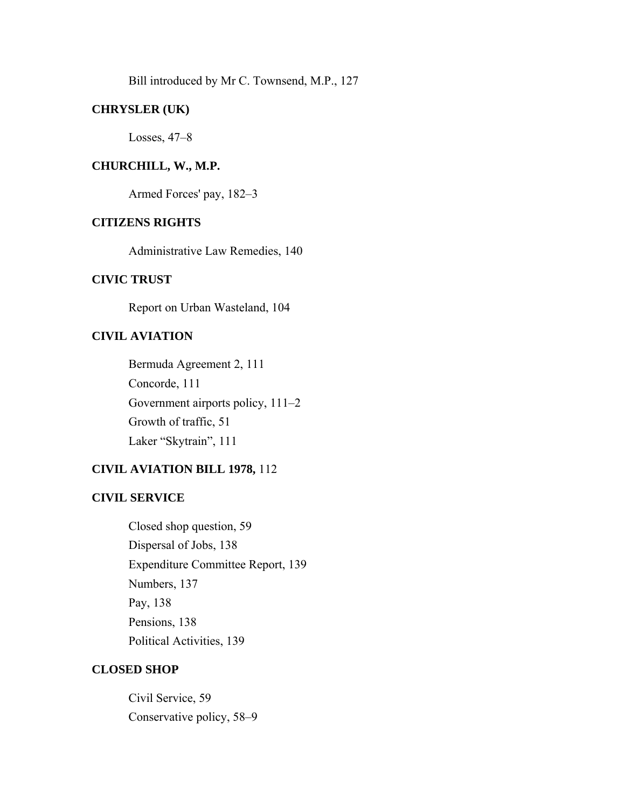Bill introduced by Mr C. Townsend, M.P., 127

## **CHRYSLER (UK)**

Losses, 47–8

### **CHURCHILL, W., M.P.**

Armed Forces' pay, 182–3

## **CITIZENS RIGHTS**

Administrative Law Remedies, 140

### **CIVIC TRUST**

Report on Urban Wasteland, 104

# **CIVIL AVIATION**

Bermuda Agreement 2, 111 Concorde, 111 Government airports policy, 111–2 Growth of traffic, 51 Laker "Skytrain", 111

# **CIVIL AVIATION BILL 1978,** 112

#### **CIVIL SERVICE**

Closed shop question, 59 Dispersal of Jobs, 138 Expenditure Committee Report, 139 Numbers, 137 Pay, 138 Pensions, 138 Political Activities, 139

## **CLOSED SHOP**

Civil Service, 59 Conservative policy, 58–9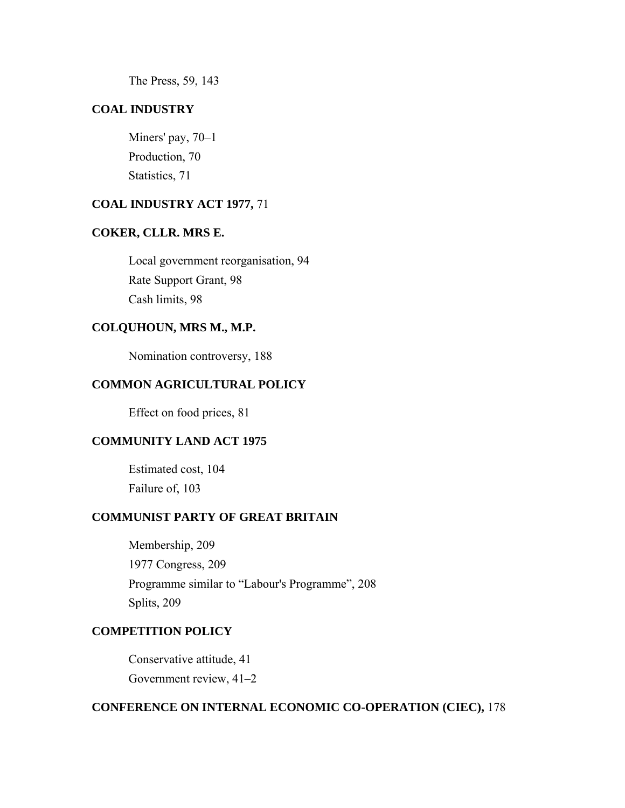The Press, 59, 143

## **COAL INDUSTRY**

Miners' pay, 70–1 Production, 70 Statistics, 71

## **COAL INDUSTRY ACT 1977,** 71

## **COKER, CLLR. MRS E.**

Local government reorganisation, 94 Rate Support Grant, 98 Cash limits, 98

### **COLQUHOUN, MRS M., M.P.**

Nomination controversy, 188

## **COMMON AGRICULTURAL POLICY**

Effect on food prices, 81

### **COMMUNITY LAND ACT 1975**

Estimated cost, 104 Failure of, 103

## **COMMUNIST PARTY OF GREAT BRITAIN**

Membership, 209 1977 Congress, 209 Programme similar to "Labour's Programme", 208 Splits, 209

## **COMPETITION POLICY**

Conservative attitude, 41 Government review, 41–2

## **CONFERENCE ON INTERNAL ECONOMIC CO-OPERATION (CIEC),** 178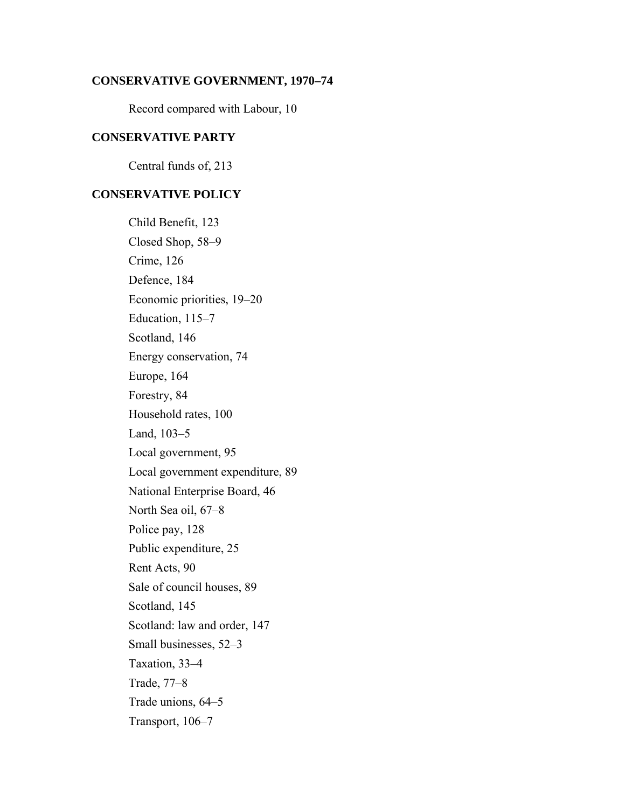#### **CONSERVATIVE GOVERNMENT, 1970–74**

Record compared with Labour, 10

## **CONSERVATIVE PARTY**

Central funds of, 213

## **CONSERVATIVE POLICY**

Child Benefit, 123 Closed Shop, 58–9 Crime, 126 Defence, 184 Economic priorities, 19–20 Education, 115–7 Scotland, 146 Energy conservation, 74 Europe, 164 Forestry, 84 Household rates, 100 Land, 103–5 Local government, 95 Local government expenditure, 89 National Enterprise Board, 46 North Sea oil, 67–8 Police pay, 128 Public expenditure, 25 Rent Acts, 90 Sale of council houses, 89 Scotland, 145 Scotland: law and order, 147 Small businesses, 52–3 Taxation, 33–4 Trade, 77–8 Trade unions, 64–5 Transport, 106–7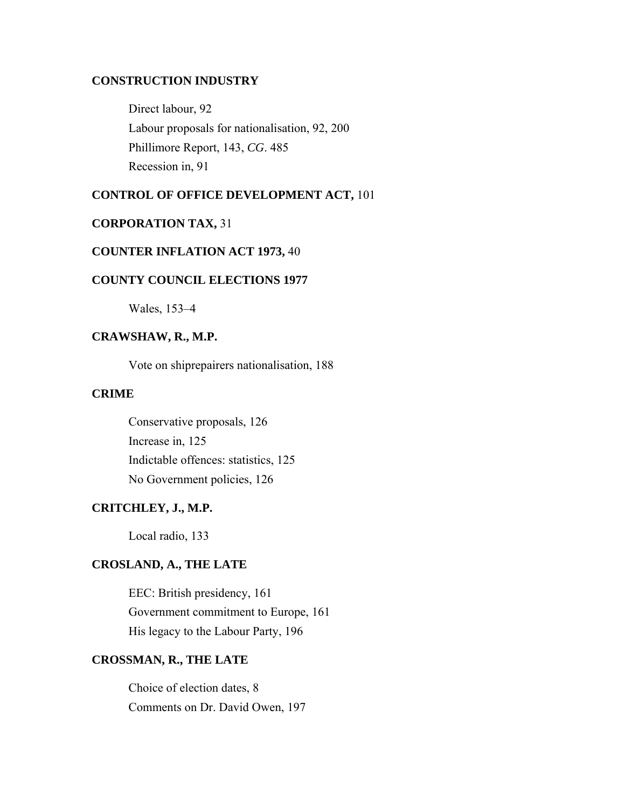## **CONSTRUCTION INDUSTRY**

Direct labour, 92 Labour proposals for nationalisation, 92, 200 Phillimore Report, 143, *CG*. 485 Recession in, 91

#### **CONTROL OF OFFICE DEVELOPMENT ACT,** 101

#### **CORPORATION TAX,** 31

#### **COUNTER INFLATION ACT 1973,** 40

### **COUNTY COUNCIL ELECTIONS 1977**

Wales, 153–4

# **CRAWSHAW, R., M.P.**

Vote on shiprepairers nationalisation, 188

## **CRIME**

Conservative proposals, 126 Increase in, 125 Indictable offences: statistics, 125 No Government policies, 126

### **CRITCHLEY, J., M.P.**

Local radio, 133

#### **CROSLAND, A., THE LATE**

EEC: British presidency, 161 Government commitment to Europe, 161 His legacy to the Labour Party, 196

# **CROSSMAN, R., THE LATE**

Choice of election dates, 8 Comments on Dr. David Owen, 197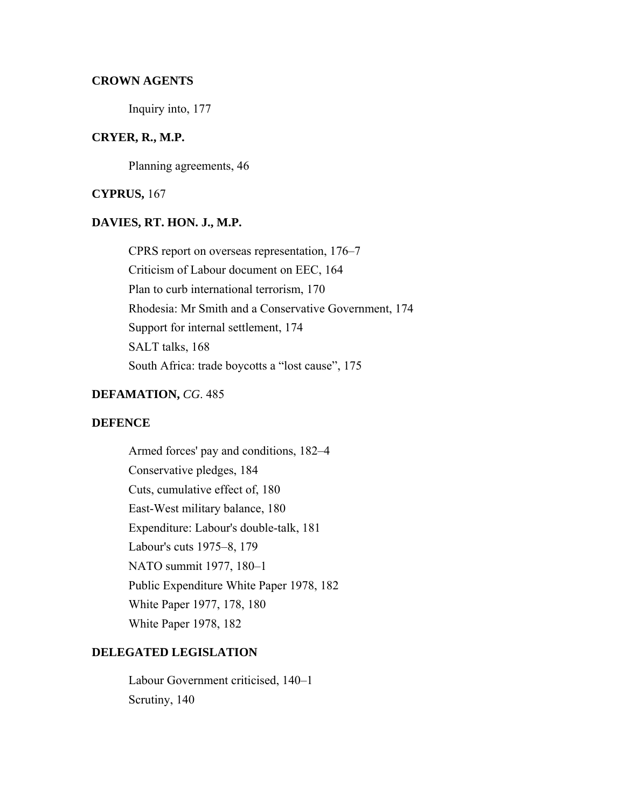#### **CROWN AGENTS**

Inquiry into, 177

### **CRYER, R., M.P.**

Planning agreements, 46

#### **CYPRUS,** 167

#### **DAVIES, RT. HON. J., M.P.**

CPRS report on overseas representation, 176–7 Criticism of Labour document on EEC, 164 Plan to curb international terrorism, 170 Rhodesia: Mr Smith and a Conservative Government, 174 Support for internal settlement, 174 SALT talks, 168 South Africa: trade boycotts a "lost cause", 175

### **DEFAMATION,** *CG*. 485

### **DEFENCE**

Armed forces' pay and conditions, 182–4 Conservative pledges, 184 Cuts, cumulative effect of, 180 East-West military balance, 180 Expenditure: Labour's double-talk, 181 Labour's cuts 1975–8, 179 NATO summit 1977, 180–1 Public Expenditure White Paper 1978, 182 White Paper 1977, 178, 180 White Paper 1978, 182

## **DELEGATED LEGISLATION**

Labour Government criticised, 140–1 Scrutiny, 140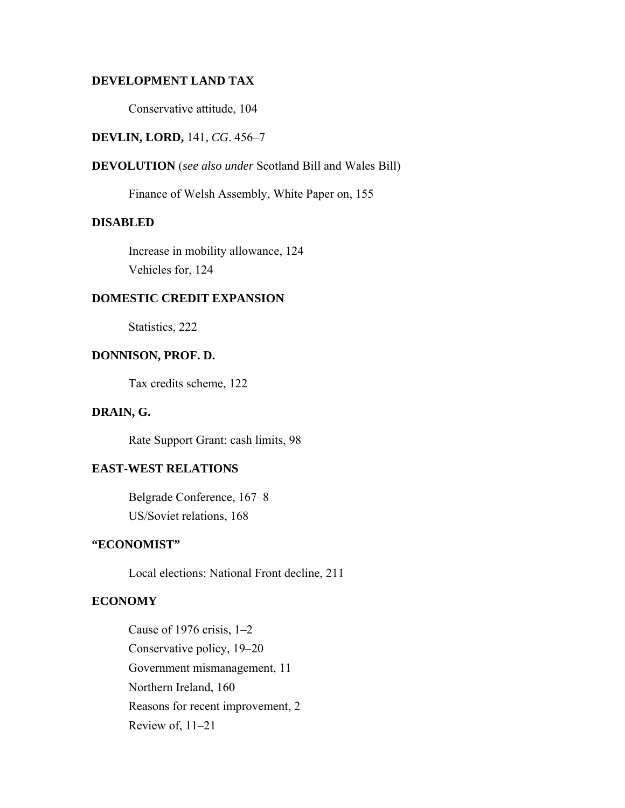## **DEVELOPMENT LAND TAX**

Conservative attitude, 104

### **DEVLIN, LORD,** 141, *CG*. 456–7

### **DEVOLUTION** (*see also under* Scotland Bill and Wales Bill)

Finance of Welsh Assembly, White Paper on, 155

### **DISABLED**

Increase in mobility allowance, 124 Vehicles for, 124

#### **DOMESTIC CREDIT EXPANSION**

Statistics, 222

## **DONNISON, PROF. D.**

Tax credits scheme, 122

### **DRAIN, G.**

Rate Support Grant: cash limits, 98

## **EAST-WEST RELATIONS**

Belgrade Conference, 167–8 US/Soviet relations, 168

## **"ECONOMIST"**

Local elections: National Front decline, 211

### **ECONOMY**

Cause of 1976 crisis, 1–2 Conservative policy, 19–20 Government mismanagement, 11 Northern Ireland, 160 Reasons for recent improvement, 2 Review of, 11–21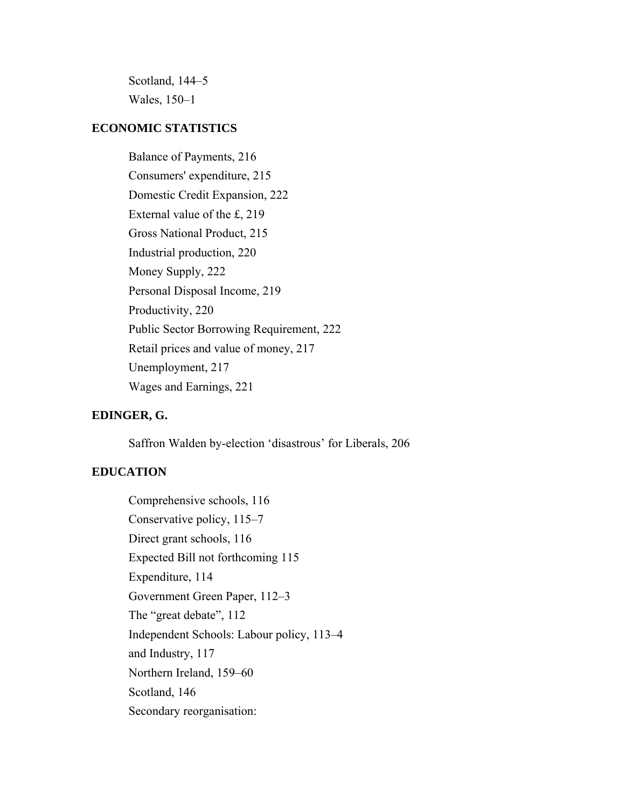Scotland, 144–5 Wales, 150–1

### **ECONOMIC STATISTICS**

Balance of Payments, 216 Consumers' expenditure, 215 Domestic Credit Expansion, 222 External value of the £, 219 Gross National Product, 215 Industrial production, 220 Money Supply, 222 Personal Disposal Income, 219 Productivity, 220 Public Sector Borrowing Requirement, 222 Retail prices and value of money, 217 Unemployment, 217 Wages and Earnings, 221

### **EDINGER, G.**

Saffron Walden by-election 'disastrous' for Liberals, 206

## **EDUCATION**

Comprehensive schools, 116 Conservative policy, 115–7 Direct grant schools, 116 Expected Bill not forthcoming 115 Expenditure, 114 Government Green Paper, 112–3 The "great debate", 112 Independent Schools: Labour policy, 113–4 and Industry, 117 Northern Ireland, 159–60 Scotland, 146 Secondary reorganisation: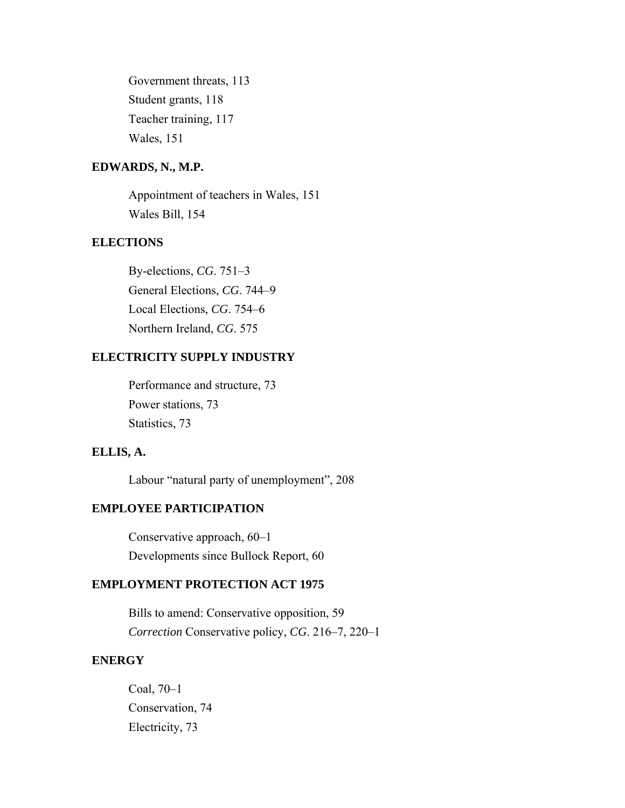Government threats, 113 Student grants, 118 Teacher training, 117 Wales, 151

### **EDWARDS, N., M.P.**

Appointment of teachers in Wales, 151 Wales Bill, 154

## **ELECTIONS**

By-elections, *CG*. 751–3 General Elections, *CG*. 744–9 Local Elections, *CG*. 754–6 Northern Ireland, *CG*. 575

## **ELECTRICITY SUPPLY INDUSTRY**

Performance and structure, 73 Power stations, 73 Statistics, 73

## **ELLIS, A.**

Labour "natural party of unemployment", 208

## **EMPLOYEE PARTICIPATION**

Conservative approach, 60–1 Developments since Bullock Report, 60

# **EMPLOYMENT PROTECTION ACT 1975**

Bills to amend: Conservative opposition, 59 *Correction* Conservative policy, *CG*. 216–7, 220–1

#### **ENERGY**

Coal, 70–1 Conservation, 74 Electricity, 73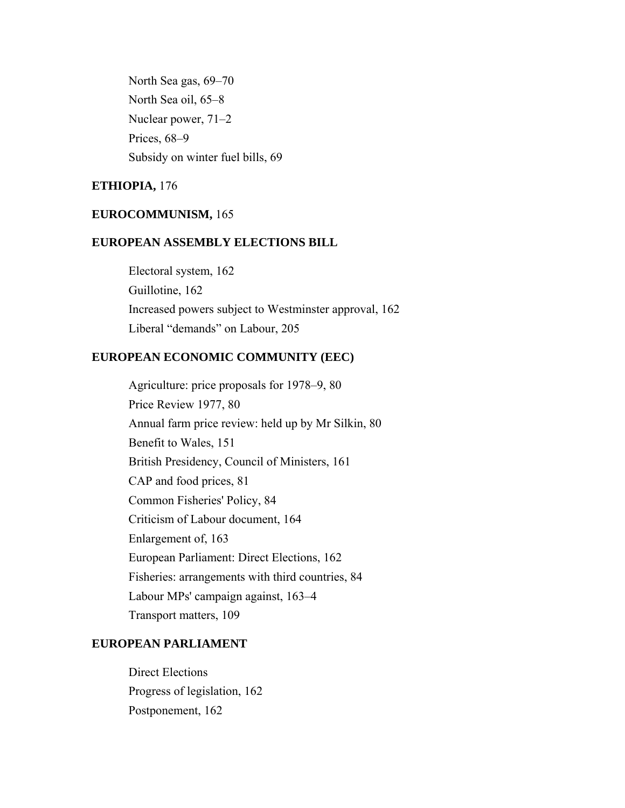North Sea gas, 69–70 North Sea oil, 65–8 Nuclear power, 71–2 Prices, 68–9 Subsidy on winter fuel bills, 69

## **ETHIOPIA,** 176

#### **EUROCOMMUNISM,** 165

### **EUROPEAN ASSEMBLY ELECTIONS BILL**

Electoral system, 162 Guillotine, 162 Increased powers subject to Westminster approval, 162 Liberal "demands" on Labour, 205

#### **EUROPEAN ECONOMIC COMMUNITY (EEC)**

Agriculture: price proposals for 1978–9, 80 Price Review 1977, 80 Annual farm price review: held up by Mr Silkin, 80 Benefit to Wales, 151 British Presidency, Council of Ministers, 161 CAP and food prices, 81 Common Fisheries' Policy, 84 Criticism of Labour document, 164 Enlargement of, 163 European Parliament: Direct Elections, 162 Fisheries: arrangements with third countries, 84 Labour MPs' campaign against, 163–4 Transport matters, 109

#### **EUROPEAN PARLIAMENT**

Direct Elections Progress of legislation, 162 Postponement, 162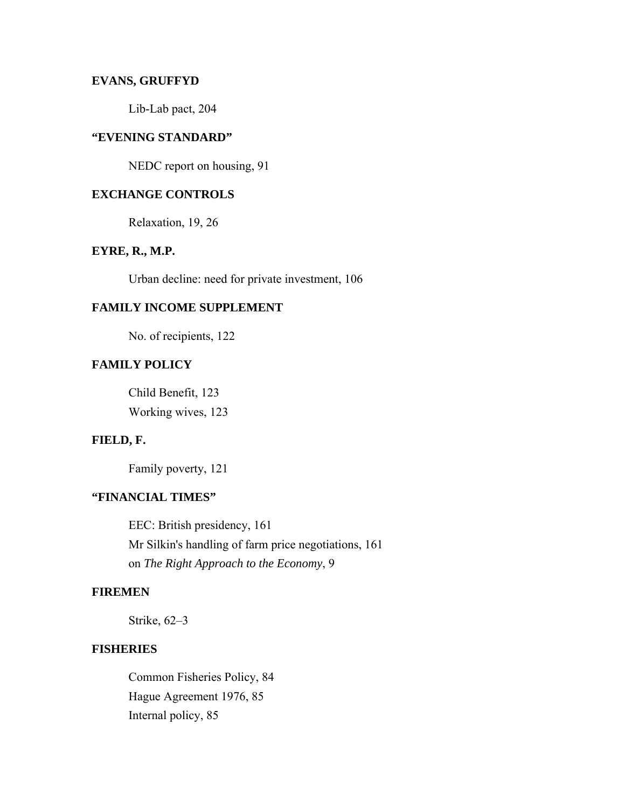## **EVANS, GRUFFYD**

Lib-Lab pact, 204

# **"EVENING STANDARD"**

NEDC report on housing, 91

## **EXCHANGE CONTROLS**

Relaxation, 19, 26

### **EYRE, R., M.P.**

Urban decline: need for private investment, 106

#### **FAMILY INCOME SUPPLEMENT**

No. of recipients, 122

## **FAMILY POLICY**

Child Benefit, 123 Working wives, 123

## **FIELD, F.**

Family poverty, 121

### **"FINANCIAL TIMES"**

EEC: British presidency, 161 Mr Silkin's handling of farm price negotiations, 161 on *The Right Approach to the Economy*, 9

## **FIREMEN**

Strike, 62–3

### **FISHERIES**

Common Fisheries Policy, 84 Hague Agreement 1976, 85 Internal policy, 85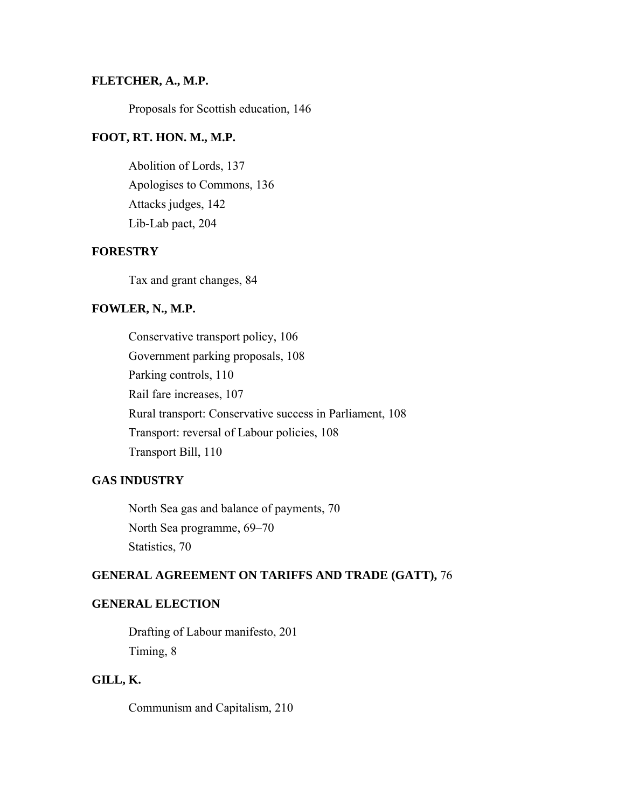#### **FLETCHER, A., M.P.**

Proposals for Scottish education, 146

### **FOOT, RT. HON. M., M.P.**

Abolition of Lords, 137 Apologises to Commons, 136 Attacks judges, 142 Lib-Lab pact, 204

#### **FORESTRY**

Tax and grant changes, 84

## **FOWLER, N., M.P.**

Conservative transport policy, 106 Government parking proposals, 108 Parking controls, 110 Rail fare increases, 107 Rural transport: Conservative success in Parliament, 108 Transport: reversal of Labour policies, 108 Transport Bill, 110

#### **GAS INDUSTRY**

North Sea gas and balance of payments, 70 North Sea programme, 69–70 Statistics, 70

# **GENERAL AGREEMENT ON TARIFFS AND TRADE (GATT),** 76

## **GENERAL ELECTION**

Drafting of Labour manifesto, 201 Timing, 8

# **GILL, K.**

Communism and Capitalism, 210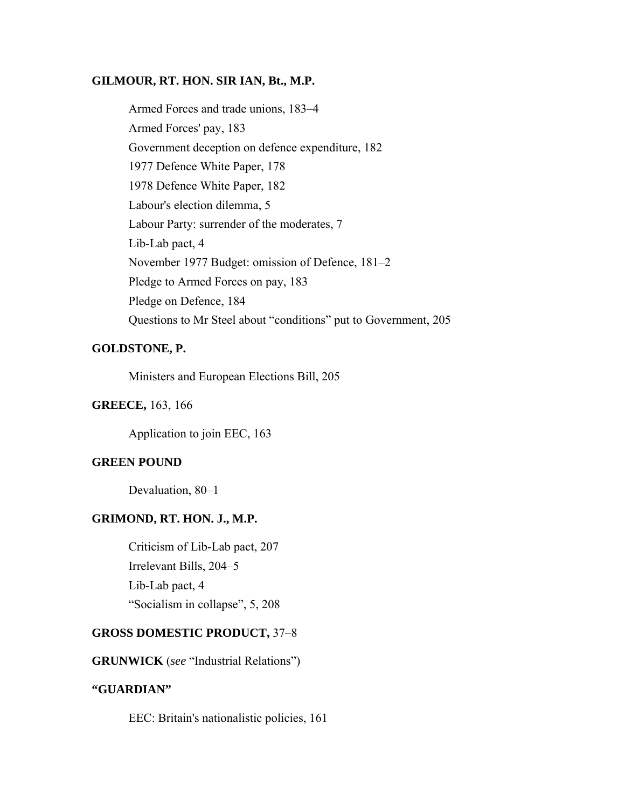#### **GILMOUR, RT. HON. SIR IAN, Bt., M.P.**

Armed Forces and trade unions, 183–4 Armed Forces' pay, 183 Government deception on defence expenditure, 182 1977 Defence White Paper, 178 1978 Defence White Paper, 182 Labour's election dilemma, 5 Labour Party: surrender of the moderates, 7 Lib-Lab pact, 4 November 1977 Budget: omission of Defence, 181–2 Pledge to Armed Forces on pay, 183 Pledge on Defence, 184 Questions to Mr Steel about "conditions" put to Government, 205

## **GOLDSTONE, P.**

Ministers and European Elections Bill, 205

#### **GREECE,** 163, 166

Application to join EEC, 163

### **GREEN POUND**

Devaluation, 80–1

## **GRIMOND, RT. HON. J., M.P.**

Criticism of Lib-Lab pact, 207 Irrelevant Bills, 204–5 Lib-Lab pact, 4 "Socialism in collapse", 5, 208

#### **GROSS DOMESTIC PRODUCT,** 37–8

**GRUNWICK** (*see* "Industrial Relations")

### **"GUARDIAN"**

EEC: Britain's nationalistic policies, 161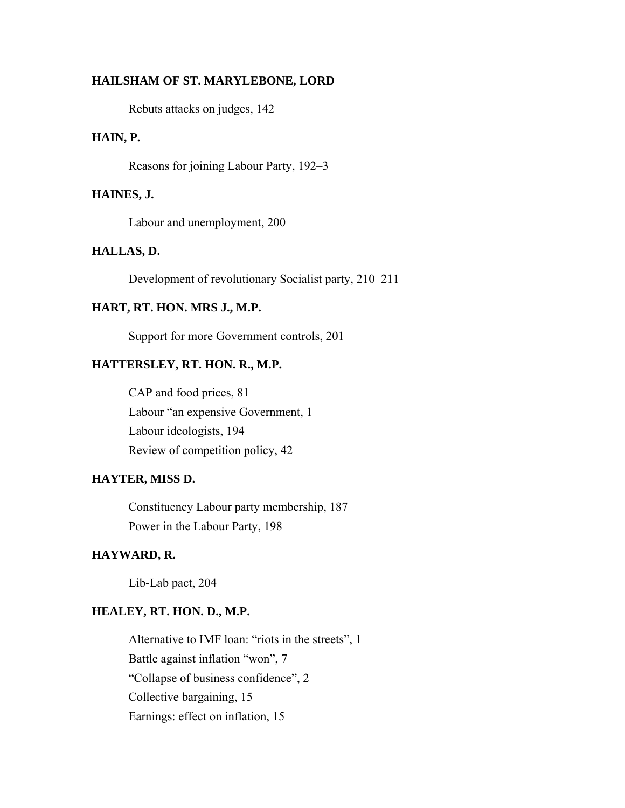#### **HAILSHAM OF ST. MARYLEBONE, LORD**

Rebuts attacks on judges, 142

### **HAIN, P.**

Reasons for joining Labour Party, 192–3

#### **HAINES, J.**

Labour and unemployment, 200

#### **HALLAS, D.**

Development of revolutionary Socialist party, 210–211

#### **HART, RT. HON. MRS J., M.P.**

Support for more Government controls, 201

### **HATTERSLEY, RT. HON. R., M.P.**

CAP and food prices, 81 Labour "an expensive Government, 1 Labour ideologists, 194 Review of competition policy, 42

## **HAYTER, MISS D.**

Constituency Labour party membership, 187 Power in the Labour Party, 198

### **HAYWARD, R.**

Lib-Lab pact, 204

#### **HEALEY, RT. HON. D., M.P.**

Alternative to IMF loan: "riots in the streets", 1 Battle against inflation "won", 7 "Collapse of business confidence", 2 Collective bargaining, 15 Earnings: effect on inflation, 15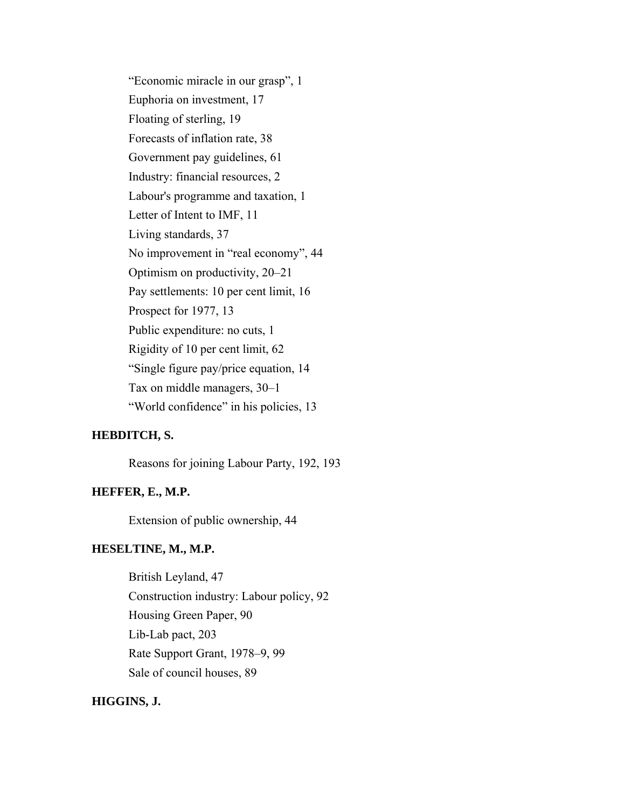"Economic miracle in our grasp", 1 Euphoria on investment, 17 Floating of sterling, 19 Forecasts of inflation rate, 38 Government pay guidelines, 61 Industry: financial resources, 2 Labour's programme and taxation, 1 Letter of Intent to IMF, 11 Living standards, 37 No improvement in "real economy", 44 Optimism on productivity, 20–21 Pay settlements: 10 per cent limit, 16 Prospect for 1977, 13 Public expenditure: no cuts, 1 Rigidity of 10 per cent limit, 62 "Single figure pay/price equation, 14 Tax on middle managers, 30–1 "World confidence" in his policies, 13

#### **HEBDITCH, S.**

Reasons for joining Labour Party, 192, 193

#### **HEFFER, E., M.P.**

Extension of public ownership, 44

#### **HESELTINE, M., M.P.**

British Leyland, 47 Construction industry: Labour policy, 92 Housing Green Paper, 90 Lib-Lab pact, 203 Rate Support Grant, 1978–9, 99 Sale of council houses, 89

### **HIGGINS, J.**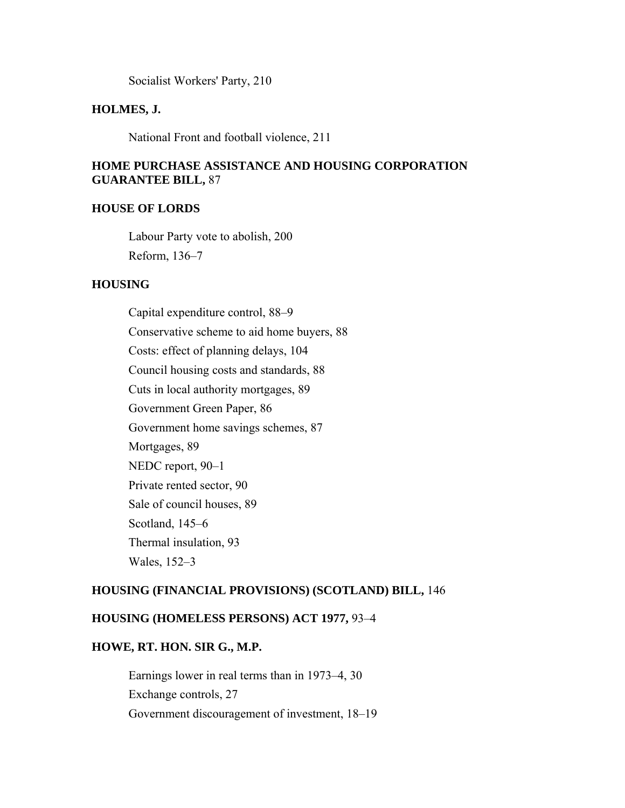Socialist Workers' Party, 210

#### **HOLMES, J.**

National Front and football violence, 211

## **HOME PURCHASE ASSISTANCE AND HOUSING CORPORATION GUARANTEE BILL,** 87

### **HOUSE OF LORDS**

Labour Party vote to abolish, 200 Reform, 136–7

#### **HOUSING**

Capital expenditure control, 88–9 Conservative scheme to aid home buyers, 88 Costs: effect of planning delays, 104 Council housing costs and standards, 88 Cuts in local authority mortgages, 89 Government Green Paper, 86 Government home savings schemes, 87 Mortgages, 89 NEDC report, 90–1 Private rented sector, 90 Sale of council houses, 89 Scotland, 145–6 Thermal insulation, 93 Wales, 152–3

### **HOUSING (FINANCIAL PROVISIONS) (SCOTLAND) BILL,** 146

#### **HOUSING (HOMELESS PERSONS) ACT 1977,** 93–4

## **HOWE, RT. HON. SIR G., M.P.**

Earnings lower in real terms than in 1973–4, 30 Exchange controls, 27 Government discouragement of investment, 18–19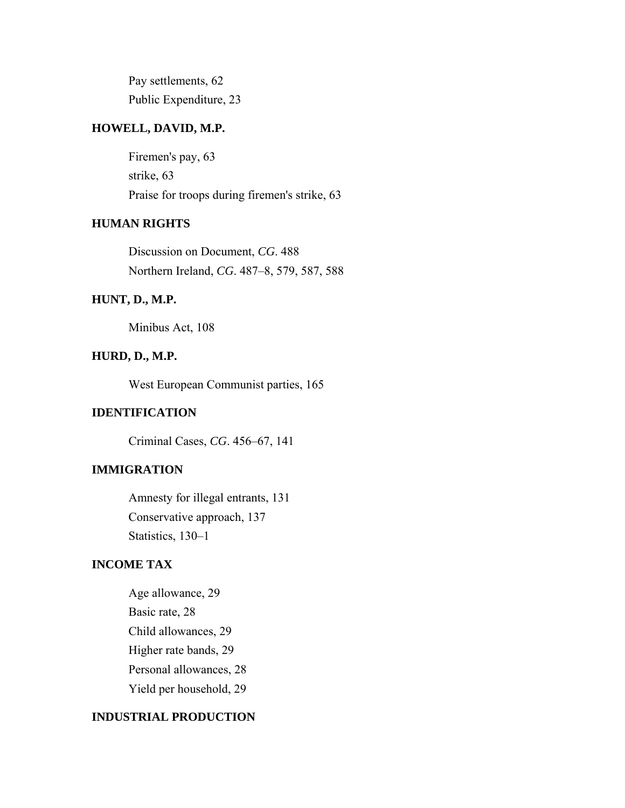Pay settlements, 62 Public Expenditure, 23

#### **HOWELL, DAVID, M.P.**

Firemen's pay, 63 strike, 63 Praise for troops during firemen's strike, 63

## **HUMAN RIGHTS**

Discussion on Document, *CG*. 488 Northern Ireland, *CG*. 487–8, 579, 587, 588

## **HUNT, D., M.P.**

Minibus Act, 108

### **HURD, D., M.P.**

West European Communist parties, 165

### **IDENTIFICATION**

Criminal Cases, *CG*. 456–67, 141

#### **IMMIGRATION**

Amnesty for illegal entrants, 131 Conservative approach, 137 Statistics, 130–1

## **INCOME TAX**

Age allowance, 29 Basic rate, 28 Child allowances, 29 Higher rate bands, 29 Personal allowances, 28 Yield per household, 29

#### **INDUSTRIAL PRODUCTION**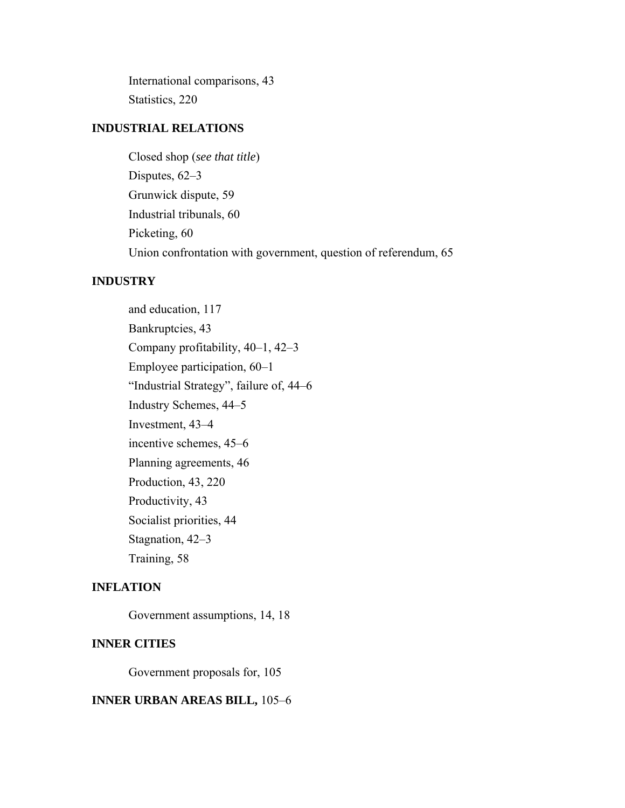International comparisons, 43 Statistics, 220

### **INDUSTRIAL RELATIONS**

Closed shop (*see that title*) Disputes, 62–3 Grunwick dispute, 59 Industrial tribunals, 60 Picketing, 60 Union confrontation with government, question of referendum, 65

### **INDUSTRY**

and education, 117 Bankruptcies, 43 Company profitability, 40–1, 42–3 Employee participation, 60–1 "Industrial Strategy", failure of, 44–6 Industry Schemes, 44–5 Investment, 43–4 incentive schemes, 45–6 Planning agreements, 46 Production, 43, 220 Productivity, 43 Socialist priorities, 44 Stagnation, 42–3 Training, 58

#### **INFLATION**

Government assumptions, 14, 18

#### **INNER CITIES**

Government proposals for, 105

#### **INNER URBAN AREAS BILL,** 105–6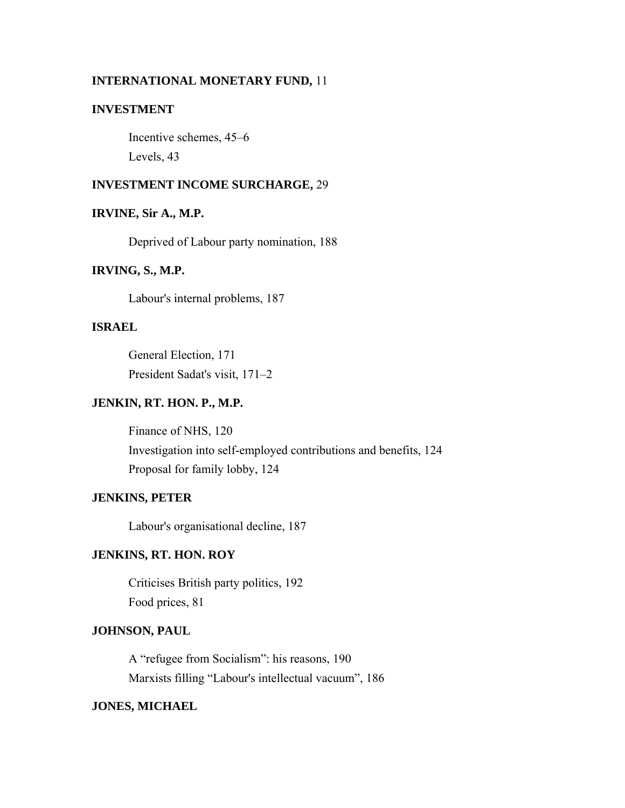#### **INTERNATIONAL MONETARY FUND,** 11

## **INVESTMENT**

Incentive schemes, 45–6 Levels, 43

### **INVESTMENT INCOME SURCHARGE,** 29

#### **IRVINE, Sir A., M.P.**

Deprived of Labour party nomination, 188

### **IRVING, S., M.P.**

Labour's internal problems, 187

## **ISRAEL**

General Election, 171 President Sadat's visit, 171–2

#### **JENKIN, RT. HON. P., M.P.**

Finance of NHS, 120 Investigation into self-employed contributions and benefits, 124 Proposal for family lobby, 124

#### **JENKINS, PETER**

Labour's organisational decline, 187

### **JENKINS, RT. HON. ROY**

Criticises British party politics, 192 Food prices, 81

## **JOHNSON, PAUL**

A "refugee from Socialism": his reasons, 190 Marxists filling "Labour's intellectual vacuum", 186

## **JONES, MICHAEL**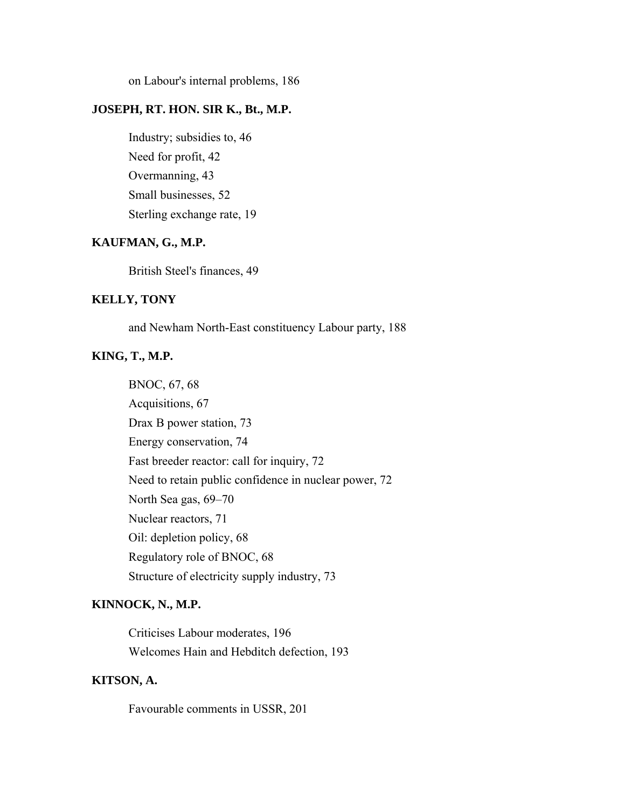on Labour's internal problems, 186

## **JOSEPH, RT. HON. SIR K., Bt., M.P.**

Industry; subsidies to, 46 Need for profit, 42 Overmanning, 43 Small businesses, 52 Sterling exchange rate, 19

### **KAUFMAN, G., M.P.**

British Steel's finances, 49

## **KELLY, TONY**

and Newham North-East constituency Labour party, 188

# **KING, T., M.P.**

BNOC, 67, 68 Acquisitions, 67 Drax B power station, 73 Energy conservation, 74 Fast breeder reactor: call for inquiry, 72 Need to retain public confidence in nuclear power, 72 North Sea gas, 69–70 Nuclear reactors, 71 Oil: depletion policy, 68 Regulatory role of BNOC, 68 Structure of electricity supply industry, 73

### **KINNOCK, N., M.P.**

Criticises Labour moderates, 196 Welcomes Hain and Hebditch defection, 193

# **KITSON, A.**

Favourable comments in USSR, 201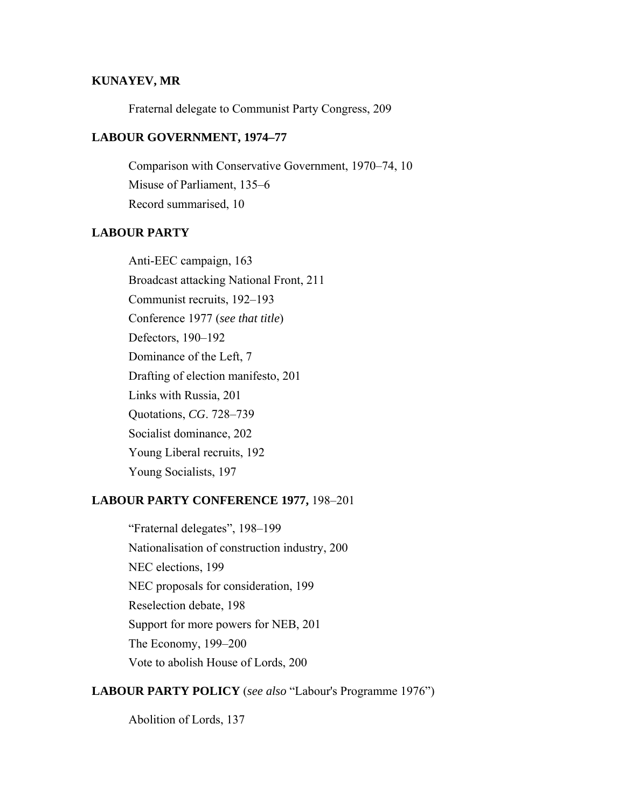### **KUNAYEV, MR**

Fraternal delegate to Communist Party Congress, 209

#### **LABOUR GOVERNMENT, 1974–77**

Comparison with Conservative Government, 1970–74, 10 Misuse of Parliament, 135–6 Record summarised, 10

### **LABOUR PARTY**

Anti-EEC campaign, 163 Broadcast attacking National Front, 211 Communist recruits, 192–193 Conference 1977 (*see that title*) Defectors, 190–192 Dominance of the Left, 7 Drafting of election manifesto, 201 Links with Russia, 201 Quotations, *CG*. 728–739 Socialist dominance, 202 Young Liberal recruits, 192 Young Socialists, 197

### **LABOUR PARTY CONFERENCE 1977,** 198–201

"Fraternal delegates", 198–199 Nationalisation of construction industry, 200 NEC elections, 199 NEC proposals for consideration, 199 Reselection debate, 198 Support for more powers for NEB, 201 The Economy, 199–200 Vote to abolish House of Lords, 200

## **LABOUR PARTY POLICY** (*see also* "Labour's Programme 1976")

Abolition of Lords, 137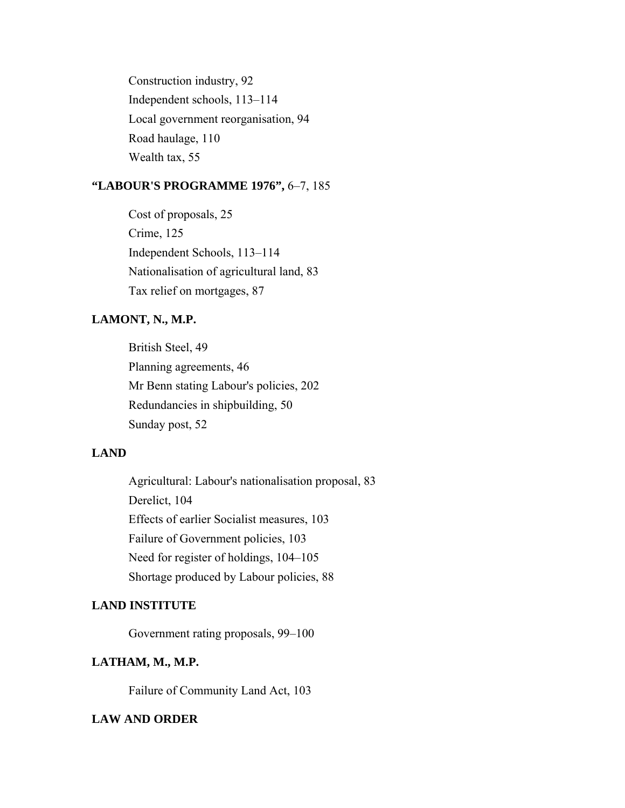Construction industry, 92 Independent schools, 113–114 Local government reorganisation, 94 Road haulage, 110 Wealth tax, 55

## **"LABOUR'S PROGRAMME 1976",** 6–7, 185

Cost of proposals, 25 Crime, 125 Independent Schools, 113–114 Nationalisation of agricultural land, 83 Tax relief on mortgages, 87

# **LAMONT, N., M.P.**

British Steel, 49 Planning agreements, 46 Mr Benn stating Labour's policies, 202 Redundancies in shipbuilding, 50 Sunday post, 52

## **LAND**

Agricultural: Labour's nationalisation proposal, 83 Derelict, 104 Effects of earlier Socialist measures, 103 Failure of Government policies, 103 Need for register of holdings, 104–105 Shortage produced by Labour policies, 88

## **LAND INSTITUTE**

Government rating proposals, 99–100

### **LATHAM, M., M.P.**

Failure of Community Land Act, 103

# **LAW AND ORDER**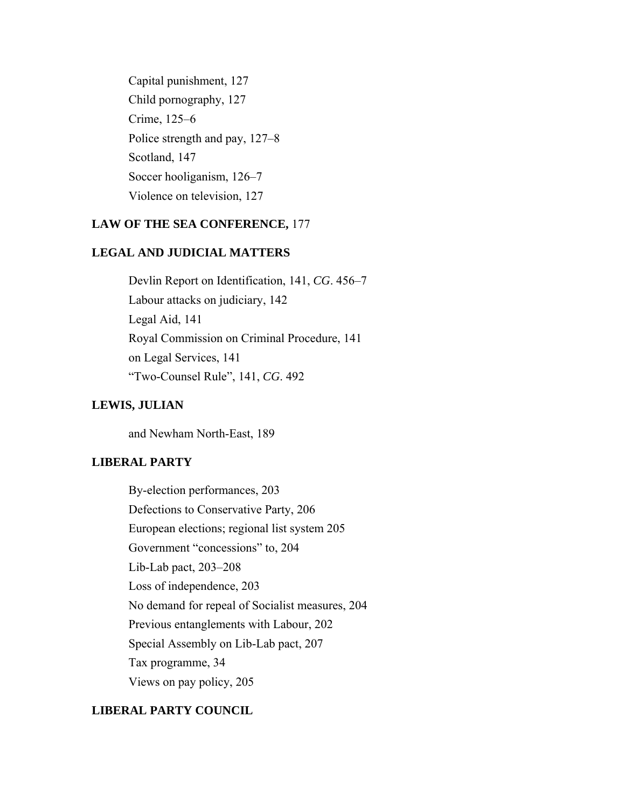Capital punishment, 127 Child pornography, 127 Crime, 125–6 Police strength and pay, 127–8 Scotland, 147 Soccer hooliganism, 126–7 Violence on television, 127

## **LAW OF THE SEA CONFERENCE,** 177

## **LEGAL AND JUDICIAL MATTERS**

Devlin Report on Identification, 141, *CG*. 456–7 Labour attacks on judiciary, 142 Legal Aid, 141 Royal Commission on Criminal Procedure, 141 on Legal Services, 141 "Two-Counsel Rule", 141, *CG*. 492

### **LEWIS, JULIAN**

and Newham North-East, 189

# **LIBERAL PARTY**

By-election performances, 203 Defections to Conservative Party, 206 European elections; regional list system 205 Government "concessions" to, 204 Lib-Lab pact, 203–208 Loss of independence, 203 No demand for repeal of Socialist measures, 204 Previous entanglements with Labour, 202 Special Assembly on Lib-Lab pact, 207 Tax programme, 34 Views on pay policy, 205

## **LIBERAL PARTY COUNCIL**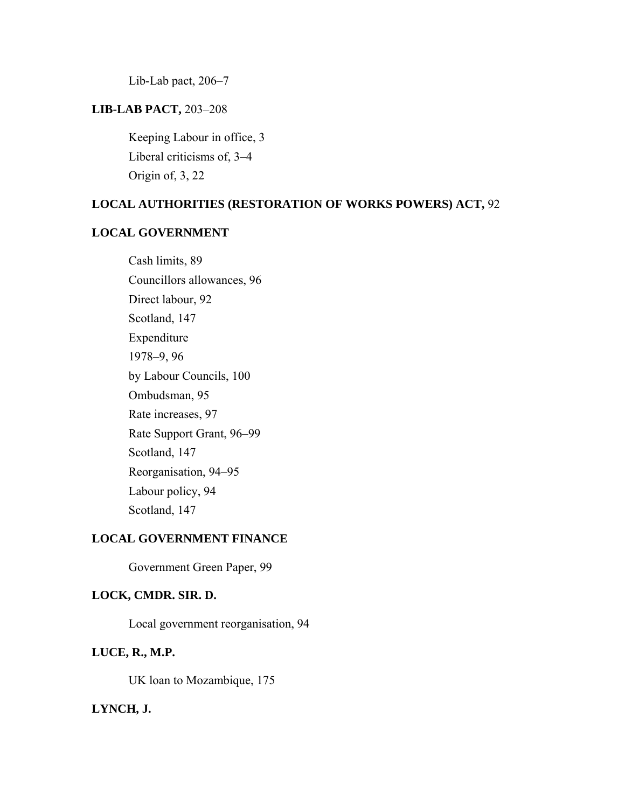Lib-Lab pact, 206–7

## **LIB-LAB PACT,** 203–208

Keeping Labour in office, 3 Liberal criticisms of, 3–4 Origin of, 3, 22

# **LOCAL AUTHORITIES (RESTORATION OF WORKS POWERS) ACT,** 92

### **LOCAL GOVERNMENT**

Cash limits, 89 Councillors allowances, 96 Direct labour, 92 Scotland, 147 Expenditure 1978–9, 96 by Labour Councils, 100 Ombudsman, 95 Rate increases, 97 Rate Support Grant, 96–99 Scotland, 147 Reorganisation, 94–95 Labour policy, 94 Scotland, 147

# **LOCAL GOVERNMENT FINANCE**

Government Green Paper, 99

## **LOCK, CMDR. SIR. D.**

Local government reorganisation, 94

### **LUCE, R., M.P.**

UK loan to Mozambique, 175

## **LYNCH, J.**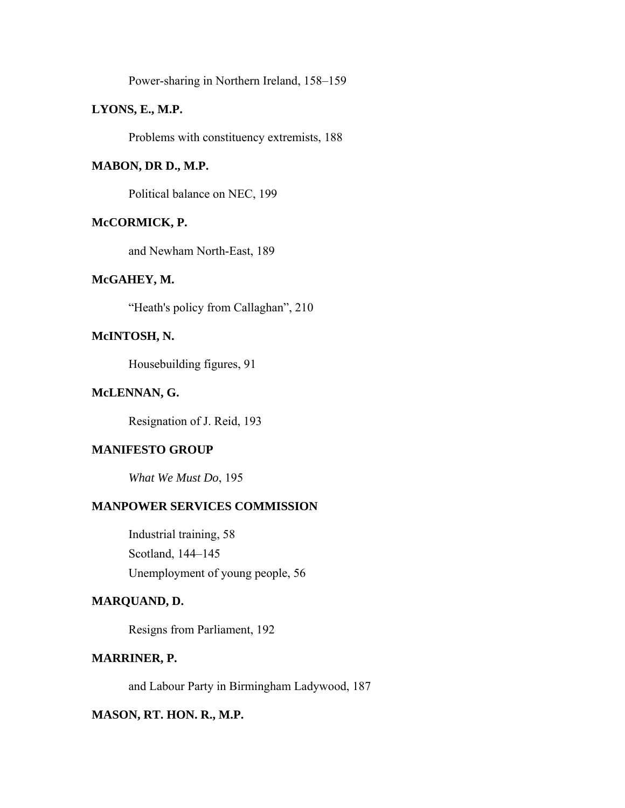Power-sharing in Northern Ireland, 158–159

## **LYONS, E., M.P.**

Problems with constituency extremists, 188

### **MABON, DR D., M.P.**

Political balance on NEC, 199

### **McCORMICK, P.**

and Newham North-East, 189

#### **McGAHEY, M.**

"Heath's policy from Callaghan", 210

## **McINTOSH, N.**

Housebuilding figures, 91

### **McLENNAN, G.**

Resignation of J. Reid, 193

## **MANIFESTO GROUP**

*What We Must Do*, 195

## **MANPOWER SERVICES COMMISSION**

Industrial training, 58 Scotland, 144–145 Unemployment of young people, 56

## **MARQUAND, D.**

Resigns from Parliament, 192

## **MARRINER, P.**

and Labour Party in Birmingham Ladywood, 187

## **MASON, RT. HON. R., M.P.**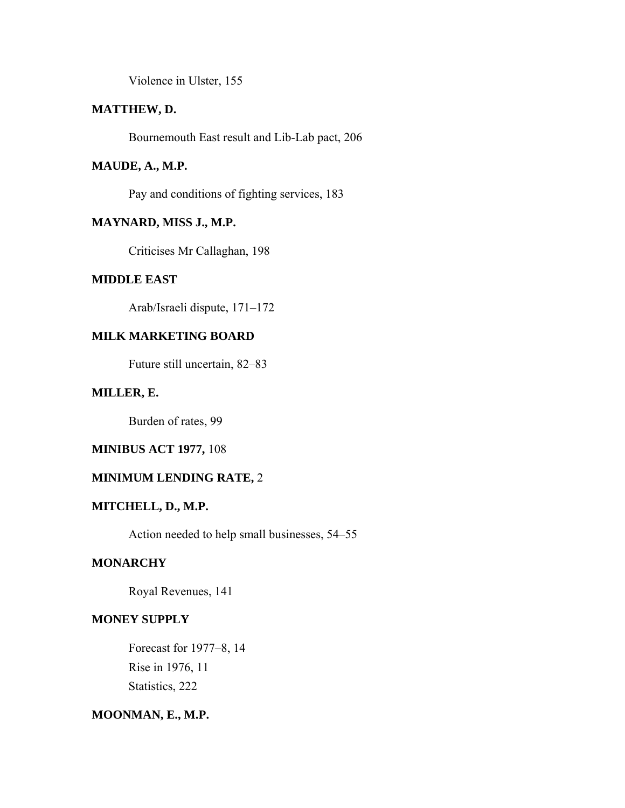Violence in Ulster, 155

## **MATTHEW, D.**

Bournemouth East result and Lib-Lab pact, 206

## **MAUDE, A., M.P.**

Pay and conditions of fighting services, 183

# **MAYNARD, MISS J., M.P.**

Criticises Mr Callaghan, 198

### **MIDDLE EAST**

Arab/Israeli dispute, 171–172

# **MILK MARKETING BOARD**

Future still uncertain, 82–83

### **MILLER, E.**

Burden of rates, 99

### **MINIBUS ACT 1977,** 108

### **MINIMUM LENDING RATE,** 2

## **MITCHELL, D., M.P.**

Action needed to help small businesses, 54–55

# **MONARCHY**

Royal Revenues, 141

## **MONEY SUPPLY**

Forecast for 1977–8, 14 Rise in 1976, 11 Statistics, 222

## **MOONMAN, E., M.P.**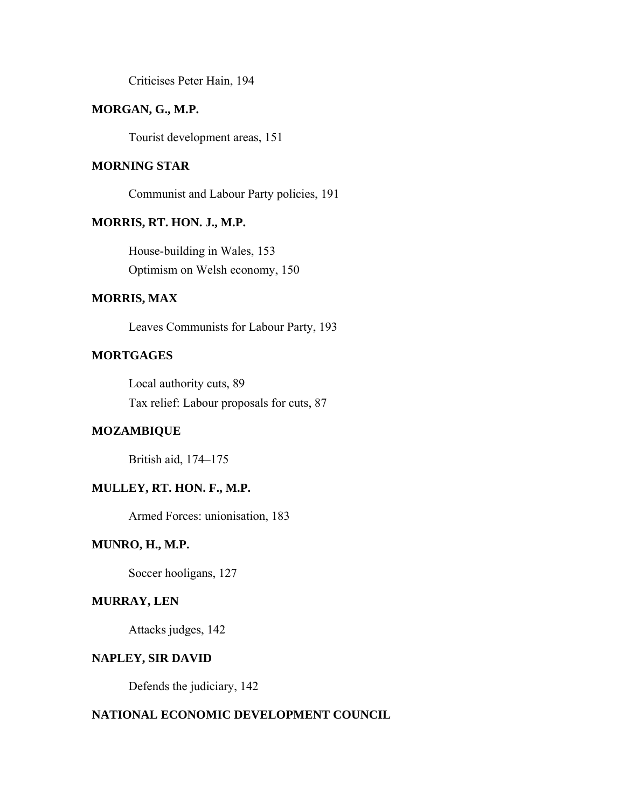Criticises Peter Hain, 194

## **MORGAN, G., M.P.**

Tourist development areas, 151

### **MORNING STAR**

Communist and Labour Party policies, 191

### **MORRIS, RT. HON. J., M.P.**

House-building in Wales, 153 Optimism on Welsh economy, 150

## **MORRIS, MAX**

Leaves Communists for Labour Party, 193

## **MORTGAGES**

Local authority cuts, 89 Tax relief: Labour proposals for cuts, 87

#### **MOZAMBIQUE**

British aid, 174–175

# **MULLEY, RT. HON. F., M.P.**

Armed Forces: unionisation, 183

## **MUNRO, H., M.P.**

Soccer hooligans, 127

### **MURRAY, LEN**

Attacks judges, 142

#### **NAPLEY, SIR DAVID**

Defends the judiciary, 142

## **NATIONAL ECONOMIC DEVELOPMENT COUNCIL**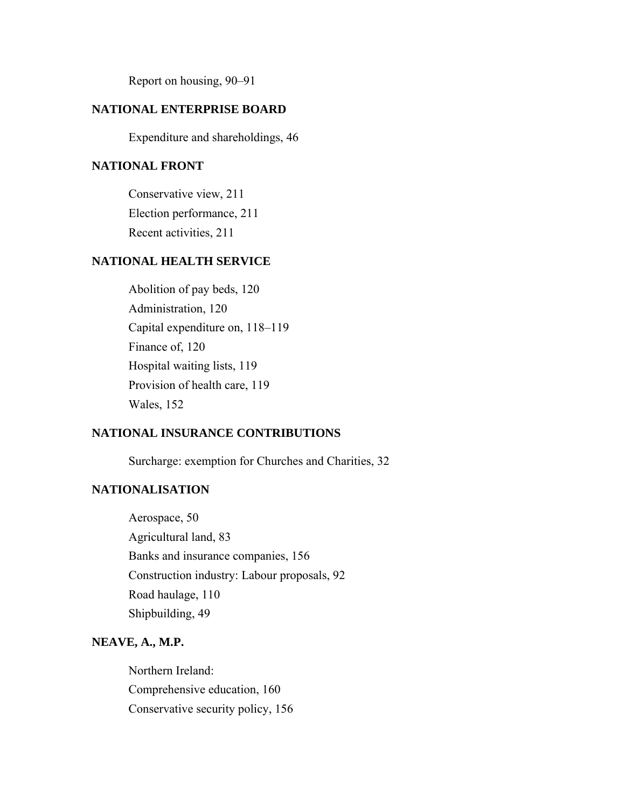Report on housing, 90–91

## **NATIONAL ENTERPRISE BOARD**

Expenditure and shareholdings, 46

## **NATIONAL FRONT**

Conservative view, 211 Election performance, 211 Recent activities, 211

## **NATIONAL HEALTH SERVICE**

Abolition of pay beds, 120 Administration, 120 Capital expenditure on, 118–119 Finance of, 120 Hospital waiting lists, 119 Provision of health care, 119 Wales, 152

## **NATIONAL INSURANCE CONTRIBUTIONS**

Surcharge: exemption for Churches and Charities, 32

## **NATIONALISATION**

Aerospace, 50 Agricultural land, 83 Banks and insurance companies, 156 Construction industry: Labour proposals, 92 Road haulage, 110 Shipbuilding, 49

## **NEAVE, A., M.P.**

Northern Ireland: Comprehensive education, 160 Conservative security policy, 156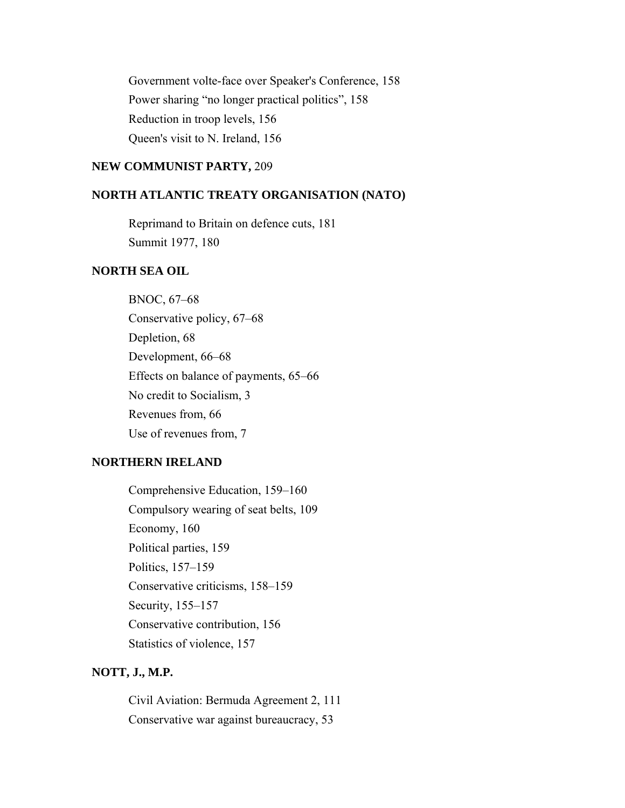Government volte-face over Speaker's Conference, 158 Power sharing "no longer practical politics", 158 Reduction in troop levels, 156 Queen's visit to N. Ireland, 156

#### **NEW COMMUNIST PARTY,** 209

#### **NORTH ATLANTIC TREATY ORGANISATION (NATO)**

Reprimand to Britain on defence cuts, 181 Summit 1977, 180

### **NORTH SEA OIL**

BNOC, 67–68 Conservative policy, 67–68 Depletion, 68 Development, 66–68 Effects on balance of payments, 65–66 No credit to Socialism, 3 Revenues from, 66 Use of revenues from, 7

## **NORTHERN IRELAND**

Comprehensive Education, 159–160 Compulsory wearing of seat belts, 109 Economy, 160 Political parties, 159 Politics, 157–159 Conservative criticisms, 158–159 Security, 155–157 Conservative contribution, 156 Statistics of violence, 157

### **NOTT, J., M.P.**

Civil Aviation: Bermuda Agreement 2, 111 Conservative war against bureaucracy, 53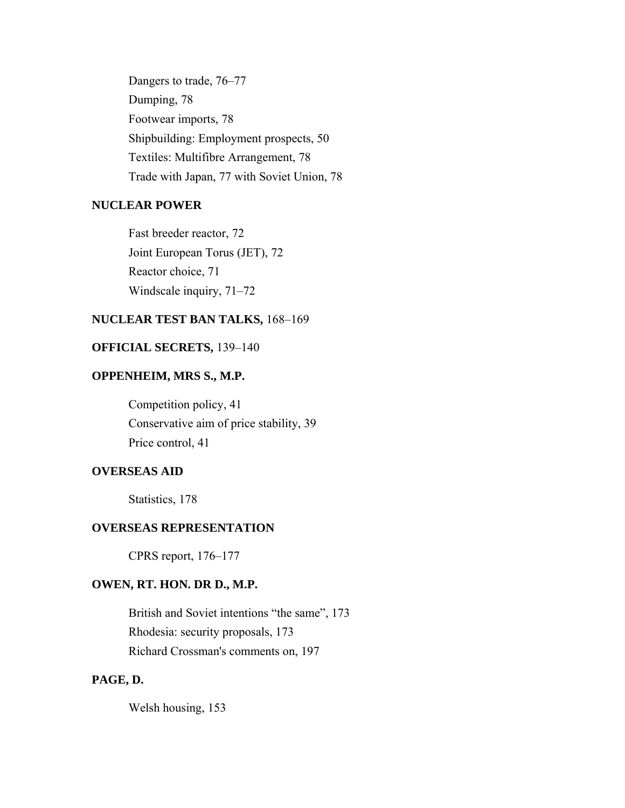Dangers to trade, 76–77 Dumping, 78 Footwear imports, 78 Shipbuilding: Employment prospects, 50 Textiles: Multifibre Arrangement, 78 Trade with Japan, 77 with Soviet Union, 78

# **NUCLEAR POWER**

Fast breeder reactor, 72 Joint European Torus (JET), 72 Reactor choice, 71 Windscale inquiry, 71–72

### **NUCLEAR TEST BAN TALKS,** 168–169

## **OFFICIAL SECRETS,** 139–140

## **OPPENHEIM, MRS S., M.P.**

Competition policy, 41 Conservative aim of price stability, 39 Price control, 41

# **OVERSEAS AID**

Statistics, 178

# **OVERSEAS REPRESENTATION**

CPRS report, 176–177

## **OWEN, RT. HON. DR D., M.P.**

British and Soviet intentions "the same", 173 Rhodesia: security proposals, 173 Richard Crossman's comments on, 197

# **PAGE, D.**

Welsh housing, 153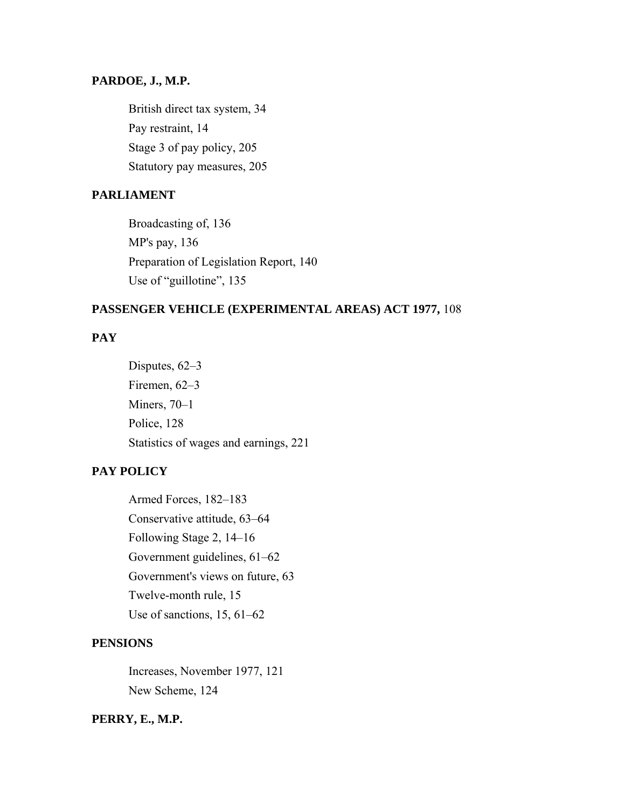### **PARDOE, J., M.P.**

British direct tax system, 34 Pay restraint, 14 Stage 3 of pay policy, 205 Statutory pay measures, 205

### **PARLIAMENT**

Broadcasting of, 136 MP's pay, 136 Preparation of Legislation Report, 140 Use of "guillotine", 135

## **PASSENGER VEHICLE (EXPERIMENTAL AREAS) ACT 1977,** 108

# **PAY**

Disputes, 62–3 Firemen, 62–3 Miners, 70–1 Police, 128 Statistics of wages and earnings, 221

# **PAY POLICY**

Armed Forces, 182–183 Conservative attitude, 63–64 Following Stage 2, 14–16 Government guidelines, 61–62 Government's views on future, 63 Twelve-month rule, 15 Use of sanctions, 15, 61–62

## **PENSIONS**

Increases, November 1977, 121 New Scheme, 124

## **PERRY, E., M.P.**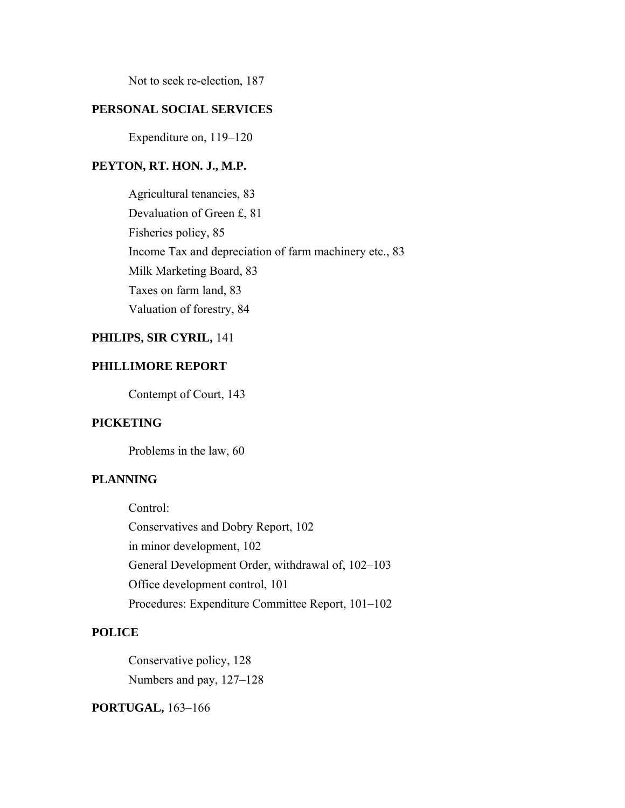Not to seek re-election, 187

### **PERSONAL SOCIAL SERVICES**

Expenditure on, 119–120

### **PEYTON, RT. HON. J., M.P.**

Agricultural tenancies, 83 Devaluation of Green £, 81 Fisheries policy, 85 Income Tax and depreciation of farm machinery etc., 83 Milk Marketing Board, 83 Taxes on farm land, 83 Valuation of forestry, 84

# **PHILIPS, SIR CYRIL,** 141

## **PHILLIMORE REPORT**

Contempt of Court, 143

# **PICKETING**

Problems in the law, 60

### **PLANNING**

Control: Conservatives and Dobry Report, 102 in minor development, 102 General Development Order, withdrawal of, 102–103 Office development control, 101 Procedures: Expenditure Committee Report, 101–102

## **POLICE**

Conservative policy, 128 Numbers and pay, 127–128

**PORTUGAL,** 163–166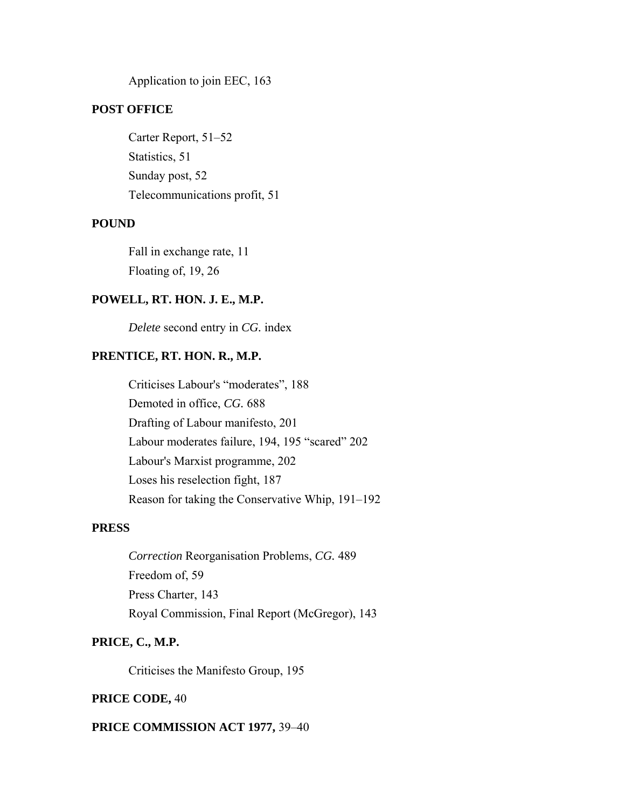Application to join EEC, 163

## **POST OFFICE**

Carter Report, 51–52 Statistics, 51 Sunday post, 52 Telecommunications profit, 51

#### **POUND**

Fall in exchange rate, 11 Floating of, 19, 26

## **POWELL, RT. HON. J. E., M.P.**

*Delete* second entry in *CG.* index

# **PRENTICE, RT. HON. R., M.P.**

Criticises Labour's "moderates", 188 Demoted in office, *CG.* 688 Drafting of Labour manifesto, 201 Labour moderates failure, 194, 195 "scared" 202 Labour's Marxist programme, 202 Loses his reselection fight, 187 Reason for taking the Conservative Whip, 191–192

## **PRESS**

*Correction* Reorganisation Problems, *CG.* 489 Freedom of, 59 Press Charter, 143 Royal Commission, Final Report (McGregor), 143

## **PRICE, C., M.P.**

Criticises the Manifesto Group, 195

#### **PRICE CODE,** 40

#### **PRICE COMMISSION ACT 1977,** 39–40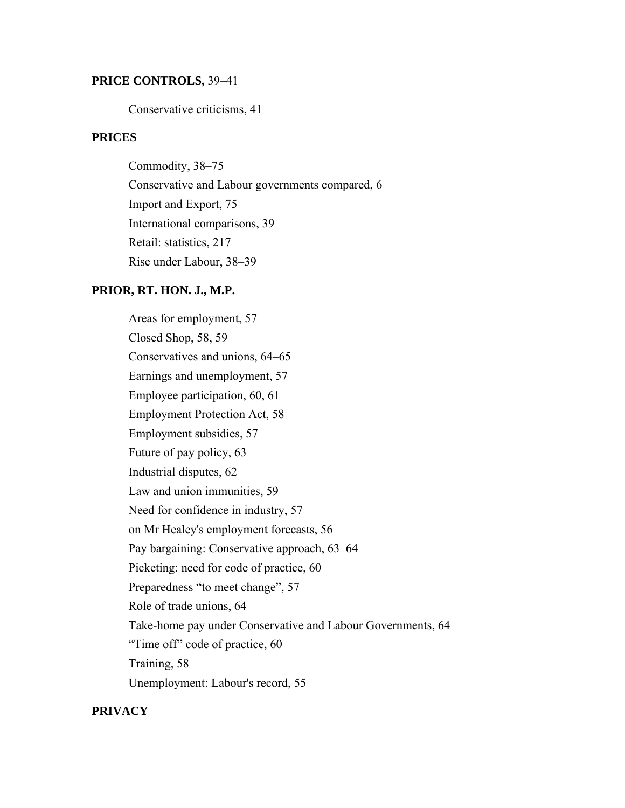### **PRICE CONTROLS,** 39–41

Conservative criticisms, 41

## **PRICES**

Commodity, 38–75 Conservative and Labour governments compared, 6 Import and Export, 75 International comparisons, 39 Retail: statistics, 217 Rise under Labour, 38–39

### **PRIOR, RT. HON. J., M.P.**

Areas for employment, 57 Closed Shop, 58, 59 Conservatives and unions, 64–65 Earnings and unemployment, 57 Employee participation, 60, 61 Employment Protection Act, 58 Employment subsidies, 57 Future of pay policy, 63 Industrial disputes, 62 Law and union immunities, 59 Need for confidence in industry, 57 on Mr Healey's employment forecasts, 56 Pay bargaining: Conservative approach, 63–64 Picketing: need for code of practice, 60 Preparedness "to meet change", 57 Role of trade unions, 64 Take-home pay under Conservative and Labour Governments, 64 "Time off" code of practice, 60 Training, 58 Unemployment: Labour's record, 55

### **PRIVACY**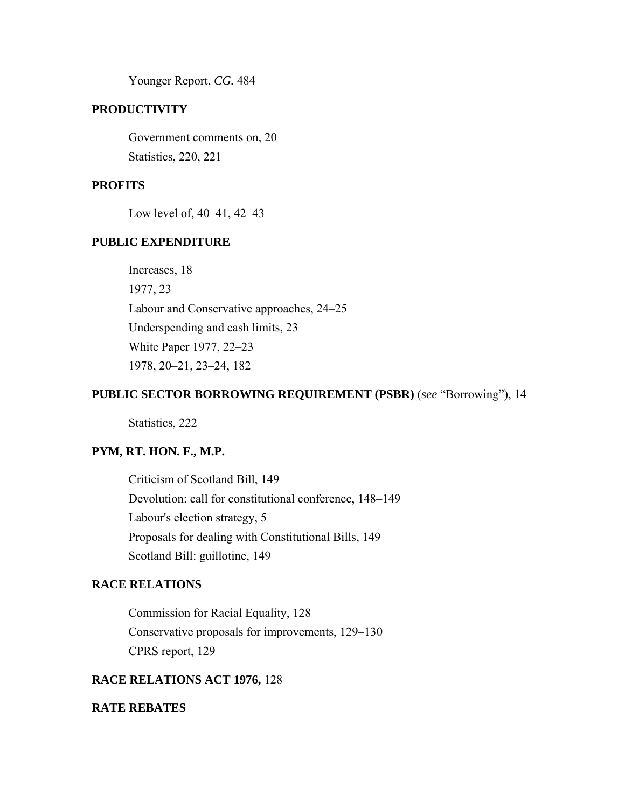Younger Report, *CG.* 484

## **PRODUCTIVITY**

Government comments on, 20 Statistics, 220, 221

## **PROFITS**

Low level of, 40–41, 42–43

## **PUBLIC EXPENDITURE**

Increases, 18 1977, 23 Labour and Conservative approaches, 24–25 Underspending and cash limits, 23 White Paper 1977, 22–23 1978, 20–21, 23–24, 182

### **PUBLIC SECTOR BORROWING REQUIREMENT (PSBR)** (*see* "Borrowing"), 14

Statistics, 222

## **PYM, RT. HON. F., M.P.**

Criticism of Scotland Bill, 149 Devolution: call for constitutional conference, 148–149 Labour's election strategy, 5 Proposals for dealing with Constitutional Bills, 149 Scotland Bill: guillotine, 149

## **RACE RELATIONS**

Commission for Racial Equality, 128 Conservative proposals for improvements, 129–130 CPRS report, 129

## **RACE RELATIONS ACT 1976,** 128

## **RATE REBATES**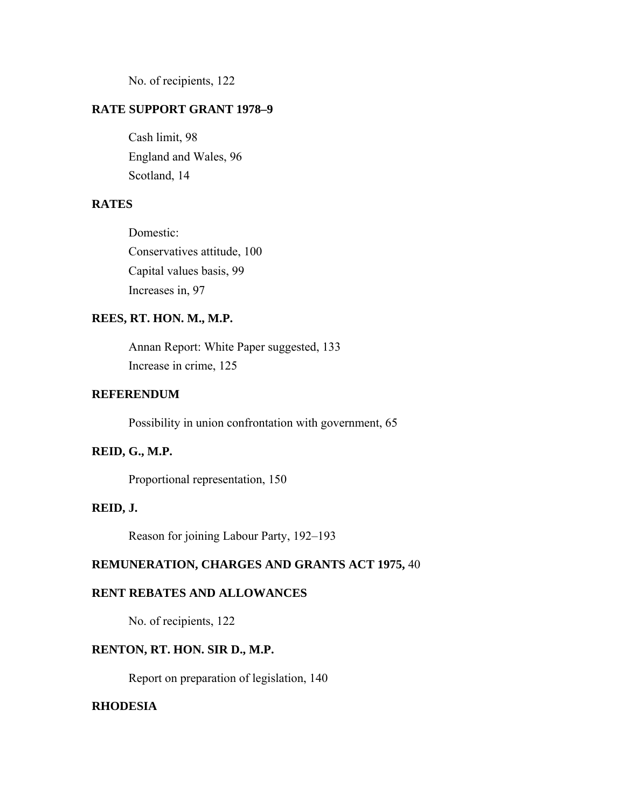No. of recipients, 122

## **RATE SUPPORT GRANT 1978–9**

Cash limit, 98 England and Wales, 96 Scotland, 14

## **RATES**

Domestic: Conservatives attitude, 100 Capital values basis, 99 Increases in, 97

### **REES, RT. HON. M., M.P.**

Annan Report: White Paper suggested, 133 Increase in crime, 125

## **REFERENDUM**

Possibility in union confrontation with government, 65

## **REID, G., M.P.**

Proportional representation, 150

## **REID, J.**

Reason for joining Labour Party, 192–193

# **REMUNERATION, CHARGES AND GRANTS ACT 1975,** 40

## **RENT REBATES AND ALLOWANCES**

No. of recipients, 122

### **RENTON, RT. HON. SIR D., M.P.**

Report on preparation of legislation, 140

## **RHODESIA**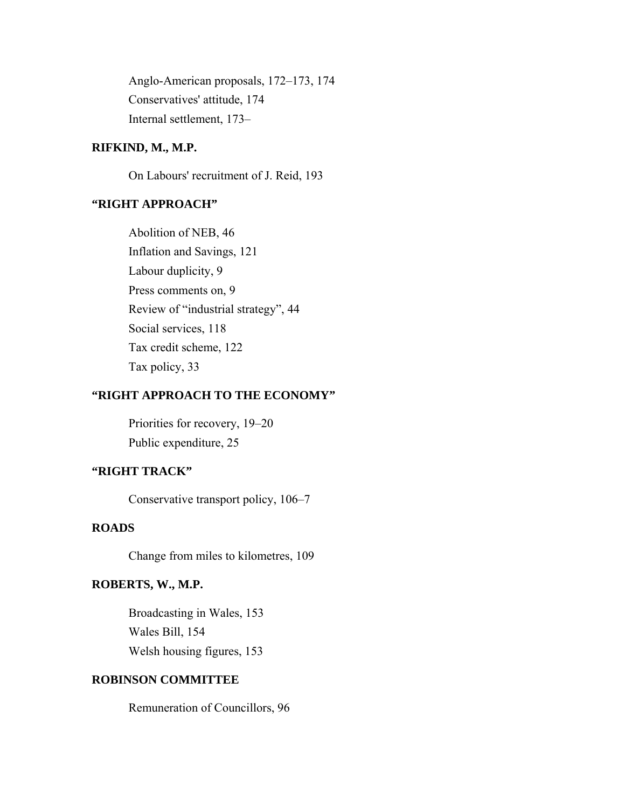Anglo-American proposals, 172–173, 174 Conservatives' attitude, 174 Internal settlement, 173–

## **RIFKIND, M., M.P.**

On Labours' recruitment of J. Reid, 193

# **"RIGHT APPROACH"**

Abolition of NEB, 46 Inflation and Savings, 121 Labour duplicity, 9 Press comments on, 9 Review of "industrial strategy", 44 Social services, 118 Tax credit scheme, 122 Tax policy, 33

# **"RIGHT APPROACH TO THE ECONOMY"**

Priorities for recovery, 19–20 Public expenditure, 25

## **"RIGHT TRACK"**

Conservative transport policy, 106–7

## **ROADS**

Change from miles to kilometres, 109

## **ROBERTS, W., M.P.**

Broadcasting in Wales, 153 Wales Bill, 154 Welsh housing figures, 153

## **ROBINSON COMMITTEE**

Remuneration of Councillors, 96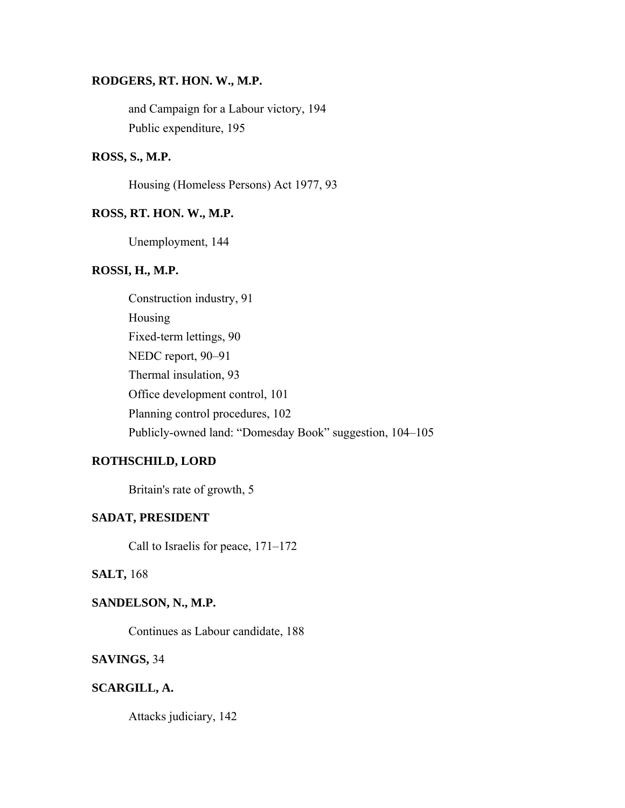### **RODGERS, RT. HON. W., M.P.**

and Campaign for a Labour victory, 194 Public expenditure, 195

## **ROSS, S., M.P.**

Housing (Homeless Persons) Act 1977, 93

### **ROSS, RT. HON. W., M.P.**

Unemployment, 144

### **ROSSI, H., M.P.**

Construction industry, 91 Housing Fixed-term lettings, 90 NEDC report, 90–91 Thermal insulation, 93 Office development control, 101 Planning control procedures, 102 Publicly-owned land: "Domesday Book" suggestion, 104–105

## **ROTHSCHILD, LORD**

Britain's rate of growth, 5

## **SADAT, PRESIDENT**

Call to Israelis for peace, 171–172

## **SALT,** 168

## **SANDELSON, N., M.P.**

Continues as Labour candidate, 188

### **SAVINGS,** 34

### **SCARGILL, A.**

Attacks judiciary, 142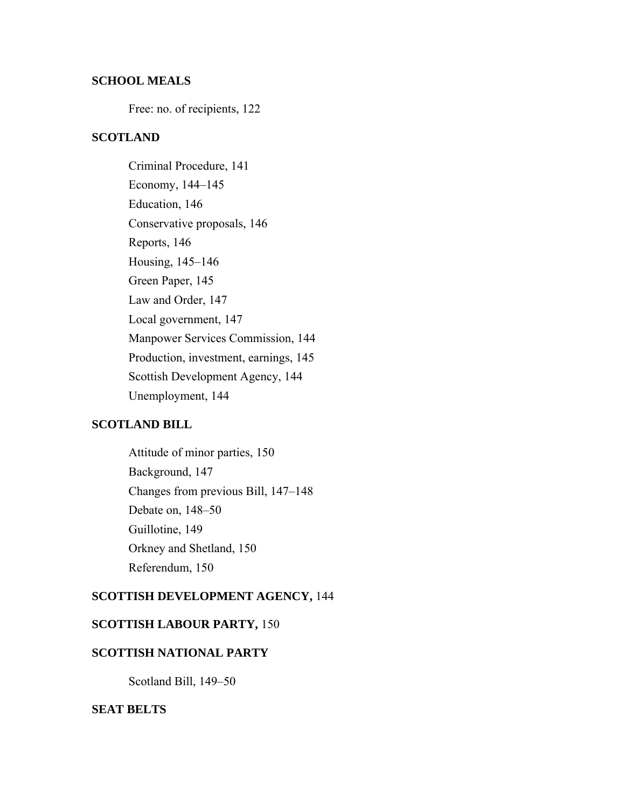### **SCHOOL MEALS**

Free: no. of recipients, 122

## **SCOTLAND**

Criminal Procedure, 141 Economy, 144–145 Education, 146 Conservative proposals, 146 Reports, 146 Housing, 145–146 Green Paper, 145 Law and Order, 147 Local government, 147 Manpower Services Commission, 144 Production, investment, earnings, 145 Scottish Development Agency, 144 Unemployment, 144

## **SCOTLAND BILL**

Attitude of minor parties, 150 Background, 147 Changes from previous Bill, 147–148 Debate on, 148–50 Guillotine, 149 Orkney and Shetland, 150 Referendum, 150

## **SCOTTISH DEVELOPMENT AGENCY,** 144

## **SCOTTISH LABOUR PARTY,** 150

## **SCOTTISH NATIONAL PARTY**

Scotland Bill, 149–50

### **SEAT BELTS**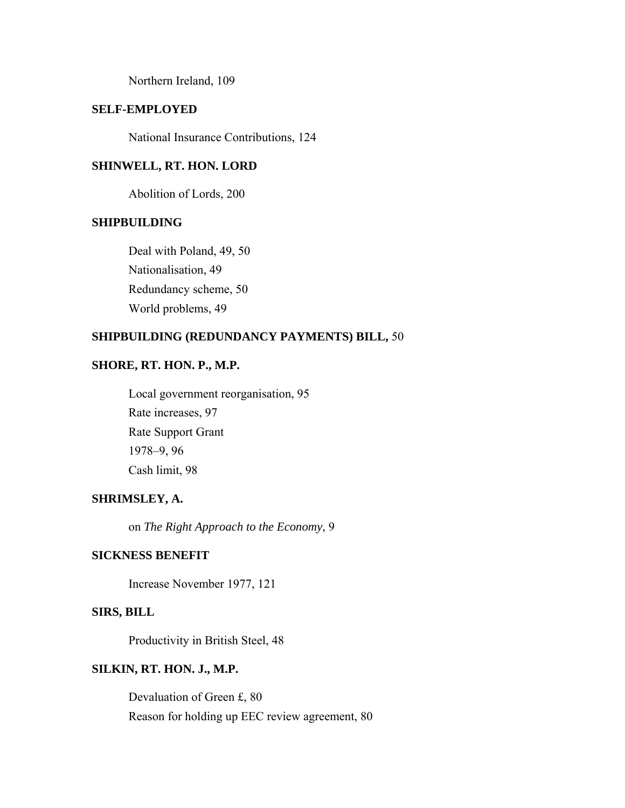Northern Ireland, 109

## **SELF-EMPLOYED**

National Insurance Contributions, 124

### **SHINWELL, RT. HON. LORD**

Abolition of Lords, 200

#### **SHIPBUILDING**

Deal with Poland, 49, 50 Nationalisation, 49 Redundancy scheme, 50 World problems, 49

## **SHIPBUILDING (REDUNDANCY PAYMENTS) BILL,** 50

## **SHORE, RT. HON. P., M.P.**

Local government reorganisation, 95 Rate increases, 97 Rate Support Grant 1978–9, 96 Cash limit, 98

## **SHRIMSLEY, A.**

on *The Right Approach to the Economy*, 9

### **SICKNESS BENEFIT**

Increase November 1977, 121

## **SIRS, BILL**

Productivity in British Steel, 48

### **SILKIN, RT. HON. J., M.P.**

Devaluation of Green £, 80 Reason for holding up EEC review agreement, 80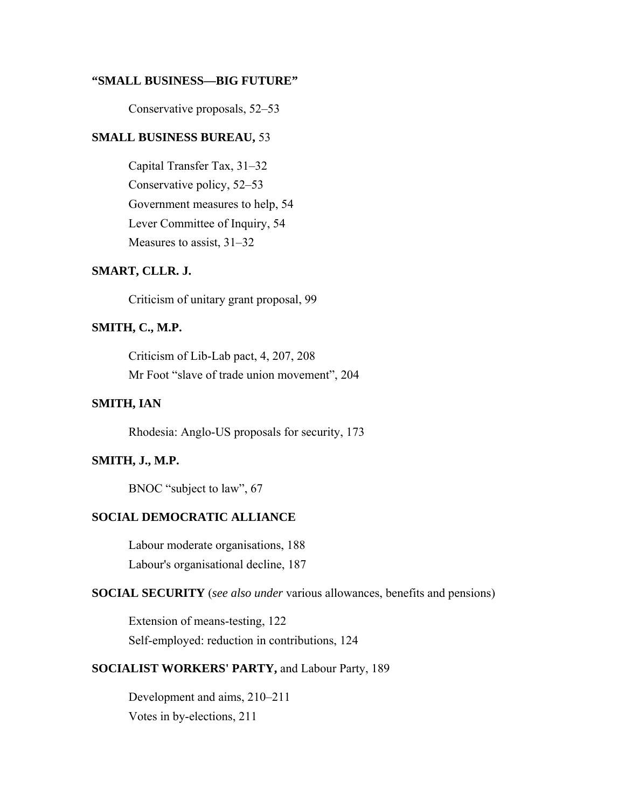#### **"SMALL BUSINESS—BIG FUTURE"**

Conservative proposals, 52–53

## **SMALL BUSINESS BUREAU,** 53

Capital Transfer Tax, 31–32 Conservative policy, 52–53 Government measures to help, 54 Lever Committee of Inquiry, 54 Measures to assist, 31–32

## **SMART, CLLR. J.**

Criticism of unitary grant proposal, 99

## **SMITH, C., M.P.**

Criticism of Lib-Lab pact, 4, 207, 208 Mr Foot "slave of trade union movement", 204

## **SMITH, IAN**

Rhodesia: Anglo-US proposals for security, 173

### **SMITH, J., M.P.**

BNOC "subject to law", 67

## **SOCIAL DEMOCRATIC ALLIANCE**

Labour moderate organisations, 188 Labour's organisational decline, 187

**SOCIAL SECURITY** (*see also under* various allowances, benefits and pensions)

Extension of means-testing, 122 Self-employed: reduction in contributions, 124

## **SOCIALIST WORKERS' PARTY,** and Labour Party, 189

Development and aims, 210–211 Votes in by-elections, 211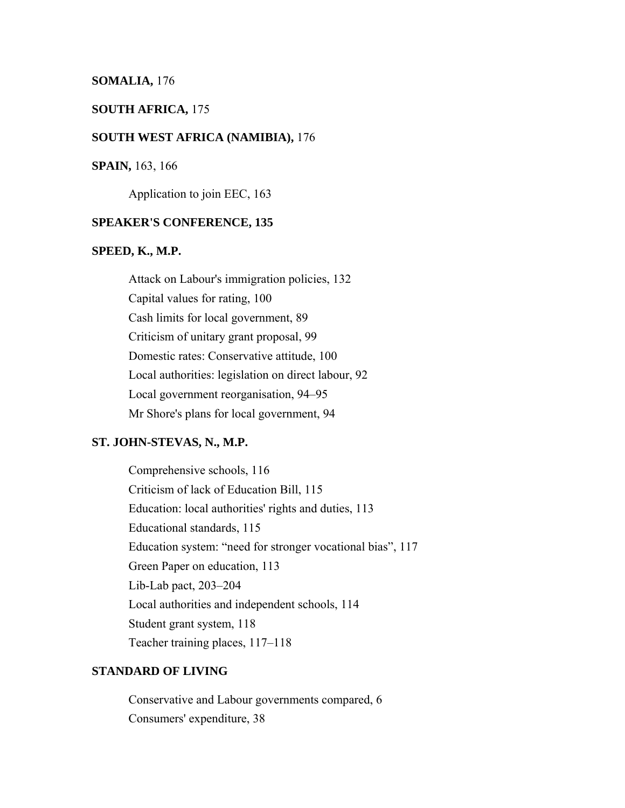#### **SOMALIA,** 176

### **SOUTH AFRICA,** 175

#### **SOUTH WEST AFRICA (NAMIBIA),** 176

#### **SPAIN,** 163, 166

Application to join EEC, 163

#### **SPEAKER'S CONFERENCE, 135**

#### **SPEED, K., M.P.**

Attack on Labour's immigration policies, 132 Capital values for rating, 100 Cash limits for local government, 89 Criticism of unitary grant proposal, 99 Domestic rates: Conservative attitude, 100 Local authorities: legislation on direct labour, 92 Local government reorganisation, 94–95 Mr Shore's plans for local government, 94

#### **ST. JOHN-STEVAS, N., M.P.**

Comprehensive schools, 116 Criticism of lack of Education Bill, 115 Education: local authorities' rights and duties, 113 Educational standards, 115 Education system: "need for stronger vocational bias", 117 Green Paper on education, 113 Lib-Lab pact, 203–204 Local authorities and independent schools, 114 Student grant system, 118 Teacher training places, 117–118

#### **STANDARD OF LIVING**

Conservative and Labour governments compared, 6 Consumers' expenditure, 38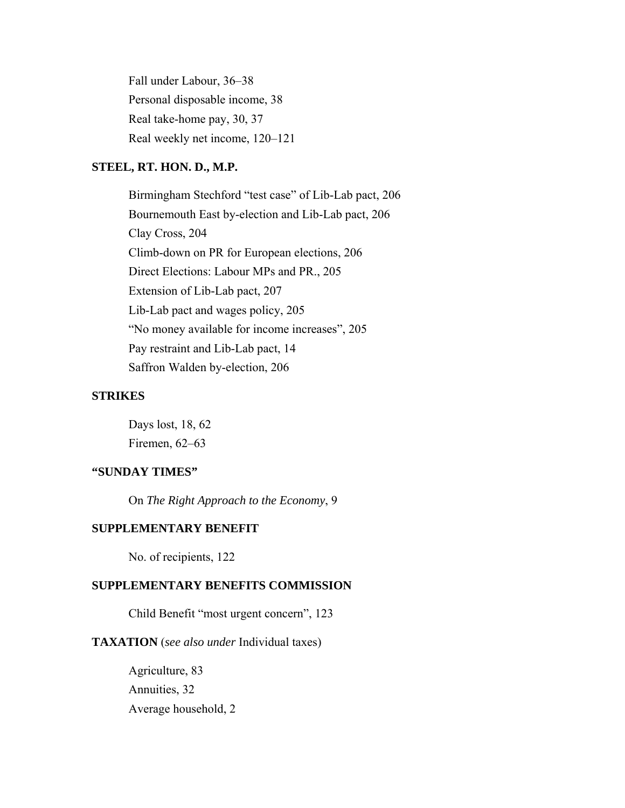Fall under Labour, 36–38 Personal disposable income, 38 Real take-home pay, 30, 37 Real weekly net income, 120–121

### **STEEL, RT. HON. D., M.P.**

Birmingham Stechford "test case" of Lib-Lab pact, 206 Bournemouth East by-election and Lib-Lab pact, 206 Clay Cross, 204 Climb-down on PR for European elections, 206 Direct Elections: Labour MPs and PR., 205 Extension of Lib-Lab pact, 207 Lib-Lab pact and wages policy, 205 "No money available for income increases", 205 Pay restraint and Lib-Lab pact, 14 Saffron Walden by-election, 206

#### **STRIKES**

Days lost, 18, 62 Firemen, 62–63

## **"SUNDAY TIMES"**

On *The Right Approach to the Economy*, 9

## **SUPPLEMENTARY BENEFIT**

No. of recipients, 122

## **SUPPLEMENTARY BENEFITS COMMISSION**

Child Benefit "most urgent concern", 123

### **TAXATION** (*see also under* Individual taxes)

Agriculture, 83 Annuities, 32 Average household, 2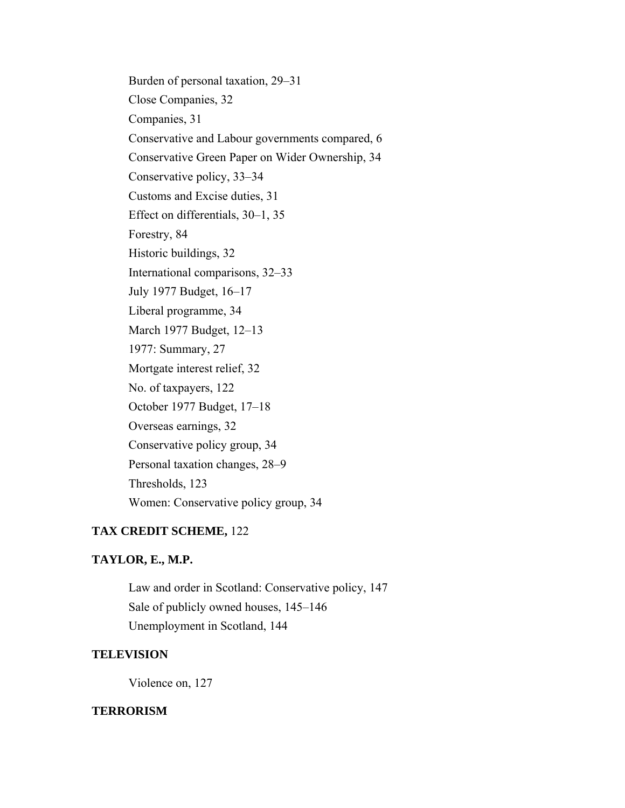Burden of personal taxation, 29–31 Close Companies, 32 Companies, 31 Conservative and Labour governments compared, 6 Conservative Green Paper on Wider Ownership, 34 Conservative policy, 33–34 Customs and Excise duties, 31 Effect on differentials, 30–1, 35 Forestry, 84 Historic buildings, 32 International comparisons, 32–33 July 1977 Budget, 16–17 Liberal programme, 34 March 1977 Budget, 12–13 1977: Summary, 27 Mortgate interest relief, 32 No. of taxpayers, 122 October 1977 Budget, 17–18 Overseas earnings, 32 Conservative policy group, 34 Personal taxation changes, 28–9 Thresholds, 123 Women: Conservative policy group, 34

## **TAX CREDIT SCHEME,** 122

## **TAYLOR, E., M.P.**

Law and order in Scotland: Conservative policy, 147 Sale of publicly owned houses, 145–146 Unemployment in Scotland, 144

## **TELEVISION**

Violence on, 127

#### **TERRORISM**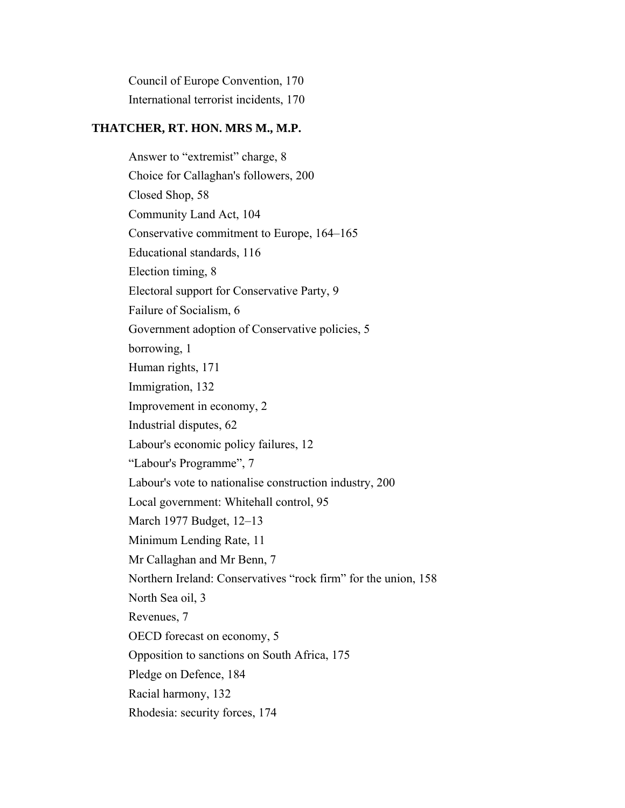Council of Europe Convention, 170 International terrorist incidents, 170

# **THATCHER, RT. HON. MRS M., M.P.**

Answer to "extremist" charge, 8 Choice for Callaghan's followers, 200 Closed Shop, 58 Community Land Act, 104 Conservative commitment to Europe, 164–165 Educational standards, 116 Election timing, 8 Electoral support for Conservative Party, 9 Failure of Socialism, 6 Government adoption of Conservative policies, 5 borrowing, 1 Human rights, 171 Immigration, 132 Improvement in economy, 2 Industrial disputes, 62 Labour's economic policy failures, 12 "Labour's Programme", 7 Labour's vote to nationalise construction industry, 200 Local government: Whitehall control, 95 March 1977 Budget, 12–13 Minimum Lending Rate, 11 Mr Callaghan and Mr Benn, 7 Northern Ireland: Conservatives "rock firm" for the union, 158 North Sea oil, 3 Revenues, 7 OECD forecast on economy, 5 Opposition to sanctions on South Africa, 175 Pledge on Defence, 184 Racial harmony, 132 Rhodesia: security forces, 174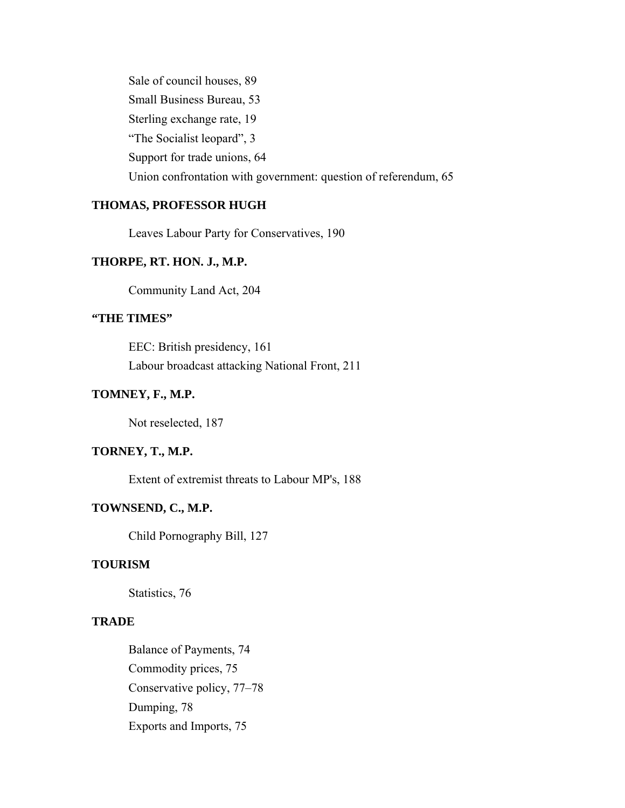Sale of council houses, 89 Small Business Bureau, 53 Sterling exchange rate, 19 "The Socialist leopard", 3 Support for trade unions, 64 Union confrontation with government: question of referendum, 65

## **THOMAS, PROFESSOR HUGH**

Leaves Labour Party for Conservatives, 190

## **THORPE, RT. HON. J., M.P.**

Community Land Act, 204

## **"THE TIMES"**

EEC: British presidency, 161 Labour broadcast attacking National Front, 211

## **TOMNEY, F., M.P.**

Not reselected, 187

## **TORNEY, T., M.P.**

Extent of extremist threats to Labour MP's, 188

## **TOWNSEND, C., M.P.**

Child Pornography Bill, 127

## **TOURISM**

Statistics, 76

## **TRADE**

Balance of Payments, 74 Commodity prices, 75 Conservative policy, 77–78 Dumping, 78 Exports and Imports, 75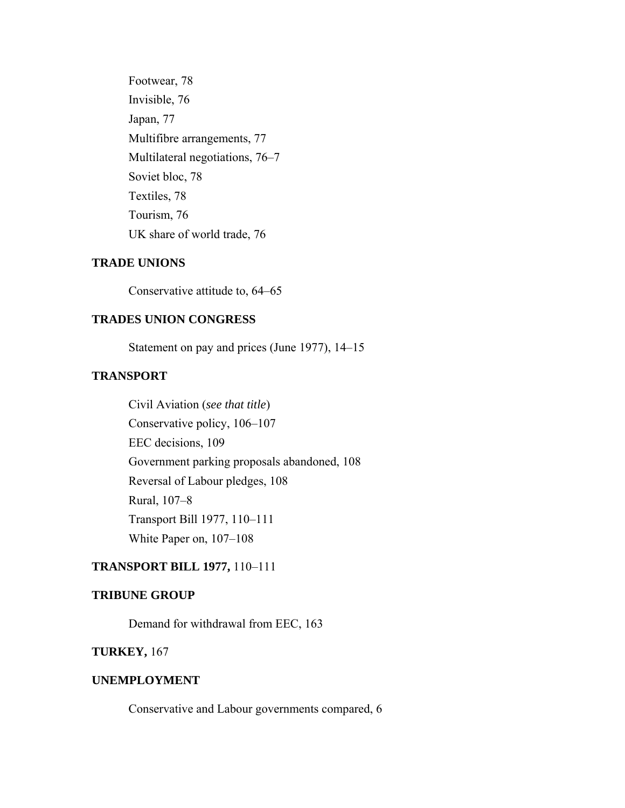Footwear, 78 Invisible, 76 Japan, 77 Multifibre arrangements, 77 Multilateral negotiations, 76–7 Soviet bloc, 78 Textiles, 78 Tourism, 76 UK share of world trade, 76

#### **TRADE UNIONS**

Conservative attitude to, 64–65

## **TRADES UNION CONGRESS**

Statement on pay and prices (June 1977), 14–15

## **TRANSPORT**

Civil Aviation (*see that title*) Conservative policy, 106–107 EEC decisions, 109 Government parking proposals abandoned, 108 Reversal of Labour pledges, 108 Rural, 107–8 Transport Bill 1977, 110–111 White Paper on, 107–108

## **TRANSPORT BILL 1977,** 110–111

### **TRIBUNE GROUP**

Demand for withdrawal from EEC, 163

## **TURKEY,** 167

## **UNEMPLOYMENT**

Conservative and Labour governments compared, 6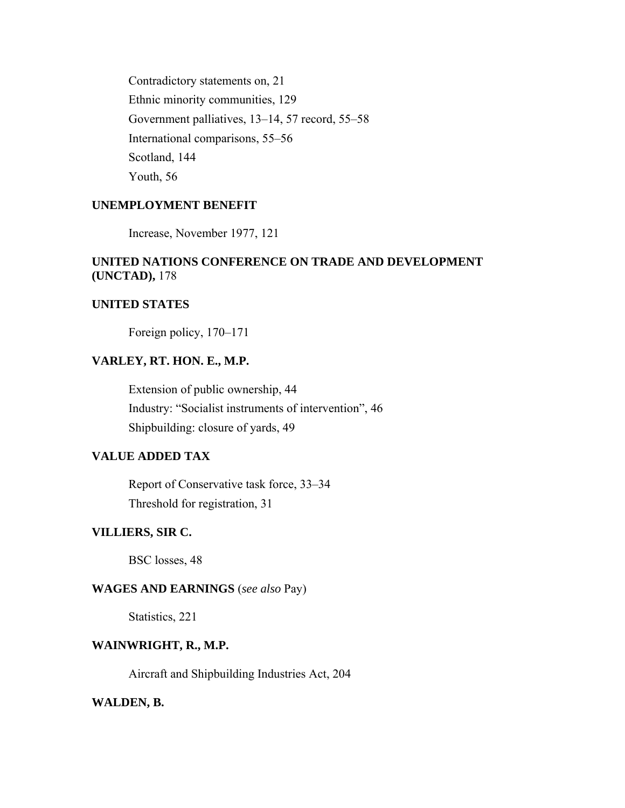Contradictory statements on, 21 Ethnic minority communities, 129 Government palliatives, 13–14, 57 record, 55–58 International comparisons, 55–56 Scotland, 144 Youth, 56

## **UNEMPLOYMENT BENEFIT**

Increase, November 1977, 121

## **UNITED NATIONS CONFERENCE ON TRADE AND DEVELOPMENT (UNCTAD),** 178

## **UNITED STATES**

Foreign policy, 170–171

## **VARLEY, RT. HON. E., M.P.**

Extension of public ownership, 44 Industry: "Socialist instruments of intervention", 46 Shipbuilding: closure of yards, 49

### **VALUE ADDED TAX**

Report of Conservative task force, 33–34 Threshold for registration, 31

## **VILLIERS, SIR C.**

BSC losses, 48

#### **WAGES AND EARNINGS** (*see also* Pay)

Statistics, 221

## **WAINWRIGHT, R., M.P.**

Aircraft and Shipbuilding Industries Act, 204

### **WALDEN, B.**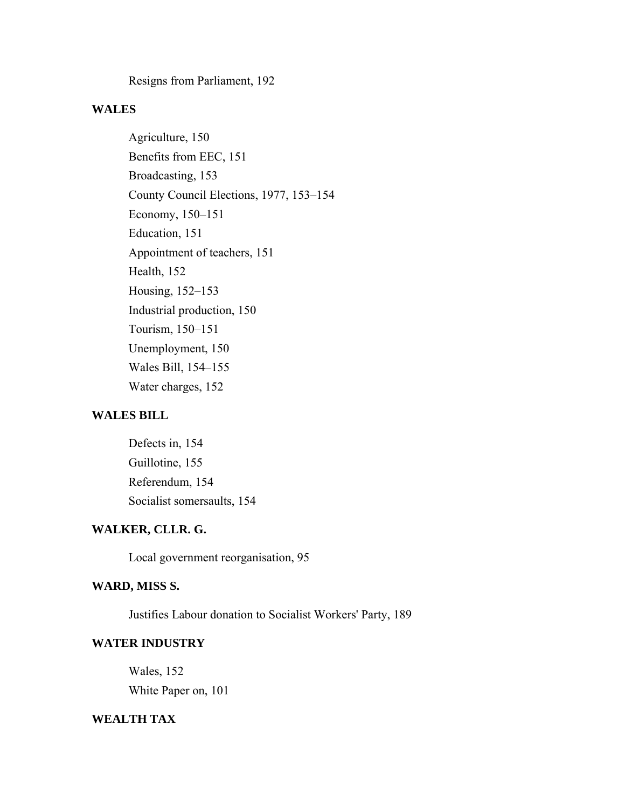Resigns from Parliament, 192

### **WALES**

Agriculture, 150 Benefits from EEC, 151 Broadcasting, 153 County Council Elections, 1977, 153–154 Economy, 150–151 Education, 151 Appointment of teachers, 151 Health, 152 Housing, 152–153 Industrial production, 150 Tourism, 150–151 Unemployment, 150 Wales Bill, 154–155 Water charges, 152

## **WALES BILL**

Defects in, 154 Guillotine, 155 Referendum, 154 Socialist somersaults, 154

## **WALKER, CLLR. G.**

Local government reorganisation, 95

## **WARD, MISS S.**

Justifies Labour donation to Socialist Workers' Party, 189

### **WATER INDUSTRY**

Wales, 152 White Paper on, 101

## **WEALTH TAX**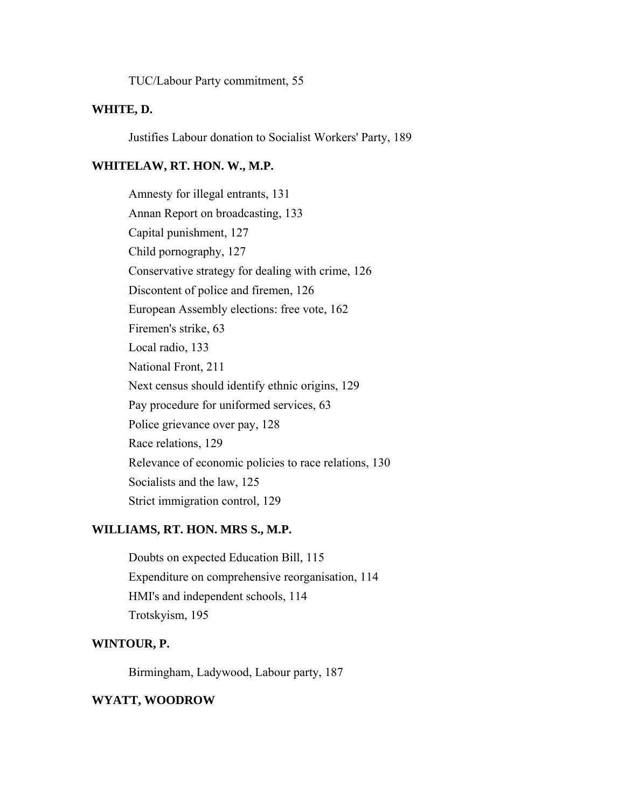TUC/Labour Party commitment, 55

## **WHITE, D.**

Justifies Labour donation to Socialist Workers' Party, 189

#### **WHITELAW, RT. HON. W., M.P.**

Amnesty for illegal entrants, 131 Annan Report on broadcasting, 133 Capital punishment, 127 Child pornography, 127 Conservative strategy for dealing with crime, 126 Discontent of police and firemen, 126 European Assembly elections: free vote, 162 Firemen's strike, 63 Local radio, 133 National Front, 211 Next census should identify ethnic origins, 129 Pay procedure for uniformed services, 63 Police grievance over pay, 128 Race relations, 129 Relevance of economic policies to race relations, 130 Socialists and the law, 125 Strict immigration control, 129

## **WILLIAMS, RT. HON. MRS S., M.P.**

Doubts on expected Education Bill, 115 Expenditure on comprehensive reorganisation, 114 HMI's and independent schools, 114 Trotskyism, 195

#### **WINTOUR, P.**

Birmingham, Ladywood, Labour party, 187

#### **WYATT, WOODROW**